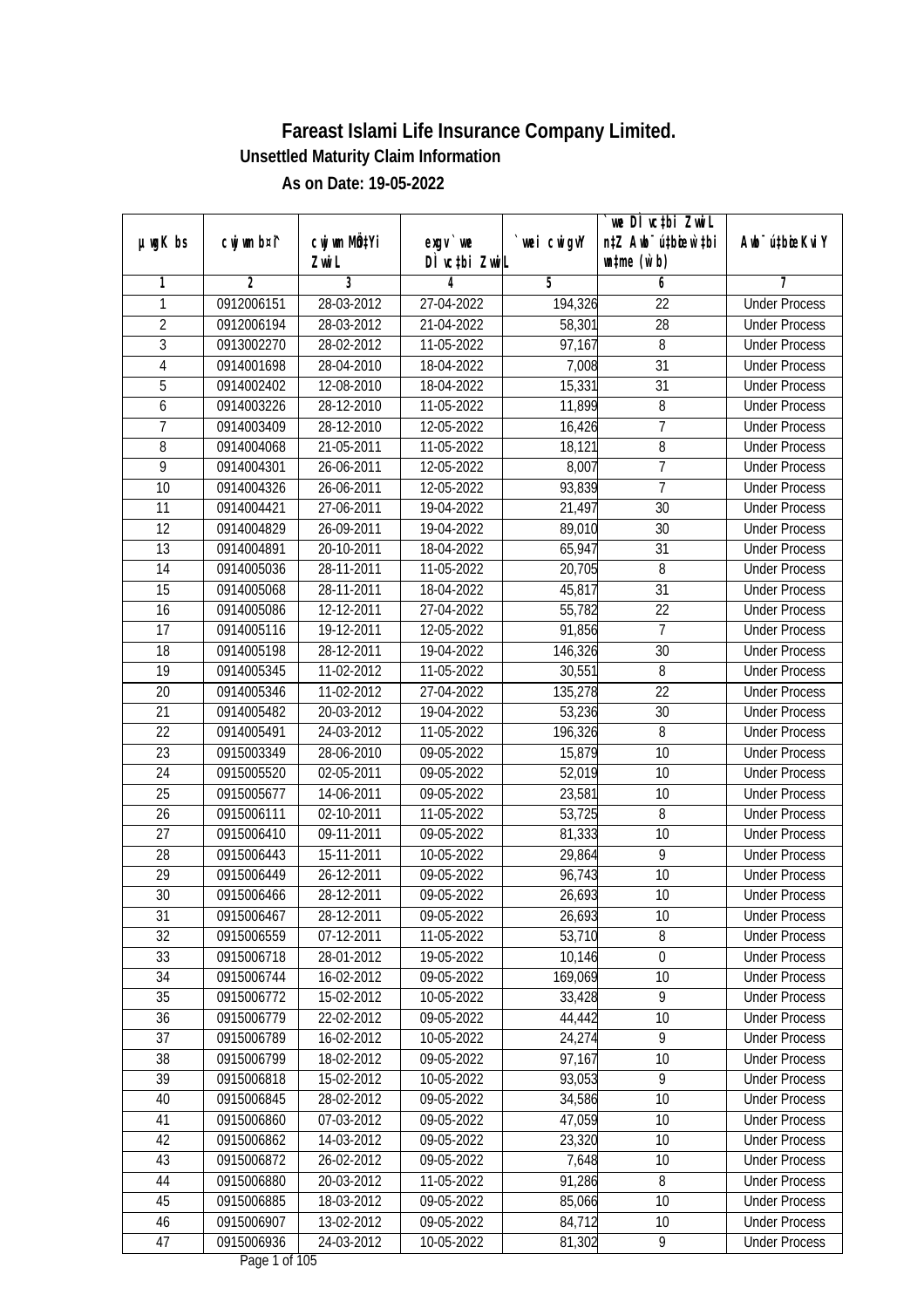|                                  |                |                  |                 |             | we DI vctbi Zwil                             |                             |
|----------------------------------|----------------|------------------|-----------------|-------------|----------------------------------------------|-----------------------------|
| $µ$ ug $K$ bs                    | cwj wm b¤i^    | cwj wm MQtYi     | $exgV$ we       | `wei cwigvY | n‡Z Awb <sup>-</sup> ú‡bioen`‡bi             | Awb <sup>-</sup> ú‡bioeKviY |
|                                  |                | Zwi L            | DÌ vctbi ZwiL   |             | $\n  un \uparrow me \left(\vec{v}, b\right)$ |                             |
| 1                                | $\overline{2}$ | 3                | 4<br>27-04-2022 | 5           | 6                                            | 7                           |
| 1                                | 0912006151     | 28-03-2012       |                 | 194,326     | $\overline{22}$                              | <b>Under Process</b>        |
| $\overline{2}$                   | 0912006194     | 28-03-2012       | 21-04-2022      | 58,301      | $\overline{28}$                              | <b>Under Process</b>        |
| $\overline{3}$                   | 0913002270     | 28-02-2012       | 11-05-2022      | 97,167      | 8                                            | <b>Under Process</b>        |
| 4                                | 0914001698     | 28-04-2010       | 18-04-2022      | 7,008       | $\overline{31}$                              | <b>Under Process</b>        |
| 5                                | 0914002402     | 12-08-2010       | 18-04-2022      | 15,331      | $\overline{31}$                              | <b>Under Process</b>        |
| 6                                | 0914003226     | 28-12-2010       | 11-05-2022      | 11,899      | 8                                            | <b>Under Process</b>        |
| $\overline{7}$                   | 0914003409     | 28-12-2010       | 12-05-2022      | 16,426      | $\overline{7}$                               | <b>Under Process</b>        |
| $\overline{8}$<br>$\overline{9}$ | 0914004068     | 21-05-2011       | 11-05-2022      | 18,121      | $\overline{8}$<br>7                          | <b>Under Process</b>        |
|                                  | 0914004301     | 26-06-2011       | 12-05-2022      | 8,007       |                                              | <b>Under Process</b>        |
| 10                               | 0914004326     | 26-06-2011       | 12-05-2022      | 93,839      | $\overline{7}$                               | <b>Under Process</b>        |
| $\overline{11}$                  | 0914004421     | 27-06-2011       | 19-04-2022      | 21,497      | $\overline{30}$                              | <b>Under Process</b>        |
| 12                               | 0914004829     | 26-09-2011       | 19-04-2022      | 89,010      | 30                                           | <b>Under Process</b>        |
| $\overline{13}$                  | 0914004891     | 20-10-2011       | 18-04-2022      | 65,947      | $\overline{31}$                              | <b>Under Process</b>        |
| 14                               | 0914005036     | 28-11-2011       | 11-05-2022      | 20,705      | 8                                            | <b>Under Process</b>        |
| 15                               | 0914005068     | 28-11-2011       | 18-04-2022      | 45,817      | 31                                           | <b>Under Process</b>        |
| 16                               | 0914005086     | 12-12-2011       | 27-04-2022      | 55,782      | 22                                           | <b>Under Process</b>        |
| 17                               | 0914005116     | 19-12-2011       | 12-05-2022      | 91,856      | $\overline{7}$                               | <b>Under Process</b>        |
| 18                               | 0914005198     | 28-12-2011       | 19-04-2022      | 146,326     | 30                                           | <b>Under Process</b>        |
| 19                               | 0914005345     | 11-02-2012       | 11-05-2022      | 30,551      | 8                                            | <b>Under Process</b>        |
| 20                               | 0914005346     | 11-02-2012       | 27-04-2022      | 135,278     | 22                                           | <b>Under Process</b>        |
| 21                               | 0914005482     | 20-03-2012       | 19-04-2022      | 53,236      | 30                                           | <b>Under Process</b>        |
| 22                               | 0914005491     | 24-03-2012       | 11-05-2022      | 196,326     | 8                                            | <b>Under Process</b>        |
| 23                               | 0915003349     | 28-06-2010       | 09-05-2022      | 15,879      | 10                                           | <b>Under Process</b>        |
| 24                               | 0915005520     | 02-05-2011       | 09-05-2022      | 52,019      | 10                                           | <b>Under Process</b>        |
| 25                               | 0915005677     | 14-06-2011       | 09-05-2022      | 23,581      | 10                                           | <b>Under Process</b>        |
| 26                               | 0915006111     | 02-10-2011       | 11-05-2022      | 53,725      | 8                                            | <b>Under Process</b>        |
| 27                               | 0915006410     | 09-11-2011       | 09-05-2022      | 81,333      | 10                                           | <b>Under Process</b>        |
| 28                               | 0915006443     | 15-11-2011       | 10-05-2022      | 29,864      | 9                                            | <b>Under Process</b>        |
| 29                               | 0915006449     | 26-12-2011       | 09-05-2022      | 96,743      | 10                                           | <b>Under Process</b>        |
| 30                               | 0915006466     | 28-12-2011       | 09-05-2022      | 26,693      | 10                                           | <b>Under Process</b>        |
| 31                               | 0915006467     | 28-12-2011       | 09-05-2022      | 26,693      | 10                                           | <b>Under Process</b>        |
| 32                               | 0915006559     | 07-12-2011       | 11-05-2022      | 53,710      | 8                                            | <b>Under Process</b>        |
| 33                               | 0915006718     | 28-01-2012       | 19-05-2022      | 10,146      | $\mathbf 0$                                  | <b>Under Process</b>        |
| 34                               | 0915006744     | 16-02-2012       | 09-05-2022      | 169,069     | 10                                           | <b>Under Process</b>        |
| 35                               | 0915006772     | 15-02-2012       | 10-05-2022      | 33,428      | 9                                            | <b>Under Process</b>        |
| 36                               | 0915006779     | 22-02-2012       | 09-05-2022      | 44,442      | 10                                           | <b>Under Process</b>        |
| 37                               | 0915006789     | $16 - 02 - 2012$ | 10-05-2022      | 24,274      | $\overline{9}$                               | <b>Under Process</b>        |
| 38                               | 0915006799     | 18-02-2012       | 09-05-2022      | 97,167      | 10                                           | <b>Under Process</b>        |
| 39                               | 0915006818     | 15-02-2012       | 10-05-2022      | 93,053      | $\overline{9}$                               | <b>Under Process</b>        |
| 40                               | 0915006845     | 28-02-2012       | 09-05-2022      | 34,586      | 10                                           | <b>Under Process</b>        |
| 41                               | 0915006860     | 07-03-2012       | 09-05-2022      | 47,059      | 10                                           | <b>Under Process</b>        |
| 42                               | 0915006862     | 14-03-2012       | 09-05-2022      | 23,320      | 10                                           | <b>Under Process</b>        |
| 43                               | 0915006872     | 26-02-2012       | 09-05-2022      | 7,648       | 10                                           | <b>Under Process</b>        |
| 44                               | 0915006880     | 20-03-2012       | 11-05-2022      | 91,286      | 8                                            | <b>Under Process</b>        |
| 45                               | 0915006885     | 18-03-2012       | 09-05-2022      | 85,066      | 10                                           | <b>Under Process</b>        |
| 46                               | 0915006907     | 13-02-2012       | 09-05-2022      | 84,712      | 10                                           | <b>Under Process</b>        |
| 47                               | 0915006936     | 24-03-2012       | 10-05-2022      | 81,302      | 9                                            | <b>Under Process</b>        |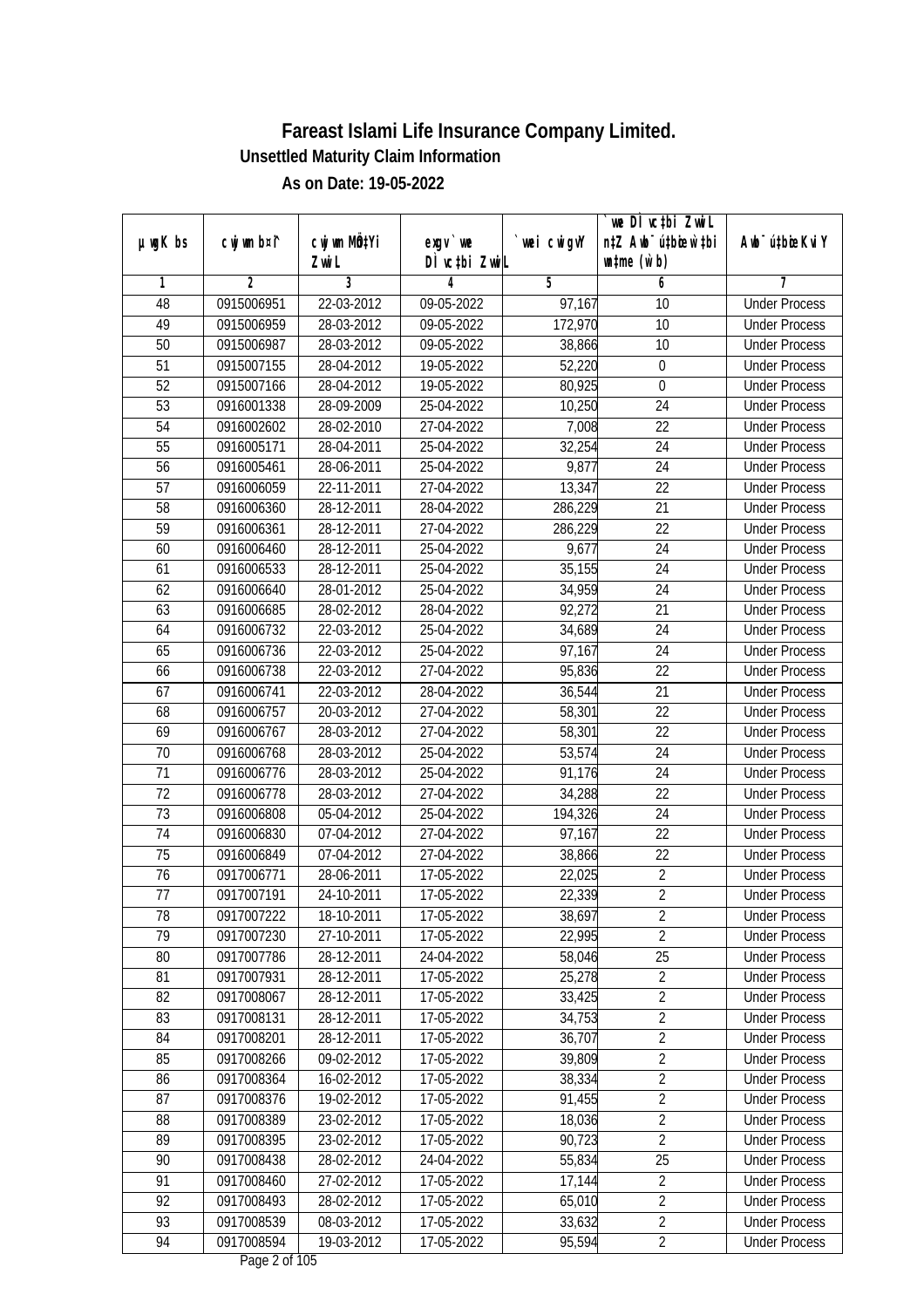|                 |                |                          |               |             | we DI vctbi ZwiL                 |                             |
|-----------------|----------------|--------------------------|---------------|-------------|----------------------------------|-----------------------------|
| $µ$ ug $K$ bs   | cwj wm b¤i^    | cwj wm MQtYi             | $exgV$ we     | `wei cwigvY | n‡Z Awb <sup>-</sup> ú‡bioar`‡bi | Awb <sup>-</sup> ú‡bioeKviY |
|                 |                | Zwi L                    | DÌ vctbi ZwiL |             | $\n  untime\n  (u`b)\n$          |                             |
| 1               | $\overline{2}$ | 3                        | 4             | 5           | 6                                | 7                           |
| 48              | 0915006951     | 22-03-2012               | 09-05-2022    | 97,167      | 10                               | <b>Under Process</b>        |
| 49              | 0915006959     | 28-03-2012               | 09-05-2022    | 172,970     | 10                               | <b>Under Process</b>        |
| 50              | 0915006987     | 28-03-2012               | 09-05-2022    | 38,866      | $\overline{10}$                  | <b>Under Process</b>        |
| 51              | 0915007155     | 28-04-2012               | 19-05-2022    | 52,220      | $\boldsymbol{0}$                 | <b>Under Process</b>        |
| 52              | 0915007166     | 28-04-2012               | 19-05-2022    | 80,925      | $\overline{0}$                   | <b>Under Process</b>        |
| 53              | 0916001338     | 28-09-2009               | 25-04-2022    | 10,250      | $\overline{24}$                  | <b>Under Process</b>        |
| 54              | 0916002602     | 28-02-2010               | 27-04-2022    | 7,008       | $\overline{22}$                  | <b>Under Process</b>        |
| 55              | 0916005171     | 28-04-2011               | 25-04-2022    | 32,254      | $\overline{24}$                  | <b>Under Process</b>        |
| $\overline{56}$ | 0916005461     | 28-06-2011               | 25-04-2022    | 9,877       | $\overline{24}$                  | <b>Under Process</b>        |
| 57              | 0916006059     | $\overline{22}$ -11-2011 | 27-04-2022    | 13,347      | 22                               | <b>Under Process</b>        |
| 58              | 0916006360     | 28-12-2011               | 28-04-2022    | 286,229     | $\overline{21}$                  | <b>Under Process</b>        |
| 59              | 0916006361     | 28-12-2011               | 27-04-2022    | 286,229     | 22                               | <b>Under Process</b>        |
| 60              | 0916006460     | 28-12-2011               | 25-04-2022    | 9,677       | $\overline{24}$                  | <b>Under Process</b>        |
| 61              | 0916006533     | 28-12-2011               | 25-04-2022    | 35,155      | 24                               | <b>Under Process</b>        |
| 62              | 0916006640     | 28-01-2012               | 25-04-2022    | 34,959      | 24                               | <b>Under Process</b>        |
| 63              | 0916006685     | 28-02-2012               | 28-04-2022    | 92,272      | 21                               | <b>Under Process</b>        |
| 64              | 0916006732     | 22-03-2012               | 25-04-2022    | 34,689      | 24                               | <b>Under Process</b>        |
| 65              | 0916006736     | 22-03-2012               | 25-04-2022    | 97,167      | 24                               | <b>Under Process</b>        |
| 66              | 0916006738     | 22-03-2012               | 27-04-2022    | 95,836      | 22                               | <b>Under Process</b>        |
| 67              | 0916006741     | 22-03-2012               | 28-04-2022    | 36,544      | 21                               | <b>Under Process</b>        |
| 68              | 0916006757     | 20-03-2012               | 27-04-2022    | 58,301      | 22                               | <b>Under Process</b>        |
| 69              | 0916006767     | 28-03-2012               | 27-04-2022    | 58,301      | 22                               | <b>Under Process</b>        |
| 70              | 0916006768     | 28-03-2012               | 25-04-2022    | 53,574      | 24                               | <b>Under Process</b>        |
| 71              | 0916006776     | 28-03-2012               | 25-04-2022    | 91,176      | 24                               | <b>Under Process</b>        |
| 72              | 0916006778     | 28-03-2012               | 27-04-2022    | 34,288      | 22                               | <b>Under Process</b>        |
| 73              | 0916006808     | 05-04-2012               | 25-04-2022    | 194,326     | 24                               | <b>Under Process</b>        |
| 74              | 0916006830     | 07-04-2012               | 27-04-2022    | 97,167      | 22                               | <b>Under Process</b>        |
| 75              | 0916006849     | 07-04-2012               | 27-04-2022    | 38,866      | 22                               | <b>Under Process</b>        |
| 76              | 0917006771     | 28-06-2011               | 17-05-2022    | 22,025      | $\overline{2}$                   | <b>Under Process</b>        |
| 77              | 0917007191     | 24-10-2011               | 17-05-2022    | 22,339      | $\overline{2}$                   | <b>Under Process</b>        |
| 78              | 0917007222     | 18-10-2011               | 17-05-2022    | 38,697      | 2                                | <b>Under Process</b>        |
| 79              | 0917007230     | 27-10-2011               | 17-05-2022    | 22,995      | $\overline{2}$                   | <b>Under Process</b>        |
| 80              | 0917007786     | 28-12-2011               | 24-04-2022    | 58,046      | 25                               | <b>Under Process</b>        |
| 81              | 0917007931     | 28-12-2011               | 17-05-2022    | 25,278      | $\overline{2}$                   | <b>Under Process</b>        |
| 82              | 0917008067     | 28-12-2011               | 17-05-2022    | 33,425      | $\overline{2}$                   | <b>Under Process</b>        |
| 83              | 0917008131     | 28-12-2011               | 17-05-2022    | 34,753      | $\overline{2}$                   | <b>Under Process</b>        |
| 84              | 0917008201     | 28-12-2011               | 17-05-2022    | 36,707      | $\overline{2}$                   | <b>Under Process</b>        |
| 85              | 0917008266     | 09-02-2012               | 17-05-2022    | 39,809      | $\overline{2}$                   | <b>Under Process</b>        |
| 86              | 0917008364     | 16-02-2012               | 17-05-2022    | 38,334      | $\overline{2}$                   | <b>Under Process</b>        |
| 87              | 0917008376     | 19-02-2012               | 17-05-2022    | 91,455      | $\overline{2}$                   | <b>Under Process</b>        |
| 88              | 0917008389     | 23-02-2012               | 17-05-2022    | 18,036      | $\sqrt{2}$                       | <b>Under Process</b>        |
| 89              | 0917008395     | 23-02-2012               | 17-05-2022    | 90,723      | $\overline{2}$                   | <b>Under Process</b>        |
| 90              | 0917008438     | 28-02-2012               | 24-04-2022    | 55,834      | $\overline{25}$                  | <b>Under Process</b>        |
| 91              | 0917008460     | 27-02-2012               | 17-05-2022    | 17,144      | $\overline{2}$                   | <b>Under Process</b>        |
| 92              | 0917008493     | 28-02-2012               | 17-05-2022    | 65,010      | $\overline{2}$                   | <b>Under Process</b>        |
| 93              | 0917008539     | 08-03-2012               | 17-05-2022    | 33,632      | $\overline{2}$                   | <b>Under Process</b>        |
| 94              | 0917008594     | 19-03-2012               | 17-05-2022    | 95,594      | $\overline{2}$                   | <b>Under Process</b>        |
|                 |                |                          |               |             |                                  |                             |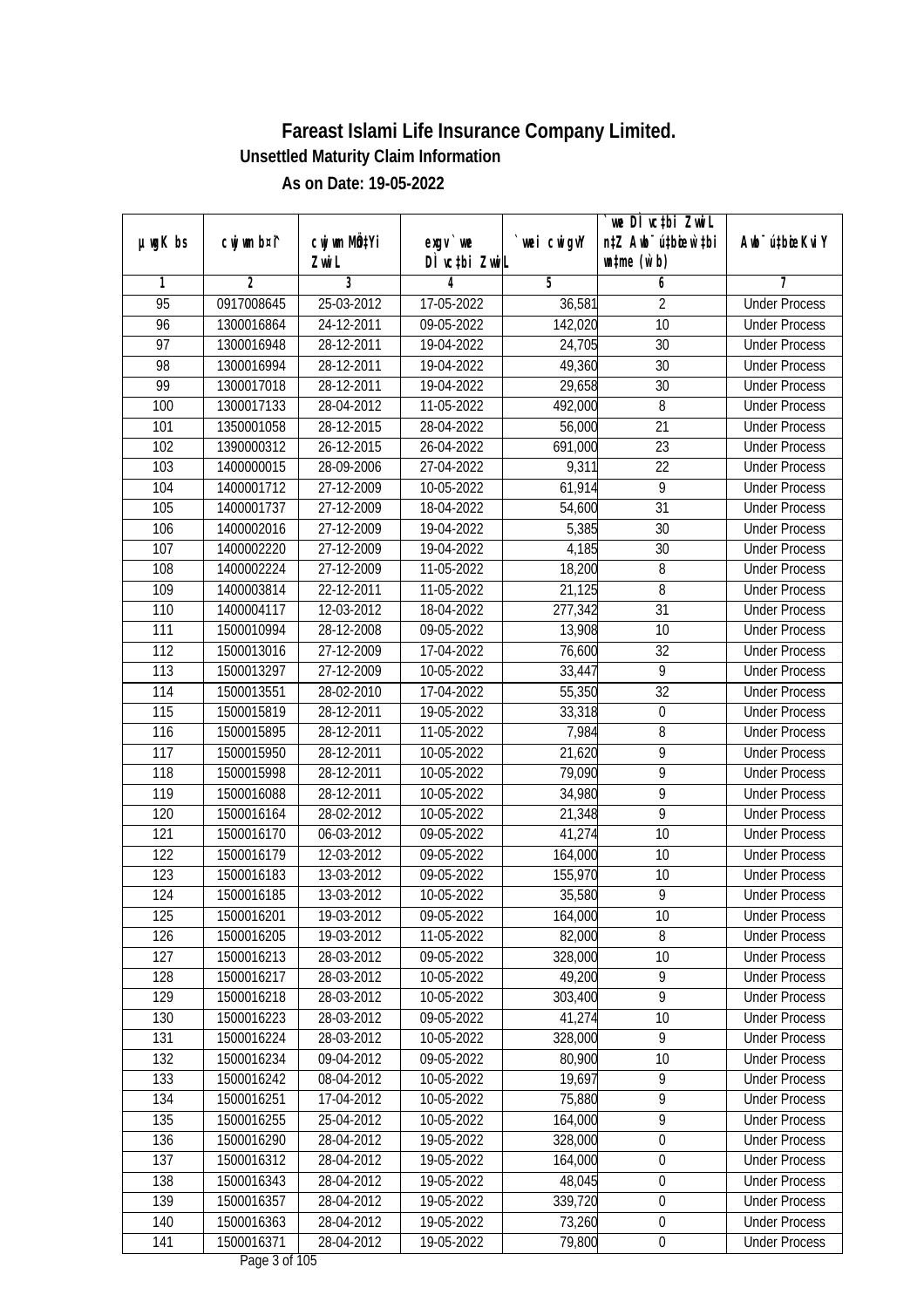| $µ$ ug $K$ bs   | cwj wm b¤i^    | cwj wm MQtYi   | $exgV$ we     |            | we DI vctbi ZwiL<br>n‡Z Awb <sup>-</sup> ú‡bioar`‡bi | Awb <sup>-</sup> ú‡bioeKviY |
|-----------------|----------------|----------------|---------------|------------|------------------------------------------------------|-----------------------------|
|                 |                | Zwi L          | DÌ vctbi ZwiL | wei cwigvY | $\n  untime\n  (u`b)\n$                              |                             |
| 1               | $\overline{2}$ | $\overline{3}$ | 4             | 5          | 6                                                    | 7                           |
| $\overline{95}$ | 0917008645     | 25-03-2012     | 17-05-2022    | 36,581     | $\overline{2}$                                       | <b>Under Process</b>        |
| 96              | 1300016864     | 24-12-2011     | $09-05-2022$  | 142,020    | $\overline{10}$                                      | <b>Under Process</b>        |
| $\overline{97}$ | 1300016948     | 28-12-2011     | 19-04-2022    | 24,705     | $\overline{30}$                                      | <b>Under Process</b>        |
| 98              | 1300016994     | 28-12-2011     | 19-04-2022    | 49,360     | 30                                                   | <b>Under Process</b>        |
| 99              | 1300017018     | 28-12-2011     | 19-04-2022    | 29,658     | $\overline{30}$                                      | <b>Under Process</b>        |
| 100             | 1300017133     | 28-04-2012     | 11-05-2022    | 492,000    | 8                                                    | <b>Under Process</b>        |
| 101             | 1350001058     | 28-12-2015     | 28-04-2022    | 56,000     | $\overline{21}$                                      | <b>Under Process</b>        |
| 102             | 1390000312     | 26-12-2015     | 26-04-2022    | 691,000    | 23                                                   | <b>Under Process</b>        |
| 103             | 1400000015     | 28-09-2006     | 27-04-2022    | 9,311      | $\overline{22}$                                      | <b>Under Process</b>        |
| 104             | 1400001712     | 27-12-2009     | 10-05-2022    | 61,914     | $\overline{9}$                                       | <b>Under Process</b>        |
| 105             | 1400001737     | 27-12-2009     | 18-04-2022    | 54,600     | $\overline{31}$                                      | <b>Under Process</b>        |
| 106             | 1400002016     | 27-12-2009     | 19-04-2022    | 5,385      | 30                                                   | <b>Under Process</b>        |
| 107             | 1400002220     | 27-12-2009     | 19-04-2022    | 4,185      | $\overline{30}$                                      | <b>Under Process</b>        |
| 108             | 1400002224     | 27-12-2009     | 11-05-2022    | 18,200     | 8                                                    | <b>Under Process</b>        |
| 109             | 1400003814     | 22-12-2011     | 11-05-2022    | 21,125     | $\, 8$                                               | <b>Under Process</b>        |
| 110             | 1400004117     | 12-03-2012     | 18-04-2022    | 277,342    | 31                                                   | <b>Under Process</b>        |
| 111             | 1500010994     | 28-12-2008     | 09-05-2022    | 13,908     | 10                                                   | <b>Under Process</b>        |
| 112             | 1500013016     | 27-12-2009     | 17-04-2022    | 76,600     | 32                                                   | <b>Under Process</b>        |
| 113             | 1500013297     | 27-12-2009     | 10-05-2022    | 33,447     | 9                                                    | <b>Under Process</b>        |
| 114             | 1500013551     | 28-02-2010     | 17-04-2022    | 55,350     | 32                                                   | <b>Under Process</b>        |
| 115             | 1500015819     | 28-12-2011     | 19-05-2022    | 33,318     | $\mathbf 0$                                          | <b>Under Process</b>        |
| 116             | 1500015895     | 28-12-2011     | 11-05-2022    | 7,984      | 8                                                    | <b>Under Process</b>        |
| 117             | 1500015950     | 28-12-2011     | 10-05-2022    | 21,620     | $\overline{9}$                                       | <b>Under Process</b>        |
| 118             | 1500015998     | 28-12-2011     | 10-05-2022    | 79,090     | $\overline{9}$                                       | <b>Under Process</b>        |
| 119             | 1500016088     | 28-12-2011     | 10-05-2022    | 34,980     | 9                                                    | <b>Under Process</b>        |
| 120             | 1500016164     | 28-02-2012     | 10-05-2022    | 21,348     | 9                                                    | <b>Under Process</b>        |
| 121             | 1500016170     | 06-03-2012     | 09-05-2022    | 41,274     | 10                                                   | <b>Under Process</b>        |
| 122             | 1500016179     | 12-03-2012     | 09-05-2022    | 164,000    | 10                                                   | <b>Under Process</b>        |
| 123             | 1500016183     | 13-03-2012     | 09-05-2022    | 155,970    | 10                                                   | <b>Under Process</b>        |
| 124             | 1500016185     | 13-03-2012     | 10-05-2022    | 35,580     | 9                                                    | <b>Under Process</b>        |
| 125             | 1500016201     | 19-03-2012     | 09-05-2022    | 164,000    | 10                                                   | <b>Under Process</b>        |
| 126             | 1500016205     | 19-03-2012     | 11-05-2022    | 82,000     | 8                                                    | <b>Under Process</b>        |
| 127             | 1500016213     | 28-03-2012     | 09-05-2022    | 328,000    | 10                                                   | <b>Under Process</b>        |
| 128             | 1500016217     | 28-03-2012     | 10-05-2022    | 49,200     | 9                                                    | <b>Under Process</b>        |
| 129             | 1500016218     | 28-03-2012     | 10-05-2022    | 303,400    | $\overline{9}$                                       | <b>Under Process</b>        |
| 130             | 1500016223     | 28-03-2012     | 09-05-2022    | 41,274     | 10                                                   | <b>Under Process</b>        |
| 131             | 1500016224     | 28-03-2012     | 10-05-2022    | 328,000    | $\overline{9}$                                       | <b>Under Process</b>        |
| 132             | 1500016234     | 09-04-2012     | 09-05-2022    | 80,900     | 10                                                   | <b>Under Process</b>        |
| 133             | 1500016242     | 08-04-2012     | 10-05-2022    | 19,697     | $\overline{9}$                                       | <b>Under Process</b>        |
| 134             | 1500016251     | 17-04-2012     | 10-05-2022    | 75,880     | $\overline{9}$                                       | <b>Under Process</b>        |
| 135             | 1500016255     | 25-04-2012     | 10-05-2022    | 164,000    | $\overline{9}$                                       | <b>Under Process</b>        |
| 136             | 1500016290     | 28-04-2012     | 19-05-2022    | 328,000    | $\boldsymbol{0}$                                     | <b>Under Process</b>        |
| 137             | 1500016312     | 28-04-2012     | 19-05-2022    | 164,000    | $\boldsymbol{0}$                                     | <b>Under Process</b>        |
| 138             | 1500016343     | 28-04-2012     | 19-05-2022    | 48,045     | $\boldsymbol{0}$                                     | <b>Under Process</b>        |
| 139             | 1500016357     | 28-04-2012     | 19-05-2022    | 339,720    | $\boldsymbol{0}$                                     | <b>Under Process</b>        |
| 140             | 1500016363     | 28-04-2012     | 19-05-2022    | 73,260     | $\boldsymbol{0}$                                     | <b>Under Process</b>        |
| 141             | 1500016371     | 28-04-2012     | 19-05-2022    | 79,800     | $\pmb{0}$                                            | <b>Under Process</b>        |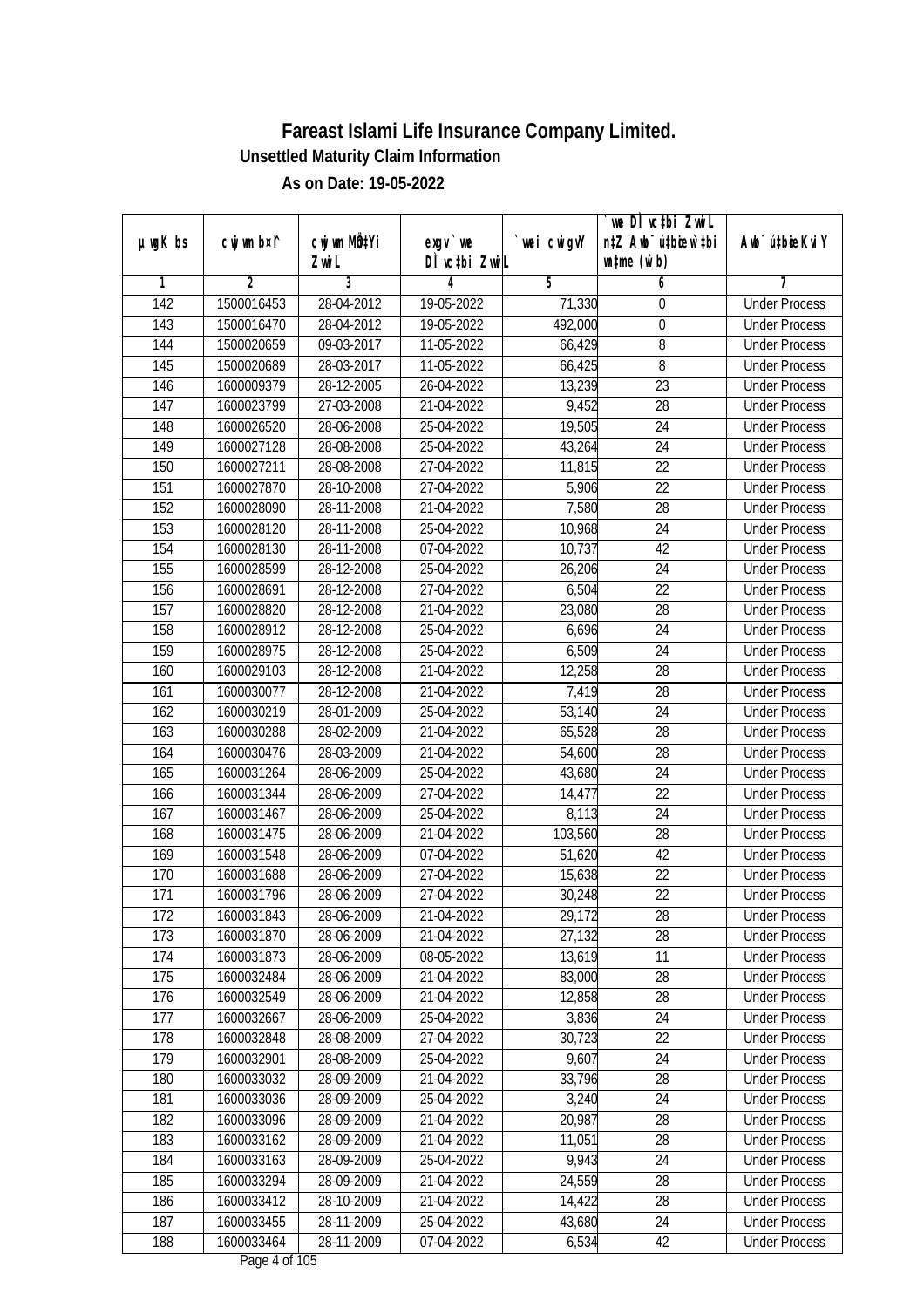|                  |                |              |               |             | we DI vctbi ZwiL                 |                             |
|------------------|----------------|--------------|---------------|-------------|----------------------------------|-----------------------------|
| $µ$ ug $K$ bs    | cwj wm b¤i^    | cwj wm MQtYi | $exgV$ we     | `wei cwigvY | n‡Z Awb <sup>-</sup> ú‡bioar`‡bi | Awb <sup>-</sup> ú‡bioeKviY |
|                  |                | Zwi L        | DÌ vctbi ZwiL |             | $\n  untime\n  (u`b)\n$          |                             |
| 1                | $\overline{2}$ | 3            | 4             | 5           | 6                                | 7                           |
| $\overline{142}$ | 1500016453     | 28-04-2012   | 19-05-2022    | 71,330      | 0                                | <b>Under Process</b>        |
| 143              | 1500016470     | 28-04-2012   | 19-05-2022    | 492,000     | $\boldsymbol{0}$                 | <b>Under Process</b>        |
| 144              | 1500020659     | 09-03-2017   | 11-05-2022    | 66,429      | $\overline{8}$                   | <b>Under Process</b>        |
| 145              | 1500020689     | 28-03-2017   | 11-05-2022    | 66,425      | 8                                | <b>Under Process</b>        |
| 146              | 1600009379     | $28-12-2005$ | 26-04-2022    | 13,239      | $\overline{23}$                  | <b>Under Process</b>        |
| 147              | 1600023799     | 27-03-2008   | 21-04-2022    | 9,452       | 28                               | <b>Under Process</b>        |
| 148              | 1600026520     | 28-06-2008   | 25-04-2022    | 19,505      | $\overline{24}$                  | <b>Under Process</b>        |
| 149              | 1600027128     | 28-08-2008   | 25-04-2022    | 43,264      | $\overline{24}$                  | <b>Under Process</b>        |
| 150              | 1600027211     | 28-08-2008   | 27-04-2022    | 11,815      | $\overline{22}$                  | <b>Under Process</b>        |
| 151              | 1600027870     | 28-10-2008   | 27-04-2022    | 5,906       | 22                               | <b>Under Process</b>        |
| 152              | 1600028090     | 28-11-2008   | 21-04-2022    | 7,580       | $\overline{28}$                  | <b>Under Process</b>        |
| 153              | 1600028120     | 28-11-2008   | 25-04-2022    | 10,968      | 24                               | <b>Under Process</b>        |
| 154              | 1600028130     | 28-11-2008   | 07-04-2022    | 10,737      | 42                               | <b>Under Process</b>        |
| 155              | 1600028599     | 28-12-2008   | 25-04-2022    | 26,206      | 24                               | <b>Under Process</b>        |
| 156              | 1600028691     | 28-12-2008   | 27-04-2022    | 6,504       | 22                               | <b>Under Process</b>        |
| 157              | 1600028820     | 28-12-2008   | 21-04-2022    | 23,080      | 28                               | <b>Under Process</b>        |
| 158              | 1600028912     | 28-12-2008   | 25-04-2022    | 6,696       | 24                               | <b>Under Process</b>        |
| 159              | 1600028975     | 28-12-2008   | 25-04-2022    | 6,509       | 24                               | <b>Under Process</b>        |
| 160              | 1600029103     | 28-12-2008   | 21-04-2022    | 12,258      | 28                               | <b>Under Process</b>        |
| 161              | 1600030077     | 28-12-2008   | 21-04-2022    | 7,419       | 28                               | <b>Under Process</b>        |
| 162              | 1600030219     | 28-01-2009   | 25-04-2022    | 53,140      | 24                               | <b>Under Process</b>        |
| 163              | 1600030288     | 28-02-2009   | 21-04-2022    | 65,528      | 28                               | <b>Under Process</b>        |
| 164              | 1600030476     | 28-03-2009   | 21-04-2022    | 54,600      | 28                               | <b>Under Process</b>        |
| 165              | 1600031264     | 28-06-2009   | 25-04-2022    | 43,680      | 24                               | <b>Under Process</b>        |
| 166              | 1600031344     | 28-06-2009   | 27-04-2022    | 14,477      | 22                               | <b>Under Process</b>        |
| 167              | 1600031467     | 28-06-2009   | 25-04-2022    | 8,113       | 24                               | <b>Under Process</b>        |
| 168              | 1600031475     | 28-06-2009   | 21-04-2022    | 103,560     | 28                               | <b>Under Process</b>        |
| 169              | 1600031548     | 28-06-2009   | 07-04-2022    | 51,620      | 42                               | <b>Under Process</b>        |
| 170              | 1600031688     | 28-06-2009   | 27-04-2022    | 15,638      | 22                               | <b>Under Process</b>        |
| 171              | 1600031796     | 28-06-2009   | 27-04-2022    | 30,248      | 22                               | <b>Under Process</b>        |
| 172              | 1600031843     | 28-06-2009   | 21-04-2022    | 29,172      | 28                               | <b>Under Process</b>        |
| 173              | 1600031870     | 28-06-2009   | 21-04-2022    | 27,132      | 28                               | <b>Under Process</b>        |
| 174              | 1600031873     | 28-06-2009   | 08-05-2022    | 13,619      | 11                               | <b>Under Process</b>        |
| 175              | 1600032484     | 28-06-2009   | 21-04-2022    | 83,000      | 28                               | <b>Under Process</b>        |
| 176              | 1600032549     | 28-06-2009   | 21-04-2022    | 12,858      | 28                               | <b>Under Process</b>        |
| 177              | 1600032667     | 28-06-2009   | 25-04-2022    | 3,836       | 24                               | <b>Under Process</b>        |
| 178              | 1600032848     | 28-08-2009   | 27-04-2022    | 30,723      | 22                               | <b>Under Process</b>        |
| 179              | 1600032901     | 28-08-2009   | 25-04-2022    | 9,607       | 24                               | <b>Under Process</b>        |
| 180              | 1600033032     | 28-09-2009   | 21-04-2022    | 33,796      | 28                               | <b>Under Process</b>        |
| 181              | 1600033036     | 28-09-2009   | 25-04-2022    | 3,240       | 24                               | <b>Under Process</b>        |
| 182              | 1600033096     | 28-09-2009   | 21-04-2022    | 20,987      | 28                               | <b>Under Process</b>        |
| 183              | 1600033162     | 28-09-2009   | 21-04-2022    | 11,051      | 28                               | <b>Under Process</b>        |
| 184              | 1600033163     | 28-09-2009   | 25-04-2022    | 9,943       | 24                               | <b>Under Process</b>        |
| 185              | 1600033294     | 28-09-2009   | 21-04-2022    | 24,559      | 28                               | <b>Under Process</b>        |
| 186              | 1600033412     | 28-10-2009   | 21-04-2022    | 14,422      | 28                               | <b>Under Process</b>        |
| 187              | 1600033455     | 28-11-2009   | 25-04-2022    | 43,680      | 24                               | <b>Under Process</b>        |
| 188              | 1600033464     | 28-11-2009   | 07-04-2022    | 6,534       | 42                               | <b>Under Process</b>        |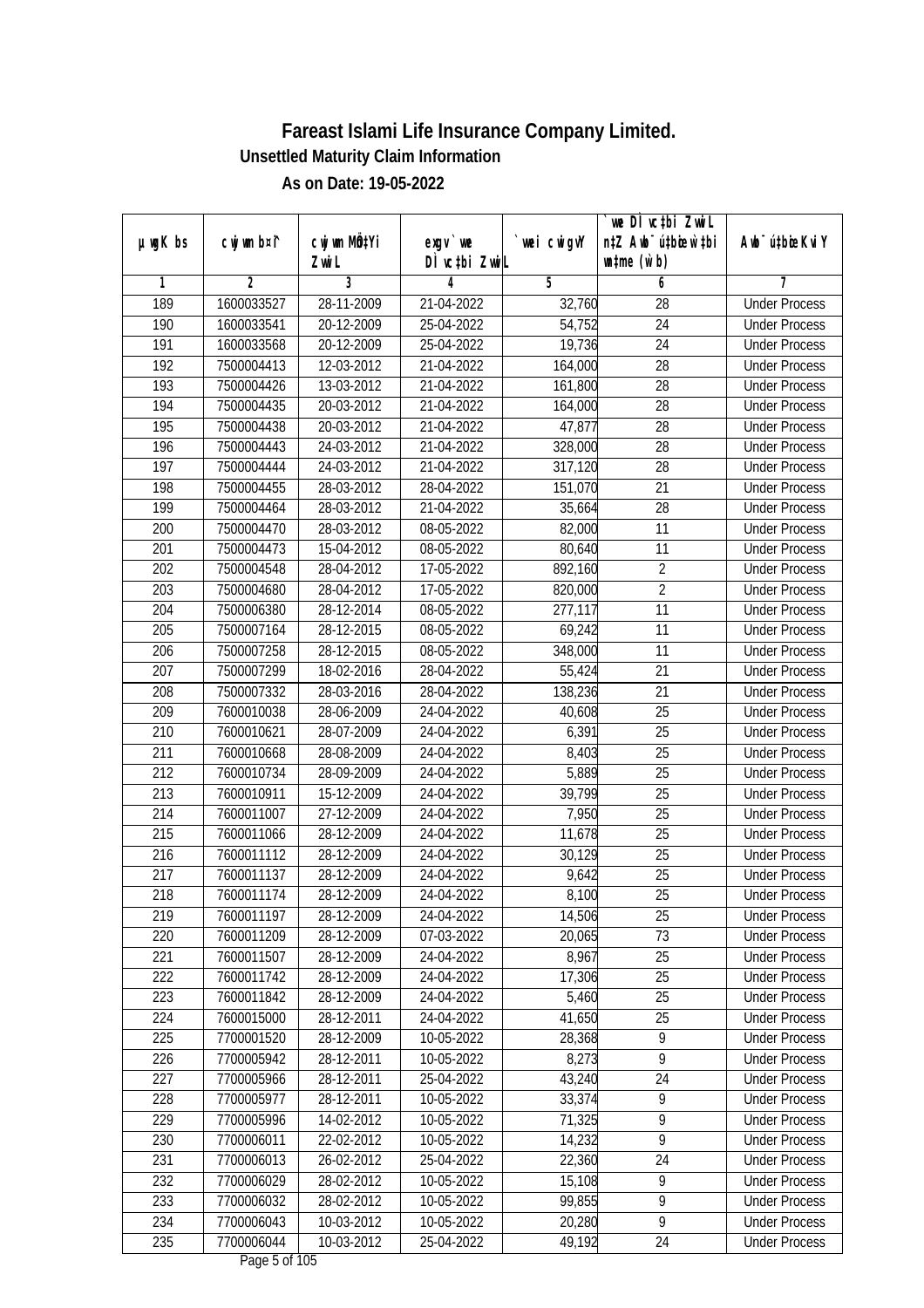|                  |                |              |               |                | we DI vctbi ZwiL                 |                             |
|------------------|----------------|--------------|---------------|----------------|----------------------------------|-----------------------------|
| $µ$ ug $K$ bs    | cwj wm b¤i^    | cwj wm MQtYi | $exgV$ we     | `wei cwigvY    | n‡Z Awb <sup>-</sup> ú‡bioar`‡bi | Awb <sup>-</sup> ú‡bioeKviY |
|                  |                | Zwi L        | DÌ vctbi ZwiL |                | $\n  untime\n  (u`b)\n$          |                             |
| 1                | $\overline{2}$ | 3            | 4             | $\overline{5}$ | 6                                | 7                           |
| 189              | 1600033527     | 28-11-2009   | 21-04-2022    | 32,760         | $\overline{28}$                  | <b>Under Process</b>        |
| 190              | 1600033541     | 20-12-2009   | 25-04-2022    | 54,752         | $\overline{24}$                  | <b>Under Process</b>        |
| 191              | 1600033568     | 20-12-2009   | 25-04-2022    | 19,736         | $\overline{24}$                  | <b>Under Process</b>        |
| 192              | 7500004413     | 12-03-2012   | 21-04-2022    | 164,000        | 28                               | <b>Under Process</b>        |
| 193              | 7500004426     | 13-03-2012   | 21-04-2022    | 161,800        | $\overline{28}$                  | <b>Under Process</b>        |
| 194              | 7500004435     | 20-03-2012   | 21-04-2022    | 164,000        | 28                               | <b>Under Process</b>        |
| 195              | 7500004438     | 20-03-2012   | 21-04-2022    | 47,877         | 28                               | <b>Under Process</b>        |
| 196              | 7500004443     | 24-03-2012   | 21-04-2022    | 328,000        | 28                               | <b>Under Process</b>        |
| $\overline{197}$ | 7500004444     | 24-03-2012   | 21-04-2022    | 317,120        | $\overline{28}$                  | <b>Under Process</b>        |
| 198              | 7500004455     | 28-03-2012   | 28-04-2022    | 151,070        | 21                               | <b>Under Process</b>        |
| 199              | 7500004464     | 28-03-2012   | 21-04-2022    | 35,664         | $\overline{28}$                  | <b>Under Process</b>        |
| 200              | 7500004470     | 28-03-2012   | 08-05-2022    | 82,000         | 11                               | <b>Under Process</b>        |
| 201              | 7500004473     | 15-04-2012   | 08-05-2022    | 80,640         | $\overline{11}$                  | <b>Under Process</b>        |
| 202              | 7500004548     | 28-04-2012   | 17-05-2022    | 892,160        | $\sqrt{2}$                       | <b>Under Process</b>        |
| 203              | 7500004680     | 28-04-2012   | 17-05-2022    | 820,000        | $\overline{2}$                   | <b>Under Process</b>        |
| 204              | 7500006380     | 28-12-2014   | 08-05-2022    | 277,117        | 11                               | <b>Under Process</b>        |
| 205              | 7500007164     | 28-12-2015   | 08-05-2022    | 69,242         | 11                               | <b>Under Process</b>        |
| 206              | 7500007258     | 28-12-2015   | 08-05-2022    | 348,000        | 11                               | <b>Under Process</b>        |
| 207              | 7500007299     | 18-02-2016   | 28-04-2022    | 55,424         | 21                               | <b>Under Process</b>        |
| 208              | 7500007332     | 28-03-2016   | 28-04-2022    | 138,236        | 21                               | <b>Under Process</b>        |
| 209              | 7600010038     | 28-06-2009   | 24-04-2022    | 40,608         | 25                               | <b>Under Process</b>        |
| 210              | 7600010621     | 28-07-2009   | 24-04-2022    | 6,391          | 25                               | <b>Under Process</b>        |
| 211              | 7600010668     | 28-08-2009   | 24-04-2022    | 8,403          | 25                               | <b>Under Process</b>        |
| 212              | 7600010734     | 28-09-2009   | 24-04-2022    | 5,889          | 25                               | <b>Under Process</b>        |
| 213              | 7600010911     | 15-12-2009   | 24-04-2022    | 39,799         | 25                               | <b>Under Process</b>        |
| 214              | 7600011007     | 27-12-2009   | 24-04-2022    | 7,950          | 25                               | <b>Under Process</b>        |
| 215              | 7600011066     | 28-12-2009   | 24-04-2022    | 11,678         | 25                               | <b>Under Process</b>        |
| 216              | 7600011112     | 28-12-2009   | 24-04-2022    | 30,129         | 25                               | <b>Under Process</b>        |
| 217              | 7600011137     | 28-12-2009   | 24-04-2022    | 9,642          | 25                               | <b>Under Process</b>        |
| 218              | 7600011174     | 28-12-2009   | 24-04-2022    | 8,100          | 25                               | <b>Under Process</b>        |
| 219              | 7600011197     | 28-12-2009   | 24-04-2022    | 14,506         | 25                               | <b>Under Process</b>        |
| 220              | 7600011209     | 28-12-2009   | 07-03-2022    | 20,065         | 73                               | <b>Under Process</b>        |
| 221              | 7600011507     | 28-12-2009   | 24-04-2022    | 8,967          | 25                               | <b>Under Process</b>        |
| 222              | 7600011742     | 28-12-2009   | 24-04-2022    | 17,306         | 25                               | <b>Under Process</b>        |
| 223              | 7600011842     | 28-12-2009   | 24-04-2022    | 5,460          | 25                               | <b>Under Process</b>        |
| 224              | 7600015000     | 28-12-2011   | 24-04-2022    | 41,650         | 25                               | <b>Under Process</b>        |
| 225              | 7700001520     | 28-12-2009   | 10-05-2022    | 28,368         | $\overline{9}$                   | <b>Under Process</b>        |
| 226              | 7700005942     | 28-12-2011   | 10-05-2022    | 8,273          | $\overline{9}$                   | <b>Under Process</b>        |
| 227              | 7700005966     | 28-12-2011   | 25-04-2022    | 43,240         | $\overline{24}$                  | <b>Under Process</b>        |
| 228              | 7700005977     | 28-12-2011   | 10-05-2022    | 33,374         | $\overline{9}$                   | <b>Under Process</b>        |
| 229              | 7700005996     | 14-02-2012   | 10-05-2022    | 71,325         | 9                                | <b>Under Process</b>        |
| 230              | 7700006011     | 22-02-2012   | 10-05-2022    | 14,232         | $\overline{9}$                   | <b>Under Process</b>        |
| 231              | 7700006013     | 26-02-2012   | 25-04-2022    | 22,360         | 24                               | <b>Under Process</b>        |
| 232              | 7700006029     | 28-02-2012   | 10-05-2022    | 15,108         | $\overline{9}$                   | <b>Under Process</b>        |
| 233              | 7700006032     | 28-02-2012   | 10-05-2022    | 99,855         | $\overline{9}$                   | <b>Under Process</b>        |
| 234              | 7700006043     | 10-03-2012   | 10-05-2022    | 20,280         | $\overline{9}$                   | <b>Under Process</b>        |
| 235              | 7700006044     | 10-03-2012   | 25-04-2022    | 49,192         | 24                               | <b>Under Process</b>        |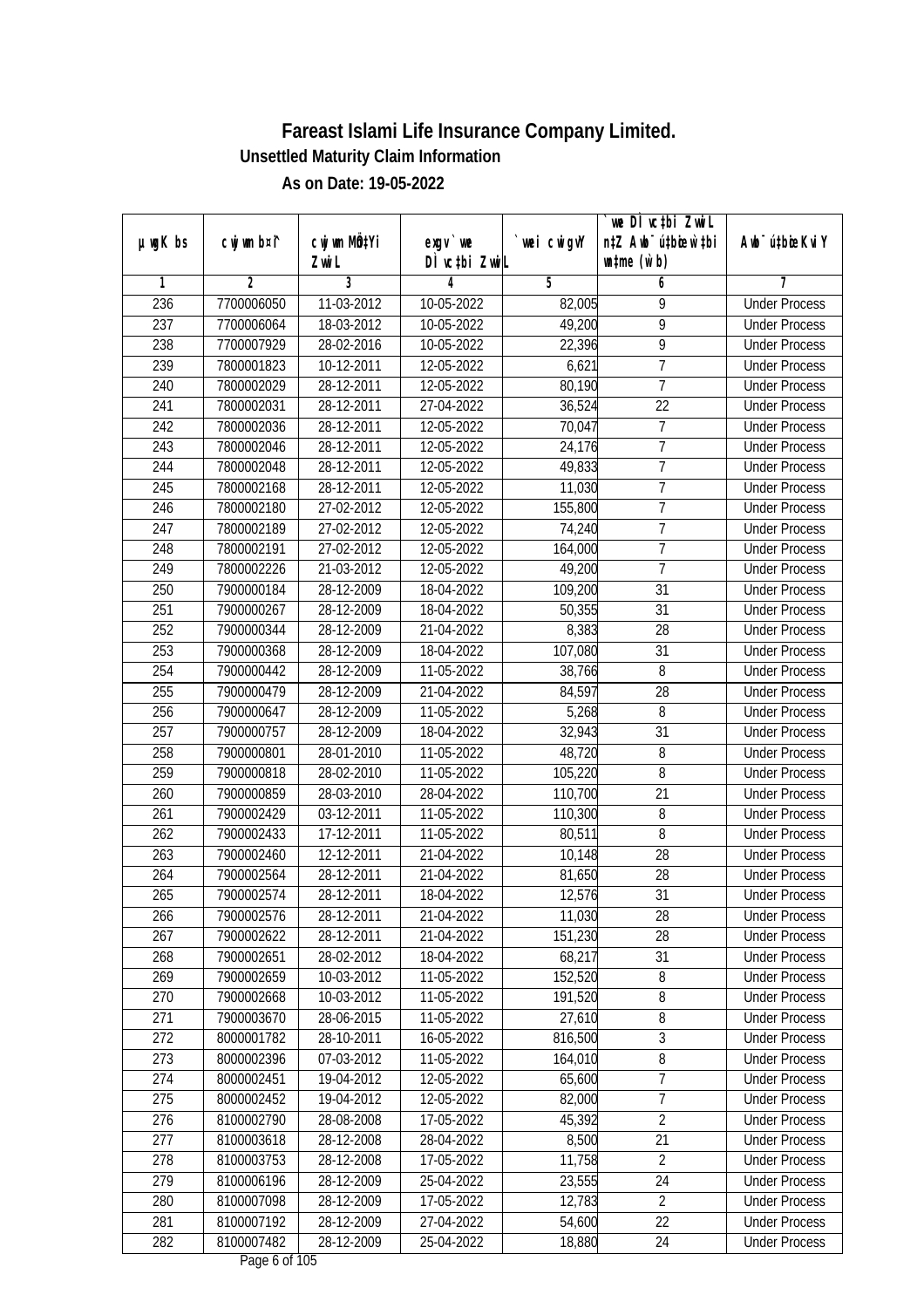|               |                |              |               |             | `we DÌ vc‡bi ZwwiL               |                             |
|---------------|----------------|--------------|---------------|-------------|----------------------------------|-----------------------------|
| $µ$ ug $K$ bs | cwj wm b¤i^    | cwj wm MQtYi | $exgV$ we     | `wei cwigvY | n‡Z Awb <sup>-</sup> ú‡bioen`‡bi | Awb <sup>-</sup> ú‡bioeKviY |
|               |                | Zwi L        | DÌ vctbi ZwiL |             | $\n  untime\n  (u`b)\n$          |                             |
| 1             | $\overline{2}$ | 3            | 4             | 5           | 6                                | 7                           |
| 236           | 7700006050     | 11-03-2012   | 10-05-2022    | 82,005      | 9                                | <b>Under Process</b>        |
| 237           | 7700006064     | 18-03-2012   | 10-05-2022    | 49,200      | $\overline{9}$                   | <b>Under Process</b>        |
| 238           | 7700007929     | 28-02-2016   | 10-05-2022    | 22,396      | 9                                | <b>Under Process</b>        |
| 239           | 7800001823     | 10-12-2011   | 12-05-2022    | 6,621       | $\overline{7}$                   | <b>Under Process</b>        |
| 240           | 7800002029     | 28-12-2011   | 12-05-2022    | 80,190      | $\overline{7}$                   | <b>Under Process</b>        |
| 241           | 7800002031     | 28-12-2011   | 27-04-2022    | 36,524      | $\overline{22}$                  | <b>Under Process</b>        |
| 242           | 7800002036     | 28-12-2011   | 12-05-2022    | 70,047      | $\overline{7}$                   | <b>Under Process</b>        |
| 243           | 7800002046     | 28-12-2011   | 12-05-2022    | 24,176      | $\overline{7}$                   | <b>Under Process</b>        |
| 244           | 7800002048     | 28-12-2011   | 12-05-2022    | 49,833      | 7                                | <b>Under Process</b>        |
| 245           | 7800002168     | $28-12-2011$ | 12-05-2022    | 11,030      | $\overline{7}$                   | <b>Under Process</b>        |
| 246           | 7800002180     | 27-02-2012   | 12-05-2022    | 155,800     | 7                                | <b>Under Process</b>        |
| 247           | 7800002189     | 27-02-2012   | 12-05-2022    | 74,240      | $\overline{7}$                   | <b>Under Process</b>        |
| 248           | 7800002191     | 27-02-2012   | 12-05-2022    | 164,000     | $\overline{7}$                   | <b>Under Process</b>        |
| 249           | 7800002226     | 21-03-2012   | 12-05-2022    | 49,200      | $\overline{1}$                   | <b>Under Process</b>        |
| 250           | 7900000184     | 28-12-2009   | 18-04-2022    | 109,200     | 31                               | <b>Under Process</b>        |
| 251           | 7900000267     | 28-12-2009   | 18-04-2022    | 50,355      | 31                               | <b>Under Process</b>        |
| 252           | 7900000344     | 28-12-2009   | 21-04-2022    | 8,383       | 28                               | <b>Under Process</b>        |
| 253           | 7900000368     | 28-12-2009   | 18-04-2022    | 107,080     | 31                               | <b>Under Process</b>        |
| 254           | 7900000442     | 28-12-2009   | 11-05-2022    | 38,766      | 8                                | <b>Under Process</b>        |
| 255           | 7900000479     | 28-12-2009   | 21-04-2022    | 84,597      | 28                               | <b>Under Process</b>        |
| 256           | 7900000647     | 28-12-2009   | 11-05-2022    | 5,268       | 8                                | <b>Under Process</b>        |
| 257           | 7900000757     | 28-12-2009   | 18-04-2022    | 32,943      | 31                               | <b>Under Process</b>        |
| 258           | 7900000801     | 28-01-2010   | 11-05-2022    | 48,720      | 8                                | <b>Under Process</b>        |
| 259           | 7900000818     | 28-02-2010   | 11-05-2022    | 105,220     | 8                                | <b>Under Process</b>        |
| 260           | 7900000859     | 28-03-2010   | 28-04-2022    | 110,700     | 21                               | <b>Under Process</b>        |
| 261           | 7900002429     | 03-12-2011   | 11-05-2022    | 110,300     | 8                                | <b>Under Process</b>        |
| 262           | 7900002433     | 17-12-2011   | 11-05-2022    | 80,511      | 8                                | <b>Under Process</b>        |
| 263           | 7900002460     | 12-12-2011   | 21-04-2022    | 10,148      | 28                               | <b>Under Process</b>        |
| 264           | 7900002564     | 28-12-2011   | 21-04-2022    | 81,650      | 28                               | <b>Under Process</b>        |
| 265           | 7900002574     | 28-12-2011   | 18-04-2022    | 12,576      | 31                               | <b>Under Process</b>        |
| 266           | 7900002576     | 28-12-2011   | 21-04-2022    | 11,030      | 28                               | <b>Under Process</b>        |
| 267           | 7900002622     | 28-12-2011   | 21-04-2022    | 151,230     | 28                               | <b>Under Process</b>        |
| 268           | 7900002651     | 28-02-2012   | 18-04-2022    | 68,217      | 31                               | <b>Under Process</b>        |
| 269           | 7900002659     | 10-03-2012   | 11-05-2022    | 152,520     | 8                                | <b>Under Process</b>        |
| 270           | 7900002668     | 10-03-2012   | 11-05-2022    | 191,520     | 8                                | <b>Under Process</b>        |
| 271           | 7900003670     | 28-06-2015   | 11-05-2022    | 27,610      | 8                                | <b>Under Process</b>        |
| 272           | 8000001782     | 28-10-2011   | 16-05-2022    | 816,500     | $\overline{3}$                   | <b>Under Process</b>        |
| 273           | 8000002396     | 07-03-2012   | 11-05-2022    | 164,010     | 8                                | <b>Under Process</b>        |
| 274           | 8000002451     | $19-04-2012$ | 12-05-2022    | 65,600      | $\overline{7}$                   | <b>Under Process</b>        |
| 275           | 8000002452     | 19-04-2012   | 12-05-2022    | 82,000      | 7                                | <b>Under Process</b>        |
| 276           | 8100002790     | 28-08-2008   | 17-05-2022    | 45,392      | $\overline{2}$                   | <b>Under Process</b>        |
| 277           | 8100003618     | 28-12-2008   | 28-04-2022    | 8,500       | 21                               | <b>Under Process</b>        |
| 278           | 8100003753     | 28-12-2008   | 17-05-2022    | 11,758      | $\overline{2}$                   | <b>Under Process</b>        |
| 279           | 8100006196     | 28-12-2009   | 25-04-2022    | 23,555      | 24                               | <b>Under Process</b>        |
| 280           | 8100007098     | 28-12-2009   | 17-05-2022    | 12,783      | $\overline{2}$                   | <b>Under Process</b>        |
| 281           | 8100007192     | 28-12-2009   | 27-04-2022    | 54,600      | 22                               | <b>Under Process</b>        |
| 282           | 8100007482     | 28-12-2009   | 25-04-2022    | 18,880      | 24                               | <b>Under Process</b>        |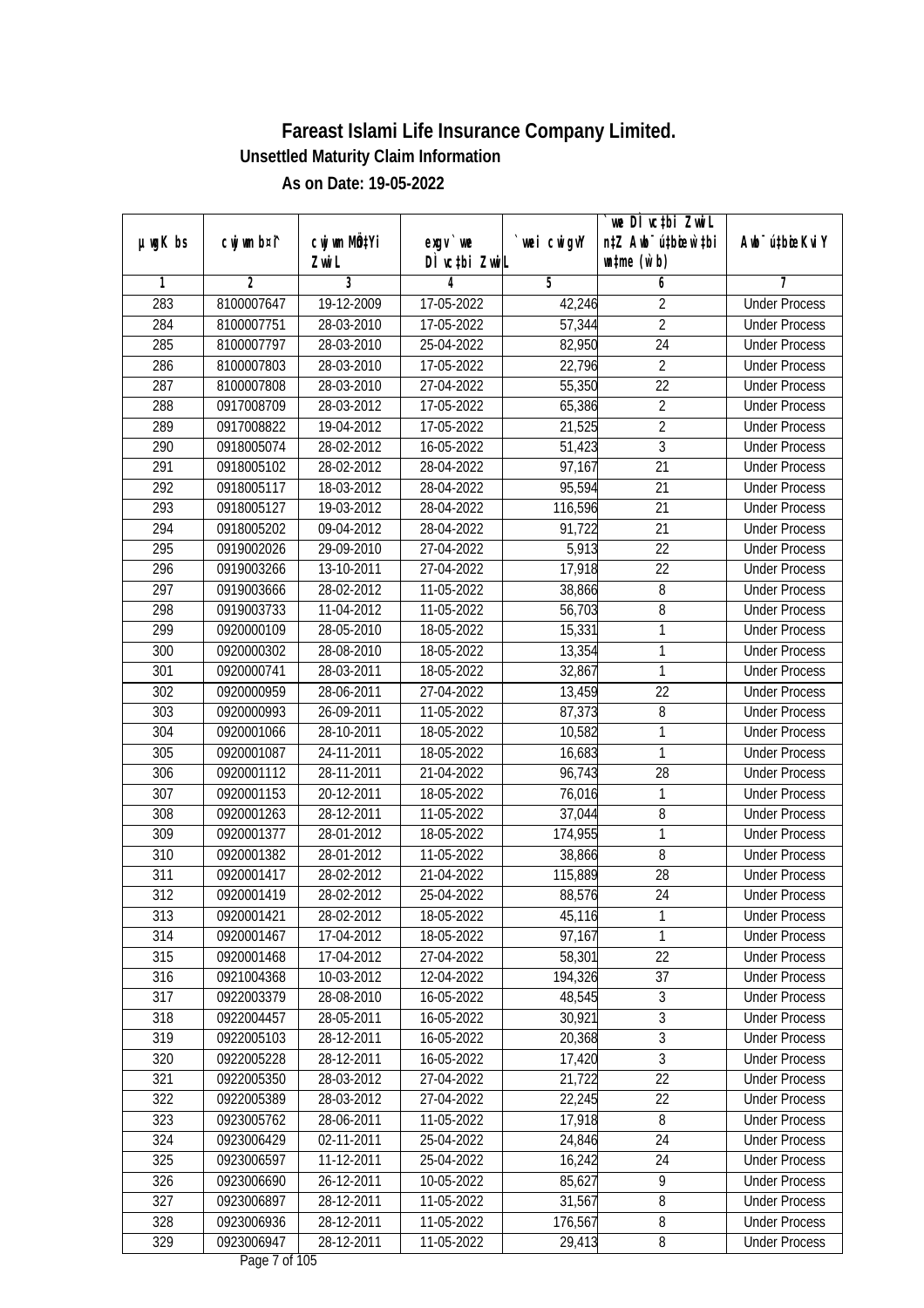|               |                |              |                  |             | we DI vctbi ZwiL                 |                             |
|---------------|----------------|--------------|------------------|-------------|----------------------------------|-----------------------------|
| $µ$ ug $K$ bs | cwj wm b¤i^    | cwj wm MQtYi | exgy `we         | `wei cwigvY | n‡Z Awb <sup>-</sup> ú‡bioar`‡bi | Awb <sup>-</sup> ú‡bioeKviY |
|               |                | Zwi L        | DÌ vctbi ZwiL    |             | $\n  untime\n  (u`b)\n$          |                             |
| 1             | $\overline{2}$ | 3            | 4                | 5           | 6                                | 7                           |
| 283           | 8100007647     | 19-12-2009   | 17-05-2022       | 42,246      | $\overline{2}$                   | <b>Under Process</b>        |
| 284           | 8100007751     | 28-03-2010   | $17 - 05 - 2022$ | 57,344      | $\overline{2}$                   | <b>Under Process</b>        |
| 285           | 8100007797     | 28-03-2010   | 25-04-2022       | 82,950      | $\overline{24}$                  | <b>Under Process</b>        |
| 286           | 8100007803     | 28-03-2010   | 17-05-2022       | 22,796      | $\sqrt{2}$                       | <b>Under Process</b>        |
| 287           | 8100007808     | 28-03-2010   | 27-04-2022       | 55,350      | $\overline{22}$                  | <b>Under Process</b>        |
| 288           | 0917008709     | 28-03-2012   | 17-05-2022       | 65,386      | $\overline{2}$                   | <b>Under Process</b>        |
| 289           | 0917008822     | 19-04-2012   | $17 - 05 - 2022$ | 21,525      | $\overline{2}$                   | <b>Under Process</b>        |
| 290           | 0918005074     | 28-02-2012   | 16-05-2022       | 51,423      | $\overline{3}$                   | <b>Under Process</b>        |
| 291           | 0918005102     | 28-02-2012   | 28-04-2022       | 97,167      | $\overline{21}$                  | <b>Under Process</b>        |
| 292           | 0918005117     | 18-03-2012   | 28-04-2022       | 95,594      | 21                               | <b>Under Process</b>        |
| 293           | 0918005127     | 19-03-2012   | 28-04-2022       | 116,596     | $\overline{21}$                  | <b>Under Process</b>        |
| 294           | 0918005202     | 09-04-2012   | 28-04-2022       | 91,722      | 21                               | <b>Under Process</b>        |
| 295           | 0919002026     | 29-09-2010   | 27-04-2022       | 5,913       | $\overline{22}$                  | <b>Under Process</b>        |
| 296           | 0919003266     | 13-10-2011   | 27-04-2022       | 17,918      | 22                               | <b>Under Process</b>        |
| 297           | 0919003666     | 28-02-2012   | 11-05-2022       | 38,866      | 8                                | <b>Under Process</b>        |
| 298           | 0919003733     | 11-04-2012   | 11-05-2022       | 56,703      | 8                                | <b>Under Process</b>        |
| 299           | 0920000109     | 28-05-2010   | 18-05-2022       | 15,331      | 1                                | <b>Under Process</b>        |
| 300           | 0920000302     | 28-08-2010   | 18-05-2022       | 13,354      | 1                                | <b>Under Process</b>        |
| 301           | 0920000741     | 28-03-2011   | 18-05-2022       | 32,867      | $\mathbf{1}$                     | <b>Under Process</b>        |
| 302           | 0920000959     | 28-06-2011   | 27-04-2022       | 13,459      | 22                               | <b>Under Process</b>        |
| 303           | 0920000993     | 26-09-2011   | 11-05-2022       | 87,373      | 8                                | <b>Under Process</b>        |
| 304           | 0920001066     | 28-10-2011   | 18-05-2022       | 10,582      | 1                                | <b>Under Process</b>        |
| 305           | 0920001087     | 24-11-2011   | 18-05-2022       | 16,683      | 1                                | <b>Under Process</b>        |
| 306           | 0920001112     | 28-11-2011   | 21-04-2022       | 96,743      | 28                               | <b>Under Process</b>        |
| 307           | 0920001153     | 20-12-2011   | 18-05-2022       | 76,016      | 1                                | <b>Under Process</b>        |
| 308           | 0920001263     | 28-12-2011   | 11-05-2022       | 37,044      | 8                                | <b>Under Process</b>        |
| 309           | 0920001377     | 28-01-2012   | 18-05-2022       | 174,955     | 1                                | <b>Under Process</b>        |
| 310           | 0920001382     | 28-01-2012   | 11-05-2022       | 38,866      | $8\,$                            | <b>Under Process</b>        |
| 311           | 0920001417     | 28-02-2012   | 21-04-2022       | 115,889     | 28                               | <b>Under Process</b>        |
| 312           | 0920001419     | 28-02-2012   | 25-04-2022       | 88,576      | 24                               | <b>Under Process</b>        |
| 313           | 0920001421     | 28-02-2012   | 18-05-2022       | 45,116      | 1                                | <b>Under Process</b>        |
| 314           | 0920001467     | 17-04-2012   | 18-05-2022       | 97,167      | 1                                | <b>Under Process</b>        |
| 315           | 0920001468     | 17-04-2012   | 27-04-2022       | 58,301      | 22                               | <b>Under Process</b>        |
| 316           | 0921004368     | 10-03-2012   | 12-04-2022       | 194,326     | 37                               | <b>Under Process</b>        |
| 317           | 0922003379     | 28-08-2010   | 16-05-2022       | 48,545      | $\sqrt{3}$                       | <b>Under Process</b>        |
| 318           | 0922004457     | 28-05-2011   | 16-05-2022       | 30,921      | 3                                | <b>Under Process</b>        |
| 319           | 0922005103     | 28-12-2011   | 16-05-2022       | 20,368      | $\overline{3}$                   | <b>Under Process</b>        |
| 320           | 0922005228     | 28-12-2011   | 16-05-2022       | 17,420      | $\overline{3}$                   | <b>Under Process</b>        |
| 321           | 0922005350     | 28-03-2012   | 27-04-2022       | 21,722      | $\overline{22}$                  | <b>Under Process</b>        |
| 322           | 0922005389     | 28-03-2012   | 27-04-2022       | 22,245      | 22                               | <b>Under Process</b>        |
| 323           | 0923005762     | 28-06-2011   | 11-05-2022       | 17,918      | 8                                | <b>Under Process</b>        |
| 324           | 0923006429     | 02-11-2011   | 25-04-2022       | 24,846      | 24                               | <b>Under Process</b>        |
| 325           | 0923006597     | 11-12-2011   | 25-04-2022       | 16,242      | $\overline{24}$                  | <b>Under Process</b>        |
| 326           | 0923006690     | 26-12-2011   | 10-05-2022       | 85,627      | 9                                | <b>Under Process</b>        |
| 327           | 0923006897     | 28-12-2011   | 11-05-2022       | 31,567      | $\overline{8}$                   | <b>Under Process</b>        |
| 328           | 0923006936     | 28-12-2011   | 11-05-2022       | 176,567     | 8                                | <b>Under Process</b>        |
| 329           | 0923006947     | 28-12-2011   | 11-05-2022       | 29,413      | 8                                | <b>Under Process</b>        |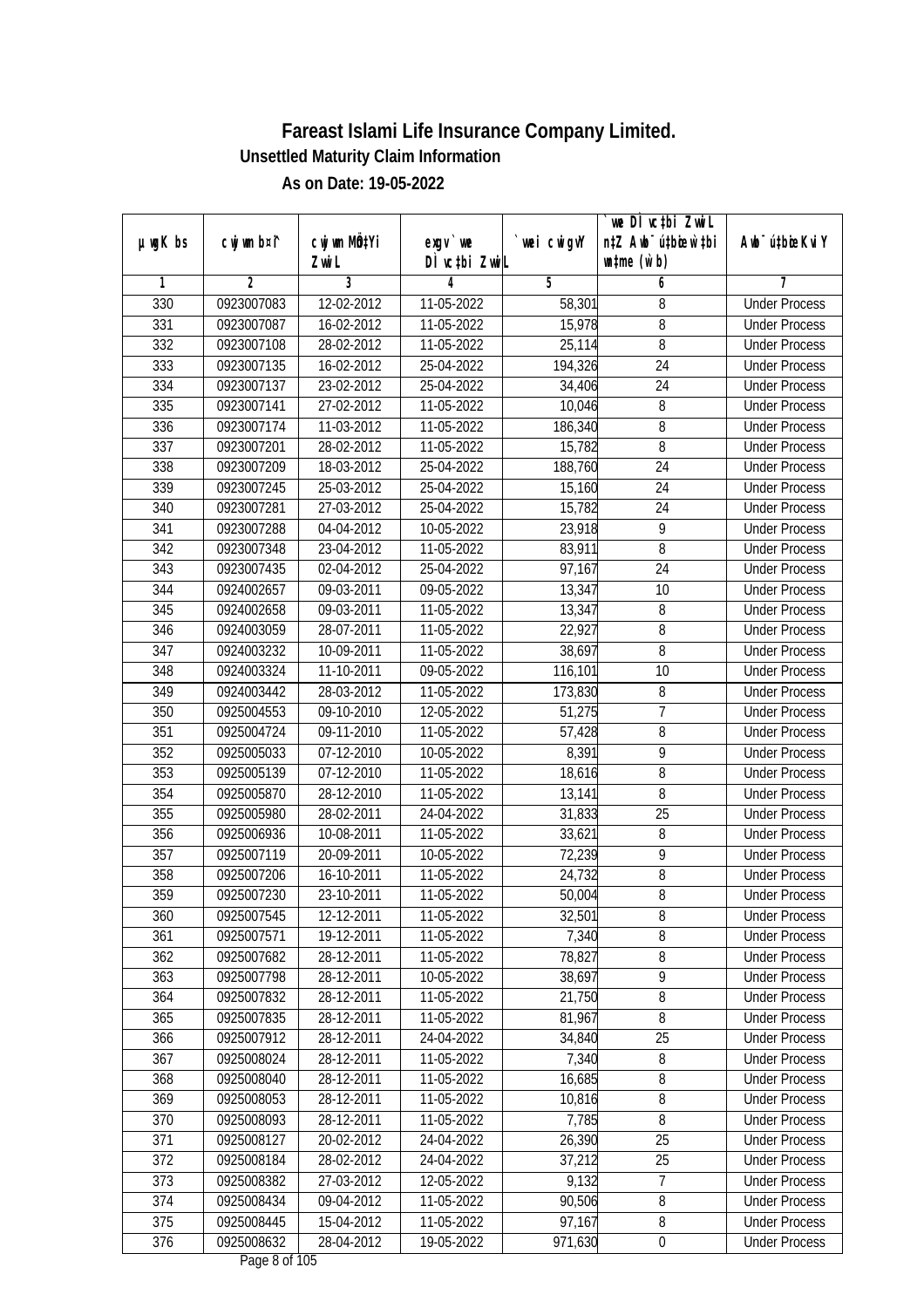|                  |                |              |               |                | we DI vctbi Zwil                 |                             |
|------------------|----------------|--------------|---------------|----------------|----------------------------------|-----------------------------|
| $µ$ ug $K$ bs    | cwj wm b¤i^    | cwj wm MQtYi | exgy `we      | `wei cwigvY    | n‡Z Awb <sup>-</sup> ú‡bicen`‡bi | Awb <sup>-</sup> ú‡bioeKviY |
|                  |                | Zwi L        | DÌ vctbi ZwiL |                | $\n  untime\n  (u`b)\n$          |                             |
| 1                | $\overline{2}$ | 3            | 4             | $\overline{5}$ | 6                                | 7                           |
| 330              | 0923007083     | 12-02-2012   | 11-05-2022    | 58,301         | 8                                | <b>Under Process</b>        |
| 331              | 0923007087     | 16-02-2012   | 11-05-2022    | 15,978         | 8                                | <b>Under Process</b>        |
| 332              | 0923007108     | 28-02-2012   | 11-05-2022    | 25,114         | 8                                | <b>Under Process</b>        |
| 333              | 0923007135     | 16-02-2012   | 25-04-2022    | 194,326        | 24                               | <b>Under Process</b>        |
| 334              | 0923007137     | 23-02-2012   | 25-04-2022    | 34,406         | $\overline{24}$                  | <b>Under Process</b>        |
| 335              | 0923007141     | 27-02-2012   | 11-05-2022    | 10,046         | 8                                | <b>Under Process</b>        |
| 336              | 0923007174     | 11-03-2012   | $11-05-2022$  | 186,340        | 8                                | <b>Under Process</b>        |
| $\overline{337}$ | 0923007201     | 28-02-2012   | 11-05-2022    | 15,782         | $\overline{8}$                   | <b>Under Process</b>        |
| 338              | 0923007209     | 18-03-2012   | 25-04-2022    | 188,760        | $\overline{24}$                  | <b>Under Process</b>        |
| 339              | 0923007245     | 25-03-2012   | 25-04-2022    | 15,160         | 24                               | <b>Under Process</b>        |
| 340              | 0923007281     | 27-03-2012   | 25-04-2022    | 15,782         | $\overline{24}$                  | <b>Under Process</b>        |
| 341              | 0923007288     | 04-04-2012   | 10-05-2022    | 23,918         | 9                                | <b>Under Process</b>        |
| $\overline{342}$ | 0923007348     | 23-04-2012   | 11-05-2022    | 83,911         | $\overline{8}$                   | <b>Under Process</b>        |
| 343              | 0923007435     | 02-04-2012   | 25-04-2022    | 97,167         | 24                               | <b>Under Process</b>        |
| 344              | 0924002657     | 09-03-2011   | 09-05-2022    | 13,347         | 10                               | <b>Under Process</b>        |
| 345              | 0924002658     | 09-03-2011   | 11-05-2022    | 13,347         | 8                                | <b>Under Process</b>        |
| 346              | 0924003059     | 28-07-2011   | 11-05-2022    | 22,927         | 8                                | <b>Under Process</b>        |
| 347              | 0924003232     | 10-09-2011   | 11-05-2022    | 38,697         | 8                                | <b>Under Process</b>        |
| 348              | 0924003324     | 11-10-2011   | 09-05-2022    | 116,101        | 10                               | <b>Under Process</b>        |
| 349              | 0924003442     | 28-03-2012   | 11-05-2022    | 173,830        | 8                                | <b>Under Process</b>        |
| 350              | 0925004553     | 09-10-2010   | 12-05-2022    | 51,275         | $\overline{1}$                   | <b>Under Process</b>        |
| 351              | 0925004724     | 09-11-2010   | 11-05-2022    | 57,428         | 8                                | <b>Under Process</b>        |
| 352              | 0925005033     | 07-12-2010   | 10-05-2022    | 8,391          | $\overline{9}$                   | <b>Under Process</b>        |
| 353              | 0925005139     | 07-12-2010   | 11-05-2022    | 18,616         | 8                                | <b>Under Process</b>        |
| 354              | 0925005870     | 28-12-2010   | 11-05-2022    | 13,141         | 8                                | <b>Under Process</b>        |
| 355              | 0925005980     | 28-02-2011   | 24-04-2022    | 31,833         | 25                               | <b>Under Process</b>        |
| 356              | 0925006936     | 10-08-2011   | 11-05-2022    | 33,621         | 8                                | <b>Under Process</b>        |
| 357              | 0925007119     | 20-09-2011   | 10-05-2022    | 72,239         | 9                                | <b>Under Process</b>        |
| 358              | 0925007206     | 16-10-2011   | 11-05-2022    | 24,732         | $\sqrt{8}$                       | <b>Under Process</b>        |
| 359              | 0925007230     | 23-10-2011   | 11-05-2022    | 50,004         | $8\,$                            | <b>Under Process</b>        |
| 360              | 0925007545     | 12-12-2011   | 11-05-2022    | 32,501         | 8                                | <b>Under Process</b>        |
| 361              | 0925007571     | 19-12-2011   | 11-05-2022    | 7,340          | 8                                | <b>Under Process</b>        |
| 362              | 0925007682     | 28-12-2011   | 11-05-2022    | 78,827         | 8                                | <b>Under Process</b>        |
| 363              | 0925007798     | 28-12-2011   | 10-05-2022    | 38,697         | $\overline{9}$                   | <b>Under Process</b>        |
| 364              | 0925007832     | 28-12-2011   | 11-05-2022    | 21,750         | 8                                | <b>Under Process</b>        |
| 365              | 0925007835     | 28-12-2011   | 11-05-2022    | 81,967         | 8                                | <b>Under Process</b>        |
| 366              | 0925007912     | 28-12-2011   | 24-04-2022    | 34,840         | 25                               | <b>Under Process</b>        |
| 367              | 0925008024     | 28-12-2011   | 11-05-2022    | 7,340          | 8                                | <b>Under Process</b>        |
| 368              | 0925008040     | 28-12-2011   | 11-05-2022    | 16,685         | $\overline{8}$                   | <b>Under Process</b>        |
| 369              | 0925008053     | 28-12-2011   | 11-05-2022    | 10,816         | $\overline{8}$                   | <b>Under Process</b>        |
| 370              | 0925008093     | 28-12-2011   | 11-05-2022    | 7,785          | 8                                | <b>Under Process</b>        |
| 371              | 0925008127     | 20-02-2012   | 24-04-2022    | 26,390         | 25                               | <b>Under Process</b>        |
| 372              | 0925008184     | 28-02-2012   | 24-04-2022    | 37,212         | $\overline{25}$                  | <b>Under Process</b>        |
| 373              | 0925008382     | 27-03-2012   | 12-05-2022    | 9,132          | 7                                | <b>Under Process</b>        |
| 374              | 0925008434     | 09-04-2012   | 11-05-2022    | 90,506         | 8                                | <b>Under Process</b>        |
| 375              | 0925008445     | 15-04-2012   | 11-05-2022    | 97,167         | 8                                | <b>Under Process</b>        |
| 376              | 0925008632     | 28-04-2012   | 19-05-2022    | 971,630        | $\pmb{0}$                        | <b>Under Process</b>        |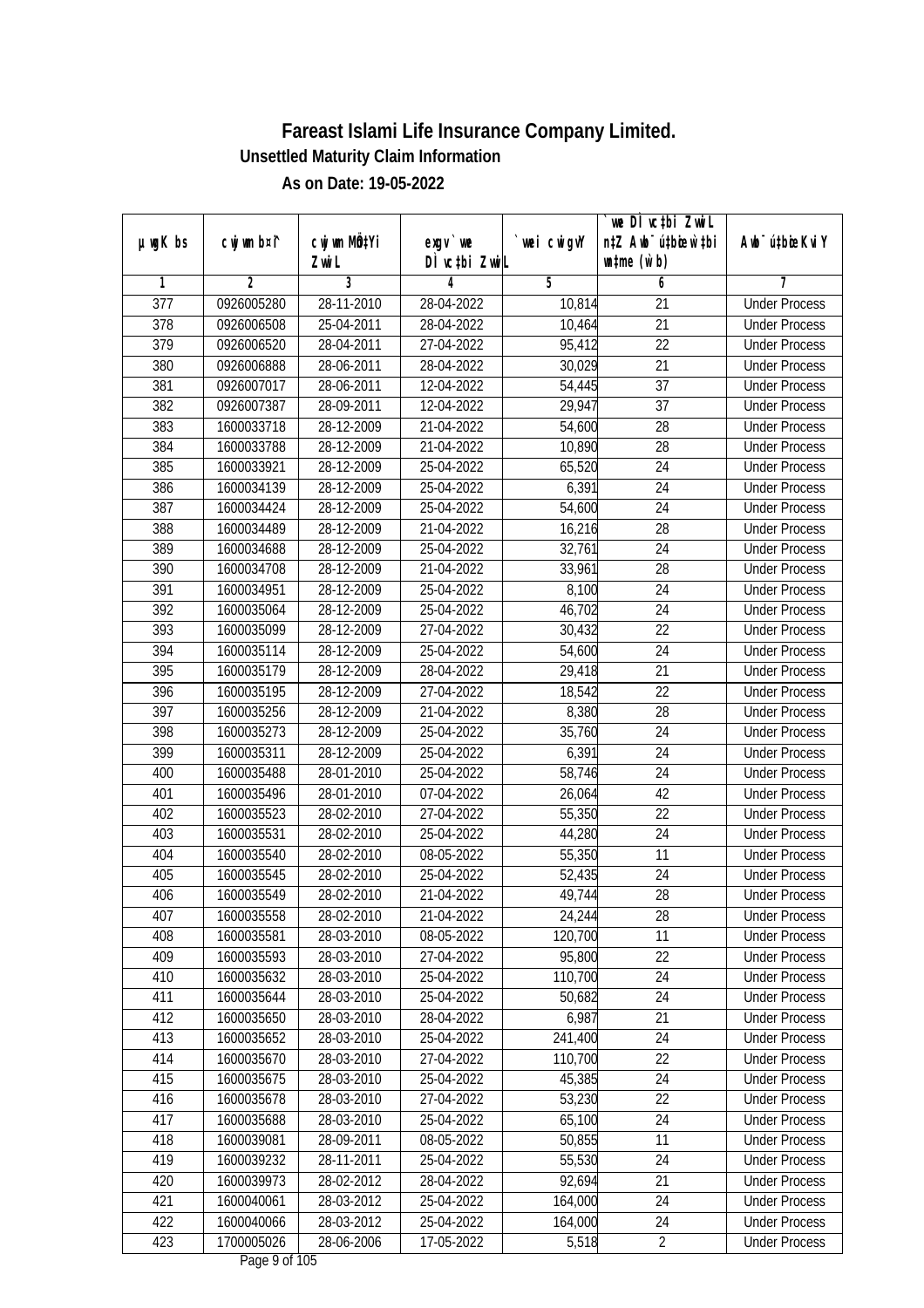|                  |                |              |               |                | we DI vctbi ZwiL                 |                             |
|------------------|----------------|--------------|---------------|----------------|----------------------------------|-----------------------------|
| $µ$ ug $K$ bs    | cwj wm b¤i^    | cwj wm MQtYi | $exgV$ we     | `wei cwigvY    | n‡Z Awb <sup>-</sup> ú‡bioar`‡bi | Awb <sup>-</sup> ú‡bioeKviY |
|                  |                | Zwi L        | DÌ vctbi ZwiL |                | $\n  untime\n  (u`b)\n$          |                             |
| 1                | $\overline{2}$ | 3            | 4             | $\overline{5}$ | 6                                | 7                           |
| $\overline{377}$ | 0926005280     | 28-11-2010   | 28-04-2022    | 10,814         | $\overline{21}$                  | <b>Under Process</b>        |
| 378              | 0926006508     | 25-04-2011   | 28-04-2022    | 10,464         | $\overline{21}$                  | <b>Under Process</b>        |
| $\overline{379}$ | 0926006520     | 28-04-2011   | 27-04-2022    | 95,412         | $\overline{22}$                  | <b>Under Process</b>        |
| 380              | 0926006888     | 28-06-2011   | 28-04-2022    | 30,029         | 21                               | <b>Under Process</b>        |
| 381              | 0926007017     | 28-06-2011   | 12-04-2022    | 54,445         | $\overline{37}$                  | <b>Under Process</b>        |
| 382              | 0926007387     | 28-09-2011   | 12-04-2022    | 29,947         | $\overline{37}$                  | <b>Under Process</b>        |
| 383              | 1600033718     | 28-12-2009   | 21-04-2022    | 54,600         | 28                               | <b>Under Process</b>        |
| 384              | 1600033788     | 28-12-2009   | 21-04-2022    | 10,890         | 28                               | <b>Under Process</b>        |
| 385              | 1600033921     | 28-12-2009   | 25-04-2022    | 65,520         | $\overline{24}$                  | <b>Under Process</b>        |
| 386              | 1600034139     | 28-12-2009   | 25-04-2022    | 6,391          | 24                               | <b>Under Process</b>        |
| 387              | 1600034424     | 28-12-2009   | 25-04-2022    | 54,600         | $\overline{24}$                  | <b>Under Process</b>        |
| 388              | 1600034489     | 28-12-2009   | 21-04-2022    | 16,216         | 28                               | <b>Under Process</b>        |
| 389              | 1600034688     | 28-12-2009   | 25-04-2022    | 32,761         | $\overline{24}$                  | <b>Under Process</b>        |
| 390              | 1600034708     | 28-12-2009   | 21-04-2022    | 33,961         | 28                               | <b>Under Process</b>        |
| 391              | 1600034951     | 28-12-2009   | 25-04-2022    | 8,100          | 24                               | <b>Under Process</b>        |
| 392              | 1600035064     | 28-12-2009   | 25-04-2022    | 46,702         | 24                               | <b>Under Process</b>        |
| 393              | 1600035099     | 28-12-2009   | 27-04-2022    | 30,432         | 22                               | <b>Under Process</b>        |
| 394              | 1600035114     | 28-12-2009   | 25-04-2022    | 54,600         | 24                               | <b>Under Process</b>        |
| 395              | 1600035179     | 28-12-2009   | 28-04-2022    | 29,418         | 21                               | <b>Under Process</b>        |
| 396              | 1600035195     | 28-12-2009   | 27-04-2022    | 18,542         | 22                               | <b>Under Process</b>        |
| 397              | 1600035256     | 28-12-2009   | 21-04-2022    | 8,380          | 28                               | <b>Under Process</b>        |
| 398              | 1600035273     | 28-12-2009   | 25-04-2022    | 35,760         | 24                               | <b>Under Process</b>        |
| 399              | 1600035311     | 28-12-2009   | 25-04-2022    | 6,391          | 24                               | <b>Under Process</b>        |
| 400              | 1600035488     | 28-01-2010   | 25-04-2022    | 58,746         | 24                               | <b>Under Process</b>        |
| 401              | 1600035496     | 28-01-2010   | 07-04-2022    | 26,064         | 42                               | <b>Under Process</b>        |
| 402              | 1600035523     | 28-02-2010   | 27-04-2022    | 55,350         | 22                               | <b>Under Process</b>        |
| 403              | 1600035531     | 28-02-2010   | 25-04-2022    | 44,280         | 24                               | <b>Under Process</b>        |
| 404              | 1600035540     | 28-02-2010   | 08-05-2022    | 55,350         | 11                               | <b>Under Process</b>        |
| 405              | 1600035545     | 28-02-2010   | 25-04-2022    | 52,435         | 24                               | <b>Under Process</b>        |
| 406              | 1600035549     | 28-02-2010   | 21-04-2022    | 49,744         | 28                               | <b>Under Process</b>        |
| 407              | 1600035558     | 28-02-2010   | 21-04-2022    | 24,244         | 28                               | <b>Under Process</b>        |
| 408              | 1600035581     | 28-03-2010   | 08-05-2022    | 120,700        | 11                               | <b>Under Process</b>        |
| 409              | 1600035593     | 28-03-2010   | 27-04-2022    | 95,800         | 22                               | <b>Under Process</b>        |
| 410              | 1600035632     | 28-03-2010   | 25-04-2022    | 110,700        | 24                               | <b>Under Process</b>        |
| 411              | 1600035644     | 28-03-2010   | 25-04-2022    | 50,682         | 24                               | <b>Under Process</b>        |
| 412              | 1600035650     | 28-03-2010   | 28-04-2022    | 6,987          | 21                               | <b>Under Process</b>        |
| 413              | 1600035652     | 28-03-2010   | 25-04-2022    | 241,400        | 24                               | <b>Under Process</b>        |
| 414              | 1600035670     | 28-03-2010   | 27-04-2022    | 110,700        | $\overline{22}$                  | <b>Under Process</b>        |
| 415              | 1600035675     | 28-03-2010   | 25-04-2022    | 45,385         | 24                               | <b>Under Process</b>        |
| 416              | 1600035678     | 28-03-2010   | 27-04-2022    | 53,230         | 22                               | <b>Under Process</b>        |
| 417              | 1600035688     | 28-03-2010   | 25-04-2022    | 65,100         | 24                               | <b>Under Process</b>        |
| 418              | 1600039081     | 28-09-2011   | 08-05-2022    | 50,855         | 11                               | <b>Under Process</b>        |
| 419              | 1600039232     | 28-11-2011   | 25-04-2022    | 55,530         | 24                               | <b>Under Process</b>        |
| 420              | 1600039973     | 28-02-2012   | 28-04-2022    | 92,694         | 21                               | <b>Under Process</b>        |
| 421              | 1600040061     | 28-03-2012   | 25-04-2022    | 164,000        | 24                               | <b>Under Process</b>        |
| 422              | 1600040066     | 28-03-2012   | 25-04-2022    | 164,000        | 24                               | <b>Under Process</b>        |
| 423              | 1700005026     | 28-06-2006   | 17-05-2022    | 5,518          | $\overline{2}$                   | <b>Under Process</b>        |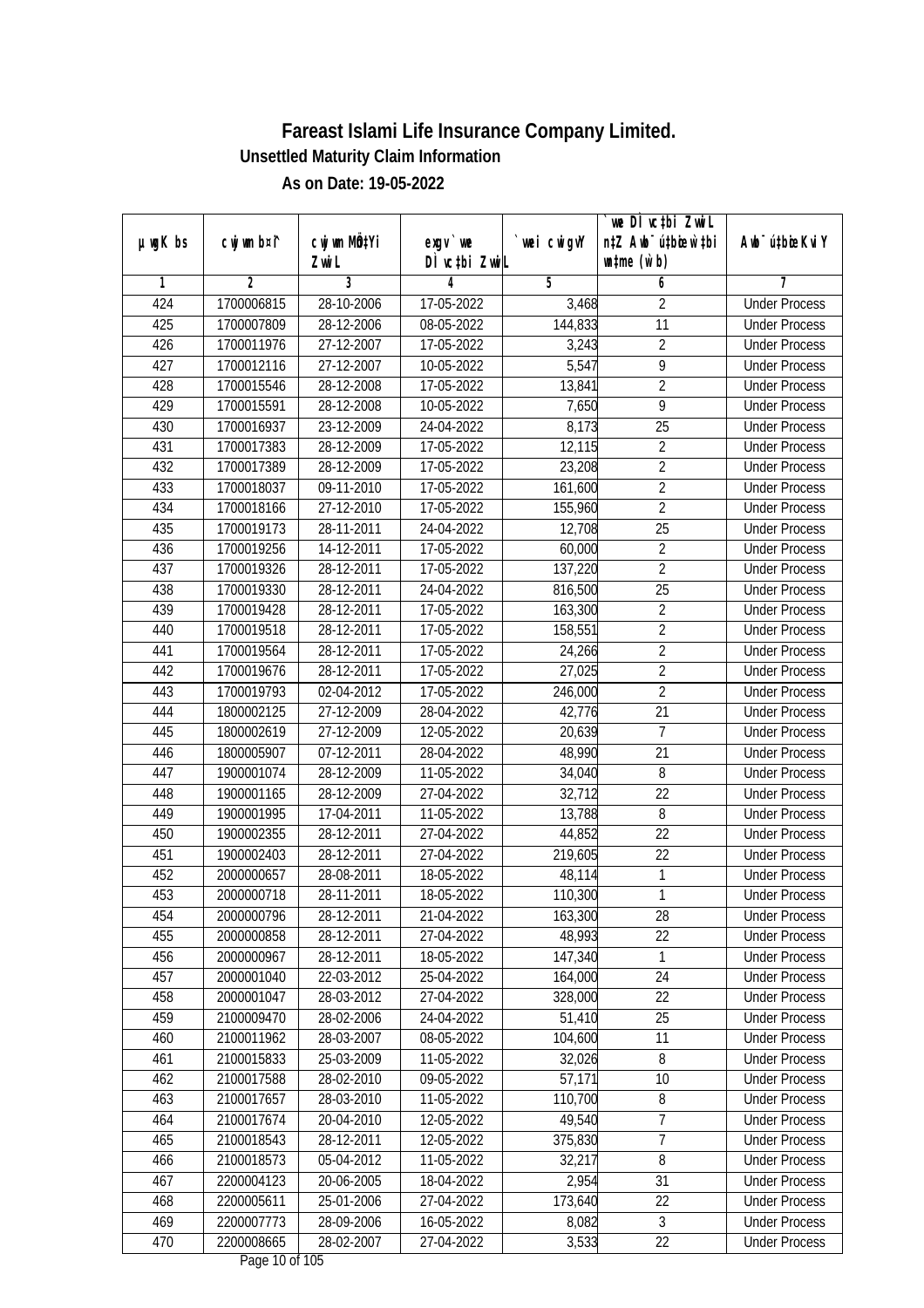|               |                |                  |                                        |            | we DI vctbi ZwiL                 |                             |
|---------------|----------------|------------------|----------------------------------------|------------|----------------------------------|-----------------------------|
| $µ$ ug $K$ bs | cwj wm b¤i^    | cwj wm MQtYi     | $exgV$ we                              | wei cwigvY | n‡Z Awb <sup>-</sup> ú‡bioar`‡bi | Awb <sup>-</sup> ú‡bioeKviY |
|               |                | Zwi L            | DÌ vctbi ZwiL                          |            | $\n  untime\n  (u`b)\n$          |                             |
| 1             | $\overline{2}$ | 3                | 4                                      | 5          | 6                                | 7                           |
| 424           | 1700006815     | 28-10-2006       | 17-05-2022                             | 3,468      | $\overline{2}$                   | <b>Under Process</b>        |
| 425           | 1700007809     | 28-12-2006       | 08-05-2022                             | 144,833    | $\overline{11}$                  | <b>Under Process</b>        |
| 426           | 1700011976     | 27-12-2007       | 17-05-2022                             | 3,243      | $\overline{2}$                   | <b>Under Process</b>        |
| 427           | 1700012116     | 27-12-2007       | 10-05-2022                             | 5,547      | $\overline{9}$                   | <b>Under Process</b>        |
| 428           | 1700015546     | 28-12-2008       | 17-05-2022                             | 13,841     | $\overline{2}$                   | <b>Under Process</b>        |
| 429           | 1700015591     | 28-12-2008       | 10-05-2022                             | 7,650      | 9                                | <b>Under Process</b>        |
| 430           | 1700016937     | 23-12-2009       | 24-04-2022                             | 8,173      | $\overline{25}$                  | <b>Under Process</b>        |
| 431           | 1700017383     | 28-12-2009       | 17-05-2022                             | 12,115     | $\overline{2}$                   | <b>Under Process</b>        |
| 432           | 1700017389     | 28-12-2009       | 17-05-2022                             | 23,208     | $\overline{2}$                   | <b>Under Process</b>        |
| 433           | 1700018037     | 09-11-2010       | 17-05-2022                             | 161,600    | $\overline{2}$                   | <b>Under Process</b>        |
| 434           | 1700018166     | $27 - 12 - 2010$ | 17-05-2022                             | 155,960    | $\overline{2}$                   | <b>Under Process</b>        |
| 435           | 1700019173     | 28-11-2011       | 24-04-2022                             | 12,708     | 25                               | <b>Under Process</b>        |
| 436           | 1700019256     | 14-12-2011       | 17-05-2022                             | 60,000     | $\overline{2}$                   | <b>Under Process</b>        |
| 437           | 1700019326     | 28-12-2011       | 17-05-2022                             | 137,220    | $\overline{2}$                   | <b>Under Process</b>        |
| 438           | 1700019330     | 28-12-2011       | 24-04-2022                             | 816,500    | 25                               | <b>Under Process</b>        |
| 439           | 1700019428     | 28-12-2011       | 17-05-2022                             | 163,300    | $\overline{2}$                   | <b>Under Process</b>        |
| 440           | 1700019518     | 28-12-2011       | 17-05-2022                             | 158,551    | $\overline{2}$                   | <b>Under Process</b>        |
| 441           | 1700019564     | 28-12-2011       | 17-05-2022                             | 24,266     | $\overline{2}$                   | <b>Under Process</b>        |
| 442           | 1700019676     | 28-12-2011       | 17-05-2022                             | 27,025     | $\overline{2}$                   | <b>Under Process</b>        |
| 443           | 1700019793     | 02-04-2012       | 17-05-2022                             | 246,000    | $\overline{2}$                   | <b>Under Process</b>        |
| 444           | 1800002125     | 27-12-2009       | 28-04-2022                             | 42,776     | $\overline{21}$                  | <b>Under Process</b>        |
| 445           | 1800002619     | 27-12-2009       | 12-05-2022                             | 20,639     | $\overline{7}$                   | <b>Under Process</b>        |
| 446           | 1800005907     | 07-12-2011       | 28-04-2022                             | 48,990     | 21                               | <b>Under Process</b>        |
| 447           | 1900001074     | 28-12-2009       | 11-05-2022                             | 34,040     | 8                                | <b>Under Process</b>        |
| 448           | 1900001165     | 28-12-2009       | 27-04-2022                             | 32,712     | 22                               | <b>Under Process</b>        |
| 449           | 1900001995     | 17-04-2011       | 11-05-2022                             | 13,788     | $\, 8$                           | <b>Under Process</b>        |
| 450           | 1900002355     | 28-12-2011       | 27-04-2022                             | 44,852     | 22                               | <b>Under Process</b>        |
| 451           | 1900002403     | 28-12-2011       | 27-04-2022                             | 219,605    | 22                               | <b>Under Process</b>        |
| 452           | 2000000657     | 28-08-2011       | 18-05-2022                             | 48,114     | $\mathbf{1}$                     | <b>Under Process</b>        |
| 453           | 2000000718     | 28-11-2011       | 18-05-2022                             | 110,300    | $\mathbf{1}$                     | <b>Under Process</b>        |
| 454           | 2000000796     | 28-12-2011       | 21-04-2022                             | 163,300    | 28                               | <b>Under Process</b>        |
| 455           | 2000000858     | 28-12-2011       | 27-04-2022                             | 48,993     | 22                               | <b>Under Process</b>        |
| 456           | 2000000967     | 28-12-2011       | 18-05-2022                             | 147,340    | 1                                | <b>Under Process</b>        |
| 457           | 2000001040     | 22-03-2012       | 25-04-2022                             | 164,000    | 24                               | <b>Under Process</b>        |
| 458           | 2000001047     | 28-03-2012       | 27-04-2022                             | 328,000    | 22                               | <b>Under Process</b>        |
| 459           | 2100009470     | 28-02-2006       | 24-04-2022                             | 51,410     | 25                               | <b>Under Process</b>        |
| 460           | 2100011962     | 28-03-2007       | 08-05-2022                             | 104,600    | 11                               | <b>Under Process</b>        |
| 461           | 2100015833     | 25-03-2009       | 11-05-2022                             | 32,026     | $\overline{8}$                   | <b>Under Process</b>        |
| 462           | 2100017588     | 28-02-2010       | 09-05-2022                             | 57,171     | 10                               | <b>Under Process</b>        |
| 463           | 2100017657     | 28-03-2010       | 11-05-2022                             | 110,700    | 8                                | <b>Under Process</b>        |
| 464           | 2100017674     | 20-04-2010       | 12-05-2022                             | 49,540     | 7<br>$\overline{7}$              | <b>Under Process</b>        |
| 465           | 2100018543     | 28-12-2011       | 12-05-2022                             | 375,830    |                                  | <b>Under Process</b>        |
| 466           | 2100018573     | 05-04-2012       | 11-05-2022                             | 32,217     | 8                                | <b>Under Process</b>        |
| 467           | 2200004123     | 20-06-2005       | 18-04-2022                             | 2,954      | 31                               | <b>Under Process</b>        |
| 468           | 2200005611     | 25-01-2006       | 27-04-2022                             | 173,640    | 22                               | <b>Under Process</b>        |
| 469           | 2200007773     | 28-09-2006       | 16-05-2022                             | 8,082      | $\overline{3}$                   | <b>Under Process</b>        |
| 470           | 2200008665     | 28-02-2007       | 27-04-2022<br>Dega $10 \text{ of } 10$ | 3,533      | 22                               | <b>Under Process</b>        |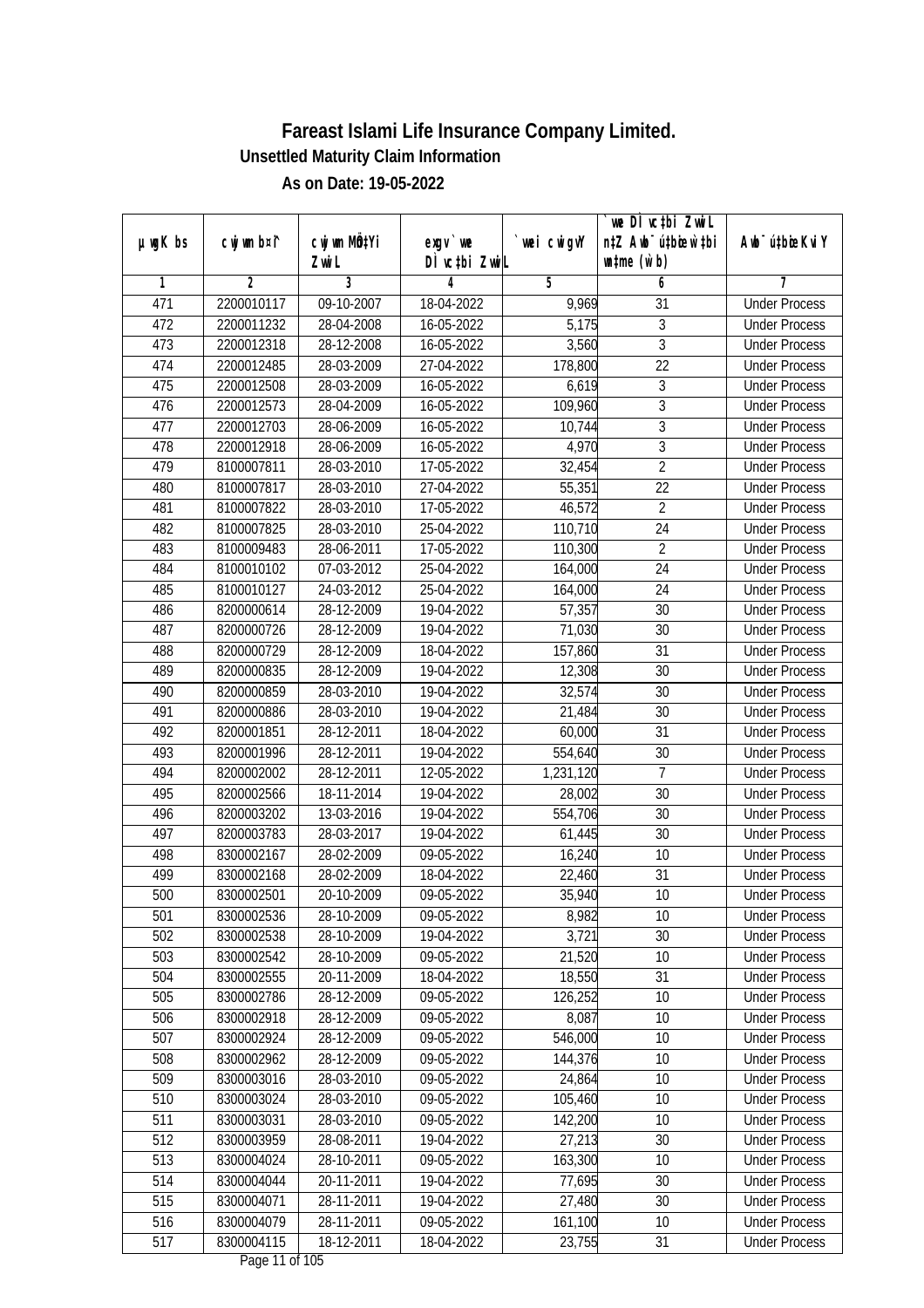| $µ$ ug $K$ bs | cwj wm b¤i^ | cwj wm MQtYi | exgv `we                              | wei cwigvY | we DI vctbi ZwiL<br>n‡Z Awb <sup>-</sup> ú‡bioen`‡bi | Awb <sup>-</sup> ú‡bioeKviY |
|---------------|-------------|--------------|---------------------------------------|------------|------------------------------------------------------|-----------------------------|
|               |             | Zwi L        | DÌ vctbi ZwiL                         |            | $\n  untime\n  (u`b)\n$                              |                             |
| 1             | 2           | 3            | 4                                     | 5          | 6                                                    | 7                           |
| 471           | 2200010117  | 09-10-2007   | 18-04-2022                            | 9,969      | 31                                                   | <b>Under Process</b>        |
| 472           | 2200011232  | 28-04-2008   | 16-05-2022                            | 5,175      | 3                                                    | <b>Under Process</b>        |
| 473           | 2200012318  | 28-12-2008   | 16-05-2022                            | 3,560      | $\overline{3}$                                       | <b>Under Process</b>        |
| 474           | 2200012485  | 28-03-2009   | 27-04-2022                            | 178,800    | $\overline{22}$                                      | <b>Under Process</b>        |
| 475           | 2200012508  | 28-03-2009   | 16-05-2022                            | 6,619      | $\sqrt{3}$                                           | <b>Under Process</b>        |
| 476           | 2200012573  | 28-04-2009   | 16-05-2022                            | 109,960    | $\overline{3}$                                       | <b>Under Process</b>        |
| 477           | 2200012703  | 28-06-2009   | 16-05-2022                            | 10,744     | $\overline{3}$                                       | <b>Under Process</b>        |
| 478           | 2200012918  | 28-06-2009   | 16-05-2022                            | 4,970      | $\overline{3}$                                       | <b>Under Process</b>        |
| 479           | 8100007811  | 28-03-2010   | 17-05-2022                            | 32,454     | $\overline{2}$                                       | <b>Under Process</b>        |
| 480           | 8100007817  | 28-03-2010   | 27-04-2022                            | 55,351     | 22                                                   | <b>Under Process</b>        |
| 481           | 8100007822  | 28-03-2010   | 17-05-2022                            | 46,572     | $\overline{2}$                                       | <b>Under Process</b>        |
| 482           | 8100007825  | 28-03-2010   | 25-04-2022                            | 110,710    | 24                                                   | <b>Under Process</b>        |
| 483           | 8100009483  | 28-06-2011   | 17-05-2022                            | 110,300    | $\overline{2}$                                       | <b>Under Process</b>        |
| 484           | 8100010102  | 07-03-2012   | 25-04-2022                            | 164,000    | 24                                                   | <b>Under Process</b>        |
| 485           | 8100010127  | 24-03-2012   | 25-04-2022                            | 164,000    | 24                                                   | <b>Under Process</b>        |
| 486           | 8200000614  | 28-12-2009   | 19-04-2022                            | 57,357     | 30                                                   | <b>Under Process</b>        |
| 487           | 8200000726  | 28-12-2009   | 19-04-2022                            | 71,030     | 30                                                   | <b>Under Process</b>        |
| 488           | 8200000729  | 28-12-2009   | 18-04-2022                            | 157,860    | 31                                                   | <b>Under Process</b>        |
| 489           | 8200000835  | 28-12-2009   | 19-04-2022                            | 12,308     | 30                                                   | <b>Under Process</b>        |
| 490           | 8200000859  | 28-03-2010   | 19-04-2022                            | 32,574     | 30                                                   | <b>Under Process</b>        |
| 491           | 8200000886  | 28-03-2010   | 19-04-2022                            | 21,484     | 30                                                   | <b>Under Process</b>        |
| 492           | 8200001851  | 28-12-2011   | 18-04-2022                            | 60,000     | 31                                                   | <b>Under Process</b>        |
| 493           | 8200001996  | 28-12-2011   | 19-04-2022                            | 554,640    | 30                                                   | <b>Under Process</b>        |
| 494           | 8200002002  | 28-12-2011   | 12-05-2022                            | 1,231,120  | $\overline{7}$                                       | <b>Under Process</b>        |
| 495           | 8200002566  | 18-11-2014   | 19-04-2022                            | 28,002     | 30                                                   | <b>Under Process</b>        |
| 496           | 8200003202  | 13-03-2016   | 19-04-2022                            | 554,706    | 30                                                   | <b>Under Process</b>        |
| 497           | 8200003783  | 28-03-2017   | 19-04-2022                            | 61,445     | 30                                                   | <b>Under Process</b>        |
| 498           | 8300002167  | 28-02-2009   | 09-05-2022                            | 16,240     | 10                                                   | <b>Under Process</b>        |
| 499           | 8300002168  | 28-02-2009   | 18-04-2022                            | 22,460     | 31                                                   | <b>Under Process</b>        |
| 500           | 8300002501  | 20-10-2009   | 09-05-2022                            | 35,940     | 10                                                   | <b>Under Process</b>        |
| 501           | 8300002536  | 28-10-2009   | 09-05-2022                            | 8,982      | 10                                                   | <b>Under Process</b>        |
| 502           | 8300002538  | 28-10-2009   | 19-04-2022                            | 3,721      | 30                                                   | <b>Under Process</b>        |
| 503           | 8300002542  | 28-10-2009   | 09-05-2022                            | 21,520     | 10                                                   | <b>Under Process</b>        |
| 504           | 8300002555  | 20-11-2009   | 18-04-2022                            | 18,550     | 31                                                   | <b>Under Process</b>        |
| 505           | 8300002786  | 28-12-2009   | 09-05-2022                            | 126,252    | 10                                                   | <b>Under Process</b>        |
| 506           | 8300002918  | 28-12-2009   | 09-05-2022                            | 8,087      | 10                                                   | <b>Under Process</b>        |
| 507           | 8300002924  | 28-12-2009   | 09-05-2022                            | 546,000    | 10                                                   | <b>Under Process</b>        |
| 508           | 8300002962  | 28-12-2009   | 09-05-2022                            | 144,376    | 10                                                   | <b>Under Process</b>        |
| 509           | 8300003016  | 28-03-2010   | 09-05-2022                            | 24,864     | 10                                                   | <b>Under Process</b>        |
| 510           | 8300003024  | 28-03-2010   | 09-05-2022                            | 105,460    | 10                                                   | <b>Under Process</b>        |
| 511           | 8300003031  | 28-03-2010   | 09-05-2022                            | 142,200    | 10                                                   | <b>Under Process</b>        |
| 512           | 8300003959  | 28-08-2011   | 19-04-2022                            | 27,213     | 30                                                   | <b>Under Process</b>        |
| 513           | 8300004024  | 28-10-2011   | 09-05-2022                            | 163,300    | 10                                                   | <b>Under Process</b>        |
| 514           | 8300004044  | 20-11-2011   | 19-04-2022                            | 77,695     | 30                                                   | <b>Under Process</b>        |
| 515           | 8300004071  | 28-11-2011   | 19-04-2022                            | 27,480     | 30                                                   | <b>Under Process</b>        |
| 516           | 8300004079  | 28-11-2011   | 09-05-2022                            | 161,100    | 10                                                   | <b>Under Process</b>        |
| 517           | 8300004115  | 18-12-2011   | 18-04-2022<br>$D_{0.92}$ 11 of 10 $E$ | 23,755     | 31                                                   | <b>Under Process</b>        |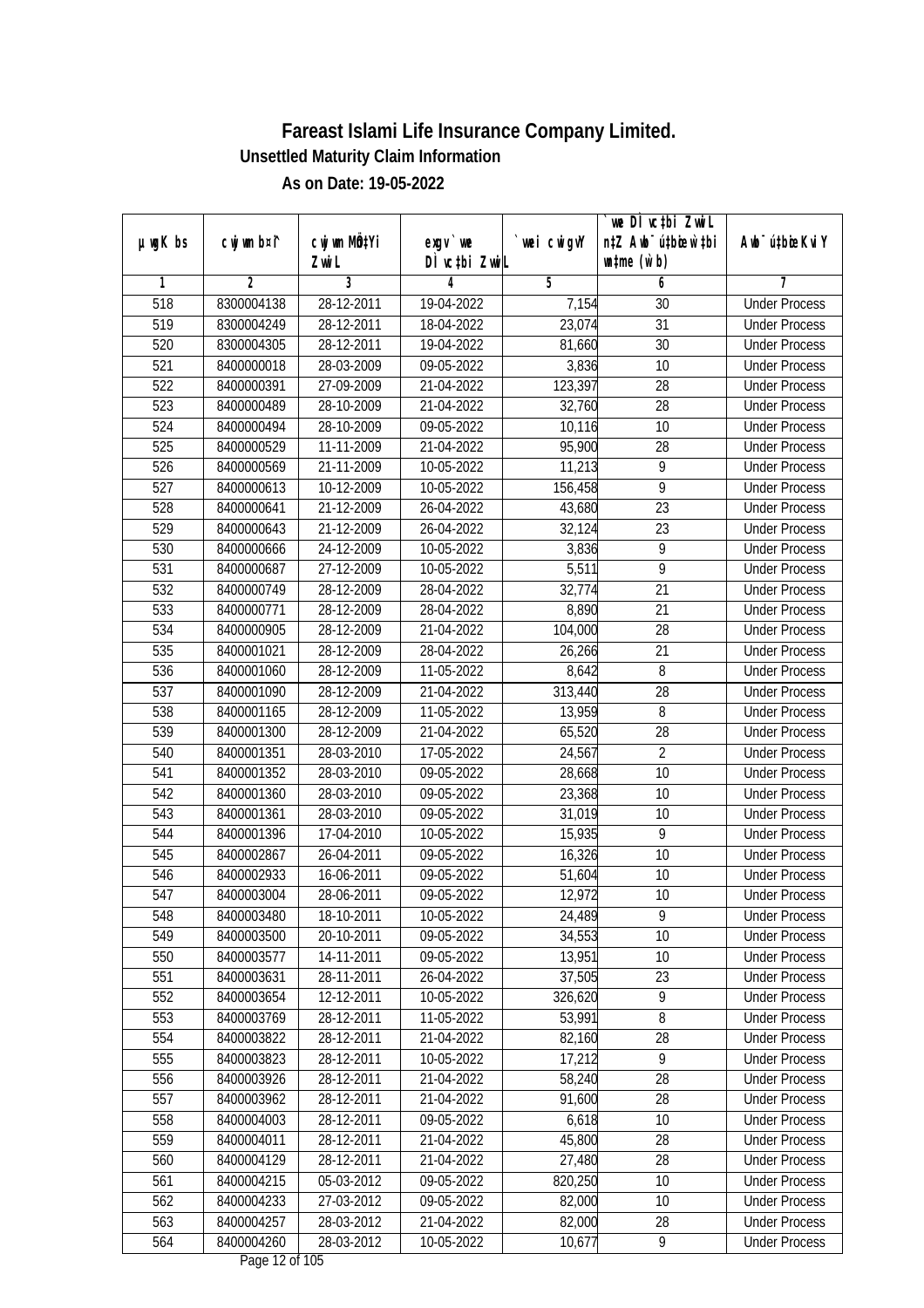|                  |             | cwj wm MQ <sup>1</sup> Yi |                                 |             | `we DÌ vc‡bi ZwiL<br>n‡Z Awb <sup>-</sup> ú‡bioar`‡bi |                             |
|------------------|-------------|---------------------------|---------------------------------|-------------|-------------------------------------------------------|-----------------------------|
| $µ$ ug $K$ bs    | cwj wm b¤i^ | Zwi L                     | $exgV$ we<br>DÌ vctbi ZwiL      | `wei cwigvY | $\n  untime\n  (u`b)\n$                               | Awb <sup>-</sup> ú‡bioeKviY |
| 1                | 2           | 3                         | 4                               | 5           | 6                                                     | 7                           |
| $\overline{518}$ | 8300004138  | 28-12-2011                | 19-04-2022                      | 7,154       | 30                                                    | <b>Under Process</b>        |
| 519              | 8300004249  | 28-12-2011                | 18-04-2022                      | 23,074      | 31                                                    | <b>Under Process</b>        |
| 520              | 8300004305  | 28-12-2011                | 19-04-2022                      | 81,660      | $\overline{30}$                                       | <b>Under Process</b>        |
| 521              | 8400000018  | 28-03-2009                | 09-05-2022                      | 3,836       | 10                                                    | <b>Under Process</b>        |
| 522              | 8400000391  | 27-09-2009                | 21-04-2022                      | 123,397     | 28                                                    | <b>Under Process</b>        |
| 523              | 8400000489  | 28-10-2009                | 21-04-2022                      | 32,760      | $\overline{28}$                                       | <b>Under Process</b>        |
| 524              | 8400000494  | 28-10-2009                | 09-05-2022                      | 10,116      | 10                                                    | <b>Under Process</b>        |
| 525              | 8400000529  | 11-11-2009                | 21-04-2022                      | 95,900      | $\overline{28}$                                       | <b>Under Process</b>        |
| 526              | 8400000569  | 21-11-2009                | 10-05-2022                      | 11,213      | 9                                                     | <b>Under Process</b>        |
| 527              | 8400000613  | 10-12-2009                | 10-05-2022                      | 156,458     | $\overline{9}$                                        | <b>Under Process</b>        |
| 528              | 8400000641  | 21-12-2009                | 26-04-2022                      | 43,680      | 23                                                    | <b>Under Process</b>        |
| 529              | 8400000643  | 21-12-2009                | 26-04-2022                      | 32,124      | 23                                                    | <b>Under Process</b>        |
| 530              | 8400000666  | 24-12-2009                | 10-05-2022                      | 3,836       | 9                                                     | <b>Under Process</b>        |
| 531              | 8400000687  | 27-12-2009                | 10-05-2022                      | 5,511       | $\overline{9}$                                        | <b>Under Process</b>        |
| 532              | 8400000749  | 28-12-2009                | 28-04-2022                      | 32,774      | 21                                                    | <b>Under Process</b>        |
| 533              | 8400000771  | 28-12-2009                | 28-04-2022                      | 8,890       | 21                                                    | <b>Under Process</b>        |
| 534              | 8400000905  | 28-12-2009                | 21-04-2022                      | 104,000     | 28                                                    | <b>Under Process</b>        |
| 535              | 8400001021  | 28-12-2009                | 28-04-2022                      | 26,266      | 21                                                    | <b>Under Process</b>        |
| 536              | 8400001060  | 28-12-2009                | 11-05-2022                      | 8,642       | 8                                                     | <b>Under Process</b>        |
| 537              | 8400001090  | 28-12-2009                | 21-04-2022                      | 313,440     | 28                                                    | <b>Under Process</b>        |
| 538              | 8400001165  | 28-12-2009                | 11-05-2022                      | 13,959      | 8                                                     | <b>Under Process</b>        |
| 539              | 8400001300  | 28-12-2009                | 21-04-2022                      | 65,520      | 28                                                    | <b>Under Process</b>        |
| 540              | 8400001351  | 28-03-2010                | 17-05-2022                      | 24,567      | $\overline{2}$                                        | <b>Under Process</b>        |
| 541              | 8400001352  | 28-03-2010                | 09-05-2022                      | 28,668      | 10                                                    | <b>Under Process</b>        |
| 542              | 8400001360  | 28-03-2010                | 09-05-2022                      | 23,368      | 10                                                    | <b>Under Process</b>        |
| 543              | 8400001361  | 28-03-2010                | 09-05-2022                      | 31,019      | 10                                                    | <b>Under Process</b>        |
| 544              | 8400001396  | 17-04-2010                | 10-05-2022                      | 15,935      | 9                                                     | <b>Under Process</b>        |
| 545              | 8400002867  | 26-04-2011                | 09-05-2022                      | 16,326      | 10                                                    | <b>Under Process</b>        |
| 546              | 8400002933  | 16-06-2011                | 09-05-2022                      | 51,604      | 10                                                    | <b>Under Process</b>        |
| 547              | 8400003004  | 28-06-2011                | 09-05-2022                      | 12,972      | 10                                                    | <b>Under Process</b>        |
| 548              | 8400003480  | 18-10-2011                | 10-05-2022                      | 24,489      | 9                                                     | <b>Under Process</b>        |
| 549              | 8400003500  | 20-10-2011                | 09-05-2022                      | 34,553      | 10                                                    | <b>Under Process</b>        |
| 550              | 8400003577  | 14-11-2011                | 09-05-2022                      | 13,951      | 10                                                    | <b>Under Process</b>        |
| 551              | 8400003631  | 28-11-2011                | 26-04-2022                      | 37,505      | 23                                                    | <b>Under Process</b>        |
| 552              | 8400003654  | 12-12-2011                | 10-05-2022                      | 326,620     | 9                                                     | <b>Under Process</b>        |
| 553              | 8400003769  | 28-12-2011                | 11-05-2022                      | 53,991      | 8                                                     | <b>Under Process</b>        |
| 554              | 8400003822  | 28-12-2011                | 21-04-2022                      | 82,160      | 28                                                    | <b>Under Process</b>        |
| 555              | 8400003823  | 28-12-2011                | 10-05-2022                      | 17,212      | 9                                                     | <b>Under Process</b>        |
| 556              | 8400003926  | 28-12-2011                | 21-04-2022                      | 58,240      | 28                                                    | <b>Under Process</b>        |
| 557              | 8400003962  | 28-12-2011                | 21-04-2022                      | 91,600      | 28                                                    | <b>Under Process</b>        |
| 558              | 8400004003  | 28-12-2011                | 09-05-2022                      | 6,618       | 10                                                    | <b>Under Process</b>        |
| 559              | 8400004011  | 28-12-2011                | 21-04-2022                      | 45,800      | 28                                                    | <b>Under Process</b>        |
| 560              | 8400004129  | 28-12-2011                | 21-04-2022                      | 27,480      | $\overline{28}$                                       | <b>Under Process</b>        |
| 561              | 8400004215  | 05-03-2012                | 09-05-2022                      | 820,250     | 10                                                    | <b>Under Process</b>        |
| 562              | 8400004233  | 27-03-2012                | 09-05-2022                      | 82,000      | 10                                                    | <b>Under Process</b>        |
| 563              | 8400004257  | 28-03-2012                | 21-04-2022                      | 82,000      | 28                                                    | <b>Under Process</b>        |
| 564              | 8400004260  | 28-03-2012                | 10-05-2022<br>Dege 12 of 10 $E$ | 10,677      | 9                                                     | <b>Under Process</b>        |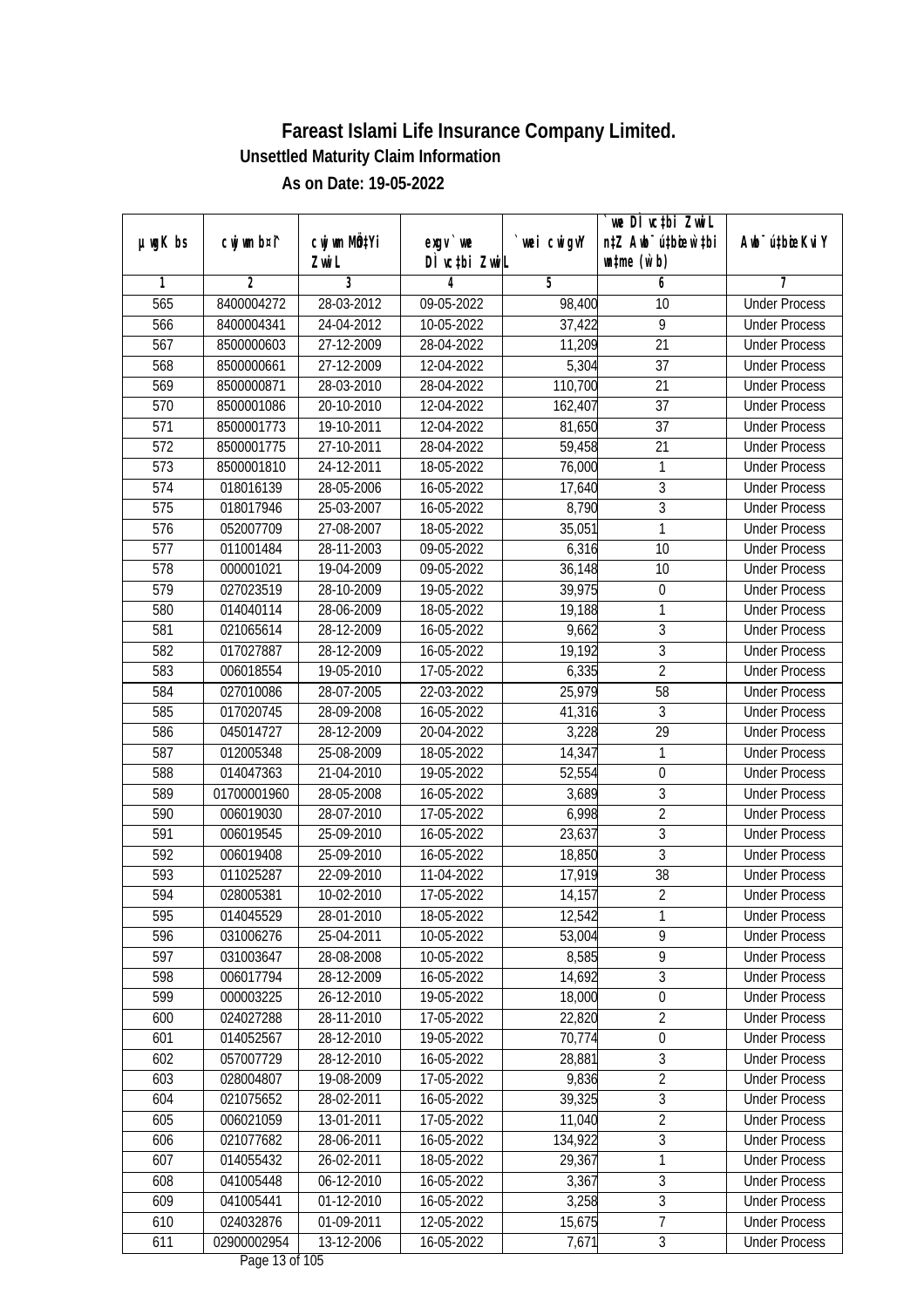|                  |                | cwj wm MQtYi     |                                  |             | we DI vctbi ZwiL<br>n‡Z Awb <sup>-</sup> ú‡bioen`‡bi | Awb <sup>-</sup> ú‡bioeKviY |
|------------------|----------------|------------------|----------------------------------|-------------|------------------------------------------------------|-----------------------------|
| $µ$ ug $K$ bs    | cwj wm b¤i^    | Zwi L            | $exgV$ we<br>DÌ vctbi ZwiL       | `wei cwigvY | $\n  untime\n  (u`b)\n$                              |                             |
| 1                | $\overline{2}$ | 3                | 4                                | 5           | 6                                                    | 7                           |
| 565              | 8400004272     | 28-03-2012       | 09-05-2022                       | 98,400      | 10                                                   | <b>Under Process</b>        |
| 566              | 8400004341     | 24-04-2012       | 10-05-2022                       | 37,422      | $\overline{9}$                                       | <b>Under Process</b>        |
| 567              | 8500000603     | 27-12-2009       | 28-04-2022                       | 11,209      | $\overline{21}$                                      | <b>Under Process</b>        |
| 568              | 8500000661     | 27-12-2009       | 12-04-2022                       | 5,304       | $\overline{37}$                                      | <b>Under Process</b>        |
| 569              | 8500000871     | 28-03-2010       | 28-04-2022                       | 110,700     | $\overline{21}$                                      | <b>Under Process</b>        |
| 570              | 8500001086     | 20-10-2010       | 12-04-2022                       | 162,407     | $\overline{37}$                                      | <b>Under Process</b>        |
| 571              | 8500001773     | 19-10-2011       | 12-04-2022                       | 81,650      | $\overline{37}$                                      | <b>Under Process</b>        |
| $\overline{572}$ | 8500001775     | 27-10-2011       | 28-04-2022                       | 59,458      | $\overline{21}$                                      | <b>Under Process</b>        |
| 573              | 8500001810     | 24-12-2011       | 18-05-2022                       | 76,000      | 1                                                    | <b>Under Process</b>        |
| 574              | 018016139      | 28-05-2006       | 16-05-2022                       | 17,640      | 3                                                    | <b>Under Process</b>        |
| $\overline{575}$ | 018017946      | 25-03-2007       | 16-05-2022                       | 8,790       | $\overline{3}$                                       | <b>Under Process</b>        |
| 576              | 052007709      | 27-08-2007       | 18-05-2022                       | 35,051      | 1                                                    | <b>Under Process</b>        |
| 577              | 011001484      | 28-11-2003       | 09-05-2022                       | 6,316       | $\overline{10}$                                      | <b>Under Process</b>        |
| 578              | 000001021      | 19-04-2009       | 09-05-2022                       | 36,148      | 10                                                   | <b>Under Process</b>        |
| 579              | 027023519      | 28-10-2009       | 19-05-2022                       | 39,975      | $\boldsymbol{0}$                                     | <b>Under Process</b>        |
| 580              | 014040114      | 28-06-2009       | 18-05-2022                       | 19,188      | 1                                                    | <b>Under Process</b>        |
| 581              | 021065614      | 28-12-2009       | 16-05-2022                       | 9,662       | 3                                                    | <b>Under Process</b>        |
| 582              | 017027887      | 28-12-2009       | 16-05-2022                       | 19,192      | $\overline{3}$                                       | <b>Under Process</b>        |
| 583              | 006018554      | 19-05-2010       | 17-05-2022                       | 6,335       | $\overline{2}$                                       | <b>Under Process</b>        |
| 584              | 027010086      | 28-07-2005       | 22-03-2022                       | 25,979      | 58                                                   | <b>Under Process</b>        |
| 585              | 017020745      | 28-09-2008       | 16-05-2022                       | 41,316      | 3                                                    | <b>Under Process</b>        |
| 586              | 045014727      | 28-12-2009       | 20-04-2022                       | 3,228       | 29                                                   | <b>Under Process</b>        |
| 587              | 012005348      | 25-08-2009       | 18-05-2022                       | 14,347      | 1                                                    | <b>Under Process</b>        |
| 588              | 014047363      | 21-04-2010       | 19-05-2022                       | 52,554      | $\boldsymbol{0}$                                     | <b>Under Process</b>        |
| 589              | 01700001960    | 28-05-2008       | 16-05-2022                       | 3,689       | 3                                                    | <b>Under Process</b>        |
| 590              | 006019030      | 28-07-2010       | 17-05-2022                       | 6,998       | $\overline{2}$                                       | <b>Under Process</b>        |
| 591              | 006019545      | 25-09-2010       | 16-05-2022                       | 23,637      | 3                                                    | <b>Under Process</b>        |
| 592              | 006019408      | 25-09-2010       | 16-05-2022                       | 18,850      | $\overline{3}$                                       | <b>Under Process</b>        |
| 593              | 011025287      | 22-09-2010       | 11-04-2022                       | 17,919      | 38                                                   | <b>Under Process</b>        |
| 594              | 028005381      | 10-02-2010       | 17-05-2022                       | 14,157      | $\overline{2}$                                       | <b>Under Process</b>        |
| 595              | 014045529      | 28-01-2010       | 18-05-2022                       | 12,542      | 1                                                    | <b>Under Process</b>        |
| 596              | 031006276      | 25-04-2011       | 10-05-2022                       | 53,004      | 9                                                    | <b>Under Process</b>        |
| 597              | 031003647      | 28-08-2008       | 10-05-2022                       | 8,585       | 9                                                    | <b>Under Process</b>        |
| 598              | 006017794      | 28-12-2009       | 16-05-2022                       | 14,692      | $\overline{3}$                                       | <b>Under Process</b>        |
| 599              | 000003225      | 26-12-2010       | 19-05-2022                       | 18,000      | $\boldsymbol{0}$                                     | <b>Under Process</b>        |
| 600              | 024027288      | 28-11-2010       | 17-05-2022                       | 22,820      | $\overline{2}$                                       | <b>Under Process</b>        |
| 601              | 014052567      | 28-12-2010       | 19-05-2022                       | 70,774      | $\boldsymbol{0}$                                     | <b>Under Process</b>        |
| 602              | 057007729      | 28-12-2010       | 16-05-2022                       | 28,881      | $\overline{3}$                                       | <b>Under Process</b>        |
| 603              | 028004807      | 19-08-2009       | 17-05-2022                       | 9,836       | $\overline{2}$                                       | <b>Under Process</b>        |
| 604              | 021075652      | 28-02-2011       | 16-05-2022                       | 39,325      | $\overline{3}$                                       | <b>Under Process</b>        |
| 605              | 006021059      | 13-01-2011       | 17-05-2022                       | 11,040      | $\overline{2}$                                       | <b>Under Process</b>        |
| 606              | 021077682      | 28-06-2011       | 16-05-2022                       | 134,922     | $\overline{3}$                                       | <b>Under Process</b>        |
| 607              | 014055432      | 26-02-2011       | 18-05-2022                       | 29,367      | 1                                                    | <b>Under Process</b>        |
| 608              | 041005448      | $06 - 12 - 2010$ | 16-05-2022                       | 3,367       | $\overline{3}$                                       | <b>Under Process</b>        |
| 609              | 041005441      | 01-12-2010       | 16-05-2022                       | 3,258       | $\overline{3}$                                       | <b>Under Process</b>        |
| 610              | 024032876      | 01-09-2011       | 12-05-2022                       | 15,675      | $\overline{7}$                                       | <b>Under Process</b>        |
| 611              | 02900002954    | 13-12-2006       | 16-05-2022<br>Dege $12$ of $10E$ | 7,671       | $\mathfrak{Z}$                                       | <b>Under Process</b>        |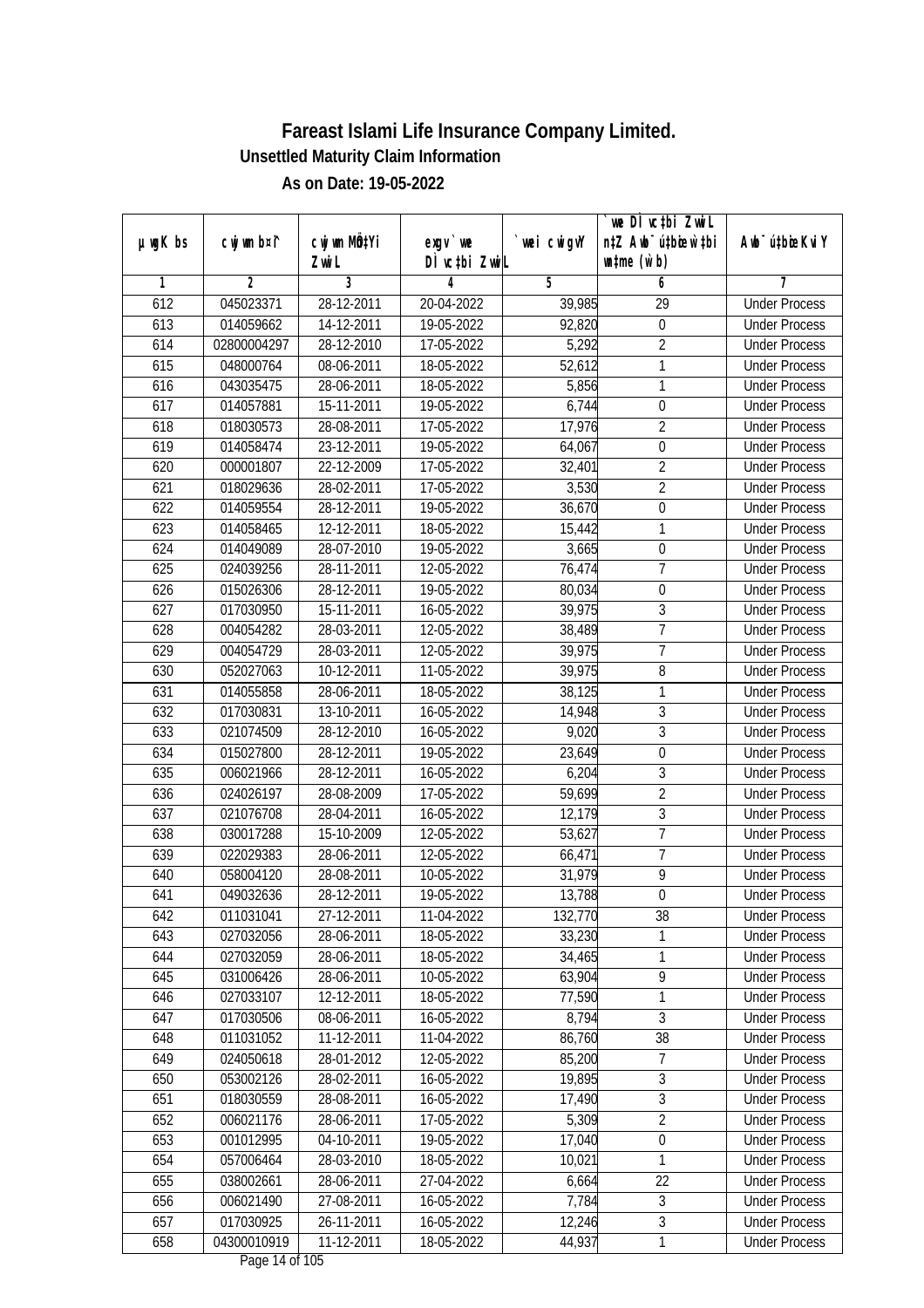|         |             |                     |                                       |             | we DI vctbi ZwiL                                            |                             |
|---------|-------------|---------------------|---------------------------------------|-------------|-------------------------------------------------------------|-----------------------------|
| µwgK bs | cwj wm b¤i^ | CW wm MQYi<br>Zwi L | $exqu$ we<br>DÌ vctbi ZwiL            | `wei cwigvY | n‡Z Awb <sup>-</sup> ú‡bioar`‡bi<br>$\n  untime\n  (u`b)\n$ | Awb <sup>-</sup> ú‡bioeKviY |
| 1       | 2           | $\overline{3}$      | 4                                     | 5           | 6                                                           | 7                           |
| 612     | 045023371   | 28-12-2011          | 20-04-2022                            | 39,985      | 29                                                          | <b>Under Process</b>        |
| 613     | 014059662   | 14-12-2011          | 19-05-2022                            | 92,820      | $\boldsymbol{0}$                                            | <b>Under Process</b>        |
| 614     | 02800004297 | 28-12-2010          | 17-05-2022                            | 5,292       | $\overline{2}$                                              | <b>Under Process</b>        |
| 615     | 048000764   | 08-06-2011          | 18-05-2022                            | 52,612      | 1                                                           | <b>Under Process</b>        |
| 616     | 043035475   | 28-06-2011          | 18-05-2022                            | 5,856       | 1                                                           | <b>Under Process</b>        |
| 617     | 014057881   | 15-11-2011          | 19-05-2022                            | 6,744       | $\boldsymbol{0}$                                            | <b>Under Process</b>        |
| 618     | 018030573   | 28-08-2011          | 17-05-2022                            | 17,976      | $\overline{2}$                                              | <b>Under Process</b>        |
| 619     | 014058474   | 23-12-2011          | 19-05-2022                            | 64,067      | $\overline{0}$                                              | <b>Under Process</b>        |
| 620     | 000001807   | 22-12-2009          | 17-05-2022                            | 32,401      | $\overline{2}$                                              | <b>Under Process</b>        |
| 621     | 018029636   | 28-02-2011          | 17-05-2022                            | 3,530       | $\overline{2}$                                              | <b>Under Process</b>        |
| 622     | 014059554   | 28-12-2011          | 19-05-2022                            | 36,670      | $\boldsymbol{0}$                                            | <b>Under Process</b>        |
| 623     | 014058465   | 12-12-2011          | 18-05-2022                            | 15,442      | 1                                                           | <b>Under Process</b>        |
| 624     | 014049089   | 28-07-2010          | 19-05-2022                            | 3,665       | $\pmb{0}$                                                   | <b>Under Process</b>        |
| 625     | 024039256   | 28-11-2011          | 12-05-2022                            | 76,474      | 7                                                           | <b>Under Process</b>        |
| 626     | 015026306   | $28-12-2011$        | 19-05-2022                            | 80,034      | $\mathbf 0$                                                 | <b>Under Process</b>        |
| 627     | 017030950   | 15-11-2011          | 16-05-2022                            | 39,975      | 3                                                           | <b>Under Process</b>        |
| 628     | 004054282   | 28-03-2011          | 12-05-2022                            | 38,489      | $\overline{7}$                                              | <b>Under Process</b>        |
| 629     | 004054729   | 28-03-2011          | 12-05-2022                            | 39,975      | $\overline{1}$                                              | <b>Under Process</b>        |
| 630     | 052027063   | 10-12-2011          | 11-05-2022                            | 39,975      | 8                                                           | <b>Under Process</b>        |
| 631     | 014055858   | 28-06-2011          | 18-05-2022                            | 38,125      | 1                                                           | <b>Under Process</b>        |
| 632     | 017030831   | 13-10-2011          | 16-05-2022                            | 14,948      | 3                                                           | <b>Under Process</b>        |
| 633     | 021074509   | 28-12-2010          | 16-05-2022                            | 9,020       | 3                                                           | <b>Under Process</b>        |
| 634     | 015027800   | 28-12-2011          | 19-05-2022                            | 23,649      | $\overline{0}$                                              | <b>Under Process</b>        |
| 635     | 006021966   | 28-12-2011          | 16-05-2022                            | 6,204       | $\overline{3}$                                              | <b>Under Process</b>        |
| 636     | 024026197   | 28-08-2009          | 17-05-2022                            | 59,699      | $\overline{2}$                                              | <b>Under Process</b>        |
| 637     | 021076708   | 28-04-2011          | 16-05-2022                            | 12,179      | $\overline{3}$                                              | <b>Under Process</b>        |
| 638     | 030017288   | 15-10-2009          | 12-05-2022                            | 53,627      | $\overline{1}$                                              | <b>Under Process</b>        |
| 639     | 022029383   | 28-06-2011          | 12-05-2022                            | 66,471      | $\overline{7}$                                              | <b>Under Process</b>        |
| 640     | 058004120   | 28-08-2011          | 10-05-2022                            | 31,979      | $\overline{9}$                                              | <b>Under Process</b>        |
| 641     | 049032636   | 28-12-2011          | 19-05-2022                            | 13,788      | $\boldsymbol{0}$                                            | <b>Under Process</b>        |
| 642     | 011031041   | 27-12-2011          | 11-04-2022                            | 132,770     | 38                                                          | <b>Under Process</b>        |
| 643     | 027032056   | 28-06-2011          | 18-05-2022                            | 33,230      | 1                                                           | <b>Under Process</b>        |
| 644     | 027032059   | 28-06-2011          | 18-05-2022                            | 34,465      | 1                                                           | <b>Under Process</b>        |
| 645     | 031006426   | 28-06-2011          | 10-05-2022                            | 63,904      | 9                                                           | <b>Under Process</b>        |
| 646     | 027033107   | 12-12-2011          | 18-05-2022                            | 77,590      | 1                                                           | <b>Under Process</b>        |
| 647     | 017030506   | 08-06-2011          | 16-05-2022                            | 8,794       | $\overline{3}$                                              | <b>Under Process</b>        |
| 648     | 011031052   | 11-12-2011          | 11-04-2022                            | 86,760      | 38                                                          | <b>Under Process</b>        |
| 649     | 024050618   | 28-01-2012          | 12-05-2022                            | 85,200      | 7                                                           | <b>Under Process</b>        |
| 650     | 053002126   | 28-02-2011          | 16-05-2022                            | 19,895      | 3                                                           | <b>Under Process</b>        |
| 651     | 018030559   | 28-08-2011          | 16-05-2022                            | 17,490      | $\overline{3}$                                              | <b>Under Process</b>        |
| 652     | 006021176   | 28-06-2011          | 17-05-2022                            | 5,309       | $\overline{2}$                                              | <b>Under Process</b>        |
| 653     | 001012995   | 04-10-2011          | 19-05-2022                            | 17,040      | $\overline{0}$                                              | <b>Under Process</b>        |
| 654     | 057006464   | 28-03-2010          | 18-05-2022                            | 10,021      | 1                                                           | <b>Under Process</b>        |
| 655     | 038002661   | 28-06-2011          | 27-04-2022                            | 6,664       | 22                                                          | <b>Under Process</b>        |
| 656     | 006021490   | 27-08-2011          | 16-05-2022                            | 7,784       | $\sqrt{3}$                                                  | <b>Under Process</b>        |
| 657     | 017030925   | 26-11-2011          | 16-05-2022                            | 12,246      | 3                                                           | <b>Under Process</b>        |
| 658     | 04300010919 | 11-12-2011          | 18-05-2022<br>$D_{0.92}$ 14 of 10 $E$ | 44,937      | 1                                                           | <b>Under Process</b>        |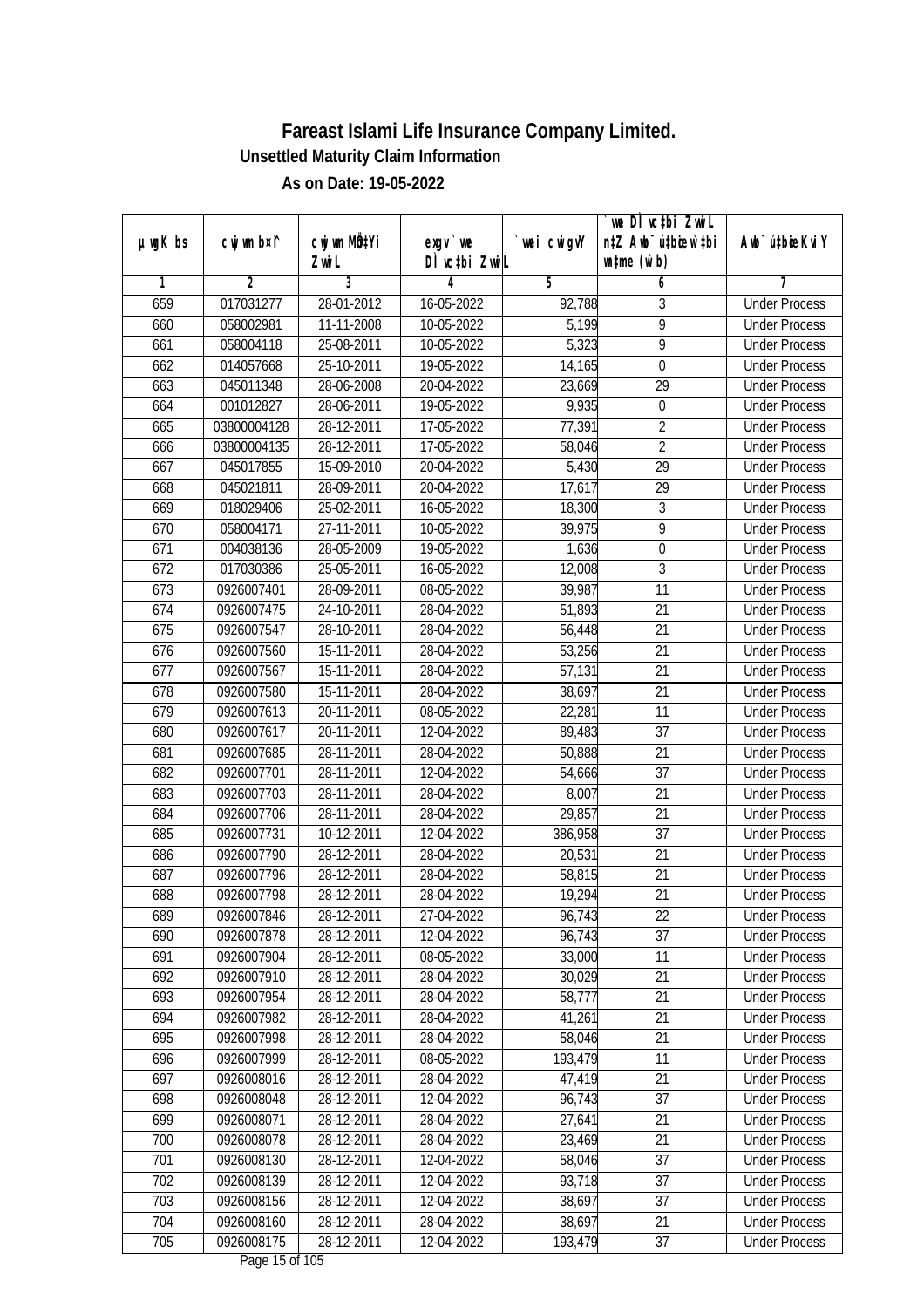|               |                        |                          |                                |                 | we DI vctbi ZwiL                 |                                              |
|---------------|------------------------|--------------------------|--------------------------------|-----------------|----------------------------------|----------------------------------------------|
| $µ$ ug $K$ bs | cwj wm b¤i^            | cwj wm MQtYi             | exqv `we                       | `wei cwigvY     | n‡Z Awb <sup>-</sup> ú‡bioar`‡bi | Awb <sup>-</sup> ú‡bioeKviY                  |
| 1             | $\overline{2}$         | Zwi L<br>3               | DÌ vctbi ZwiL<br>4             | 5               | $\n  untime\n  (u`b)\n$<br>6     | 7                                            |
| 659           | 017031277              | 28-01-2012               | 16-05-2022                     | 92,788          | 3                                | <b>Under Process</b>                         |
| 660           | 058002981              | 11-11-2008               | 10-05-2022                     | 5,199           | $\overline{9}$                   | <b>Under Process</b>                         |
| 661           | 058004118              | 25-08-2011               | 10-05-2022                     | 5,323           | $\overline{9}$                   | <b>Under Process</b>                         |
|               |                        |                          |                                |                 |                                  | <b>Under Process</b>                         |
| 662           | 014057668              | 25-10-2011               | 19-05-2022                     | 14,165          | 0<br>$\overline{29}$             | <b>Under Process</b>                         |
| 663<br>664    | 045011348<br>001012827 | 28-06-2008<br>28-06-2011 | 20-04-2022                     | 23,669<br>9,935 |                                  |                                              |
|               | 03800004128            | 28-12-2011               | 19-05-2022<br>$17 - 05 - 2022$ |                 | 0<br>$\overline{2}$              | <b>Under Process</b>                         |
| 665           | 03800004135            |                          |                                | 77,391          | $\overline{2}$                   | <b>Under Process</b><br><b>Under Process</b> |
| 666<br>667    | 045017855              | 28-12-2011<br>15-09-2010 | 17-05-2022<br>20-04-2022       | 58,046<br>5,430 | $\overline{29}$                  | <b>Under Process</b>                         |
|               |                        |                          |                                |                 |                                  |                                              |
| 668<br>669    | 045021811              | 28-09-2011               | 20-04-2022                     | 17,617          | 29                               | <b>Under Process</b>                         |
|               | 018029406              | 25-02-2011               | 16-05-2022                     | 18,300          | 3                                | <b>Under Process</b>                         |
| 670           | 058004171              | 27-11-2011               | 10-05-2022                     | 39,975          | 9                                | <b>Under Process</b>                         |
| 671           | 004038136              | 28-05-2009               | 19-05-2022                     | 1,636           | $\overline{0}$                   | <b>Under Process</b>                         |
| 672           | 017030386              | 25-05-2011               | 16-05-2022                     | 12,008          | $\overline{3}$                   | <b>Under Process</b>                         |
| 673           | 0926007401             | 28-09-2011               | 08-05-2022                     | 39,987          | 11                               | <b>Under Process</b>                         |
| 674           | 0926007475             | 24-10-2011               | 28-04-2022                     | 51,893          | 21                               | <b>Under Process</b>                         |
| 675           | 0926007547             | 28-10-2011               | 28-04-2022                     | 56,448          | 21                               | <b>Under Process</b>                         |
| 676           | 0926007560             | 15-11-2011               | 28-04-2022                     | 53,256          | 21                               | <b>Under Process</b>                         |
| 677           | 0926007567             | 15-11-2011               | 28-04-2022                     | 57,131          | 21                               | <b>Under Process</b>                         |
| 678           | 0926007580             | 15-11-2011               | 28-04-2022                     | 38,697          | 21                               | <b>Under Process</b>                         |
| 679           | 0926007613             | 20-11-2011               | 08-05-2022                     | 22,281          | 11                               | <b>Under Process</b>                         |
| 680           | 0926007617             | $20 - 11 - 2011$         | 12-04-2022                     | 89,483          | 37                               | <b>Under Process</b>                         |
| 681           | 0926007685             | 28-11-2011               | 28-04-2022                     | 50,888          | 21                               | <b>Under Process</b>                         |
| 682           | 0926007701             | 28-11-2011               | 12-04-2022                     | 54,666          | 37                               | <b>Under Process</b>                         |
| 683           | 0926007703             | 28-11-2011               | 28-04-2022                     | 8,007           | 21                               | <b>Under Process</b>                         |
| 684           | 0926007706             | 28-11-2011               | 28-04-2022                     | 29,857          | 21                               | <b>Under Process</b>                         |
| 685           | 0926007731             | 10-12-2011               | 12-04-2022                     | 386,958         | 37                               | <b>Under Process</b>                         |
| 686           | 0926007790             | 28-12-2011               | 28-04-2022                     | 20,531          | 21                               | <b>Under Process</b>                         |
| 687           | 0926007796             | 28-12-2011               | 28-04-2022                     | 58,815          | 21                               | <b>Under Process</b>                         |
| 688           | 0926007798             | 28-12-2011               | 28-04-2022                     | 19,294          | 21                               | <b>Under Process</b>                         |
| 689           | 0926007846             | 28-12-2011               | 27-04-2022                     | 96,743          | 22                               | <b>Under Process</b>                         |
| 690           | 0926007878             | 28-12-2011               | 12-04-2022                     | 96,743          | 37                               | <b>Under Process</b>                         |
| 691           | 0926007904             | 28-12-2011               | 08-05-2022                     | 33,000          | 11                               | <b>Under Process</b>                         |
| 692           | 0926007910             | 28-12-2011               | 28-04-2022                     | 30,029          | 21                               | <b>Under Process</b>                         |
| 693           | 0926007954             | 28-12-2011               | 28-04-2022                     | 58,777          | 21                               | <b>Under Process</b>                         |
| 694           | 0926007982             | 28-12-2011               | 28-04-2022                     | 41,261          | 21                               | <b>Under Process</b>                         |
| 695           | 0926007998             | 28-12-2011               | 28-04-2022                     | 58,046          | 21                               | <b>Under Process</b>                         |
| 696           | 0926007999             | 28-12-2011               | 08-05-2022                     | 193,479         | $\overline{11}$                  | <b>Under Process</b>                         |
| 697           | 0926008016             | 28-12-2011               | 28-04-2022                     | 47,419          | 21                               | <b>Under Process</b>                         |
| 698           | 0926008048             | 28-12-2011               | 12-04-2022                     | 96,743          | 37                               | <b>Under Process</b>                         |
| 699           | 0926008071             | 28-12-2011               | 28-04-2022                     | 27,641          | 21                               | <b>Under Process</b>                         |
| 700           | 0926008078             | 28-12-2011               | 28-04-2022                     | 23,469          | 21                               | <b>Under Process</b>                         |
| 701           | 0926008130             | 28-12-2011               | 12-04-2022                     | 58,046          | $\overline{37}$                  | <b>Under Process</b>                         |
| 702           | 0926008139             | 28-12-2011               | 12-04-2022                     | 93,718          | 37                               | <b>Under Process</b>                         |
| 703           | 0926008156             | 28-12-2011               | 12-04-2022                     | 38,697          | 37                               | <b>Under Process</b>                         |
| 704           | 0926008160             | 28-12-2011               | 28-04-2022                     | 38,697          | 21                               | <b>Under Process</b>                         |
| 705           | 0926008175             | 28-12-2011               | 12-04-2022                     | 193,479         | 37                               | <b>Under Process</b>                         |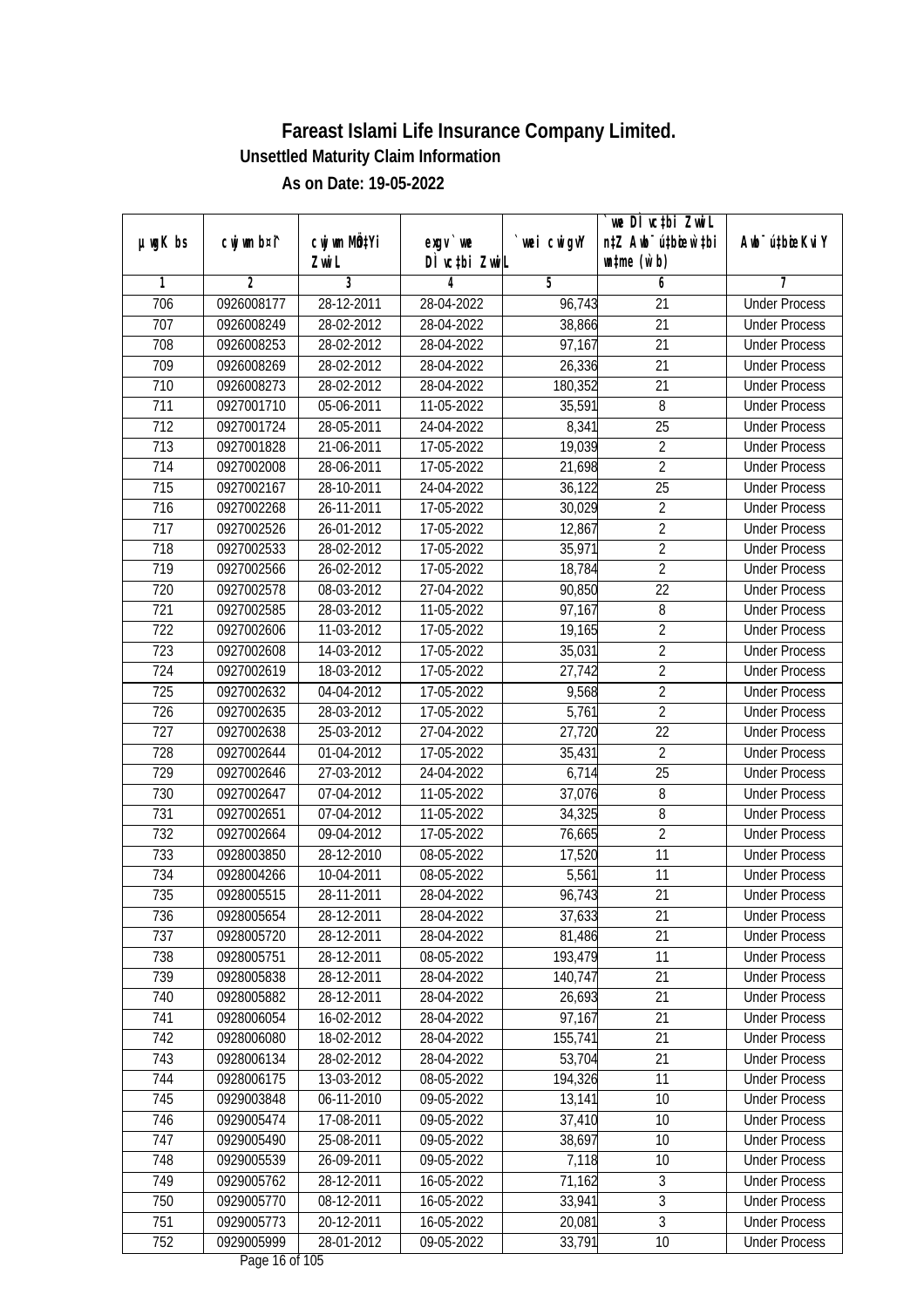|                  |             |                           |                                  |             | we DI vctbi ZwiL                 |                             |
|------------------|-------------|---------------------------|----------------------------------|-------------|----------------------------------|-----------------------------|
| $µ$ ug $K$ bs    | cwj wm b¤i^ | cwj wm MQ <sup>1</sup> Yi | $exgV$ we                        | `wei cwigvY | n‡Z Awb <sup>-</sup> ú‡bioen`‡bi | Awb <sup>-</sup> ú‡bioeKviY |
|                  |             | Zwi L                     | DÌ vctbi ZwiL                    |             | $\n  untime\n  (u`b)\n$          |                             |
| 1                | 2           | 3                         | 4                                | 5           | 6                                | 7                           |
| 706              | 0926008177  | 28-12-2011                | 28-04-2022                       | 96,743      | 21                               | <b>Under Process</b>        |
| 707              | 0926008249  | 28-02-2012                | 28-04-2022                       | 38,866      | $\overline{21}$                  | <b>Under Process</b>        |
| 708              | 0926008253  | 28-02-2012                | 28-04-2022                       | 97,167      | 21                               | <b>Under Process</b>        |
| 709              | 0926008269  | 28-02-2012                | 28-04-2022                       | 26,336      | $\overline{21}$                  | <b>Under Process</b>        |
| 710              | 0926008273  | $28 - 02 - 2012$          | 28-04-2022                       | 180,352     | 21                               | <b>Under Process</b>        |
| $\overline{711}$ | 0927001710  | 05-06-2011                | 11-05-2022                       | 35,591      | 8                                | <b>Under Process</b>        |
| $\overline{712}$ | 0927001724  | 28-05-2011                | 24-04-2022                       | 8,341       | $\overline{25}$                  | <b>Under Process</b>        |
| $\overline{713}$ | 0927001828  | 21-06-2011                | 17-05-2022                       | 19,039      | $\overline{2}$                   | <b>Under Process</b>        |
| 714              | 0927002008  | 28-06-2011                | 17-05-2022                       | 21,698      | $\overline{2}$                   | <b>Under Process</b>        |
| 715              | 0927002167  | 28-10-2011                | 24-04-2022                       | 36,122      | 25                               | <b>Under Process</b>        |
| 716              | 0927002268  | 26-11-2011                | 17-05-2022                       | 30,029      | $\overline{2}$                   | <b>Under Process</b>        |
| 717              | 0927002526  | 26-01-2012                | 17-05-2022                       | 12,867      | $\overline{2}$                   | <b>Under Process</b>        |
| 718              | 0927002533  | 28-02-2012                | 17-05-2022                       | 35,971      | $\overline{2}$                   | <b>Under Process</b>        |
| 719              | 0927002566  | 26-02-2012                | 17-05-2022                       | 18,784      | $\overline{2}$                   | <b>Under Process</b>        |
| 720              | 0927002578  | 08-03-2012                | 27-04-2022                       | 90,850      | 22                               | <b>Under Process</b>        |
| 721              | 0927002585  | 28-03-2012                | 11-05-2022                       | 97,167      | 8                                | <b>Under Process</b>        |
| 722              | 0927002606  | 11-03-2012                | 17-05-2022                       | 19,165      | $\overline{2}$                   | <b>Under Process</b>        |
| 723              | 0927002608  | 14-03-2012                | 17-05-2022                       | 35,031      | $\overline{2}$                   | <b>Under Process</b>        |
| 724              | 0927002619  | 18-03-2012                | 17-05-2022                       | 27,742      | $\overline{2}$                   | <b>Under Process</b>        |
| 725              | 0927002632  | 04-04-2012                | 17-05-2022                       | 9,568       | $\overline{2}$                   | <b>Under Process</b>        |
| 726              | 0927002635  | 28-03-2012                | 17-05-2022                       | 5,761       | $\overline{2}$                   | <b>Under Process</b>        |
| 727              | 0927002638  | 25-03-2012                | 27-04-2022                       | 27,720      | 22                               | <b>Under Process</b>        |
| 728              | 0927002644  | 01-04-2012                | 17-05-2022                       | 35,431      | $\overline{2}$                   | <b>Under Process</b>        |
| 729              | 0927002646  | 27-03-2012                | 24-04-2022                       | 6,714       | 25                               | <b>Under Process</b>        |
| 730              | 0927002647  | 07-04-2012                | 11-05-2022                       | 37,076      | 8                                | <b>Under Process</b>        |
| 731              | 0927002651  | 07-04-2012                | 11-05-2022                       | 34,325      | 8                                | <b>Under Process</b>        |
| 732              | 0927002664  | 09-04-2012                | 17-05-2022                       | 76,665      | $\overline{2}$                   | <b>Under Process</b>        |
| 733              | 0928003850  | 28-12-2010                | 08-05-2022                       | 17,520      | 11                               | <b>Under Process</b>        |
| 734              | 0928004266  | 10-04-2011                | 08-05-2022                       | 5,561       | 11                               | <b>Under Process</b>        |
| 735              | 0928005515  | 28-11-2011                | 28-04-2022                       | 96,743      | 21                               | <b>Under Process</b>        |
| 736              | 0928005654  | 28-12-2011                | 28-04-2022                       | 37,633      | 21                               | <b>Under Process</b>        |
| 737              | 0928005720  | 28-12-2011                | 28-04-2022                       | 81,486      | 21                               | <b>Under Process</b>        |
| 738              | 0928005751  | 28-12-2011                | 08-05-2022                       | 193,479     | 11                               | <b>Under Process</b>        |
| 739              | 0928005838  | 28-12-2011                | 28-04-2022                       | 140,747     | 21                               | <b>Under Process</b>        |
| 740              | 0928005882  | 28-12-2011                | 28-04-2022                       | 26,693      | 21                               | <b>Under Process</b>        |
| 741              | 0928006054  | 16-02-2012                | 28-04-2022                       | 97,167      | 21                               | <b>Under Process</b>        |
| 742              | 0928006080  | 18-02-2012                | 28-04-2022                       | 155,741     | 21                               | <b>Under Process</b>        |
| 743              | 0928006134  | 28-02-2012                | 28-04-2022                       | 53,704      | 21                               | <b>Under Process</b>        |
| 744              | 0928006175  | 13-03-2012                | 08-05-2022                       | 194,326     | 11                               | <b>Under Process</b>        |
| 745              | 0929003848  | 06-11-2010                | 09-05-2022                       | 13,141      | 10                               | <b>Under Process</b>        |
| 746              | 0929005474  | 17-08-2011                | 09-05-2022                       | 37,410      | 10                               | <b>Under Process</b>        |
| 747              | 0929005490  | 25-08-2011                | 09-05-2022                       | 38,697      | 10                               | <b>Under Process</b>        |
| 748              | 0929005539  | 26-09-2011                | $09 - 05 - 2022$                 | 7,118       | $\overline{10}$                  | <b>Under Process</b>        |
| 749              | 0929005762  | 28-12-2011                | 16-05-2022                       | 71,162      | 3                                | <b>Under Process</b>        |
| 750              | 0929005770  | 08-12-2011                | 16-05-2022                       | 33,941      | $\overline{3}$                   | <b>Under Process</b>        |
| 751              | 0929005773  | 20-12-2011                | 16-05-2022                       | 20,081      | $\overline{3}$                   | <b>Under Process</b>        |
| 752              | 0929005999  | 28-01-2012                | 09-05-2022<br>Dogs $16$ of $105$ | 33,791      | 10                               | <b>Under Process</b>        |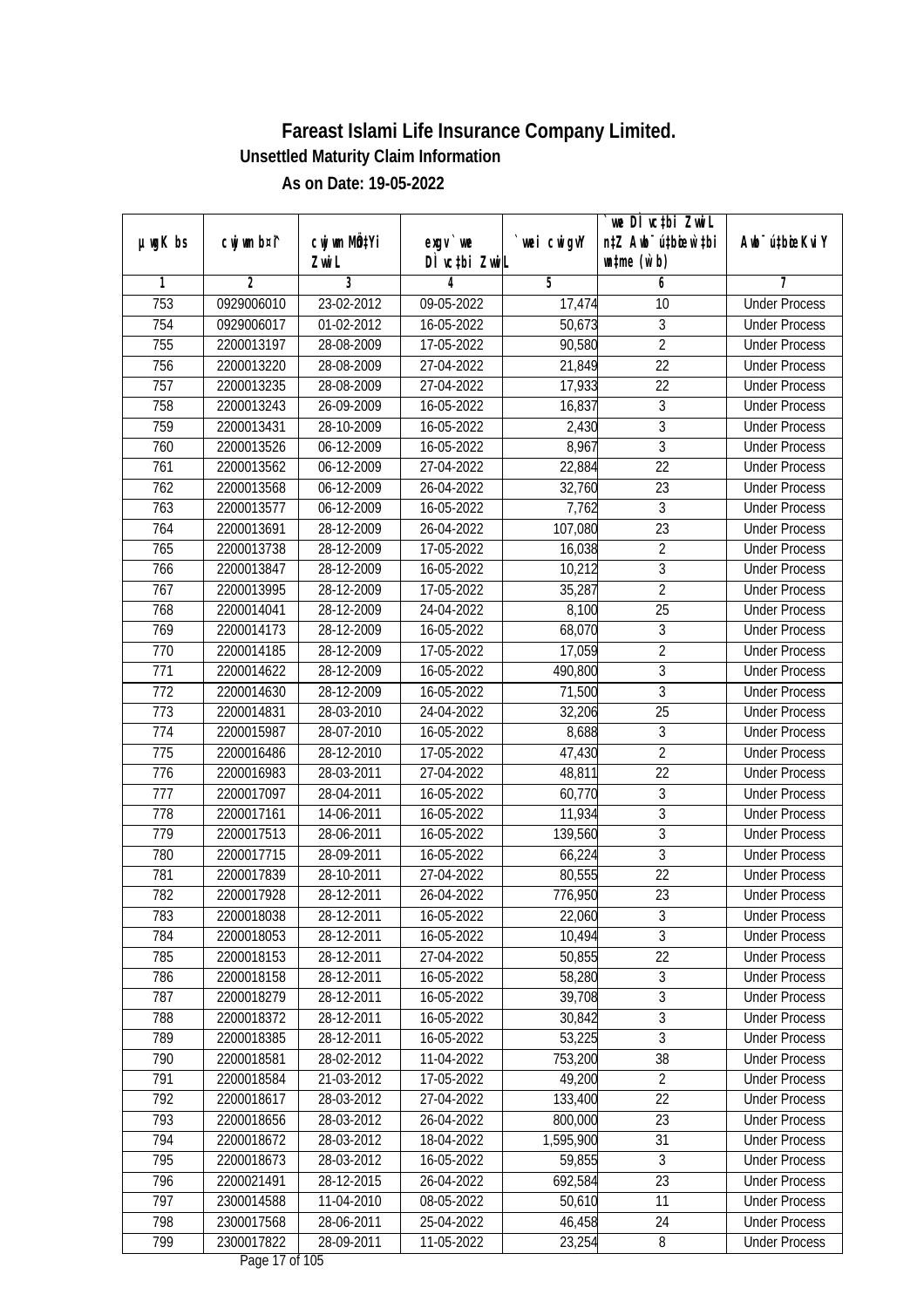|               |                              |                  |                 |            | we DI vctbi Zwil                 |                             |
|---------------|------------------------------|------------------|-----------------|------------|----------------------------------|-----------------------------|
| $µ$ ug $K$ bs | cwj wm b¤i^                  | cwj wm MQtYi     | $exgv$ we       | wei cwigvY | n‡Z Awb <sup>-</sup> ú‡biosw`‡bi | Awb <sup>-</sup> ú‡bioeKviY |
|               |                              | Zwi L            | DÌ vctbi ZwiL   |            | $\n  untime\n  (u`b)\n$          |                             |
| 1             | $\overline{2}$<br>0929006010 | 3                | 4<br>09-05-2022 | 5          | 6                                | 7                           |
| 753           |                              | 23-02-2012       |                 | 17,474     | 10                               | <b>Under Process</b>        |
| 754           | 0929006017                   | 01-02-2012       | 16-05-2022      | 50,673     | 3                                | <b>Under Process</b>        |
| 755           | 2200013197                   | 28-08-2009       | 17-05-2022      | 90,580     | $\overline{2}$                   | <b>Under Process</b>        |
| 756           | 2200013220                   | 28-08-2009       | 27-04-2022      | 21,849     | 22                               | <b>Under Process</b>        |
| 757           | 2200013235                   | 28-08-2009       | 27-04-2022      | 17,933     | $\overline{22}$                  | <b>Under Process</b>        |
| 758           | 2200013243                   | 26-09-2009       | 16-05-2022      | 16,837     | $\mathfrak{Z}$                   | <b>Under Process</b>        |
| 759           | 2200013431                   | 28-10-2009       | 16-05-2022      | 2,430      | $\overline{3}$                   | <b>Under Process</b>        |
| 760           | 2200013526                   | 06-12-2009       | 16-05-2022      | 8,967      | $\overline{3}$                   | <b>Under Process</b>        |
| 761           | 2200013562                   | 06-12-2009       | 27-04-2022      | 22,884     | $\overline{22}$                  | <b>Under Process</b>        |
| 762           | 2200013568                   | $06 - 12 - 2009$ | 26-04-2022      | 32,760     | 23                               | <b>Under Process</b>        |
| 763           | 2200013577                   | 06-12-2009       | 16-05-2022      | 7,762      | $\overline{3}$                   | <b>Under Process</b>        |
| 764           | 2200013691                   | 28-12-2009       | 26-04-2022      | 107,080    | 23                               | <b>Under Process</b>        |
| 765           | 2200013738                   | 28-12-2009       | 17-05-2022      | 16,038     | $\overline{2}$                   | <b>Under Process</b>        |
| 766           | 2200013847                   | 28-12-2009       | 16-05-2022      | 10,212     | $\sqrt{3}$                       | <b>Under Process</b>        |
| 767           | 2200013995                   | 28-12-2009       | 17-05-2022      | 35,287     | $\overline{2}$                   | <b>Under Process</b>        |
| 768           | 2200014041                   | 28-12-2009       | 24-04-2022      | 8,100      | 25                               | <b>Under Process</b>        |
| 769           | 2200014173                   | 28-12-2009       | 16-05-2022      | 68,070     | $\mathfrak z$                    | <b>Under Process</b>        |
| 770           | 2200014185                   | 28-12-2009       | 17-05-2022      | 17,059     | $\overline{2}$                   | <b>Under Process</b>        |
| 771           | 2200014622                   | 28-12-2009       | 16-05-2022      | 490,800    | $\mathfrak{Z}$                   | <b>Under Process</b>        |
| 772           | 2200014630                   | 28-12-2009       | 16-05-2022      | 71,500     | $\mathfrak{Z}$                   | <b>Under Process</b>        |
| 773           | 2200014831                   | 28-03-2010       | 24-04-2022      | 32,206     | 25                               | <b>Under Process</b>        |
| 774           | 2200015987                   | 28-07-2010       | 16-05-2022      | 8,688      | 3                                | <b>Under Process</b>        |
| 775           | 2200016486                   | 28-12-2010       | 17-05-2022      | 47,430     | $\overline{2}$                   | <b>Under Process</b>        |
| 776           | 2200016983                   | 28-03-2011       | 27-04-2022      | 48,811     | 22                               | <b>Under Process</b>        |
| 777           | 2200017097                   | 28-04-2011       | 16-05-2022      | 60,770     | $\sqrt{3}$                       | <b>Under Process</b>        |
| 778           | 2200017161                   | 14-06-2011       | 16-05-2022      | 11,934     | $\overline{3}$                   | <b>Under Process</b>        |
| 779           | 2200017513                   | 28-06-2011       | 16-05-2022      | 139,560    | 3                                | <b>Under Process</b>        |
| 780           | 2200017715                   | 28-09-2011       | 16-05-2022      | 66,224     | 3                                | <b>Under Process</b>        |
| 781           | 2200017839                   | 28-10-2011       | 27-04-2022      | 80,555     | 22                               | <b>Under Process</b>        |
| 782           | 2200017928                   | 28-12-2011       | 26-04-2022      | 776,950    | 23                               | <b>Under Process</b>        |
| 783           | 2200018038                   | 28-12-2011       | 16-05-2022      | 22,060     | 3                                | <b>Under Process</b>        |
| 784           | 2200018053                   | 28-12-2011       | 16-05-2022      | 10,494     | $\overline{3}$                   | <b>Under Process</b>        |
| 785           | 2200018153                   | 28-12-2011       | 27-04-2022      | 50,855     | 22                               | <b>Under Process</b>        |
| 786           | 2200018158                   | 28-12-2011       | 16-05-2022      | 58,280     | $\overline{3}$                   | <b>Under Process</b>        |
| 787           | 2200018279                   | 28-12-2011       | 16-05-2022      | 39,708     | $\overline{3}$                   | <b>Under Process</b>        |
| 788           | 2200018372                   | 28-12-2011       | 16-05-2022      | 30,842     | $\overline{3}$                   | <b>Under Process</b>        |
| 789           | 2200018385                   | 28-12-2011       | 16-05-2022      | 53,225     | $\overline{3}$                   | <b>Under Process</b>        |
| 790           | 2200018581                   | 28-02-2012       | 11-04-2022      | 753,200    | 38                               | <b>Under Process</b>        |
| 791           | 2200018584                   | 21-03-2012       | 17-05-2022      | 49,200     | $\overline{2}$                   | <b>Under Process</b>        |
| 792           | 2200018617                   | 28-03-2012       | 27-04-2022      | 133,400    | 22                               | <b>Under Process</b>        |
| 793           | 2200018656                   | 28-03-2012       | 26-04-2022      | 800,000    | 23                               | <b>Under Process</b>        |
| 794           | 2200018672                   | 28-03-2012       | 18-04-2022      | 1,595,900  | $\overline{31}$                  | <b>Under Process</b>        |
| 795           | 2200018673                   | 28-03-2012       | 16-05-2022      | 59,855     | 3                                | <b>Under Process</b>        |
| 796           | 2200021491                   | $28-12-2015$     | 26-04-2022      | 692,584    | $\overline{23}$                  | <b>Under Process</b>        |
| 797           | 2300014588                   | 11-04-2010       | 08-05-2022      | 50,610     | 11                               | <b>Under Process</b>        |
| 798           | 2300017568                   | 28-06-2011       | 25-04-2022      | 46,458     | 24                               | <b>Under Process</b>        |
| 799           | 2300017822                   | 28-09-2011       | 11-05-2022      | 23,254     | 8                                | <b>Under Process</b>        |
|               |                              |                  |                 |            |                                  |                             |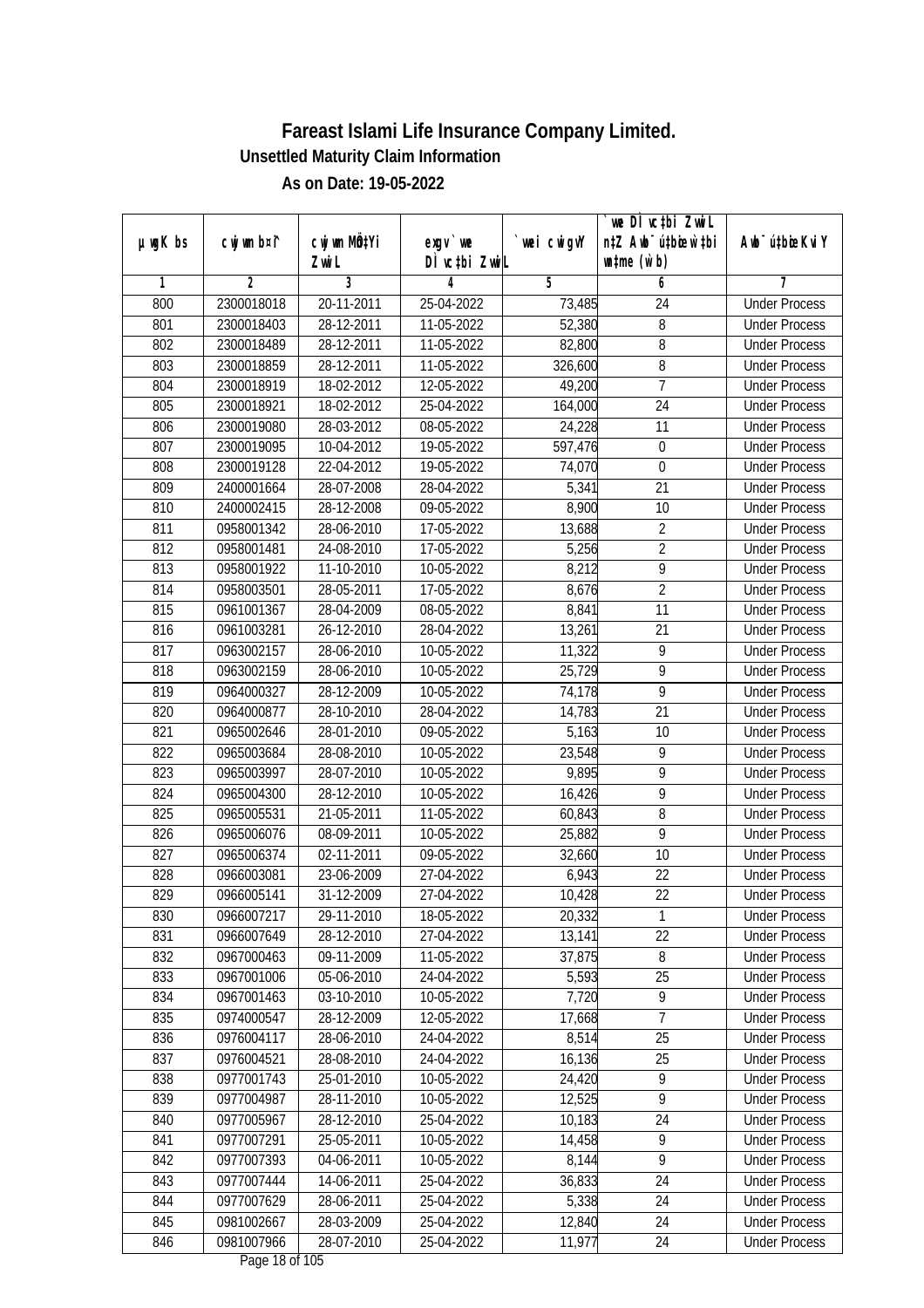|               |                |                                    |                                        |                | we DI vctbi ZwiL                                            |                             |
|---------------|----------------|------------------------------------|----------------------------------------|----------------|-------------------------------------------------------------|-----------------------------|
| $µ$ ug $K$ bs | cwj wm b¤i^    | cwj wm MQ <sup>1</sup> Yi<br>Zwi L | $exgV$ we<br>DÌ vctbi ZwiL             | `wei cwigvY    | n‡Z Awb <sup>-</sup> ú‡bioar`‡bi<br>$\n  untime\n  (u`b)\n$ | Awb <sup>-</sup> ú‡bioeKviY |
| 1             | $\overline{2}$ | 3                                  | 4                                      | $\overline{5}$ | 6                                                           | 7                           |
| 800           | 2300018018     | 20-11-2011                         | 25-04-2022                             | 73,485         | 24                                                          | <b>Under Process</b>        |
| 801           | 2300018403     | 28-12-2011                         | 11-05-2022                             | 52,380         | $\overline{8}$                                              | <b>Under Process</b>        |
| 802           | 2300018489     | 28-12-2011                         | 11-05-2022                             | 82,800         | $\overline{8}$                                              | <b>Under Process</b>        |
| 803           | 2300018859     | 28-12-2011                         | 11-05-2022                             | 326,600        | 8                                                           | <b>Under Process</b>        |
| 804           | 2300018919     | 18-02-2012                         | 12-05-2022                             | 49,200         | $\overline{7}$                                              | <b>Under Process</b>        |
| 805           | 2300018921     | 18-02-2012                         | 25-04-2022                             | 164,000        | $\overline{24}$                                             | <b>Under Process</b>        |
| 806           | 2300019080     | 28-03-2012                         | 08-05-2022                             | 24,228         | $\overline{11}$                                             | <b>Under Process</b>        |
| 807           | 2300019095     | 10-04-2012                         | 19-05-2022                             | 597,476        | $\boldsymbol{0}$                                            | <b>Under Process</b>        |
| 808           | 2300019128     | 22-04-2012                         | 19-05-2022                             | 74,070         | $\boldsymbol{0}$                                            | <b>Under Process</b>        |
| 809           | 2400001664     | 28-07-2008                         | 28-04-2022                             | 5,341          | 21                                                          | <b>Under Process</b>        |
| 810           | 2400002415     | 28-12-2008                         | 09-05-2022                             | 8,900          | $\overline{10}$                                             | <b>Under Process</b>        |
| 811           | 0958001342     | 28-06-2010                         | 17-05-2022                             | 13,688         | $\overline{2}$                                              | <b>Under Process</b>        |
| 812           | 0958001481     | 24-08-2010                         | 17-05-2022                             | 5,256          | $\overline{2}$                                              | <b>Under Process</b>        |
| 813           | 0958001922     | 11-10-2010                         | 10-05-2022                             | 8,212          | 9                                                           | <b>Under Process</b>        |
| 814           | 0958003501     | 28-05-2011                         | 17-05-2022                             | 8,676          | $\overline{2}$                                              | <b>Under Process</b>        |
| 815           | 0961001367     | 28-04-2009                         | 08-05-2022                             | 8,841          | 11                                                          | <b>Under Process</b>        |
| 816           | 0961003281     | 26-12-2010                         | 28-04-2022                             | 13,261         | 21                                                          | <b>Under Process</b>        |
| 817           | 0963002157     | 28-06-2010                         | 10-05-2022                             | 11,322         | 9                                                           | <b>Under Process</b>        |
| 818           | 0963002159     | 28-06-2010                         | 10-05-2022                             | 25,729         | $\overline{9}$                                              | <b>Under Process</b>        |
| 819           | 0964000327     | 28-12-2009                         | 10-05-2022                             | 74,178         | 9                                                           | <b>Under Process</b>        |
| 820           | 0964000877     | 28-10-2010                         | 28-04-2022                             | 14,783         | 21                                                          | <b>Under Process</b>        |
| 821           | 0965002646     | 28-01-2010                         | 09-05-2022                             | 5,163          | 10                                                          | <b>Under Process</b>        |
| 822           | 0965003684     | 28-08-2010                         | 10-05-2022                             | 23,548         | 9                                                           | <b>Under Process</b>        |
| 823           | 0965003997     | 28-07-2010                         | 10-05-2022                             | 9,895          | 9                                                           | <b>Under Process</b>        |
| 824           | 0965004300     | 28-12-2010                         | 10-05-2022                             | 16,426         | 9                                                           | <b>Under Process</b>        |
| 825           | 0965005531     | 21-05-2011                         | 11-05-2022                             | 60,843         | 8                                                           | <b>Under Process</b>        |
| 826           | 0965006076     | 08-09-2011                         | 10-05-2022                             | 25,882         | 9                                                           | <b>Under Process</b>        |
| 827           | 0965006374     | 02-11-2011                         | 09-05-2022                             | 32,660         | 10                                                          | <b>Under Process</b>        |
| 828           | 0966003081     | 23-06-2009                         | 27-04-2022                             | 6,943          | 22                                                          | <b>Under Process</b>        |
| 829           | 0966005141     | 31-12-2009                         | 27-04-2022                             | 10,428         | 22                                                          | <b>Under Process</b>        |
| 830           | 0966007217     | 29-11-2010                         | 18-05-2022                             | 20,332         | 1                                                           | <b>Under Process</b>        |
| 831           | 0966007649     | 28-12-2010                         | 27-04-2022                             | 13,141         | 22                                                          | <b>Under Process</b>        |
| 832           | 0967000463     | 09-11-2009                         | 11-05-2022                             | 37,875         | 8                                                           | <b>Under Process</b>        |
| 833           | 0967001006     | 05-06-2010                         | 24-04-2022                             | 5,593          | 25                                                          | <b>Under Process</b>        |
| 834           | 0967001463     | 03-10-2010                         | 10-05-2022                             | 7,720          | 9                                                           | <b>Under Process</b>        |
| 835           | 0974000547     | 28-12-2009                         | 12-05-2022                             | 17,668         | 7                                                           | <b>Under Process</b>        |
| 836           | 0976004117     | 28-06-2010                         | 24-04-2022                             | 8,514          | 25                                                          | <b>Under Process</b>        |
| 837           | 0976004521     | 28-08-2010                         | 24-04-2022                             | 16,136         | 25                                                          | <b>Under Process</b>        |
| 838           | 0977001743     | 25-01-2010                         | 10-05-2022                             | 24,420         | $\overline{9}$                                              | <b>Under Process</b>        |
| 839           | 0977004987     | 28-11-2010                         | 10-05-2022                             | 12,525         | $\overline{9}$                                              | <b>Under Process</b>        |
| 840           | 0977005967     | 28-12-2010                         | 25-04-2022                             | 10,183         | 24                                                          | <b>Under Process</b>        |
| 841           | 0977007291     | 25-05-2011                         | 10-05-2022                             | 14,458         | $\overline{9}$                                              | <b>Under Process</b>        |
| 842           | 0977007393     | 04-06-2011                         | 10-05-2022                             | 8,144          | $\overline{9}$                                              | <b>Under Process</b>        |
| 843           | 0977007444     | 14-06-2011                         | 25-04-2022                             | 36,833         | 24                                                          | <b>Under Process</b>        |
| 844           | 0977007629     | 28-06-2011                         | 25-04-2022                             | 5,338          | 24                                                          | <b>Under Process</b>        |
| 845           | 0981002667     | 28-03-2009                         | 25-04-2022                             | 12,840         | 24                                                          | <b>Under Process</b>        |
| 846           | 0981007966     | 28-07-2010                         | 25-04-2022<br>Dega $10 \text{ of } 10$ | 11,977         | 24                                                          | <b>Under Process</b>        |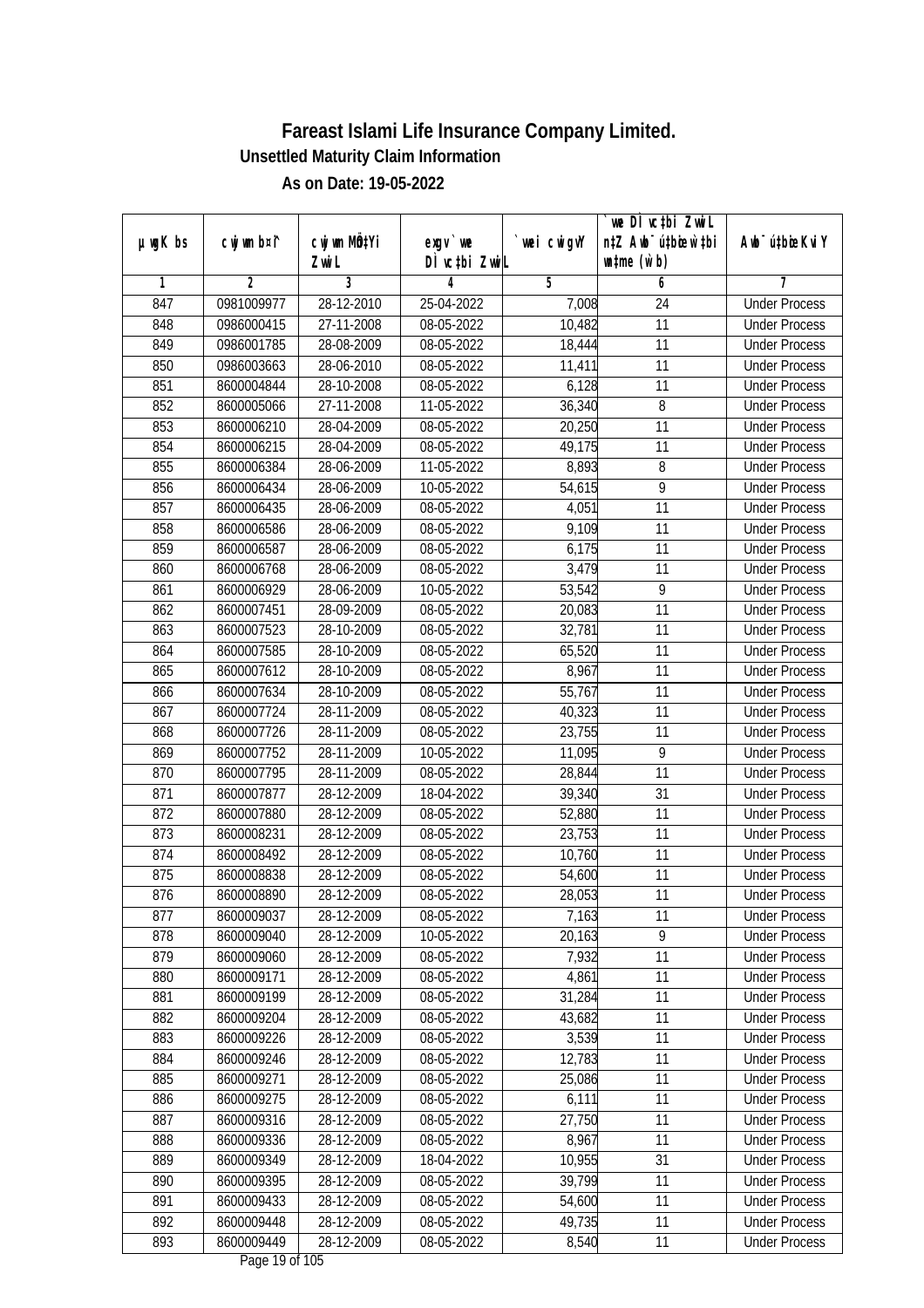|               |                |                       |                            |             | we DI vctbi Zwil                                            |                             |
|---------------|----------------|-----------------------|----------------------------|-------------|-------------------------------------------------------------|-----------------------------|
| $µ$ ug $K$ bs | cwj wm b¤i^    | cwj wm MQtYi<br>Zwi L | $exgV$ we<br>DÌ vctbi ZwiL | `wei cwigvY | n‡Z Awb <sup>-</sup> ú‡bioar`‡bi<br>$\n  untime\n  (u`b)\n$ | Awb <sup>-</sup> ú‡bioeKviY |
| 1             | $\overline{2}$ | 3                     | 4                          | 5           | 6                                                           | 7                           |
| 847           | 0981009977     | $28 - 12 - 2010$      | 25-04-2022                 | 7,008       | $\overline{24}$                                             | <b>Under Process</b>        |
| 848           | 0986000415     | 27-11-2008            | 08-05-2022                 | 10,482      | $\overline{11}$                                             | <b>Under Process</b>        |
| 849           | 0986001785     | 28-08-2009            | 08-05-2022                 | 18,444      | $\overline{11}$                                             | <b>Under Process</b>        |
| 850           | 0986003663     | 28-06-2010            | 08-05-2022                 | 11,411      | 11                                                          | <b>Under Process</b>        |
| 851           | 8600004844     | 28-10-2008            | 08-05-2022                 | 6,128       | $\overline{11}$                                             | <b>Under Process</b>        |
| 852           | 8600005066     | 27-11-2008            | 11-05-2022                 | 36,340      | 8                                                           | <b>Under Process</b>        |
| 853           | 8600006210     | 28-04-2009            | $08-05-2022$               | 20,250      | $\overline{11}$                                             | <b>Under Process</b>        |
| 854           | 8600006215     | 28-04-2009            | 08-05-2022                 | 49,175      | 11                                                          | <b>Under Process</b>        |
| 855           | 8600006384     | 28-06-2009            | 11-05-2022                 | 8,893       | 8                                                           | <b>Under Process</b>        |
| 856           | 8600006434     | 28-06-2009            | 10-05-2022                 | 54,615      | $\overline{9}$                                              | <b>Under Process</b>        |
| 857           | 8600006435     | 28-06-2009            | 08-05-2022                 | 4,051       | $\overline{11}$                                             | <b>Under Process</b>        |
| 858           | 8600006586     | 28-06-2009            | 08-05-2022                 | 9,109       | 11                                                          | <b>Under Process</b>        |
| 859           | 8600006587     | 28-06-2009            | 08-05-2022                 | 6,175       | $\overline{11}$                                             | <b>Under Process</b>        |
| 860           | 8600006768     | 28-06-2009            | 08-05-2022                 | 3,479       | 11                                                          | <b>Under Process</b>        |
| 861           | 8600006929     | 28-06-2009            | 10-05-2022                 | 53,542      | 9                                                           | <b>Under Process</b>        |
| 862           | 8600007451     | 28-09-2009            | 08-05-2022                 | 20,083      | 11                                                          | <b>Under Process</b>        |
| 863           | 8600007523     | 28-10-2009            | 08-05-2022                 | 32,781      | 11                                                          | <b>Under Process</b>        |
| 864           | 8600007585     | 28-10-2009            | 08-05-2022                 | 65,520      | 11                                                          | <b>Under Process</b>        |
| 865           | 8600007612     | 28-10-2009            | 08-05-2022                 | 8,967       | 11                                                          | <b>Under Process</b>        |
| 866           | 8600007634     | 28-10-2009            | 08-05-2022                 | 55,767      | 11                                                          | <b>Under Process</b>        |
| 867           | 8600007724     | 28-11-2009            | 08-05-2022                 | 40,323      | 11                                                          | <b>Under Process</b>        |
| 868           | 8600007726     | 28-11-2009            | 08-05-2022                 | 23,755      | 11                                                          | <b>Under Process</b>        |
| 869           | 8600007752     | 28-11-2009            | 10-05-2022                 | 11,095      | $\overline{9}$                                              | <b>Under Process</b>        |
| 870           | 8600007795     | 28-11-2009            | 08-05-2022                 | 28,844      | 11                                                          | <b>Under Process</b>        |
| 871           | 8600007877     | 28-12-2009            | 18-04-2022                 | 39,340      | 31                                                          | <b>Under Process</b>        |
| 872           | 8600007880     | 28-12-2009            | 08-05-2022                 | 52,880      | 11                                                          | <b>Under Process</b>        |
| 873           | 8600008231     | 28-12-2009            | 08-05-2022                 | 23,753      | 11                                                          | <b>Under Process</b>        |
| 874           | 8600008492     | 28-12-2009            | 08-05-2022                 | 10,760      | 11                                                          | <b>Under Process</b>        |
| 875           | 8600008838     | 28-12-2009            | 08-05-2022                 | 54,600      | 11                                                          | <b>Under Process</b>        |
| 876           | 8600008890     | 28-12-2009            | 08-05-2022                 | 28,053      | 11                                                          | <b>Under Process</b>        |
| 877           | 8600009037     | 28-12-2009            | 08-05-2022                 | 7,163       | 11                                                          | <b>Under Process</b>        |
| 878           | 8600009040     | 28-12-2009            | 10-05-2022                 | 20,163      | 9                                                           | <b>Under Process</b>        |
| 879           | 8600009060     | 28-12-2009            | 08-05-2022                 | 7,932       | 11                                                          | <b>Under Process</b>        |
| 880           | 8600009171     | 28-12-2009            | 08-05-2022                 | 4,861       | 11                                                          | <b>Under Process</b>        |
| 881           | 8600009199     | 28-12-2009            | 08-05-2022                 | 31,284      | 11                                                          | <b>Under Process</b>        |
| 882           | 8600009204     | 28-12-2009            | 08-05-2022                 | 43,682      | 11                                                          | <b>Under Process</b>        |
| 883           | 8600009226     | 28-12-2009            | 08-05-2022                 | 3,539       | 11                                                          | <b>Under Process</b>        |
| 884           | 8600009246     | 28-12-2009            | 08-05-2022                 | 12,783      | 11                                                          | <b>Under Process</b>        |
| 885           | 8600009271     | 28-12-2009            | 08-05-2022                 | 25,086      | 11                                                          | <b>Under Process</b>        |
| 886           | 8600009275     | 28-12-2009            | 08-05-2022                 | 6,111       | 11                                                          | <b>Under Process</b>        |
| 887           | 8600009316     | 28-12-2009            | 08-05-2022                 | 27,750      | 11                                                          | <b>Under Process</b>        |
| 888           | 8600009336     | 28-12-2009            | 08-05-2022                 | 8,967       | 11                                                          | <b>Under Process</b>        |
| 889           | 8600009349     | 28-12-2009            | 18-04-2022                 | 10,955      | $\overline{31}$                                             | <b>Under Process</b>        |
| 890           | 8600009395     | 28-12-2009            | 08-05-2022                 | 39,799      | 11                                                          | <b>Under Process</b>        |
| 891           | 8600009433     | 28-12-2009            | 08-05-2022                 | 54,600      | 11                                                          | <b>Under Process</b>        |
| 892           | 8600009448     | 28-12-2009            | 08-05-2022                 | 49,735      | 11                                                          | <b>Under Process</b>        |
| 893           | 8600009449     | 28-12-2009            | 08-05-2022                 | 8,540       | 11                                                          | <b>Under Process</b>        |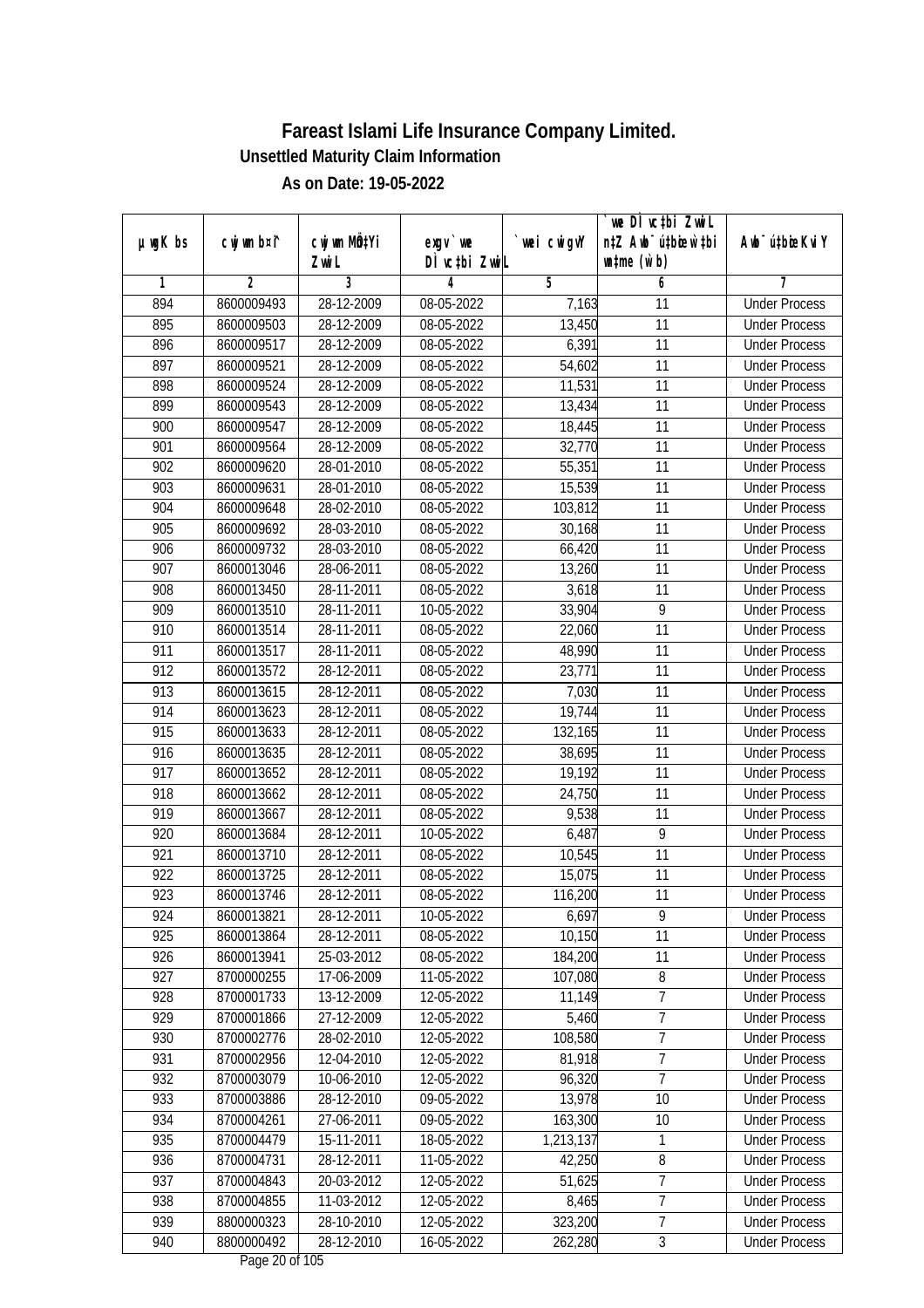|                  |                |                |               |                      | we DI vctbi Zwil                 |                             |
|------------------|----------------|----------------|---------------|----------------------|----------------------------------|-----------------------------|
| $µ$ ug $K$ bs    | cwj wm b¤i^    | cwj wm MQtYi   | $exgV$ we     | wei cwigvY           | n‡Z Awb <sup>-</sup> ú‡biosw`‡bi | Awb <sup>-</sup> ú‡bioeKviY |
|                  |                | Zwi L          | DÌ vctbi ZwiL |                      | $\n  untime\n  (u`b)\n$          |                             |
| 1                | $\overline{2}$ | $\overline{3}$ | 4             | 5                    | 6                                | 7                           |
| 894              | 8600009493     | 28-12-2009     | 08-05-2022    | 7,163                | $\overline{11}$                  | <b>Under Process</b>        |
| 895              | 8600009503     | 28-12-2009     | 08-05-2022    | 13,450               | $\overline{11}$                  | <b>Under Process</b>        |
| 896              | 8600009517     | 28-12-2009     | 08-05-2022    | 6,391                | $\overline{11}$                  | <b>Under Process</b>        |
| 897              | 8600009521     | 28-12-2009     | 08-05-2022    | 54,602               | 11                               | <b>Under Process</b>        |
| 898              | 8600009524     | 28-12-2009     | 08-05-2022    | 11,531               | $\overline{11}$                  | <b>Under Process</b>        |
| 899              | 8600009543     | 28-12-2009     | 08-05-2022    | 13,434               | $\overline{11}$                  | <b>Under Process</b>        |
| 900              | 8600009547     | 28-12-2009     | $08-05-2022$  | 18,445               | 11                               | <b>Under Process</b>        |
| 901              | 8600009564     | 28-12-2009     | 08-05-2022    | 32,770               | 11                               | <b>Under Process</b>        |
| $\overline{902}$ | 8600009620     | 28-01-2010     | 08-05-2022    | 55,351               | 11                               | <b>Under Process</b>        |
| 903              | 8600009631     | 28-01-2010     | 08-05-2022    | 15,539               | $\overline{11}$                  | <b>Under Process</b>        |
| 904              | 8600009648     | 28-02-2010     | 08-05-2022    | 103,812              | $\overline{11}$                  | <b>Under Process</b>        |
| 905              | 8600009692     | 28-03-2010     | 08-05-2022    | 30,168               | 11                               | <b>Under Process</b>        |
| 906              | 8600009732     | 28-03-2010     | 08-05-2022    | 66,420               | $\overline{11}$                  | <b>Under Process</b>        |
| 907              | 8600013046     | 28-06-2011     | 08-05-2022    | 13,260               | 11                               | <b>Under Process</b>        |
| 908              | 8600013450     | 28-11-2011     | 08-05-2022    | 3,618                | 11                               | <b>Under Process</b>        |
| 909              | 8600013510     | 28-11-2011     | 10-05-2022    | 33,904               | 9                                | <b>Under Process</b>        |
| 910              | 8600013514     | 28-11-2011     | 08-05-2022    | 22,060               | 11                               | <b>Under Process</b>        |
| 911              | 8600013517     | 28-11-2011     | 08-05-2022    | 48,990               | 11                               | <b>Under Process</b>        |
| 912              | 8600013572     | 28-12-2011     | 08-05-2022    | 23,771               | 11                               | <b>Under Process</b>        |
| 913              | 8600013615     | 28-12-2011     | 08-05-2022    | 7,030                | 11                               | <b>Under Process</b>        |
| 914              | 8600013623     | 28-12-2011     | 08-05-2022    | 19,744               | 11                               | <b>Under Process</b>        |
| 915              | 8600013633     | 28-12-2011     | 08-05-2022    | $\overline{132,165}$ | 11                               | <b>Under Process</b>        |
| 916              | 8600013635     | 28-12-2011     | 08-05-2022    | 38,695               | 11                               | <b>Under Process</b>        |
| 917              | 8600013652     | 28-12-2011     | 08-05-2022    | 19,192               | 11                               | <b>Under Process</b>        |
| 918              | 8600013662     | 28-12-2011     | 08-05-2022    | 24,750               | 11                               | <b>Under Process</b>        |
| 919              | 8600013667     | 28-12-2011     | 08-05-2022    | 9,538                | 11                               | <b>Under Process</b>        |
| 920              | 8600013684     | 28-12-2011     | 10-05-2022    | 6,487                | 9                                | <b>Under Process</b>        |
| 921              | 8600013710     | 28-12-2011     | 08-05-2022    | 10,545               | 11                               | <b>Under Process</b>        |
| 922              | 8600013725     | 28-12-2011     | 08-05-2022    | 15,075               | 11                               | <b>Under Process</b>        |
| 923              | 8600013746     | 28-12-2011     | 08-05-2022    | 116,200              | 11                               | <b>Under Process</b>        |
| 924              | 8600013821     | 28-12-2011     | 10-05-2022    | 6,697                | 9                                | <b>Under Process</b>        |
| 925              | 8600013864     | 28-12-2011     | 08-05-2022    | 10,150               | 11                               | <b>Under Process</b>        |
| 926              | 8600013941     | 25-03-2012     | 08-05-2022    | 184,200              | 11                               | <b>Under Process</b>        |
| 927              | 8700000255     | 17-06-2009     | 11-05-2022    | 107,080              | $\, 8$                           | <b>Under Process</b>        |
| 928              | 8700001733     | 13-12-2009     | 12-05-2022    | 11,149               | 7                                | <b>Under Process</b>        |
| 929              | 8700001866     | 27-12-2009     | 12-05-2022    | 5,460                | $\overline{7}$                   | <b>Under Process</b>        |
| 930              | 8700002776     | 28-02-2010     | 12-05-2022    | 108,580              | $\overline{7}$                   | <b>Under Process</b>        |
| 931              | 8700002956     | 12-04-2010     | 12-05-2022    | 81,918               | $\overline{7}$                   | <b>Under Process</b>        |
| 932              | 8700003079     | 10-06-2010     | 12-05-2022    | 96,320               | $\overline{7}$                   | <b>Under Process</b>        |
| 933              | 8700003886     | 28-12-2010     | 09-05-2022    | 13,978               | 10                               | <b>Under Process</b>        |
| 934              | 8700004261     | 27-06-2011     | 09-05-2022    | 163,300              | 10                               | <b>Under Process</b>        |
| 935              | 8700004479     | 15-11-2011     | 18-05-2022    | 1,213,137            | 1                                | <b>Under Process</b>        |
| 936              | 8700004731     | 28-12-2011     | 11-05-2022    | 42,250               | 8                                | <b>Under Process</b>        |
| 937              | 8700004843     | 20-03-2012     | 12-05-2022    | 51,625               | 7                                | <b>Under Process</b>        |
| 938              | 8700004855     | 11-03-2012     | 12-05-2022    | 8,465                | $\overline{7}$                   | <b>Under Process</b>        |
| 939              | 8800000323     | 28-10-2010     | 12-05-2022    | 323,200              | $\overline{7}$                   | <b>Under Process</b>        |
| 940              | 8800000492     | 28-12-2010     | 16-05-2022    | 262,280              | 3                                | <b>Under Process</b>        |
|                  |                |                |               |                      |                                  |                             |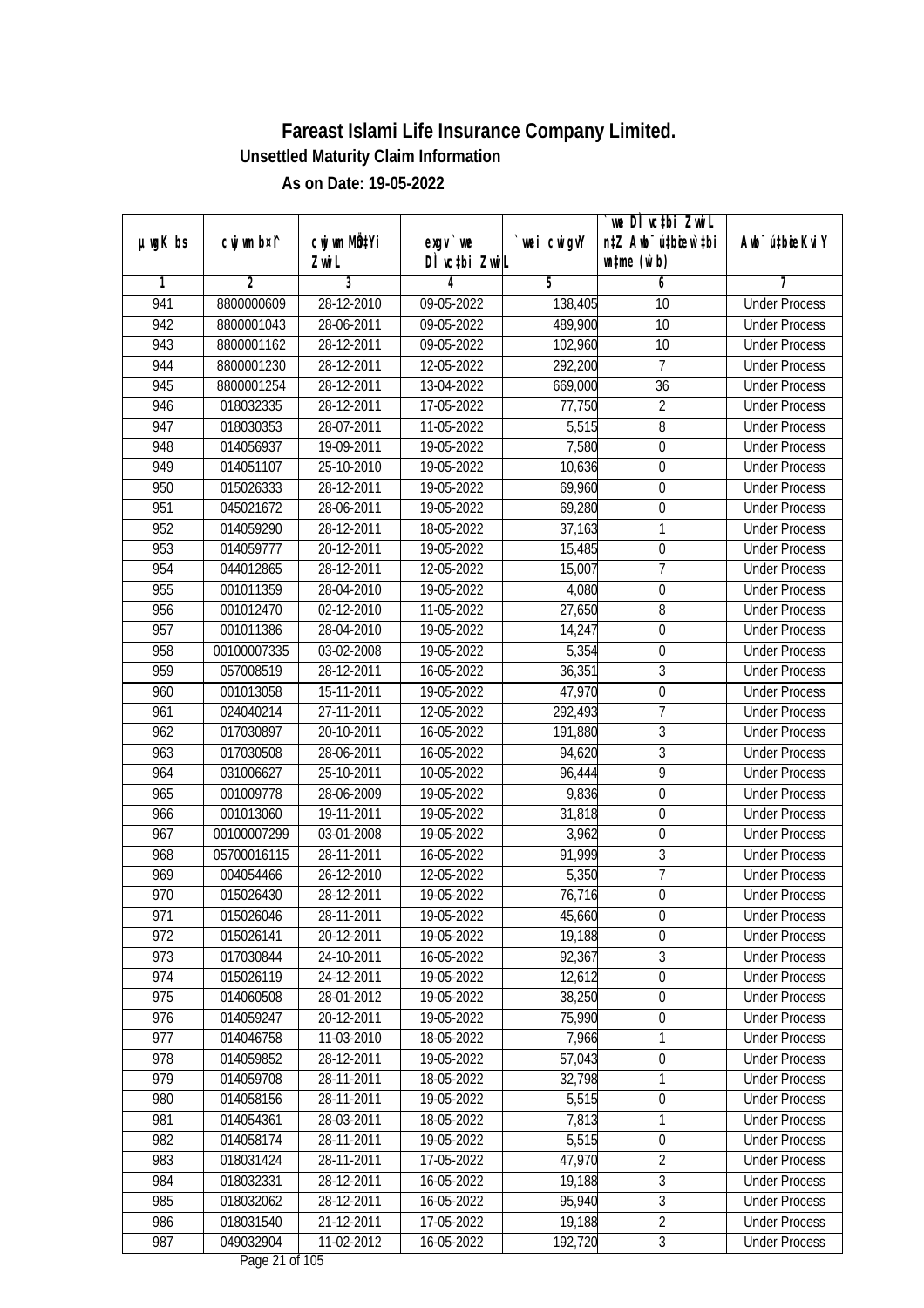|               |                |                       |                            |             | we DI vctbi ZwiL                                            |                             |
|---------------|----------------|-----------------------|----------------------------|-------------|-------------------------------------------------------------|-----------------------------|
| $µ$ ug $K$ bs | cwj wm b¤i^    | cwj wm MQtYi<br>Zwi L | $exgV$ we<br>DÌ vctbi ZwiL | `wei cwigvY | n‡Z Awb <sup>-</sup> ú‡bioen`‡bi<br>$\n  untime\n  (u`b)\n$ | Awb <sup>-</sup> ú‡bioeKviY |
| 1             | $\overline{2}$ | 3                     | 4                          | 5           | 6                                                           | 7                           |
| 941           | 8800000609     | $28 - 12 - 2010$      | 09-05-2022                 | 138,405     | 10                                                          | <b>Under Process</b>        |
| 942           | 8800001043     | 28-06-2011            | 09-05-2022                 | 489,900     | 10                                                          | <b>Under Process</b>        |
| 943           | 8800001162     | 28-12-2011            | 09-05-2022                 | 102,960     | $\overline{10}$                                             | <b>Under Process</b>        |
| 944           | 8800001230     | 28-12-2011            | 12-05-2022                 | 292,200     | 7                                                           | <b>Under Process</b>        |
| 945           | 8800001254     | $28 - 12 - 2011$      | 13-04-2022                 | 669,000     | $\overline{36}$                                             | <b>Under Process</b>        |
| 946           | 018032335      | 28-12-2011            | 17-05-2022                 | 77,750      | $\overline{2}$                                              | <b>Under Process</b>        |
| 947           | 018030353      | 28-07-2011            | 11-05-2022                 | 5,515       | $\overline{8}$                                              | <b>Under Process</b>        |
| 948           | 014056937      | 19-09-2011            | 19-05-2022                 | 7,580       | $\overline{0}$                                              | <b>Under Process</b>        |
| 949           | 014051107      | 25-10-2010            | 19-05-2022                 | 10,636      | $\boldsymbol{0}$                                            | <b>Under Process</b>        |
| 950           | 015026333      | 28-12-2011            | 19-05-2022                 | 69,960      | $\boldsymbol{0}$                                            | <b>Under Process</b>        |
| 951           | 045021672      | 28-06-2011            | 19-05-2022                 | 69,280      | $\boldsymbol{0}$                                            | <b>Under Process</b>        |
| 952           | 014059290      | 28-12-2011            | 18-05-2022                 | 37,163      | 1                                                           | <b>Under Process</b>        |
| 953           | 014059777      | 20-12-2011            | 19-05-2022                 | 15,485      | $\overline{0}$                                              | <b>Under Process</b>        |
| 954           | 044012865      | 28-12-2011            | 12-05-2022                 | 15,007      | $\overline{7}$                                              | <b>Under Process</b>        |
| 955           | 001011359      | 28-04-2010            | 19-05-2022                 | 4,080       | $\boldsymbol{0}$                                            | <b>Under Process</b>        |
| 956           | 001012470      | 02-12-2010            | 11-05-2022                 | 27,650      | 8                                                           | <b>Under Process</b>        |
| 957           | 001011386      | 28-04-2010            | 19-05-2022                 | 14,247      | $\boldsymbol{0}$                                            | <b>Under Process</b>        |
| 958           | 00100007335    | 03-02-2008            | 19-05-2022                 | 5,354       | $\boldsymbol{0}$                                            | <b>Under Process</b>        |
| 959           | 057008519      | 28-12-2011            | 16-05-2022                 | 36,351      | $\overline{3}$                                              | <b>Under Process</b>        |
| 960           | 001013058      | 15-11-2011            | 19-05-2022                 | 47,970      | $\boldsymbol{0}$                                            | <b>Under Process</b>        |
| 961           | 024040214      | 27-11-2011            | 12-05-2022                 | 292,493     | $\overline{7}$                                              | <b>Under Process</b>        |
| 962           | 017030897      | 20-10-2011            | 16-05-2022                 | 191,880     | 3                                                           | <b>Under Process</b>        |
| 963           | 017030508      | 28-06-2011            | 16-05-2022                 | 94,620      | 3                                                           | <b>Under Process</b>        |
| 964           | 031006627      | 25-10-2011            | 10-05-2022                 | 96,444      | 9                                                           | <b>Under Process</b>        |
| 965           | 001009778      | 28-06-2009            | 19-05-2022                 | 9,836       | $\pmb{0}$                                                   | <b>Under Process</b>        |
| 966           | 001013060      | 19-11-2011            | 19-05-2022                 | 31,818      | $\boldsymbol{0}$                                            | <b>Under Process</b>        |
| 967           | 00100007299    | 03-01-2008            | 19-05-2022                 | 3,962       | $\boldsymbol{0}$                                            | <b>Under Process</b>        |
| 968           | 05700016115    | 28-11-2011            | 16-05-2022                 | 91,999      | $\overline{3}$                                              | <b>Under Process</b>        |
| 969           | 004054466      | 26-12-2010            | 12-05-2022                 | 5,350       | $\overline{7}$                                              | <b>Under Process</b>        |
| 970           | 015026430      | 28-12-2011            | 19-05-2022                 | 76,716      | $\boldsymbol{0}$                                            | <b>Under Process</b>        |
| 971           | 015026046      | 28-11-2011            | 19-05-2022                 | 45,660      | $\boldsymbol{0}$                                            | <b>Under Process</b>        |
| 972           | 015026141      | 20-12-2011            | 19-05-2022                 | 19,188      | 0                                                           | <b>Under Process</b>        |
| 973           | 017030844      | 24-10-2011            | 16-05-2022                 | 92,367      | $\overline{3}$                                              | <b>Under Process</b>        |
| 974           | 015026119      | 24-12-2011            | 19-05-2022                 | 12,612      | $\overline{0}$                                              | <b>Under Process</b>        |
| 975           | 014060508      | 28-01-2012            | 19-05-2022                 | 38,250      | $\boldsymbol{0}$                                            | <b>Under Process</b>        |
| 976           | 014059247      | 20-12-2011            | 19-05-2022                 | 75,990      | 0                                                           | <b>Under Process</b>        |
| 977           | 014046758      | 11-03-2010            | 18-05-2022                 | 7,966       | 1                                                           | <b>Under Process</b>        |
| 978           | 014059852      | 28-12-2011            | 19-05-2022                 | 57,043      | $\boldsymbol{0}$                                            | <b>Under Process</b>        |
| 979           | 014059708      | 28-11-2011            | 18-05-2022                 | 32,798      | 1                                                           | <b>Under Process</b>        |
| 980           | 014058156      | 28-11-2011            | 19-05-2022                 | 5,515       | $\boldsymbol{0}$                                            | <b>Under Process</b>        |
| 981           | 014054361      | 28-03-2011            | 18-05-2022                 | 7,813       | 1                                                           | <b>Under Process</b>        |
| 982           | 014058174      | 28-11-2011            | 19-05-2022                 | 5,515       | $\boldsymbol{0}$                                            | <b>Under Process</b>        |
| 983           | 018031424      | 28-11-2011            | 17-05-2022                 | 47,970      | $\overline{2}$                                              | <b>Under Process</b>        |
| 984           | 018032331      | 28-12-2011            | 16-05-2022                 | 19,188      | $\overline{3}$                                              | <b>Under Process</b>        |
| 985           | 018032062      | 28-12-2011            | 16-05-2022                 | 95,940      | $\overline{3}$                                              | <b>Under Process</b>        |
| 986           | 018031540      | 21-12-2011            | 17-05-2022                 | 19,188      | $\overline{2}$                                              | <b>Under Process</b>        |
| 987           | 049032904      | 11-02-2012            | 16-05-2022                 | 192,720     | $\mathfrak{Z}$                                              | <b>Under Process</b>        |
|               |                |                       |                            |             |                                                             |                             |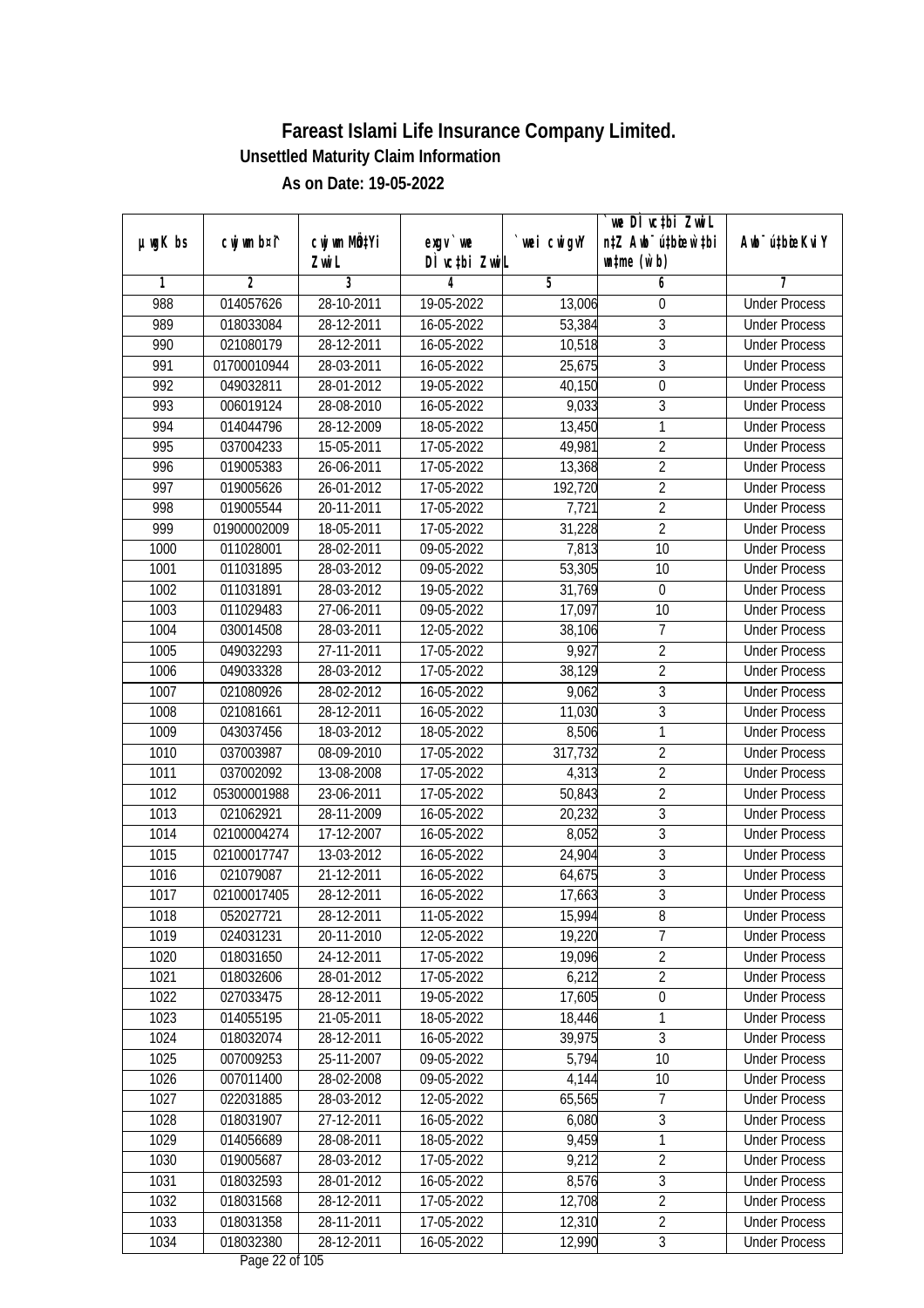|               |                |              |               |                | we DI vctbi Zwil                 |                             |
|---------------|----------------|--------------|---------------|----------------|----------------------------------|-----------------------------|
| $µ$ ug $K$ bs | cwj wm b¤i^    | cwj wm MQtYi | $exgV$ we     | wei cwigvY     | n‡Z Awb <sup>-</sup> ú‡bioen`‡bi | Awb <sup>-</sup> ú‡bioeKviY |
|               |                | Zwi L        | DÌ vctbi ZwiL |                | $\n  untime\n  (u`b)\n$          |                             |
| 1             | $\overline{2}$ | 3            | 4             | $\overline{5}$ | 6                                | 7                           |
| 988           | 014057626      | 28-10-2011   | 19-05-2022    | 13,006         | 0                                | <b>Under Process</b>        |
| 989           | 018033084      | 28-12-2011   | 16-05-2022    | 53,384         | 3                                | <b>Under Process</b>        |
| 990           | 021080179      | 28-12-2011   | 16-05-2022    | 10,518         | $\overline{3}$                   | <b>Under Process</b>        |
| 991           | 01700010944    | 28-03-2011   | 16-05-2022    | 25,675         | $\overline{3}$                   | <b>Under Process</b>        |
| 992           | 049032811      | 28-01-2012   | 19-05-2022    | 40,150         | $\overline{0}$                   | <b>Under Process</b>        |
| 993           | 006019124      | 28-08-2010   | 16-05-2022    | 9,033          | 3                                | <b>Under Process</b>        |
| 994           | 014044796      | 28-12-2009   | $18-05-2022$  | 13,450         | 1                                | <b>Under Process</b>        |
| 995           | 037004233      | 15-05-2011   | 17-05-2022    | 49,981         | $\overline{2}$                   | <b>Under Process</b>        |
| 996           | 019005383      | 26-06-2011   | 17-05-2022    | 13,368         | $\overline{2}$                   | <b>Under Process</b>        |
| 997           | 019005626      | 26-01-2012   | 17-05-2022    | 192,720        | $\overline{2}$                   | <b>Under Process</b>        |
| 998           | 019005544      | 20-11-2011   | 17-05-2022    | 7,721          | $\overline{2}$                   | <b>Under Process</b>        |
| 999           | 01900002009    | 18-05-2011   | 17-05-2022    | 31,228         | $\overline{2}$                   | <b>Under Process</b>        |
| 1000          | 011028001      | 28-02-2011   | 09-05-2022    | 7,813          | $\overline{10}$                  | <b>Under Process</b>        |
| 1001          | 011031895      | 28-03-2012   | 09-05-2022    | 53,305         | 10                               | <b>Under Process</b>        |
| 1002          | 011031891      | 28-03-2012   | 19-05-2022    | 31,769         | $\boldsymbol{0}$                 | <b>Under Process</b>        |
| 1003          | 011029483      | 27-06-2011   | 09-05-2022    | 17,097         | 10                               | <b>Under Process</b>        |
| 1004          | 030014508      | 28-03-2011   | 12-05-2022    | 38,106         | $\overline{1}$                   | <b>Under Process</b>        |
| 1005          | 049032293      | 27-11-2011   | 17-05-2022    | 9,927          | $\overline{2}$                   | <b>Under Process</b>        |
| 1006          | 049033328      | 28-03-2012   | 17-05-2022    | 38,129         | $\overline{2}$                   | <b>Under Process</b>        |
| 1007          | 021080926      | 28-02-2012   | 16-05-2022    | 9,062          | 3                                | <b>Under Process</b>        |
| 1008          | 021081661      | 28-12-2011   | 16-05-2022    | 11,030         | $\overline{3}$                   | <b>Under Process</b>        |
| 1009          | 043037456      | 18-03-2012   | 18-05-2022    | 8,506          | 1                                | <b>Under Process</b>        |
| 1010          | 037003987      | 08-09-2010   | 17-05-2022    | 317,732        | $\overline{2}$                   | <b>Under Process</b>        |
| 1011          | 037002092      | 13-08-2008   | 17-05-2022    | 4,313          | $\overline{2}$                   | <b>Under Process</b>        |
| 1012          | 05300001988    | 23-06-2011   | 17-05-2022    | 50,843         | $\overline{2}$                   | <b>Under Process</b>        |
| 1013          | 021062921      | 28-11-2009   | 16-05-2022    | 20,232         | 3                                | <b>Under Process</b>        |
| 1014          | 02100004274    | 17-12-2007   | 16-05-2022    | 8,052          | $\mathfrak{Z}$                   | <b>Under Process</b>        |
| 1015          | 02100017747    | 13-03-2012   | 16-05-2022    | 24,904         | $\overline{3}$                   | <b>Under Process</b>        |
| 1016          | 021079087      | 21-12-2011   | 16-05-2022    | 64,675         | $\overline{3}$                   | <b>Under Process</b>        |
| 1017          | 02100017405    | 28-12-2011   | 16-05-2022    | 17,663         | $\overline{3}$                   | <b>Under Process</b>        |
| 1018          | 052027721      | 28-12-2011   | 11-05-2022    | 15,994         | 8                                | <b>Under Process</b>        |
| 1019          | 024031231      | 20-11-2010   | 12-05-2022    | 19,220         | $\overline{7}$                   | <b>Under Process</b>        |
| 1020          | 018031650      | 24-12-2011   | 17-05-2022    | 19,096         | $\overline{2}$                   | <b>Under Process</b>        |
| 1021          | 018032606      | 28-01-2012   | 17-05-2022    | 6,212          | $\overline{2}$                   | <b>Under Process</b>        |
| 1022          | 027033475      | 28-12-2011   | 19-05-2022    | 17,605         | 0                                | <b>Under Process</b>        |
| 1023          | 014055195      | 21-05-2011   | 18-05-2022    | 18,446         | 1                                | <b>Under Process</b>        |
| 1024          | 018032074      | 28-12-2011   | 16-05-2022    | 39,975         | $\overline{3}$                   | <b>Under Process</b>        |
| 1025          | 007009253      | 25-11-2007   | 09-05-2022    | 5,794          | 10                               | <b>Under Process</b>        |
| 1026          | 007011400      | 28-02-2008   | 09-05-2022    | 4,144          | 10                               | <b>Under Process</b>        |
| 1027          | 022031885      | 28-03-2012   | 12-05-2022    | 65,565         | $\overline{7}$                   | <b>Under Process</b>        |
| 1028          | 018031907      | 27-12-2011   | 16-05-2022    | 6,080          | $\overline{3}$                   | <b>Under Process</b>        |
| 1029          | 014056689      | 28-08-2011   | $18-05-2022$  | 9,459          | 1                                | <b>Under Process</b>        |
| 1030          | 019005687      | 28-03-2012   | 17-05-2022    | 9,212          | $\overline{2}$                   | <b>Under Process</b>        |
| 1031          | 018032593      | 28-01-2012   | 16-05-2022    | 8,576          | 3                                | <b>Under Process</b>        |
| 1032          | 018031568      | 28-12-2011   | 17-05-2022    | 12,708         | $\overline{2}$                   | <b>Under Process</b>        |
| 1033          | 018031358      | 28-11-2011   | 17-05-2022    | 12,310         | $\overline{2}$                   | <b>Under Process</b>        |
| 1034          | 018032380      | 28-12-2011   | 16-05-2022    | 12,990         | $\overline{3}$                   | <b>Under Process</b>        |
|               |                |              |               |                |                                  |                             |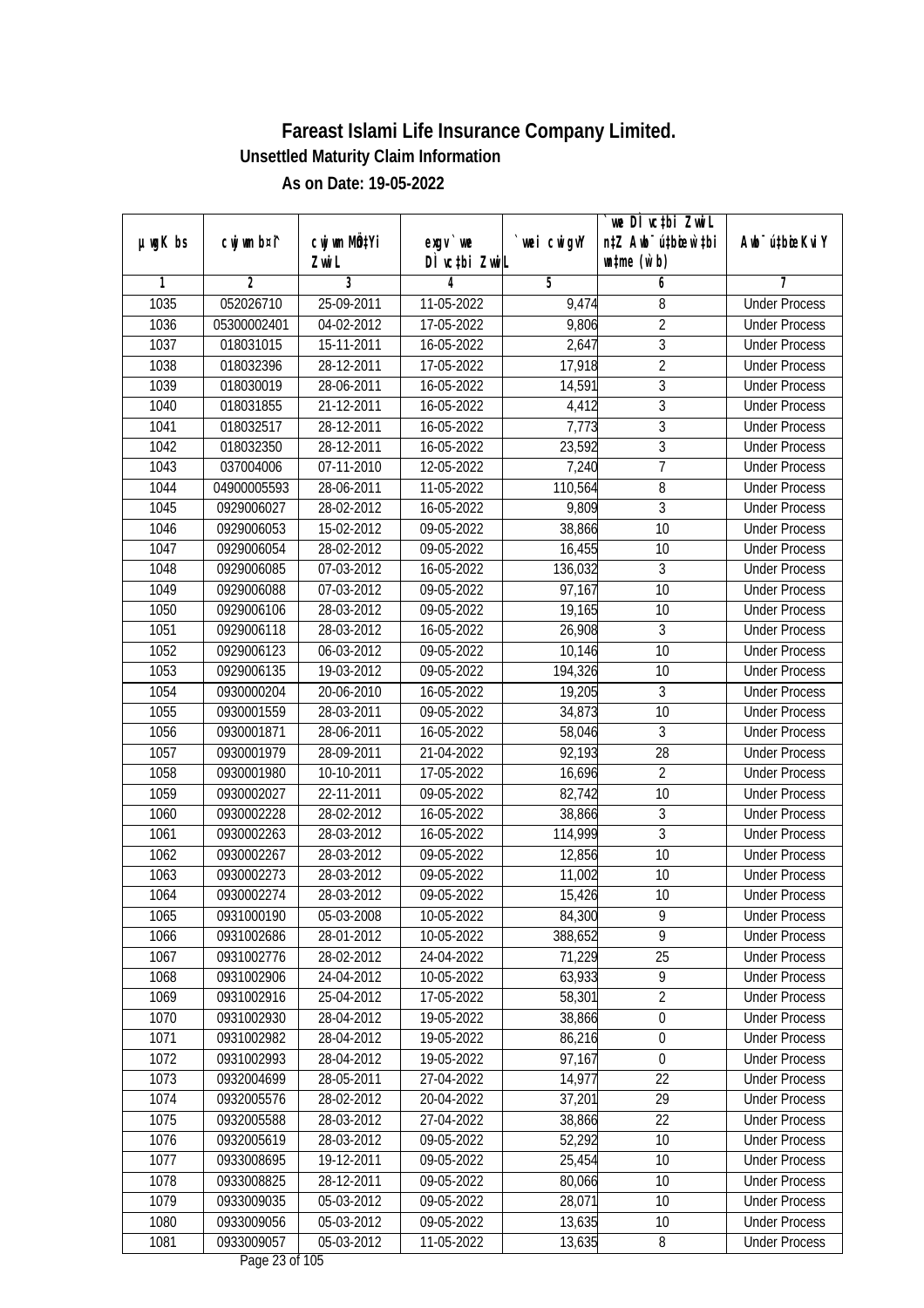|               |                |                       |                            |            | we DI vctbi ZwiL<br>n‡Z Awb <sup>-</sup> ú‡bioar`‡bi |                             |
|---------------|----------------|-----------------------|----------------------------|------------|------------------------------------------------------|-----------------------------|
| $µ$ ug $K$ bs | cwj wm b¤i^    | cwj wm MQtYi<br>Zwi L | $exgV$ we<br>DÌ vctbi ZwiL | wei cwigvY | $\n  untime\n  (u`b)\n$                              | Awb <sup>-</sup> ú‡bioeKviY |
| 1             | $\overline{2}$ | 3                     | 4                          | 5          | 6                                                    | 7                           |
| 1035          | 052026710      | 25-09-2011            | 11-05-2022                 | 9,474      | 8                                                    | <b>Under Process</b>        |
| 1036          | 05300002401    | 04-02-2012            | $17 - 05 - 2022$           | 9,806      | $\overline{2}$                                       | <b>Under Process</b>        |
| 1037          | 018031015      | 15-11-2011            | 16-05-2022                 | 2,647      | $\overline{3}$                                       | <b>Under Process</b>        |
| 1038          | 018032396      | 28-12-2011            | 17-05-2022                 | 17,918     | $\overline{2}$                                       | <b>Under Process</b>        |
| 1039          | 018030019      | 28-06-2011            | 16-05-2022                 | 14,591     | $\overline{3}$                                       | <b>Under Process</b>        |
| 1040          | 018031855      | 21-12-2011            | 16-05-2022                 | 4,412      | $\overline{3}$                                       | <b>Under Process</b>        |
| 1041          | 018032517      | 28-12-2011            | $16 - 05 - 2022$           | 7,773      | $\overline{3}$                                       | <b>Under Process</b>        |
| 1042          | 018032350      | $28-12-2011$          | 16-05-2022                 | 23,592     | $\sqrt{3}$                                           | <b>Under Process</b>        |
| 1043          | 037004006      | 07-11-2010            | 12-05-2022                 | 7,240      | $\overline{7}$                                       | <b>Under Process</b>        |
| 1044          | 04900005593    | 28-06-2011            | 11-05-2022                 | 110,564    | $\, 8$                                               | <b>Under Process</b>        |
| 1045          | 0929006027     | 28-02-2012            | 16-05-2022                 | 9,809      | $\overline{3}$                                       | <b>Under Process</b>        |
| 1046          | 0929006053     | 15-02-2012            | 09-05-2022                 | 38,866     | 10                                                   | <b>Under Process</b>        |
| 1047          | 0929006054     | 28-02-2012            | 09-05-2022                 | 16,455     | $\overline{10}$                                      | <b>Under Process</b>        |
| 1048          | 0929006085     | 07-03-2012            | 16-05-2022                 | 136,032    | 3                                                    | <b>Under Process</b>        |
| 1049          | 0929006088     | 07-03-2012            | 09-05-2022                 | 97,167     | 10                                                   | <b>Under Process</b>        |
| 1050          | 0929006106     | 28-03-2012            | 09-05-2022                 | 19,165     | 10                                                   | <b>Under Process</b>        |
| 1051          | 0929006118     | 28-03-2012            | 16-05-2022                 | 26,908     | $\mathfrak{Z}$                                       | <b>Under Process</b>        |
| 1052          | 0929006123     | 06-03-2012            | 09-05-2022                 | 10,146     | 10                                                   | <b>Under Process</b>        |
| 1053          | 0929006135     | 19-03-2012            | 09-05-2022                 | 194,326    | 10                                                   | <b>Under Process</b>        |
| 1054          | 0930000204     | 20-06-2010            | 16-05-2022                 | 19,205     | 3                                                    | <b>Under Process</b>        |
| 1055          | 0930001559     | 28-03-2011            | 09-05-2022                 | 34,873     | 10                                                   | <b>Under Process</b>        |
| 1056          | 0930001871     | 28-06-2011            | 16-05-2022                 | 58,046     | 3                                                    | <b>Under Process</b>        |
| 1057          | 0930001979     | 28-09-2011            | 21-04-2022                 | 92,193     | 28                                                   | <b>Under Process</b>        |
| 1058          | 0930001980     | 10-10-2011            | 17-05-2022                 | 16,696     | $\overline{2}$                                       | <b>Under Process</b>        |
| 1059          | 0930002027     | 22-11-2011            | 09-05-2022                 | 82,742     | 10                                                   | <b>Under Process</b>        |
| 1060          | 0930002228     | 28-02-2012            | 16-05-2022                 | 38,866     | 3                                                    | <b>Under Process</b>        |
| 1061          | 0930002263     | 28-03-2012            | 16-05-2022                 | 114,999    | 3                                                    | <b>Under Process</b>        |
| 1062          | 0930002267     | 28-03-2012            | 09-05-2022                 | 12,856     | 10                                                   | <b>Under Process</b>        |
| 1063          | 0930002273     | 28-03-2012            | 09-05-2022                 | 11,002     | 10                                                   | <b>Under Process</b>        |
| 1064          | 0930002274     | 28-03-2012            | 09-05-2022                 | 15,426     | 10                                                   | <b>Under Process</b>        |
| 1065          | 0931000190     | 05-03-2008            | 10-05-2022                 | 84,300     | 9                                                    | <b>Under Process</b>        |
| 1066          | 0931002686     | 28-01-2012            | 10-05-2022                 | 388,652    | 9                                                    | <b>Under Process</b>        |
| 1067          | 0931002776     | 28-02-2012            | 24-04-2022                 | 71,229     | 25                                                   | <b>Under Process</b>        |
| 1068          | 0931002906     | 24-04-2012            | 10-05-2022                 | 63,933     | $\overline{9}$                                       | <b>Under Process</b>        |
| 1069          | 0931002916     | 25-04-2012            | 17-05-2022                 | 58,301     | $\overline{2}$                                       | <b>Under Process</b>        |
| 1070          | 0931002930     | 28-04-2012            | 19-05-2022                 | 38,866     | $\boldsymbol{0}$                                     | <b>Under Process</b>        |
| 1071          | 0931002982     | 28-04-2012            | 19-05-2022                 | 86,216     | $\boldsymbol{0}$                                     | <b>Under Process</b>        |
| 1072          | 0931002993     | 28-04-2012            | 19-05-2022                 | 97,167     | $\mathbf 0$                                          | <b>Under Process</b>        |
| 1073          | 0932004699     | 28-05-2011            | 27-04-2022                 | 14,977     | 22                                                   | <b>Under Process</b>        |
| 1074          | 0932005576     | 28-02-2012            | 20-04-2022                 | 37,201     | 29                                                   | <b>Under Process</b>        |
| 1075          | 0932005588     | 28-03-2012            | 27-04-2022                 | 38,866     | 22                                                   | <b>Under Process</b>        |
| 1076          | 0932005619     | 28-03-2012            | 09-05-2022                 | 52,292     | 10                                                   | <b>Under Process</b>        |
| 1077          | 0933008695     | 19-12-2011            | $\overline{09}$ -05-2022   | 25,454     | 10                                                   | <b>Under Process</b>        |
| 1078          | 0933008825     | 28-12-2011            | 09-05-2022                 | 80,066     | 10                                                   | <b>Under Process</b>        |
| 1079          | 0933009035     | 05-03-2012            | 09-05-2022                 | 28,071     | 10                                                   | <b>Under Process</b>        |
| 1080          | 0933009056     | 05-03-2012            | 09-05-2022                 | 13,635     | 10                                                   | <b>Under Process</b>        |
| 1081          | 0933009057     | 05-03-2012            | 11-05-2022                 | 13,635     | 8                                                    | <b>Under Process</b>        |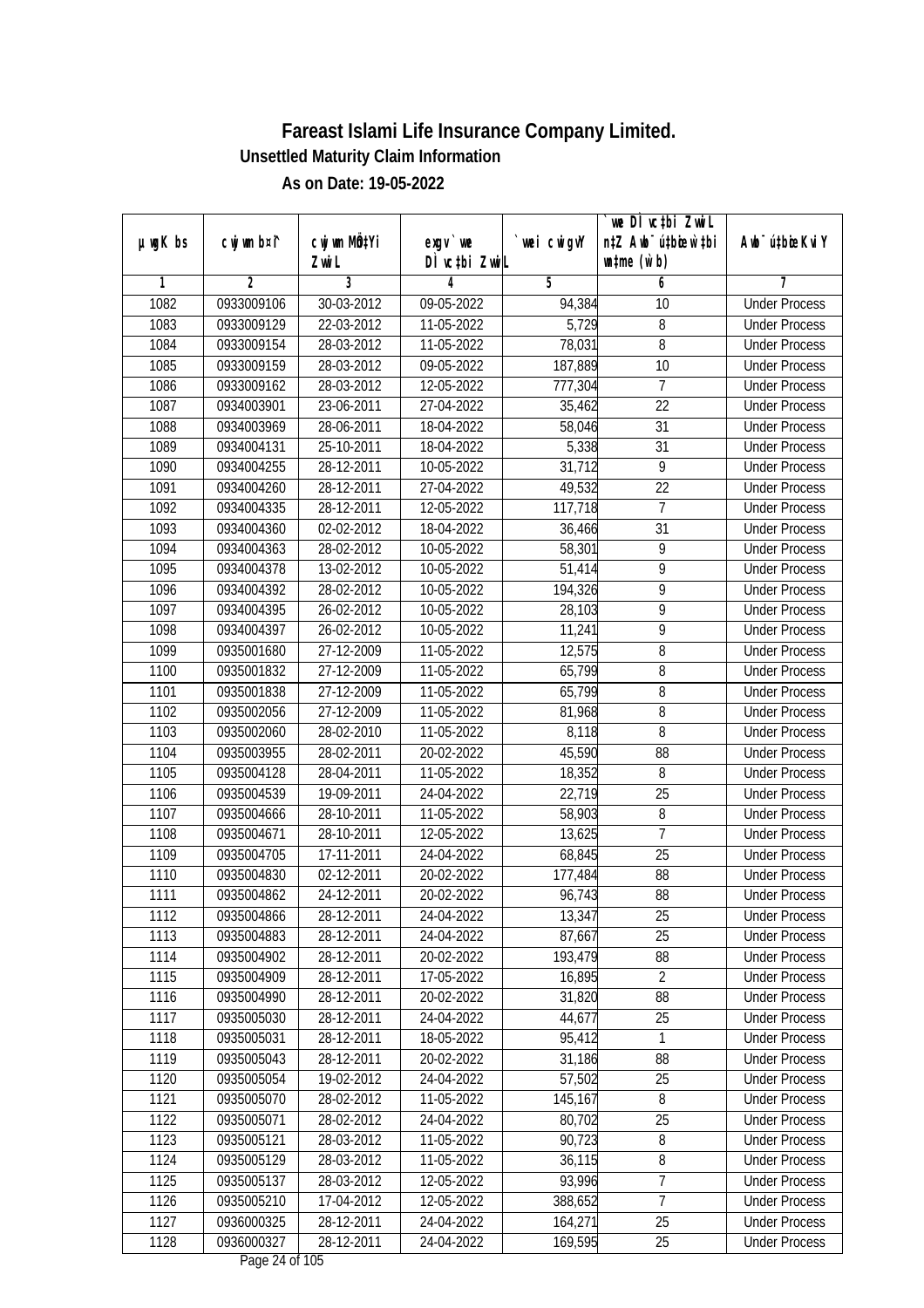|               |                          |                          |                                         |                   | we DI vctbi ZwiL                   |                                              |
|---------------|--------------------------|--------------------------|-----------------------------------------|-------------------|------------------------------------|----------------------------------------------|
| $µ$ ug $K$ bs | cwj wm b¤i^              | cwj wm MQtYi             | exgy `we                                | `wei cwigvY       | n‡Z Awb <sup>-</sup> ú‡bicen`‡bi   | Awb <sup>-</sup> ú‡bioeKviY                  |
|               |                          | Zwi L                    | DÌ vctbi ZwiL                           |                   | $\n  untime\n  (u`b)\n$            |                                              |
| 1             | $\overline{2}$           | 3                        | 4                                       | 5                 | 6                                  | 7                                            |
| 1082          | 0933009106               | 30-03-2012               | 09-05-2022                              | 94,384            | 10                                 | <b>Under Process</b>                         |
| 1083          | 0933009129               | 22-03-2012               | $11-05-2022$                            | 5,729             | 8                                  | <b>Under Process</b>                         |
| 1084          | 0933009154               | 28-03-2012               | 11-05-2022                              | 78,031            | $\overline{8}$                     | <b>Under Process</b>                         |
| 1085          | 0933009159               | 28-03-2012               | 09-05-2022                              | 187,889           | 10                                 | <b>Under Process</b>                         |
| 1086          | 0933009162               | 28-03-2012               | 12-05-2022                              | 777,304           | $\overline{7}$                     | <b>Under Process</b>                         |
| 1087          | 0934003901               | 23-06-2011               | 27-04-2022                              | 35,462            | $\overline{22}$<br>$\overline{31}$ | <b>Under Process</b>                         |
| 1088          | 0934003969<br>0934004131 | 28-06-2011               | 18-04-2022                              | 58,046            | $\overline{31}$                    | <b>Under Process</b><br><b>Under Process</b> |
| 1089<br>1090  |                          | 25-10-2011               | 18-04-2022                              | 5,338             | $\overline{9}$                     |                                              |
|               | 0934004255               | 28-12-2011               | 10-05-2022                              | 31,712            |                                    | <b>Under Process</b>                         |
| 1091          | 0934004260               | 28-12-2011               | 27-04-2022                              | 49,532            | 22<br>7                            | <b>Under Process</b>                         |
| 1092          | 0934004335               | 28-12-2011               | 12-05-2022                              | 117,718           |                                    | <b>Under Process</b>                         |
| 1093          | 0934004360               | 02-02-2012               | 18-04-2022                              | 36,466            | 31<br>$\overline{9}$               | <b>Under Process</b>                         |
| 1094          | 0934004363               | 28-02-2012               | 10-05-2022                              | 58,301            |                                    | <b>Under Process</b>                         |
| 1095          | 0934004378               | 13-02-2012               | 10-05-2022                              | 51,414            | 9                                  | <b>Under Process</b>                         |
| 1096          | 0934004392               | 28-02-2012               | 10-05-2022                              | 194,326           | 9                                  | <b>Under Process</b>                         |
| 1097          | 0934004395               | 26-02-2012               | 10-05-2022                              | 28,103            | 9                                  | <b>Under Process</b>                         |
| 1098          | 0934004397               | 26-02-2012               | 10-05-2022                              | 11,241            | 9                                  | <b>Under Process</b>                         |
| 1099          | 0935001680               | 27-12-2009               | 11-05-2022                              | 12,575            | 8                                  | <b>Under Process</b>                         |
| 1100          | 0935001832               | 27-12-2009               | 11-05-2022                              | 65,799            | 8                                  | <b>Under Process</b>                         |
| 1101          | 0935001838               | 27-12-2009               | 11-05-2022                              | 65,799            | 8                                  | <b>Under Process</b>                         |
| 1102          | 0935002056               | 27-12-2009               | 11-05-2022                              | 81,968            | 8                                  | <b>Under Process</b>                         |
| 1103          | 0935002060               | 28-02-2010               | 11-05-2022                              | 8,118             | 8                                  | <b>Under Process</b>                         |
| 1104          | 0935003955               | 28-02-2011               | 20-02-2022                              | 45,590            | 88                                 | <b>Under Process</b>                         |
| 1105          | 0935004128               | 28-04-2011               | 11-05-2022                              | 18,352            | 8                                  | <b>Under Process</b>                         |
| 1106          | 0935004539               | 19-09-2011               | 24-04-2022                              | 22,719            | 25                                 | <b>Under Process</b>                         |
| 1107          | 0935004666               | 28-10-2011<br>28-10-2011 | 11-05-2022                              | 58,903            | 8<br>7                             | <b>Under Process</b>                         |
| 1108          | 0935004671               |                          | 12-05-2022                              | 13,625            | 25                                 | <b>Under Process</b>                         |
| 1109          | 0935004705               | 17-11-2011               | 24-04-2022<br>20-02-2022                | 68,845            |                                    | <b>Under Process</b><br><b>Under Process</b> |
| 1110          | 0935004830               | 02-12-2011               |                                         | 177,484           | 88                                 |                                              |
| 1111          | 0935004862               | 24-12-2011               | 20-02-2022                              | 96,743            | 88                                 | <b>Under Process</b>                         |
| 1112          | 0935004866<br>0935004883 | 28-12-2011<br>28-12-2011 | 24-04-2022<br>24-04-2022                | 13,347            | 25<br>25                           | <b>Under Process</b>                         |
| 1113          | 0935004902               | 28-12-2011               | 20-02-2022                              | 87,667<br>193,479 | 88                                 | <b>Under Process</b><br><b>Under Process</b> |
| 1114<br>1115  | 0935004909               |                          |                                         | 16,895            | $\overline{2}$                     |                                              |
| 1116          | 0935004990               | 28-12-2011<br>28-12-2011 | 17-05-2022<br>20-02-2022                | 31,820            | 88                                 | <b>Under Process</b><br><b>Under Process</b> |
| 1117          | 0935005030               | 28-12-2011               | 24-04-2022                              | 44,677            | 25                                 | <b>Under Process</b>                         |
| 1118          | 0935005031               | 28-12-2011               | 18-05-2022                              | 95,412            | 1                                  | <b>Under Process</b>                         |
| 1119          | 0935005043               | 28-12-2011               |                                         | 31,186            | 88                                 |                                              |
|               |                          |                          | 20-02-2022<br>24-04-2022                |                   | 25                                 | <b>Under Process</b><br><b>Under Process</b> |
| 1120          | 0935005054               | 19-02-2012               |                                         | 57,502            |                                    |                                              |
| 1121<br>1122  | 0935005070               | 28-02-2012               | 11-05-2022<br>24-04-2022                | 145,167           | 8<br>25                            | <b>Under Process</b><br><b>Under Process</b> |
| 1123          | 0935005071<br>0935005121 | 28-02-2012<br>28-03-2012 |                                         | 80,702<br>90,723  | 8                                  | <b>Under Process</b>                         |
| 1124          | 0935005129               | 28-03-2012               | 11-05-2022<br>11-05-2022                | 36,115            | 8                                  | <b>Under Process</b>                         |
| 1125          | 0935005137               | 28-03-2012               | 12-05-2022                              | 93,996            | $\overline{7}$                     | <b>Under Process</b>                         |
| 1126          | 0935005210               | 17-04-2012               | 12-05-2022                              | 388,652           | 7                                  | <b>Under Process</b>                         |
| 1127          | 0936000325               | 28-12-2011               |                                         | 164,271           | 25                                 | <b>Under Process</b>                         |
|               | 0936000327               |                          | 24-04-2022                              |                   |                                    |                                              |
| 1128          |                          | 28-12-2011               | 24-04-2022<br>$D_{0.92}$ $24.6$ f $10E$ | 169,595           | 25                                 | <b>Under Process</b>                         |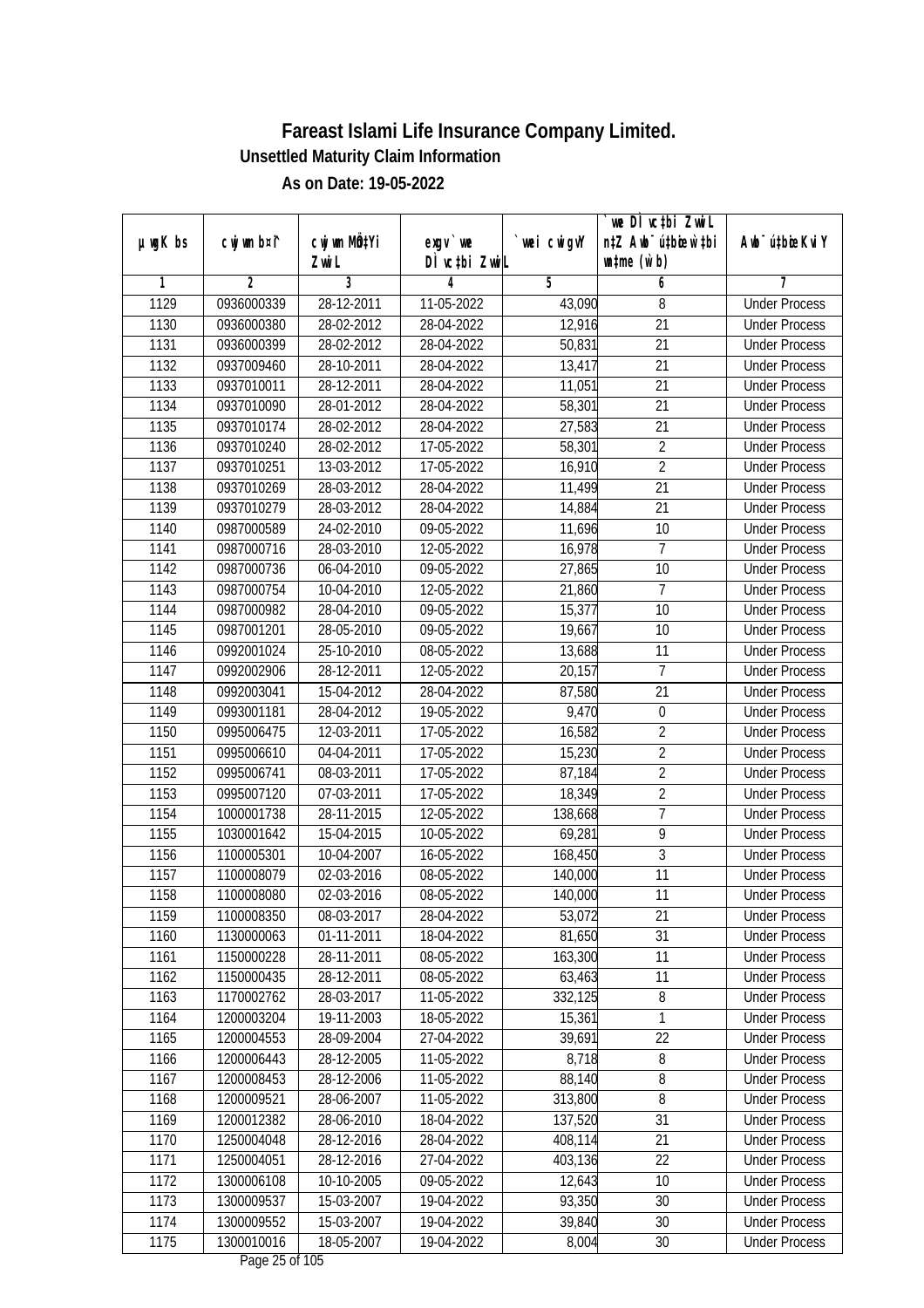|               |                |                       |                                           |            | we DI vctbi ZwiL<br>n‡Z Awb <sup>-</sup> ú‡bicen`‡bi |                             |
|---------------|----------------|-----------------------|-------------------------------------------|------------|------------------------------------------------------|-----------------------------|
| $µ$ ug $K$ bs | cwj wm b¤i^    | cwj wm MÖ¢Yi<br>Zwi L | $exgV$ we<br>DÌ vctbi ZwiL                | wei cwigvY | $\n  untime\n  (u`b)\n$                              | Awb <sup>-</sup> ú‡bioeKviY |
| 1             | $\overline{2}$ | 3                     | 4                                         | 5          | 6                                                    | 7                           |
| 1129          | 0936000339     | 28-12-2011            | 11-05-2022                                | 43,090     | 8                                                    | <b>Under Process</b>        |
| 1130          | 0936000380     | 28-02-2012            | 28-04-2022                                | 12,916     | $\overline{21}$                                      | <b>Under Process</b>        |
| 1131          | 0936000399     | 28-02-2012            | 28-04-2022                                | 50,831     | $\overline{21}$                                      | <b>Under Process</b>        |
| 1132          | 0937009460     | 28-10-2011            | 28-04-2022                                | 13,417     | 21                                                   | <b>Under Process</b>        |
| 1133          | 0937010011     | 28-12-2011            | 28-04-2022                                | 11,051     | $\overline{21}$                                      | <b>Under Process</b>        |
| 1134          | 0937010090     | 28-01-2012            | 28-04-2022                                | 58,301     | $\overline{21}$                                      | <b>Under Process</b>        |
| 1135          | 0937010174     | 28-02-2012            | 28-04-2022                                | 27,583     | $\overline{21}$                                      | <b>Under Process</b>        |
| 1136          | 0937010240     | 28-02-2012            | 17-05-2022                                | 58,301     | $\overline{2}$                                       | <b>Under Process</b>        |
| 1137          | 0937010251     | 13-03-2012            | 17-05-2022                                | 16,910     | $\overline{2}$                                       | <b>Under Process</b>        |
| 1138          | 0937010269     | 28-03-2012            | 28-04-2022                                | 11,499     | 21                                                   | <b>Under Process</b>        |
| 1139          | 0937010279     | 28-03-2012            | 28-04-2022                                | 14,884     | $\overline{21}$                                      | <b>Under Process</b>        |
| 1140          | 0987000589     | 24-02-2010            | 09-05-2022                                | 11,696     | 10                                                   | <b>Under Process</b>        |
| 1141          | 0987000716     | 28-03-2010            | $12 - 05 - 2022$                          | 16,978     | $\overline{7}$                                       | <b>Under Process</b>        |
| 1142          | 0987000736     | 06-04-2010            | 09-05-2022                                | 27,865     | 10                                                   | <b>Under Process</b>        |
| 1143          | 0987000754     | 10-04-2010            | 12-05-2022                                | 21,860     | $\overline{7}$                                       | <b>Under Process</b>        |
| 1144          | 0987000982     | 28-04-2010            | 09-05-2022                                | 15,377     | 10                                                   | <b>Under Process</b>        |
| 1145          | 0987001201     | 28-05-2010            | 09-05-2022                                | 19,667     | 10                                                   | <b>Under Process</b>        |
| 1146          | 0992001024     | 25-10-2010            | 08-05-2022                                | 13,688     | 11                                                   | <b>Under Process</b>        |
| 1147          | 0992002906     | 28-12-2011            | 12-05-2022                                | 20,157     | $\overline{7}$                                       | <b>Under Process</b>        |
| 1148          | 0992003041     | 15-04-2012            | 28-04-2022                                | 87,580     | 21                                                   | <b>Under Process</b>        |
| 1149          | 0993001181     | 28-04-2012            | 19-05-2022                                | 9,470      | $\boldsymbol{0}$                                     | <b>Under Process</b>        |
| 1150          | 0995006475     | 12-03-2011            | 17-05-2022                                | 16,582     | $\sqrt{2}$                                           | <b>Under Process</b>        |
| 1151          | 0995006610     | 04-04-2011            | 17-05-2022                                | 15,230     | $\overline{2}$                                       | <b>Under Process</b>        |
| 1152          | 0995006741     | 08-03-2011            | 17-05-2022                                | 87,184     | $\overline{2}$                                       | <b>Under Process</b>        |
| 1153          | 0995007120     | 07-03-2011            | 17-05-2022                                | 18,349     | $\overline{2}$                                       | <b>Under Process</b>        |
| 1154          | 1000001738     | 28-11-2015            | 12-05-2022                                | 138,668    | $\overline{7}$                                       | <b>Under Process</b>        |
| 1155          | 1030001642     | 15-04-2015            | 10-05-2022                                | 69,281     | 9                                                    | <b>Under Process</b>        |
| 1156          | 1100005301     | 10-04-2007            | 16-05-2022                                | 168,450    | $\overline{3}$                                       | <b>Under Process</b>        |
| 1157          | 1100008079     | 02-03-2016            | 08-05-2022                                | 140,000    | 11                                                   | <b>Under Process</b>        |
| 1158          | 1100008080     | 02-03-2016            | 08-05-2022                                | 140,000    | 11                                                   | <b>Under Process</b>        |
| 1159          | 1100008350     | 08-03-2017            | 28-04-2022                                | 53,072     | 21                                                   | <b>Under Process</b>        |
| 1160          | 1130000063     | 01-11-2011            | 18-04-2022                                | 81,650     | 31                                                   | <b>Under Process</b>        |
| 1161          | 1150000228     | 28-11-2011            | 08-05-2022                                | 163,300    | 11                                                   | <b>Under Process</b>        |
| 1162          | 1150000435     | 28-12-2011            | 08-05-2022                                | 63,463     | 11                                                   | <b>Under Process</b>        |
| 1163          | 1170002762     | 28-03-2017            | 11-05-2022                                | 332,125    | 8                                                    | <b>Under Process</b>        |
| 1164          | 1200003204     | 19-11-2003            | 18-05-2022                                | 15,361     | 1                                                    | <b>Under Process</b>        |
| 1165          | 1200004553     | 28-09-2004            | 27-04-2022                                | 39,691     | 22                                                   | <b>Under Process</b>        |
| 1166          | 1200006443     | 28-12-2005            | 11-05-2022                                | 8,718      | 8                                                    | <b>Under Process</b>        |
| 1167          | 1200008453     | 28-12-2006            | 11-05-2022                                | 88,140     | $\overline{\bf 8}$                                   | <b>Under Process</b>        |
| 1168          | 1200009521     | 28-06-2007            | 11-05-2022                                | 313,800    | 8                                                    | <b>Under Process</b>        |
| 1169          | 1200012382     | 28-06-2010            | 18-04-2022                                | 137,520    | 31                                                   | <b>Under Process</b>        |
| 1170          | 1250004048     | 28-12-2016            | 28-04-2022                                | 408,114    | 21                                                   | <b>Under Process</b>        |
| 1171          | 1250004051     | 28-12-2016            | 27-04-2022                                | 403,136    | $\overline{22}$                                      | <b>Under Process</b>        |
| 1172          | 1300006108     | 10-10-2005            | 09-05-2022                                | 12,643     | 10                                                   | <b>Under Process</b>        |
| 1173          | 1300009537     | 15-03-2007            | 19-04-2022                                | 93,350     | 30                                                   | <b>Under Process</b>        |
| 1174          | 1300009552     | 15-03-2007            | 19-04-2022                                | 39,840     | 30                                                   | <b>Under Process</b>        |
| 1175          | 1300010016     | 18-05-2007            | 19-04-2022<br>$D_{0.82}$ $2F_{0}f$ 10 $F$ | 8,004      | 30                                                   | <b>Under Process</b>        |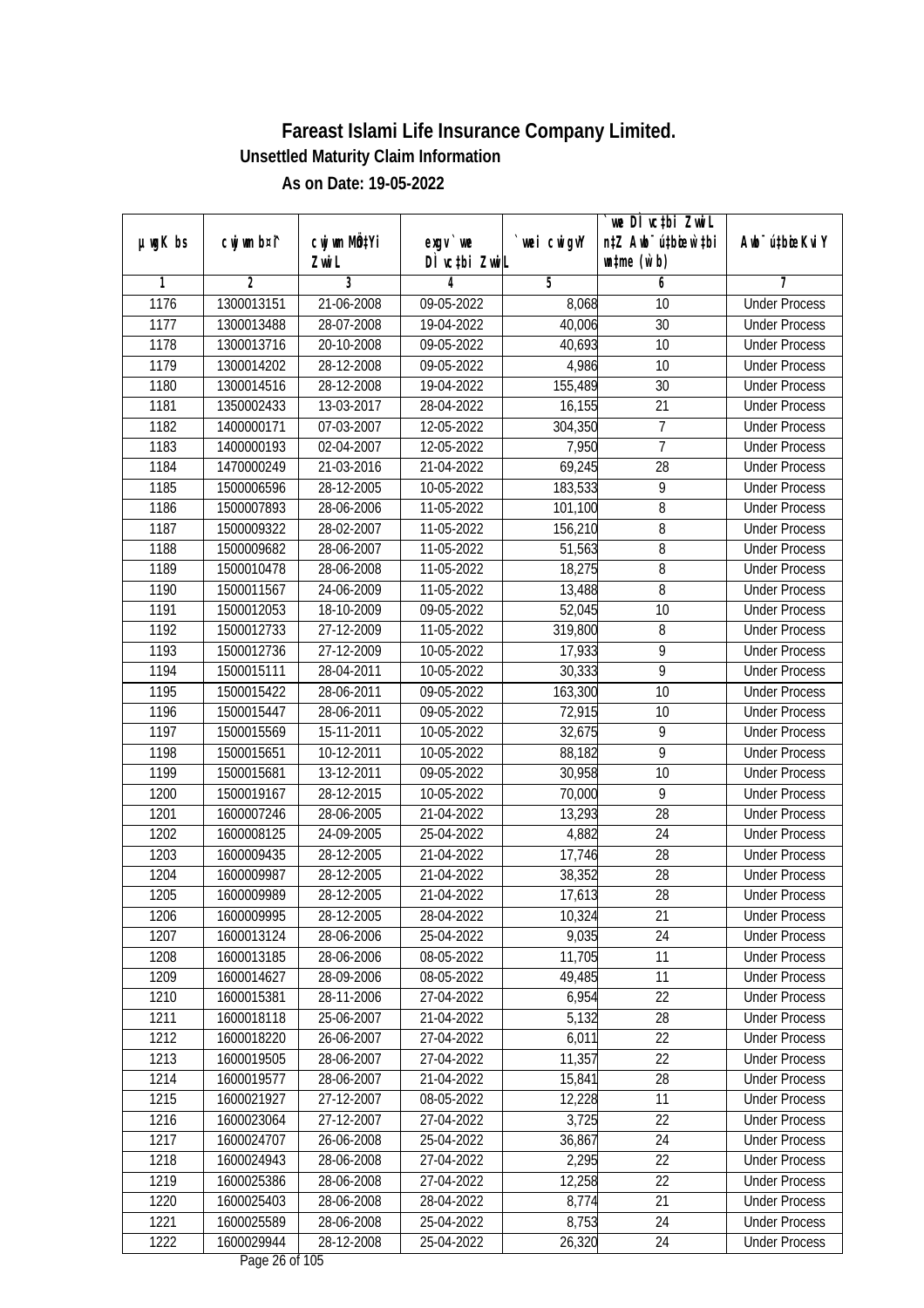|               |             |                           |                                     |             | `we DÌ vc‡bi ZwiL                |                                              |
|---------------|-------------|---------------------------|-------------------------------------|-------------|----------------------------------|----------------------------------------------|
| $µ$ ug $K$ bs | cwj wm b¤i^ | cwj wm MQ <sup>1</sup> Yi | $exgV$ we<br>DÌ vctbi ZwiL          | `wei cwigvY | n‡Z Awb <sup>-</sup> ú‡bioen`‡bi | Awb <sup>-</sup> ú‡bioeKviY                  |
| 1             | 2           | Zwi L<br>3                | 4                                   | 5           | $\n  untime\n  (u`b)\n$<br>6     | 7                                            |
| 1176          | 1300013151  | 21-06-2008                | 09-05-2022                          | 8,068       | 10                               | <b>Under Process</b>                         |
| 1177          | 1300013488  | 28-07-2008                | 19-04-2022                          | 40,006      | 30                               | <b>Under Process</b>                         |
| 1178          | 1300013716  | 20-10-2008                | 09-05-2022                          | 40,693      | 10                               | <b>Under Process</b>                         |
| 1179          | 1300014202  | 28-12-2008                | 09-05-2022                          | 4,986       | 10                               | <b>Under Process</b>                         |
| 1180          | 1300014516  | 28-12-2008                | 19-04-2022                          | 155,489     | 30                               | <b>Under Process</b>                         |
| 1181          | 1350002433  | 13-03-2017                | 28-04-2022                          | 16,155      | $\overline{21}$                  | <b>Under Process</b>                         |
| 1182          | 1400000171  | 07-03-2007                | 12-05-2022                          | 304,350     | 7                                | <b>Under Process</b>                         |
| 1183          | 1400000193  | 02-04-2007                | 12-05-2022                          | 7,950       | $\overline{7}$                   | <b>Under Process</b>                         |
| 1184          | 1470000249  | 21-03-2016                | 21-04-2022                          | 69,245      | $\overline{28}$                  | <b>Under Process</b>                         |
|               |             |                           |                                     |             | 9                                |                                              |
| 1185          | 1500006596  | 28-12-2005                | 10-05-2022                          | 183,533     |                                  | <b>Under Process</b>                         |
| 1186          | 1500007893  | 28-06-2006                | 11-05-2022                          | 101,100     | 8                                | <b>Under Process</b><br><b>Under Process</b> |
| 1187          | 1500009322  | 28-02-2007<br>28-06-2007  | 11-05-2022                          | 156,210     | 8<br>8                           | <b>Under Process</b>                         |
| 1188          | 1500009682  |                           | 11-05-2022                          | 51,563      |                                  |                                              |
| 1189          | 1500010478  | 28-06-2008                | 11-05-2022                          | 18,275      | 8                                | <b>Under Process</b>                         |
| 1190          | 1500011567  | 24-06-2009                | 11-05-2022                          | 13,488      | 8                                | <b>Under Process</b>                         |
| 1191          | 1500012053  | 18-10-2009                | 09-05-2022                          | 52,045      | 10                               | <b>Under Process</b>                         |
| 1192          | 1500012733  | 27-12-2009                | 11-05-2022                          | 319,800     | 8                                | <b>Under Process</b>                         |
| 1193          | 1500012736  | 27-12-2009                | 10-05-2022                          | 17,933      | 9                                | <b>Under Process</b>                         |
| 1194          | 1500015111  | 28-04-2011                | 10-05-2022                          | 30,333      | $\overline{9}$                   | <b>Under Process</b>                         |
| 1195          | 1500015422  | 28-06-2011                | 09-05-2022                          | 163,300     | 10                               | <b>Under Process</b>                         |
| 1196          | 1500015447  | 28-06-2011                | 09-05-2022                          | 72,915      | 10                               | <b>Under Process</b>                         |
| 1197          | 1500015569  | 15-11-2011                | 10-05-2022                          | 32,675      | 9                                | <b>Under Process</b>                         |
| 1198          | 1500015651  | 10-12-2011                | 10-05-2022                          | 88,182      | 9                                | <b>Under Process</b>                         |
| 1199          | 1500015681  | 13-12-2011                | 09-05-2022                          | 30,958      | 10                               | <b>Under Process</b>                         |
| 1200          | 1500019167  | 28-12-2015                | 10-05-2022                          | 70,000      | 9                                | <b>Under Process</b>                         |
| 1201          | 1600007246  | 28-06-2005                | 21-04-2022                          | 13,293      | 28                               | <b>Under Process</b>                         |
| 1202          | 1600008125  | 24-09-2005                | 25-04-2022                          | 4,882       | 24                               | <b>Under Process</b>                         |
| 1203          | 1600009435  | 28-12-2005                | 21-04-2022                          | 17,746      | 28                               | <b>Under Process</b>                         |
| 1204          | 1600009987  | 28-12-2005                | 21-04-2022                          | 38,352      | 28                               | <b>Under Process</b>                         |
| 1205          | 1600009989  | 28-12-2005                | 21-04-2022                          | 17,613      | 28                               | <b>Under Process</b>                         |
| 1206          | 1600009995  | 28-12-2005                | 28-04-2022                          | 10,324      | 21                               | <b>Under Process</b>                         |
| 1207          | 1600013124  | 28-06-2006                | 25-04-2022                          | 9,035       | 24                               | <b>Under Process</b>                         |
| 1208          | 1600013185  | 28-06-2006                | 08-05-2022                          | 11,705      | 11                               | <b>Under Process</b>                         |
| 1209          | 1600014627  | 28-09-2006                | 08-05-2022                          | 49,485      | 11                               | <b>Under Process</b>                         |
| 1210          | 1600015381  | 28-11-2006                | 27-04-2022                          | 6,954       | 22                               | <b>Under Process</b>                         |
| 1211          | 1600018118  | 25-06-2007                | 21-04-2022                          | 5,132       | 28                               | <b>Under Process</b>                         |
| 1212          | 1600018220  | 26-06-2007                | 27-04-2022                          | 6,011       | 22                               | <b>Under Process</b>                         |
| 1213          | 1600019505  | 28-06-2007                | 27-04-2022                          | 11,357      | 22                               | <b>Under Process</b>                         |
| 1214          | 1600019577  | 28-06-2007                | 21-04-2022                          | 15,841      | 28                               | <b>Under Process</b>                         |
| 1215          | 1600021927  | 27-12-2007                | 08-05-2022                          | 12,228      | 11                               | <b>Under Process</b>                         |
| 1216          | 1600023064  | 27-12-2007                | 27-04-2022                          | 3,725       | 22                               | <b>Under Process</b>                         |
| 1217          | 1600024707  | 26-06-2008                | 25-04-2022                          | 36,867      | 24                               | <b>Under Process</b>                         |
| 1218          | 1600024943  | 28-06-2008                | 27-04-2022                          | 2,295       | $\overline{22}$                  | <b>Under Process</b>                         |
| 1219          | 1600025386  | 28-06-2008                | 27-04-2022                          | 12,258      | 22                               | <b>Under Process</b>                         |
| 1220          | 1600025403  | 28-06-2008                | 28-04-2022                          | 8,774       | 21                               | <b>Under Process</b>                         |
| 1221          | 1600025589  | 28-06-2008                | 25-04-2022                          | 8,753       | 24                               | <b>Under Process</b>                         |
| 1222          | 1600029944  | 28-12-2008                | 25-04-2022<br>$D_{0.92}$ $26.6510E$ | 26,320      | 24                               | <b>Under Process</b>                         |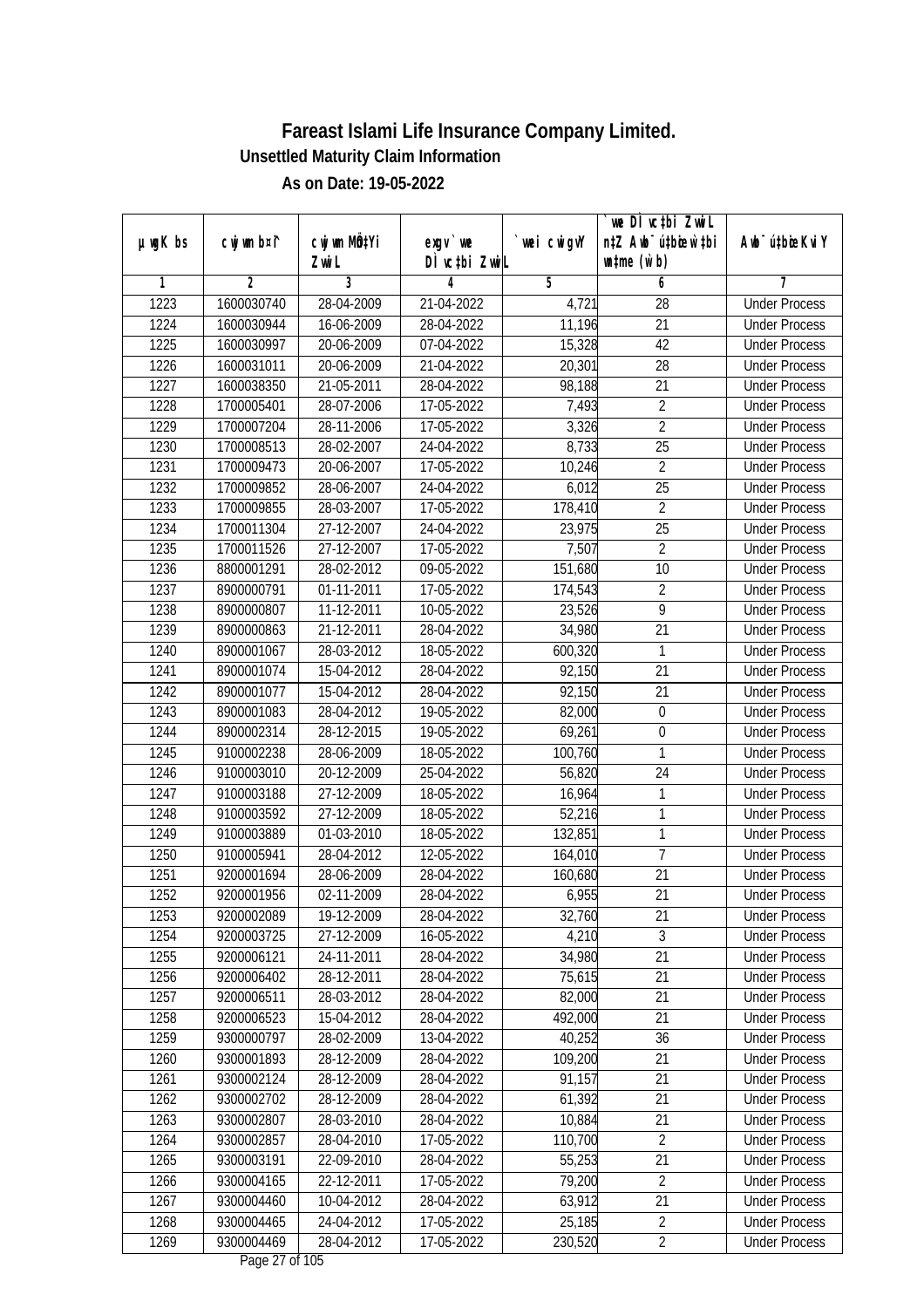|               |                |                       |                            |            | we DI vctbi ZwiL<br>n‡Z Awb <sup>-</sup> ú‡bicen`‡bi |                             |
|---------------|----------------|-----------------------|----------------------------|------------|------------------------------------------------------|-----------------------------|
| $µ$ ug $K$ bs | cwj wm b¤i^    | cwj wm MÖ¢Yi<br>Zwi L | $exgV$ we<br>DÌ vctbi ZwiL | wei cwigvY | $\n  untime\n  (u`b)\n$                              | Awb <sup>-</sup> ú‡bioeKviY |
| 1             | $\overline{2}$ | 3                     | 4                          | 5          | 6                                                    | 7                           |
| 1223          | 1600030740     | 28-04-2009            | 21-04-2022                 | 4,721      | $\overline{28}$                                      | <b>Under Process</b>        |
| 1224          | 1600030944     | 16-06-2009            | 28-04-2022                 | 11,196     | $\overline{21}$                                      | <b>Under Process</b>        |
| 1225          | 1600030997     | 20-06-2009            | 07-04-2022                 | 15,328     | 42                                                   | <b>Under Process</b>        |
| 1226          | 1600031011     | 20-06-2009            | 21-04-2022                 | 20,301     | 28                                                   | <b>Under Process</b>        |
| 1227          | 1600038350     | 21-05-2011            | 28-04-2022                 | 98,188     | $\overline{21}$                                      | <b>Under Process</b>        |
| 1228          | 1700005401     | 28-07-2006            | 17-05-2022                 | 7,493      | $\overline{2}$                                       | <b>Under Process</b>        |
| 1229          | 1700007204     | 28-11-2006            | 17-05-2022                 | 3,326      | $\overline{2}$                                       | <b>Under Process</b>        |
| 1230          | 1700008513     | 28-02-2007            | 24-04-2022                 | 8,733      | $\overline{25}$                                      | <b>Under Process</b>        |
| 1231          | 1700009473     | 20-06-2007            | 17-05-2022                 | 10,246     | $\overline{2}$                                       | <b>Under Process</b>        |
| 1232          | 1700009852     | 28-06-2007            | 24-04-2022                 | 6,012      | 25                                                   | <b>Under Process</b>        |
| 1233          | 1700009855     | 28-03-2007            | 17-05-2022                 | 178,410    | $\overline{2}$                                       | <b>Under Process</b>        |
| 1234          | 1700011304     | 27-12-2007            | 24-04-2022                 | 23,975     | 25                                                   | <b>Under Process</b>        |
| 1235          | 1700011526     | 27-12-2007            | 17-05-2022                 | 7,507      | $\overline{2}$                                       | <b>Under Process</b>        |
| 1236          | 8800001291     | 28-02-2012            | 09-05-2022                 | 151,680    | 10                                                   | <b>Under Process</b>        |
| 1237          | 8900000791     | 01-11-2011            | 17-05-2022                 | 174,543    | $\overline{2}$                                       | <b>Under Process</b>        |
| 1238          | 8900000807     | 11-12-2011            | 10-05-2022                 | 23,526     | $\overline{9}$                                       | <b>Under Process</b>        |
| 1239          | 8900000863     | 21-12-2011            | 28-04-2022                 | 34,980     | 21                                                   | <b>Under Process</b>        |
| 1240          | 8900001067     | 28-03-2012            | 18-05-2022                 | 600,320    | $\mathbf{1}$                                         | <b>Under Process</b>        |
| 1241          | 8900001074     | 15-04-2012            | 28-04-2022                 | 92,150     | 21                                                   | <b>Under Process</b>        |
| 1242          | 8900001077     | 15-04-2012            | 28-04-2022                 | 92,150     | 21                                                   | <b>Under Process</b>        |
| 1243          | 8900001083     | 28-04-2012            | 19-05-2022                 | 82,000     | $\mathbf 0$                                          | <b>Under Process</b>        |
| 1244          | 8900002314     | 28-12-2015            | 19-05-2022                 | 69,261     | $\boldsymbol{0}$                                     | <b>Under Process</b>        |
| 1245          | 9100002238     | 28-06-2009            | 18-05-2022                 | 100,760    | $\mathbf{1}$                                         | <b>Under Process</b>        |
| 1246          | 9100003010     | 20-12-2009            | 25-04-2022                 | 56,820     | 24                                                   | <b>Under Process</b>        |
| 1247          | 9100003188     | 27-12-2009            | 18-05-2022                 | 16,964     | 1                                                    | <b>Under Process</b>        |
| 1248          | 9100003592     | 27-12-2009            | 18-05-2022                 | 52,216     | $\mathbf{1}$                                         | <b>Under Process</b>        |
| 1249          | 9100003889     | 01-03-2010            | 18-05-2022                 | 132,851    | 1                                                    | <b>Under Process</b>        |
| 1250          | 9100005941     | 28-04-2012            | 12-05-2022                 | 164,010    | $\overline{7}$                                       | <b>Under Process</b>        |
| 1251          | 9200001694     | 28-06-2009            | 28-04-2022                 | 160,680    | 21                                                   | <b>Under Process</b>        |
| 1252          | 9200001956     | 02-11-2009            | 28-04-2022                 | 6,955      | 21                                                   | <b>Under Process</b>        |
| 1253          | 9200002089     | 19-12-2009            | 28-04-2022                 | 32,760     | 21                                                   | <b>Under Process</b>        |
| 1254          | 9200003725     | 27-12-2009            | 16-05-2022                 | 4,210      | 3                                                    | <b>Under Process</b>        |
| 1255          | 9200006121     | 24-11-2011            | 28-04-2022                 | 34,980     | 21                                                   | <b>Under Process</b>        |
| 1256          | 9200006402     | 28-12-2011            | 28-04-2022                 | 75,615     | 21                                                   | <b>Under Process</b>        |
| 1257          | 9200006511     | 28-03-2012            | 28-04-2022                 | 82,000     | 21                                                   | <b>Under Process</b>        |
| 1258          | 9200006523     | 15-04-2012            | 28-04-2022                 | 492,000    | 21                                                   | <b>Under Process</b>        |
| 1259          | 9300000797     | 28-02-2009            | 13-04-2022                 | 40,252     | 36                                                   | <b>Under Process</b>        |
| 1260          | 9300001893     | 28-12-2009            | 28-04-2022                 | 109,200    | 21                                                   | <b>Under Process</b>        |
| 1261          | 9300002124     | 28-12-2009            | 28-04-2022                 | 91,157     | 21                                                   | <b>Under Process</b>        |
| 1262          | 9300002702     | 28-12-2009            | 28-04-2022                 | 61,392     | 21                                                   | <b>Under Process</b>        |
| 1263          | 9300002807     | 28-03-2010            | 28-04-2022                 | 10,884     | 21                                                   | <b>Under Process</b>        |
| 1264          | 9300002857     | 28-04-2010            | 17-05-2022                 | 110,700    | $\overline{2}$                                       | <b>Under Process</b>        |
| 1265          | 9300003191     | 22-09-2010            | 28-04-2022                 | 55,253     | $\overline{21}$                                      | <b>Under Process</b>        |
| 1266          | 9300004165     | 22-12-2011            | 17-05-2022                 | 79,200     | $\overline{2}$                                       | <b>Under Process</b>        |
| 1267          | 9300004460     | 10-04-2012            | 28-04-2022                 | 63,912     | 21                                                   | <b>Under Process</b>        |
| 1268          | 9300004465     | 24-04-2012            | 17-05-2022                 | 25,185     | $\overline{2}$                                       | <b>Under Process</b>        |
| 1269          | 9300004469     | 28-04-2012            | 17-05-2022                 | 230,520    | $\overline{2}$                                       | <b>Under Process</b>        |
|               |                |                       |                            |            |                                                      |                             |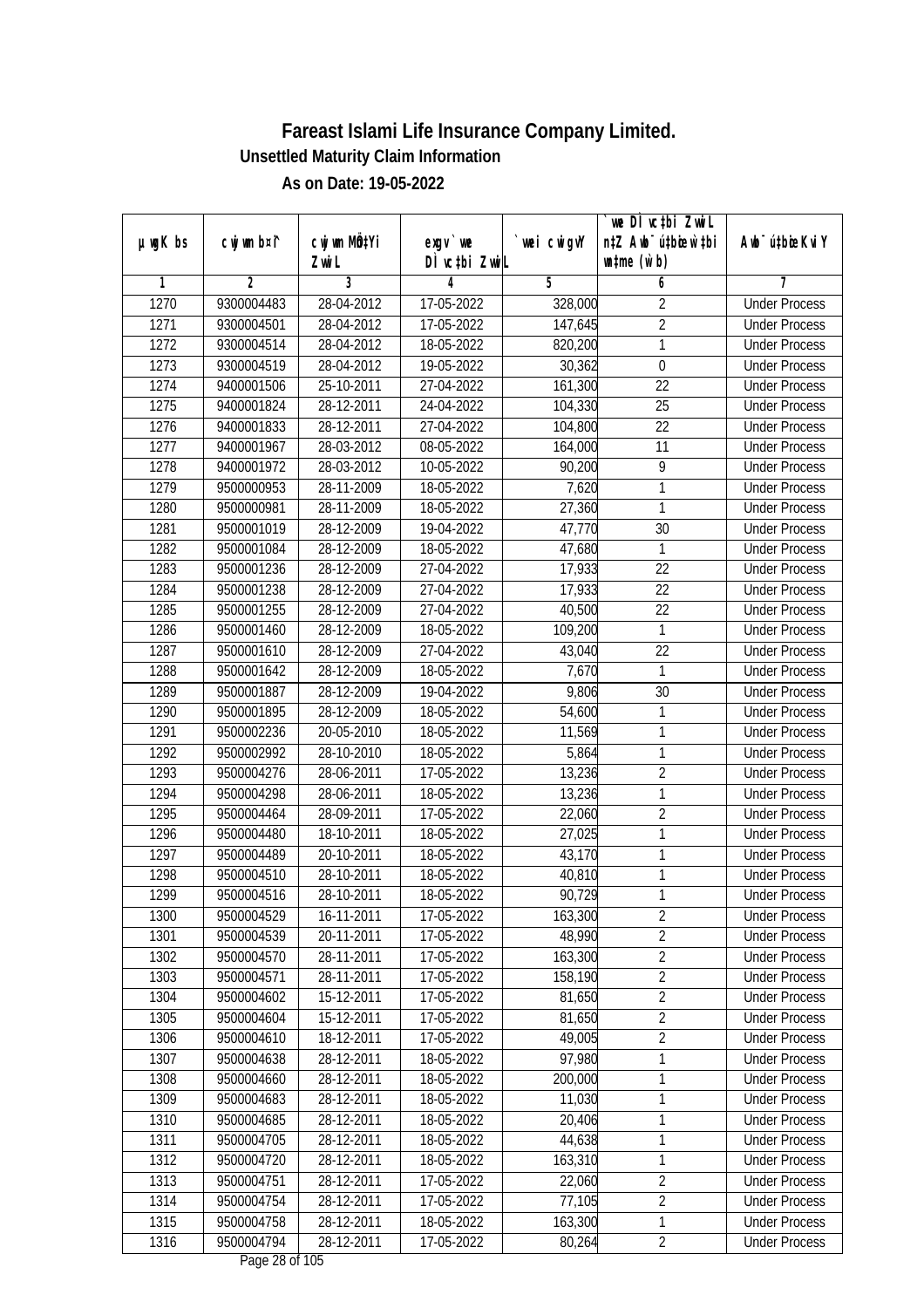|               |             |                           |                                    |             | we DI vctbi ZwiL                 |                             |
|---------------|-------------|---------------------------|------------------------------------|-------------|----------------------------------|-----------------------------|
| $µ$ ug $K$ bs | cwj wm b¤i^ | cwj wm MQ <sup>1</sup> Yi | $exgV$ we                          | `wei cwigvY | n‡Z Awb <sup>-</sup> ú‡bioen`‡bi | Awb <sup>-</sup> ú‡bioeKviY |
|               |             | Zwi L                     | DÌ vctbi ZwiL                      |             | $\n  untime\n  (u`b)\n$          |                             |
| 1             | 2           | 3                         | 4                                  | 5           | 6                                | 7                           |
| 1270          | 9300004483  | 28-04-2012                | 17-05-2022                         | 328,000     | $\overline{2}$                   | <b>Under Process</b>        |
| 1271          | 9300004501  | 28-04-2012                | 17-05-2022                         | 147,645     | $\overline{2}$                   | <b>Under Process</b>        |
| 1272          | 9300004514  | 28-04-2012                | 18-05-2022                         | 820,200     | 1                                | <b>Under Process</b>        |
| 1273          | 9300004519  | 28-04-2012                | 19-05-2022                         | 30,362      | $\mathbf 0$                      | <b>Under Process</b>        |
| 1274          | 9400001506  | $25 - 10 - 2011$          | 27-04-2022                         | 161,300     | 22                               | <b>Under Process</b>        |
| 1275          | 9400001824  | 28-12-2011                | 24-04-2022                         | 104,330     | $\overline{25}$                  | <b>Under Process</b>        |
| 1276          | 9400001833  | 28-12-2011                | 27-04-2022                         | 104,800     | 22                               | <b>Under Process</b>        |
| 1277          | 9400001967  | 28-03-2012                | 08-05-2022                         | 164,000     | $\overline{11}$                  | <b>Under Process</b>        |
| 1278          | 9400001972  | 28-03-2012                | 10-05-2022                         | 90,200      | $\overline{9}$                   | <b>Under Process</b>        |
| 1279          | 9500000953  | 28-11-2009                | 18-05-2022                         | 7,620       | 1                                | <b>Under Process</b>        |
| 1280          | 9500000981  | 28-11-2009                | $\overline{18} - 05 - 2022$        | 27,360      | 1                                | <b>Under Process</b>        |
| 1281          | 9500001019  | 28-12-2009                | 19-04-2022                         | 47,770      | 30                               | <b>Under Process</b>        |
| 1282          | 9500001084  | 28-12-2009                | 18-05-2022                         | 47,680      | 1                                | <b>Under Process</b>        |
| 1283          | 9500001236  | 28-12-2009                | 27-04-2022                         | 17,933      | 22                               | <b>Under Process</b>        |
| 1284          | 9500001238  | 28-12-2009                | 27-04-2022                         | 17,933      | 22                               | <b>Under Process</b>        |
| 1285          | 9500001255  | 28-12-2009                | 27-04-2022                         | 40,500      | 22                               | <b>Under Process</b>        |
| 1286          | 9500001460  | 28-12-2009                | 18-05-2022                         | 109,200     | 1                                | <b>Under Process</b>        |
| 1287          | 9500001610  | 28-12-2009                | 27-04-2022                         | 43,040      | 22                               | <b>Under Process</b>        |
| 1288          | 9500001642  | 28-12-2009                | 18-05-2022                         | 7,670       | 1                                | <b>Under Process</b>        |
| 1289          | 9500001887  | 28-12-2009                | 19-04-2022                         | 9,806       | 30                               | <b>Under Process</b>        |
| 1290          | 9500001895  | 28-12-2009                | 18-05-2022                         | 54,600      | 1                                | <b>Under Process</b>        |
| 1291          | 9500002236  | 20-05-2010                | 18-05-2022                         | 11,569      | 1                                | <b>Under Process</b>        |
| 1292          | 9500002992  | 28-10-2010                | 18-05-2022                         | 5,864       | 1                                | <b>Under Process</b>        |
| 1293          | 9500004276  | 28-06-2011                | 17-05-2022                         | 13,236      | $\overline{2}$                   | <b>Under Process</b>        |
| 1294          | 9500004298  | 28-06-2011                | 18-05-2022                         | 13,236      | 1                                | <b>Under Process</b>        |
| 1295          | 9500004464  | 28-09-2011                | 17-05-2022                         | 22,060      | $\overline{2}$                   | <b>Under Process</b>        |
| 1296          | 9500004480  | 18-10-2011                | 18-05-2022                         | 27,025      | 1                                | <b>Under Process</b>        |
| 1297          | 9500004489  | 20-10-2011                | 18-05-2022                         | 43,170      | 1                                | <b>Under Process</b>        |
| 1298          | 9500004510  | 28-10-2011                | 18-05-2022                         | 40,810      | 1                                | <b>Under Process</b>        |
| 1299          | 9500004516  | 28-10-2011                | 18-05-2022                         | 90,729      | 1                                | <b>Under Process</b>        |
| 1300          | 9500004529  | 16-11-2011                | 17-05-2022                         | 163,300     | 2                                | <b>Under Process</b>        |
| 1301          | 9500004539  | 20-11-2011                | 17-05-2022                         | 48,990      | $\overline{2}$                   | <b>Under Process</b>        |
| 1302          | 9500004570  | 28-11-2011                | 17-05-2022                         | 163,300     | $\overline{2}$                   | <b>Under Process</b>        |
| 1303          | 9500004571  | 28-11-2011                | 17-05-2022                         | 158,190     | $\overline{2}$                   | <b>Under Process</b>        |
| 1304          | 9500004602  | 15-12-2011                | 17-05-2022                         | 81,650      | $\overline{2}$                   | <b>Under Process</b>        |
| 1305          | 9500004604  | 15-12-2011                | 17-05-2022                         | 81,650      | $\overline{2}$                   | <b>Under Process</b>        |
| 1306          | 9500004610  | 18-12-2011                | 17-05-2022                         | 49,005      | $\overline{2}$                   | <b>Under Process</b>        |
| 1307          | 9500004638  | 28-12-2011                | 18-05-2022                         | 97,980      | 1                                | <b>Under Process</b>        |
| 1308          | 9500004660  | 28-12-2011                | 18-05-2022                         | 200,000     | 1                                | <b>Under Process</b>        |
| 1309          | 9500004683  | 28-12-2011                | 18-05-2022                         | 11,030      | 1                                | <b>Under Process</b>        |
| 1310          | 9500004685  | 28-12-2011                | 18-05-2022                         | 20,406      | 1                                | <b>Under Process</b>        |
| 1311          | 9500004705  | 28-12-2011                | 18-05-2022                         | 44,638      | 1                                | <b>Under Process</b>        |
| 1312          | 9500004720  | 28-12-2011                | 18-05-2022                         | 163,310     | 1                                | <b>Under Process</b>        |
| 1313          | 9500004751  | 28-12-2011                | 17-05-2022                         | 22,060      | $\overline{2}$                   | <b>Under Process</b>        |
| 1314          | 9500004754  | 28-12-2011                | 17-05-2022                         | 77,105      | $\overline{2}$                   | <b>Under Process</b>        |
| 1315          | 9500004758  | 28-12-2011                | 18-05-2022                         | 163,300     | 1                                | <b>Under Process</b>        |
| 1316          | 9500004794  | 28-12-2011                | 17-05-2022<br>$D_{0.92}$ 20 of 10E | 80,264      | $\overline{2}$                   | <b>Under Process</b>        |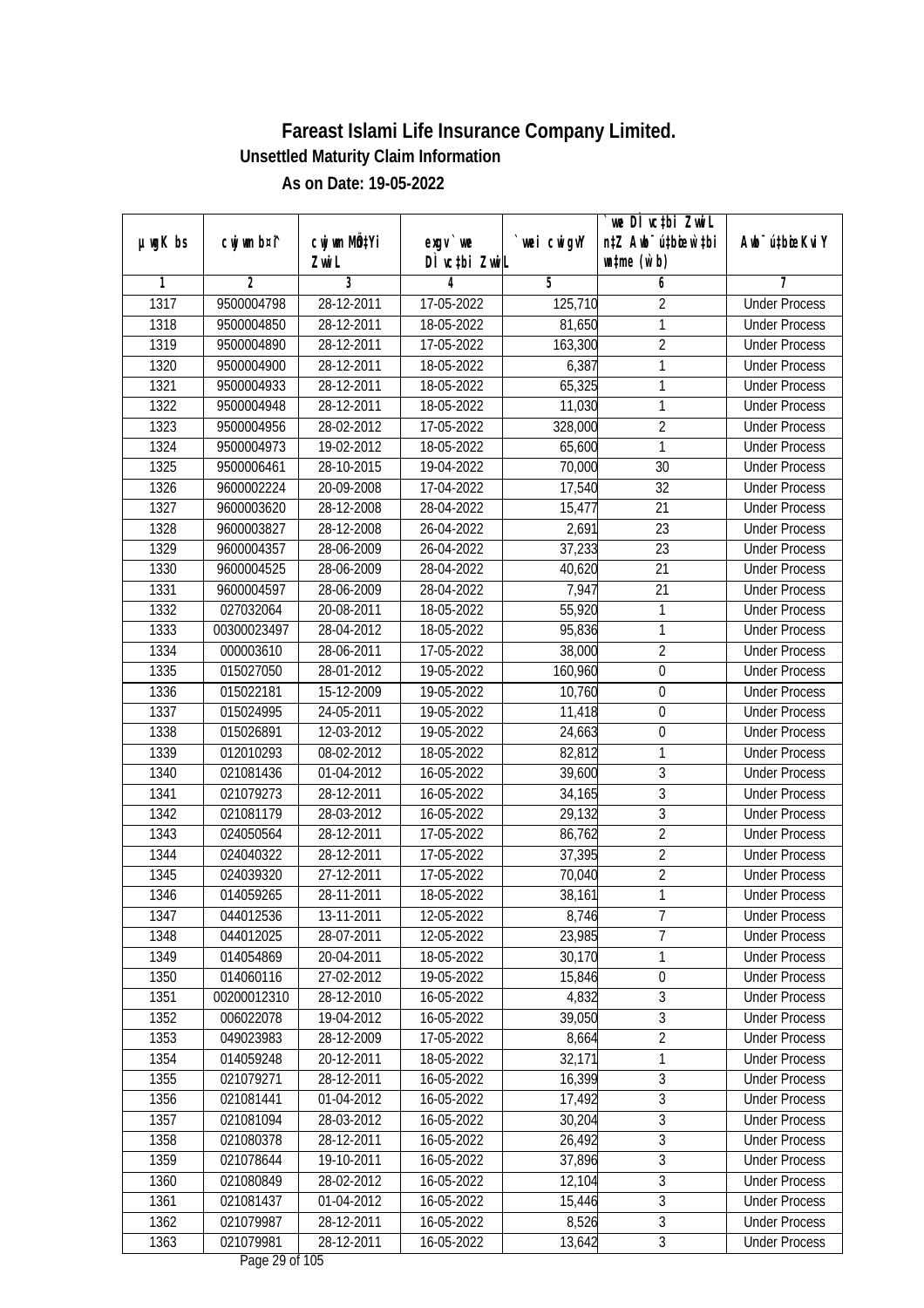|         |                |              |                  |             | we DI vctbi ZwiL                 |                             |
|---------|----------------|--------------|------------------|-------------|----------------------------------|-----------------------------|
| µwgK bs | cwj wm b¤i^    | cwj wm MQtYi | $exgV$ we        | `wei cwigvY | n‡Z Awb <sup>-</sup> ú‡bicen`‡bi | Awb <sup>-</sup> ú‡bioeKviY |
|         |                | Zwi L        | DÌ vctbi ZwiL    |             | $\n  untime\n  (u`b)\n$          |                             |
| 1       | $\overline{2}$ | 3            | 4                | 5           | 6                                | 7                           |
| 1317    | 9500004798     | 28-12-2011   | 17-05-2022       | 125,710     | $\overline{2}$                   | <b>Under Process</b>        |
| 1318    | 9500004850     | 28-12-2011   | 18-05-2022       | 81,650      | 1                                | <b>Under Process</b>        |
| 1319    | 9500004890     | 28-12-2011   | 17-05-2022       | 163,300     | $\overline{2}$                   | <b>Under Process</b>        |
| 1320    | 9500004900     | 28-12-2011   | 18-05-2022       | 6,387       | 1                                | <b>Under Process</b>        |
| 1321    | 9500004933     | 28-12-2011   | 18-05-2022       | 65,325      | 1                                | <b>Under Process</b>        |
| 1322    | 9500004948     | 28-12-2011   | 18-05-2022       | 11,030      | 1                                | <b>Under Process</b>        |
| 1323    | 9500004956     | 28-02-2012   | $17 - 05 - 2022$ | 328,000     | $\overline{2}$                   | <b>Under Process</b>        |
| 1324    | 9500004973     | 19-02-2012   | 18-05-2022       | 65,600      | 1                                | <b>Under Process</b>        |
| 1325    | 9500006461     | 28-10-2015   | 19-04-2022       | 70,000      | 30                               | <b>Under Process</b>        |
| 1326    | 9600002224     | 20-09-2008   | 17-04-2022       | 17,540      | 32                               | <b>Under Process</b>        |
| 1327    | 9600003620     | 28-12-2008   | 28-04-2022       | 15,477      | $\overline{21}$                  | <b>Under Process</b>        |
| 1328    | 9600003827     | 28-12-2008   | 26-04-2022       | 2,691       | 23                               | <b>Under Process</b>        |
| 1329    | 9600004357     | 28-06-2009   | 26-04-2022       | 37,233      | $\overline{23}$                  | <b>Under Process</b>        |
| 1330    | 9600004525     | 28-06-2009   | 28-04-2022       | 40,620      | 21                               | <b>Under Process</b>        |
| 1331    | 9600004597     | 28-06-2009   | 28-04-2022       | 7,947       | 21                               | <b>Under Process</b>        |
| 1332    | 027032064      | 20-08-2011   | 18-05-2022       | 55,920      | 1                                | <b>Under Process</b>        |
| 1333    | 00300023497    | 28-04-2012   | 18-05-2022       | 95,836      | 1                                | <b>Under Process</b>        |
| 1334    | 000003610      | 28-06-2011   | 17-05-2022       | 38,000      | $\overline{2}$                   | <b>Under Process</b>        |
| 1335    | 015027050      | 28-01-2012   | 19-05-2022       | 160,960     | $\boldsymbol{0}$                 | <b>Under Process</b>        |
| 1336    | 015022181      | 15-12-2009   | 19-05-2022       | 10,760      | $\boldsymbol{0}$                 | <b>Under Process</b>        |
| 1337    | 015024995      | 24-05-2011   | 19-05-2022       | 11,418      | $\boldsymbol{0}$                 | <b>Under Process</b>        |
| 1338    | 015026891      | 12-03-2012   | 19-05-2022       | 24,663      | 0                                | <b>Under Process</b>        |
| 1339    | 012010293      | 08-02-2012   | 18-05-2022       | 82,812      | 1                                | <b>Under Process</b>        |
| 1340    | 021081436      | 01-04-2012   | 16-05-2022       | 39,600      | $\overline{3}$                   | <b>Under Process</b>        |
| 1341    | 021079273      | 28-12-2011   | 16-05-2022       | 34,165      | $\overline{3}$                   | <b>Under Process</b>        |
| 1342    | 021081179      | 28-03-2012   | 16-05-2022       | 29,132      | 3                                | <b>Under Process</b>        |
| 1343    | 024050564      | 28-12-2011   | 17-05-2022       | 86,762      | $\overline{2}$                   | <b>Under Process</b>        |
| 1344    | 024040322      | 28-12-2011   | 17-05-2022       | 37,395      | $\overline{2}$                   | <b>Under Process</b>        |
| 1345    | 024039320      | 27-12-2011   | 17-05-2022       | 70,040      | $\overline{2}$                   | <b>Under Process</b>        |
| 1346    | 014059265      | 28-11-2011   | 18-05-2022       | 38,161      | $\overline{1}$                   | <b>Under Process</b>        |
| 1347    | 044012536      | 13-11-2011   | 12-05-2022       | 8,746       | 7                                | <b>Under Process</b>        |
| 1348    | 044012025      | 28-07-2011   | 12-05-2022       | 23,985      | $\overline{7}$                   | <b>Under Process</b>        |
| 1349    | 014054869      | 20-04-2011   | 18-05-2022       | 30,170      | 1                                | <b>Under Process</b>        |
| 1350    | 014060116      | 27-02-2012   | 19-05-2022       | 15,846      | $\boldsymbol{0}$                 | <b>Under Process</b>        |
| 1351    | 00200012310    | 28-12-2010   | 16-05-2022       | 4,832       | $\overline{3}$                   | <b>Under Process</b>        |
| 1352    | 006022078      | 19-04-2012   | 16-05-2022       | 39,050      | 3                                | <b>Under Process</b>        |
| 1353    | 049023983      | 28-12-2009   | 17-05-2022       | 8,664       | $\overline{2}$                   | <b>Under Process</b>        |
| 1354    | 014059248      | 20-12-2011   | 18-05-2022       | 32,171      | 1                                | <b>Under Process</b>        |
| 1355    | 021079271      | 28-12-2011   | 16-05-2022       | 16,399      | 3                                | <b>Under Process</b>        |
| 1356    | 021081441      | 01-04-2012   | 16-05-2022       | 17,492      | $\overline{3}$                   | <b>Under Process</b>        |
| 1357    | 021081094      | 28-03-2012   | 16-05-2022       | 30,204      | 3                                | <b>Under Process</b>        |
| 1358    | 021080378      | 28-12-2011   | 16-05-2022       | 26,492      | $\overline{3}$                   | <b>Under Process</b>        |
| 1359    | 021078644      | 19-10-2011   | 16-05-2022       | 37,896      | $\overline{3}$                   | <b>Under Process</b>        |
| 1360    | 021080849      | 28-02-2012   | 16-05-2022       | 12,104      | $\overline{3}$                   | <b>Under Process</b>        |
| 1361    | 021081437      | 01-04-2012   | 16-05-2022       | 15,446      | $\overline{3}$                   | <b>Under Process</b>        |
| 1362    | 021079987      | 28-12-2011   | 16-05-2022       | 8,526       | $\overline{3}$                   | <b>Under Process</b>        |
| 1363    | 021079981      | 28-12-2011   | 16-05-2022       | 13,642      | $\mathfrak{Z}$                   | <b>Under Process</b>        |
|         |                |              |                  |             |                                  |                             |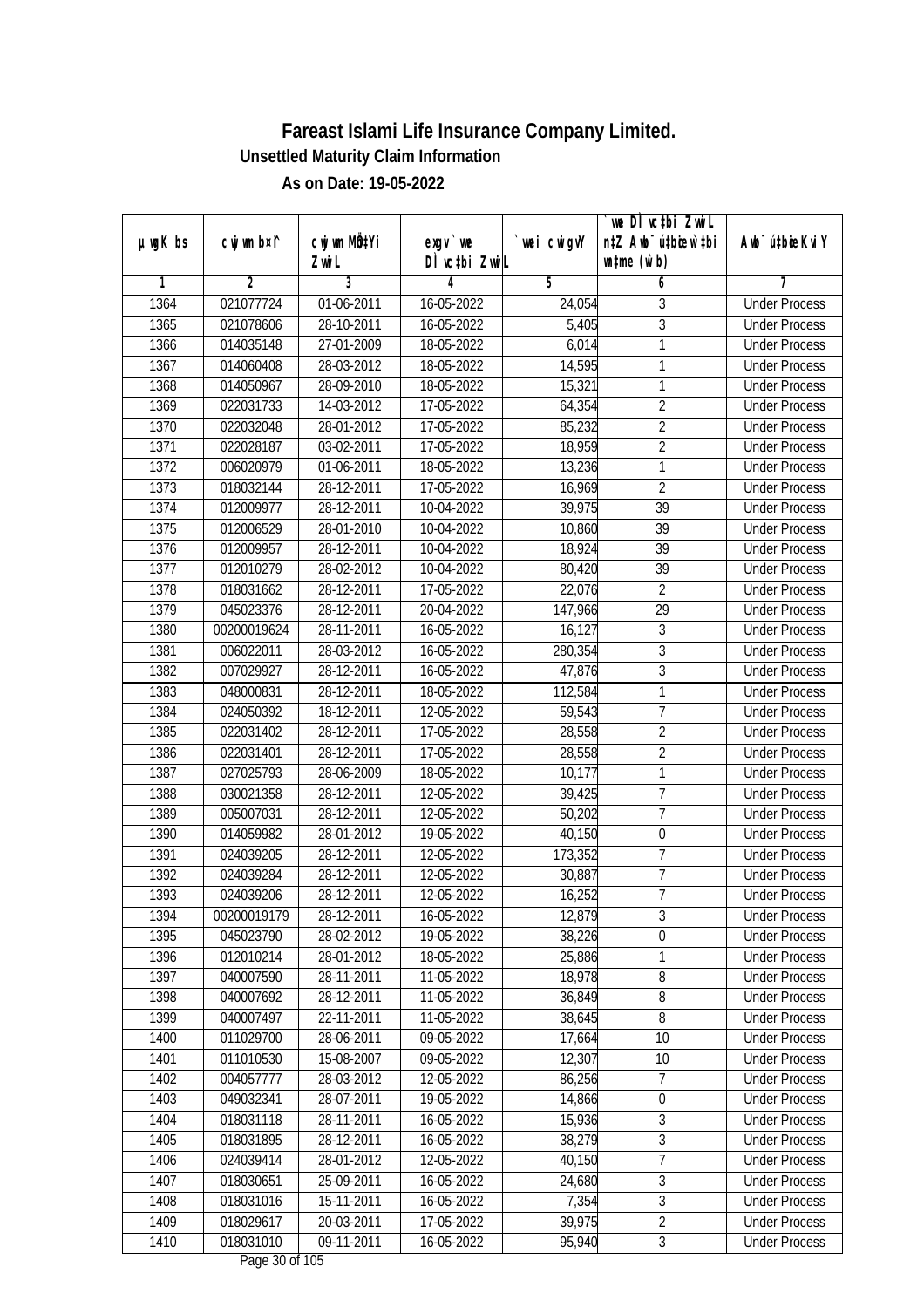|               |                |                           |                                     |             | we DI vctbi ZwiL                 |                             |
|---------------|----------------|---------------------------|-------------------------------------|-------------|----------------------------------|-----------------------------|
| $µ$ ug $K$ bs | cwj wm b¤i^    | cwj wm MQ <sup>1</sup> Yi | $exgV$ we                           | `wei cwigvY | n‡Z Awb <sup>-</sup> ú‡bioen`‡bi | Awb <sup>-</sup> ú‡bioeKviY |
|               |                | Zwi L                     | DÌ vctbi ZwiL                       |             | $\n  untime\n  (u`b)\n$          |                             |
| 1             | $\overline{2}$ | 3                         | 4                                   | 5           | 6                                | 7                           |
| 1364          | 021077724      | 01-06-2011                | 16-05-2022                          | 24,054      | 3                                | <b>Under Process</b>        |
| 1365          | 021078606      | 28-10-2011                | 16-05-2022                          | 5,405       | $\overline{3}$                   | <b>Under Process</b>        |
| 1366          | 014035148      | 27-01-2009                | 18-05-2022                          | 6,014       | 1                                | <b>Under Process</b>        |
| 1367          | 014060408      | 28-03-2012                | 18-05-2022                          | 14,595      | 1                                | <b>Under Process</b>        |
| 1368          | 014050967      | 28-09-2010                | 18-05-2022                          | 15,321      | 1                                | <b>Under Process</b>        |
| 1369          | 022031733      | 14-03-2012                | 17-05-2022                          | 64,354      | $\overline{2}$                   | <b>Under Process</b>        |
| 1370          | 022032048      | 28-01-2012                | $17 - 05 - 2022$                    | 85,232      | $\overline{2}$                   | <b>Under Process</b>        |
| 1371          | 022028187      | 03-02-2011                | 17-05-2022                          | 18,959      | $\overline{2}$                   | <b>Under Process</b>        |
| 1372          | 006020979      | 01-06-2011                | 18-05-2022                          | 13,236      | 1                                | <b>Under Process</b>        |
| 1373          | 018032144      | 28-12-2011                | 17-05-2022                          | 16,969      | $\overline{2}$                   | <b>Under Process</b>        |
| 1374          | 012009977      | 28-12-2011                | 10-04-2022                          | 39,975      | $\overline{39}$                  | <b>Under Process</b>        |
| 1375          | 012006529      | 28-01-2010                | 10-04-2022                          | 10,860      | 39                               | <b>Under Process</b>        |
| 1376          | 012009957      | 28-12-2011                | 10-04-2022                          | 18,924      | $\overline{39}$                  | <b>Under Process</b>        |
| 1377          | 012010279      | 28-02-2012                | 10-04-2022                          | 80,420      | 39                               | <b>Under Process</b>        |
| 1378          | 018031662      | 28-12-2011                | 17-05-2022                          | 22,076      | $\overline{2}$                   | <b>Under Process</b>        |
| 1379          | 045023376      | 28-12-2011                | 20-04-2022                          | 147,966     | 29                               | <b>Under Process</b>        |
| 1380          | 00200019624    | 28-11-2011                | 16-05-2022                          | 16,127      | 3                                | <b>Under Process</b>        |
| 1381          | 006022011      | 28-03-2012                | 16-05-2022                          | 280,354     | 3                                | <b>Under Process</b>        |
| 1382          | 007029927      | 28-12-2011                | 16-05-2022                          | 47,876      | $\overline{3}$                   | <b>Under Process</b>        |
| 1383          | 048000831      | 28-12-2011                | 18-05-2022                          | 112,584     | 1                                | <b>Under Process</b>        |
| 1384          | 024050392      | 18-12-2011                | 12-05-2022                          | 59,543      | $\overline{7}$                   | <b>Under Process</b>        |
| 1385          | 022031402      | 28-12-2011                | 17-05-2022                          | 28,558      | $\overline{2}$                   | <b>Under Process</b>        |
| 1386          | 022031401      | 28-12-2011                | 17-05-2022                          | 28,558      | $\overline{2}$                   | <b>Under Process</b>        |
| 1387          | 027025793      | 28-06-2009                | 18-05-2022                          | 10,177      | $\mathbf{1}$                     | <b>Under Process</b>        |
| 1388          | 030021358      | 28-12-2011                | 12-05-2022                          | 39,425      | $\overline{7}$                   | <b>Under Process</b>        |
| 1389          | 005007031      | 28-12-2011                | 12-05-2022                          | 50,202      | 7                                | <b>Under Process</b>        |
| 1390          | 014059982      | 28-01-2012                | 19-05-2022                          | 40,150      | $\boldsymbol{0}$                 | <b>Under Process</b>        |
| 1391          | 024039205      | 28-12-2011                | 12-05-2022                          | 173,352     | $\overline{7}$                   | <b>Under Process</b>        |
| 1392          | 024039284      | 28-12-2011                | 12-05-2022                          | 30,887      | $\overline{7}$                   | <b>Under Process</b>        |
| 1393          | 024039206      | 28-12-2011                | 12-05-2022                          | 16,252      | $\overline{7}$                   | <b>Under Process</b>        |
| 1394          | 00200019179    | 28-12-2011                | 16-05-2022                          | 12,879      | 3                                | <b>Under Process</b>        |
| 1395          | 045023790      | 28-02-2012                | 19-05-2022                          | 38,226      | $\mathbf 0$                      | <b>Under Process</b>        |
| 1396          | 012010214      | 28-01-2012                | 18-05-2022                          | 25,886      | 1                                | <b>Under Process</b>        |
| 1397          | 040007590      | 28-11-2011                | 11-05-2022                          | 18,978      | $\bf 8$                          | <b>Under Process</b>        |
| 1398          | 040007692      | 28-12-2011                | 11-05-2022                          | 36,849      | 8                                | <b>Under Process</b>        |
| 1399          | 040007497      | 22-11-2011                | 11-05-2022                          | 38,645      | 8                                | <b>Under Process</b>        |
| 1400          | 011029700      | 28-06-2011                | 09-05-2022                          | 17,664      | 10                               | <b>Under Process</b>        |
| 1401          | 011010530      | 15-08-2007                | 09-05-2022                          | 12,307      | 10                               | <b>Under Process</b>        |
| 1402          | 004057777      | 28-03-2012                | 12-05-2022                          | 86,256      | 7                                | <b>Under Process</b>        |
| 1403          | 049032341      | 28-07-2011                | 19-05-2022                          | 14,866      | $\boldsymbol{0}$                 | <b>Under Process</b>        |
| 1404          | 018031118      | 28-11-2011                | 16-05-2022                          | 15,936      | 3                                | <b>Under Process</b>        |
| 1405          | 018031895      | 28-12-2011                | 16-05-2022                          | 38,279      | $\overline{3}$                   | <b>Under Process</b>        |
| 1406          | 024039414      | 28-01-2012                | 12-05-2022                          | 40,150      | 7                                | <b>Under Process</b>        |
| 1407          | 018030651      | 25-09-2011                | 16-05-2022                          | 24,680      | $\overline{3}$                   | <b>Under Process</b>        |
| 1408          | 018031016      | 15-11-2011                | 16-05-2022                          | 7,354       | $\overline{3}$                   | <b>Under Process</b>        |
| 1409          | 018029617      | 20-03-2011                | 17-05-2022                          | 39,975      | $\overline{2}$                   | <b>Under Process</b>        |
| 1410          | 018031010      | 09-11-2011                | 16-05-2022<br>$D_{0.82}$ $20.6$ 105 | 95,940      | $\mathfrak{Z}$                   | <b>Under Process</b>        |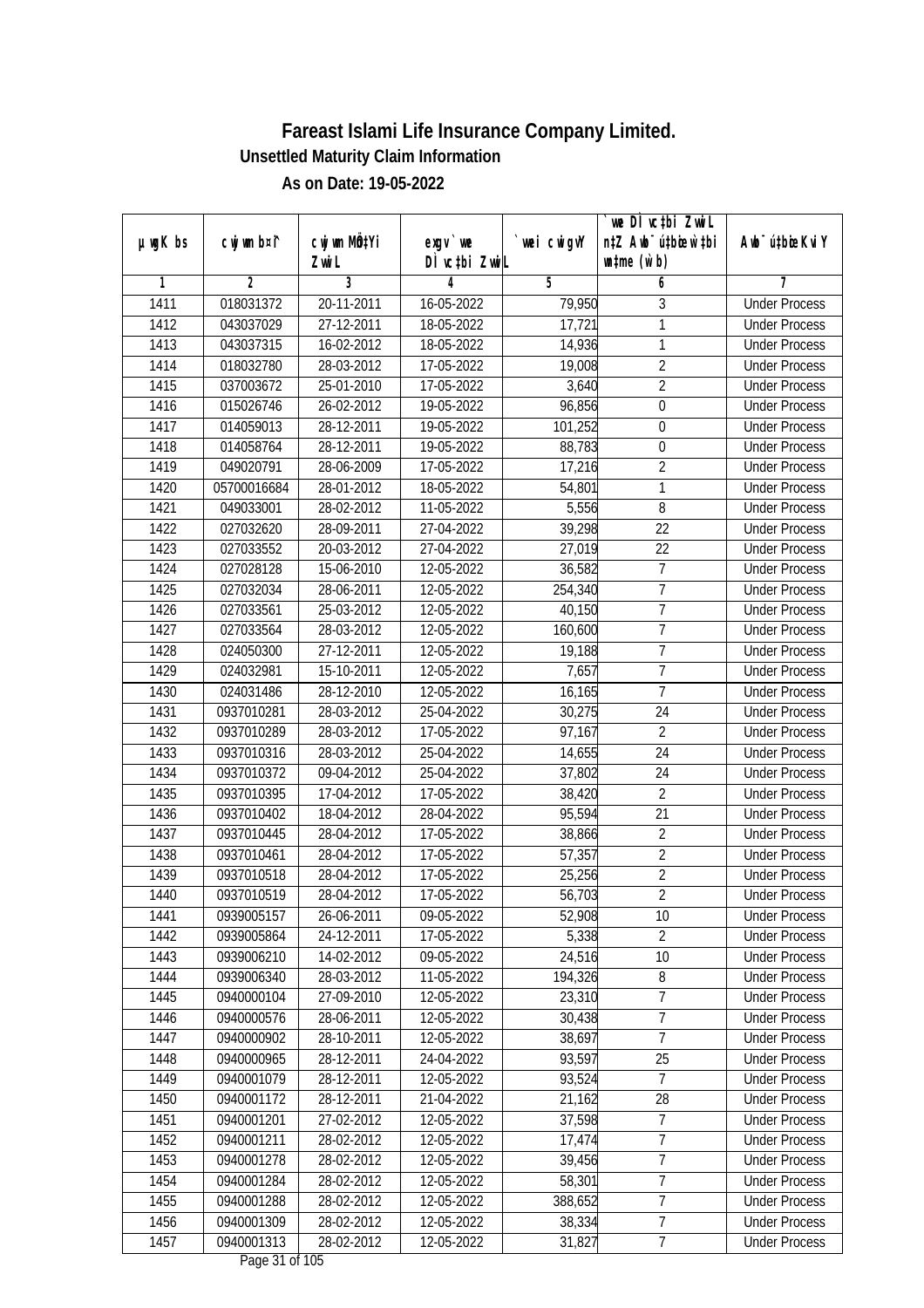|               |             |                           |                                    |             | `we DÌ vc‡bi ZwiL                |                             |
|---------------|-------------|---------------------------|------------------------------------|-------------|----------------------------------|-----------------------------|
| $µ$ ug $K$ bs | cwj wm b¤i^ | cwj wm MQ <sup>1</sup> Yi | $exgV$ we                          | `wei cwigvY | n‡Z Awb <sup>-</sup> ú‡bioen`‡bi | Awb <sup>-</sup> ú‡bioeKviY |
|               |             | Zwi L                     | DÌ vctbi ZwiL                      |             | $\n  untime\n  (u`b)\n$          |                             |
| 1             | 2           | 3                         | 4                                  | 5           | 6                                | 7                           |
| 1411          | 018031372   | 20-11-2011                | 16-05-2022                         | 79,950      | 3                                | <b>Under Process</b>        |
| 1412          | 043037029   | 27-12-2011                | 18-05-2022                         | 17,721      | 1                                | <b>Under Process</b>        |
| 1413          | 043037315   | 16-02-2012                | 18-05-2022                         | 14,936      | 1                                | <b>Under Process</b>        |
| 1414          | 018032780   | 28-03-2012                | 17-05-2022                         | 19,008      | $\overline{2}$                   | <b>Under Process</b>        |
| 1415          | 037003672   | 25-01-2010                | 17-05-2022                         | 3,640       | $\overline{2}$                   | <b>Under Process</b>        |
| 1416          | 015026746   | 26-02-2012                | 19-05-2022                         | 96,856      | $\mathbf 0$                      | <b>Under Process</b>        |
| 1417          | 014059013   | 28-12-2011                | 19-05-2022                         | 101,252     | $\boldsymbol{0}$                 | <b>Under Process</b>        |
| 1418          | 014058764   | 28-12-2011                | 19-05-2022                         | 88,783      | $\overline{0}$                   | <b>Under Process</b>        |
| 1419          | 049020791   | 28-06-2009                | 17-05-2022                         | 17,216      | $\overline{2}$                   | <b>Under Process</b>        |
| 1420          | 05700016684 | 28-01-2012                | 18-05-2022                         | 54,801      | 1                                | <b>Under Process</b>        |
| 1421          | 049033001   | 28-02-2012                | 11-05-2022                         | 5,556       | 8                                | <b>Under Process</b>        |
| 1422          | 027032620   | 28-09-2011                | 27-04-2022                         | 39,298      | 22                               | <b>Under Process</b>        |
| 1423          | 027033552   | 20-03-2012                | 27-04-2022                         | 27,019      | $\overline{22}$                  | <b>Under Process</b>        |
| 1424          | 027028128   | 15-06-2010                | 12-05-2022                         | 36,582      | $\overline{7}$                   | <b>Under Process</b>        |
| 1425          | 027032034   | 28-06-2011                | 12-05-2022                         | 254,340     | 7                                | <b>Under Process</b>        |
| 1426          | 027033561   | 25-03-2012                | 12-05-2022                         | 40,150      | $\overline{7}$                   | <b>Under Process</b>        |
| 1427          | 027033564   | 28-03-2012                | 12-05-2022                         | 160,600     | 7                                | <b>Under Process</b>        |
| 1428          | 024050300   | 27-12-2011                | 12-05-2022                         | 19,188      | $\overline{1}$                   | <b>Under Process</b>        |
| 1429          | 024032981   | 15-10-2011                | 12-05-2022                         | 7,657       | $\overline{7}$                   | <b>Under Process</b>        |
| 1430          | 024031486   | 28-12-2010                | 12-05-2022                         | 16,165      | $\overline{1}$                   | <b>Under Process</b>        |
| 1431          | 0937010281  | 28-03-2012                | 25-04-2022                         | 30,275      | 24                               | <b>Under Process</b>        |
| 1432          | 0937010289  | 28-03-2012                | 17-05-2022                         | 97,167      | $\overline{2}$                   | <b>Under Process</b>        |
| 1433          | 0937010316  | 28-03-2012                | 25-04-2022                         | 14,655      | 24                               | <b>Under Process</b>        |
| 1434          | 0937010372  | 09-04-2012                | 25-04-2022                         | 37,802      | 24                               | <b>Under Process</b>        |
| 1435          | 0937010395  | 17-04-2012                | 17-05-2022                         | 38,420      | $\sqrt{2}$                       | <b>Under Process</b>        |
| 1436          | 0937010402  | 18-04-2012                | 28-04-2022                         | 95,594      | 21                               | <b>Under Process</b>        |
| 1437          | 0937010445  | 28-04-2012                | 17-05-2022                         | 38,866      | $\overline{2}$                   | <b>Under Process</b>        |
| 1438          | 0937010461  | 28-04-2012                | 17-05-2022                         | 57,357      | $\overline{2}$                   | <b>Under Process</b>        |
| 1439          | 0937010518  | 28-04-2012                | 17-05-2022                         | 25,256      | $\overline{2}$                   | <b>Under Process</b>        |
| 1440          | 0937010519  | 28-04-2012                | 17-05-2022                         | 56,703      | $\overline{2}$                   | <b>Under Process</b>        |
| 1441          | 0939005157  | 26-06-2011                | 09-05-2022                         | 52,908      | 10                               | <b>Under Process</b>        |
| 1442          | 0939005864  | 24-12-2011                | 17-05-2022                         | 5,338       | $\overline{2}$                   | <b>Under Process</b>        |
| 1443          | 0939006210  | 14-02-2012                | 09-05-2022                         | 24,516      | 10                               | <b>Under Process</b>        |
| 1444          | 0939006340  | 28-03-2012                | 11-05-2022                         | 194,326     | $\bf 8$                          | <b>Under Process</b>        |
| 1445          | 0940000104  | 27-09-2010                | 12-05-2022                         | 23,310      | 7                                | <b>Under Process</b>        |
| 1446          | 0940000576  | 28-06-2011                | 12-05-2022                         | 30,438      | 7                                | <b>Under Process</b>        |
| 1447          | 0940000902  | 28-10-2011                | 12-05-2022                         | 38,697      | $\overline{7}$                   | <b>Under Process</b>        |
| 1448          | 0940000965  | 28-12-2011                | 24-04-2022                         | 93,597      | 25                               | <b>Under Process</b>        |
| 1449          | 0940001079  | 28-12-2011                | 12-05-2022                         | 93,524      | 7                                | <b>Under Process</b>        |
| 1450          | 0940001172  | 28-12-2011                | 21-04-2022                         | 21,162      | 28                               | <b>Under Process</b>        |
| 1451          | 0940001201  | 27-02-2012                | 12-05-2022                         | 37,598      | $\boldsymbol{7}$                 | <b>Under Process</b>        |
| 1452          | 0940001211  | 28-02-2012                | 12-05-2022                         | 17,474      | 7                                | <b>Under Process</b>        |
| 1453          | 0940001278  | 28-02-2012                | 12-05-2022                         | 39,456      | $\overline{7}$                   | <b>Under Process</b>        |
| 1454          | 0940001284  | 28-02-2012                | 12-05-2022                         | 58,301      | $\overline{7}$                   | <b>Under Process</b>        |
| 1455          | 0940001288  | 28-02-2012                | 12-05-2022                         | 388,652     | $\overline{7}$                   | <b>Under Process</b>        |
| 1456          | 0940001309  | 28-02-2012                | 12-05-2022                         | 38,334      | 7                                | <b>Under Process</b>        |
| 1457          | 0940001313  | 28-02-2012                | 12-05-2022<br>$D_{0.92}$ 21 of 10E | 31,827      | $\boldsymbol{7}$                 | <b>Under Process</b>        |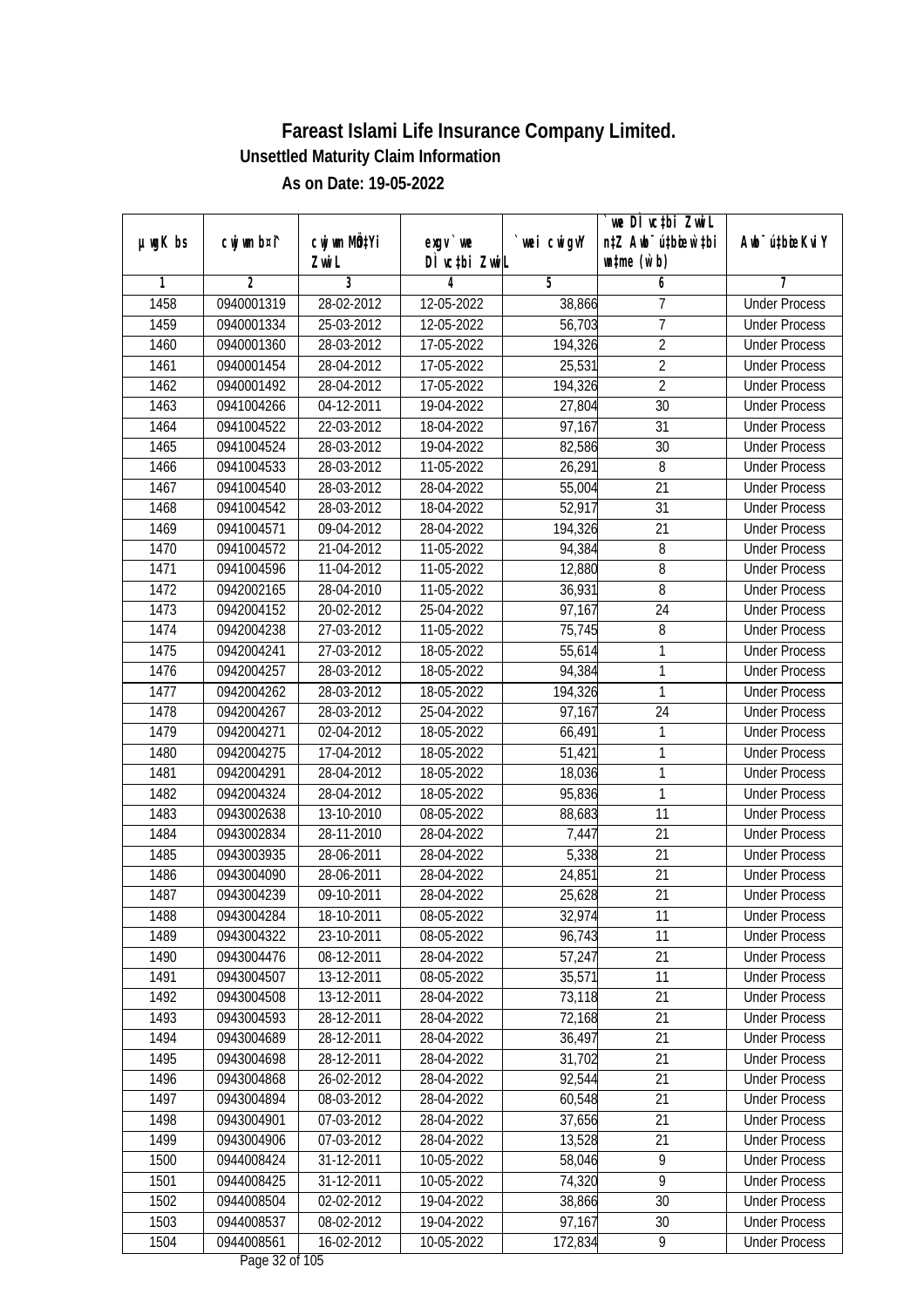|               |                |                       |                           |                  | we DI vctbi ZwiL                                            |                             |
|---------------|----------------|-----------------------|---------------------------|------------------|-------------------------------------------------------------|-----------------------------|
| $µ$ ug $K$ bs | cwj wm b¤i^    | cwj wm MÖ¢Yi<br>Zwi L | exgv `we<br>DÌ vctbi ZwiL | wei cwigvY       | n‡Z Awb <sup>-</sup> ú‡bicen`‡bi<br>$\n  untime\n  (u`b)\n$ | Awb <sup>-</sup> ú‡bioeKviY |
| 1             | $\overline{2}$ | 3                     | 4                         | 5                | 6                                                           | 7                           |
| 1458          | 0940001319     | 28-02-2012            | 12-05-2022                | 38,866           | 7                                                           | <b>Under Process</b>        |
| 1459          | 0940001334     | 25-03-2012            | 12-05-2022                | 56,703           | $\overline{7}$                                              | <b>Under Process</b>        |
| 1460          | 0940001360     | 28-03-2012            | 17-05-2022                | 194,326          | $\overline{2}$                                              | <b>Under Process</b>        |
| 1461          | 0940001454     | 28-04-2012            | 17-05-2022                | 25,531           | $\overline{2}$                                              | <b>Under Process</b>        |
| 1462          | 0940001492     | 28-04-2012            | 17-05-2022                | 194,326          | $\overline{2}$                                              | <b>Under Process</b>        |
| 1463          | 0941004266     | 04-12-2011            | 19-04-2022                | 27,804           | $\overline{30}$                                             | <b>Under Process</b>        |
| 1464          | 0941004522     | 22-03-2012            | 18-04-2022                | 97,167           | 31                                                          | <b>Under Process</b>        |
| 1465          | 0941004524     | 28-03-2012            | 19-04-2022                | 82,586           | 30                                                          | <b>Under Process</b>        |
| 1466          | 0941004533     | 28-03-2012            | 11-05-2022                | 26,291           | 8                                                           | <b>Under Process</b>        |
| 1467          | 0941004540     | 28-03-2012            | 28-04-2022                |                  | 21                                                          | <b>Under Process</b>        |
| 1468          | 0941004542     | 28-03-2012            | 18-04-2022                | 55,004<br>52,917 | $\overline{31}$                                             | <b>Under Process</b>        |
|               |                |                       |                           |                  |                                                             |                             |
| 1469          | 0941004571     | 09-04-2012            | 28-04-2022                | 194,326          | 21                                                          | <b>Under Process</b>        |
| 1470          | 0941004572     | 21-04-2012            | 11-05-2022                | 94,384           | 8                                                           | <b>Under Process</b>        |
| 1471          | 0941004596     | 11-04-2012            | 11-05-2022                | 12,880           | 8                                                           | <b>Under Process</b>        |
| 1472          | 0942002165     | 28-04-2010            | 11-05-2022                | 36,931           | $\, 8$                                                      | <b>Under Process</b>        |
| 1473          | 0942004152     | 20-02-2012            | 25-04-2022                | 97,167           | 24                                                          | <b>Under Process</b>        |
| 1474          | 0942004238     | 27-03-2012            | 11-05-2022                | 75,745           | 8                                                           | <b>Under Process</b>        |
| 1475          | 0942004241     | 27-03-2012            | 18-05-2022                | 55,614           | $\mathbf{1}$                                                | <b>Under Process</b>        |
| 1476          | 0942004257     | 28-03-2012            | 18-05-2022                | 94,384           | $\mathbf{1}$                                                | <b>Under Process</b>        |
| 1477          | 0942004262     | 28-03-2012            | 18-05-2022                | 194,326          | 1                                                           | <b>Under Process</b>        |
| 1478          | 0942004267     | 28-03-2012            | 25-04-2022                | 97,167           | 24                                                          | <b>Under Process</b>        |
| 1479          | 0942004271     | 02-04-2012            | 18-05-2022                | 66,491           | 1                                                           | <b>Under Process</b>        |
| 1480          | 0942004275     | 17-04-2012            | 18-05-2022                | 51,421           | $\mathbf{1}$                                                | <b>Under Process</b>        |
| 1481          | 0942004291     | 28-04-2012            | 18-05-2022                | 18,036           | $\mathbf{1}$                                                | <b>Under Process</b>        |
| 1482          | 0942004324     | 28-04-2012            | 18-05-2022                | 95,836           | $\mathbf{1}$                                                | <b>Under Process</b>        |
| 1483          | 0943002638     | 13-10-2010            | 08-05-2022                | 88,683           | 11                                                          | <b>Under Process</b>        |
| 1484          | 0943002834     | 28-11-2010            | 28-04-2022                | 7,447            | 21                                                          | <b>Under Process</b>        |
| 1485          | 0943003935     | 28-06-2011            | 28-04-2022                | 5,338            | 21                                                          | <b>Under Process</b>        |
| 1486          | 0943004090     | 28-06-2011            | 28-04-2022                | 24,851           | 21                                                          | <b>Under Process</b>        |
| 1487          | 0943004239     | 09-10-2011            | 28-04-2022                | 25,628           | 21                                                          | <b>Under Process</b>        |
| 1488          | 0943004284     | 18-10-2011            | 08-05-2022                | 32,974           | 11                                                          | <b>Under Process</b>        |
| 1489          | 0943004322     | 23-10-2011            | 08-05-2022                | 96,743           | 11                                                          | <b>Under Process</b>        |
| 1490          | 0943004476     | 08-12-2011            | 28-04-2022                | 57,247           | 21                                                          | <b>Under Process</b>        |
| 1491          | 0943004507     | 13-12-2011            | 08-05-2022                | 35,571           | 11                                                          | <b>Under Process</b>        |
| 1492          | 0943004508     | 13-12-2011            | 28-04-2022                | 73,118           | 21                                                          | <b>Under Process</b>        |
| 1493          | 0943004593     | 28-12-2011            | 28-04-2022                | 72,168           | 21                                                          | <b>Under Process</b>        |
| 1494          | 0943004689     | 28-12-2011            | 28-04-2022                | 36,497           | 21                                                          | <b>Under Process</b>        |
| 1495          | 0943004698     | 28-12-2011            | 28-04-2022                | 31,702           | 21                                                          | <b>Under Process</b>        |
| 1496          | 0943004868     | 26-02-2012            | 28-04-2022                | 92,544           | 21                                                          | <b>Under Process</b>        |
| 1497          | 0943004894     | 08-03-2012            | 28-04-2022                | 60,548           | 21                                                          | <b>Under Process</b>        |
| 1498          | 0943004901     | 07-03-2012            | 28-04-2022                | 37,656           | 21                                                          | <b>Under Process</b>        |
| 1499          | 0943004906     | 07-03-2012            | 28-04-2022                | 13,528           | 21                                                          | <b>Under Process</b>        |
| 1500          | 0944008424     | 31-12-2011            | 10-05-2022                | 58,046           | $\overline{9}$                                              | <b>Under Process</b>        |
| 1501          | 0944008425     | 31-12-2011            | 10-05-2022                | 74,320           | $\overline{9}$                                              | <b>Under Process</b>        |
| 1502          | 0944008504     | 02-02-2012            | 19-04-2022                | 38,866           | 30                                                          | <b>Under Process</b>        |
| 1503          | 0944008537     | 08-02-2012            | 19-04-2022                | 97,167           | 30                                                          | <b>Under Process</b>        |
| 1504          | 0944008561     | 16-02-2012            | 10-05-2022                | 172,834          | 9                                                           | <b>Under Process</b>        |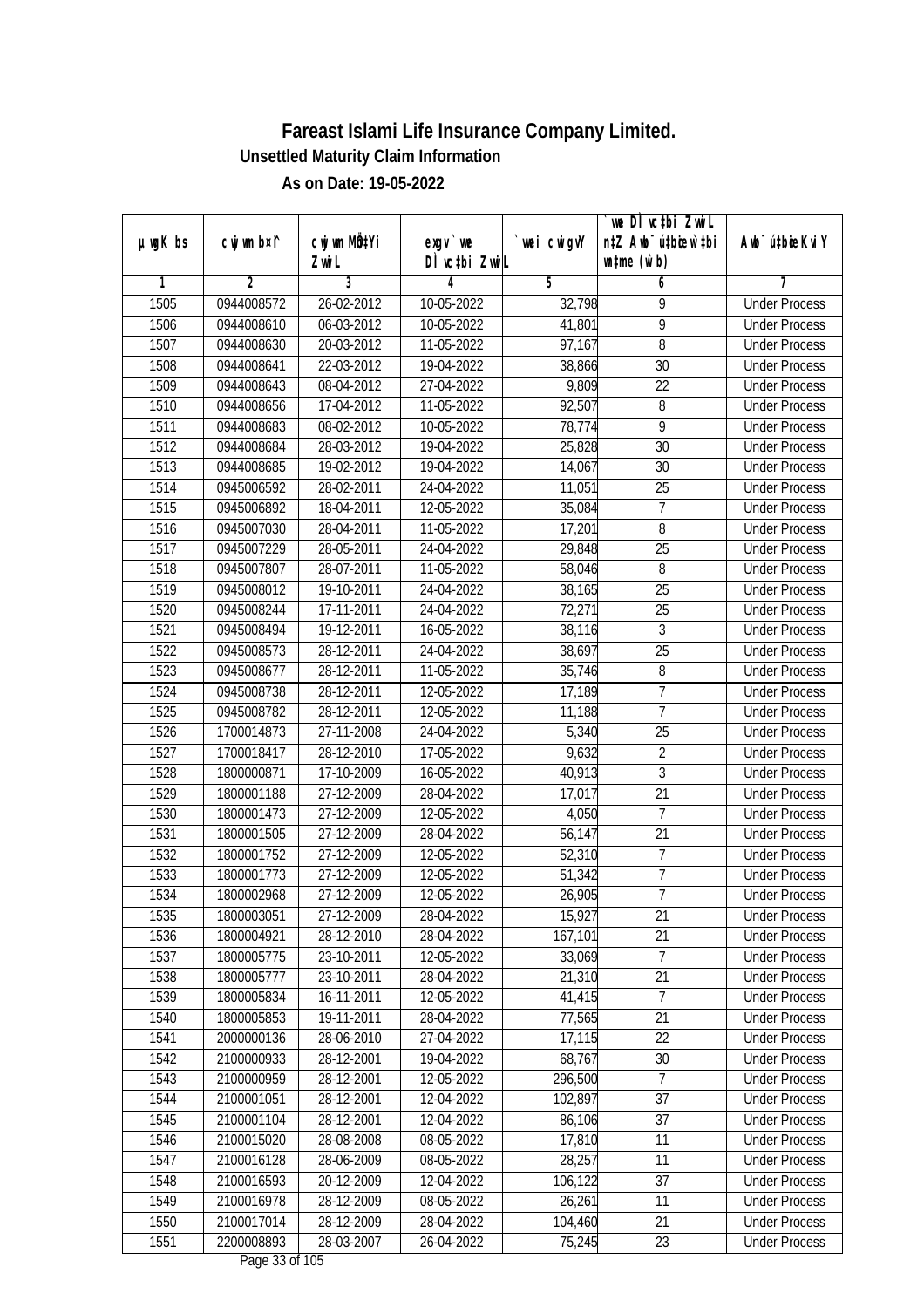|         |                |                           |               |                | we DI vctbi ZwiL                 |                             |
|---------|----------------|---------------------------|---------------|----------------|----------------------------------|-----------------------------|
| µwgK bs | cwj wm b¤i^    | cwj wm MQ <sup>1</sup> Yi | $exgV$ we     | `wei cwigvY    | n‡Z Awb <sup>-</sup> ú‡bicen`‡bi | Awb <sup>-</sup> ú‡bioeKviY |
|         |                | Zwi L                     | DÌ vctbi ZwiL |                | $\n  untime\n  (u`b)\n$          |                             |
| 1       | $\overline{2}$ | 3                         | 4             | $\overline{5}$ | 6                                | 7                           |
| 1505    | 0944008572     | 26-02-2012                | 10-05-2022    | 32,798         | 9                                | <b>Under Process</b>        |
| 1506    | 0944008610     | 06-03-2012                | $10-05-2022$  | 41,801         | $\overline{9}$                   | <b>Under Process</b>        |
| 1507    | 0944008630     | 20-03-2012                | 11-05-2022    | 97,167         | $\overline{8}$                   | <b>Under Process</b>        |
| 1508    | 0944008641     | 22-03-2012                | 19-04-2022    | 38,866         | 30                               | <b>Under Process</b>        |
| 1509    | 0944008643     | 08-04-2012                | 27-04-2022    | 9,809          | $\overline{22}$                  | <b>Under Process</b>        |
| 1510    | 0944008656     | 17-04-2012                | 11-05-2022    | 92,507         | 8                                | <b>Under Process</b>        |
| 1511    | 0944008683     | 08-02-2012                | $10-05-2022$  | 78,774         | 9                                | <b>Under Process</b>        |
| 1512    | 0944008684     | 28-03-2012                | 19-04-2022    | 25,828         | $\overline{30}$                  | <b>Under Process</b>        |
| 1513    | 0944008685     | 19-02-2012                | 19-04-2022    | 14,067         | 30                               | <b>Under Process</b>        |
| 1514    | 0945006592     | 28-02-2011                | 24-04-2022    | 11,051         | 25                               | <b>Under Process</b>        |
| 1515    | 0945006892     | 18-04-2011                | 12-05-2022    | 35,084         | 7                                | <b>Under Process</b>        |
| 1516    | 0945007030     | 28-04-2011                | 11-05-2022    | 17,201         | 8                                | <b>Under Process</b>        |
| 1517    | 0945007229     | 28-05-2011                | 24-04-2022    | 29,848         | $\overline{25}$                  | <b>Under Process</b>        |
| 1518    | 0945007807     | 28-07-2011                | 11-05-2022    | 58,046         | 8                                | <b>Under Process</b>        |
| 1519    | 0945008012     | 19-10-2011                | 24-04-2022    | 38,165         | 25                               | <b>Under Process</b>        |
| 1520    | 0945008244     | 17-11-2011                | 24-04-2022    | 72,271         | 25                               | <b>Under Process</b>        |
| 1521    | 0945008494     | 19-12-2011                | 16-05-2022    | 38,116         | $\mathfrak{Z}$                   | <b>Under Process</b>        |
| 1522    | 0945008573     | 28-12-2011                | 24-04-2022    | 38,697         | 25                               | <b>Under Process</b>        |
| 1523    | 0945008677     | 28-12-2011                | 11-05-2022    | 35,746         | 8                                | <b>Under Process</b>        |
| 1524    | 0945008738     | 28-12-2011                | 12-05-2022    | 17,189         | 7                                | <b>Under Process</b>        |
| 1525    | 0945008782     | 28-12-2011                | 12-05-2022    | 11,188         | $\overline{7}$                   | <b>Under Process</b>        |
| 1526    | 1700014873     | 27-11-2008                | 24-04-2022    | 5,340          | 25                               | <b>Under Process</b>        |
| 1527    | 1700018417     | 28-12-2010                | 17-05-2022    | 9,632          | $\overline{2}$                   | <b>Under Process</b>        |
| 1528    | 1800000871     | 17-10-2009                | 16-05-2022    | 40,913         | $\overline{3}$                   | <b>Under Process</b>        |
| 1529    | 1800001188     | 27-12-2009                | 28-04-2022    | 17,017         | 21                               | <b>Under Process</b>        |
| 1530    | 1800001473     | 27-12-2009                | 12-05-2022    | 4,050          | 7                                | <b>Under Process</b>        |
| 1531    | 1800001505     | 27-12-2009                | 28-04-2022    | 56,147         | 21                               | <b>Under Process</b>        |
| 1532    | 1800001752     | 27-12-2009                | 12-05-2022    | 52,310         | $\overline{7}$                   | <b>Under Process</b>        |
| 1533    | 1800001773     | 27-12-2009                | 12-05-2022    | 51,342         | $\overline{7}$                   | <b>Under Process</b>        |
| 1534    | 1800002968     | 27-12-2009                | 12-05-2022    | 26,905         | $\overline{7}$                   | <b>Under Process</b>        |
| 1535    | 1800003051     | 27-12-2009                | 28-04-2022    | 15,927         | 21                               | <b>Under Process</b>        |
| 1536    | 1800004921     | 28-12-2010                | 28-04-2022    | 167,101        | 21                               | <b>Under Process</b>        |
| 1537    | 1800005775     | 23-10-2011                | 12-05-2022    | 33,069         | $\overline{7}$                   | <b>Under Process</b>        |
| 1538    | 1800005777     | 23-10-2011                | 28-04-2022    | 21,310         | $\overline{21}$                  | <b>Under Process</b>        |
| 1539    | 1800005834     | 16-11-2011                | 12-05-2022    | 41,415         | 7                                | <b>Under Process</b>        |
| 1540    | 1800005853     | 19-11-2011                | 28-04-2022    | 77,565         | 21                               | <b>Under Process</b>        |
| 1541    | 2000000136     | 28-06-2010                | 27-04-2022    | 17,115         | 22                               | <b>Under Process</b>        |
| 1542    | 2100000933     | 28-12-2001                | 19-04-2022    | 68,767         | 30                               | <b>Under Process</b>        |
| 1543    | 2100000959     | 28-12-2001                | 12-05-2022    | 296,500        | 7                                | <b>Under Process</b>        |
| 1544    | 2100001051     | 28-12-2001                | 12-04-2022    | 102,897        | 37                               | <b>Under Process</b>        |
| 1545    | 2100001104     | 28-12-2001                | 12-04-2022    | 86,106         | 37                               | <b>Under Process</b>        |
| 1546    | 2100015020     | 28-08-2008                | 08-05-2022    | 17,810         | 11                               | <b>Under Process</b>        |
| 1547    | 2100016128     | 28-06-2009                | 08-05-2022    | 28,257         | 11                               | <b>Under Process</b>        |
| 1548    | 2100016593     | 20-12-2009                | 12-04-2022    | 106,122        | 37                               | <b>Under Process</b>        |
| 1549    | 2100016978     | 28-12-2009                | 08-05-2022    | 26,261         | 11                               | <b>Under Process</b>        |
| 1550    | 2100017014     | 28-12-2009                | 28-04-2022    | 104,460        | 21                               | <b>Under Process</b>        |
| 1551    | 2200008893     | 28-03-2007                | 26-04-2022    | 75,245         | 23                               | <b>Under Process</b>        |
|         |                |                           |               |                |                                  |                             |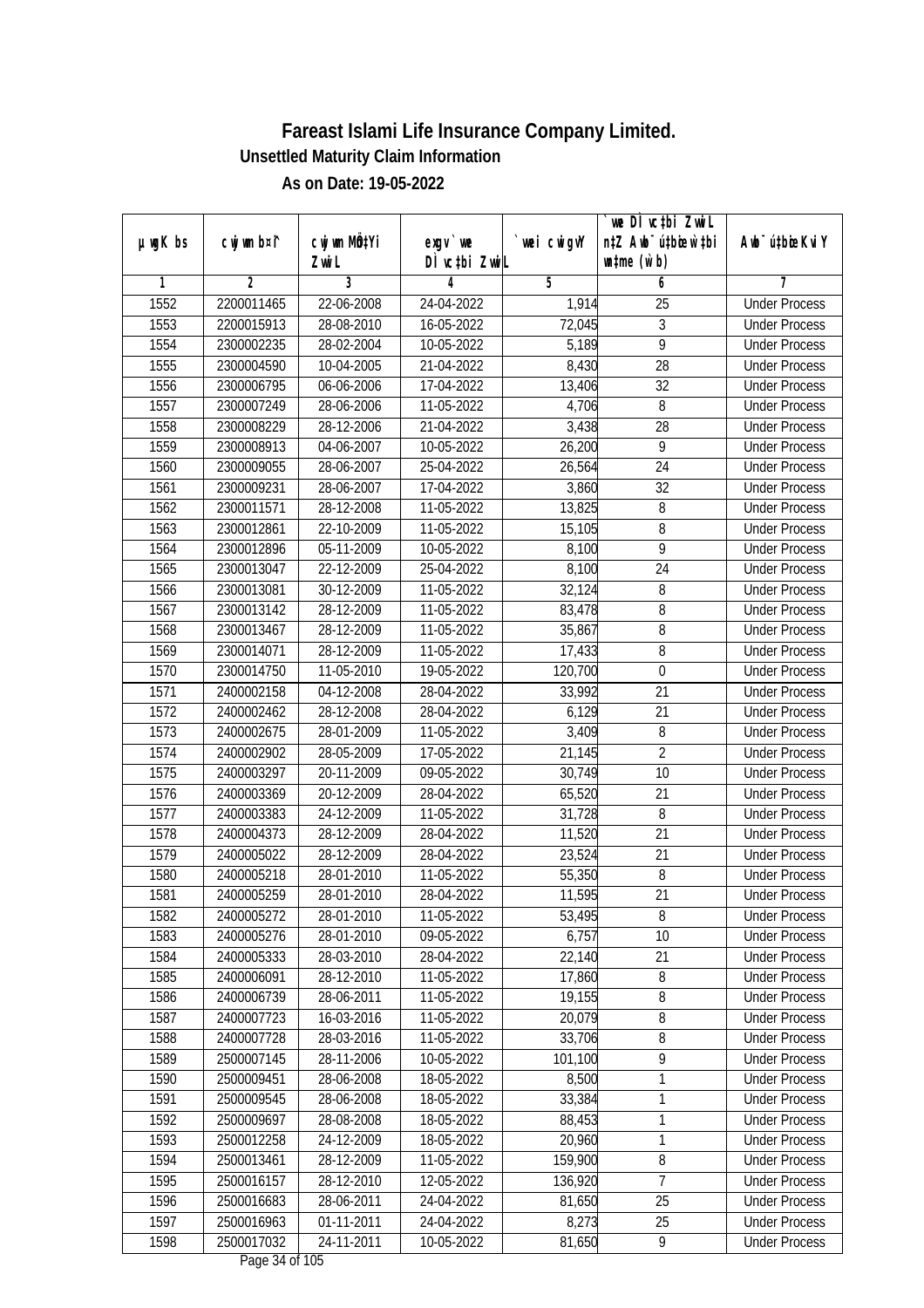| DÌ vctbi ZwiL<br>$\n  untime\n  (u`b)\n$<br>Zwi L<br>3<br>$\overline{2}$<br>5<br>6<br>1<br>4<br>7<br>1552<br><b>Under Process</b><br>2200011465<br>22-06-2008<br>24-04-2022<br>$\overline{25}$<br>1,914<br>3<br>1553<br>28-08-2010<br>16-05-2022<br>72,045<br>2200015913<br><b>Under Process</b><br>$\overline{9}$<br>1554<br>5,189<br>2300002235<br>28-02-2004<br>10-05-2022<br><b>Under Process</b><br>1555<br>21-04-2022<br>8,430<br>28<br>2300004590<br>10-04-2005<br><b>Under Process</b><br>1556<br>$\overline{32}$<br>2300006795<br>06-06-2006<br>17-04-2022<br>13,406<br><b>Under Process</b><br>1557<br>2300007249<br>28-06-2006<br>11-05-2022<br>4,706<br>8<br><b>Under Process</b><br>3,438<br>1558<br>2300008229<br>28-12-2006<br>21-04-2022<br>28<br><b>Under Process</b><br>$\overline{9}$<br>1559<br>2300008913<br>04-06-2007<br>10-05-2022<br>26,200<br><b>Under Process</b><br>1560<br>$\overline{24}$<br>2300009055<br>28-06-2007<br>25-04-2022<br>26,564<br><b>Under Process</b><br>1561<br>3,860<br>32<br>2300009231<br>28-06-2007<br>17-04-2022<br><b>Under Process</b><br>1562<br>2300011571<br>28-12-2008<br>11-05-2022<br>13,825<br>8<br><b>Under Process</b><br>1563<br>$\overline{11}$ -05-2022<br>15,105<br>8<br>2300012861<br>22-10-2009<br><b>Under Process</b><br>$\overline{9}$<br>1564<br>8,100<br>2300012896<br>05-11-2009<br>10-05-2022<br><b>Under Process</b><br>1565<br>22-12-2009<br>25-04-2022<br>8,100<br>24<br>2300013047<br><b>Under Process</b><br>1566<br>2300013081<br>30-12-2009<br>11-05-2022<br>32,124<br>8<br><b>Under Process</b><br>1567<br>2300013142<br>28-12-2009<br>11-05-2022<br>8<br>83,478<br><b>Under Process</b><br>1568<br>35,867<br>8<br>2300013467<br>28-12-2009<br>11-05-2022<br><b>Under Process</b><br>8<br>1569<br>28-12-2009<br>11-05-2022<br>17,433<br>2300014071<br><b>Under Process</b><br>1570<br>2300014750<br>11-05-2010<br>19-05-2022<br>120,700<br>$\mathbf 0$<br><b>Under Process</b><br>1571<br>33,992<br>21<br>2400002158<br>04-12-2008<br>28-04-2022<br><b>Under Process</b><br>1572<br>21<br>2400002462<br>28-12-2008<br>28-04-2022<br>6,129<br><b>Under Process</b><br>1573<br>11-05-2022<br>3,409<br>8<br>2400002675<br>28-01-2009<br><b>Under Process</b><br>$\overline{2}$<br>1574<br>2400002902<br>28-05-2009<br>17-05-2022<br>21,145<br><b>Under Process</b><br>10<br>1575<br>2400003297<br>20-11-2009<br>09-05-2022<br>30,749<br><b>Under Process</b><br>1576<br>65,520<br>21<br>2400003369<br>20-12-2009<br>28-04-2022<br><b>Under Process</b><br>8<br>1577<br>2400003383<br>24-12-2009<br>11-05-2022<br>31,728<br><b>Under Process</b><br>1578<br>21<br>2400004373<br>28-12-2009<br>28-04-2022<br>11,520<br><b>Under Process</b><br>1579<br>2400005022<br>28-12-2009<br>23,524<br>21<br>28-04-2022<br><b>Under Process</b><br>1580<br>8<br>2400005218<br>28-01-2010<br>11-05-2022<br>55,350<br><b>Under Process</b><br>1581<br>21<br>2400005259<br>28-01-2010<br>28-04-2022<br>11,595<br><b>Under Process</b><br>1582<br>2400005272<br>28-01-2010<br>11-05-2022<br>53,495<br>8<br><b>Under Process</b><br>1583<br>28-01-2010<br>6,757<br>10<br>2400005276<br>09-05-2022<br><b>Under Process</b><br>1584<br>22,140<br>21<br>2400005333<br>28-03-2010<br>28-04-2022<br><b>Under Process</b><br>$\bf 8$<br>1585<br>28-12-2010<br>17,860<br>2400006091<br>11-05-2022<br><b>Under Process</b><br>19,155<br>1586<br>2400006739<br>8<br>28-06-2011<br>11-05-2022<br><b>Under Process</b><br>1587<br>20,079<br>2400007723<br>16-03-2016<br>11-05-2022<br>8<br><b>Under Process</b><br>1588<br>2400007728<br>33,706<br>8<br>28-03-2016<br>11-05-2022<br><b>Under Process</b><br>$\overline{9}$<br>1589<br>28-11-2006<br>10-05-2022<br>101,100<br>2500007145<br><b>Under Process</b><br>8,500<br>1<br>1590<br>2500009451<br>28-06-2008<br>18-05-2022<br><b>Under Process</b><br>1591<br>1<br>2500009545<br>28-06-2008<br>18-05-2022<br>33,384<br><b>Under Process</b><br>1592<br>1<br>2500009697<br>28-08-2008<br>18-05-2022<br>88,453<br><b>Under Process</b><br>1<br>1593<br>2500012258<br>24-12-2009<br>18-05-2022<br>20,960<br><b>Under Process</b><br>159,900<br>1594<br>2500013461<br>28-12-2009<br>8<br>11-05-2022<br><b>Under Process</b><br>7<br>136,920<br>1595<br>2500016157<br>28-12-2010<br>12-05-2022<br><b>Under Process</b><br>1596<br>81,650<br>25<br>2500016683<br>28-06-2011<br>24-04-2022<br><b>Under Process</b><br>1597<br>2500016963<br>25<br>01-11-2011<br>8,273<br><b>Under Process</b><br>24-04-2022<br>1598<br>2500017032<br>81,650<br>9<br>24-11-2011<br>10-05-2022<br><b>Under Process</b> |               |             |                           |          |             | we DI vctbi ZwiL                 |                             |
|---------------------------------------------------------------------------------------------------------------------------------------------------------------------------------------------------------------------------------------------------------------------------------------------------------------------------------------------------------------------------------------------------------------------------------------------------------------------------------------------------------------------------------------------------------------------------------------------------------------------------------------------------------------------------------------------------------------------------------------------------------------------------------------------------------------------------------------------------------------------------------------------------------------------------------------------------------------------------------------------------------------------------------------------------------------------------------------------------------------------------------------------------------------------------------------------------------------------------------------------------------------------------------------------------------------------------------------------------------------------------------------------------------------------------------------------------------------------------------------------------------------------------------------------------------------------------------------------------------------------------------------------------------------------------------------------------------------------------------------------------------------------------------------------------------------------------------------------------------------------------------------------------------------------------------------------------------------------------------------------------------------------------------------------------------------------------------------------------------------------------------------------------------------------------------------------------------------------------------------------------------------------------------------------------------------------------------------------------------------------------------------------------------------------------------------------------------------------------------------------------------------------------------------------------------------------------------------------------------------------------------------------------------------------------------------------------------------------------------------------------------------------------------------------------------------------------------------------------------------------------------------------------------------------------------------------------------------------------------------------------------------------------------------------------------------------------------------------------------------------------------------------------------------------------------------------------------------------------------------------------------------------------------------------------------------------------------------------------------------------------------------------------------------------------------------------------------------------------------------------------------------------------------------------------------------------------------------------------------------------------------------------------------------------------------------------------------------------------------------------------------------------------------------------------------------------------------------------------------------------------------------------------------------------------------------------------------------------------------------------------------------------------------------------------------------------------------------------------------------------------------------------------------------------------------------------------------------------------------------------------------------------------------------------------------------------------------------------------------------------------------------------------------------------------------------------------------------------------------------------------------------------------------------------------------------------------------------------------------|---------------|-------------|---------------------------|----------|-------------|----------------------------------|-----------------------------|
|                                                                                                                                                                                                                                                                                                                                                                                                                                                                                                                                                                                                                                                                                                                                                                                                                                                                                                                                                                                                                                                                                                                                                                                                                                                                                                                                                                                                                                                                                                                                                                                                                                                                                                                                                                                                                                                                                                                                                                                                                                                                                                                                                                                                                                                                                                                                                                                                                                                                                                                                                                                                                                                                                                                                                                                                                                                                                                                                                                                                                                                                                                                                                                                                                                                                                                                                                                                                                                                                                                                                                                                                                                                                                                                                                                                                                                                                                                                                                                                                                                                                                                                                                                                                                                                                                                                                                                                                                                                                                                                                                                                                         | $µ$ ug $K$ bs | cwj wm b¤i^ | cwj wm MQ <sup>1</sup> Yi | exgy `we | `wei cwigvY | n‡Z Awb <sup>-</sup> ú‡bicen`‡bi | Awb <sup>-</sup> ú‡bioeKviY |
|                                                                                                                                                                                                                                                                                                                                                                                                                                                                                                                                                                                                                                                                                                                                                                                                                                                                                                                                                                                                                                                                                                                                                                                                                                                                                                                                                                                                                                                                                                                                                                                                                                                                                                                                                                                                                                                                                                                                                                                                                                                                                                                                                                                                                                                                                                                                                                                                                                                                                                                                                                                                                                                                                                                                                                                                                                                                                                                                                                                                                                                                                                                                                                                                                                                                                                                                                                                                                                                                                                                                                                                                                                                                                                                                                                                                                                                                                                                                                                                                                                                                                                                                                                                                                                                                                                                                                                                                                                                                                                                                                                                                         |               |             |                           |          |             |                                  |                             |
|                                                                                                                                                                                                                                                                                                                                                                                                                                                                                                                                                                                                                                                                                                                                                                                                                                                                                                                                                                                                                                                                                                                                                                                                                                                                                                                                                                                                                                                                                                                                                                                                                                                                                                                                                                                                                                                                                                                                                                                                                                                                                                                                                                                                                                                                                                                                                                                                                                                                                                                                                                                                                                                                                                                                                                                                                                                                                                                                                                                                                                                                                                                                                                                                                                                                                                                                                                                                                                                                                                                                                                                                                                                                                                                                                                                                                                                                                                                                                                                                                                                                                                                                                                                                                                                                                                                                                                                                                                                                                                                                                                                                         |               |             |                           |          |             |                                  |                             |
|                                                                                                                                                                                                                                                                                                                                                                                                                                                                                                                                                                                                                                                                                                                                                                                                                                                                                                                                                                                                                                                                                                                                                                                                                                                                                                                                                                                                                                                                                                                                                                                                                                                                                                                                                                                                                                                                                                                                                                                                                                                                                                                                                                                                                                                                                                                                                                                                                                                                                                                                                                                                                                                                                                                                                                                                                                                                                                                                                                                                                                                                                                                                                                                                                                                                                                                                                                                                                                                                                                                                                                                                                                                                                                                                                                                                                                                                                                                                                                                                                                                                                                                                                                                                                                                                                                                                                                                                                                                                                                                                                                                                         |               |             |                           |          |             |                                  |                             |
|                                                                                                                                                                                                                                                                                                                                                                                                                                                                                                                                                                                                                                                                                                                                                                                                                                                                                                                                                                                                                                                                                                                                                                                                                                                                                                                                                                                                                                                                                                                                                                                                                                                                                                                                                                                                                                                                                                                                                                                                                                                                                                                                                                                                                                                                                                                                                                                                                                                                                                                                                                                                                                                                                                                                                                                                                                                                                                                                                                                                                                                                                                                                                                                                                                                                                                                                                                                                                                                                                                                                                                                                                                                                                                                                                                                                                                                                                                                                                                                                                                                                                                                                                                                                                                                                                                                                                                                                                                                                                                                                                                                                         |               |             |                           |          |             |                                  |                             |
|                                                                                                                                                                                                                                                                                                                                                                                                                                                                                                                                                                                                                                                                                                                                                                                                                                                                                                                                                                                                                                                                                                                                                                                                                                                                                                                                                                                                                                                                                                                                                                                                                                                                                                                                                                                                                                                                                                                                                                                                                                                                                                                                                                                                                                                                                                                                                                                                                                                                                                                                                                                                                                                                                                                                                                                                                                                                                                                                                                                                                                                                                                                                                                                                                                                                                                                                                                                                                                                                                                                                                                                                                                                                                                                                                                                                                                                                                                                                                                                                                                                                                                                                                                                                                                                                                                                                                                                                                                                                                                                                                                                                         |               |             |                           |          |             |                                  |                             |
|                                                                                                                                                                                                                                                                                                                                                                                                                                                                                                                                                                                                                                                                                                                                                                                                                                                                                                                                                                                                                                                                                                                                                                                                                                                                                                                                                                                                                                                                                                                                                                                                                                                                                                                                                                                                                                                                                                                                                                                                                                                                                                                                                                                                                                                                                                                                                                                                                                                                                                                                                                                                                                                                                                                                                                                                                                                                                                                                                                                                                                                                                                                                                                                                                                                                                                                                                                                                                                                                                                                                                                                                                                                                                                                                                                                                                                                                                                                                                                                                                                                                                                                                                                                                                                                                                                                                                                                                                                                                                                                                                                                                         |               |             |                           |          |             |                                  |                             |
|                                                                                                                                                                                                                                                                                                                                                                                                                                                                                                                                                                                                                                                                                                                                                                                                                                                                                                                                                                                                                                                                                                                                                                                                                                                                                                                                                                                                                                                                                                                                                                                                                                                                                                                                                                                                                                                                                                                                                                                                                                                                                                                                                                                                                                                                                                                                                                                                                                                                                                                                                                                                                                                                                                                                                                                                                                                                                                                                                                                                                                                                                                                                                                                                                                                                                                                                                                                                                                                                                                                                                                                                                                                                                                                                                                                                                                                                                                                                                                                                                                                                                                                                                                                                                                                                                                                                                                                                                                                                                                                                                                                                         |               |             |                           |          |             |                                  |                             |
|                                                                                                                                                                                                                                                                                                                                                                                                                                                                                                                                                                                                                                                                                                                                                                                                                                                                                                                                                                                                                                                                                                                                                                                                                                                                                                                                                                                                                                                                                                                                                                                                                                                                                                                                                                                                                                                                                                                                                                                                                                                                                                                                                                                                                                                                                                                                                                                                                                                                                                                                                                                                                                                                                                                                                                                                                                                                                                                                                                                                                                                                                                                                                                                                                                                                                                                                                                                                                                                                                                                                                                                                                                                                                                                                                                                                                                                                                                                                                                                                                                                                                                                                                                                                                                                                                                                                                                                                                                                                                                                                                                                                         |               |             |                           |          |             |                                  |                             |
|                                                                                                                                                                                                                                                                                                                                                                                                                                                                                                                                                                                                                                                                                                                                                                                                                                                                                                                                                                                                                                                                                                                                                                                                                                                                                                                                                                                                                                                                                                                                                                                                                                                                                                                                                                                                                                                                                                                                                                                                                                                                                                                                                                                                                                                                                                                                                                                                                                                                                                                                                                                                                                                                                                                                                                                                                                                                                                                                                                                                                                                                                                                                                                                                                                                                                                                                                                                                                                                                                                                                                                                                                                                                                                                                                                                                                                                                                                                                                                                                                                                                                                                                                                                                                                                                                                                                                                                                                                                                                                                                                                                                         |               |             |                           |          |             |                                  |                             |
|                                                                                                                                                                                                                                                                                                                                                                                                                                                                                                                                                                                                                                                                                                                                                                                                                                                                                                                                                                                                                                                                                                                                                                                                                                                                                                                                                                                                                                                                                                                                                                                                                                                                                                                                                                                                                                                                                                                                                                                                                                                                                                                                                                                                                                                                                                                                                                                                                                                                                                                                                                                                                                                                                                                                                                                                                                                                                                                                                                                                                                                                                                                                                                                                                                                                                                                                                                                                                                                                                                                                                                                                                                                                                                                                                                                                                                                                                                                                                                                                                                                                                                                                                                                                                                                                                                                                                                                                                                                                                                                                                                                                         |               |             |                           |          |             |                                  |                             |
|                                                                                                                                                                                                                                                                                                                                                                                                                                                                                                                                                                                                                                                                                                                                                                                                                                                                                                                                                                                                                                                                                                                                                                                                                                                                                                                                                                                                                                                                                                                                                                                                                                                                                                                                                                                                                                                                                                                                                                                                                                                                                                                                                                                                                                                                                                                                                                                                                                                                                                                                                                                                                                                                                                                                                                                                                                                                                                                                                                                                                                                                                                                                                                                                                                                                                                                                                                                                                                                                                                                                                                                                                                                                                                                                                                                                                                                                                                                                                                                                                                                                                                                                                                                                                                                                                                                                                                                                                                                                                                                                                                                                         |               |             |                           |          |             |                                  |                             |
|                                                                                                                                                                                                                                                                                                                                                                                                                                                                                                                                                                                                                                                                                                                                                                                                                                                                                                                                                                                                                                                                                                                                                                                                                                                                                                                                                                                                                                                                                                                                                                                                                                                                                                                                                                                                                                                                                                                                                                                                                                                                                                                                                                                                                                                                                                                                                                                                                                                                                                                                                                                                                                                                                                                                                                                                                                                                                                                                                                                                                                                                                                                                                                                                                                                                                                                                                                                                                                                                                                                                                                                                                                                                                                                                                                                                                                                                                                                                                                                                                                                                                                                                                                                                                                                                                                                                                                                                                                                                                                                                                                                                         |               |             |                           |          |             |                                  |                             |
|                                                                                                                                                                                                                                                                                                                                                                                                                                                                                                                                                                                                                                                                                                                                                                                                                                                                                                                                                                                                                                                                                                                                                                                                                                                                                                                                                                                                                                                                                                                                                                                                                                                                                                                                                                                                                                                                                                                                                                                                                                                                                                                                                                                                                                                                                                                                                                                                                                                                                                                                                                                                                                                                                                                                                                                                                                                                                                                                                                                                                                                                                                                                                                                                                                                                                                                                                                                                                                                                                                                                                                                                                                                                                                                                                                                                                                                                                                                                                                                                                                                                                                                                                                                                                                                                                                                                                                                                                                                                                                                                                                                                         |               |             |                           |          |             |                                  |                             |
|                                                                                                                                                                                                                                                                                                                                                                                                                                                                                                                                                                                                                                                                                                                                                                                                                                                                                                                                                                                                                                                                                                                                                                                                                                                                                                                                                                                                                                                                                                                                                                                                                                                                                                                                                                                                                                                                                                                                                                                                                                                                                                                                                                                                                                                                                                                                                                                                                                                                                                                                                                                                                                                                                                                                                                                                                                                                                                                                                                                                                                                                                                                                                                                                                                                                                                                                                                                                                                                                                                                                                                                                                                                                                                                                                                                                                                                                                                                                                                                                                                                                                                                                                                                                                                                                                                                                                                                                                                                                                                                                                                                                         |               |             |                           |          |             |                                  |                             |
|                                                                                                                                                                                                                                                                                                                                                                                                                                                                                                                                                                                                                                                                                                                                                                                                                                                                                                                                                                                                                                                                                                                                                                                                                                                                                                                                                                                                                                                                                                                                                                                                                                                                                                                                                                                                                                                                                                                                                                                                                                                                                                                                                                                                                                                                                                                                                                                                                                                                                                                                                                                                                                                                                                                                                                                                                                                                                                                                                                                                                                                                                                                                                                                                                                                                                                                                                                                                                                                                                                                                                                                                                                                                                                                                                                                                                                                                                                                                                                                                                                                                                                                                                                                                                                                                                                                                                                                                                                                                                                                                                                                                         |               |             |                           |          |             |                                  |                             |
|                                                                                                                                                                                                                                                                                                                                                                                                                                                                                                                                                                                                                                                                                                                                                                                                                                                                                                                                                                                                                                                                                                                                                                                                                                                                                                                                                                                                                                                                                                                                                                                                                                                                                                                                                                                                                                                                                                                                                                                                                                                                                                                                                                                                                                                                                                                                                                                                                                                                                                                                                                                                                                                                                                                                                                                                                                                                                                                                                                                                                                                                                                                                                                                                                                                                                                                                                                                                                                                                                                                                                                                                                                                                                                                                                                                                                                                                                                                                                                                                                                                                                                                                                                                                                                                                                                                                                                                                                                                                                                                                                                                                         |               |             |                           |          |             |                                  |                             |
|                                                                                                                                                                                                                                                                                                                                                                                                                                                                                                                                                                                                                                                                                                                                                                                                                                                                                                                                                                                                                                                                                                                                                                                                                                                                                                                                                                                                                                                                                                                                                                                                                                                                                                                                                                                                                                                                                                                                                                                                                                                                                                                                                                                                                                                                                                                                                                                                                                                                                                                                                                                                                                                                                                                                                                                                                                                                                                                                                                                                                                                                                                                                                                                                                                                                                                                                                                                                                                                                                                                                                                                                                                                                                                                                                                                                                                                                                                                                                                                                                                                                                                                                                                                                                                                                                                                                                                                                                                                                                                                                                                                                         |               |             |                           |          |             |                                  |                             |
|                                                                                                                                                                                                                                                                                                                                                                                                                                                                                                                                                                                                                                                                                                                                                                                                                                                                                                                                                                                                                                                                                                                                                                                                                                                                                                                                                                                                                                                                                                                                                                                                                                                                                                                                                                                                                                                                                                                                                                                                                                                                                                                                                                                                                                                                                                                                                                                                                                                                                                                                                                                                                                                                                                                                                                                                                                                                                                                                                                                                                                                                                                                                                                                                                                                                                                                                                                                                                                                                                                                                                                                                                                                                                                                                                                                                                                                                                                                                                                                                                                                                                                                                                                                                                                                                                                                                                                                                                                                                                                                                                                                                         |               |             |                           |          |             |                                  |                             |
|                                                                                                                                                                                                                                                                                                                                                                                                                                                                                                                                                                                                                                                                                                                                                                                                                                                                                                                                                                                                                                                                                                                                                                                                                                                                                                                                                                                                                                                                                                                                                                                                                                                                                                                                                                                                                                                                                                                                                                                                                                                                                                                                                                                                                                                                                                                                                                                                                                                                                                                                                                                                                                                                                                                                                                                                                                                                                                                                                                                                                                                                                                                                                                                                                                                                                                                                                                                                                                                                                                                                                                                                                                                                                                                                                                                                                                                                                                                                                                                                                                                                                                                                                                                                                                                                                                                                                                                                                                                                                                                                                                                                         |               |             |                           |          |             |                                  |                             |
|                                                                                                                                                                                                                                                                                                                                                                                                                                                                                                                                                                                                                                                                                                                                                                                                                                                                                                                                                                                                                                                                                                                                                                                                                                                                                                                                                                                                                                                                                                                                                                                                                                                                                                                                                                                                                                                                                                                                                                                                                                                                                                                                                                                                                                                                                                                                                                                                                                                                                                                                                                                                                                                                                                                                                                                                                                                                                                                                                                                                                                                                                                                                                                                                                                                                                                                                                                                                                                                                                                                                                                                                                                                                                                                                                                                                                                                                                                                                                                                                                                                                                                                                                                                                                                                                                                                                                                                                                                                                                                                                                                                                         |               |             |                           |          |             |                                  |                             |
|                                                                                                                                                                                                                                                                                                                                                                                                                                                                                                                                                                                                                                                                                                                                                                                                                                                                                                                                                                                                                                                                                                                                                                                                                                                                                                                                                                                                                                                                                                                                                                                                                                                                                                                                                                                                                                                                                                                                                                                                                                                                                                                                                                                                                                                                                                                                                                                                                                                                                                                                                                                                                                                                                                                                                                                                                                                                                                                                                                                                                                                                                                                                                                                                                                                                                                                                                                                                                                                                                                                                                                                                                                                                                                                                                                                                                                                                                                                                                                                                                                                                                                                                                                                                                                                                                                                                                                                                                                                                                                                                                                                                         |               |             |                           |          |             |                                  |                             |
|                                                                                                                                                                                                                                                                                                                                                                                                                                                                                                                                                                                                                                                                                                                                                                                                                                                                                                                                                                                                                                                                                                                                                                                                                                                                                                                                                                                                                                                                                                                                                                                                                                                                                                                                                                                                                                                                                                                                                                                                                                                                                                                                                                                                                                                                                                                                                                                                                                                                                                                                                                                                                                                                                                                                                                                                                                                                                                                                                                                                                                                                                                                                                                                                                                                                                                                                                                                                                                                                                                                                                                                                                                                                                                                                                                                                                                                                                                                                                                                                                                                                                                                                                                                                                                                                                                                                                                                                                                                                                                                                                                                                         |               |             |                           |          |             |                                  |                             |
|                                                                                                                                                                                                                                                                                                                                                                                                                                                                                                                                                                                                                                                                                                                                                                                                                                                                                                                                                                                                                                                                                                                                                                                                                                                                                                                                                                                                                                                                                                                                                                                                                                                                                                                                                                                                                                                                                                                                                                                                                                                                                                                                                                                                                                                                                                                                                                                                                                                                                                                                                                                                                                                                                                                                                                                                                                                                                                                                                                                                                                                                                                                                                                                                                                                                                                                                                                                                                                                                                                                                                                                                                                                                                                                                                                                                                                                                                                                                                                                                                                                                                                                                                                                                                                                                                                                                                                                                                                                                                                                                                                                                         |               |             |                           |          |             |                                  |                             |
|                                                                                                                                                                                                                                                                                                                                                                                                                                                                                                                                                                                                                                                                                                                                                                                                                                                                                                                                                                                                                                                                                                                                                                                                                                                                                                                                                                                                                                                                                                                                                                                                                                                                                                                                                                                                                                                                                                                                                                                                                                                                                                                                                                                                                                                                                                                                                                                                                                                                                                                                                                                                                                                                                                                                                                                                                                                                                                                                                                                                                                                                                                                                                                                                                                                                                                                                                                                                                                                                                                                                                                                                                                                                                                                                                                                                                                                                                                                                                                                                                                                                                                                                                                                                                                                                                                                                                                                                                                                                                                                                                                                                         |               |             |                           |          |             |                                  |                             |
|                                                                                                                                                                                                                                                                                                                                                                                                                                                                                                                                                                                                                                                                                                                                                                                                                                                                                                                                                                                                                                                                                                                                                                                                                                                                                                                                                                                                                                                                                                                                                                                                                                                                                                                                                                                                                                                                                                                                                                                                                                                                                                                                                                                                                                                                                                                                                                                                                                                                                                                                                                                                                                                                                                                                                                                                                                                                                                                                                                                                                                                                                                                                                                                                                                                                                                                                                                                                                                                                                                                                                                                                                                                                                                                                                                                                                                                                                                                                                                                                                                                                                                                                                                                                                                                                                                                                                                                                                                                                                                                                                                                                         |               |             |                           |          |             |                                  |                             |
|                                                                                                                                                                                                                                                                                                                                                                                                                                                                                                                                                                                                                                                                                                                                                                                                                                                                                                                                                                                                                                                                                                                                                                                                                                                                                                                                                                                                                                                                                                                                                                                                                                                                                                                                                                                                                                                                                                                                                                                                                                                                                                                                                                                                                                                                                                                                                                                                                                                                                                                                                                                                                                                                                                                                                                                                                                                                                                                                                                                                                                                                                                                                                                                                                                                                                                                                                                                                                                                                                                                                                                                                                                                                                                                                                                                                                                                                                                                                                                                                                                                                                                                                                                                                                                                                                                                                                                                                                                                                                                                                                                                                         |               |             |                           |          |             |                                  |                             |
|                                                                                                                                                                                                                                                                                                                                                                                                                                                                                                                                                                                                                                                                                                                                                                                                                                                                                                                                                                                                                                                                                                                                                                                                                                                                                                                                                                                                                                                                                                                                                                                                                                                                                                                                                                                                                                                                                                                                                                                                                                                                                                                                                                                                                                                                                                                                                                                                                                                                                                                                                                                                                                                                                                                                                                                                                                                                                                                                                                                                                                                                                                                                                                                                                                                                                                                                                                                                                                                                                                                                                                                                                                                                                                                                                                                                                                                                                                                                                                                                                                                                                                                                                                                                                                                                                                                                                                                                                                                                                                                                                                                                         |               |             |                           |          |             |                                  |                             |
|                                                                                                                                                                                                                                                                                                                                                                                                                                                                                                                                                                                                                                                                                                                                                                                                                                                                                                                                                                                                                                                                                                                                                                                                                                                                                                                                                                                                                                                                                                                                                                                                                                                                                                                                                                                                                                                                                                                                                                                                                                                                                                                                                                                                                                                                                                                                                                                                                                                                                                                                                                                                                                                                                                                                                                                                                                                                                                                                                                                                                                                                                                                                                                                                                                                                                                                                                                                                                                                                                                                                                                                                                                                                                                                                                                                                                                                                                                                                                                                                                                                                                                                                                                                                                                                                                                                                                                                                                                                                                                                                                                                                         |               |             |                           |          |             |                                  |                             |
|                                                                                                                                                                                                                                                                                                                                                                                                                                                                                                                                                                                                                                                                                                                                                                                                                                                                                                                                                                                                                                                                                                                                                                                                                                                                                                                                                                                                                                                                                                                                                                                                                                                                                                                                                                                                                                                                                                                                                                                                                                                                                                                                                                                                                                                                                                                                                                                                                                                                                                                                                                                                                                                                                                                                                                                                                                                                                                                                                                                                                                                                                                                                                                                                                                                                                                                                                                                                                                                                                                                                                                                                                                                                                                                                                                                                                                                                                                                                                                                                                                                                                                                                                                                                                                                                                                                                                                                                                                                                                                                                                                                                         |               |             |                           |          |             |                                  |                             |
|                                                                                                                                                                                                                                                                                                                                                                                                                                                                                                                                                                                                                                                                                                                                                                                                                                                                                                                                                                                                                                                                                                                                                                                                                                                                                                                                                                                                                                                                                                                                                                                                                                                                                                                                                                                                                                                                                                                                                                                                                                                                                                                                                                                                                                                                                                                                                                                                                                                                                                                                                                                                                                                                                                                                                                                                                                                                                                                                                                                                                                                                                                                                                                                                                                                                                                                                                                                                                                                                                                                                                                                                                                                                                                                                                                                                                                                                                                                                                                                                                                                                                                                                                                                                                                                                                                                                                                                                                                                                                                                                                                                                         |               |             |                           |          |             |                                  |                             |
|                                                                                                                                                                                                                                                                                                                                                                                                                                                                                                                                                                                                                                                                                                                                                                                                                                                                                                                                                                                                                                                                                                                                                                                                                                                                                                                                                                                                                                                                                                                                                                                                                                                                                                                                                                                                                                                                                                                                                                                                                                                                                                                                                                                                                                                                                                                                                                                                                                                                                                                                                                                                                                                                                                                                                                                                                                                                                                                                                                                                                                                                                                                                                                                                                                                                                                                                                                                                                                                                                                                                                                                                                                                                                                                                                                                                                                                                                                                                                                                                                                                                                                                                                                                                                                                                                                                                                                                                                                                                                                                                                                                                         |               |             |                           |          |             |                                  |                             |
|                                                                                                                                                                                                                                                                                                                                                                                                                                                                                                                                                                                                                                                                                                                                                                                                                                                                                                                                                                                                                                                                                                                                                                                                                                                                                                                                                                                                                                                                                                                                                                                                                                                                                                                                                                                                                                                                                                                                                                                                                                                                                                                                                                                                                                                                                                                                                                                                                                                                                                                                                                                                                                                                                                                                                                                                                                                                                                                                                                                                                                                                                                                                                                                                                                                                                                                                                                                                                                                                                                                                                                                                                                                                                                                                                                                                                                                                                                                                                                                                                                                                                                                                                                                                                                                                                                                                                                                                                                                                                                                                                                                                         |               |             |                           |          |             |                                  |                             |
|                                                                                                                                                                                                                                                                                                                                                                                                                                                                                                                                                                                                                                                                                                                                                                                                                                                                                                                                                                                                                                                                                                                                                                                                                                                                                                                                                                                                                                                                                                                                                                                                                                                                                                                                                                                                                                                                                                                                                                                                                                                                                                                                                                                                                                                                                                                                                                                                                                                                                                                                                                                                                                                                                                                                                                                                                                                                                                                                                                                                                                                                                                                                                                                                                                                                                                                                                                                                                                                                                                                                                                                                                                                                                                                                                                                                                                                                                                                                                                                                                                                                                                                                                                                                                                                                                                                                                                                                                                                                                                                                                                                                         |               |             |                           |          |             |                                  |                             |
|                                                                                                                                                                                                                                                                                                                                                                                                                                                                                                                                                                                                                                                                                                                                                                                                                                                                                                                                                                                                                                                                                                                                                                                                                                                                                                                                                                                                                                                                                                                                                                                                                                                                                                                                                                                                                                                                                                                                                                                                                                                                                                                                                                                                                                                                                                                                                                                                                                                                                                                                                                                                                                                                                                                                                                                                                                                                                                                                                                                                                                                                                                                                                                                                                                                                                                                                                                                                                                                                                                                                                                                                                                                                                                                                                                                                                                                                                                                                                                                                                                                                                                                                                                                                                                                                                                                                                                                                                                                                                                                                                                                                         |               |             |                           |          |             |                                  |                             |
|                                                                                                                                                                                                                                                                                                                                                                                                                                                                                                                                                                                                                                                                                                                                                                                                                                                                                                                                                                                                                                                                                                                                                                                                                                                                                                                                                                                                                                                                                                                                                                                                                                                                                                                                                                                                                                                                                                                                                                                                                                                                                                                                                                                                                                                                                                                                                                                                                                                                                                                                                                                                                                                                                                                                                                                                                                                                                                                                                                                                                                                                                                                                                                                                                                                                                                                                                                                                                                                                                                                                                                                                                                                                                                                                                                                                                                                                                                                                                                                                                                                                                                                                                                                                                                                                                                                                                                                                                                                                                                                                                                                                         |               |             |                           |          |             |                                  |                             |
|                                                                                                                                                                                                                                                                                                                                                                                                                                                                                                                                                                                                                                                                                                                                                                                                                                                                                                                                                                                                                                                                                                                                                                                                                                                                                                                                                                                                                                                                                                                                                                                                                                                                                                                                                                                                                                                                                                                                                                                                                                                                                                                                                                                                                                                                                                                                                                                                                                                                                                                                                                                                                                                                                                                                                                                                                                                                                                                                                                                                                                                                                                                                                                                                                                                                                                                                                                                                                                                                                                                                                                                                                                                                                                                                                                                                                                                                                                                                                                                                                                                                                                                                                                                                                                                                                                                                                                                                                                                                                                                                                                                                         |               |             |                           |          |             |                                  |                             |
|                                                                                                                                                                                                                                                                                                                                                                                                                                                                                                                                                                                                                                                                                                                                                                                                                                                                                                                                                                                                                                                                                                                                                                                                                                                                                                                                                                                                                                                                                                                                                                                                                                                                                                                                                                                                                                                                                                                                                                                                                                                                                                                                                                                                                                                                                                                                                                                                                                                                                                                                                                                                                                                                                                                                                                                                                                                                                                                                                                                                                                                                                                                                                                                                                                                                                                                                                                                                                                                                                                                                                                                                                                                                                                                                                                                                                                                                                                                                                                                                                                                                                                                                                                                                                                                                                                                                                                                                                                                                                                                                                                                                         |               |             |                           |          |             |                                  |                             |
|                                                                                                                                                                                                                                                                                                                                                                                                                                                                                                                                                                                                                                                                                                                                                                                                                                                                                                                                                                                                                                                                                                                                                                                                                                                                                                                                                                                                                                                                                                                                                                                                                                                                                                                                                                                                                                                                                                                                                                                                                                                                                                                                                                                                                                                                                                                                                                                                                                                                                                                                                                                                                                                                                                                                                                                                                                                                                                                                                                                                                                                                                                                                                                                                                                                                                                                                                                                                                                                                                                                                                                                                                                                                                                                                                                                                                                                                                                                                                                                                                                                                                                                                                                                                                                                                                                                                                                                                                                                                                                                                                                                                         |               |             |                           |          |             |                                  |                             |
|                                                                                                                                                                                                                                                                                                                                                                                                                                                                                                                                                                                                                                                                                                                                                                                                                                                                                                                                                                                                                                                                                                                                                                                                                                                                                                                                                                                                                                                                                                                                                                                                                                                                                                                                                                                                                                                                                                                                                                                                                                                                                                                                                                                                                                                                                                                                                                                                                                                                                                                                                                                                                                                                                                                                                                                                                                                                                                                                                                                                                                                                                                                                                                                                                                                                                                                                                                                                                                                                                                                                                                                                                                                                                                                                                                                                                                                                                                                                                                                                                                                                                                                                                                                                                                                                                                                                                                                                                                                                                                                                                                                                         |               |             |                           |          |             |                                  |                             |
|                                                                                                                                                                                                                                                                                                                                                                                                                                                                                                                                                                                                                                                                                                                                                                                                                                                                                                                                                                                                                                                                                                                                                                                                                                                                                                                                                                                                                                                                                                                                                                                                                                                                                                                                                                                                                                                                                                                                                                                                                                                                                                                                                                                                                                                                                                                                                                                                                                                                                                                                                                                                                                                                                                                                                                                                                                                                                                                                                                                                                                                                                                                                                                                                                                                                                                                                                                                                                                                                                                                                                                                                                                                                                                                                                                                                                                                                                                                                                                                                                                                                                                                                                                                                                                                                                                                                                                                                                                                                                                                                                                                                         |               |             |                           |          |             |                                  |                             |
|                                                                                                                                                                                                                                                                                                                                                                                                                                                                                                                                                                                                                                                                                                                                                                                                                                                                                                                                                                                                                                                                                                                                                                                                                                                                                                                                                                                                                                                                                                                                                                                                                                                                                                                                                                                                                                                                                                                                                                                                                                                                                                                                                                                                                                                                                                                                                                                                                                                                                                                                                                                                                                                                                                                                                                                                                                                                                                                                                                                                                                                                                                                                                                                                                                                                                                                                                                                                                                                                                                                                                                                                                                                                                                                                                                                                                                                                                                                                                                                                                                                                                                                                                                                                                                                                                                                                                                                                                                                                                                                                                                                                         |               |             |                           |          |             |                                  |                             |
|                                                                                                                                                                                                                                                                                                                                                                                                                                                                                                                                                                                                                                                                                                                                                                                                                                                                                                                                                                                                                                                                                                                                                                                                                                                                                                                                                                                                                                                                                                                                                                                                                                                                                                                                                                                                                                                                                                                                                                                                                                                                                                                                                                                                                                                                                                                                                                                                                                                                                                                                                                                                                                                                                                                                                                                                                                                                                                                                                                                                                                                                                                                                                                                                                                                                                                                                                                                                                                                                                                                                                                                                                                                                                                                                                                                                                                                                                                                                                                                                                                                                                                                                                                                                                                                                                                                                                                                                                                                                                                                                                                                                         |               |             |                           |          |             |                                  |                             |
|                                                                                                                                                                                                                                                                                                                                                                                                                                                                                                                                                                                                                                                                                                                                                                                                                                                                                                                                                                                                                                                                                                                                                                                                                                                                                                                                                                                                                                                                                                                                                                                                                                                                                                                                                                                                                                                                                                                                                                                                                                                                                                                                                                                                                                                                                                                                                                                                                                                                                                                                                                                                                                                                                                                                                                                                                                                                                                                                                                                                                                                                                                                                                                                                                                                                                                                                                                                                                                                                                                                                                                                                                                                                                                                                                                                                                                                                                                                                                                                                                                                                                                                                                                                                                                                                                                                                                                                                                                                                                                                                                                                                         |               |             |                           |          |             |                                  |                             |
|                                                                                                                                                                                                                                                                                                                                                                                                                                                                                                                                                                                                                                                                                                                                                                                                                                                                                                                                                                                                                                                                                                                                                                                                                                                                                                                                                                                                                                                                                                                                                                                                                                                                                                                                                                                                                                                                                                                                                                                                                                                                                                                                                                                                                                                                                                                                                                                                                                                                                                                                                                                                                                                                                                                                                                                                                                                                                                                                                                                                                                                                                                                                                                                                                                                                                                                                                                                                                                                                                                                                                                                                                                                                                                                                                                                                                                                                                                                                                                                                                                                                                                                                                                                                                                                                                                                                                                                                                                                                                                                                                                                                         |               |             |                           |          |             |                                  |                             |
|                                                                                                                                                                                                                                                                                                                                                                                                                                                                                                                                                                                                                                                                                                                                                                                                                                                                                                                                                                                                                                                                                                                                                                                                                                                                                                                                                                                                                                                                                                                                                                                                                                                                                                                                                                                                                                                                                                                                                                                                                                                                                                                                                                                                                                                                                                                                                                                                                                                                                                                                                                                                                                                                                                                                                                                                                                                                                                                                                                                                                                                                                                                                                                                                                                                                                                                                                                                                                                                                                                                                                                                                                                                                                                                                                                                                                                                                                                                                                                                                                                                                                                                                                                                                                                                                                                                                                                                                                                                                                                                                                                                                         |               |             |                           |          |             |                                  |                             |
|                                                                                                                                                                                                                                                                                                                                                                                                                                                                                                                                                                                                                                                                                                                                                                                                                                                                                                                                                                                                                                                                                                                                                                                                                                                                                                                                                                                                                                                                                                                                                                                                                                                                                                                                                                                                                                                                                                                                                                                                                                                                                                                                                                                                                                                                                                                                                                                                                                                                                                                                                                                                                                                                                                                                                                                                                                                                                                                                                                                                                                                                                                                                                                                                                                                                                                                                                                                                                                                                                                                                                                                                                                                                                                                                                                                                                                                                                                                                                                                                                                                                                                                                                                                                                                                                                                                                                                                                                                                                                                                                                                                                         |               |             |                           |          |             |                                  |                             |
|                                                                                                                                                                                                                                                                                                                                                                                                                                                                                                                                                                                                                                                                                                                                                                                                                                                                                                                                                                                                                                                                                                                                                                                                                                                                                                                                                                                                                                                                                                                                                                                                                                                                                                                                                                                                                                                                                                                                                                                                                                                                                                                                                                                                                                                                                                                                                                                                                                                                                                                                                                                                                                                                                                                                                                                                                                                                                                                                                                                                                                                                                                                                                                                                                                                                                                                                                                                                                                                                                                                                                                                                                                                                                                                                                                                                                                                                                                                                                                                                                                                                                                                                                                                                                                                                                                                                                                                                                                                                                                                                                                                                         |               |             |                           |          |             |                                  |                             |
|                                                                                                                                                                                                                                                                                                                                                                                                                                                                                                                                                                                                                                                                                                                                                                                                                                                                                                                                                                                                                                                                                                                                                                                                                                                                                                                                                                                                                                                                                                                                                                                                                                                                                                                                                                                                                                                                                                                                                                                                                                                                                                                                                                                                                                                                                                                                                                                                                                                                                                                                                                                                                                                                                                                                                                                                                                                                                                                                                                                                                                                                                                                                                                                                                                                                                                                                                                                                                                                                                                                                                                                                                                                                                                                                                                                                                                                                                                                                                                                                                                                                                                                                                                                                                                                                                                                                                                                                                                                                                                                                                                                                         |               |             |                           |          |             |                                  |                             |
|                                                                                                                                                                                                                                                                                                                                                                                                                                                                                                                                                                                                                                                                                                                                                                                                                                                                                                                                                                                                                                                                                                                                                                                                                                                                                                                                                                                                                                                                                                                                                                                                                                                                                                                                                                                                                                                                                                                                                                                                                                                                                                                                                                                                                                                                                                                                                                                                                                                                                                                                                                                                                                                                                                                                                                                                                                                                                                                                                                                                                                                                                                                                                                                                                                                                                                                                                                                                                                                                                                                                                                                                                                                                                                                                                                                                                                                                                                                                                                                                                                                                                                                                                                                                                                                                                                                                                                                                                                                                                                                                                                                                         |               |             |                           |          |             |                                  |                             |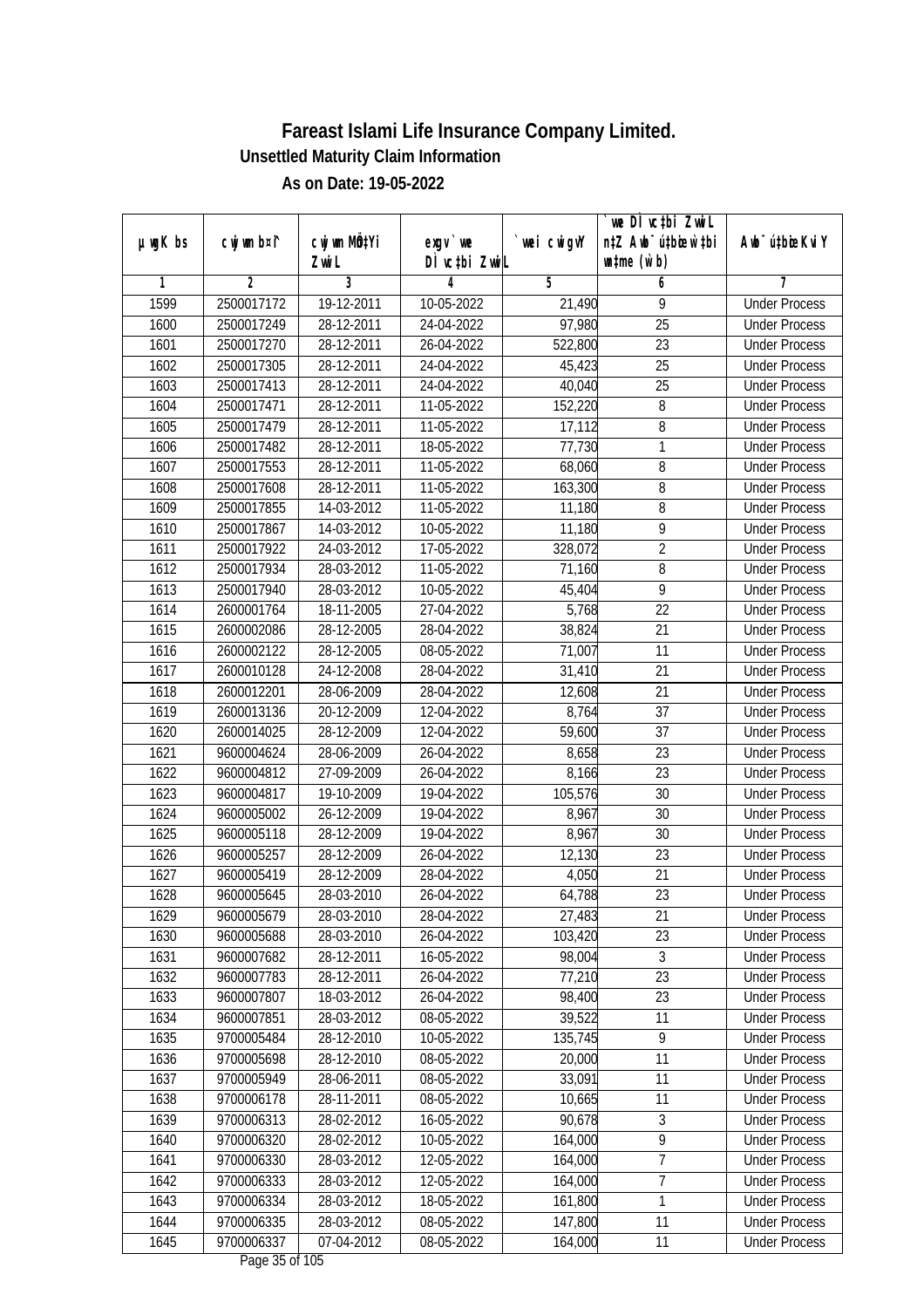|               |                |              |                                           |                | we DI vctbi ZwiL                 |                             |
|---------------|----------------|--------------|-------------------------------------------|----------------|----------------------------------|-----------------------------|
| $µ$ ug $K$ bs | cwj wm b¤i^    | cwj wm MQtYi | exgy `we                                  | `wei cwigvY    | n‡Z Awb <sup>-</sup> ú‡bioar`‡bi | Awb <sup>-</sup> ú‡bioeKviY |
|               |                | Zwi L        | DÌ vctbi ZwiL                             |                | $\n  untime\n  (u`b)\n$          |                             |
| 1             | $\overline{2}$ | 3            | 4                                         | $\overline{5}$ | 6                                | 7                           |
| 1599          | 2500017172     | 19-12-2011   | 10-05-2022                                | 21,490         | 9                                | <b>Under Process</b>        |
| 1600          | 2500017249     | 28-12-2011   | 24-04-2022                                | 97,980         | $\overline{25}$                  | <b>Under Process</b>        |
| 1601          | 2500017270     | 28-12-2011   | 26-04-2022                                | 522,800        | $\overline{23}$                  | <b>Under Process</b>        |
| 1602          | 2500017305     | 28-12-2011   | 24-04-2022                                | 45,423         | 25                               | <b>Under Process</b>        |
| 1603          | 2500017413     | 28-12-2011   | 24-04-2022                                | 40,040         | $\overline{25}$                  | <b>Under Process</b>        |
| 1604          | 2500017471     | 28-12-2011   | 11-05-2022                                | 152,220        | 8                                | <b>Under Process</b>        |
| 1605          | 2500017479     | 28-12-2011   | 11-05-2022                                | 17,112         | 8                                | <b>Under Process</b>        |
| 1606          | 2500017482     | 28-12-2011   | 18-05-2022                                | 77,730         | 1                                | <b>Under Process</b>        |
| 1607          | 2500017553     | 28-12-2011   | 11-05-2022                                | 68,060         | 8                                | <b>Under Process</b>        |
| 1608          | 2500017608     | 28-12-2011   | 11-05-2022                                | 163,300        | 8                                | <b>Under Process</b>        |
| 1609          | 2500017855     | 14-03-2012   | 11-05-2022                                | 11,180         | 8                                | <b>Under Process</b>        |
| 1610          | 2500017867     | 14-03-2012   | 10-05-2022                                | 11,180         | 9                                | <b>Under Process</b>        |
| 1611          | 2500017922     | 24-03-2012   | 17-05-2022                                | 328,072        | $\overline{2}$                   | <b>Under Process</b>        |
| 1612          | 2500017934     | 28-03-2012   | 11-05-2022                                | 71,160         | 8                                | <b>Under Process</b>        |
| 1613          | 2500017940     | 28-03-2012   | 10-05-2022                                | 45,404         | 9                                | <b>Under Process</b>        |
| 1614          | 2600001764     | 18-11-2005   | 27-04-2022                                | 5,768          | 22                               | <b>Under Process</b>        |
| 1615          | 2600002086     | 28-12-2005   | 28-04-2022                                | 38,824         | 21                               | <b>Under Process</b>        |
| 1616          | 2600002122     | 28-12-2005   | 08-05-2022                                | 71,007         | 11                               | <b>Under Process</b>        |
| 1617          | 2600010128     | 24-12-2008   | 28-04-2022                                | 31,410         | 21                               | <b>Under Process</b>        |
| 1618          | 2600012201     | 28-06-2009   | 28-04-2022                                | 12,608         | 21                               | <b>Under Process</b>        |
| 1619          | 2600013136     | 20-12-2009   | 12-04-2022                                | 8,764          | 37                               | <b>Under Process</b>        |
| 1620          | 2600014025     | 28-12-2009   | 12-04-2022                                | 59,600         | 37                               | <b>Under Process</b>        |
| 1621          | 9600004624     | 28-06-2009   | 26-04-2022                                | 8,658          | 23                               | <b>Under Process</b>        |
| 1622          | 9600004812     | 27-09-2009   | 26-04-2022                                | 8,166          | 23                               | <b>Under Process</b>        |
| 1623          | 9600004817     | 19-10-2009   | 19-04-2022                                | 105,576        | 30                               | <b>Under Process</b>        |
| 1624          | 9600005002     | 26-12-2009   | 19-04-2022                                | 8,967          | 30                               | <b>Under Process</b>        |
| 1625          | 9600005118     | 28-12-2009   | 19-04-2022                                | 8,967          | 30                               | <b>Under Process</b>        |
| 1626          | 9600005257     | 28-12-2009   | 26-04-2022                                | 12,130         | 23                               | <b>Under Process</b>        |
| 1627          | 9600005419     | 28-12-2009   | 28-04-2022                                | 4,050          | 21                               | <b>Under Process</b>        |
| 1628          | 9600005645     | 28-03-2010   | 26-04-2022                                | 64,788         | 23                               | <b>Under Process</b>        |
| 1629          | 9600005679     | 28-03-2010   | 28-04-2022                                | 27,483         | 21                               | <b>Under Process</b>        |
| 1630          | 9600005688     | 28-03-2010   | 26-04-2022                                | 103,420        | 23                               | <b>Under Process</b>        |
| 1631          | 9600007682     | 28-12-2011   | 16-05-2022                                | 98,004         | 3                                | <b>Under Process</b>        |
| 1632          | 9600007783     | 28-12-2011   | 26-04-2022                                | 77,210         | 23                               | <b>Under Process</b>        |
| 1633          | 9600007807     | 18-03-2012   | 26-04-2022                                | 98,400         | 23                               | <b>Under Process</b>        |
| 1634          | 9600007851     | 28-03-2012   | 08-05-2022                                | 39,522         | 11                               | <b>Under Process</b>        |
| 1635          | 9700005484     | 28-12-2010   | 10-05-2022                                | 135,745        | $\overline{9}$                   | <b>Under Process</b>        |
| 1636          | 9700005698     | 28-12-2010   | 08-05-2022                                | 20,000         | $\overline{11}$                  | <b>Under Process</b>        |
| 1637          | 9700005949     | 28-06-2011   | 08-05-2022                                | 33,091         | 11                               | <b>Under Process</b>        |
| 1638          | 9700006178     | 28-11-2011   | 08-05-2022                                | 10,665         | 11                               | <b>Under Process</b>        |
| 1639          | 9700006313     | 28-02-2012   | 16-05-2022                                | 90,678         | 3                                | <b>Under Process</b>        |
| 1640          | 9700006320     | 28-02-2012   | 10-05-2022                                | 164,000        | $\overline{9}$                   | <b>Under Process</b>        |
| 1641          | 9700006330     | 28-03-2012   | $12 - 05 - 2022$                          | 164,000        | 7                                | <b>Under Process</b>        |
| 1642          | 9700006333     | 28-03-2012   | 12-05-2022                                | 164,000        | $\overline{7}$                   | <b>Under Process</b>        |
| 1643          | 9700006334     | 28-03-2012   | 18-05-2022                                | 161,800        | 1                                | <b>Under Process</b>        |
| 1644          | 9700006335     | 28-03-2012   | 08-05-2022                                | 147,800        | 11                               | <b>Under Process</b>        |
| 1645          | 9700006337     | 07-04-2012   | 08-05-2022<br>$D_{0.92}$ $2F_{0}f$ 10 $F$ | 164,000        | 11                               | <b>Under Process</b>        |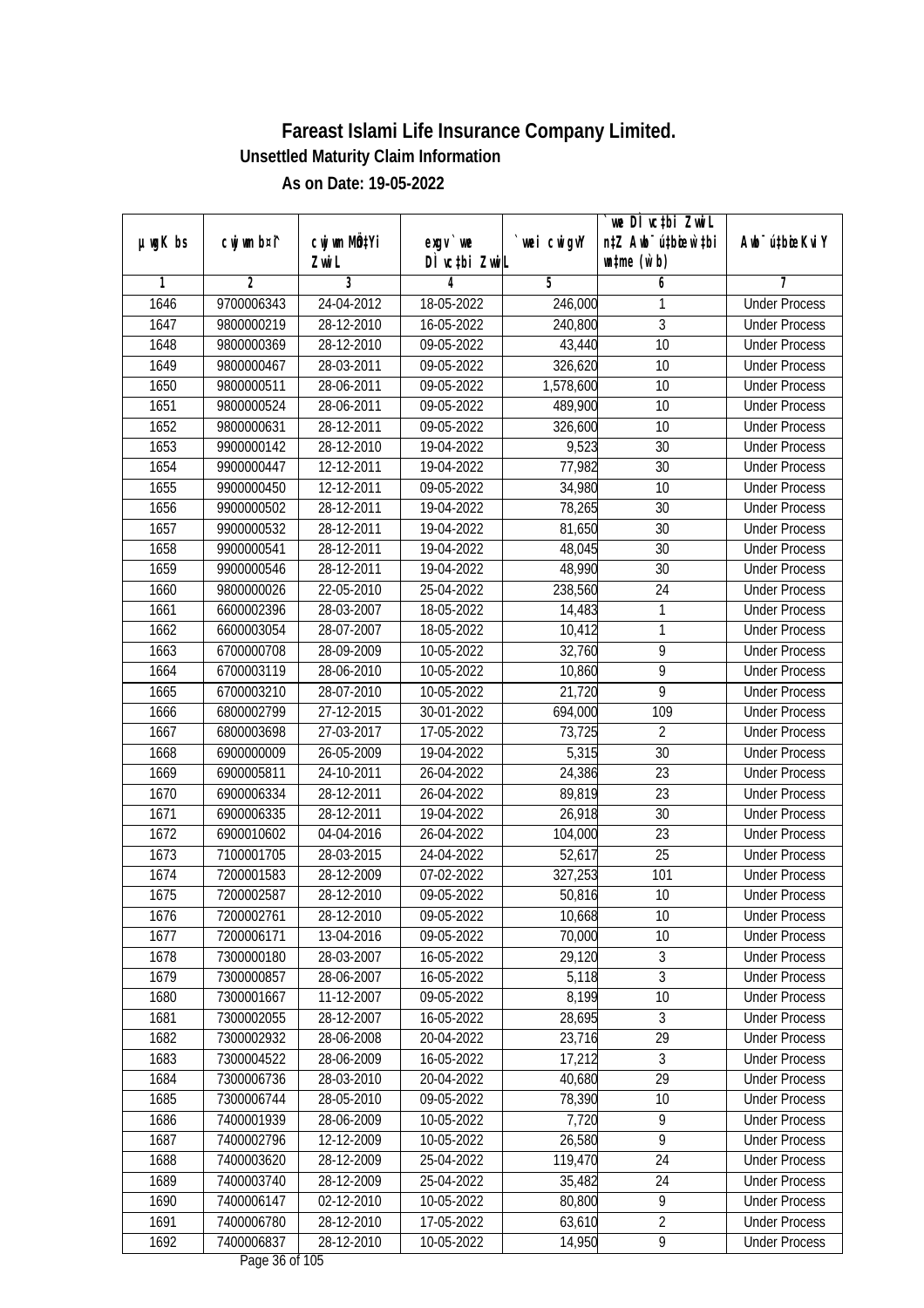|               |                          |                          |                            |                  | `we DÌ vc‡bi ZwiL                                           |                                              |
|---------------|--------------------------|--------------------------|----------------------------|------------------|-------------------------------------------------------------|----------------------------------------------|
| $µ$ ug $K$ bs | cwj wm b¤i^              | cwj wm MQtYi<br>Zwi L    | $exqu$ we<br>DÌ vctbi ZwiL | wei cwigvY       | n‡Z Awb <sup>-</sup> ú‡bioen`‡bi<br>$\n  untime\n  (u`b)\n$ | Awb <sup>-</sup> ú‡bioeKviY                  |
| 1             | $\overline{2}$           | 3                        | 4                          | 5                | 6                                                           | 7                                            |
| 1646          | 9700006343               | 24-04-2012               | 18-05-2022                 | 246,000          | 1                                                           | <b>Under Process</b>                         |
| 1647          | 9800000219               | 28-12-2010               | 16-05-2022                 | 240,800          | $\overline{3}$                                              | <b>Under Process</b>                         |
| 1648          | 9800000369               | 28-12-2010               | 09-05-2022                 | 43,440           | 10                                                          | <b>Under Process</b>                         |
| 1649          | 9800000467               | 28-03-2011               | 09-05-2022                 | 326,620          | 10                                                          | <b>Under Process</b>                         |
| 1650          | 9800000511               | 28-06-2011               | 09-05-2022                 | 1,578,600        | $\overline{10}$                                             | <b>Under Process</b>                         |
| 1651          | 9800000524               | 28-06-2011               | 09-05-2022                 | 489,900          | 10                                                          | <b>Under Process</b>                         |
| 1652          | 9800000631               | 28-12-2011               | 09-05-2022                 | 326,600          | 10                                                          | <b>Under Process</b>                         |
| 1653          | 9900000142               | 28-12-2010               | 19-04-2022                 | 9,523            | 30                                                          | <b>Under Process</b>                         |
| 1654          | 9900000447               | 12-12-2011               | 19-04-2022                 | 77,982           | 30                                                          | <b>Under Process</b>                         |
| 1655          | 9900000450               | 12-12-2011               | 09-05-2022                 | 34,980           | 10                                                          | <b>Under Process</b>                         |
| 1656          | 9900000502               | 28-12-2011               | 19-04-2022                 | 78,265           | 30                                                          | <b>Under Process</b>                         |
| 1657          | 9900000532               | 28-12-2011               | 19-04-2022                 | 81,650           | 30                                                          | <b>Under Process</b>                         |
| 1658          | 9900000541               | 28-12-2011               | 19-04-2022                 | 48,045           | 30                                                          | <b>Under Process</b>                         |
| 1659          | 9900000546               | 28-12-2011               | 19-04-2022                 | 48,990           | 30                                                          | <b>Under Process</b>                         |
| 1660          | 9800000026               | 22-05-2010               | 25-04-2022                 | 238,560          | 24                                                          | <b>Under Process</b>                         |
| 1661          | 6600002396               | 28-03-2007               | 18-05-2022                 | 14,483           | 1                                                           | <b>Under Process</b>                         |
| 1662          | 6600003054               | 28-07-2007               | 18-05-2022                 | 10,412           | 1                                                           | <b>Under Process</b>                         |
| 1663          | 6700000708               | 28-09-2009               | 10-05-2022                 | 32,760           | $\overline{9}$                                              | <b>Under Process</b>                         |
| 1664          | 6700003119               | 28-06-2010               | 10-05-2022                 | 10,860           | 9                                                           | <b>Under Process</b>                         |
| 1665          | 6700003210               | 28-07-2010               | 10-05-2022                 | 21,720           | $\overline{9}$                                              | <b>Under Process</b>                         |
| 1666          | 6800002799               | 27-12-2015               | 30-01-2022                 | 694,000          | 109                                                         | <b>Under Process</b>                         |
| 1667          | 6800003698               | 27-03-2017               | 17-05-2022                 | 73,725           | $\overline{2}$                                              | <b>Under Process</b>                         |
| 1668          | 6900000009               | 26-05-2009               | 19-04-2022                 | 5,315            | 30                                                          | <b>Under Process</b>                         |
| 1669          | 6900005811               | 24-10-2011               | 26-04-2022                 | 24,386           | 23                                                          | <b>Under Process</b>                         |
| 1670          | 6900006334               | 28-12-2011               | 26-04-2022                 | 89,819           | 23                                                          | <b>Under Process</b>                         |
| 1671          | 6900006335               | 28-12-2011               | 19-04-2022                 | 26,918           | 30                                                          | <b>Under Process</b>                         |
| 1672          | 6900010602               | 04-04-2016               | 26-04-2022                 | 104,000          | 23                                                          | <b>Under Process</b>                         |
| 1673          | 7100001705               | 28-03-2015               | 24-04-2022                 | 52,617           | 25                                                          | <b>Under Process</b>                         |
|               | 7200001583               | 28-12-2009               | 07-02-2022                 | 327,253          | 101                                                         | <b>Under Process</b>                         |
| 1674          |                          |                          |                            |                  |                                                             |                                              |
| 1675          | 7200002587               | 28-12-2010               | 09-05-2022                 | 50,816<br>10,668 | 10                                                          | <b>Under Process</b>                         |
| 1676<br>1677  | 7200002761<br>7200006171 | 28-12-2010               | 09-05-2022<br>09-05-2022   | 70,000           | 10                                                          | <b>Under Process</b><br><b>Under Process</b> |
|               | 7300000180               | 13-04-2016               |                            |                  | 10                                                          |                                              |
| 1678<br>1679  | 7300000857               | 28-03-2007               | 16-05-2022                 | 29,120<br>5,118  | 3<br>$\overline{3}$                                         | <b>Under Process</b><br><b>Under Process</b> |
| 1680          | 7300001667               | 28-06-2007               | 16-05-2022<br>09-05-2022   | 8,199            |                                                             | <b>Under Process</b>                         |
|               | 7300002055               | 11-12-2007<br>28-12-2007 | 16-05-2022                 | 28,695           | 10                                                          | <b>Under Process</b>                         |
| 1681          |                          |                          |                            |                  | 3<br>29                                                     | <b>Under Process</b>                         |
| 1682          | 7300002932               | 28-06-2008               | 20-04-2022                 | 23,716           | 3                                                           |                                              |
| 1683          | 7300004522               | 28-06-2009               | 16-05-2022                 | 17,212           |                                                             | <b>Under Process</b>                         |
| 1684          | 7300006736               | 28-03-2010               | 20-04-2022                 | 40,680           | 29                                                          | <b>Under Process</b>                         |
| 1685          | 7300006744               | 28-05-2010               | 09-05-2022                 | 78,390           | 10                                                          | <b>Under Process</b>                         |
| 1686          | 7400001939               | 28-06-2009               | 10-05-2022                 | 7,720            | 9<br>$\overline{9}$                                         | <b>Under Process</b>                         |
| 1687          | 7400002796               | 12-12-2009               | 10-05-2022                 | 26,580           |                                                             | <b>Under Process</b>                         |
| 1688          | 7400003620               | 28-12-2009               | 25-04-2022                 | 119,470          | 24                                                          | <b>Under Process</b>                         |
| 1689          | 7400003740               | 28-12-2009               | 25-04-2022                 | 35,482           | 24                                                          | <b>Under Process</b>                         |
| 1690          | 7400006147               | 02-12-2010               | 10-05-2022                 | 80,800           | $\overline{9}$                                              | <b>Under Process</b>                         |
| 1691          | 7400006780               | 28-12-2010               | 17-05-2022                 | 63,610           | $\overline{2}$                                              | <b>Under Process</b>                         |
| 1692          | 7400006837               | 28-12-2010               | 10-05-2022                 | 14,950           | $\overline{9}$                                              | <b>Under Process</b>                         |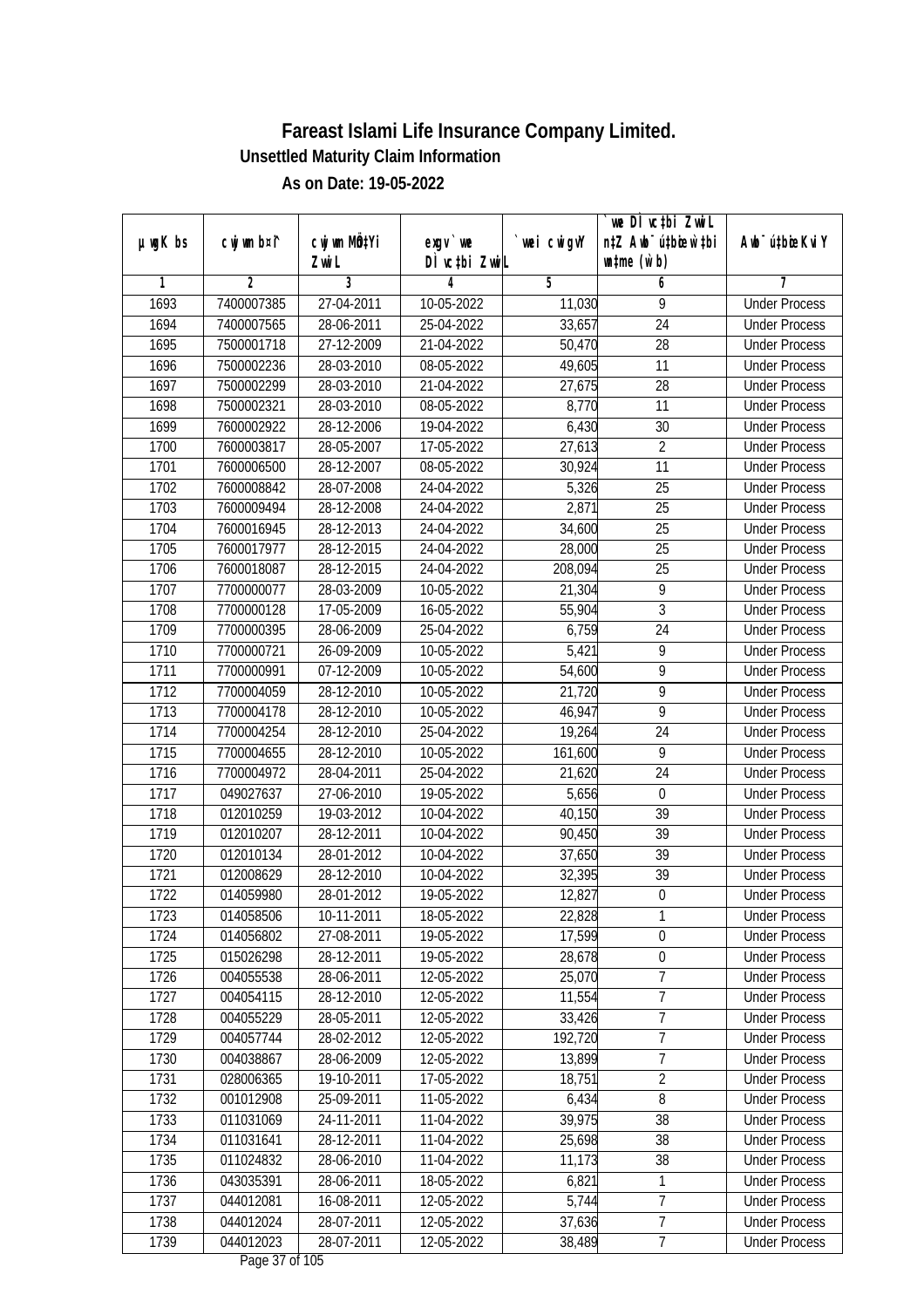|               | cwj wm b¤i^ | cwj wm MQtYi |                                    |            | `we DÌ vc‡bi ZwiL<br>n‡Z Awb <sup>-</sup> ú‡bioen`‡bi | Awb <sup>-</sup> ú‡bioeKviY |
|---------------|-------------|--------------|------------------------------------|------------|-------------------------------------------------------|-----------------------------|
| $µ$ ug $K$ bs |             | Zwi L        | $exgV$ we<br>DÌ vctbi ZwiL         | wei cwigvY | $\n  untime\n  (u`b)\n$                               |                             |
| 1             | 2           | 3            | 4                                  | 5          | 6                                                     | 7                           |
| 1693          | 7400007385  | 27-04-2011   | 10-05-2022                         | 11,030     | 9                                                     | <b>Under Process</b>        |
| 1694          | 7400007565  | 28-06-2011   | 25-04-2022                         | 33,657     | 24                                                    | <b>Under Process</b>        |
| 1695          | 7500001718  | 27-12-2009   | 21-04-2022                         | 50,470     | $\overline{28}$                                       | <b>Under Process</b>        |
| 1696          | 7500002236  | 28-03-2010   | 08-05-2022                         | 49,605     | 11                                                    | <b>Under Process</b>        |
| 1697          | 7500002299  | 28-03-2010   | 21-04-2022                         | 27,675     | 28                                                    | <b>Under Process</b>        |
| 1698          | 7500002321  | 28-03-2010   | 08-05-2022                         | 8,770      | $\overline{11}$                                       | <b>Under Process</b>        |
| 1699          | 7600002922  | 28-12-2006   | 19-04-2022                         | 6,430      | 30                                                    | <b>Under Process</b>        |
| 1700          | 7600003817  | 28-05-2007   | 17-05-2022                         | 27,613     | $\overline{2}$                                        | <b>Under Process</b>        |
| 1701          | 7600006500  | 28-12-2007   | 08-05-2022                         | 30,924     | 11                                                    | <b>Under Process</b>        |
| 1702          | 7600008842  | 28-07-2008   | 24-04-2022                         | 5,326      | 25                                                    | <b>Under Process</b>        |
| 1703          | 7600009494  | 28-12-2008   | 24-04-2022                         | 2,871      | $\overline{25}$                                       | <b>Under Process</b>        |
| 1704          | 7600016945  | 28-12-2013   | 24-04-2022                         | 34,600     | 25                                                    | <b>Under Process</b>        |
| 1705          | 7600017977  | 28-12-2015   | 24-04-2022                         | 28,000     | $\overline{25}$                                       | <b>Under Process</b>        |
| 1706          | 7600018087  | 28-12-2015   | 24-04-2022                         | 208,094    | 25                                                    | <b>Under Process</b>        |
| 1707          | 7700000077  | 28-03-2009   | 10-05-2022                         | 21,304     | 9                                                     | <b>Under Process</b>        |
| 1708          | 7700000128  | 17-05-2009   | 16-05-2022                         | 55,904     | 3                                                     | <b>Under Process</b>        |
| 1709          | 7700000395  | 28-06-2009   | 25-04-2022                         | 6,759      | 24                                                    | <b>Under Process</b>        |
| 1710          | 7700000721  | 26-09-2009   | 10-05-2022                         | 5,421      | 9                                                     | <b>Under Process</b>        |
| 1711          | 7700000991  | 07-12-2009   | 10-05-2022                         | 54,600     | 9                                                     | <b>Under Process</b>        |
| 1712          | 7700004059  | 28-12-2010   | 10-05-2022                         | 21,720     | $\overline{9}$                                        | <b>Under Process</b>        |
| 1713          | 7700004178  | 28-12-2010   | 10-05-2022                         | 46,947     | $\overline{9}$                                        | <b>Under Process</b>        |
| 1714          | 7700004254  | 28-12-2010   | 25-04-2022                         | 19,264     | 24                                                    | <b>Under Process</b>        |
| 1715          | 7700004655  | 28-12-2010   | 10-05-2022                         | 161,600    | 9                                                     | <b>Under Process</b>        |
| 1716          | 7700004972  | 28-04-2011   | 25-04-2022                         | 21,620     | 24                                                    | <b>Under Process</b>        |
| 1717          | 049027637   | 27-06-2010   | 19-05-2022                         | 5,656      | $\boldsymbol{0}$                                      | <b>Under Process</b>        |
| 1718          | 012010259   | 19-03-2012   | 10-04-2022                         | 40,150     | 39                                                    | <b>Under Process</b>        |
| 1719          | 012010207   | 28-12-2011   | 10-04-2022                         | 90,450     | 39                                                    | <b>Under Process</b>        |
| 1720          | 012010134   | 28-01-2012   | $10-04-2022$                       | 37,650     | 39                                                    | <b>Under Process</b>        |
| 1721          | 012008629   | 28-12-2010   | 10-04-2022                         | 32,395     | 39                                                    | <b>Under Process</b>        |
| 1722          | 014059980   | 28-01-2012   | 19-05-2022                         | 12,827     | $\boldsymbol{0}$                                      | <b>Under Process</b>        |
| 1723          | 014058506   | 10-11-2011   | 18-05-2022                         | 22,828     | 1                                                     | <b>Under Process</b>        |
| 1724          | 014056802   | 27-08-2011   | 19-05-2022                         | 17,599     | $\mathbf 0$                                           | <b>Under Process</b>        |
| 1725          | 015026298   | 28-12-2011   | 19-05-2022                         | 28,678     | $\boldsymbol{0}$                                      | <b>Under Process</b>        |
| 1726          | 004055538   | 28-06-2011   | 12-05-2022                         | 25,070     | $\overline{7}$                                        | <b>Under Process</b>        |
| 1727          | 004054115   | 28-12-2010   | 12-05-2022                         | 11,554     | $\overline{7}$                                        | <b>Under Process</b>        |
| 1728          | 004055229   | 28-05-2011   | 12-05-2022                         | 33,426     | 7                                                     | <b>Under Process</b>        |
| 1729          | 004057744   | 28-02-2012   | 12-05-2022                         | 192,720    | $\overline{7}$                                        | <b>Under Process</b>        |
| 1730          | 004038867   | 28-06-2009   | 12-05-2022                         | 13,899     | $\overline{7}$                                        | <b>Under Process</b>        |
| 1731          | 028006365   | 19-10-2011   | 17-05-2022                         | 18,751     | $\overline{2}$                                        | <b>Under Process</b>        |
| 1732          | 001012908   | 25-09-2011   | 11-05-2022                         | 6,434      | 8                                                     | <b>Under Process</b>        |
| 1733          | 011031069   | 24-11-2011   | 11-04-2022                         | 39,975     | 38                                                    | <b>Under Process</b>        |
| 1734          | 011031641   | 28-12-2011   | 11-04-2022                         | 25,698     | 38                                                    | <b>Under Process</b>        |
| 1735          | 011024832   | 28-06-2010   | 11-04-2022                         | 11,173     | 38                                                    | <b>Under Process</b>        |
| 1736          | 043035391   | 28-06-2011   | 18-05-2022                         | 6,821      | 1                                                     | <b>Under Process</b>        |
| 1737          | 044012081   | 16-08-2011   | 12-05-2022                         | 5,744      | 7                                                     | <b>Under Process</b>        |
| 1738          | 044012024   | 28-07-2011   | 12-05-2022                         | 37,636     | $\overline{7}$                                        | <b>Under Process</b>        |
| 1739          | 044012023   | 28-07-2011   | 12-05-2022<br>$D_{0.92}$ 27 of 10E | 38,489     | $\overline{7}$                                        | <b>Under Process</b>        |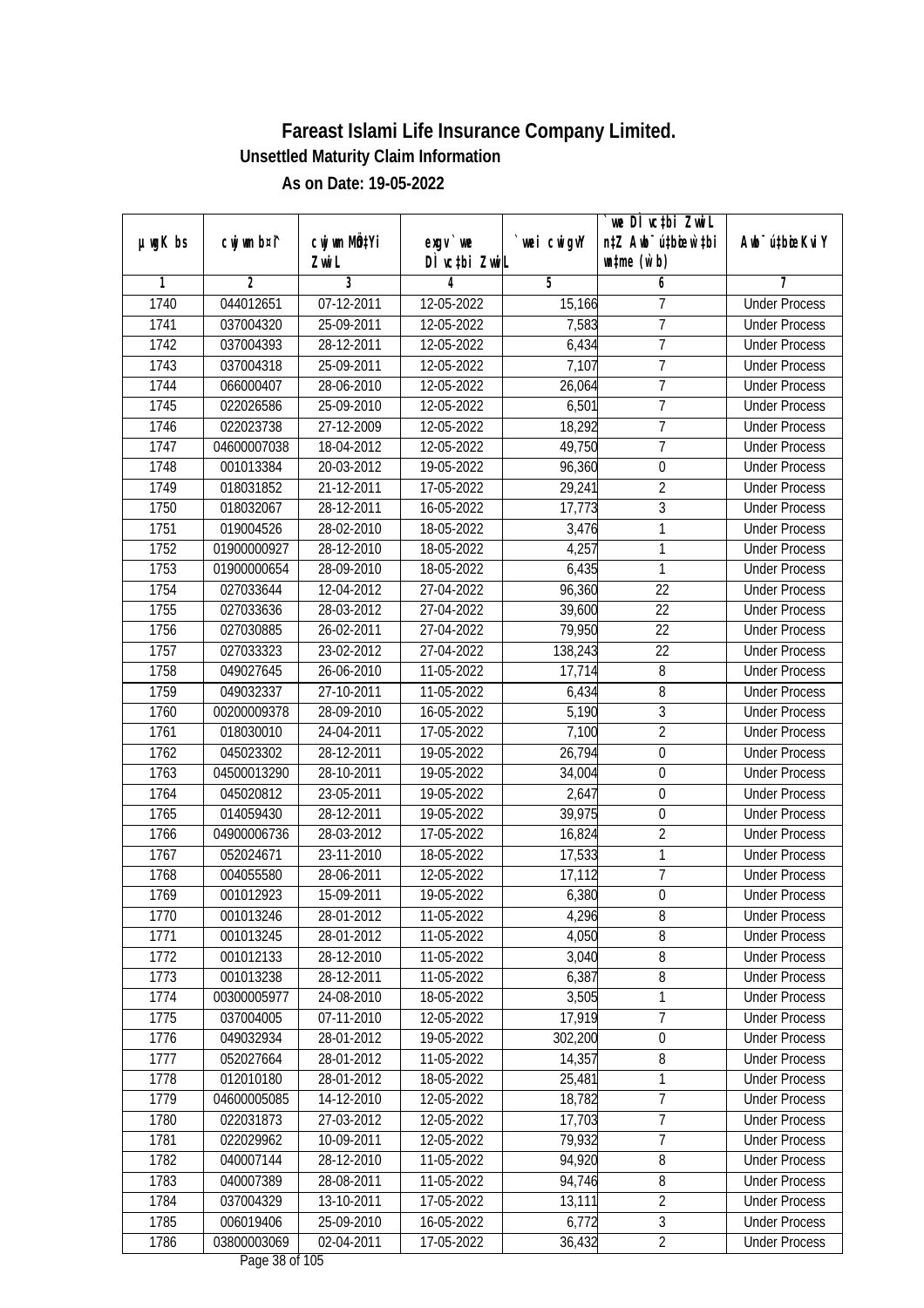|               |             |                  |                                        |            | `we DÌ vc‡bi ZwiL                |                             |
|---------------|-------------|------------------|----------------------------------------|------------|----------------------------------|-----------------------------|
| $µ$ ug $K$ bs | cwj wm b¤i^ | cwj wm MQtYi     | $exqu$ we                              | wei cwigvY | n‡Z Awb <sup>-</sup> ú‡bioen`‡bi | Awb <sup>-</sup> ú‡bioeKviY |
|               |             | Zwi L            | DÌ vctbi ZwiL                          |            | $\n  untime\n  (u`b)\n$          |                             |
| 1             | 2           | 3                | 4                                      | 5          | 6                                |                             |
| 1740          | 044012651   | $07 - 12 - 2011$ | 12-05-2022                             | 15,166     | 7                                | <b>Under Process</b>        |
| 1741          | 037004320   | 25-09-2011       | 12-05-2022                             | 7,583      | $\overline{7}$                   | <b>Under Process</b>        |
| 1742          | 037004393   | 28-12-2011       | 12-05-2022                             | 6,434      | 7                                | <b>Under Process</b>        |
| 1743          | 037004318   | 25-09-2011       | 12-05-2022                             | 7,107      | $\overline{7}$                   | <b>Under Process</b>        |
| 1744          | 066000407   | 28-06-2010       | 12-05-2022                             | 26,064     | 7                                | <b>Under Process</b>        |
| 1745          | 022026586   | 25-09-2010       | 12-05-2022                             | 6,501      | $\overline{7}$                   | <b>Under Process</b>        |
| 1746          | 022023738   | 27-12-2009       | 12-05-2022                             | 18,292     | 7                                | <b>Under Process</b>        |
| 1747          | 04600007038 | 18-04-2012       | 12-05-2022                             | 49,750     | $\overline{7}$                   | <b>Under Process</b>        |
| 1748          | 001013384   | 20-03-2012       | 19-05-2022                             | 96,360     | $\boldsymbol{0}$                 | <b>Under Process</b>        |
| 1749          | 018031852   | 21-12-2011       | 17-05-2022                             | 29,241     | $\overline{2}$                   | <b>Under Process</b>        |
| 1750          | 018032067   | 28-12-2011       | 16-05-2022                             | 17,773     | $\overline{3}$                   | <b>Under Process</b>        |
| 1751          | 019004526   | 28-02-2010       | 18-05-2022                             | 3,476      | 1                                | <b>Under Process</b>        |
| 1752          | 01900000927 | 28-12-2010       | 18-05-2022                             | 4,257      | 1                                | <b>Under Process</b>        |
| 1753          | 01900000654 | 28-09-2010       | 18-05-2022                             | 6,435      | 1                                | <b>Under Process</b>        |
| 1754          | 027033644   | 12-04-2012       | 27-04-2022                             | 96,360     | 22                               | <b>Under Process</b>        |
| 1755          | 027033636   | 28-03-2012       | 27-04-2022                             | 39,600     | 22                               | <b>Under Process</b>        |
| 1756          | 027030885   | 26-02-2011       | 27-04-2022                             | 79,950     | 22                               | <b>Under Process</b>        |
| 1757          | 027033323   | 23-02-2012       | 27-04-2022                             | 138,243    | 22                               | <b>Under Process</b>        |
| 1758          | 049027645   | 26-06-2010       | 11-05-2022                             | 17,714     | 8                                | <b>Under Process</b>        |
| 1759          | 049032337   | 27-10-2011       | 11-05-2022                             | 6,434      | 8                                | <b>Under Process</b>        |
| 1760          | 00200009378 | 28-09-2010       | 16-05-2022                             | 5,190      | $\mathfrak{Z}$                   | <b>Under Process</b>        |
| 1761          | 018030010   | 24-04-2011       | 17-05-2022                             | 7,100      | $\overline{2}$                   | <b>Under Process</b>        |
| 1762          | 045023302   | 28-12-2011       | 19-05-2022                             | 26,794     | $\boldsymbol{0}$                 | <b>Under Process</b>        |
| 1763          | 04500013290 | 28-10-2011       | 19-05-2022                             | 34,004     | $\boldsymbol{0}$                 | <b>Under Process</b>        |
| 1764          | 045020812   | 23-05-2011       | 19-05-2022                             | 2,647      | $\boldsymbol{0}$                 | <b>Under Process</b>        |
| 1765          | 014059430   | 28-12-2011       | 19-05-2022                             | 39,975     | $\mathbf 0$                      | <b>Under Process</b>        |
| 1766          | 04900006736 | 28-03-2012       | 17-05-2022                             | 16,824     | $\overline{2}$                   | <b>Under Process</b>        |
| 1767          | 052024671   | 23-11-2010       | 18-05-2022                             | 17,533     | 1                                | <b>Under Process</b>        |
| 1768          | 004055580   | 28-06-2011       | 12-05-2022                             | 17,112     | $\overline{7}$                   | <b>Under Process</b>        |
| 1769          | 001012923   | 15-09-2011       | 19-05-2022                             | 6,380      | $\boldsymbol{0}$                 | <b>Under Process</b>        |
| 1770          | 001013246   | 28-01-2012       | 11-05-2022                             | 4,296      | 8                                | <b>Under Process</b>        |
| 1771          | 001013245   | 28-01-2012       | 11-05-2022                             | 4,050      | 8                                | <b>Under Process</b>        |
| 1772          | 001012133   | 28-12-2010       | 11-05-2022                             | 3,040      | 8                                | <b>Under Process</b>        |
| 1773          | 001013238   | 28-12-2011       | 11-05-2022                             | 6,387      | $\, 8$                           | <b>Under Process</b>        |
| 1774          | 00300005977 | 24-08-2010       | 18-05-2022                             | 3,505      | $\mathbf{1}$                     | <b>Under Process</b>        |
| 1775          | 037004005   | 07-11-2010       | 12-05-2022                             | 17,919     | 7                                | <b>Under Process</b>        |
| 1776          | 049032934   | 28-01-2012       | 19-05-2022                             | 302,200    | $\boldsymbol{0}$                 | <b>Under Process</b>        |
| 1777          | 052027664   | 28-01-2012       | 11-05-2022                             | 14,357     | $\, 8$                           | <b>Under Process</b>        |
| 1778          | 012010180   | 28-01-2012       | 18-05-2022                             | 25,481     | 1                                | <b>Under Process</b>        |
| 1779          | 04600005085 | 14-12-2010       | 12-05-2022                             | 18,782     | 7                                | <b>Under Process</b>        |
| 1780          | 022031873   | 27-03-2012       | 12-05-2022                             | 17,703     | 7                                | <b>Under Process</b>        |
| 1781          | 022029962   | 10-09-2011       | 12-05-2022                             | 79,932     | $\overline{7}$                   | <b>Under Process</b>        |
| 1782          | 040007144   | 28-12-2010       | 11-05-2022                             | 94,920     | $\overline{8}$                   | <b>Under Process</b>        |
| 1783          | 040007389   | 28-08-2011       | 11-05-2022                             | 94,746     | $\overline{8}$                   | <b>Under Process</b>        |
| 1784          | 037004329   | 13-10-2011       | 17-05-2022                             | 13,111     | $\overline{2}$                   | <b>Under Process</b>        |
| 1785          | 006019406   | 25-09-2010       | 16-05-2022                             | 6,772      | $\mathfrak{Z}$                   | <b>Under Process</b>        |
| 1786          | 03800003069 | 02-04-2011       | 17-05-2022                             | 36,432     | $\overline{2}$                   | <b>Under Process</b>        |
|               |             |                  | $D_{\text{max}}$ 20 of 10 <sup>t</sup> |            |                                  |                             |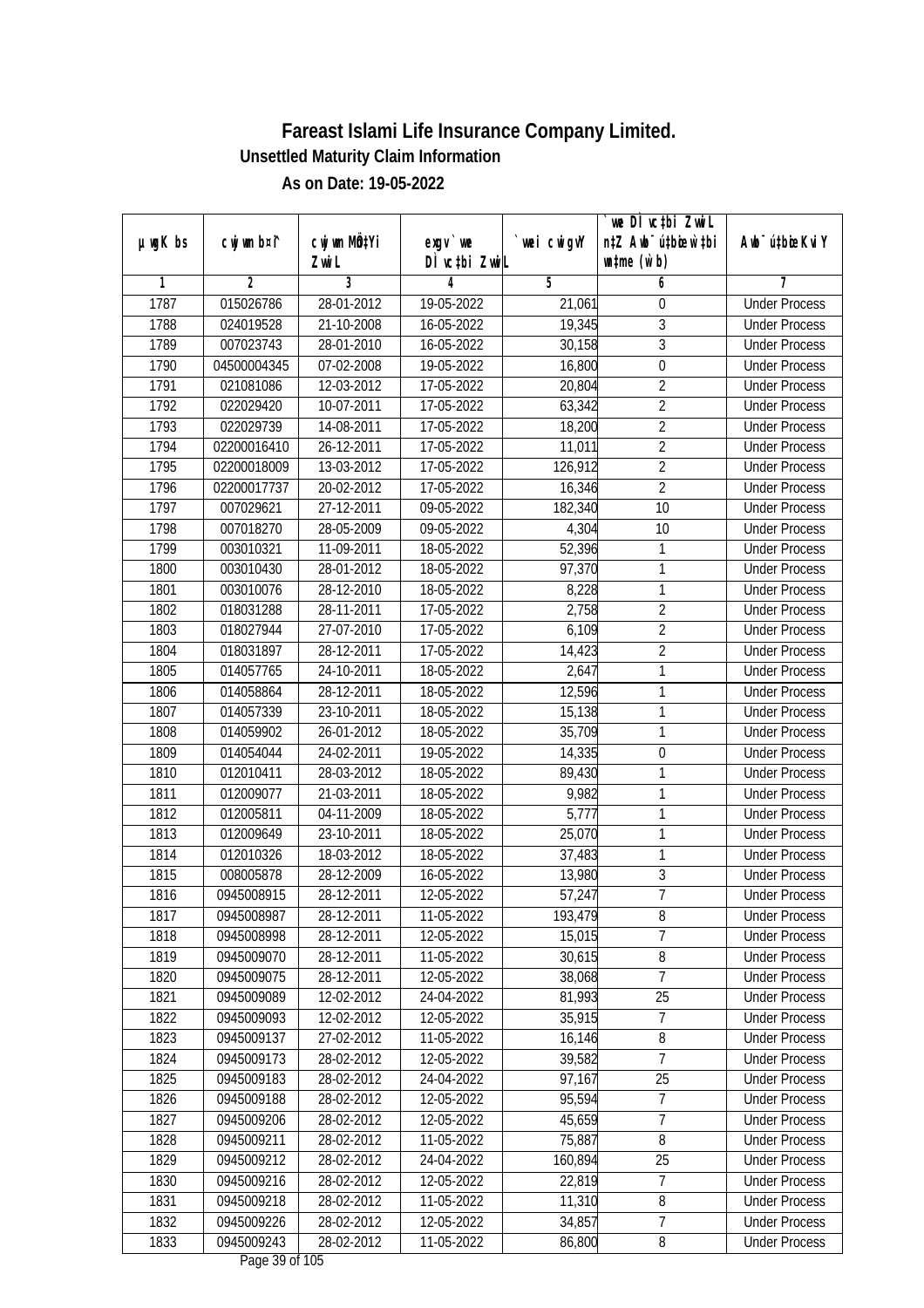|               |                        |                           |                          |                   | we DI vctbi ZwiL                 |                                              |
|---------------|------------------------|---------------------------|--------------------------|-------------------|----------------------------------|----------------------------------------------|
| $µ$ ug $K$ bs | cwj wm b¤i^            | cwj wm MQ <sup>1</sup> Yi | $exgV$ we                | `wei cwigvY       | n‡Z Awb <sup>-</sup> ú‡bioen`‡bi | Awb <sup>-</sup> ú‡bioeKviY                  |
| 1             | 2                      | Zwi L<br>3                | DÌ vctbi ZwiL<br>4       | 5                 | $\n  untime\n  (u`b)\n$<br>6     | 7                                            |
| 1787          | 015026786              | 28-01-2012                | 19-05-2022               | 21,061            | 0                                | <b>Under Process</b>                         |
| 1788          | 024019528              | 21-10-2008                | 16-05-2022               | 19,345            | 3                                | <b>Under Process</b>                         |
| 1789          | 007023743              | 28-01-2010                | 16-05-2022               | 30,158            | $\overline{3}$                   | <b>Under Process</b>                         |
| 1790          | 04500004345            | 07-02-2008                | 19-05-2022               | 16,800            | $\overline{0}$                   | <b>Under Process</b>                         |
| 1791          | 021081086              | 12-03-2012                | 17-05-2022               | 20,804            | $\overline{2}$                   | <b>Under Process</b>                         |
| 1792          | 022029420              | 10-07-2011                | 17-05-2022               | 63,342            | $\overline{2}$                   | <b>Under Process</b>                         |
| 1793          | 022029739              | 14-08-2011                | 17-05-2022               | 18,200            | $\overline{2}$                   | <b>Under Process</b>                         |
| 1794          | 02200016410            | 26-12-2011                | 17-05-2022               | 11,011            | $\overline{2}$                   | <b>Under Process</b>                         |
| 1795          | 02200018009            | 13-03-2012                | 17-05-2022               | 126,912           | $\overline{2}$                   | <b>Under Process</b>                         |
| 1796          | 02200017737            | 20-02-2012                | 17-05-2022               |                   | $\overline{2}$                   | <b>Under Process</b>                         |
| 1797          | 007029621              | 27-12-2011                | 09-05-2022               | 16,346<br>182,340 | 10                               | <b>Under Process</b>                         |
| 1798          | 007018270              | 28-05-2009                | 09-05-2022               | 4,304             | 10                               | <b>Under Process</b>                         |
| 1799          | 003010321              | 11-09-2011                | 18-05-2022               | 52,396            | 1                                | <b>Under Process</b>                         |
| 1800          |                        |                           | 18-05-2022               | 97,370            | 1                                |                                              |
|               | 003010430              | 28-01-2012                |                          |                   |                                  | <b>Under Process</b>                         |
| 1801          | 003010076              | 28-12-2010                | 18-05-2022               | 8,228             | 1<br>$\overline{2}$              | <b>Under Process</b><br><b>Under Process</b> |
| 1802          | 018031288              | 28-11-2011                | 17-05-2022               | 2,758             |                                  |                                              |
| 1803          | 018027944<br>018031897 | 27-07-2010<br>28-12-2011  | 17-05-2022<br>17-05-2022 | 6,109             | $\overline{2}$<br>$\overline{2}$ | <b>Under Process</b>                         |
| 1804          |                        |                           |                          | 14,423<br>2,647   | 1                                | <b>Under Process</b><br><b>Under Process</b> |
| 1805          | 014057765              | 24-10-2011                | 18-05-2022               |                   | 1                                |                                              |
| 1806<br>1807  | 014058864<br>014057339 | 28-12-2011<br>23-10-2011  | 18-05-2022<br>18-05-2022 | 12,596<br>15,138  | 1                                | <b>Under Process</b><br><b>Under Process</b> |
| 1808          | 014059902              | 26-01-2012                | 18-05-2022               | 35,709            | 1                                | <b>Under Process</b>                         |
| 1809          | 014054044              | 24-02-2011                | 19-05-2022               | 14,335            | $\boldsymbol{0}$                 | <b>Under Process</b>                         |
| 1810          | 012010411              | 28-03-2012                | 18-05-2022               | 89,430            | 1                                | <b>Under Process</b>                         |
| 1811          | 012009077              | 21-03-2011                | 18-05-2022               | 9,982             | 1                                | <b>Under Process</b>                         |
| 1812          | 012005811              | 04-11-2009                | 18-05-2022               | 5,777             | 1                                | <b>Under Process</b>                         |
| 1813          | 012009649              | 23-10-2011                | 18-05-2022               | 25,070            | 1                                | <b>Under Process</b>                         |
| 1814          | 012010326              | 18-03-2012                | 18-05-2022               | 37,483            | 1                                | <b>Under Process</b>                         |
| 1815          | 008005878              | 28-12-2009                | 16-05-2022               | 13,980            | $\overline{3}$                   | <b>Under Process</b>                         |
| 1816          | 0945008915             | 28-12-2011                | 12-05-2022               | 57,247            | $\overline{7}$                   | <b>Under Process</b>                         |
| 1817          | 0945008987             | 28-12-2011                | 11-05-2022               | 193,479           | 8                                | <b>Under Process</b>                         |
| 1818          | 0945008998             | 28-12-2011                | 12-05-2022               | 15,015            | $\overline{7}$                   | <b>Under Process</b>                         |
| 1819          | 0945009070             | 28-12-2011                | 11-05-2022               | 30,615            | 8                                | <b>Under Process</b>                         |
| 1820          | 0945009075             | 28-12-2011                | 12-05-2022               | 38,068            | $\overline{7}$                   | <b>Under Process</b>                         |
| 1821          | 0945009089             | 12-02-2012                | 24-04-2022               | 81,993            | 25                               | <b>Under Process</b>                         |
| 1822          | 0945009093             | 12-02-2012                | 12-05-2022               | 35,915            | 7                                | <b>Under Process</b>                         |
| 1823          | 0945009137             | 27-02-2012                | 11-05-2022               | 16,146            | 8                                | <b>Under Process</b>                         |
| 1824          | 0945009173             | 28-02-2012                | 12-05-2022               | 39,582            | 7                                | <b>Under Process</b>                         |
| 1825          | 0945009183             | 28-02-2012                | 24-04-2022               | 97,167            | 25                               | <b>Under Process</b>                         |
| 1826          | 0945009188             | 28-02-2012                | 12-05-2022               | 95,594            | 7                                | <b>Under Process</b>                         |
| 1827          | 0945009206             | 28-02-2012                | 12-05-2022               | 45,659            | $\overline{7}$                   | <b>Under Process</b>                         |
| 1828          | 0945009211             | 28-02-2012                | 11-05-2022               | 75,887            | 8                                | <b>Under Process</b>                         |
| 1829          | 0945009212             | 28-02-2012                | 24-04-2022               | 160,894           | $\overline{25}$                  | <b>Under Process</b>                         |
| 1830          | 0945009216             | 28-02-2012                | 12-05-2022               | 22,819            | 7                                | <b>Under Process</b>                         |
| 1831          | 0945009218             | 28-02-2012                | 11-05-2022               | 11,310            | $\overline{8}$                   | <b>Under Process</b>                         |
| 1832          | 0945009226             | 28-02-2012                | 12-05-2022               | 34,857            | 7                                | <b>Under Process</b>                         |
| 1833          | 0945009243             | 28-02-2012                | 11-05-2022               | 86,800            | 8                                | <b>Under Process</b>                         |
|               |                        |                           | $D_{0.92}$ 20 of 10E     |                   |                                  |                                              |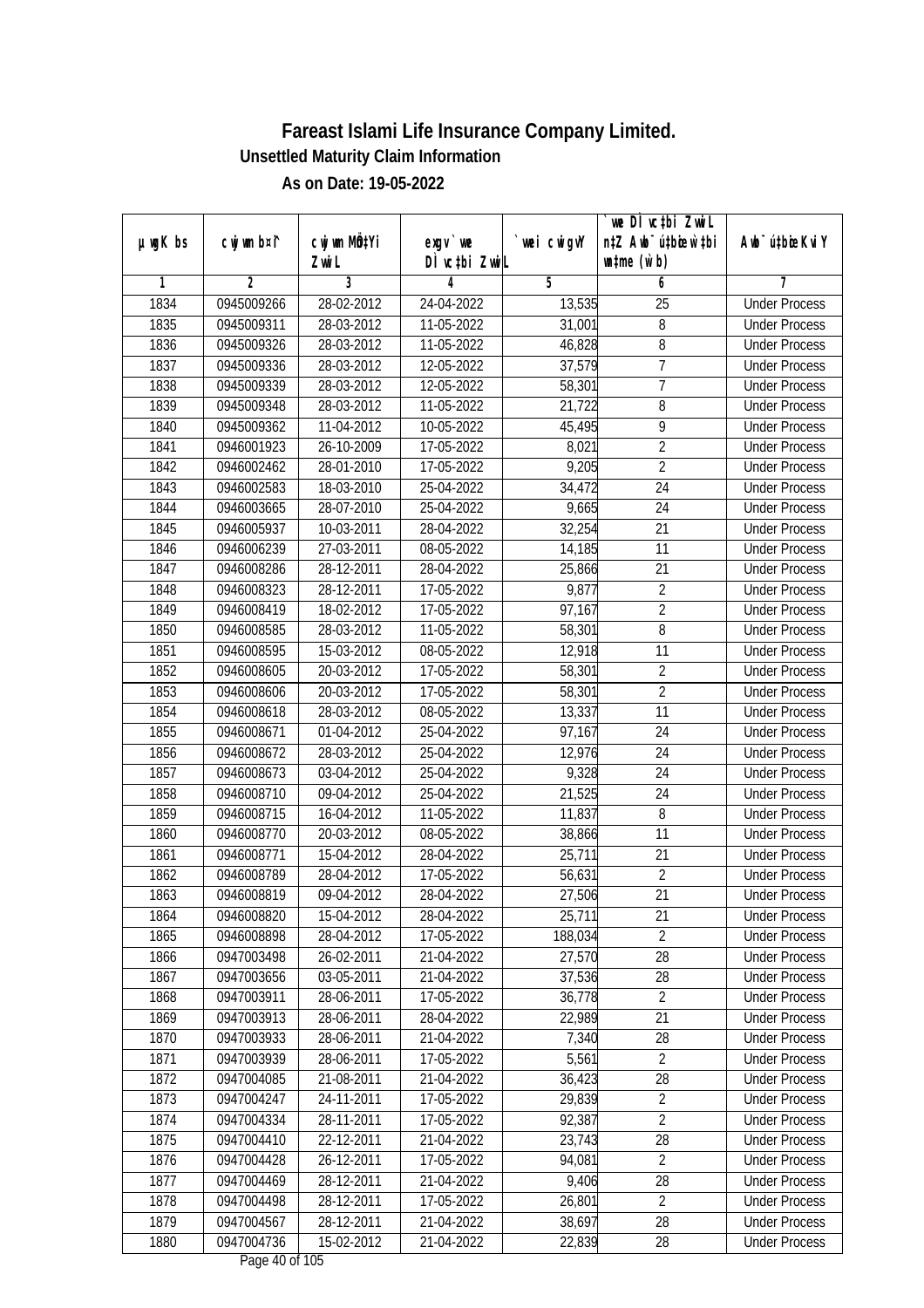|               |             |                           |                                  |             | we DI vctbi ZwiL                 |                             |
|---------------|-------------|---------------------------|----------------------------------|-------------|----------------------------------|-----------------------------|
| $µ$ ug $K$ bs | cwj wm b¤i^ | cwj wm MQ <sup>1</sup> Yi | $exgV$ we                        | `wei cwigvY | n‡Z Awb <sup>-</sup> ú‡bicen`‡bi | Awb <sup>-</sup> ú‡bioeKviY |
|               |             | Zwi L                     | DÌ vctbi ZwiL                    |             | $\n  untime\n  (u`b)\n$          |                             |
| 1             | 2           | 3                         | 4                                | 5           | 6                                | 7                           |
| 1834          | 0945009266  | 28-02-2012                | 24-04-2022                       | 13,535      | $\overline{25}$                  | <b>Under Process</b>        |
| 1835          | 0945009311  | 28-03-2012                | 11-05-2022                       | 31,001      | 8                                | <b>Under Process</b>        |
| 1836          | 0945009326  | 28-03-2012                | 11-05-2022                       | 46,828      | $\overline{8}$                   | <b>Under Process</b>        |
| 1837          | 0945009336  | 28-03-2012                | 12-05-2022                       | 37,579      | 7                                | <b>Under Process</b>        |
| 1838          | 0945009339  | 28-03-2012                | 12-05-2022                       | 58,301      | $\overline{7}$                   | <b>Under Process</b>        |
| 1839          | 0945009348  | 28-03-2012                | 11-05-2022                       | 21,722      | 8                                | <b>Under Process</b>        |
| 1840          | 0945009362  | 11-04-2012                | $10-05-2022$                     | 45,495      | 9                                | <b>Under Process</b>        |
| 1841          | 0946001923  | 26-10-2009                | 17-05-2022                       | 8,021       | $\overline{2}$                   | <b>Under Process</b>        |
| 1842          | 0946002462  | 28-01-2010                | 17-05-2022                       | 9,205       | $\overline{2}$                   | <b>Under Process</b>        |
| 1843          | 0946002583  | 18-03-2010                | 25-04-2022                       | 34,472      | 24                               | <b>Under Process</b>        |
| 1844          | 0946003665  | 28-07-2010                | 25-04-2022                       | 9,665       | $\overline{24}$                  | <b>Under Process</b>        |
| 1845          | 0946005937  | 10-03-2011                | 28-04-2022                       | 32,254      | 21                               | <b>Under Process</b>        |
| 1846          | 0946006239  | 27-03-2011                | 08-05-2022                       | 14,185      | $\overline{11}$                  | <b>Under Process</b>        |
| 1847          | 0946008286  | 28-12-2011                | 28-04-2022                       | 25,866      | 21                               | <b>Under Process</b>        |
| 1848          | 0946008323  | 28-12-2011                | 17-05-2022                       | 9,877       | $\overline{2}$                   | <b>Under Process</b>        |
| 1849          | 0946008419  | 18-02-2012                | 17-05-2022                       | 97,167      | $\overline{2}$                   | <b>Under Process</b>        |
| 1850          | 0946008585  | 28-03-2012                | 11-05-2022                       | 58,301      | 8                                | <b>Under Process</b>        |
| 1851          | 0946008595  | 15-03-2012                | 08-05-2022                       | 12,918      | 11                               | <b>Under Process</b>        |
| 1852          | 0946008605  | 20-03-2012                | 17-05-2022                       | 58,301      | $\sqrt{2}$                       | <b>Under Process</b>        |
| 1853          | 0946008606  | 20-03-2012                | 17-05-2022                       | 58,301      | $\overline{2}$                   | <b>Under Process</b>        |
| 1854          | 0946008618  | 28-03-2012                | 08-05-2022                       | 13,337      | 11                               | <b>Under Process</b>        |
| 1855          | 0946008671  | 01-04-2012                | 25-04-2022                       | 97,167      | 24                               | <b>Under Process</b>        |
| 1856          | 0946008672  | 28-03-2012                | 25-04-2022                       | 12,976      | 24                               | <b>Under Process</b>        |
| 1857          | 0946008673  | 03-04-2012                | 25-04-2022                       | 9,328       | 24                               | <b>Under Process</b>        |
| 1858          | 0946008710  | 09-04-2012                | 25-04-2022                       | 21,525      | 24                               | <b>Under Process</b>        |
| 1859          | 0946008715  | 16-04-2012                | 11-05-2022                       | 11,837      | 8                                | <b>Under Process</b>        |
| 1860          | 0946008770  | 20-03-2012                | 08-05-2022                       | 38,866      | 11                               | <b>Under Process</b>        |
| 1861          | 0946008771  | 15-04-2012                | 28-04-2022                       | 25,711      | 21                               | <b>Under Process</b>        |
| 1862          | 0946008789  | 28-04-2012                | 17-05-2022                       | 56,631      | $\sqrt{2}$                       | <b>Under Process</b>        |
| 1863          | 0946008819  | 09-04-2012                | 28-04-2022                       | 27,506      | 21                               | <b>Under Process</b>        |
| 1864          | 0946008820  | 15-04-2012                | 28-04-2022                       | 25,711      | 21                               | <b>Under Process</b>        |
| 1865          | 0946008898  | 28-04-2012                | 17-05-2022                       | 188,034     | $\overline{2}$                   | <b>Under Process</b>        |
| 1866          | 0947003498  | 26-02-2011                | 21-04-2022                       | 27,570      | 28                               | <b>Under Process</b>        |
| 1867          | 0947003656  | 03-05-2011                | 21-04-2022                       | 37,536      | 28                               | <b>Under Process</b>        |
| 1868          | 0947003911  | 28-06-2011                | 17-05-2022                       | 36,778      | $\overline{2}$                   | <b>Under Process</b>        |
| 1869          | 0947003913  | 28-06-2011                | 28-04-2022                       | 22,989      | 21                               | <b>Under Process</b>        |
| 1870          | 0947003933  | 28-06-2011                | 21-04-2022                       | 7,340       | 28                               | <b>Under Process</b>        |
| 1871          | 0947003939  | 28-06-2011                | 17-05-2022                       | 5,561       | $\overline{2}$                   | <b>Under Process</b>        |
| 1872          | 0947004085  | 21-08-2011                | 21-04-2022                       | 36,423      | 28                               | <b>Under Process</b>        |
| 1873          | 0947004247  | 24-11-2011                | 17-05-2022                       | 29,839      | $\sqrt{2}$                       | <b>Under Process</b>        |
| 1874          | 0947004334  | 28-11-2011                | 17-05-2022                       | 92,387      | $\sqrt{2}$                       | <b>Under Process</b>        |
| 1875          | 0947004410  | 22-12-2011                | 21-04-2022                       | 23,743      | 28                               | <b>Under Process</b>        |
| 1876          | 0947004428  | 26-12-2011                | 17-05-2022                       | 94,081      | $\overline{2}$                   | <b>Under Process</b>        |
| 1877          | 0947004469  | 28-12-2011                | 21-04-2022                       | 9,406       | 28                               | <b>Under Process</b>        |
| 1878          | 0947004498  | 28-12-2011                | 17-05-2022                       | 26,801      | $\overline{2}$                   | <b>Under Process</b>        |
| 1879          | 0947004567  | 28-12-2011                | 21-04-2022                       | 38,697      | 28                               | <b>Under Process</b>        |
| 1880          | 0947004736  | 15-02-2012                | 21-04-2022<br>Dega $40$ of $10E$ | 22,839      | 28                               | <b>Under Process</b>        |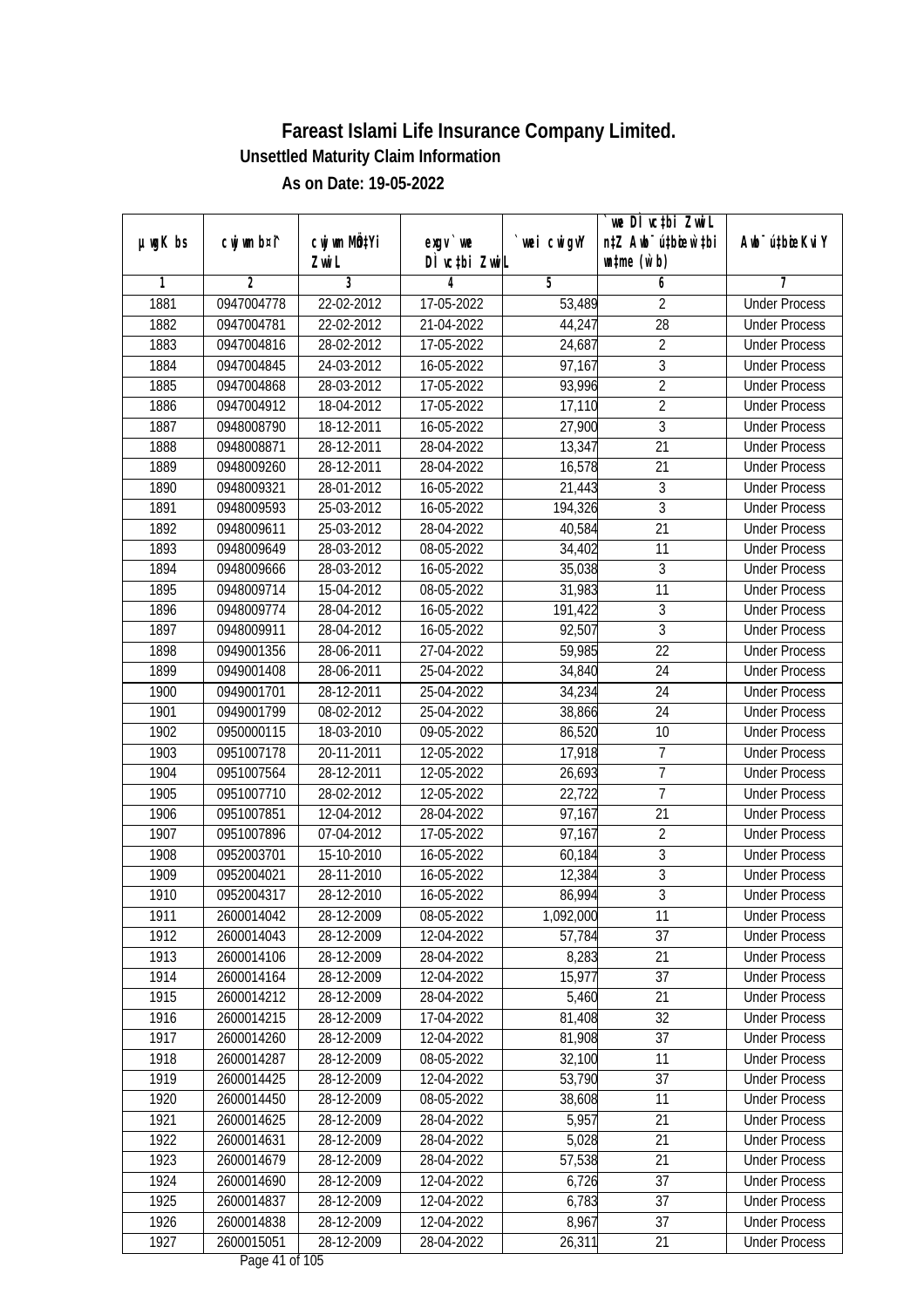|               |                |                           |                  |                | we DI vctbi ZwiL                 |                             |
|---------------|----------------|---------------------------|------------------|----------------|----------------------------------|-----------------------------|
| $µ$ ug $K$ bs | cwj wm b¤i^    | cwj wm MQ <sup>1</sup> Yi | $exgV$ we        | `wei cwigvY    | n‡Z Awb <sup>-</sup> ú‡bicen`‡bi | Awb <sup>-</sup> ú‡bioeKviY |
|               |                | Zwi L                     | DÌ vctbi ZwiL    |                | $\n  untime\n  (u`b)\n$          |                             |
| 1             | $\overline{2}$ | 3                         | 4                | $\overline{5}$ | 6                                | 7                           |
| 1881          | 0947004778     | 22-02-2012                | 17-05-2022       | 53,489         | $\overline{2}$                   | <b>Under Process</b>        |
| 1882          | 0947004781     | 22-02-2012                | 21-04-2022       | 44,247         | $\overline{28}$                  | <b>Under Process</b>        |
| 1883          | 0947004816     | 28-02-2012                | 17-05-2022       | 24,687         | $\overline{2}$                   | <b>Under Process</b>        |
| 1884          | 0947004845     | 24-03-2012                | 16-05-2022       | 97,167         | $\overline{3}$                   | <b>Under Process</b>        |
| 1885          | 0947004868     | 28-03-2012                | 17-05-2022       | 93,996         | $\overline{2}$                   | <b>Under Process</b>        |
| 1886          | 0947004912     | 18-04-2012                | 17-05-2022       | 17,110         | $\overline{2}$                   | <b>Under Process</b>        |
| 1887          | 0948008790     | 18-12-2011                | $16 - 05 - 2022$ | 27,900         | $\overline{3}$                   | <b>Under Process</b>        |
| 1888          | 0948008871     | 28-12-2011                | 28-04-2022       | 13,347         | $\overline{21}$                  | <b>Under Process</b>        |
| 1889          | 0948009260     | 28-12-2011                | 28-04-2022       | 16,578         | $\overline{21}$                  | <b>Under Process</b>        |
| 1890          | 0948009321     | 28-01-2012                | 16-05-2022       | 21,443         | $\mathfrak{Z}$                   | <b>Under Process</b>        |
| 1891          | 0948009593     | 25-03-2012                | 16-05-2022       | 194,326        | $\overline{3}$                   | <b>Under Process</b>        |
| 1892          | 0948009611     | 25-03-2012                | 28-04-2022       | 40,584         | 21                               | <b>Under Process</b>        |
| 1893          | 0948009649     | 28-03-2012                | 08-05-2022       | 34,402         | $\overline{11}$                  | <b>Under Process</b>        |
| 1894          | 0948009666     | 28-03-2012                | 16-05-2022       | 35,038         | $\sqrt{3}$                       | <b>Under Process</b>        |
| 1895          | 0948009714     | 15-04-2012                | 08-05-2022       | 31,983         | 11                               | <b>Under Process</b>        |
| 1896          | 0948009774     | 28-04-2012                | 16-05-2022       | 191,422        | 3                                | <b>Under Process</b>        |
| 1897          | 0948009911     | 28-04-2012                | 16-05-2022       | 92,507         | 3                                | <b>Under Process</b>        |
| 1898          | 0949001356     | 28-06-2011                | 27-04-2022       | 59,985         | 22                               | <b>Under Process</b>        |
| 1899          | 0949001408     | 28-06-2011                | 25-04-2022       | 34,840         | 24                               | <b>Under Process</b>        |
| 1900          | 0949001701     | 28-12-2011                | 25-04-2022       | 34,234         | 24                               | <b>Under Process</b>        |
| 1901          | 0949001799     | 08-02-2012                | 25-04-2022       | 38,866         | 24                               | <b>Under Process</b>        |
| 1902          | 0950000115     | 18-03-2010                | 09-05-2022       | 86,520         | 10                               | <b>Under Process</b>        |
| 1903          | 0951007178     | 20-11-2011                | 12-05-2022       | 17,918         | $\overline{7}$                   | <b>Under Process</b>        |
| 1904          | 0951007564     | 28-12-2011                | 12-05-2022       | 26,693         | $\overline{7}$                   | <b>Under Process</b>        |
| 1905          | 0951007710     | 28-02-2012                | 12-05-2022       | 22,722         | $\overline{1}$                   | <b>Under Process</b>        |
| 1906          | 0951007851     | 12-04-2012                | 28-04-2022       | 97,167         | 21                               | <b>Under Process</b>        |
| 1907          | 0951007896     | 07-04-2012                | 17-05-2022       | 97,167         | $\overline{2}$                   | <b>Under Process</b>        |
| 1908          | 0952003701     | 15-10-2010                | 16-05-2022       | 60,184         | $\overline{3}$                   | <b>Under Process</b>        |
| 1909          | 0952004021     | 28-11-2010                | 16-05-2022       | 12,384         | $\overline{3}$                   | <b>Under Process</b>        |
| 1910          | 0952004317     | 28-12-2010                | 16-05-2022       | 86,994         | $\overline{3}$                   | <b>Under Process</b>        |
| 1911          | 2600014042     | 28-12-2009                | 08-05-2022       | 1,092,000      | 11                               | <b>Under Process</b>        |
| 1912          | 2600014043     | 28-12-2009                | 12-04-2022       | 57,784         | 37                               | <b>Under Process</b>        |
| 1913          | 2600014106     | 28-12-2009                | 28-04-2022       | 8,283          | 21                               | <b>Under Process</b>        |
| 1914          | 2600014164     | 28-12-2009                | 12-04-2022       | 15,977         | 37                               | <b>Under Process</b>        |
| 1915          | 2600014212     | 28-12-2009                | 28-04-2022       | 5,460          | 21                               | <b>Under Process</b>        |
| 1916          | 2600014215     | 28-12-2009                | 17-04-2022       | 81,408         | 32                               | <b>Under Process</b>        |
| 1917          | 2600014260     | 28-12-2009                | 12-04-2022       | 81,908         | 37                               | <b>Under Process</b>        |
| 1918          | 2600014287     | 28-12-2009                | $08-05-2022$     | 32,100         | 11                               | <b>Under Process</b>        |
| 1919          | 2600014425     | 28-12-2009                | 12-04-2022       | 53,790         | 37                               | <b>Under Process</b>        |
| 1920          | 2600014450     | 28-12-2009                | 08-05-2022       | 38,608         | 11                               | <b>Under Process</b>        |
| 1921          | 2600014625     | 28-12-2009                | 28-04-2022       | 5,957          | 21                               | <b>Under Process</b>        |
| 1922          | 2600014631     | 28-12-2009                | 28-04-2022       | 5,028          | 21                               | <b>Under Process</b>        |
| 1923          | 2600014679     | 28-12-2009                | 28-04-2022       | 57,538         | 21                               | <b>Under Process</b>        |
| 1924          | 2600014690     | 28-12-2009                | 12-04-2022       | 6,726          | 37                               | <b>Under Process</b>        |
| 1925          | 2600014837     | 28-12-2009                | 12-04-2022       | 6,783          | 37                               | <b>Under Process</b>        |
| 1926          | 2600014838     | 28-12-2009                | 12-04-2022       | 8,967          | 37                               | <b>Under Process</b>        |
| 1927          | 2600015051     | 28-12-2009                | 28-04-2022       | 26,311         | 21                               | <b>Under Process</b>        |
|               |                |                           |                  |                |                                  |                             |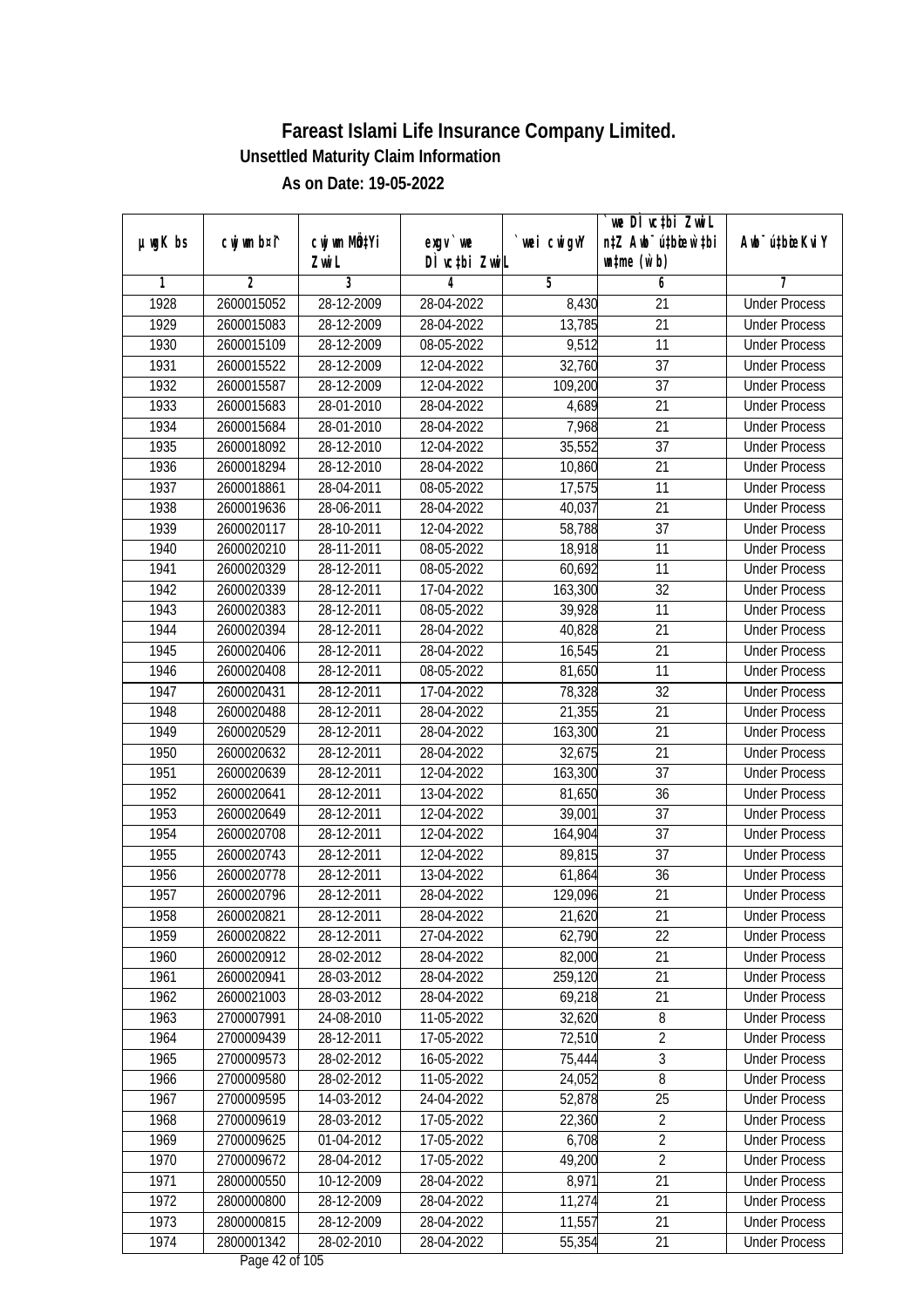|               |                          |                          |                                  |                      | `we DÌ vc‡bi ZwiL                |                             |
|---------------|--------------------------|--------------------------|----------------------------------|----------------------|----------------------------------|-----------------------------|
| $µ$ ug $K$ bs | cwj wm b¤i^              | CW wm MQYi               | $exgV$ we                        | `wei cwigvY          | n‡Z Awb <sup>-</sup> ú‡bioar`‡bi | Awb <sup>-</sup> ú‡bioeKviY |
| 1             | 2                        | Zwi L<br>3               | DÌ vctbi ZwiL<br>4               | 5                    | $\n  untime\n  (u`b)\n$<br>6     | 7                           |
| 1928          | 2600015052               | 28-12-2009               | 28-04-2022                       | 8,430                | 21                               | <b>Under Process</b>        |
| 1929          | 2600015083               | 28-12-2009               | 28-04-2022                       | 13,785               | $\overline{21}$                  | <b>Under Process</b>        |
| 1930          | 2600015109               | 28-12-2009               | 08-05-2022                       | 9,512                | 11                               | <b>Under Process</b>        |
| 1931          |                          |                          |                                  |                      | $\overline{37}$                  | <b>Under Process</b>        |
| 1932          | 2600015522               | 28-12-2009               | 12-04-2022                       | 32,760               | $\overline{37}$                  |                             |
|               | 2600015587               | 28-12-2009               | 12-04-2022<br>28-04-2022         | 109,200              | $\overline{21}$                  | <b>Under Process</b>        |
| 1933          | 2600015683               | 28-01-2010               | 28-04-2022                       | 4,689                |                                  | <b>Under Process</b>        |
| 1934<br>1935  | 2600015684<br>2600018092 | 28-01-2010<br>28-12-2010 | 12-04-2022                       | 7,968                | 21<br>$\overline{37}$            | <b>Under Process</b>        |
| 1936          | 2600018294               | 28-12-2010               |                                  | 35,552               | 21                               | <b>Under Process</b>        |
|               |                          |                          | 28-04-2022                       | 10,860               |                                  | <b>Under Process</b>        |
| 1937          | 2600018861               | 28-04-2011               | 08-05-2022                       | 17,575               | 11                               | <b>Under Process</b>        |
| 1938          | 2600019636               | 28-06-2011               | 28-04-2022                       | 40,037               | 21                               | <b>Under Process</b>        |
| 1939          | 2600020117               | 28-10-2011               | 12-04-2022                       | 58,788               | 37                               | <b>Under Process</b>        |
| 1940          | 2600020210               | 28-11-2011               | 08-05-2022                       | 18,918               | $\overline{11}$                  | <b>Under Process</b>        |
| 1941          | 2600020329               | 28-12-2011               | 08-05-2022                       | 60,692               | 11                               | <b>Under Process</b>        |
| 1942          | 2600020339               | 28-12-2011               | 17-04-2022                       | 163,300              | 32                               | <b>Under Process</b>        |
| 1943          | 2600020383               | 28-12-2011               | 08-05-2022                       | 39,928               | 11                               | <b>Under Process</b>        |
| 1944          | 2600020394               | 28-12-2011               | 28-04-2022                       | 40,828               | 21                               | <b>Under Process</b>        |
| 1945          | 2600020406               | 28-12-2011               | 28-04-2022                       | 16,545               | 21                               | <b>Under Process</b>        |
| 1946          | 2600020408               | 28-12-2011               | 08-05-2022                       | 81,650               | 11                               | <b>Under Process</b>        |
| 1947          | 2600020431               | 28-12-2011               | 17-04-2022                       | 78,328               | 32                               | <b>Under Process</b>        |
| 1948          | 2600020488               | 28-12-2011               | 28-04-2022                       | 21,355               | 21                               | <b>Under Process</b>        |
| 1949          | 2600020529               | 28-12-2011               | 28-04-2022                       | $\overline{163,300}$ | 21                               | <b>Under Process</b>        |
| 1950          | 2600020632               | 28-12-2011               | 28-04-2022                       | 32,675               | 21                               | <b>Under Process</b>        |
| 1951          | 2600020639               | 28-12-2011               | 12-04-2022                       | 163,300              | 37                               | <b>Under Process</b>        |
| 1952          | 2600020641               | 28-12-2011               | 13-04-2022                       | 81,650               | 36                               | <b>Under Process</b>        |
| 1953          | 2600020649               | 28-12-2011               | 12-04-2022                       | 39,001               | 37                               | <b>Under Process</b>        |
| 1954          | 2600020708               | 28-12-2011               | 12-04-2022                       | 164,904              | 37                               | <b>Under Process</b>        |
| 1955          | 2600020743               | 28-12-2011               | 12-04-2022                       | 89,815               | 37                               | <b>Under Process</b>        |
| 1956          | 2600020778               | 28-12-2011               | 13-04-2022                       | 61,864               | 36                               | <b>Under Process</b>        |
| 1957          | 2600020796               | 28-12-2011               | 28-04-2022                       | 129,096              | 21                               | <b>Under Process</b>        |
| 1958          | 2600020821               | 28-12-2011               | 28-04-2022                       | 21,620               | 21                               | <b>Under Process</b>        |
| 1959          | 2600020822               | 28-12-2011               | 27-04-2022                       | 62,790               | 22                               | <b>Under Process</b>        |
| 1960          | 2600020912               | 28-02-2012               | 28-04-2022                       | 82,000               | 21                               | <b>Under Process</b>        |
| 1961          | 2600020941               | 28-03-2012               | 28-04-2022                       | 259,120              | 21                               | <b>Under Process</b>        |
| 1962          | 2600021003               | 28-03-2012               | 28-04-2022                       | 69,218               | 21                               | <b>Under Process</b>        |
| 1963          | 2700007991               | 24-08-2010               | 11-05-2022                       | 32,620               | 8                                | <b>Under Process</b>        |
| 1964          | 2700009439               | 28-12-2011               | 17-05-2022                       | 72,510               | $\overline{2}$                   | <b>Under Process</b>        |
| 1965          | 2700009573               | 28-02-2012               | 16-05-2022                       | 75,444               | 3                                | <b>Under Process</b>        |
| 1966          | 2700009580               | 28-02-2012               | 11-05-2022                       | 24,052               | $\overline{8}$                   | <b>Under Process</b>        |
| 1967          | 2700009595               | 14-03-2012               | 24-04-2022                       | 52,878               | 25                               | <b>Under Process</b>        |
| 1968          | 2700009619               | 28-03-2012               | 17-05-2022                       | 22,360               | $\sqrt{2}$                       | <b>Under Process</b>        |
| 1969          | 2700009625               | 01-04-2012               | 17-05-2022                       | 6,708                | $\overline{2}$                   | <b>Under Process</b>        |
| 1970          | 2700009672               | 28-04-2012               | $17 - 05 - 2022$                 | 49,200               | $\overline{2}$                   | <b>Under Process</b>        |
| 1971          | 2800000550               | 10-12-2009               | 28-04-2022                       | 8,971                | 21                               | <b>Under Process</b>        |
| 1972          | 2800000800               | 28-12-2009               | 28-04-2022                       | 11,274               | 21                               | <b>Under Process</b>        |
| 1973          | 2800000815               | 28-12-2009               | 28-04-2022                       | 11,557               | 21                               | <b>Under Process</b>        |
| 1974          | 2800001342               | 28-02-2010               | 28-04-2022<br>Dega $42$ of $10F$ | 55,354               | 21                               | <b>Under Process</b>        |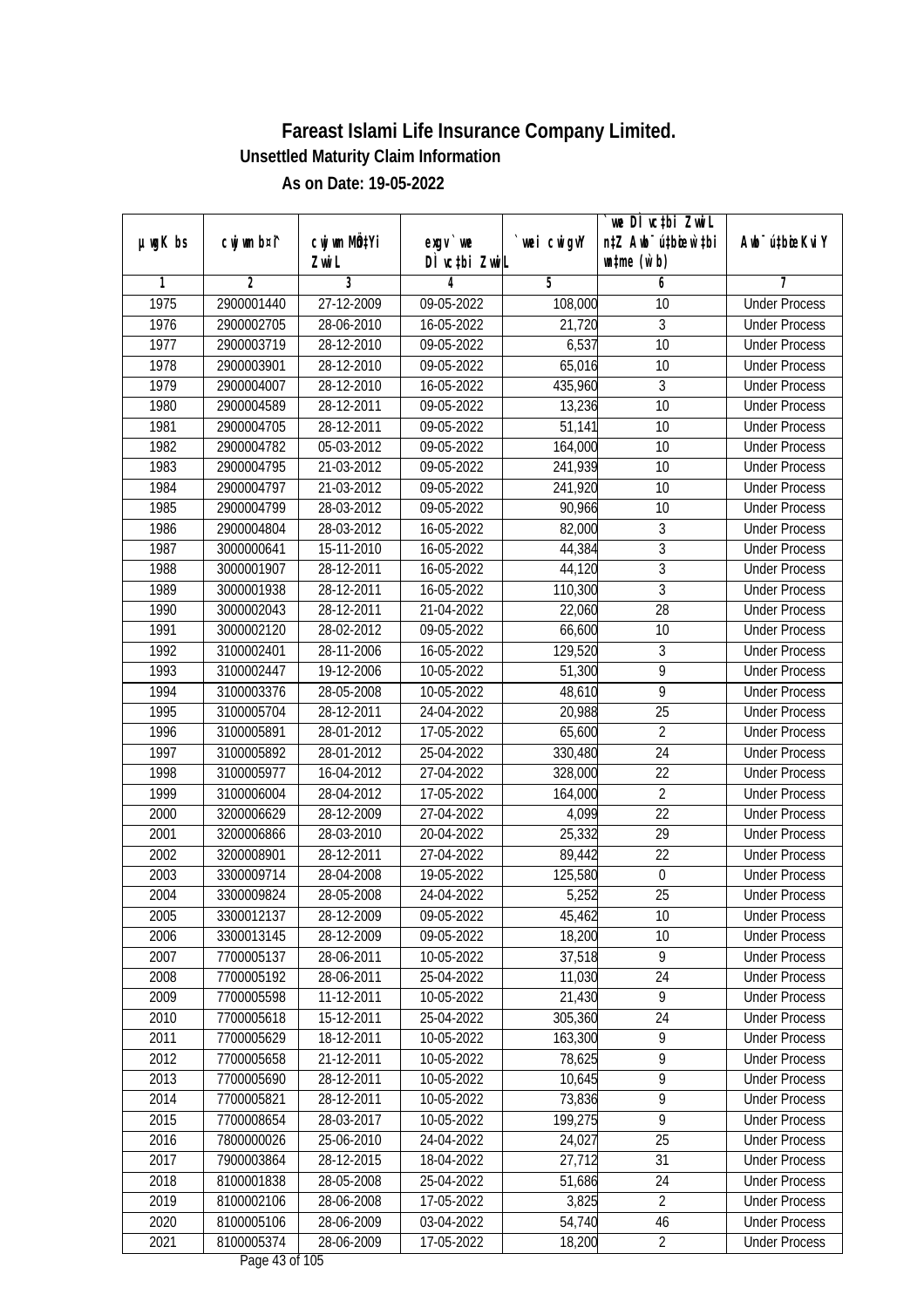|               |                |                                    |                                  |             | we DI vctbi ZwiL                                            |                             |
|---------------|----------------|------------------------------------|----------------------------------|-------------|-------------------------------------------------------------|-----------------------------|
| $µ$ ug $K$ bs | cwj wm b¤i^    | cwj wm MQ <sup>1</sup> Yi<br>Zwi L | exgy `we<br>DÌ vctbi ZwiL        | `wei cwigvY | n‡Z Awb <sup>-</sup> ú‡bicen`‡bi<br>$\n  untime\n  (u`b)\n$ | Awb <sup>-</sup> ú‡bioeKviY |
| 1             | $\overline{2}$ | 3                                  | 4                                | 5           | 6                                                           | 7                           |
| 1975          | 2900001440     | 27-12-2009                         | 09-05-2022                       | 108,000     | 10                                                          | <b>Under Process</b>        |
| 1976          | 2900002705     | 28-06-2010                         | $16 - 05 - 2022$                 | 21,720      | 3                                                           | <b>Under Process</b>        |
| 1977          | 2900003719     | 28-12-2010                         | 09-05-2022                       | 6,537       | $\overline{10}$                                             | <b>Under Process</b>        |
| 1978          | 2900003901     | 28-12-2010                         | 09-05-2022                       | 65,016      | 10                                                          | <b>Under Process</b>        |
| 1979          | 2900004007     | 28-12-2010                         | 16-05-2022                       | 435,960     | $\overline{3}$                                              | <b>Under Process</b>        |
| 1980          | 2900004589     | 28-12-2011                         | 09-05-2022                       | 13,236      | 10                                                          | <b>Under Process</b>        |
| 1981          | 2900004705     | 28-12-2011                         | $09-05-2022$                     | 51,141      | 10                                                          | <b>Under Process</b>        |
| 1982          | 2900004782     | 05-03-2012                         | 09-05-2022                       | 164,000     | 10                                                          | <b>Under Process</b>        |
| 1983          | 2900004795     | 21-03-2012                         | 09-05-2022                       | 241,939     | 10                                                          | <b>Under Process</b>        |
| 1984          | 2900004797     | 21-03-2012                         | 09-05-2022                       | 241,920     | 10                                                          | <b>Under Process</b>        |
| 1985          | 2900004799     | 28-03-2012                         | 09-05-2022                       | 90,966      | $\overline{10}$                                             | <b>Under Process</b>        |
| 1986          | 2900004804     | 28-03-2012                         | 16-05-2022                       | 82,000      | 3                                                           | <b>Under Process</b>        |
| 1987          | 3000000641     | 15-11-2010                         | 16-05-2022                       | 44,384      | $\overline{3}$                                              | <b>Under Process</b>        |
| 1988          | 3000001907     | 28-12-2011                         | 16-05-2022                       | 44,120      | $\overline{3}$                                              | <b>Under Process</b>        |
| 1989          | 3000001938     | 28-12-2011                         | 16-05-2022                       | 110,300     | $\overline{3}$                                              | <b>Under Process</b>        |
| 1990          | 3000002043     | 28-12-2011                         | 21-04-2022                       | 22,060      | 28                                                          | <b>Under Process</b>        |
| 1991          | 3000002120     | 28-02-2012                         | 09-05-2022                       | 66,600      | 10                                                          | <b>Under Process</b>        |
| 1992          | 3100002401     | 28-11-2006                         | 16-05-2022                       | 129,520     | $\mathfrak{Z}$                                              | <b>Under Process</b>        |
| 1993          | 3100002447     | 19-12-2006                         | 10-05-2022                       | 51,300      | 9                                                           | <b>Under Process</b>        |
| 1994          | 3100003376     | 28-05-2008                         | 10-05-2022                       | 48,610      | 9                                                           | <b>Under Process</b>        |
| 1995          | 3100005704     | 28-12-2011                         | 24-04-2022                       | 20,988      | 25                                                          | <b>Under Process</b>        |
| 1996          | 3100005891     | 28-01-2012                         | 17-05-2022                       | 65,600      | $\overline{2}$                                              | <b>Under Process</b>        |
| 1997          | 3100005892     | 28-01-2012                         | 25-04-2022                       | 330,480     | 24                                                          | <b>Under Process</b>        |
| 1998          | 3100005977     | 16-04-2012                         | 27-04-2022                       | 328,000     | 22                                                          | <b>Under Process</b>        |
| 1999          | 3100006004     | 28-04-2012                         | 17-05-2022                       | 164,000     | $\sqrt{2}$                                                  | <b>Under Process</b>        |
| 2000          | 3200006629     | 28-12-2009                         | 27-04-2022                       | 4,099       | 22                                                          | <b>Under Process</b>        |
| 2001          | 3200006866     | 28-03-2010                         | 20-04-2022                       | 25,332      | 29                                                          | <b>Under Process</b>        |
| 2002          | 3200008901     | 28-12-2011                         | 27-04-2022                       | 89,442      | 22                                                          | <b>Under Process</b>        |
| 2003          | 3300009714     | 28-04-2008                         | 19-05-2022                       | 125,580     | $\boldsymbol{0}$                                            | <b>Under Process</b>        |
| 2004          | 3300009824     | 28-05-2008                         | 24-04-2022                       | 5,252       | 25                                                          | <b>Under Process</b>        |
| 2005          | 3300012137     | 28-12-2009                         | 09-05-2022                       | 45,462      | 10                                                          | <b>Under Process</b>        |
| 2006          | 3300013145     | 28-12-2009                         | 09-05-2022                       | 18,200      | 10                                                          | <b>Under Process</b>        |
| 2007          | 7700005137     | 28-06-2011                         | 10-05-2022                       | 37,518      | 9                                                           | <b>Under Process</b>        |
| 2008          | 7700005192     | 28-06-2011                         | 25-04-2022                       | 11,030      | 24                                                          | <b>Under Process</b>        |
| 2009          | 7700005598     | 11-12-2011                         | 10-05-2022                       | 21,430      | 9                                                           | <b>Under Process</b>        |
| 2010          | 7700005618     | 15-12-2011                         | 25-04-2022                       | 305,360     | 24                                                          | <b>Under Process</b>        |
| 2011          | 7700005629     | 18-12-2011                         | 10-05-2022                       | 163,300     | 9                                                           | <b>Under Process</b>        |
| 2012          | 7700005658     | 21-12-2011                         | 10-05-2022                       | 78,625      | 9                                                           | <b>Under Process</b>        |
| 2013          | 7700005690     | 28-12-2011                         | 10-05-2022                       | 10,645      | $\overline{9}$                                              | <b>Under Process</b>        |
| 2014          | 7700005821     | 28-12-2011                         | 10-05-2022                       | 73,836      | $\overline{9}$                                              | <b>Under Process</b>        |
| 2015          | 7700008654     | 28-03-2017                         | 10-05-2022                       | 199,275     | 9                                                           | <b>Under Process</b>        |
| 2016          | 7800000026     | 25-06-2010                         | 24-04-2022                       | 24,027      | 25                                                          | <b>Under Process</b>        |
| 2017          | 7900003864     | 28-12-2015                         | 18-04-2022                       | 27,712      | $\overline{31}$                                             | <b>Under Process</b>        |
| 2018          | 8100001838     | 28-05-2008                         | 25-04-2022                       | 51,686      | 24                                                          | <b>Under Process</b>        |
| 2019          | 8100002106     | 28-06-2008                         | 17-05-2022                       | 3,825       | $\overline{2}$                                              | <b>Under Process</b>        |
| 2020          | 8100005106     | 28-06-2009                         | 03-04-2022                       | 54,740      | 46                                                          | <b>Under Process</b>        |
| 2021          | 8100005374     | 28-06-2009                         | 17-05-2022<br>Dega $42$ of $10F$ | 18,200      | $\overline{2}$                                              | <b>Under Process</b>        |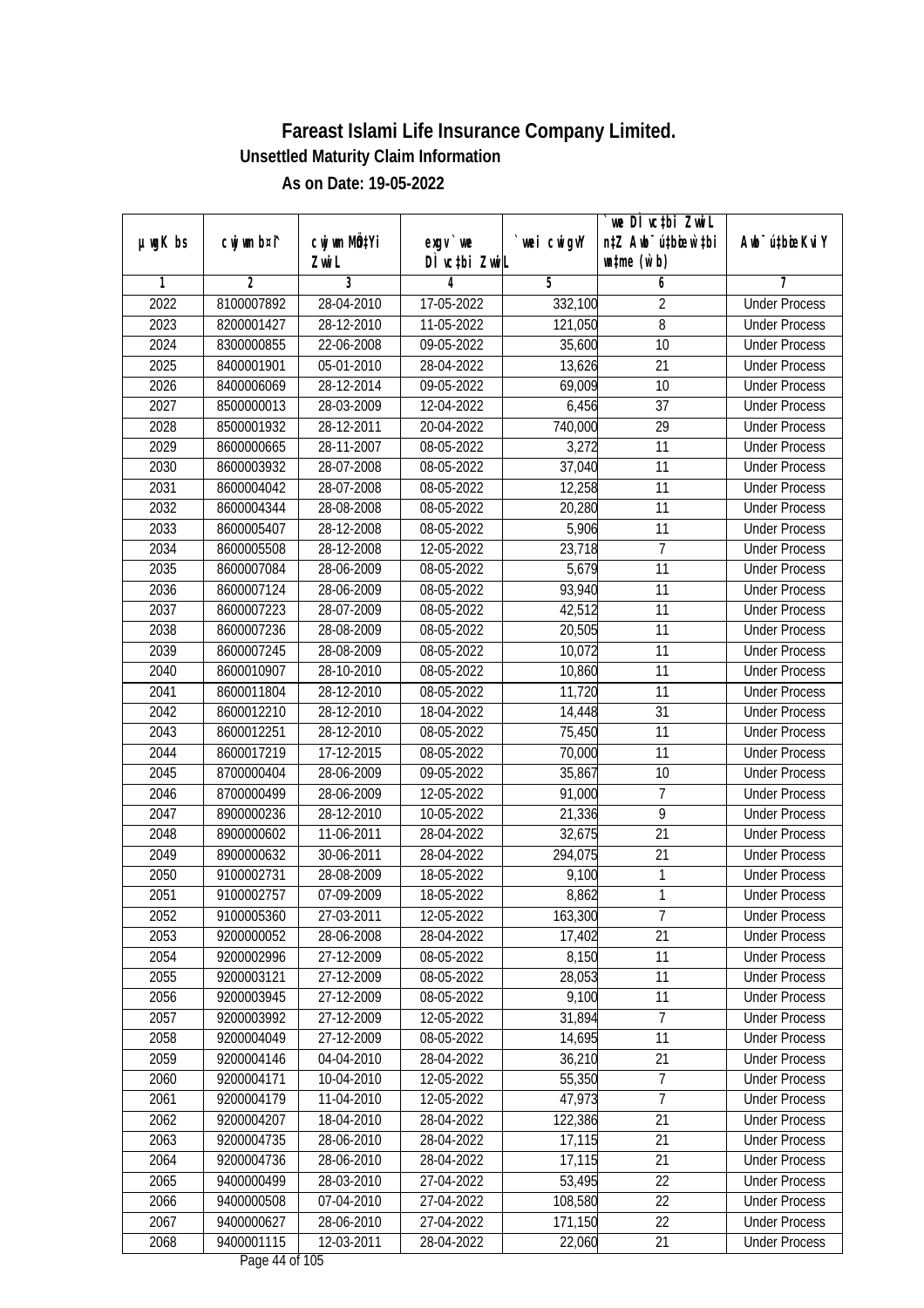|              |                          |                                    |                            |                  | we DI vctbi ZwiL                                            |                                              |
|--------------|--------------------------|------------------------------------|----------------------------|------------------|-------------------------------------------------------------|----------------------------------------------|
| µwgK bs      | cwj wm b¤i^              | cwj wm MQ <sup>1</sup> Yi<br>Zwi L | $exgV$ we<br>DÌ vctbi ZwiL | `wei cwigvY      | n‡Z Awb <sup>-</sup> ú‡bicen`‡bi<br>$\n  untime\n  (u`b)\n$ | Awb <sup>-</sup> ú‡bioeKviY                  |
| 1            | $\overline{2}$           | 3                                  | 4                          | 5                | 6                                                           | 7                                            |
| 2022         | 8100007892               | 28-04-2010                         | 17-05-2022                 | 332,100          | $\overline{2}$                                              | <b>Under Process</b>                         |
| 2023         | 8200001427               | 28-12-2010                         | $11-05-2022$               | 121,050          | $\overline{8}$                                              | <b>Under Process</b>                         |
| 2024         | 8300000855               | 22-06-2008                         | 09-05-2022                 | 35,600           | $\overline{10}$                                             | <b>Under Process</b>                         |
| 2025         | 8400001901               | 05-01-2010                         | 28-04-2022                 | 13,626           | 21                                                          | <b>Under Process</b>                         |
| 2026         | 8400006069               | $28 - 12 - 2014$                   | 09-05-2022                 | 69,009           | $\overline{10}$                                             | <b>Under Process</b>                         |
| 2027         | 8500000013               | 28-03-2009                         | 12-04-2022                 | 6,456            | $\overline{37}$                                             | <b>Under Process</b>                         |
| 2028         | 8500001932               | 28-12-2011                         | 20-04-2022                 | 740,000          | $\overline{29}$                                             | <b>Under Process</b>                         |
| 2029         | 8600000665               | 28-11-2007                         | 08-05-2022                 | 3,272            | 11                                                          | <b>Under Process</b>                         |
| 2030         | 8600003932               | 28-07-2008                         | 08-05-2022                 | 37,040           | 11                                                          | <b>Under Process</b>                         |
| 2031         | 8600004042               | 28-07-2008                         | 08-05-2022                 | 12,258           | 11                                                          | <b>Under Process</b>                         |
| 2032         | 8600004344               | 28-08-2008                         | 08-05-2022                 | 20,280           | $\overline{11}$                                             | <b>Under Process</b>                         |
| 2033         | 8600005407               | 28-12-2008                         | 08-05-2022                 | 5,906            | 11                                                          | <b>Under Process</b>                         |
| 2034         | 8600005508               | 28-12-2008                         | 12-05-2022                 | 23,718           | $\overline{7}$                                              | <b>Under Process</b>                         |
| 2035         | 8600007084               | 28-06-2009                         | 08-05-2022                 | 5,679            | 11                                                          | <b>Under Process</b>                         |
| 2036         | 8600007124               | 28-06-2009                         | 08-05-2022                 | 93,940           | 11                                                          | <b>Under Process</b>                         |
| 2037         | 8600007223               | 28-07-2009                         | 08-05-2022                 | 42,512           | 11                                                          | <b>Under Process</b>                         |
| 2038         | 8600007236               | 28-08-2009                         | 08-05-2022                 | 20,505           | 11                                                          | <b>Under Process</b>                         |
| 2039         | 8600007245               | 28-08-2009                         | 08-05-2022                 | 10,072           | 11                                                          | <b>Under Process</b>                         |
| 2040         | 8600010907               | 28-10-2010                         | 08-05-2022                 | 10,860           | 11                                                          | <b>Under Process</b>                         |
| 2041         |                          |                                    |                            | 11,720           | 11                                                          |                                              |
| 2042         | 8600011804               | 28-12-2010                         | 08-05-2022                 |                  | 31                                                          | <b>Under Process</b><br><b>Under Process</b> |
|              | 8600012210               | 28-12-2010                         | 18-04-2022                 | 14,448           | 11                                                          |                                              |
| 2043         | 8600012251               | 28-12-2010                         | 08-05-2022<br>08-05-2022   | 75,450           | 11                                                          | <b>Under Process</b>                         |
| 2044         | 8600017219               | 17-12-2015                         |                            | 70,000           |                                                             | <b>Under Process</b>                         |
| 2045         | 8700000404               | 28-06-2009                         | 09-05-2022                 | 35,867           | 10<br>$\overline{7}$                                        | <b>Under Process</b>                         |
| 2046<br>2047 | 8700000499<br>8900000236 | 28-06-2009<br>28-12-2010           | 12-05-2022<br>10-05-2022   | 91,000           | 9                                                           | <b>Under Process</b><br><b>Under Process</b> |
| 2048         | 8900000602               | 11-06-2011                         | 28-04-2022                 | 21,336<br>32,675 | 21                                                          | <b>Under Process</b>                         |
|              |                          |                                    |                            |                  | $\overline{21}$                                             |                                              |
| 2049         | 8900000632               | 30-06-2011                         | 28-04-2022                 | 294,075          |                                                             | <b>Under Process</b>                         |
| 2050         | 9100002731               | 28-08-2009                         | 18-05-2022                 | 9,100            | 1                                                           | <b>Under Process</b>                         |
| 2051         | 9100002757               | 07-09-2009                         | 18-05-2022                 | 8,862            | 1                                                           | <b>Under Process</b>                         |
| 2052         | 9100005360               | 27-03-2011                         | 12-05-2022                 | 163,300          | 7<br>$\overline{21}$                                        | <b>Under Process</b>                         |
| 2053         | 9200000052               | 28-06-2008                         | 28-04-2022                 | 17,402           |                                                             | <b>Under Process</b>                         |
| 2054         | 9200002996               | 27-12-2009                         | 08-05-2022                 | 8,150            | 11                                                          | <b>Under Process</b>                         |
| 2055         | 9200003121               | 27-12-2009                         | 08-05-2022                 | 28,053<br>9,100  | 11                                                          | <b>Under Process</b>                         |
| 2056         | 9200003945               | 27-12-2009                         | 08-05-2022                 | 31,894           | 11                                                          | <b>Under Process</b>                         |
| 2057         | 9200003992               | 27-12-2009                         | 12-05-2022                 |                  | 7                                                           | <b>Under Process</b>                         |
| 2058         | 9200004049               | 27-12-2009                         | 08-05-2022                 | 14,695           | 11                                                          | <b>Under Process</b>                         |
| 2059         | 9200004146               | 04-04-2010                         | 28-04-2022                 | 36,210           | $\overline{21}$                                             | <b>Under Process</b>                         |
| 2060         | 9200004171               | 10-04-2010                         | 12-05-2022                 | 55,350           | 7                                                           | <b>Under Process</b>                         |
| 2061         | 9200004179               | 11-04-2010                         | 12-05-2022                 | 47,973           | $\overline{7}$                                              | <b>Under Process</b>                         |
| 2062         | 9200004207               | 18-04-2010                         | 28-04-2022                 | 122,386          | 21                                                          | <b>Under Process</b>                         |
| 2063         | 9200004735               | 28-06-2010                         | 28-04-2022                 | 17,115           | 21                                                          | <b>Under Process</b>                         |
| 2064         | 9200004736               | 28-06-2010                         | 28-04-2022                 | 17,115           | 21                                                          | <b>Under Process</b>                         |
| 2065         | 9400000499               | 28-03-2010                         | 27-04-2022                 | 53,495           | 22                                                          | <b>Under Process</b>                         |
| 2066         | 9400000508               | 07-04-2010                         | 27-04-2022                 | 108,580          | 22                                                          | <b>Under Process</b>                         |
| 2067         | 9400000627               | 28-06-2010                         | 27-04-2022                 | 171,150          | 22                                                          | <b>Under Process</b>                         |
| 2068         | 9400001115               | 12-03-2011                         | 28-04-2022                 | 22,060           | 21                                                          | <b>Under Process</b>                         |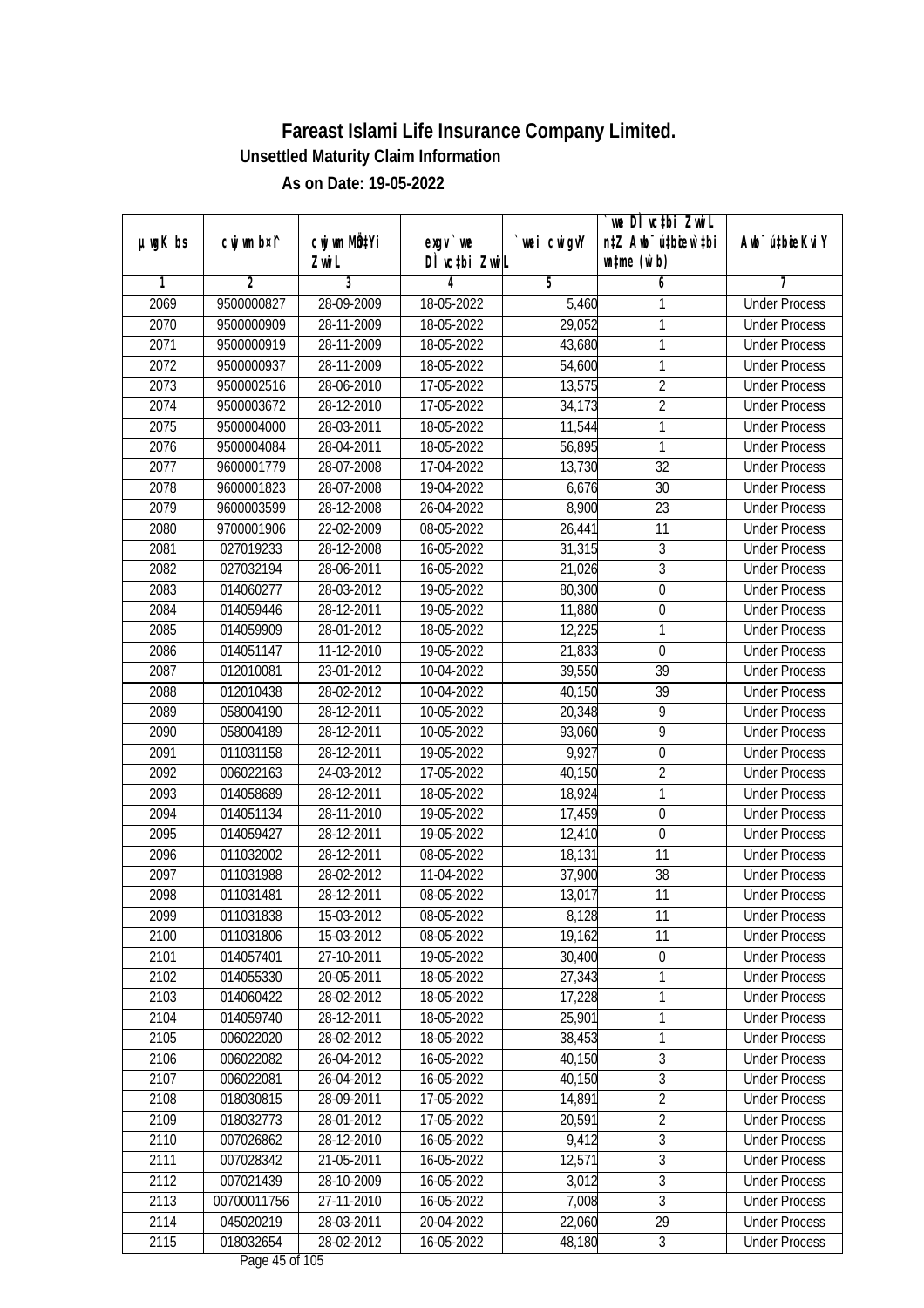|               |                |              |               |             | we DI vctbi ZwiL                 |                             |
|---------------|----------------|--------------|---------------|-------------|----------------------------------|-----------------------------|
| $µ$ ug $K$ bs | cwj wm b¤i^    | cwj wm MQtYi | $exqu$ we     | `wei cwigvY | n‡Z Awb <sup>-</sup> ú‡bicen`‡bi | Awb <sup>-</sup> ú‡bioeKviY |
|               |                | Zwi L        | DÌ vctbi ZwiL |             | $\n  untime\n  (u`b)\n$          |                             |
| 1             | $\overline{2}$ | 3            | 4             | 5           | 6                                | 7                           |
| 2069          | 9500000827     | 28-09-2009   | 18-05-2022    | 5,460       | 1                                | <b>Under Process</b>        |
| 2070          | 9500000909     | 28-11-2009   | 18-05-2022    | 29,052      | 1                                | <b>Under Process</b>        |
| 2071          | 9500000919     | 28-11-2009   | 18-05-2022    | 43,680      | 1                                | <b>Under Process</b>        |
| 2072          | 9500000937     | 28-11-2009   | 18-05-2022    | 54,600      | 1                                | <b>Under Process</b>        |
| 2073          | 9500002516     | 28-06-2010   | 17-05-2022    | 13,575      | $\overline{2}$                   | <b>Under Process</b>        |
| 2074          | 9500003672     | 28-12-2010   | 17-05-2022    | 34,173      | $\overline{2}$                   | <b>Under Process</b>        |
| 2075          | 9500004000     | 28-03-2011   | 18-05-2022    | 11,544      | 1                                | <b>Under Process</b>        |
| 2076          | 9500004084     | 28-04-2011   | 18-05-2022    | 56,895      | 1                                | <b>Under Process</b>        |
| 2077          | 9600001779     | 28-07-2008   | 17-04-2022    | 13,730      | $\overline{32}$                  | <b>Under Process</b>        |
| 2078          | 9600001823     | 28-07-2008   | 19-04-2022    | 6,676       | 30                               | <b>Under Process</b>        |
| 2079          | 9600003599     | 28-12-2008   | 26-04-2022    | 8,900       | $\overline{23}$                  | <b>Under Process</b>        |
| 2080          | 9700001906     | 22-02-2009   | 08-05-2022    | 26,441      | 11                               | <b>Under Process</b>        |
| 2081          | 027019233      | 28-12-2008   | 16-05-2022    | 31,315      | $\overline{3}$                   | <b>Under Process</b>        |
| 2082          | 027032194      | 28-06-2011   | 16-05-2022    | 21,026      | $\overline{3}$                   | <b>Under Process</b>        |
| 2083          | 014060277      | 28-03-2012   | 19-05-2022    | 80,300      | $\boldsymbol{0}$                 | <b>Under Process</b>        |
| 2084          | 014059446      | 28-12-2011   | 19-05-2022    | 11,880      | $\boldsymbol{0}$                 | <b>Under Process</b>        |
| 2085          | 014059909      | 28-01-2012   | 18-05-2022    | 12,225      | 1                                | <b>Under Process</b>        |
| 2086          | 014051147      | 11-12-2010   | 19-05-2022    | 21,833      | $\mathbf 0$                      | <b>Under Process</b>        |
| 2087          | 012010081      | 23-01-2012   | 10-04-2022    | 39,550      | 39                               | <b>Under Process</b>        |
| 2088          | 012010438      | 28-02-2012   | 10-04-2022    | 40,150      | 39                               | <b>Under Process</b>        |
| 2089          | 058004190      | 28-12-2011   | 10-05-2022    | 20,348      | 9                                | <b>Under Process</b>        |
| 2090          | 058004189      | 28-12-2011   | 10-05-2022    | 93,060      | 9                                | <b>Under Process</b>        |
| 2091          | 011031158      | 28-12-2011   | 19-05-2022    | 9,927       | $\boldsymbol{0}$                 | <b>Under Process</b>        |
| 2092          | 006022163      | 24-03-2012   | 17-05-2022    | 40,150      | $\overline{2}$                   | <b>Under Process</b>        |
| 2093          | 014058689      | 28-12-2011   | 18-05-2022    | 18,924      | 1                                | <b>Under Process</b>        |
| 2094          | 014051134      | 28-11-2010   | 19-05-2022    | 17,459      | $\boldsymbol{0}$                 | <b>Under Process</b>        |
| 2095          | 014059427      | 28-12-2011   | 19-05-2022    | 12,410      | 0                                | <b>Under Process</b>        |
| 2096          | 011032002      | 28-12-2011   | 08-05-2022    | 18,131      | 11                               | <b>Under Process</b>        |
| 2097          | 011031988      | 28-02-2012   | 11-04-2022    | 37,900      | 38                               | <b>Under Process</b>        |
| 2098          | 011031481      | 28-12-2011   | 08-05-2022    | 13,017      | 11                               | <b>Under Process</b>        |
| 2099          | 011031838      | 15-03-2012   | 08-05-2022    | 8,128       | 11                               | <b>Under Process</b>        |
| 2100          | 011031806      | 15-03-2012   | 08-05-2022    | 19,162      | 11                               | <b>Under Process</b>        |
| 2101          | 014057401      | 27-10-2011   | 19-05-2022    | 30,400      | $\boldsymbol{0}$                 | <b>Under Process</b>        |
| 2102          | 014055330      | 20-05-2011   | 18-05-2022    | 27,343      | 1                                | <b>Under Process</b>        |
| 2103          | 014060422      | 28-02-2012   | 18-05-2022    | 17,228      | 1                                | <b>Under Process</b>        |
| 2104          | 014059740      | 28-12-2011   | 18-05-2022    | 25,901      | 1                                | <b>Under Process</b>        |
| 2105          | 006022020      | 28-02-2012   | 18-05-2022    | 38,453      | 1                                | <b>Under Process</b>        |
| 2106          | 006022082      | 26-04-2012   | 16-05-2022    | 40,150      | $\overline{3}$                   | <b>Under Process</b>        |
| 2107          | 006022081      | 26-04-2012   | 16-05-2022    | 40,150      | $\overline{3}$                   | <b>Under Process</b>        |
| 2108          | 018030815      | 28-09-2011   | 17-05-2022    | 14,891      | $\overline{2}$                   | <b>Under Process</b>        |
| 2109          | 018032773      | 28-01-2012   | 17-05-2022    | 20,591      | $\overline{2}$                   | <b>Under Process</b>        |
| 2110          | 007026862      | 28-12-2010   | 16-05-2022    | 9,412       | $\overline{3}$                   | <b>Under Process</b>        |
| 2111          | 007028342      | 21-05-2011   | 16-05-2022    | 12,571      | $\overline{3}$                   | <b>Under Process</b>        |
| 2112          | 007021439      | 28-10-2009   | 16-05-2022    | 3,012       | $\overline{3}$                   | <b>Under Process</b>        |
| 2113          | 00700011756    | 27-11-2010   | 16-05-2022    | 7,008       | $\overline{3}$                   | <b>Under Process</b>        |
| 2114          | 045020219      | 28-03-2011   | 20-04-2022    | 22,060      | 29                               | <b>Under Process</b>        |
| 2115          | 018032654      | 28-02-2012   | 16-05-2022    | 48,180      | $\mathfrak{Z}$                   | <b>Under Process</b>        |
|               |                |              |               |             |                                  |                             |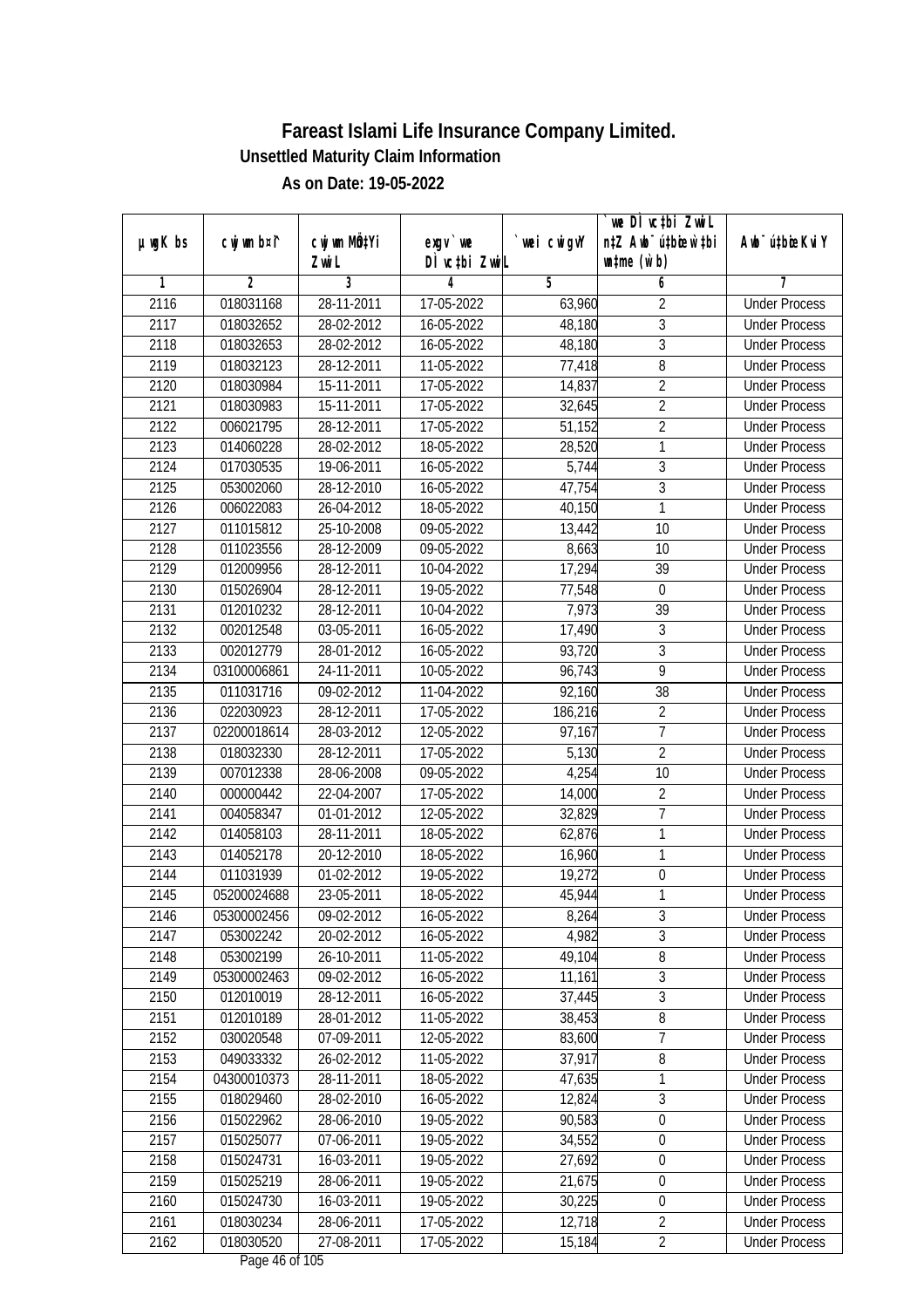| $exgV$ we<br>DÌ vctbi ZwiL<br>$\n  untime\n  (u`b)\n$<br>Zwi L<br>3<br>$\overline{2}$<br>5<br>1<br>4<br>6<br>7<br>018031168<br>2116<br>28-11-2011<br>17-05-2022<br>$\overline{2}$<br><b>Under Process</b><br>63,960<br>$\overline{3}$<br>2117<br>28-02-2012<br>16-05-2022<br>48,180<br>018032652<br><b>Under Process</b><br>$\overline{3}$<br>2118<br>018032653<br>28-02-2012<br>16-05-2022<br>48,180<br><b>Under Process</b><br>2119<br>28-12-2011<br>8<br>018032123<br>11-05-2022<br>77,418<br><b>Under Process</b><br>$\overline{2}$<br>2120<br>018030984<br>15-11-2011<br>17-05-2022<br>14,837<br><b>Under Process</b><br>$\overline{2}$<br>2121<br>15-11-2011<br>018030983<br>17-05-2022<br>32,645<br><b>Under Process</b><br>$\overline{2}$<br>2122<br>006021795<br>28-12-2011<br>17-05-2022<br>51,152<br><b>Under Process</b><br>1<br>2123<br>014060228<br>28-02-2012<br><b>Under Process</b><br>18-05-2022<br>28,520<br>$\overline{3}$<br>5,744<br>2124<br>017030535<br>19-06-2011<br>16-05-2022<br><b>Under Process</b><br>$\mathfrak{Z}$<br>2125<br>053002060<br>28-12-2010<br>47,754<br>16-05-2022<br><b>Under Process</b><br>2126<br>$\mathbf{1}$<br>006022083<br>26-04-2012<br>18-05-2022<br>40,150<br><b>Under Process</b><br>2127<br>25-10-2008<br>09-05-2022<br>13,442<br>10<br>011015812<br><b>Under Process</b><br>2128<br>$\overline{10}$<br>011023556<br>28-12-2009<br>09-05-2022<br>8,663<br><b>Under Process</b><br>2129<br>012009956<br>28-12-2011<br>10-04-2022<br>17,294<br>39<br><b>Under Process</b><br>2130<br>015026904<br>28-12-2011<br>19-05-2022<br>77,548<br>$\boldsymbol{0}$<br><b>Under Process</b><br>2131<br>39<br>012010232<br>28-12-2011<br>10-04-2022<br>7,973<br><b>Under Process</b><br>2132<br>17,490<br>$\sqrt{3}$<br>002012548<br>03-05-2011<br>16-05-2022<br><b>Under Process</b><br>$\mathfrak{Z}$<br>2133<br>28-01-2012<br>93,720<br>002012779<br>16-05-2022<br><b>Under Process</b><br>$\overline{9}$<br>2134<br>24-11-2011<br>10-05-2022<br>96,743<br>03100006861<br><b>Under Process</b><br>2135<br>38<br>011031716<br>09-02-2012<br>11-04-2022<br>92,160<br><b>Under Process</b><br>$\overline{2}$<br>2136<br>022030923<br>28-12-2011<br>17-05-2022<br>186,216<br><b>Under Process</b><br>2137<br>7<br>02200018614<br>28-03-2012<br>12-05-2022<br>97,167<br><b>Under Process</b><br>$\overline{2}$<br>2138<br>28-12-2011<br>17-05-2022<br>5,130<br>018032330<br><b>Under Process</b> |               |             |              |            |            | we DI vctbi ZwiL                 |                             |
|------------------------------------------------------------------------------------------------------------------------------------------------------------------------------------------------------------------------------------------------------------------------------------------------------------------------------------------------------------------------------------------------------------------------------------------------------------------------------------------------------------------------------------------------------------------------------------------------------------------------------------------------------------------------------------------------------------------------------------------------------------------------------------------------------------------------------------------------------------------------------------------------------------------------------------------------------------------------------------------------------------------------------------------------------------------------------------------------------------------------------------------------------------------------------------------------------------------------------------------------------------------------------------------------------------------------------------------------------------------------------------------------------------------------------------------------------------------------------------------------------------------------------------------------------------------------------------------------------------------------------------------------------------------------------------------------------------------------------------------------------------------------------------------------------------------------------------------------------------------------------------------------------------------------------------------------------------------------------------------------------------------------------------------------------------------------------------------------------------------------------------------------------------------------------------------------------------------------------------------------------------------------------------------------------------------------------------------------------------------------------------------------------------------------------------------|---------------|-------------|--------------|------------|------------|----------------------------------|-----------------------------|
|                                                                                                                                                                                                                                                                                                                                                                                                                                                                                                                                                                                                                                                                                                                                                                                                                                                                                                                                                                                                                                                                                                                                                                                                                                                                                                                                                                                                                                                                                                                                                                                                                                                                                                                                                                                                                                                                                                                                                                                                                                                                                                                                                                                                                                                                                                                                                                                                                                          | $µ$ ug $K$ bs | cwj wm b¤i^ | cwj wm MÖ¢Yi |            | wei cwigvY | n‡Z Awb <sup>-</sup> ú‡bicen`‡bi | Awb <sup>-</sup> ú‡bioeKviY |
|                                                                                                                                                                                                                                                                                                                                                                                                                                                                                                                                                                                                                                                                                                                                                                                                                                                                                                                                                                                                                                                                                                                                                                                                                                                                                                                                                                                                                                                                                                                                                                                                                                                                                                                                                                                                                                                                                                                                                                                                                                                                                                                                                                                                                                                                                                                                                                                                                                          |               |             |              |            |            |                                  |                             |
|                                                                                                                                                                                                                                                                                                                                                                                                                                                                                                                                                                                                                                                                                                                                                                                                                                                                                                                                                                                                                                                                                                                                                                                                                                                                                                                                                                                                                                                                                                                                                                                                                                                                                                                                                                                                                                                                                                                                                                                                                                                                                                                                                                                                                                                                                                                                                                                                                                          |               |             |              |            |            |                                  |                             |
|                                                                                                                                                                                                                                                                                                                                                                                                                                                                                                                                                                                                                                                                                                                                                                                                                                                                                                                                                                                                                                                                                                                                                                                                                                                                                                                                                                                                                                                                                                                                                                                                                                                                                                                                                                                                                                                                                                                                                                                                                                                                                                                                                                                                                                                                                                                                                                                                                                          |               |             |              |            |            |                                  |                             |
|                                                                                                                                                                                                                                                                                                                                                                                                                                                                                                                                                                                                                                                                                                                                                                                                                                                                                                                                                                                                                                                                                                                                                                                                                                                                                                                                                                                                                                                                                                                                                                                                                                                                                                                                                                                                                                                                                                                                                                                                                                                                                                                                                                                                                                                                                                                                                                                                                                          |               |             |              |            |            |                                  |                             |
|                                                                                                                                                                                                                                                                                                                                                                                                                                                                                                                                                                                                                                                                                                                                                                                                                                                                                                                                                                                                                                                                                                                                                                                                                                                                                                                                                                                                                                                                                                                                                                                                                                                                                                                                                                                                                                                                                                                                                                                                                                                                                                                                                                                                                                                                                                                                                                                                                                          |               |             |              |            |            |                                  |                             |
|                                                                                                                                                                                                                                                                                                                                                                                                                                                                                                                                                                                                                                                                                                                                                                                                                                                                                                                                                                                                                                                                                                                                                                                                                                                                                                                                                                                                                                                                                                                                                                                                                                                                                                                                                                                                                                                                                                                                                                                                                                                                                                                                                                                                                                                                                                                                                                                                                                          |               |             |              |            |            |                                  |                             |
|                                                                                                                                                                                                                                                                                                                                                                                                                                                                                                                                                                                                                                                                                                                                                                                                                                                                                                                                                                                                                                                                                                                                                                                                                                                                                                                                                                                                                                                                                                                                                                                                                                                                                                                                                                                                                                                                                                                                                                                                                                                                                                                                                                                                                                                                                                                                                                                                                                          |               |             |              |            |            |                                  |                             |
|                                                                                                                                                                                                                                                                                                                                                                                                                                                                                                                                                                                                                                                                                                                                                                                                                                                                                                                                                                                                                                                                                                                                                                                                                                                                                                                                                                                                                                                                                                                                                                                                                                                                                                                                                                                                                                                                                                                                                                                                                                                                                                                                                                                                                                                                                                                                                                                                                                          |               |             |              |            |            |                                  |                             |
|                                                                                                                                                                                                                                                                                                                                                                                                                                                                                                                                                                                                                                                                                                                                                                                                                                                                                                                                                                                                                                                                                                                                                                                                                                                                                                                                                                                                                                                                                                                                                                                                                                                                                                                                                                                                                                                                                                                                                                                                                                                                                                                                                                                                                                                                                                                                                                                                                                          |               |             |              |            |            |                                  |                             |
|                                                                                                                                                                                                                                                                                                                                                                                                                                                                                                                                                                                                                                                                                                                                                                                                                                                                                                                                                                                                                                                                                                                                                                                                                                                                                                                                                                                                                                                                                                                                                                                                                                                                                                                                                                                                                                                                                                                                                                                                                                                                                                                                                                                                                                                                                                                                                                                                                                          |               |             |              |            |            |                                  |                             |
|                                                                                                                                                                                                                                                                                                                                                                                                                                                                                                                                                                                                                                                                                                                                                                                                                                                                                                                                                                                                                                                                                                                                                                                                                                                                                                                                                                                                                                                                                                                                                                                                                                                                                                                                                                                                                                                                                                                                                                                                                                                                                                                                                                                                                                                                                                                                                                                                                                          |               |             |              |            |            |                                  |                             |
|                                                                                                                                                                                                                                                                                                                                                                                                                                                                                                                                                                                                                                                                                                                                                                                                                                                                                                                                                                                                                                                                                                                                                                                                                                                                                                                                                                                                                                                                                                                                                                                                                                                                                                                                                                                                                                                                                                                                                                                                                                                                                                                                                                                                                                                                                                                                                                                                                                          |               |             |              |            |            |                                  |                             |
|                                                                                                                                                                                                                                                                                                                                                                                                                                                                                                                                                                                                                                                                                                                                                                                                                                                                                                                                                                                                                                                                                                                                                                                                                                                                                                                                                                                                                                                                                                                                                                                                                                                                                                                                                                                                                                                                                                                                                                                                                                                                                                                                                                                                                                                                                                                                                                                                                                          |               |             |              |            |            |                                  |                             |
|                                                                                                                                                                                                                                                                                                                                                                                                                                                                                                                                                                                                                                                                                                                                                                                                                                                                                                                                                                                                                                                                                                                                                                                                                                                                                                                                                                                                                                                                                                                                                                                                                                                                                                                                                                                                                                                                                                                                                                                                                                                                                                                                                                                                                                                                                                                                                                                                                                          |               |             |              |            |            |                                  |                             |
|                                                                                                                                                                                                                                                                                                                                                                                                                                                                                                                                                                                                                                                                                                                                                                                                                                                                                                                                                                                                                                                                                                                                                                                                                                                                                                                                                                                                                                                                                                                                                                                                                                                                                                                                                                                                                                                                                                                                                                                                                                                                                                                                                                                                                                                                                                                                                                                                                                          |               |             |              |            |            |                                  |                             |
|                                                                                                                                                                                                                                                                                                                                                                                                                                                                                                                                                                                                                                                                                                                                                                                                                                                                                                                                                                                                                                                                                                                                                                                                                                                                                                                                                                                                                                                                                                                                                                                                                                                                                                                                                                                                                                                                                                                                                                                                                                                                                                                                                                                                                                                                                                                                                                                                                                          |               |             |              |            |            |                                  |                             |
|                                                                                                                                                                                                                                                                                                                                                                                                                                                                                                                                                                                                                                                                                                                                                                                                                                                                                                                                                                                                                                                                                                                                                                                                                                                                                                                                                                                                                                                                                                                                                                                                                                                                                                                                                                                                                                                                                                                                                                                                                                                                                                                                                                                                                                                                                                                                                                                                                                          |               |             |              |            |            |                                  |                             |
|                                                                                                                                                                                                                                                                                                                                                                                                                                                                                                                                                                                                                                                                                                                                                                                                                                                                                                                                                                                                                                                                                                                                                                                                                                                                                                                                                                                                                                                                                                                                                                                                                                                                                                                                                                                                                                                                                                                                                                                                                                                                                                                                                                                                                                                                                                                                                                                                                                          |               |             |              |            |            |                                  |                             |
|                                                                                                                                                                                                                                                                                                                                                                                                                                                                                                                                                                                                                                                                                                                                                                                                                                                                                                                                                                                                                                                                                                                                                                                                                                                                                                                                                                                                                                                                                                                                                                                                                                                                                                                                                                                                                                                                                                                                                                                                                                                                                                                                                                                                                                                                                                                                                                                                                                          |               |             |              |            |            |                                  |                             |
|                                                                                                                                                                                                                                                                                                                                                                                                                                                                                                                                                                                                                                                                                                                                                                                                                                                                                                                                                                                                                                                                                                                                                                                                                                                                                                                                                                                                                                                                                                                                                                                                                                                                                                                                                                                                                                                                                                                                                                                                                                                                                                                                                                                                                                                                                                                                                                                                                                          |               |             |              |            |            |                                  |                             |
|                                                                                                                                                                                                                                                                                                                                                                                                                                                                                                                                                                                                                                                                                                                                                                                                                                                                                                                                                                                                                                                                                                                                                                                                                                                                                                                                                                                                                                                                                                                                                                                                                                                                                                                                                                                                                                                                                                                                                                                                                                                                                                                                                                                                                                                                                                                                                                                                                                          |               |             |              |            |            |                                  |                             |
|                                                                                                                                                                                                                                                                                                                                                                                                                                                                                                                                                                                                                                                                                                                                                                                                                                                                                                                                                                                                                                                                                                                                                                                                                                                                                                                                                                                                                                                                                                                                                                                                                                                                                                                                                                                                                                                                                                                                                                                                                                                                                                                                                                                                                                                                                                                                                                                                                                          |               |             |              |            |            |                                  |                             |
|                                                                                                                                                                                                                                                                                                                                                                                                                                                                                                                                                                                                                                                                                                                                                                                                                                                                                                                                                                                                                                                                                                                                                                                                                                                                                                                                                                                                                                                                                                                                                                                                                                                                                                                                                                                                                                                                                                                                                                                                                                                                                                                                                                                                                                                                                                                                                                                                                                          |               |             |              |            |            |                                  |                             |
|                                                                                                                                                                                                                                                                                                                                                                                                                                                                                                                                                                                                                                                                                                                                                                                                                                                                                                                                                                                                                                                                                                                                                                                                                                                                                                                                                                                                                                                                                                                                                                                                                                                                                                                                                                                                                                                                                                                                                                                                                                                                                                                                                                                                                                                                                                                                                                                                                                          |               |             |              |            |            |                                  |                             |
|                                                                                                                                                                                                                                                                                                                                                                                                                                                                                                                                                                                                                                                                                                                                                                                                                                                                                                                                                                                                                                                                                                                                                                                                                                                                                                                                                                                                                                                                                                                                                                                                                                                                                                                                                                                                                                                                                                                                                                                                                                                                                                                                                                                                                                                                                                                                                                                                                                          |               |             |              |            |            |                                  |                             |
|                                                                                                                                                                                                                                                                                                                                                                                                                                                                                                                                                                                                                                                                                                                                                                                                                                                                                                                                                                                                                                                                                                                                                                                                                                                                                                                                                                                                                                                                                                                                                                                                                                                                                                                                                                                                                                                                                                                                                                                                                                                                                                                                                                                                                                                                                                                                                                                                                                          | 2139          | 007012338   | 28-06-2008   | 09-05-2022 | 4,254      | 10                               | <b>Under Process</b>        |
| $\overline{2}$<br>2140<br>22-04-2007<br>17-05-2022<br>000000442<br>14,000<br><b>Under Process</b>                                                                                                                                                                                                                                                                                                                                                                                                                                                                                                                                                                                                                                                                                                                                                                                                                                                                                                                                                                                                                                                                                                                                                                                                                                                                                                                                                                                                                                                                                                                                                                                                                                                                                                                                                                                                                                                                                                                                                                                                                                                                                                                                                                                                                                                                                                                                        |               |             |              |            |            |                                  |                             |
| $\overline{7}$<br>2141<br>004058347<br>01-01-2012<br>12-05-2022<br>32,829<br><b>Under Process</b>                                                                                                                                                                                                                                                                                                                                                                                                                                                                                                                                                                                                                                                                                                                                                                                                                                                                                                                                                                                                                                                                                                                                                                                                                                                                                                                                                                                                                                                                                                                                                                                                                                                                                                                                                                                                                                                                                                                                                                                                                                                                                                                                                                                                                                                                                                                                        |               |             |              |            |            |                                  |                             |
| 1<br>2142<br>014058103<br>28-11-2011<br>18-05-2022<br>62,876<br><b>Under Process</b>                                                                                                                                                                                                                                                                                                                                                                                                                                                                                                                                                                                                                                                                                                                                                                                                                                                                                                                                                                                                                                                                                                                                                                                                                                                                                                                                                                                                                                                                                                                                                                                                                                                                                                                                                                                                                                                                                                                                                                                                                                                                                                                                                                                                                                                                                                                                                     |               |             |              |            |            |                                  |                             |
| $\mathbf{1}$<br>2143<br>014052178<br>20-12-2010<br>18-05-2022<br>16,960<br><b>Under Process</b>                                                                                                                                                                                                                                                                                                                                                                                                                                                                                                                                                                                                                                                                                                                                                                                                                                                                                                                                                                                                                                                                                                                                                                                                                                                                                                                                                                                                                                                                                                                                                                                                                                                                                                                                                                                                                                                                                                                                                                                                                                                                                                                                                                                                                                                                                                                                          |               |             |              |            |            |                                  |                             |
| 19,272<br>$\boldsymbol{0}$<br>2144<br>011031939<br>01-02-2012<br>19-05-2022<br><b>Under Process</b>                                                                                                                                                                                                                                                                                                                                                                                                                                                                                                                                                                                                                                                                                                                                                                                                                                                                                                                                                                                                                                                                                                                                                                                                                                                                                                                                                                                                                                                                                                                                                                                                                                                                                                                                                                                                                                                                                                                                                                                                                                                                                                                                                                                                                                                                                                                                      |               |             |              |            |            |                                  |                             |
| 2145<br>23-05-2011<br>1<br>05200024688<br>18-05-2022<br>45,944<br><b>Under Process</b>                                                                                                                                                                                                                                                                                                                                                                                                                                                                                                                                                                                                                                                                                                                                                                                                                                                                                                                                                                                                                                                                                                                                                                                                                                                                                                                                                                                                                                                                                                                                                                                                                                                                                                                                                                                                                                                                                                                                                                                                                                                                                                                                                                                                                                                                                                                                                   |               |             |              |            |            |                                  |                             |
| 2146<br>05300002456<br>09-02-2012<br>16-05-2022<br>8,264<br>3<br><b>Under Process</b>                                                                                                                                                                                                                                                                                                                                                                                                                                                                                                                                                                                                                                                                                                                                                                                                                                                                                                                                                                                                                                                                                                                                                                                                                                                                                                                                                                                                                                                                                                                                                                                                                                                                                                                                                                                                                                                                                                                                                                                                                                                                                                                                                                                                                                                                                                                                                    |               |             |              |            |            |                                  |                             |
| $\overline{3}$<br>2147<br>053002242<br>20-02-2012<br>4,982<br>16-05-2022<br><b>Under Process</b>                                                                                                                                                                                                                                                                                                                                                                                                                                                                                                                                                                                                                                                                                                                                                                                                                                                                                                                                                                                                                                                                                                                                                                                                                                                                                                                                                                                                                                                                                                                                                                                                                                                                                                                                                                                                                                                                                                                                                                                                                                                                                                                                                                                                                                                                                                                                         |               |             |              |            |            |                                  |                             |
| $\, 8$<br>26-10-2011<br>49,104<br>2148<br>053002199<br>11-05-2022<br><b>Under Process</b>                                                                                                                                                                                                                                                                                                                                                                                                                                                                                                                                                                                                                                                                                                                                                                                                                                                                                                                                                                                                                                                                                                                                                                                                                                                                                                                                                                                                                                                                                                                                                                                                                                                                                                                                                                                                                                                                                                                                                                                                                                                                                                                                                                                                                                                                                                                                                |               |             |              |            |            |                                  |                             |
| $\overline{3}$<br>2149<br>09-02-2012<br>05300002463<br>16-05-2022<br>11,161<br><b>Under Process</b>                                                                                                                                                                                                                                                                                                                                                                                                                                                                                                                                                                                                                                                                                                                                                                                                                                                                                                                                                                                                                                                                                                                                                                                                                                                                                                                                                                                                                                                                                                                                                                                                                                                                                                                                                                                                                                                                                                                                                                                                                                                                                                                                                                                                                                                                                                                                      |               |             |              |            |            |                                  |                             |
| $\overline{3}$<br>2150<br>012010019<br>28-12-2011<br>16-05-2022<br>37,445<br><b>Under Process</b>                                                                                                                                                                                                                                                                                                                                                                                                                                                                                                                                                                                                                                                                                                                                                                                                                                                                                                                                                                                                                                                                                                                                                                                                                                                                                                                                                                                                                                                                                                                                                                                                                                                                                                                                                                                                                                                                                                                                                                                                                                                                                                                                                                                                                                                                                                                                        |               |             |              |            |            |                                  |                             |
| 2151<br>012010189<br>$\, 8$<br>28-01-2012<br>11-05-2022<br>38,453<br><b>Under Process</b>                                                                                                                                                                                                                                                                                                                                                                                                                                                                                                                                                                                                                                                                                                                                                                                                                                                                                                                                                                                                                                                                                                                                                                                                                                                                                                                                                                                                                                                                                                                                                                                                                                                                                                                                                                                                                                                                                                                                                                                                                                                                                                                                                                                                                                                                                                                                                |               |             |              |            |            |                                  |                             |
| $\overline{7}$<br>2152<br>030020548<br>07-09-2011<br>83,600<br>12-05-2022<br><b>Under Process</b>                                                                                                                                                                                                                                                                                                                                                                                                                                                                                                                                                                                                                                                                                                                                                                                                                                                                                                                                                                                                                                                                                                                                                                                                                                                                                                                                                                                                                                                                                                                                                                                                                                                                                                                                                                                                                                                                                                                                                                                                                                                                                                                                                                                                                                                                                                                                        |               |             |              |            |            |                                  |                             |
| 37,917<br>8<br>2153<br>049033332<br>26-02-2012<br>11-05-2022<br><b>Under Process</b>                                                                                                                                                                                                                                                                                                                                                                                                                                                                                                                                                                                                                                                                                                                                                                                                                                                                                                                                                                                                                                                                                                                                                                                                                                                                                                                                                                                                                                                                                                                                                                                                                                                                                                                                                                                                                                                                                                                                                                                                                                                                                                                                                                                                                                                                                                                                                     |               |             |              |            |            |                                  |                             |
| 2154<br>47,635<br>1<br>04300010373<br>28-11-2011<br>18-05-2022<br><b>Under Process</b>                                                                                                                                                                                                                                                                                                                                                                                                                                                                                                                                                                                                                                                                                                                                                                                                                                                                                                                                                                                                                                                                                                                                                                                                                                                                                                                                                                                                                                                                                                                                                                                                                                                                                                                                                                                                                                                                                                                                                                                                                                                                                                                                                                                                                                                                                                                                                   |               |             |              |            |            |                                  |                             |
| $\overline{3}$<br>018029460<br>2155<br>28-02-2010<br>16-05-2022<br>12,824<br><b>Under Process</b>                                                                                                                                                                                                                                                                                                                                                                                                                                                                                                                                                                                                                                                                                                                                                                                                                                                                                                                                                                                                                                                                                                                                                                                                                                                                                                                                                                                                                                                                                                                                                                                                                                                                                                                                                                                                                                                                                                                                                                                                                                                                                                                                                                                                                                                                                                                                        |               |             |              |            |            |                                  |                             |
| 2156<br>015022962<br>28-06-2010<br>19-05-2022<br>90,583<br>$\boldsymbol{0}$<br><b>Under Process</b>                                                                                                                                                                                                                                                                                                                                                                                                                                                                                                                                                                                                                                                                                                                                                                                                                                                                                                                                                                                                                                                                                                                                                                                                                                                                                                                                                                                                                                                                                                                                                                                                                                                                                                                                                                                                                                                                                                                                                                                                                                                                                                                                                                                                                                                                                                                                      |               |             |              |            |            |                                  |                             |
| 2157<br>015025077<br>07-06-2011<br>19-05-2022<br>$\boldsymbol{0}$<br>34,552<br><b>Under Process</b>                                                                                                                                                                                                                                                                                                                                                                                                                                                                                                                                                                                                                                                                                                                                                                                                                                                                                                                                                                                                                                                                                                                                                                                                                                                                                                                                                                                                                                                                                                                                                                                                                                                                                                                                                                                                                                                                                                                                                                                                                                                                                                                                                                                                                                                                                                                                      |               |             |              |            |            |                                  |                             |
| 2158<br>015024731<br>16-03-2011<br>19-05-2022<br>27,692<br>$\boldsymbol{0}$<br><b>Under Process</b>                                                                                                                                                                                                                                                                                                                                                                                                                                                                                                                                                                                                                                                                                                                                                                                                                                                                                                                                                                                                                                                                                                                                                                                                                                                                                                                                                                                                                                                                                                                                                                                                                                                                                                                                                                                                                                                                                                                                                                                                                                                                                                                                                                                                                                                                                                                                      |               |             |              |            |            |                                  |                             |
| $\boldsymbol{0}$<br>2159<br>015025219<br>28-06-2011<br>19-05-2022<br>21,675<br><b>Under Process</b>                                                                                                                                                                                                                                                                                                                                                                                                                                                                                                                                                                                                                                                                                                                                                                                                                                                                                                                                                                                                                                                                                                                                                                                                                                                                                                                                                                                                                                                                                                                                                                                                                                                                                                                                                                                                                                                                                                                                                                                                                                                                                                                                                                                                                                                                                                                                      |               |             |              |            |            |                                  |                             |
| 2160<br>16-03-2011<br>$\boldsymbol{0}$<br>015024730<br>19-05-2022<br>30,225<br><b>Under Process</b>                                                                                                                                                                                                                                                                                                                                                                                                                                                                                                                                                                                                                                                                                                                                                                                                                                                                                                                                                                                                                                                                                                                                                                                                                                                                                                                                                                                                                                                                                                                                                                                                                                                                                                                                                                                                                                                                                                                                                                                                                                                                                                                                                                                                                                                                                                                                      |               |             |              |            |            |                                  |                             |
| $\overline{2}$<br>2161<br>018030234<br>28-06-2011<br>12,718<br>17-05-2022<br><b>Under Process</b>                                                                                                                                                                                                                                                                                                                                                                                                                                                                                                                                                                                                                                                                                                                                                                                                                                                                                                                                                                                                                                                                                                                                                                                                                                                                                                                                                                                                                                                                                                                                                                                                                                                                                                                                                                                                                                                                                                                                                                                                                                                                                                                                                                                                                                                                                                                                        |               |             |              |            |            |                                  |                             |
| $\overline{2}$<br>2162<br>018030520<br>15,184<br>27-08-2011<br>17-05-2022<br><b>Under Process</b><br>Dogs $\mu$ of 10E                                                                                                                                                                                                                                                                                                                                                                                                                                                                                                                                                                                                                                                                                                                                                                                                                                                                                                                                                                                                                                                                                                                                                                                                                                                                                                                                                                                                                                                                                                                                                                                                                                                                                                                                                                                                                                                                                                                                                                                                                                                                                                                                                                                                                                                                                                                   |               |             |              |            |            |                                  |                             |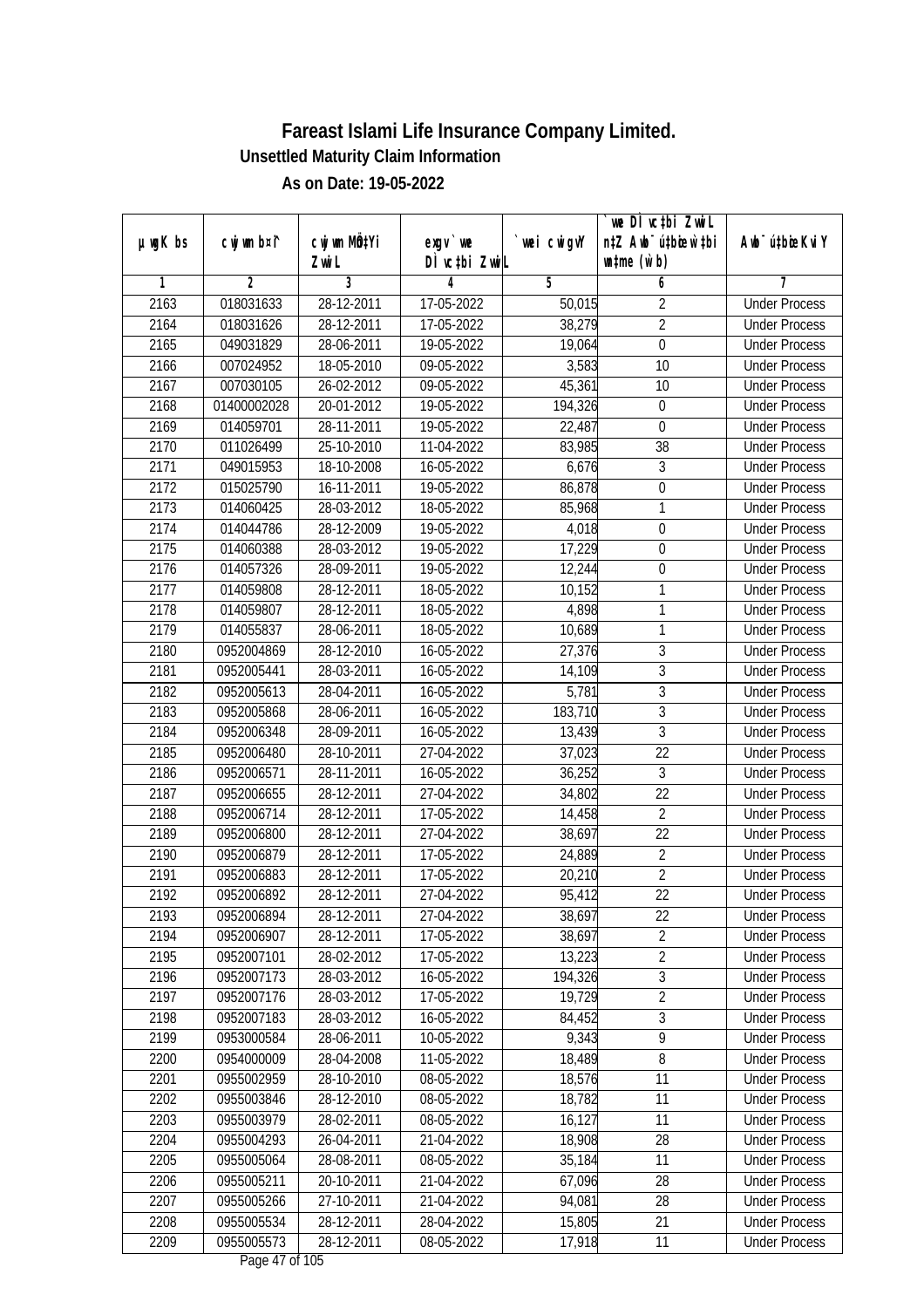|         |                |                           |                  |                | we DI vctbi ZwiL                 |                             |
|---------|----------------|---------------------------|------------------|----------------|----------------------------------|-----------------------------|
| µwgK bs | cwj wm b¤i^    | cwj wm MQ <sup>1</sup> Yi | $exgV$ we        | `wei cwigvY    | n‡Z Awb <sup>-</sup> ú‡bicen`‡bi | Awb <sup>-</sup> ú‡bioeKviY |
|         |                | Zwi L                     | DÌ vctbi ZwiL    |                | $\n  untime\n  (u`b)\n$          |                             |
| 1       | $\overline{2}$ | 3                         | 4                | $\overline{5}$ | 6                                | 7                           |
| 2163    | 018031633      | 28-12-2011                | 17-05-2022       | 50,015         | $\overline{2}$                   | <b>Under Process</b>        |
| 2164    | 018031626      | 28-12-2011                | $17 - 05 - 2022$ | 38,279         | $\overline{2}$                   | <b>Under Process</b>        |
| 2165    | 049031829      | 28-06-2011                | 19-05-2022       | 19,064         | $\overline{0}$                   | <b>Under Process</b>        |
| 2166    | 007024952      | 18-05-2010                | 09-05-2022       | 3,583          | 10                               | <b>Under Process</b>        |
| 2167    | 007030105      | $26 - 02 - 2012$          | 09-05-2022       | 45,361         | $\overline{10}$                  | <b>Under Process</b>        |
| 2168    | 01400002028    | 20-01-2012                | 19-05-2022       | 194,326        | 0                                | <b>Under Process</b>        |
| 2169    | 014059701      | 28-11-2011                | 19-05-2022       | 22,487         | $\boldsymbol{0}$                 | <b>Under Process</b>        |
| 2170    | 011026499      | 25-10-2010                | 11-04-2022       | 83,985         | $\overline{38}$                  | <b>Under Process</b>        |
| 2171    | 049015953      | 18-10-2008                | 16-05-2022       | 6,676          | $\overline{3}$                   | <b>Under Process</b>        |
| 2172    | 015025790      | 16-11-2011                | 19-05-2022       | 86,878         | $\boldsymbol{0}$                 | <b>Under Process</b>        |
| 2173    | 014060425      | 28-03-2012                | 18-05-2022       | 85,968         | 1                                | <b>Under Process</b>        |
| 2174    | 014044786      | 28-12-2009                | 19-05-2022       | 4,018          | 0                                | <b>Under Process</b>        |
| 2175    | 014060388      | 28-03-2012                | 19-05-2022       | 17,229         | $\overline{0}$                   | <b>Under Process</b>        |
| 2176    | 014057326      | 28-09-2011                | 19-05-2022       | 12,244         | $\boldsymbol{0}$                 | <b>Under Process</b>        |
| 2177    | 014059808      | 28-12-2011                | 18-05-2022       | 10,152         | 1                                | <b>Under Process</b>        |
| 2178    | 014059807      | 28-12-2011                | 18-05-2022       | 4,898          | 1                                | <b>Under Process</b>        |
| 2179    | 014055837      | 28-06-2011                | 18-05-2022       | 10,689         | 1                                | <b>Under Process</b>        |
| 2180    | 0952004869     | 28-12-2010                | 16-05-2022       | 27,376         | 3                                | <b>Under Process</b>        |
| 2181    | 0952005441     | 28-03-2011                | 16-05-2022       | 14,109         | $\overline{3}$                   | <b>Under Process</b>        |
| 2182    | 0952005613     | 28-04-2011                | 16-05-2022       | 5,781          | 3                                | <b>Under Process</b>        |
| 2183    | 0952005868     | 28-06-2011                | 16-05-2022       | 183,710        | $\overline{3}$                   | <b>Under Process</b>        |
| 2184    | 0952006348     | 28-09-2011                | 16-05-2022       | 13,439         | $\mathfrak{Z}$                   | <b>Under Process</b>        |
| 2185    | 0952006480     | 28-10-2011                | 27-04-2022       | 37,023         | 22                               | <b>Under Process</b>        |
| 2186    | 0952006571     | 28-11-2011                | 16-05-2022       | 36,252         | $\overline{3}$                   | <b>Under Process</b>        |
| 2187    | 0952006655     | 28-12-2011                | 27-04-2022       | 34,802         | 22                               | <b>Under Process</b>        |
| 2188    | 0952006714     | 28-12-2011                | 17-05-2022       | 14,458         | $\overline{2}$                   | <b>Under Process</b>        |
| 2189    | 0952006800     | 28-12-2011                | 27-04-2022       | 38,697         | 22                               | <b>Under Process</b>        |
| 2190    | 0952006879     | 28-12-2011                | 17-05-2022       | 24,889         | $\overline{2}$                   | <b>Under Process</b>        |
| 2191    | 0952006883     | 28-12-2011                | 17-05-2022       | 20,210         | $\overline{2}$                   | <b>Under Process</b>        |
| 2192    | 0952006892     | 28-12-2011                | 27-04-2022       | 95,412         | 22                               | <b>Under Process</b>        |
| 2193    | 0952006894     | 28-12-2011                | 27-04-2022       | 38,697         | 22                               | <b>Under Process</b>        |
| 2194    | 0952006907     | 28-12-2011                | $17 - 05 - 2022$ | 38,697         | $\overline{2}$                   | <b>Under Process</b>        |
| 2195    | 0952007101     | 28-02-2012                | 17-05-2022       | 13,223         | $\overline{2}$                   | <b>Under Process</b>        |
| 2196    | 0952007173     | 28-03-2012                | 16-05-2022       | 194,326        | $\overline{3}$                   | <b>Under Process</b>        |
| 2197    | 0952007176     | 28-03-2012                | 17-05-2022       | 19,729         | $\overline{2}$                   | <b>Under Process</b>        |
| 2198    | 0952007183     | 28-03-2012                | 16-05-2022       | 84,452         | 3                                | <b>Under Process</b>        |
| 2199    | 0953000584     | 28-06-2011                | 10-05-2022       | 9,343          | $\overline{9}$                   | <b>Under Process</b>        |
| 2200    | 0954000009     | 28-04-2008                | 11-05-2022       | 18,489         | 8                                | <b>Under Process</b>        |
| 2201    | 0955002959     | 28-10-2010                | 08-05-2022       | 18,576         | 11                               | <b>Under Process</b>        |
| 2202    | 0955003846     | 28-12-2010                | 08-05-2022       | 18,782         | 11                               | <b>Under Process</b>        |
| 2203    | 0955003979     | 28-02-2011                | 08-05-2022       | 16,127         | 11                               | <b>Under Process</b>        |
| 2204    | 0955004293     | 26-04-2011                | 21-04-2022       | 18,908         | 28                               | <b>Under Process</b>        |
| 2205    | 0955005064     | 28-08-2011                | 08-05-2022       | 35,184         | 11                               | <b>Under Process</b>        |
| 2206    | 0955005211     | 20-10-2011                | 21-04-2022       | 67,096         | 28                               | <b>Under Process</b>        |
| 2207    | 0955005266     | 27-10-2011                | 21-04-2022       | 94,081         | 28                               | <b>Under Process</b>        |
| 2208    | 0955005534     | 28-12-2011                | 28-04-2022       | 15,805         | 21                               | <b>Under Process</b>        |
| 2209    | 0955005573     | 28-12-2011                | 08-05-2022       | 17,918         | 11                               | <b>Under Process</b>        |
|         |                |                           |                  |                |                                  |                             |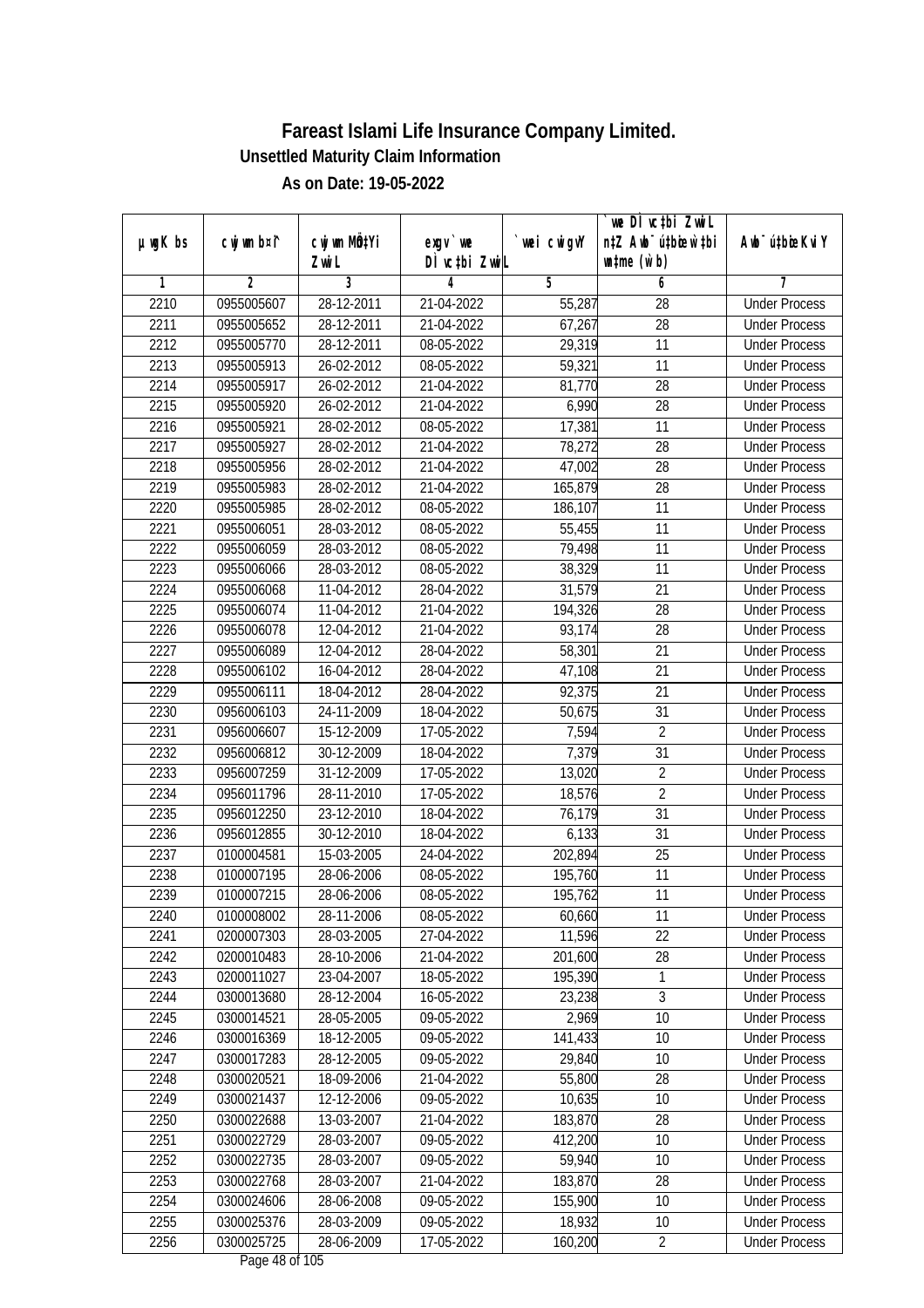|         |                |              |               |                | we DI vctbi ZwiL                 |                             |
|---------|----------------|--------------|---------------|----------------|----------------------------------|-----------------------------|
| µwgK bs | cwj wm b¤i^    | cwj wm MQtYi | exgy `we      | `wei cwigvY    | n‡Z Awb <sup>-</sup> ú‡bioar`‡bi | Awb <sup>-</sup> ú‡bioeKviY |
|         |                | Zwi L        | DÌ vctbi ZwiL |                | $\n  untime\n  (u`b)\n$          |                             |
| 1       | $\overline{2}$ | 3            | 4             | $\overline{5}$ | 6                                | 7                           |
| 2210    | 0955005607     | 28-12-2011   | 21-04-2022    | 55,287         | $\overline{28}$                  | <b>Under Process</b>        |
| 2211    | 0955005652     | 28-12-2011   | 21-04-2022    | 67,267         | $\overline{28}$                  | <b>Under Process</b>        |
| 2212    | 0955005770     | 28-12-2011   | 08-05-2022    | 29,319         | 11                               | <b>Under Process</b>        |
| 2213    | 0955005913     | 26-02-2012   | 08-05-2022    | 59,321         | 11                               | <b>Under Process</b>        |
| 2214    | 0955005917     | 26-02-2012   | 21-04-2022    | 81,770         | $\overline{28}$                  | <b>Under Process</b>        |
| 2215    | 0955005920     | 26-02-2012   | 21-04-2022    | 6,990          | 28                               | <b>Under Process</b>        |
| 2216    | 0955005921     | 28-02-2012   | $08-05-2022$  | 17,381         | 11                               | <b>Under Process</b>        |
| 2217    | 0955005927     | 28-02-2012   | 21-04-2022    | 78,272         | 28                               | <b>Under Process</b>        |
| 2218    | 0955005956     | 28-02-2012   | 21-04-2022    | 47,002         | $\overline{28}$                  | <b>Under Process</b>        |
| 2219    | 0955005983     | 28-02-2012   | 21-04-2022    | 165,879        | 28                               | <b>Under Process</b>        |
| 2220    | 0955005985     | 28-02-2012   | 08-05-2022    | 186,107        | $\overline{11}$                  | <b>Under Process</b>        |
| 2221    | 0955006051     | 28-03-2012   | 08-05-2022    | 55,455         | 11                               | <b>Under Process</b>        |
| 2222    | 0955006059     | 28-03-2012   | 08-05-2022    | 79,498         | $\overline{11}$                  | <b>Under Process</b>        |
| 2223    | 0955006066     | 28-03-2012   | 08-05-2022    | 38,329         | 11                               | <b>Under Process</b>        |
| 2224    | 0955006068     | 11-04-2012   | 28-04-2022    | 31,579         | 21                               | <b>Under Process</b>        |
| 2225    | 0955006074     | 11-04-2012   | 21-04-2022    | 194,326        | 28                               | <b>Under Process</b>        |
| 2226    | 0955006078     | 12-04-2012   | 21-04-2022    | 93,174         | 28                               | <b>Under Process</b>        |
| 2227    | 0955006089     | 12-04-2012   | 28-04-2022    | 58,301         | 21                               | <b>Under Process</b>        |
| 2228    | 0955006102     | 16-04-2012   | 28-04-2022    | 47,108         | 21                               | <b>Under Process</b>        |
| 2229    | 0955006111     | 18-04-2012   | 28-04-2022    | 92,375         | 21                               | <b>Under Process</b>        |
| 2230    | 0956006103     | 24-11-2009   | 18-04-2022    | 50,675         | 31                               | <b>Under Process</b>        |
| 2231    | 0956006607     | 15-12-2009   | 17-05-2022    | 7,594          | $\overline{2}$                   | <b>Under Process</b>        |
| 2232    | 0956006812     | 30-12-2009   | 18-04-2022    | 7,379          | 31                               | <b>Under Process</b>        |
| 2233    | 0956007259     | 31-12-2009   | 17-05-2022    | 13,020         | $\sqrt{2}$                       | <b>Under Process</b>        |
| 2234    | 0956011796     | 28-11-2010   | 17-05-2022    | 18,576         | $\overline{2}$                   | <b>Under Process</b>        |
| 2235    | 0956012250     | 23-12-2010   | 18-04-2022    | 76,179         | 31                               | <b>Under Process</b>        |
| 2236    | 0956012855     | 30-12-2010   | 18-04-2022    | 6,133          | 31                               | <b>Under Process</b>        |
| 2237    | 0100004581     | 15-03-2005   | 24-04-2022    | 202,894        | 25                               | <b>Under Process</b>        |
| 2238    | 0100007195     | 28-06-2006   | 08-05-2022    | 195,760        | 11                               | <b>Under Process</b>        |
| 2239    | 0100007215     | 28-06-2006   | 08-05-2022    | 195,762        | 11                               | <b>Under Process</b>        |
| 2240    | 0100008002     | 28-11-2006   | 08-05-2022    | 60,660         | 11                               | <b>Under Process</b>        |
| 2241    | 0200007303     | 28-03-2005   | 27-04-2022    | 11,596         | 22                               | <b>Under Process</b>        |
| 2242    | 0200010483     | 28-10-2006   | 21-04-2022    | 201,600        | 28                               | <b>Under Process</b>        |
| 2243    | 0200011027     | 23-04-2007   | 18-05-2022    | 195,390        | 1                                | <b>Under Process</b>        |
| 2244    | 0300013680     | 28-12-2004   | 16-05-2022    | 23,238         | $\overline{3}$                   | <b>Under Process</b>        |
| 2245    | 0300014521     | 28-05-2005   | 09-05-2022    | 2,969          | 10                               | <b>Under Process</b>        |
| 2246    | 0300016369     | 18-12-2005   | 09-05-2022    | 141,433        | 10                               | <b>Under Process</b>        |
| 2247    | 0300017283     | 28-12-2005   | 09-05-2022    | 29,840         | 10                               | <b>Under Process</b>        |
| 2248    | 0300020521     | 18-09-2006   | 21-04-2022    | 55,800         | 28                               | <b>Under Process</b>        |
| 2249    | 0300021437     | 12-12-2006   | 09-05-2022    | 10,635         | 10                               | <b>Under Process</b>        |
| 2250    | 0300022688     | 13-03-2007   | 21-04-2022    | 183,870        | 28                               | <b>Under Process</b>        |
| 2251    | 0300022729     | 28-03-2007   | 09-05-2022    | 412,200        | 10                               | <b>Under Process</b>        |
| 2252    | 0300022735     | 28-03-2007   | 09-05-2022    | 59,940         | 10                               | <b>Under Process</b>        |
| 2253    | 0300022768     | 28-03-2007   | 21-04-2022    | 183,870        | 28                               | <b>Under Process</b>        |
| 2254    | 0300024606     | 28-06-2008   | 09-05-2022    | 155,900        | 10                               | <b>Under Process</b>        |
| 2255    | 0300025376     | 28-03-2009   | 09-05-2022    | 18,932         | 10                               | <b>Under Process</b>        |
| 2256    | 0300025725     | 28-06-2009   | 17-05-2022    | 160,200        | $\overline{2}$                   | <b>Under Process</b>        |
|         |                |              |               |                |                                  |                             |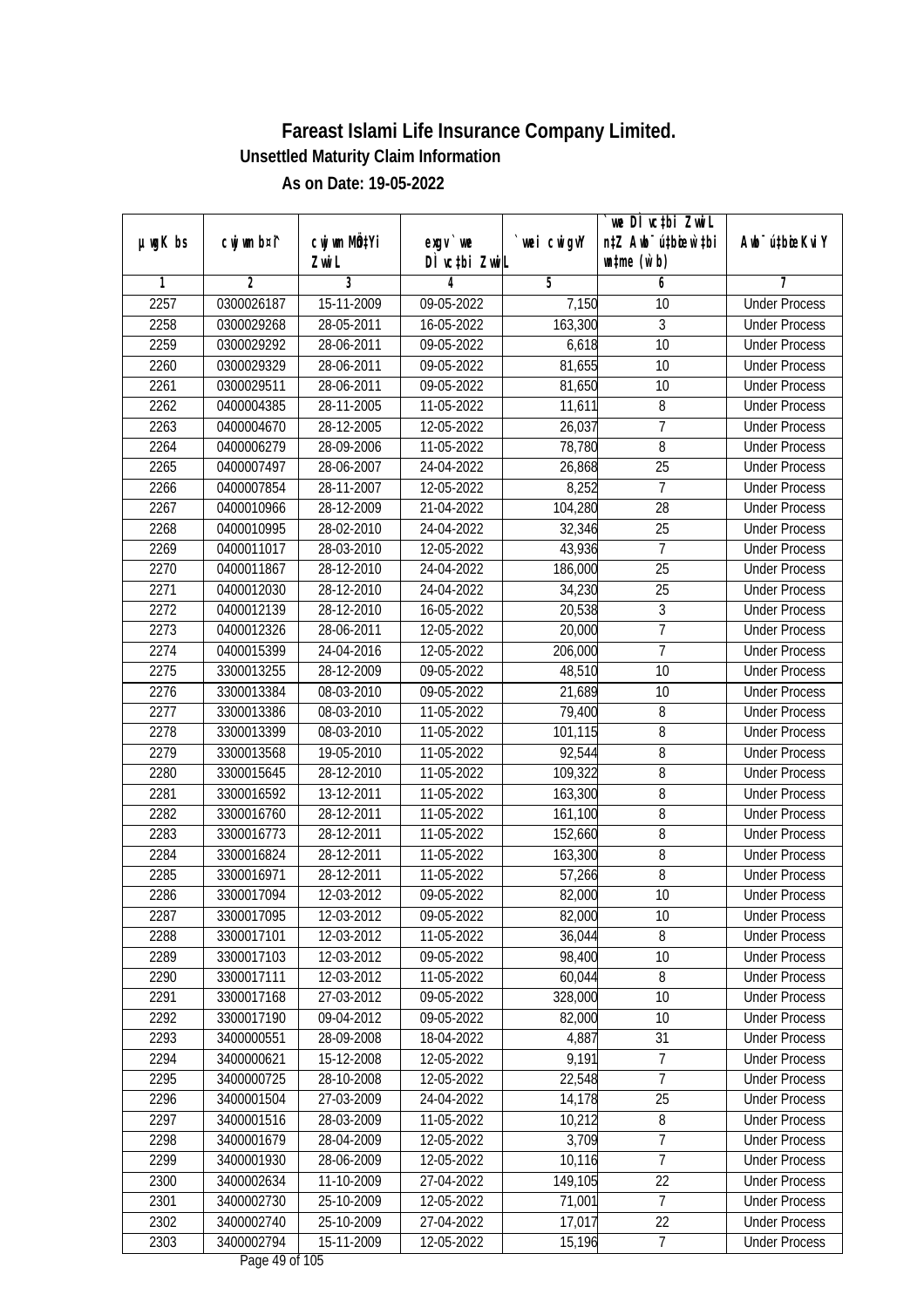| $µ$ ug $K$ bs | cwj wm b¤i^ | cwj wm MQtYi | $exgv$ we                        | wei cwigvY | `we DÌ vc‡bi ZwiL<br>n‡Z Awb <sup>-</sup> ú‡bioen`‡bi | Awb <sup>-</sup> ú‡bioeKviY |
|---------------|-------------|--------------|----------------------------------|------------|-------------------------------------------------------|-----------------------------|
|               |             | Zwi L        | DÌ vctbi ZwiL                    |            | $\n  untime\n  (u`b)\n$                               |                             |
| 1             | 2           | 3            | 4                                | 5          | 6                                                     | 7                           |
| 2257          | 0300026187  | 15-11-2009   | 09-05-2022                       | 7,150      | 10                                                    | <b>Under Process</b>        |
| 2258          | 0300029268  | 28-05-2011   | 16-05-2022                       | 163,300    | 3                                                     | <b>Under Process</b>        |
| 2259          | 0300029292  | 28-06-2011   | 09-05-2022                       | 6,618      | $\overline{10}$                                       | <b>Under Process</b>        |
| 2260          | 0300029329  | 28-06-2011   | 09-05-2022                       | 81,655     | 10                                                    | <b>Under Process</b>        |
| 2261          | 0300029511  | 28-06-2011   | 09-05-2022                       | 81,650     | 10                                                    | <b>Under Process</b>        |
| 2262          | 0400004385  | 28-11-2005   | 11-05-2022                       | 11,611     | $\overline{8}$                                        | <b>Under Process</b>        |
| 2263          | 0400004670  | 28-12-2005   | 12-05-2022                       | 26,037     | 7                                                     | <b>Under Process</b>        |
| 2264          | 0400006279  | 28-09-2006   | 11-05-2022                       | 78,780     | $\overline{8}$                                        | <b>Under Process</b>        |
| 2265          | 0400007497  | 28-06-2007   | 24-04-2022                       | 26,868     | 25                                                    | <b>Under Process</b>        |
| 2266          | 0400007854  | 28-11-2007   | 12-05-2022                       | 8,252      | $\overline{7}$                                        | <b>Under Process</b>        |
| 2267          | 0400010966  | 28-12-2009   | 21-04-2022                       | 104,280    | 28                                                    | <b>Under Process</b>        |
| 2268          | 0400010995  | 28-02-2010   | 24-04-2022                       | 32,346     | 25                                                    | <b>Under Process</b>        |
| 2269          | 0400011017  | 28-03-2010   | 12-05-2022                       | 43,936     | $\overline{7}$                                        | <b>Under Process</b>        |
| 2270          | 0400011867  | 28-12-2010   | 24-04-2022                       | 186,000    | 25                                                    | <b>Under Process</b>        |
| 2271          | 0400012030  | 28-12-2010   | 24-04-2022                       | 34,230     | 25                                                    | <b>Under Process</b>        |
| 2272          | 0400012139  | 28-12-2010   | 16-05-2022                       | 20,538     | $\mathfrak{Z}$                                        | <b>Under Process</b>        |
| 2273          | 0400012326  | 28-06-2011   | 12-05-2022                       | 20,000     | $\overline{1}$                                        | <b>Under Process</b>        |
| 2274          | 0400015399  | 24-04-2016   | 12-05-2022                       | 206,000    | $\overline{7}$                                        | <b>Under Process</b>        |
| 2275          | 3300013255  | 28-12-2009   | 09-05-2022                       | 48,510     | 10                                                    | <b>Under Process</b>        |
| 2276          | 3300013384  | 08-03-2010   | 09-05-2022                       | 21,689     | 10                                                    | <b>Under Process</b>        |
| 2277          | 3300013386  | 08-03-2010   | 11-05-2022                       | 79,400     | 8                                                     | <b>Under Process</b>        |
| 2278          | 3300013399  | 08-03-2010   | 11-05-2022                       | 101,115    | 8                                                     | <b>Under Process</b>        |
| 2279          | 3300013568  | 19-05-2010   | 11-05-2022                       | 92,544     | 8                                                     | <b>Under Process</b>        |
| 2280          | 3300015645  | 28-12-2010   | 11-05-2022                       | 109,322    | 8                                                     | <b>Under Process</b>        |
| 2281          | 3300016592  | 13-12-2011   | 11-05-2022                       | 163,300    | 8                                                     | <b>Under Process</b>        |
| 2282          | 3300016760  | 28-12-2011   | 11-05-2022                       | 161,100    | 8                                                     | <b>Under Process</b>        |
| 2283          | 3300016773  | 28-12-2011   | 11-05-2022                       | 152,660    | 8                                                     | <b>Under Process</b>        |
| 2284          | 3300016824  | 28-12-2011   | 11-05-2022                       | 163,300    | 8                                                     | <b>Under Process</b>        |
| 2285          | 3300016971  | 28-12-2011   | 11-05-2022                       | 57,266     | $\overline{8}$                                        | <b>Under Process</b>        |
| 2286          | 3300017094  | 12-03-2012   | 09-05-2022                       | 82,000     | 10                                                    | <b>Under Process</b>        |
| 2287          | 3300017095  | 12-03-2012   | 09-05-2022                       | 82,000     | 10                                                    | <b>Under Process</b>        |
| 2288          | 3300017101  | 12-03-2012   | 11-05-2022                       | 36,044     | 8                                                     | <b>Under Process</b>        |
| 2289          | 3300017103  | 12-03-2012   | 09-05-2022                       | 98,400     | 10                                                    | <b>Under Process</b>        |
| 2290          | 3300017111  | 12-03-2012   | 11-05-2022                       | 60,044     | 8                                                     | <b>Under Process</b>        |
| 2291          | 3300017168  | 27-03-2012   | 09-05-2022                       | 328,000    | 10                                                    | <b>Under Process</b>        |
| 2292          | 3300017190  | 09-04-2012   | 09-05-2022                       | 82,000     | 10                                                    | <b>Under Process</b>        |
| 2293          | 3400000551  | 28-09-2008   | 18-04-2022                       | 4,887      | 31                                                    | <b>Under Process</b>        |
| 2294          | 3400000621  | 15-12-2008   | 12-05-2022                       | 9,191      | 7                                                     | <b>Under Process</b>        |
| 2295          | 3400000725  | 28-10-2008   | 12-05-2022                       | 22,548     | $\overline{7}$                                        | <b>Under Process</b>        |
| 2296          | 3400001504  | 27-03-2009   | 24-04-2022                       | 14,178     | 25                                                    | <b>Under Process</b>        |
| 2297          | 3400001516  | 28-03-2009   | 11-05-2022                       | 10,212     | 8                                                     | <b>Under Process</b>        |
| 2298          | 3400001679  | 28-04-2009   | 12-05-2022                       | 3,709      | 7                                                     | <b>Under Process</b>        |
| 2299          | 3400001930  | 28-06-2009   | $12 - 05 - 2022$                 | 10,116     | $\overline{7}$                                        | <b>Under Process</b>        |
| 2300          | 3400002634  | 11-10-2009   | 27-04-2022                       | 149,105    | 22                                                    | <b>Under Process</b>        |
| 2301          | 3400002730  | 25-10-2009   | 12-05-2022                       | 71,001     | $\overline{7}$                                        | <b>Under Process</b>        |
| 2302          | 3400002740  | 25-10-2009   | 27-04-2022                       | 17,017     | 22                                                    | <b>Under Process</b>        |
| 2303          | 3400002794  | 15-11-2009   | 12-05-2022<br>Dega $40$ of $10E$ | 15,196     | $\overline{7}$                                        | <b>Under Process</b>        |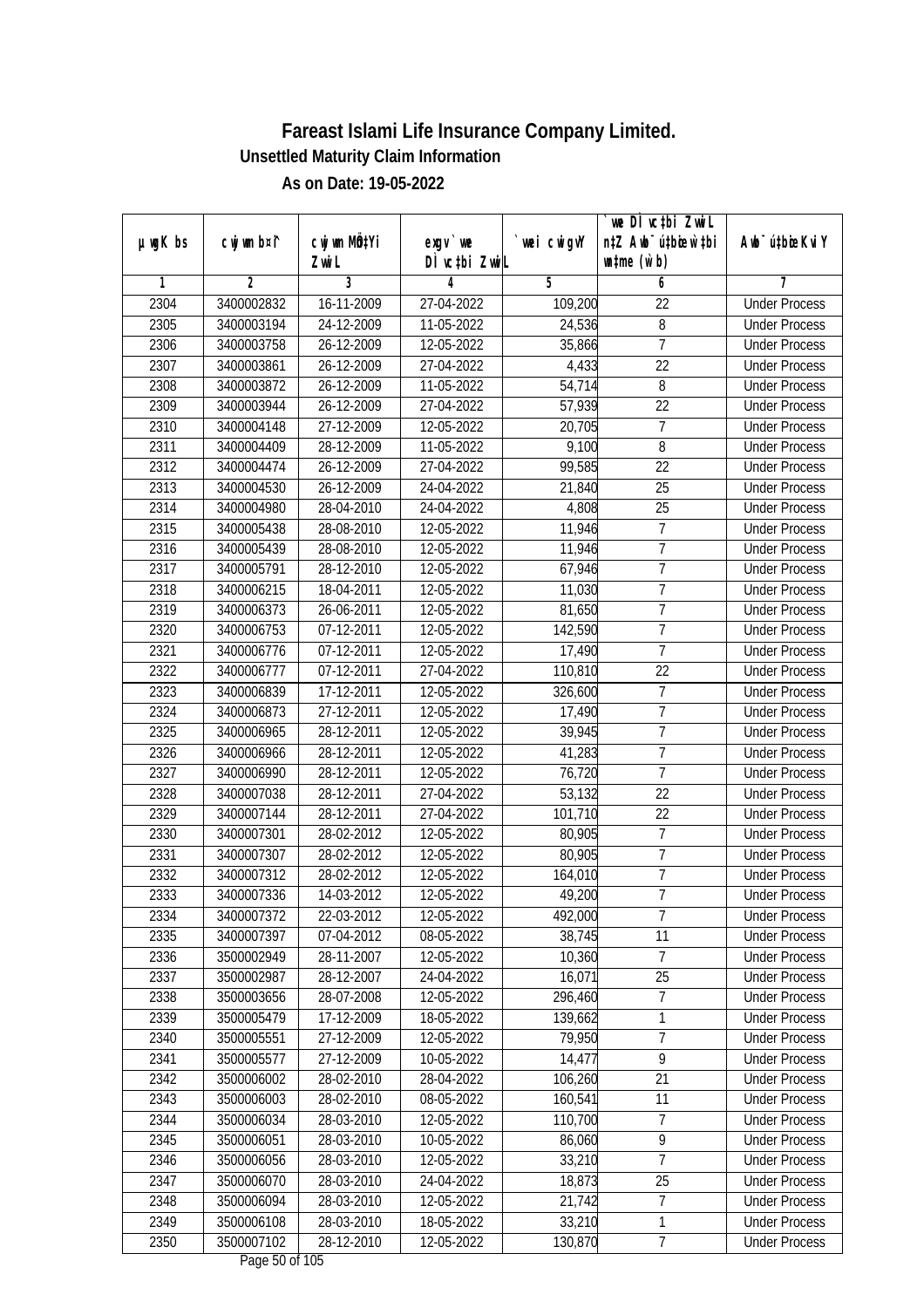|               | cwj wm b¤i^    | cwj wm MQtYi |                                    |            | we DI vctbi ZwiL<br>n‡Z Awb <sup>-</sup> ú‡bioen`‡bi | Awb <sup>-</sup> ú‡bioeKviY |
|---------------|----------------|--------------|------------------------------------|------------|------------------------------------------------------|-----------------------------|
| $µ$ ug $K$ bs |                | Zwi L        | $exgV$ we<br>DÌ vctbi ZwiL         | wei cwigvY | $\n  untime\n  (u`b)\n$                              |                             |
| 1             | $\overline{2}$ | 3            | 4                                  | 5          | 6                                                    | 7                           |
| 2304          | 3400002832     | 16-11-2009   | 27-04-2022                         | 109,200    | $\overline{22}$                                      | <b>Under Process</b>        |
| 2305          | 3400003194     | 24-12-2009   | 11-05-2022                         | 24,536     | $\overline{8}$                                       | <b>Under Process</b>        |
| 2306          | 3400003758     | 26-12-2009   | 12-05-2022                         | 35,866     | $\overline{7}$                                       | <b>Under Process</b>        |
| 2307          | 3400003861     | 26-12-2009   | 27-04-2022                         | 4,433      | 22                                                   | <b>Under Process</b>        |
| 2308          | 3400003872     | 26-12-2009   | 11-05-2022                         | 54,714     | $\overline{8}$                                       | <b>Under Process</b>        |
| 2309          | 3400003944     | 26-12-2009   | 27-04-2022                         | 57,939     | $\overline{22}$                                      | <b>Under Process</b>        |
| 2310          | 3400004148     | 27-12-2009   | 12-05-2022                         | 20,705     | $\overline{7}$                                       | <b>Under Process</b>        |
| 2311          | 3400004409     | 28-12-2009   | 11-05-2022                         | 9,100      | $\overline{8}$                                       | <b>Under Process</b>        |
| 2312          | 3400004474     | 26-12-2009   | 27-04-2022                         | 99,585     | 22                                                   | <b>Under Process</b>        |
| 2313          | 3400004530     | 26-12-2009   | 24-04-2022                         | 21,840     | 25                                                   | <b>Under Process</b>        |
| 2314          | 3400004980     | 28-04-2010   | 24-04-2022                         | 4,808      | $\overline{25}$                                      | <b>Under Process</b>        |
| 2315          | 3400005438     | 28-08-2010   | 12-05-2022                         | 11,946     | $\overline{7}$                                       | <b>Under Process</b>        |
| 2316          | 3400005439     | 28-08-2010   | 12-05-2022                         | 11,946     | $\overline{7}$                                       | <b>Under Process</b>        |
| 2317          | 3400005791     | 28-12-2010   | 12-05-2022                         | 67,946     | 7                                                    | <b>Under Process</b>        |
| 2318          | 3400006215     | 18-04-2011   | 12-05-2022                         | 11,030     | $\overline{1}$                                       | <b>Under Process</b>        |
| 2319          | 3400006373     | 26-06-2011   | 12-05-2022                         | 81,650     | $\overline{1}$                                       | <b>Under Process</b>        |
| 2320          | 3400006753     | 07-12-2011   | 12-05-2022                         | 142,590    | $\overline{1}$                                       | <b>Under Process</b>        |
| 2321          | 3400006776     | 07-12-2011   | 12-05-2022                         | 17,490     | $\overline{7}$                                       | <b>Under Process</b>        |
| 2322          | 3400006777     | 07-12-2011   | 27-04-2022                         | 110,810    | 22                                                   | <b>Under Process</b>        |
| 2323          | 3400006839     | 17-12-2011   | 12-05-2022                         | 326,600    | 7                                                    | <b>Under Process</b>        |
| 2324          | 3400006873     | 27-12-2011   | 12-05-2022                         | 17,490     | $\overline{7}$                                       | <b>Under Process</b>        |
| 2325          | 3400006965     | 28-12-2011   | 12-05-2022                         | 39,945     | 7                                                    | <b>Under Process</b>        |
| 2326          | 3400006966     | 28-12-2011   | 12-05-2022                         | 41,283     | $\overline{1}$                                       | <b>Under Process</b>        |
| 2327          | 3400006990     | 28-12-2011   | 12-05-2022                         | 76,720     | $\overline{1}$                                       | <b>Under Process</b>        |
| 2328          | 3400007038     | 28-12-2011   | 27-04-2022                         | 53,132     | 22                                                   | <b>Under Process</b>        |
| 2329          | 3400007144     | 28-12-2011   | 27-04-2022                         | 101,710    | 22                                                   | <b>Under Process</b>        |
| 2330          | 3400007301     | 28-02-2012   | 12-05-2022                         | 80,905     | $\overline{7}$                                       | <b>Under Process</b>        |
| 2331          | 3400007307     | 28-02-2012   | 12-05-2022                         | 80,905     | $\overline{7}$                                       | <b>Under Process</b>        |
| 2332          | 3400007312     | 28-02-2012   | 12-05-2022                         | 164,010    | $\overline{1}$                                       | <b>Under Process</b>        |
| 2333          | 3400007336     | 14-03-2012   | 12-05-2022                         | 49,200     | $\overline{7}$                                       | <b>Under Process</b>        |
| 2334          | 3400007372     | 22-03-2012   | 12-05-2022                         | 492,000    | 7                                                    | <b>Under Process</b>        |
| 2335          | 3400007397     | 07-04-2012   | 08-05-2022                         | 38,745     | 11                                                   | <b>Under Process</b>        |
| 2336          | 3500002949     | 28-11-2007   | 12-05-2022                         | 10,360     | $\overline{7}$                                       | <b>Under Process</b>        |
| 2337          | 3500002987     | 28-12-2007   | 24-04-2022                         | 16,071     | 25                                                   | <b>Under Process</b>        |
| 2338          | 3500003656     | 28-07-2008   | 12-05-2022                         | 296,460    | 7                                                    | <b>Under Process</b>        |
| 2339          | 3500005479     | 17-12-2009   | 18-05-2022                         | 139,662    | 1                                                    | <b>Under Process</b>        |
| 2340          | 3500005551     | 27-12-2009   | 12-05-2022                         | 79,950     | $\overline{7}$                                       | <b>Under Process</b>        |
| 2341          | 3500005577     | 27-12-2009   | 10-05-2022                         | 14,477     | $\overline{9}$                                       | <b>Under Process</b>        |
| 2342          | 3500006002     | 28-02-2010   | 28-04-2022                         | 106,260    | $\overline{21}$                                      | <b>Under Process</b>        |
| 2343          | 3500006003     | 28-02-2010   | 08-05-2022                         | 160,541    | 11                                                   | <b>Under Process</b>        |
| 2344          | 3500006034     | 28-03-2010   | 12-05-2022                         | 110,700    | 7                                                    | <b>Under Process</b>        |
| 2345          | 3500006051     | 28-03-2010   | 10-05-2022                         | 86,060     | $\overline{9}$                                       | <b>Under Process</b>        |
| 2346          | 3500006056     | 28-03-2010   | 12-05-2022                         | 33,210     | 7                                                    | <b>Under Process</b>        |
| 2347          | 3500006070     | 28-03-2010   | 24-04-2022                         | 18,873     | 25                                                   | <b>Under Process</b>        |
| 2348          | 3500006094     | 28-03-2010   | 12-05-2022                         | 21,742     | 7                                                    | <b>Under Process</b>        |
| 2349          | 3500006108     | 28-03-2010   | 18-05-2022                         | 33,210     | $\mathbf{1}$                                         | <b>Under Process</b>        |
| 2350          | 3500007102     | 28-12-2010   | 12-05-2022<br>$D_{0.92}$ EO of 10E | 130,870    | $\overline{7}$                                       | <b>Under Process</b>        |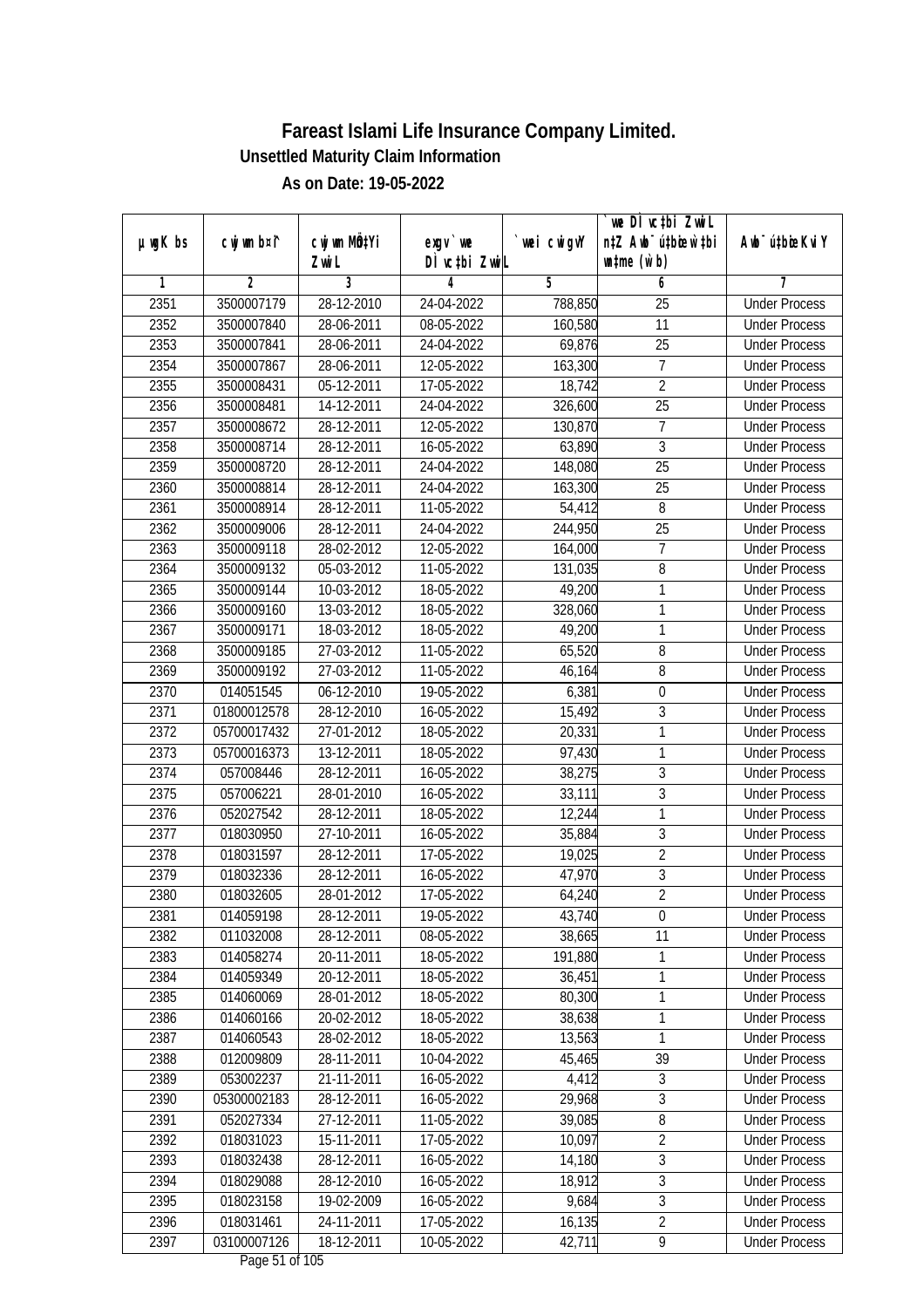|               |                |                       |                                        |            | we DI vctbi ZwiL                                            |                             |
|---------------|----------------|-----------------------|----------------------------------------|------------|-------------------------------------------------------------|-----------------------------|
| $µ$ ug $K$ bs | cwj wm b¤i^    | cwj wm MÖ¢Yi<br>Zwi L | $exgV$ we<br>DÌ vctbi ZwiL             | wei cwigvY | n‡Z Awb <sup>-</sup> ú‡bioen`‡bi<br>$\n  untime\n  (u`b)\n$ | Awb <sup>-</sup> ú‡bioeKviY |
| 1             | $\overline{2}$ | 3                     | 4                                      | 5          | 6                                                           | 7                           |
| 2351          | 3500007179     | 28-12-2010            | 24-04-2022                             | 788,850    | $\overline{25}$                                             | <b>Under Process</b>        |
| 2352          | 3500007840     | 28-06-2011            | 08-05-2022                             | 160,580    | 11                                                          | <b>Under Process</b>        |
| 2353          | 3500007841     | 28-06-2011            | 24-04-2022                             | 69,876     | $\overline{25}$                                             | <b>Under Process</b>        |
| 2354          | 3500007867     | 28-06-2011            | 12-05-2022                             | 163,300    | 7                                                           | <b>Under Process</b>        |
| 2355          | 3500008431     | 05-12-2011            | 17-05-2022                             | 18,742     | $\overline{2}$                                              | <b>Under Process</b>        |
| 2356          | 3500008481     | 14-12-2011            | 24-04-2022                             | 326,600    | $\overline{25}$                                             | <b>Under Process</b>        |
| 2357          | 3500008672     | 28-12-2011            | 12-05-2022                             | 130,870    | $\overline{7}$                                              | <b>Under Process</b>        |
| 2358          | 3500008714     | 28-12-2011            | 16-05-2022                             | 63,890     | $\overline{3}$                                              | <b>Under Process</b>        |
| 2359          | 3500008720     | 28-12-2011            | 24-04-2022                             | 148,080    | $\overline{25}$                                             | <b>Under Process</b>        |
| 2360          | 3500008814     | 28-12-2011            | 24-04-2022                             | 163,300    | 25                                                          | <b>Under Process</b>        |
| 2361          | 3500008914     | 28-12-2011            | 11-05-2022                             | 54,412     | 8                                                           | <b>Under Process</b>        |
| 2362          | 3500009006     | 28-12-2011            | 24-04-2022                             | 244,950    | 25                                                          | <b>Under Process</b>        |
| 2363          | 3500009118     | 28-02-2012            | 12-05-2022                             | 164,000    | $\overline{7}$                                              | <b>Under Process</b>        |
| 2364          | 3500009132     | 05-03-2012            | 11-05-2022                             | 131,035    | 8                                                           | <b>Under Process</b>        |
| 2365          | 3500009144     | 10-03-2012            | 18-05-2022                             | 49,200     | $\mathbf{1}$                                                | <b>Under Process</b>        |
| 2366          | 3500009160     | 13-03-2012            | 18-05-2022                             | 328,060    | $\mathbf{1}$                                                | <b>Under Process</b>        |
| 2367          | 3500009171     | 18-03-2012            | 18-05-2022                             | 49,200     | 1                                                           | <b>Under Process</b>        |
| 2368          | 3500009185     | 27-03-2012            | 11-05-2022                             | 65,520     | 8                                                           | <b>Under Process</b>        |
| 2369          | 3500009192     | 27-03-2012            | 11-05-2022                             | 46,164     | $\, 8$                                                      | <b>Under Process</b>        |
| 2370          | 014051545      | 06-12-2010            | 19-05-2022                             | 6,381      | $\boldsymbol{0}$                                            | <b>Under Process</b>        |
| 2371          | 01800012578    | 28-12-2010            | 16-05-2022                             | 15,492     | $\mathfrak{Z}$                                              | <b>Under Process</b>        |
| 2372          | 05700017432    | 27-01-2012            | 18-05-2022                             | 20,331     | 1                                                           | <b>Under Process</b>        |
| 2373          | 05700016373    | 13-12-2011            | 18-05-2022                             | 97,430     | $\mathbf{1}$                                                | <b>Under Process</b>        |
| 2374          | 057008446      | 28-12-2011            | 16-05-2022                             | 38,275     | $\mathfrak z$                                               | <b>Under Process</b>        |
| 2375          | 057006221      | 28-01-2010            | 16-05-2022                             | 33,111     | $\overline{3}$                                              | <b>Under Process</b>        |
| 2376          | 052027542      | 28-12-2011            | 18-05-2022                             | 12,244     | $\mathbf{1}$                                                | <b>Under Process</b>        |
| 2377          | 018030950      | 27-10-2011            | 16-05-2022                             | 35,884     | $\mathfrak{Z}$                                              | <b>Under Process</b>        |
| 2378          | 018031597      | 28-12-2011            | 17-05-2022                             | 19,025     | $\overline{2}$                                              | <b>Under Process</b>        |
| 2379          | 018032336      | 28-12-2011            | 16-05-2022                             | 47,970     | $\overline{3}$                                              | <b>Under Process</b>        |
| 2380          | 018032605      | 28-01-2012            | 17-05-2022                             | 64,240     | $\overline{2}$                                              | <b>Under Process</b>        |
| 2381          | 014059198      | 28-12-2011            | 19-05-2022                             | 43,740     | $\boldsymbol{0}$                                            | <b>Under Process</b>        |
| 2382          | 011032008      | 28-12-2011            | 08-05-2022                             | 38,665     | 11                                                          | <b>Under Process</b>        |
| 2383          | 014058274      | 20-11-2011            | 18-05-2022                             | 191,880    | $\mathbf{1}$                                                | <b>Under Process</b>        |
| 2384          | 014059349      | 20-12-2011            | 18-05-2022                             | 36,451     | $\mathbf{1}$                                                | <b>Under Process</b>        |
| 2385          | 014060069      | 28-01-2012            | 18-05-2022                             | 80,300     | $\mathbf 1$                                                 | <b>Under Process</b>        |
| 2386          | 014060166      | 20-02-2012            | 18-05-2022                             | 38,638     | 1                                                           | <b>Under Process</b>        |
| 2387          | 014060543      | 28-02-2012            | 18-05-2022                             | 13,563     | $\mathbf{1}$                                                | <b>Under Process</b>        |
| 2388          | 012009809      | 28-11-2011            | 10-04-2022                             | 45,465     | 39                                                          | <b>Under Process</b>        |
| 2389          | 053002237      | 21-11-2011            | 16-05-2022                             | 4,412      | $\sqrt{3}$                                                  | <b>Under Process</b>        |
| 2390          | 05300002183    | 28-12-2011            | 16-05-2022                             | 29,968     | $\overline{3}$                                              | <b>Under Process</b>        |
| 2391          | 052027334      | 27-12-2011            | 11-05-2022                             | 39,085     | 8                                                           | <b>Under Process</b>        |
| 2392          | 018031023      | 15-11-2011            | 17-05-2022                             | 10,097     | $\overline{2}$                                              | <b>Under Process</b>        |
| 2393          | 018032438      | 28-12-2011            | 16-05-2022                             | 14,180     | $\overline{3}$                                              | <b>Under Process</b>        |
| 2394          | 018029088      | 28-12-2010            | 16-05-2022                             | 18,912     | $\overline{3}$                                              | <b>Under Process</b>        |
| 2395          | 018023158      | 19-02-2009            | 16-05-2022                             | 9,684      | $\overline{3}$                                              | <b>Under Process</b>        |
| 2396          | 018031461      | 24-11-2011            | 17-05-2022                             | 16,135     | $\overline{2}$                                              | <b>Under Process</b>        |
| 2397          | 03100007126    | 18-12-2011            | 10-05-2022<br>$D_{0.92}$ $E1$ of $10E$ | 42,711     | $\overline{9}$                                              | <b>Under Process</b>        |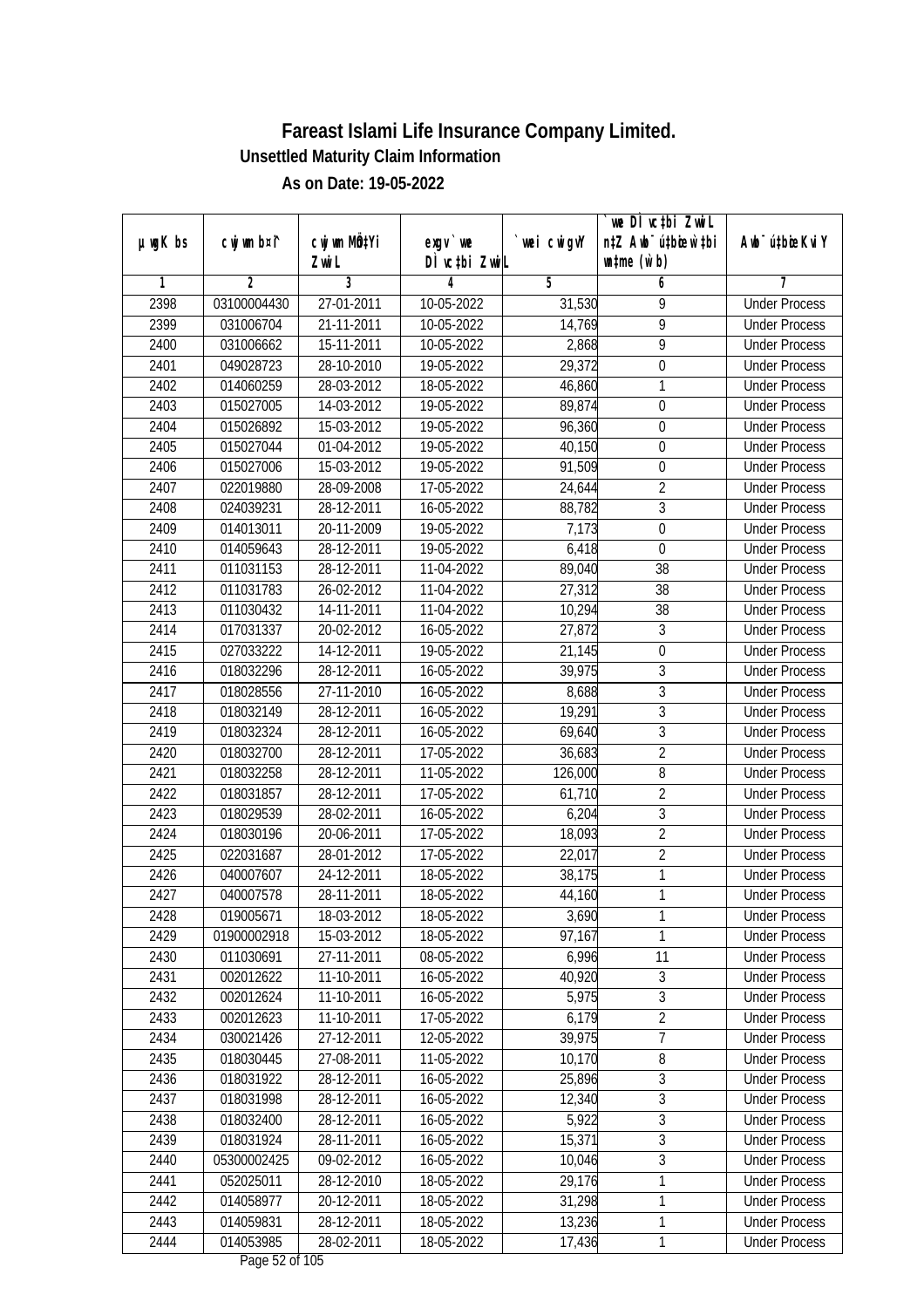| $µ$ ug $K$ bs | cwj wm b¤i^ | cwj wm MQtYi | exgv `we                               | wei cwigvY | `we DÌ vc‡bi ZwiL<br>n‡Z Awb <sup>-</sup> ú‡bioen`‡bi | Awb <sup>-</sup> ú‡bioeKviY |
|---------------|-------------|--------------|----------------------------------------|------------|-------------------------------------------------------|-----------------------------|
|               |             | Zwi L        | DÌ vctbi ZwiL                          |            | $\n  untime\n  (u`b)\n$                               |                             |
| 1             | 2           | 3            | 4                                      | 5          | 6                                                     | 7                           |
| 2398          | 03100004430 | 27-01-2011   | 10-05-2022                             | 31,530     | 9                                                     | <b>Under Process</b>        |
| 2399          | 031006704   | 21-11-2011   | 10-05-2022                             | 14,769     | 9                                                     | <b>Under Process</b>        |
| 2400          | 031006662   | 15-11-2011   | 10-05-2022                             | 2,868      | $\overline{9}$                                        | <b>Under Process</b>        |
| 2401          | 049028723   | 28-10-2010   | 19-05-2022                             | 29,372     | $\boldsymbol{0}$                                      | <b>Under Process</b>        |
| 2402          | 014060259   | 28-03-2012   | 18-05-2022                             | 46,860     | 1                                                     | <b>Under Process</b>        |
| 2403          | 015027005   | 14-03-2012   | 19-05-2022                             | 89,874     | $\mathbf 0$                                           | <b>Under Process</b>        |
| 2404          | 015026892   | 15-03-2012   | 19-05-2022                             | 96,360     | $\boldsymbol{0}$                                      | <b>Under Process</b>        |
| 2405          | 015027044   | 01-04-2012   | 19-05-2022                             | 40,150     | $\overline{0}$                                        | <b>Under Process</b>        |
| 2406          | 015027006   | 15-03-2012   | 19-05-2022                             | 91,509     | $\boldsymbol{0}$                                      | <b>Under Process</b>        |
| 2407          | 022019880   | 28-09-2008   | 17-05-2022                             | 24,644     | $\overline{2}$                                        | <b>Under Process</b>        |
| 2408          | 024039231   | 28-12-2011   | 16-05-2022                             | 88,782     | $\overline{3}$                                        | <b>Under Process</b>        |
| 2409          | 014013011   | 20-11-2009   | 19-05-2022                             | 7,173      | $\boldsymbol{0}$                                      | <b>Under Process</b>        |
| 2410          | 014059643   | 28-12-2011   | 19-05-2022                             | 6,418      | $\boldsymbol{0}$                                      | <b>Under Process</b>        |
| 2411          | 011031153   | 28-12-2011   | 11-04-2022                             | 89,040     | 38                                                    | <b>Under Process</b>        |
| 2412          | 011031783   | 26-02-2012   | 11-04-2022                             | 27,312     | 38                                                    | <b>Under Process</b>        |
| 2413          | 011030432   | 14-11-2011   | 11-04-2022                             | 10,294     | 38                                                    | <b>Under Process</b>        |
| 2414          | 017031337   | 20-02-2012   | 16-05-2022                             | 27,872     | 3                                                     | <b>Under Process</b>        |
| 2415          | 027033222   | 14-12-2011   | 19-05-2022                             | 21,145     | $\boldsymbol{0}$                                      | <b>Under Process</b>        |
| 2416          | 018032296   | 28-12-2011   | 16-05-2022                             | 39,975     | $\sqrt{3}$                                            | <b>Under Process</b>        |
| 2417          | 018028556   | 27-11-2010   | 16-05-2022                             | 8,688      | $\overline{3}$                                        | <b>Under Process</b>        |
| 2418          | 018032149   | 28-12-2011   | 16-05-2022                             | 19,291     | $\overline{3}$                                        | <b>Under Process</b>        |
| 2419          | 018032324   | 28-12-2011   | 16-05-2022                             | 69,640     | $\mathfrak{Z}$                                        | <b>Under Process</b>        |
| 2420          | 018032700   | 28-12-2011   | 17-05-2022                             | 36,683     | $\overline{2}$                                        | <b>Under Process</b>        |
| 2421          | 018032258   | 28-12-2011   | 11-05-2022                             | 126,000    | 8                                                     | <b>Under Process</b>        |
| 2422          | 018031857   | 28-12-2011   | 17-05-2022                             | 61,710     | $\overline{2}$                                        | <b>Under Process</b>        |
| 2423          | 018029539   | 28-02-2011   | 16-05-2022                             | 6,204      | $\overline{3}$                                        | <b>Under Process</b>        |
| 2424          | 018030196   | 20-06-2011   | 17-05-2022                             | 18,093     | $\overline{2}$                                        | <b>Under Process</b>        |
| 2425          | 022031687   | 28-01-2012   | 17-05-2022                             | 22,017     | $\overline{2}$                                        | <b>Under Process</b>        |
| 2426          | 040007607   | 24-12-2011   | 18-05-2022                             | 38,175     | $\mathbf{1}$                                          | <b>Under Process</b>        |
| 2427          | 040007578   | 28-11-2011   | 18-05-2022                             | 44,160     | $\mathbf{1}$                                          | <b>Under Process</b>        |
| 2428          | 019005671   | 18-03-2012   | 18-05-2022                             | 3,690      | 1                                                     | <b>Under Process</b>        |
| 2429          | 01900002918 | 15-03-2012   | 18-05-2022                             | 97,167     | 1                                                     | <b>Under Process</b>        |
| 2430          | 011030691   | 27-11-2011   | 08-05-2022                             | 6,996      | 11                                                    | <b>Under Process</b>        |
| 2431          | 002012622   | 11-10-2011   | 16-05-2022                             | 40,920     | 3                                                     | <b>Under Process</b>        |
| 2432          | 002012624   | 11-10-2011   | 16-05-2022                             | 5,975      | $\overline{3}$                                        | <b>Under Process</b>        |
| 2433          | 002012623   | 11-10-2011   | 17-05-2022                             | 6,179      | $\overline{2}$                                        | <b>Under Process</b>        |
| 2434          | 030021426   | 27-12-2011   | 12-05-2022                             | 39,975     | $\overline{7}$                                        | <b>Under Process</b>        |
| 2435          | 018030445   | 27-08-2011   | 11-05-2022                             | 10,170     | 8                                                     | <b>Under Process</b>        |
| 2436          | 018031922   | 28-12-2011   | 16-05-2022                             | 25,896     | $\sqrt{3}$                                            | <b>Under Process</b>        |
| 2437          | 018031998   | 28-12-2011   | 16-05-2022                             | 12,340     | $\overline{3}$                                        | <b>Under Process</b>        |
| 2438          | 018032400   | 28-12-2011   | 16-05-2022                             | 5,922      | $\overline{3}$                                        | <b>Under Process</b>        |
| 2439          | 018031924   | 28-11-2011   | 16-05-2022                             | 15,371     | $\sqrt{3}$                                            | <b>Under Process</b>        |
| 2440          | 05300002425 | 09-02-2012   | 16-05-2022                             | 10,046     | $\overline{3}$                                        | <b>Under Process</b>        |
| 2441          | 052025011   | 28-12-2010   | 18-05-2022                             | 29,176     | 1                                                     | <b>Under Process</b>        |
| 2442          | 014058977   | 20-12-2011   | 18-05-2022                             | 31,298     | $\mathbf{1}$                                          | <b>Under Process</b>        |
| 2443          | 014059831   | 28-12-2011   | 18-05-2022                             | 13,236     | $\mathbf{1}$                                          | <b>Under Process</b>        |
| 2444          | 014053985   | 28-02-2011   | 18-05-2022<br>$D_{0.92}$ $E2$ of $10E$ | 17,436     | 1                                                     | <b>Under Process</b>        |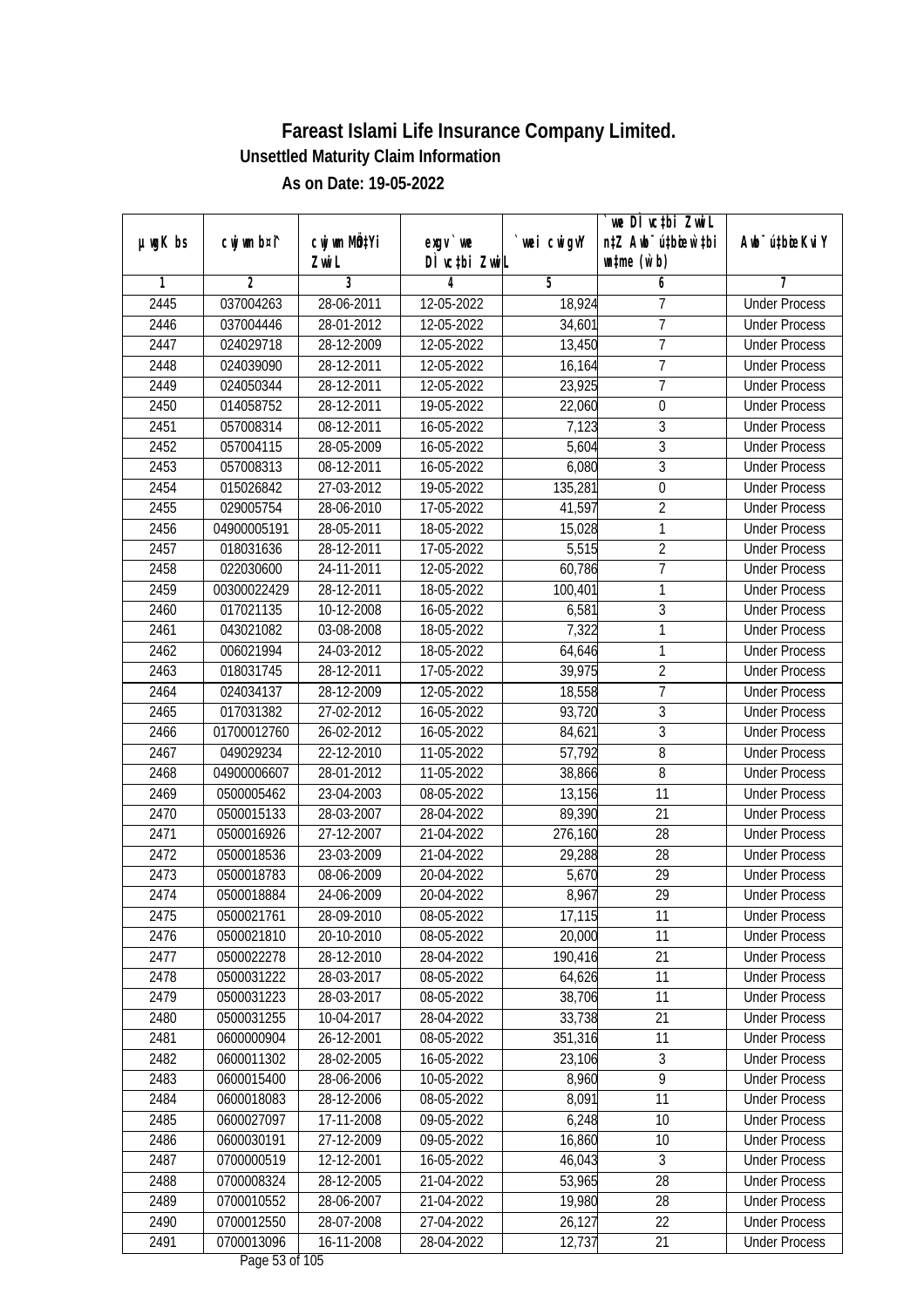|               |                |                           |                  |             | we DI vctbi ZwiL                 |                             |
|---------------|----------------|---------------------------|------------------|-------------|----------------------------------|-----------------------------|
| $µ$ ug $K$ bs | cwj wm b¤i^    | cwj wm MQ <sup>1</sup> Yi | $exgV$ we        | `wei cwigvY | n‡Z Awb <sup>-</sup> ú‡bioen`‡bi | Awb <sup>-</sup> ú‡bioeKviY |
|               |                | Zwi L                     | DÌ vctbi ZwiL    |             | $\n  untime\n  (u`b)\n$          |                             |
| 1             | $\overline{2}$ | 3                         | 4                | 5           | 6                                | 7                           |
| 2445          | 037004263      | 28-06-2011                | 12-05-2022       | 18,924      | 7                                | <b>Under Process</b>        |
| 2446          | 037004446      | 28-01-2012                | 12-05-2022       | 34,601      | $\overline{7}$                   | <b>Under Process</b>        |
| 2447          | 024029718      | 28-12-2009                | 12-05-2022       | 13,450      | $\overline{7}$                   | <b>Under Process</b>        |
| 2448          | 024039090      | 28-12-2011                | 12-05-2022       | 16,164      | 7                                | <b>Under Process</b>        |
| 2449          | 024050344      | 28-12-2011                | 12-05-2022       | 23,925      | $\overline{7}$                   | <b>Under Process</b>        |
| 2450          | 014058752      | 28-12-2011                | 19-05-2022       | 22,060      | $\boldsymbol{0}$                 | <b>Under Process</b>        |
| 2451          | 057008314      | 08-12-2011                | $16 - 05 - 2022$ | 7,123       | 3                                | <b>Under Process</b>        |
| 2452          | 057004115      | 28-05-2009                | 16-05-2022       | 5,604       | $\overline{3}$                   | <b>Under Process</b>        |
| 2453          | 057008313      | 08-12-2011                | 16-05-2022       | 6,080       | $\overline{3}$                   | <b>Under Process</b>        |
| 2454          | 015026842      | 27-03-2012                | 19-05-2022       | 135,281     | $\boldsymbol{0}$                 | <b>Under Process</b>        |
| 2455          | 029005754      | 28-06-2010                | 17-05-2022       | 41,597      | $\overline{2}$                   | <b>Under Process</b>        |
| 2456          | 04900005191    | 28-05-2011                | 18-05-2022       | 15,028      | 1                                | <b>Under Process</b>        |
| 2457          | 018031636      | 28-12-2011                | 17-05-2022       | 5,515       | $\overline{2}$                   | <b>Under Process</b>        |
| 2458          | 022030600      | 24-11-2011                | 12-05-2022       | 60,786      | $\overline{7}$                   | <b>Under Process</b>        |
| 2459          | 00300022429    | 28-12-2011                | 18-05-2022       | 100,401     | 1                                | <b>Under Process</b>        |
| 2460          | 017021135      | 10-12-2008                | 16-05-2022       | 6,581       | 3                                | <b>Under Process</b>        |
| 2461          | 043021082      | 03-08-2008                | 18-05-2022       | 7,322       | 1                                | <b>Under Process</b>        |
| 2462          | 006021994      | 24-03-2012                | 18-05-2022       | 64,646      | 1                                | <b>Under Process</b>        |
| 2463          | 018031745      | 28-12-2011                | 17-05-2022       | 39,975      | $\overline{2}$                   | <b>Under Process</b>        |
| 2464          | 024034137      | 28-12-2009                | 12-05-2022       | 18,558      | 7                                | <b>Under Process</b>        |
| 2465          | 017031382      | 27-02-2012                | 16-05-2022       | 93,720      | 3                                | <b>Under Process</b>        |
| 2466          | 01700012760    | 26-02-2012                | 16-05-2022       | 84,621      | 3                                | <b>Under Process</b>        |
| 2467          | 049029234      | 22-12-2010                | 11-05-2022       | 57,792      | 8                                | <b>Under Process</b>        |
| 2468          | 04900006607    | 28-01-2012                | 11-05-2022       | 38,866      | $\overline{8}$                   | <b>Under Process</b>        |
| 2469          | 0500005462     | 23-04-2003                | 08-05-2022       | 13,156      | 11                               | <b>Under Process</b>        |
| 2470          | 0500015133     | 28-03-2007                | 28-04-2022       | 89,390      | 21                               | <b>Under Process</b>        |
| 2471          | 0500016926     | 27-12-2007                | 21-04-2022       | 276,160     | 28                               | <b>Under Process</b>        |
| 2472          | 0500018536     | 23-03-2009                | 21-04-2022       | 29,288      | 28                               | <b>Under Process</b>        |
| 2473          | 0500018783     | 08-06-2009                | 20-04-2022       | 5,670       | 29                               | <b>Under Process</b>        |
| 2474          | 0500018884     | 24-06-2009                | 20-04-2022       | 8,967       | 29                               | <b>Under Process</b>        |
| 2475          | 0500021761     | 28-09-2010                | 08-05-2022       | 17,115      | 11                               | <b>Under Process</b>        |
| 2476          | 0500021810     | 20-10-2010                | 08-05-2022       | 20,000      | 11                               | <b>Under Process</b>        |
| 2477          | 0500022278     | 28-12-2010                | 28-04-2022       | 190,416     | 21                               | <b>Under Process</b>        |
| 2478          | 0500031222     | 28-03-2017                | 08-05-2022       | 64,626      | 11                               | <b>Under Process</b>        |
| 2479          | 0500031223     | 28-03-2017                | 08-05-2022       | 38,706      | 11                               | <b>Under Process</b>        |
| 2480          | 0500031255     | 10-04-2017                | 28-04-2022       | 33,738      | 21                               | <b>Under Process</b>        |
| 2481          | 0600000904     | 26-12-2001                | 08-05-2022       | 351,316     | 11                               | <b>Under Process</b>        |
| 2482          | 0600011302     | 28-02-2005                | 16-05-2022       | 23,106      | 3                                | <b>Under Process</b>        |
| 2483          | 0600015400     | 28-06-2006                | 10-05-2022       | 8,960       | $\overline{9}$                   | <b>Under Process</b>        |
| 2484          | 0600018083     | 28-12-2006                | 08-05-2022       | 8,091       | 11                               | <b>Under Process</b>        |
| 2485          | 0600027097     | 17-11-2008                | 09-05-2022       | 6,248       | 10                               | <b>Under Process</b>        |
| 2486          | 0600030191     | 27-12-2009                | 09-05-2022       | 16,860      | 10                               | <b>Under Process</b>        |
| 2487          | 0700000519     | 12-12-2001                | 16-05-2022       | 46,043      | 3                                | <b>Under Process</b>        |
| 2488          | 0700008324     | 28-12-2005                | 21-04-2022       | 53,965      | 28                               | <b>Under Process</b>        |
| 2489          | 0700010552     | 28-06-2007                | 21-04-2022       | 19,980      | 28                               | <b>Under Process</b>        |
| 2490          | 0700012550     | 28-07-2008                | 27-04-2022       | 26,127      | 22                               | <b>Under Process</b>        |
| 2491          | 0700013096     | 16-11-2008                | 28-04-2022       | 12,737      | 21                               | <b>Under Process</b>        |
|               |                |                           |                  |             |                                  |                             |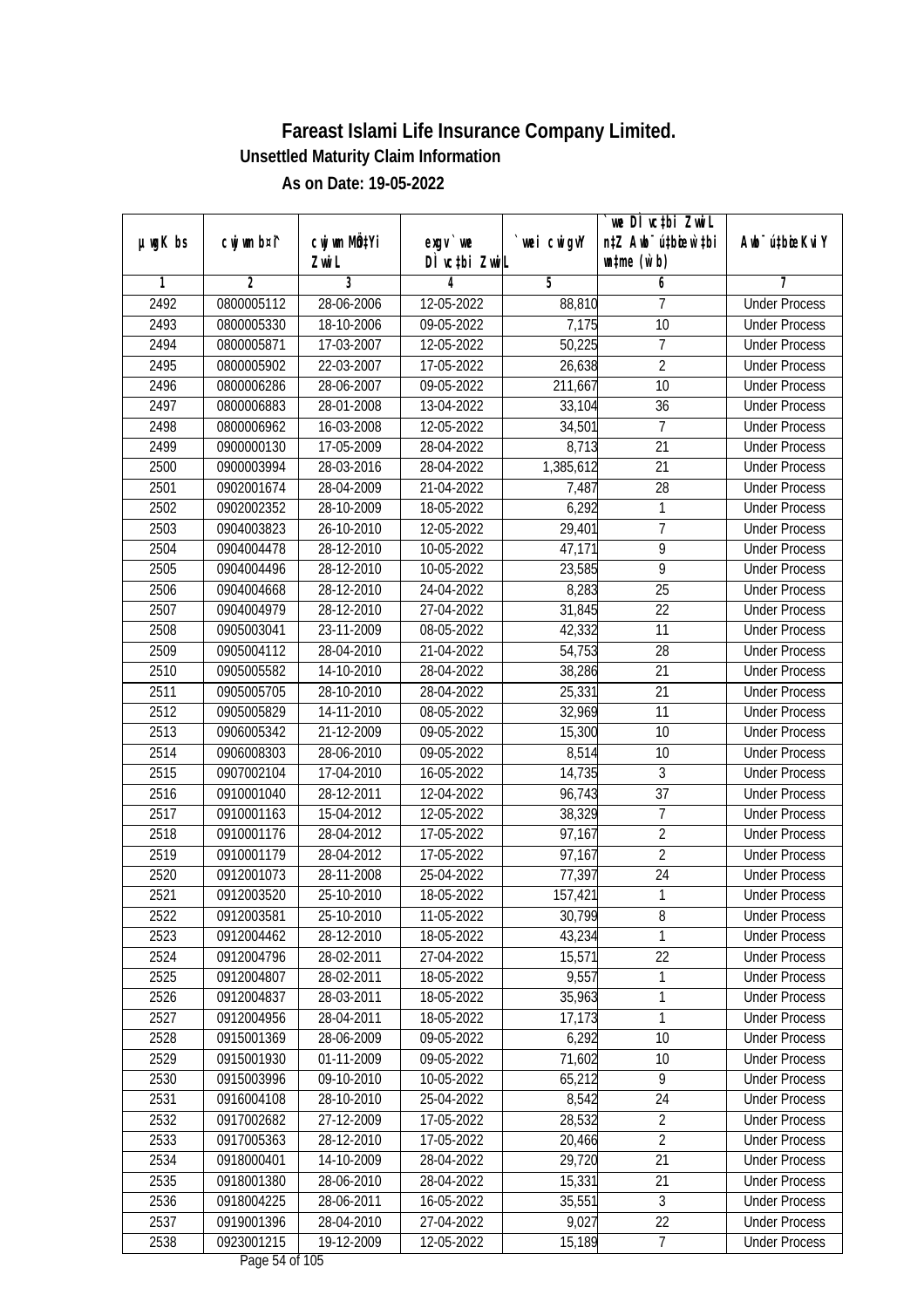| DÌ vctbi ZwiL<br>$\n  untime\n  (u`b)\n$<br>Zwi L<br>3<br>2<br>5<br>4<br>6<br>1<br>2492<br>0800005112<br>28-06-2006<br>12-05-2022<br>7<br>88,810<br><b>Under Process</b><br>2493<br>0800005330<br>18-10-2006<br>09-05-2022<br>7,175<br>10<br><b>Under Process</b><br>2494<br>$\overline{7}$<br>0800005871<br>17-03-2007<br>12-05-2022<br>50,225<br><b>Under Process</b><br>$\overline{2}$<br>2495<br>22-03-2007<br>0800005902<br>17-05-2022<br>26,638<br><b>Under Process</b><br>2496<br>$\overline{10}$<br>0800006286<br>28-06-2007<br>09-05-2022<br>211,667<br><b>Under Process</b><br>2497<br>0800006883<br>28-01-2008<br>13-04-2022<br>33,104<br>36<br><b>Under Process</b><br>2498<br>0800006962<br>16-03-2008<br>12-05-2022<br>34,501<br>$\overline{7}$<br><b>Under Process</b><br>2499<br>21<br>0900000130<br>17-05-2009<br>28-04-2022<br>8,713<br><b>Under Process</b><br>2500<br>28-03-2016<br>1,385,612<br>21<br><b>Under Process</b><br>0900003994<br>28-04-2022<br>2501<br>28-04-2009<br>7,487<br>28<br>0902001674<br>21-04-2022<br><b>Under Process</b><br>6,292<br>2502<br>0902002352<br>28-10-2009<br>18-05-2022<br>1<br><b>Under Process</b><br>7<br>2503<br>0904003823<br>26-10-2010<br>12-05-2022<br>29,401<br><b>Under Process</b><br>$\overline{9}$<br>2504<br>28-12-2010<br>47,171<br>0904004478<br>10-05-2022<br><b>Under Process</b><br>9<br>2505<br>0904004496<br>28-12-2010<br>10-05-2022<br>23,585<br><b>Under Process</b><br>2506<br>25<br>0904004668<br>28-12-2010<br>24-04-2022<br>8,283<br><b>Under Process</b><br>2507<br>22<br>0904004979<br>28-12-2010<br>27-04-2022<br>31,845<br><b>Under Process</b><br>11<br>2508<br>0905003041<br>23-11-2009<br>08-05-2022<br>42,332<br><b>Under Process</b><br>2509<br>28-04-2010<br>28<br>0905004112<br>21-04-2022<br>54,753<br><b>Under Process</b><br>2510<br>0905005582<br>14-10-2010<br>28-04-2022<br>38,286<br>21<br><b>Under Process</b><br>2511<br>25,331<br>21<br>0905005705<br>28-10-2010<br>28-04-2022<br><b>Under Process</b><br>2512<br>32,969<br>11<br>0905005829<br>14-11-2010<br>08-05-2022<br><b>Under Process</b><br>2513<br>15,300<br>10<br>0906005342<br>21-12-2009<br>09-05-2022<br><b>Under Process</b><br>2514<br>8,514<br>10<br>0906008303<br>28-06-2010<br>09-05-2022<br><b>Under Process</b><br>2515<br>3<br>0907002104<br>17-04-2010<br>16-05-2022<br>14,735<br><b>Under Process</b><br>2516<br>0910001040<br>28-12-2011<br>37<br>12-04-2022<br>96,743<br><b>Under Process</b><br>7<br>2517<br>0910001163<br>15-04-2012<br>12-05-2022<br>38,329<br><b>Under Process</b><br>$\overline{2}$<br>2518<br>0910001176<br>28-04-2012<br>17-05-2022<br>97,167<br><b>Under Process</b><br>$\overline{2}$<br>2519<br>0910001179<br>28-04-2012<br>17-05-2022<br>97,167<br><b>Under Process</b><br>24<br>2520<br>0912001073<br>28-11-2008<br>25-04-2022<br>77,397<br><b>Under Process</b><br>2521<br>0912003520<br>25-10-2010<br>18-05-2022<br>157,421<br>$\mathbf{1}$<br><b>Under Process</b><br>2522<br>0912003581<br>25-10-2010<br>11-05-2022<br>30,799<br>8<br><b>Under Process</b><br>2523<br>0912004462<br>28-12-2010<br>43,234<br>1<br>18-05-2022<br><b>Under Process</b><br>15,571<br>22<br>2524<br>0912004796<br>28-02-2011<br>27-04-2022<br><b>Under Process</b><br>9,557<br>2525<br>$\mathbf{1}$<br>0912004807<br>28-02-2011<br>18-05-2022<br><b>Under Process</b><br>2526<br>35,963<br>1<br>0912004837<br>28-03-2011<br>18-05-2022<br><b>Under Process</b><br>2527<br>0912004956<br>28-04-2011<br>1<br>18-05-2022<br>17,173<br><b>Under Process</b><br>6,292<br>2528<br>0915001369<br>28-06-2009<br>09-05-2022<br>10<br><b>Under Process</b><br>71,602<br>2529<br>0915001930<br>01-11-2009<br>09-05-2022<br>10<br><b>Under Process</b><br>2530<br>09-10-2010<br>9<br>0915003996<br>10-05-2022<br>65,212<br><b>Under Process</b><br>2531<br>28-10-2010<br>8,542<br>24<br>0916004108<br>25-04-2022<br><b>Under Process</b><br>2532<br>0917002682<br>27-12-2009<br>17-05-2022<br>28,532<br>$\overline{2}$<br><b>Under Process</b><br>$\overline{2}$<br>2533<br>28-12-2010<br>0917005363<br>17-05-2022<br>20,466<br><b>Under Process</b><br>29,720<br>2534<br>21<br>0918000401<br>14-10-2009<br>28-04-2022<br><b>Under Process</b><br>2535<br>15,331<br>21<br>0918001380<br>28-06-2010<br>28-04-2022<br><b>Under Process</b><br>2536<br>35,551<br>$\mathfrak{Z}$<br>0918004225<br>28-06-2011<br>16-05-2022<br><b>Under Process</b><br>2537<br>0919001396<br>28-04-2010<br>27-04-2022<br>9,027<br>22<br><b>Under Process</b><br>$\overline{7}$<br>2538<br>0923001215<br>19-12-2009<br>15,189<br>12-05-2022<br><b>Under Process</b> | $µ$ ug $K$ bs | cwj wm b¤i^ | cwj wm MQtYi | $exqu$ we | wei cwigvY | we DI vctbi ZwiL<br>n‡Z Awb <sup>-</sup> ú‡biosw`‡bi | Awb <sup>-</sup> ú‡bioeKviY |
|--------------------------------------------------------------------------------------------------------------------------------------------------------------------------------------------------------------------------------------------------------------------------------------------------------------------------------------------------------------------------------------------------------------------------------------------------------------------------------------------------------------------------------------------------------------------------------------------------------------------------------------------------------------------------------------------------------------------------------------------------------------------------------------------------------------------------------------------------------------------------------------------------------------------------------------------------------------------------------------------------------------------------------------------------------------------------------------------------------------------------------------------------------------------------------------------------------------------------------------------------------------------------------------------------------------------------------------------------------------------------------------------------------------------------------------------------------------------------------------------------------------------------------------------------------------------------------------------------------------------------------------------------------------------------------------------------------------------------------------------------------------------------------------------------------------------------------------------------------------------------------------------------------------------------------------------------------------------------------------------------------------------------------------------------------------------------------------------------------------------------------------------------------------------------------------------------------------------------------------------------------------------------------------------------------------------------------------------------------------------------------------------------------------------------------------------------------------------------------------------------------------------------------------------------------------------------------------------------------------------------------------------------------------------------------------------------------------------------------------------------------------------------------------------------------------------------------------------------------------------------------------------------------------------------------------------------------------------------------------------------------------------------------------------------------------------------------------------------------------------------------------------------------------------------------------------------------------------------------------------------------------------------------------------------------------------------------------------------------------------------------------------------------------------------------------------------------------------------------------------------------------------------------------------------------------------------------------------------------------------------------------------------------------------------------------------------------------------------------------------------------------------------------------------------------------------------------------------------------------------------------------------------------------------------------------------------------------------------------------------------------------------------------------------------------------------------------------------------------------------------------------------------------------------------------------------------------------------------------------------------------------------------------------------------------------------------------------------------------------------------------------------------------------------------------------------------------------------------------------------------------------------------------------------------------------------------------------------------------------------------------|---------------|-------------|--------------|-----------|------------|------------------------------------------------------|-----------------------------|
|                                                                                                                                                                                                                                                                                                                                                                                                                                                                                                                                                                                                                                                                                                                                                                                                                                                                                                                                                                                                                                                                                                                                                                                                                                                                                                                                                                                                                                                                                                                                                                                                                                                                                                                                                                                                                                                                                                                                                                                                                                                                                                                                                                                                                                                                                                                                                                                                                                                                                                                                                                                                                                                                                                                                                                                                                                                                                                                                                                                                                                                                                                                                                                                                                                                                                                                                                                                                                                                                                                                                                                                                                                                                                                                                                                                                                                                                                                                                                                                                                                                                                                                                                                                                                                                                                                                                                                                                                                                                                                                                                                                                                                |               |             |              |           |            |                                                      |                             |
|                                                                                                                                                                                                                                                                                                                                                                                                                                                                                                                                                                                                                                                                                                                                                                                                                                                                                                                                                                                                                                                                                                                                                                                                                                                                                                                                                                                                                                                                                                                                                                                                                                                                                                                                                                                                                                                                                                                                                                                                                                                                                                                                                                                                                                                                                                                                                                                                                                                                                                                                                                                                                                                                                                                                                                                                                                                                                                                                                                                                                                                                                                                                                                                                                                                                                                                                                                                                                                                                                                                                                                                                                                                                                                                                                                                                                                                                                                                                                                                                                                                                                                                                                                                                                                                                                                                                                                                                                                                                                                                                                                                                                                |               |             |              |           |            |                                                      |                             |
|                                                                                                                                                                                                                                                                                                                                                                                                                                                                                                                                                                                                                                                                                                                                                                                                                                                                                                                                                                                                                                                                                                                                                                                                                                                                                                                                                                                                                                                                                                                                                                                                                                                                                                                                                                                                                                                                                                                                                                                                                                                                                                                                                                                                                                                                                                                                                                                                                                                                                                                                                                                                                                                                                                                                                                                                                                                                                                                                                                                                                                                                                                                                                                                                                                                                                                                                                                                                                                                                                                                                                                                                                                                                                                                                                                                                                                                                                                                                                                                                                                                                                                                                                                                                                                                                                                                                                                                                                                                                                                                                                                                                                                |               |             |              |           |            |                                                      |                             |
|                                                                                                                                                                                                                                                                                                                                                                                                                                                                                                                                                                                                                                                                                                                                                                                                                                                                                                                                                                                                                                                                                                                                                                                                                                                                                                                                                                                                                                                                                                                                                                                                                                                                                                                                                                                                                                                                                                                                                                                                                                                                                                                                                                                                                                                                                                                                                                                                                                                                                                                                                                                                                                                                                                                                                                                                                                                                                                                                                                                                                                                                                                                                                                                                                                                                                                                                                                                                                                                                                                                                                                                                                                                                                                                                                                                                                                                                                                                                                                                                                                                                                                                                                                                                                                                                                                                                                                                                                                                                                                                                                                                                                                |               |             |              |           |            |                                                      |                             |
|                                                                                                                                                                                                                                                                                                                                                                                                                                                                                                                                                                                                                                                                                                                                                                                                                                                                                                                                                                                                                                                                                                                                                                                                                                                                                                                                                                                                                                                                                                                                                                                                                                                                                                                                                                                                                                                                                                                                                                                                                                                                                                                                                                                                                                                                                                                                                                                                                                                                                                                                                                                                                                                                                                                                                                                                                                                                                                                                                                                                                                                                                                                                                                                                                                                                                                                                                                                                                                                                                                                                                                                                                                                                                                                                                                                                                                                                                                                                                                                                                                                                                                                                                                                                                                                                                                                                                                                                                                                                                                                                                                                                                                |               |             |              |           |            |                                                      |                             |
|                                                                                                                                                                                                                                                                                                                                                                                                                                                                                                                                                                                                                                                                                                                                                                                                                                                                                                                                                                                                                                                                                                                                                                                                                                                                                                                                                                                                                                                                                                                                                                                                                                                                                                                                                                                                                                                                                                                                                                                                                                                                                                                                                                                                                                                                                                                                                                                                                                                                                                                                                                                                                                                                                                                                                                                                                                                                                                                                                                                                                                                                                                                                                                                                                                                                                                                                                                                                                                                                                                                                                                                                                                                                                                                                                                                                                                                                                                                                                                                                                                                                                                                                                                                                                                                                                                                                                                                                                                                                                                                                                                                                                                |               |             |              |           |            |                                                      |                             |
|                                                                                                                                                                                                                                                                                                                                                                                                                                                                                                                                                                                                                                                                                                                                                                                                                                                                                                                                                                                                                                                                                                                                                                                                                                                                                                                                                                                                                                                                                                                                                                                                                                                                                                                                                                                                                                                                                                                                                                                                                                                                                                                                                                                                                                                                                                                                                                                                                                                                                                                                                                                                                                                                                                                                                                                                                                                                                                                                                                                                                                                                                                                                                                                                                                                                                                                                                                                                                                                                                                                                                                                                                                                                                                                                                                                                                                                                                                                                                                                                                                                                                                                                                                                                                                                                                                                                                                                                                                                                                                                                                                                                                                |               |             |              |           |            |                                                      |                             |
|                                                                                                                                                                                                                                                                                                                                                                                                                                                                                                                                                                                                                                                                                                                                                                                                                                                                                                                                                                                                                                                                                                                                                                                                                                                                                                                                                                                                                                                                                                                                                                                                                                                                                                                                                                                                                                                                                                                                                                                                                                                                                                                                                                                                                                                                                                                                                                                                                                                                                                                                                                                                                                                                                                                                                                                                                                                                                                                                                                                                                                                                                                                                                                                                                                                                                                                                                                                                                                                                                                                                                                                                                                                                                                                                                                                                                                                                                                                                                                                                                                                                                                                                                                                                                                                                                                                                                                                                                                                                                                                                                                                                                                |               |             |              |           |            |                                                      |                             |
|                                                                                                                                                                                                                                                                                                                                                                                                                                                                                                                                                                                                                                                                                                                                                                                                                                                                                                                                                                                                                                                                                                                                                                                                                                                                                                                                                                                                                                                                                                                                                                                                                                                                                                                                                                                                                                                                                                                                                                                                                                                                                                                                                                                                                                                                                                                                                                                                                                                                                                                                                                                                                                                                                                                                                                                                                                                                                                                                                                                                                                                                                                                                                                                                                                                                                                                                                                                                                                                                                                                                                                                                                                                                                                                                                                                                                                                                                                                                                                                                                                                                                                                                                                                                                                                                                                                                                                                                                                                                                                                                                                                                                                |               |             |              |           |            |                                                      |                             |
|                                                                                                                                                                                                                                                                                                                                                                                                                                                                                                                                                                                                                                                                                                                                                                                                                                                                                                                                                                                                                                                                                                                                                                                                                                                                                                                                                                                                                                                                                                                                                                                                                                                                                                                                                                                                                                                                                                                                                                                                                                                                                                                                                                                                                                                                                                                                                                                                                                                                                                                                                                                                                                                                                                                                                                                                                                                                                                                                                                                                                                                                                                                                                                                                                                                                                                                                                                                                                                                                                                                                                                                                                                                                                                                                                                                                                                                                                                                                                                                                                                                                                                                                                                                                                                                                                                                                                                                                                                                                                                                                                                                                                                |               |             |              |           |            |                                                      |                             |
|                                                                                                                                                                                                                                                                                                                                                                                                                                                                                                                                                                                                                                                                                                                                                                                                                                                                                                                                                                                                                                                                                                                                                                                                                                                                                                                                                                                                                                                                                                                                                                                                                                                                                                                                                                                                                                                                                                                                                                                                                                                                                                                                                                                                                                                                                                                                                                                                                                                                                                                                                                                                                                                                                                                                                                                                                                                                                                                                                                                                                                                                                                                                                                                                                                                                                                                                                                                                                                                                                                                                                                                                                                                                                                                                                                                                                                                                                                                                                                                                                                                                                                                                                                                                                                                                                                                                                                                                                                                                                                                                                                                                                                |               |             |              |           |            |                                                      |                             |
|                                                                                                                                                                                                                                                                                                                                                                                                                                                                                                                                                                                                                                                                                                                                                                                                                                                                                                                                                                                                                                                                                                                                                                                                                                                                                                                                                                                                                                                                                                                                                                                                                                                                                                                                                                                                                                                                                                                                                                                                                                                                                                                                                                                                                                                                                                                                                                                                                                                                                                                                                                                                                                                                                                                                                                                                                                                                                                                                                                                                                                                                                                                                                                                                                                                                                                                                                                                                                                                                                                                                                                                                                                                                                                                                                                                                                                                                                                                                                                                                                                                                                                                                                                                                                                                                                                                                                                                                                                                                                                                                                                                                                                |               |             |              |           |            |                                                      |                             |
|                                                                                                                                                                                                                                                                                                                                                                                                                                                                                                                                                                                                                                                                                                                                                                                                                                                                                                                                                                                                                                                                                                                                                                                                                                                                                                                                                                                                                                                                                                                                                                                                                                                                                                                                                                                                                                                                                                                                                                                                                                                                                                                                                                                                                                                                                                                                                                                                                                                                                                                                                                                                                                                                                                                                                                                                                                                                                                                                                                                                                                                                                                                                                                                                                                                                                                                                                                                                                                                                                                                                                                                                                                                                                                                                                                                                                                                                                                                                                                                                                                                                                                                                                                                                                                                                                                                                                                                                                                                                                                                                                                                                                                |               |             |              |           |            |                                                      |                             |
|                                                                                                                                                                                                                                                                                                                                                                                                                                                                                                                                                                                                                                                                                                                                                                                                                                                                                                                                                                                                                                                                                                                                                                                                                                                                                                                                                                                                                                                                                                                                                                                                                                                                                                                                                                                                                                                                                                                                                                                                                                                                                                                                                                                                                                                                                                                                                                                                                                                                                                                                                                                                                                                                                                                                                                                                                                                                                                                                                                                                                                                                                                                                                                                                                                                                                                                                                                                                                                                                                                                                                                                                                                                                                                                                                                                                                                                                                                                                                                                                                                                                                                                                                                                                                                                                                                                                                                                                                                                                                                                                                                                                                                |               |             |              |           |            |                                                      |                             |
|                                                                                                                                                                                                                                                                                                                                                                                                                                                                                                                                                                                                                                                                                                                                                                                                                                                                                                                                                                                                                                                                                                                                                                                                                                                                                                                                                                                                                                                                                                                                                                                                                                                                                                                                                                                                                                                                                                                                                                                                                                                                                                                                                                                                                                                                                                                                                                                                                                                                                                                                                                                                                                                                                                                                                                                                                                                                                                                                                                                                                                                                                                                                                                                                                                                                                                                                                                                                                                                                                                                                                                                                                                                                                                                                                                                                                                                                                                                                                                                                                                                                                                                                                                                                                                                                                                                                                                                                                                                                                                                                                                                                                                |               |             |              |           |            |                                                      |                             |
|                                                                                                                                                                                                                                                                                                                                                                                                                                                                                                                                                                                                                                                                                                                                                                                                                                                                                                                                                                                                                                                                                                                                                                                                                                                                                                                                                                                                                                                                                                                                                                                                                                                                                                                                                                                                                                                                                                                                                                                                                                                                                                                                                                                                                                                                                                                                                                                                                                                                                                                                                                                                                                                                                                                                                                                                                                                                                                                                                                                                                                                                                                                                                                                                                                                                                                                                                                                                                                                                                                                                                                                                                                                                                                                                                                                                                                                                                                                                                                                                                                                                                                                                                                                                                                                                                                                                                                                                                                                                                                                                                                                                                                |               |             |              |           |            |                                                      |                             |
|                                                                                                                                                                                                                                                                                                                                                                                                                                                                                                                                                                                                                                                                                                                                                                                                                                                                                                                                                                                                                                                                                                                                                                                                                                                                                                                                                                                                                                                                                                                                                                                                                                                                                                                                                                                                                                                                                                                                                                                                                                                                                                                                                                                                                                                                                                                                                                                                                                                                                                                                                                                                                                                                                                                                                                                                                                                                                                                                                                                                                                                                                                                                                                                                                                                                                                                                                                                                                                                                                                                                                                                                                                                                                                                                                                                                                                                                                                                                                                                                                                                                                                                                                                                                                                                                                                                                                                                                                                                                                                                                                                                                                                |               |             |              |           |            |                                                      |                             |
|                                                                                                                                                                                                                                                                                                                                                                                                                                                                                                                                                                                                                                                                                                                                                                                                                                                                                                                                                                                                                                                                                                                                                                                                                                                                                                                                                                                                                                                                                                                                                                                                                                                                                                                                                                                                                                                                                                                                                                                                                                                                                                                                                                                                                                                                                                                                                                                                                                                                                                                                                                                                                                                                                                                                                                                                                                                                                                                                                                                                                                                                                                                                                                                                                                                                                                                                                                                                                                                                                                                                                                                                                                                                                                                                                                                                                                                                                                                                                                                                                                                                                                                                                                                                                                                                                                                                                                                                                                                                                                                                                                                                                                |               |             |              |           |            |                                                      |                             |
|                                                                                                                                                                                                                                                                                                                                                                                                                                                                                                                                                                                                                                                                                                                                                                                                                                                                                                                                                                                                                                                                                                                                                                                                                                                                                                                                                                                                                                                                                                                                                                                                                                                                                                                                                                                                                                                                                                                                                                                                                                                                                                                                                                                                                                                                                                                                                                                                                                                                                                                                                                                                                                                                                                                                                                                                                                                                                                                                                                                                                                                                                                                                                                                                                                                                                                                                                                                                                                                                                                                                                                                                                                                                                                                                                                                                                                                                                                                                                                                                                                                                                                                                                                                                                                                                                                                                                                                                                                                                                                                                                                                                                                |               |             |              |           |            |                                                      |                             |
|                                                                                                                                                                                                                                                                                                                                                                                                                                                                                                                                                                                                                                                                                                                                                                                                                                                                                                                                                                                                                                                                                                                                                                                                                                                                                                                                                                                                                                                                                                                                                                                                                                                                                                                                                                                                                                                                                                                                                                                                                                                                                                                                                                                                                                                                                                                                                                                                                                                                                                                                                                                                                                                                                                                                                                                                                                                                                                                                                                                                                                                                                                                                                                                                                                                                                                                                                                                                                                                                                                                                                                                                                                                                                                                                                                                                                                                                                                                                                                                                                                                                                                                                                                                                                                                                                                                                                                                                                                                                                                                                                                                                                                |               |             |              |           |            |                                                      |                             |
|                                                                                                                                                                                                                                                                                                                                                                                                                                                                                                                                                                                                                                                                                                                                                                                                                                                                                                                                                                                                                                                                                                                                                                                                                                                                                                                                                                                                                                                                                                                                                                                                                                                                                                                                                                                                                                                                                                                                                                                                                                                                                                                                                                                                                                                                                                                                                                                                                                                                                                                                                                                                                                                                                                                                                                                                                                                                                                                                                                                                                                                                                                                                                                                                                                                                                                                                                                                                                                                                                                                                                                                                                                                                                                                                                                                                                                                                                                                                                                                                                                                                                                                                                                                                                                                                                                                                                                                                                                                                                                                                                                                                                                |               |             |              |           |            |                                                      |                             |
|                                                                                                                                                                                                                                                                                                                                                                                                                                                                                                                                                                                                                                                                                                                                                                                                                                                                                                                                                                                                                                                                                                                                                                                                                                                                                                                                                                                                                                                                                                                                                                                                                                                                                                                                                                                                                                                                                                                                                                                                                                                                                                                                                                                                                                                                                                                                                                                                                                                                                                                                                                                                                                                                                                                                                                                                                                                                                                                                                                                                                                                                                                                                                                                                                                                                                                                                                                                                                                                                                                                                                                                                                                                                                                                                                                                                                                                                                                                                                                                                                                                                                                                                                                                                                                                                                                                                                                                                                                                                                                                                                                                                                                |               |             |              |           |            |                                                      |                             |
|                                                                                                                                                                                                                                                                                                                                                                                                                                                                                                                                                                                                                                                                                                                                                                                                                                                                                                                                                                                                                                                                                                                                                                                                                                                                                                                                                                                                                                                                                                                                                                                                                                                                                                                                                                                                                                                                                                                                                                                                                                                                                                                                                                                                                                                                                                                                                                                                                                                                                                                                                                                                                                                                                                                                                                                                                                                                                                                                                                                                                                                                                                                                                                                                                                                                                                                                                                                                                                                                                                                                                                                                                                                                                                                                                                                                                                                                                                                                                                                                                                                                                                                                                                                                                                                                                                                                                                                                                                                                                                                                                                                                                                |               |             |              |           |            |                                                      |                             |
|                                                                                                                                                                                                                                                                                                                                                                                                                                                                                                                                                                                                                                                                                                                                                                                                                                                                                                                                                                                                                                                                                                                                                                                                                                                                                                                                                                                                                                                                                                                                                                                                                                                                                                                                                                                                                                                                                                                                                                                                                                                                                                                                                                                                                                                                                                                                                                                                                                                                                                                                                                                                                                                                                                                                                                                                                                                                                                                                                                                                                                                                                                                                                                                                                                                                                                                                                                                                                                                                                                                                                                                                                                                                                                                                                                                                                                                                                                                                                                                                                                                                                                                                                                                                                                                                                                                                                                                                                                                                                                                                                                                                                                |               |             |              |           |            |                                                      |                             |
|                                                                                                                                                                                                                                                                                                                                                                                                                                                                                                                                                                                                                                                                                                                                                                                                                                                                                                                                                                                                                                                                                                                                                                                                                                                                                                                                                                                                                                                                                                                                                                                                                                                                                                                                                                                                                                                                                                                                                                                                                                                                                                                                                                                                                                                                                                                                                                                                                                                                                                                                                                                                                                                                                                                                                                                                                                                                                                                                                                                                                                                                                                                                                                                                                                                                                                                                                                                                                                                                                                                                                                                                                                                                                                                                                                                                                                                                                                                                                                                                                                                                                                                                                                                                                                                                                                                                                                                                                                                                                                                                                                                                                                |               |             |              |           |            |                                                      |                             |
|                                                                                                                                                                                                                                                                                                                                                                                                                                                                                                                                                                                                                                                                                                                                                                                                                                                                                                                                                                                                                                                                                                                                                                                                                                                                                                                                                                                                                                                                                                                                                                                                                                                                                                                                                                                                                                                                                                                                                                                                                                                                                                                                                                                                                                                                                                                                                                                                                                                                                                                                                                                                                                                                                                                                                                                                                                                                                                                                                                                                                                                                                                                                                                                                                                                                                                                                                                                                                                                                                                                                                                                                                                                                                                                                                                                                                                                                                                                                                                                                                                                                                                                                                                                                                                                                                                                                                                                                                                                                                                                                                                                                                                |               |             |              |           |            |                                                      |                             |
|                                                                                                                                                                                                                                                                                                                                                                                                                                                                                                                                                                                                                                                                                                                                                                                                                                                                                                                                                                                                                                                                                                                                                                                                                                                                                                                                                                                                                                                                                                                                                                                                                                                                                                                                                                                                                                                                                                                                                                                                                                                                                                                                                                                                                                                                                                                                                                                                                                                                                                                                                                                                                                                                                                                                                                                                                                                                                                                                                                                                                                                                                                                                                                                                                                                                                                                                                                                                                                                                                                                                                                                                                                                                                                                                                                                                                                                                                                                                                                                                                                                                                                                                                                                                                                                                                                                                                                                                                                                                                                                                                                                                                                |               |             |              |           |            |                                                      |                             |
|                                                                                                                                                                                                                                                                                                                                                                                                                                                                                                                                                                                                                                                                                                                                                                                                                                                                                                                                                                                                                                                                                                                                                                                                                                                                                                                                                                                                                                                                                                                                                                                                                                                                                                                                                                                                                                                                                                                                                                                                                                                                                                                                                                                                                                                                                                                                                                                                                                                                                                                                                                                                                                                                                                                                                                                                                                                                                                                                                                                                                                                                                                                                                                                                                                                                                                                                                                                                                                                                                                                                                                                                                                                                                                                                                                                                                                                                                                                                                                                                                                                                                                                                                                                                                                                                                                                                                                                                                                                                                                                                                                                                                                |               |             |              |           |            |                                                      |                             |
|                                                                                                                                                                                                                                                                                                                                                                                                                                                                                                                                                                                                                                                                                                                                                                                                                                                                                                                                                                                                                                                                                                                                                                                                                                                                                                                                                                                                                                                                                                                                                                                                                                                                                                                                                                                                                                                                                                                                                                                                                                                                                                                                                                                                                                                                                                                                                                                                                                                                                                                                                                                                                                                                                                                                                                                                                                                                                                                                                                                                                                                                                                                                                                                                                                                                                                                                                                                                                                                                                                                                                                                                                                                                                                                                                                                                                                                                                                                                                                                                                                                                                                                                                                                                                                                                                                                                                                                                                                                                                                                                                                                                                                |               |             |              |           |            |                                                      |                             |
|                                                                                                                                                                                                                                                                                                                                                                                                                                                                                                                                                                                                                                                                                                                                                                                                                                                                                                                                                                                                                                                                                                                                                                                                                                                                                                                                                                                                                                                                                                                                                                                                                                                                                                                                                                                                                                                                                                                                                                                                                                                                                                                                                                                                                                                                                                                                                                                                                                                                                                                                                                                                                                                                                                                                                                                                                                                                                                                                                                                                                                                                                                                                                                                                                                                                                                                                                                                                                                                                                                                                                                                                                                                                                                                                                                                                                                                                                                                                                                                                                                                                                                                                                                                                                                                                                                                                                                                                                                                                                                                                                                                                                                |               |             |              |           |            |                                                      |                             |
|                                                                                                                                                                                                                                                                                                                                                                                                                                                                                                                                                                                                                                                                                                                                                                                                                                                                                                                                                                                                                                                                                                                                                                                                                                                                                                                                                                                                                                                                                                                                                                                                                                                                                                                                                                                                                                                                                                                                                                                                                                                                                                                                                                                                                                                                                                                                                                                                                                                                                                                                                                                                                                                                                                                                                                                                                                                                                                                                                                                                                                                                                                                                                                                                                                                                                                                                                                                                                                                                                                                                                                                                                                                                                                                                                                                                                                                                                                                                                                                                                                                                                                                                                                                                                                                                                                                                                                                                                                                                                                                                                                                                                                |               |             |              |           |            |                                                      |                             |
|                                                                                                                                                                                                                                                                                                                                                                                                                                                                                                                                                                                                                                                                                                                                                                                                                                                                                                                                                                                                                                                                                                                                                                                                                                                                                                                                                                                                                                                                                                                                                                                                                                                                                                                                                                                                                                                                                                                                                                                                                                                                                                                                                                                                                                                                                                                                                                                                                                                                                                                                                                                                                                                                                                                                                                                                                                                                                                                                                                                                                                                                                                                                                                                                                                                                                                                                                                                                                                                                                                                                                                                                                                                                                                                                                                                                                                                                                                                                                                                                                                                                                                                                                                                                                                                                                                                                                                                                                                                                                                                                                                                                                                |               |             |              |           |            |                                                      |                             |
|                                                                                                                                                                                                                                                                                                                                                                                                                                                                                                                                                                                                                                                                                                                                                                                                                                                                                                                                                                                                                                                                                                                                                                                                                                                                                                                                                                                                                                                                                                                                                                                                                                                                                                                                                                                                                                                                                                                                                                                                                                                                                                                                                                                                                                                                                                                                                                                                                                                                                                                                                                                                                                                                                                                                                                                                                                                                                                                                                                                                                                                                                                                                                                                                                                                                                                                                                                                                                                                                                                                                                                                                                                                                                                                                                                                                                                                                                                                                                                                                                                                                                                                                                                                                                                                                                                                                                                                                                                                                                                                                                                                                                                |               |             |              |           |            |                                                      |                             |
|                                                                                                                                                                                                                                                                                                                                                                                                                                                                                                                                                                                                                                                                                                                                                                                                                                                                                                                                                                                                                                                                                                                                                                                                                                                                                                                                                                                                                                                                                                                                                                                                                                                                                                                                                                                                                                                                                                                                                                                                                                                                                                                                                                                                                                                                                                                                                                                                                                                                                                                                                                                                                                                                                                                                                                                                                                                                                                                                                                                                                                                                                                                                                                                                                                                                                                                                                                                                                                                                                                                                                                                                                                                                                                                                                                                                                                                                                                                                                                                                                                                                                                                                                                                                                                                                                                                                                                                                                                                                                                                                                                                                                                |               |             |              |           |            |                                                      |                             |
|                                                                                                                                                                                                                                                                                                                                                                                                                                                                                                                                                                                                                                                                                                                                                                                                                                                                                                                                                                                                                                                                                                                                                                                                                                                                                                                                                                                                                                                                                                                                                                                                                                                                                                                                                                                                                                                                                                                                                                                                                                                                                                                                                                                                                                                                                                                                                                                                                                                                                                                                                                                                                                                                                                                                                                                                                                                                                                                                                                                                                                                                                                                                                                                                                                                                                                                                                                                                                                                                                                                                                                                                                                                                                                                                                                                                                                                                                                                                                                                                                                                                                                                                                                                                                                                                                                                                                                                                                                                                                                                                                                                                                                |               |             |              |           |            |                                                      |                             |
|                                                                                                                                                                                                                                                                                                                                                                                                                                                                                                                                                                                                                                                                                                                                                                                                                                                                                                                                                                                                                                                                                                                                                                                                                                                                                                                                                                                                                                                                                                                                                                                                                                                                                                                                                                                                                                                                                                                                                                                                                                                                                                                                                                                                                                                                                                                                                                                                                                                                                                                                                                                                                                                                                                                                                                                                                                                                                                                                                                                                                                                                                                                                                                                                                                                                                                                                                                                                                                                                                                                                                                                                                                                                                                                                                                                                                                                                                                                                                                                                                                                                                                                                                                                                                                                                                                                                                                                                                                                                                                                                                                                                                                |               |             |              |           |            |                                                      |                             |
|                                                                                                                                                                                                                                                                                                                                                                                                                                                                                                                                                                                                                                                                                                                                                                                                                                                                                                                                                                                                                                                                                                                                                                                                                                                                                                                                                                                                                                                                                                                                                                                                                                                                                                                                                                                                                                                                                                                                                                                                                                                                                                                                                                                                                                                                                                                                                                                                                                                                                                                                                                                                                                                                                                                                                                                                                                                                                                                                                                                                                                                                                                                                                                                                                                                                                                                                                                                                                                                                                                                                                                                                                                                                                                                                                                                                                                                                                                                                                                                                                                                                                                                                                                                                                                                                                                                                                                                                                                                                                                                                                                                                                                |               |             |              |           |            |                                                      |                             |
|                                                                                                                                                                                                                                                                                                                                                                                                                                                                                                                                                                                                                                                                                                                                                                                                                                                                                                                                                                                                                                                                                                                                                                                                                                                                                                                                                                                                                                                                                                                                                                                                                                                                                                                                                                                                                                                                                                                                                                                                                                                                                                                                                                                                                                                                                                                                                                                                                                                                                                                                                                                                                                                                                                                                                                                                                                                                                                                                                                                                                                                                                                                                                                                                                                                                                                                                                                                                                                                                                                                                                                                                                                                                                                                                                                                                                                                                                                                                                                                                                                                                                                                                                                                                                                                                                                                                                                                                                                                                                                                                                                                                                                |               |             |              |           |            |                                                      |                             |
|                                                                                                                                                                                                                                                                                                                                                                                                                                                                                                                                                                                                                                                                                                                                                                                                                                                                                                                                                                                                                                                                                                                                                                                                                                                                                                                                                                                                                                                                                                                                                                                                                                                                                                                                                                                                                                                                                                                                                                                                                                                                                                                                                                                                                                                                                                                                                                                                                                                                                                                                                                                                                                                                                                                                                                                                                                                                                                                                                                                                                                                                                                                                                                                                                                                                                                                                                                                                                                                                                                                                                                                                                                                                                                                                                                                                                                                                                                                                                                                                                                                                                                                                                                                                                                                                                                                                                                                                                                                                                                                                                                                                                                |               |             |              |           |            |                                                      |                             |
|                                                                                                                                                                                                                                                                                                                                                                                                                                                                                                                                                                                                                                                                                                                                                                                                                                                                                                                                                                                                                                                                                                                                                                                                                                                                                                                                                                                                                                                                                                                                                                                                                                                                                                                                                                                                                                                                                                                                                                                                                                                                                                                                                                                                                                                                                                                                                                                                                                                                                                                                                                                                                                                                                                                                                                                                                                                                                                                                                                                                                                                                                                                                                                                                                                                                                                                                                                                                                                                                                                                                                                                                                                                                                                                                                                                                                                                                                                                                                                                                                                                                                                                                                                                                                                                                                                                                                                                                                                                                                                                                                                                                                                |               |             |              |           |            |                                                      |                             |
|                                                                                                                                                                                                                                                                                                                                                                                                                                                                                                                                                                                                                                                                                                                                                                                                                                                                                                                                                                                                                                                                                                                                                                                                                                                                                                                                                                                                                                                                                                                                                                                                                                                                                                                                                                                                                                                                                                                                                                                                                                                                                                                                                                                                                                                                                                                                                                                                                                                                                                                                                                                                                                                                                                                                                                                                                                                                                                                                                                                                                                                                                                                                                                                                                                                                                                                                                                                                                                                                                                                                                                                                                                                                                                                                                                                                                                                                                                                                                                                                                                                                                                                                                                                                                                                                                                                                                                                                                                                                                                                                                                                                                                |               |             |              |           |            |                                                      |                             |
|                                                                                                                                                                                                                                                                                                                                                                                                                                                                                                                                                                                                                                                                                                                                                                                                                                                                                                                                                                                                                                                                                                                                                                                                                                                                                                                                                                                                                                                                                                                                                                                                                                                                                                                                                                                                                                                                                                                                                                                                                                                                                                                                                                                                                                                                                                                                                                                                                                                                                                                                                                                                                                                                                                                                                                                                                                                                                                                                                                                                                                                                                                                                                                                                                                                                                                                                                                                                                                                                                                                                                                                                                                                                                                                                                                                                                                                                                                                                                                                                                                                                                                                                                                                                                                                                                                                                                                                                                                                                                                                                                                                                                                |               |             |              |           |            |                                                      |                             |
|                                                                                                                                                                                                                                                                                                                                                                                                                                                                                                                                                                                                                                                                                                                                                                                                                                                                                                                                                                                                                                                                                                                                                                                                                                                                                                                                                                                                                                                                                                                                                                                                                                                                                                                                                                                                                                                                                                                                                                                                                                                                                                                                                                                                                                                                                                                                                                                                                                                                                                                                                                                                                                                                                                                                                                                                                                                                                                                                                                                                                                                                                                                                                                                                                                                                                                                                                                                                                                                                                                                                                                                                                                                                                                                                                                                                                                                                                                                                                                                                                                                                                                                                                                                                                                                                                                                                                                                                                                                                                                                                                                                                                                |               |             |              |           |            |                                                      |                             |
|                                                                                                                                                                                                                                                                                                                                                                                                                                                                                                                                                                                                                                                                                                                                                                                                                                                                                                                                                                                                                                                                                                                                                                                                                                                                                                                                                                                                                                                                                                                                                                                                                                                                                                                                                                                                                                                                                                                                                                                                                                                                                                                                                                                                                                                                                                                                                                                                                                                                                                                                                                                                                                                                                                                                                                                                                                                                                                                                                                                                                                                                                                                                                                                                                                                                                                                                                                                                                                                                                                                                                                                                                                                                                                                                                                                                                                                                                                                                                                                                                                                                                                                                                                                                                                                                                                                                                                                                                                                                                                                                                                                                                                |               |             |              |           |            |                                                      |                             |
|                                                                                                                                                                                                                                                                                                                                                                                                                                                                                                                                                                                                                                                                                                                                                                                                                                                                                                                                                                                                                                                                                                                                                                                                                                                                                                                                                                                                                                                                                                                                                                                                                                                                                                                                                                                                                                                                                                                                                                                                                                                                                                                                                                                                                                                                                                                                                                                                                                                                                                                                                                                                                                                                                                                                                                                                                                                                                                                                                                                                                                                                                                                                                                                                                                                                                                                                                                                                                                                                                                                                                                                                                                                                                                                                                                                                                                                                                                                                                                                                                                                                                                                                                                                                                                                                                                                                                                                                                                                                                                                                                                                                                                |               |             |              |           |            |                                                      |                             |
|                                                                                                                                                                                                                                                                                                                                                                                                                                                                                                                                                                                                                                                                                                                                                                                                                                                                                                                                                                                                                                                                                                                                                                                                                                                                                                                                                                                                                                                                                                                                                                                                                                                                                                                                                                                                                                                                                                                                                                                                                                                                                                                                                                                                                                                                                                                                                                                                                                                                                                                                                                                                                                                                                                                                                                                                                                                                                                                                                                                                                                                                                                                                                                                                                                                                                                                                                                                                                                                                                                                                                                                                                                                                                                                                                                                                                                                                                                                                                                                                                                                                                                                                                                                                                                                                                                                                                                                                                                                                                                                                                                                                                                |               |             |              |           |            |                                                      |                             |
|                                                                                                                                                                                                                                                                                                                                                                                                                                                                                                                                                                                                                                                                                                                                                                                                                                                                                                                                                                                                                                                                                                                                                                                                                                                                                                                                                                                                                                                                                                                                                                                                                                                                                                                                                                                                                                                                                                                                                                                                                                                                                                                                                                                                                                                                                                                                                                                                                                                                                                                                                                                                                                                                                                                                                                                                                                                                                                                                                                                                                                                                                                                                                                                                                                                                                                                                                                                                                                                                                                                                                                                                                                                                                                                                                                                                                                                                                                                                                                                                                                                                                                                                                                                                                                                                                                                                                                                                                                                                                                                                                                                                                                |               |             |              |           |            |                                                      |                             |
|                                                                                                                                                                                                                                                                                                                                                                                                                                                                                                                                                                                                                                                                                                                                                                                                                                                                                                                                                                                                                                                                                                                                                                                                                                                                                                                                                                                                                                                                                                                                                                                                                                                                                                                                                                                                                                                                                                                                                                                                                                                                                                                                                                                                                                                                                                                                                                                                                                                                                                                                                                                                                                                                                                                                                                                                                                                                                                                                                                                                                                                                                                                                                                                                                                                                                                                                                                                                                                                                                                                                                                                                                                                                                                                                                                                                                                                                                                                                                                                                                                                                                                                                                                                                                                                                                                                                                                                                                                                                                                                                                                                                                                |               |             |              |           |            |                                                      |                             |
|                                                                                                                                                                                                                                                                                                                                                                                                                                                                                                                                                                                                                                                                                                                                                                                                                                                                                                                                                                                                                                                                                                                                                                                                                                                                                                                                                                                                                                                                                                                                                                                                                                                                                                                                                                                                                                                                                                                                                                                                                                                                                                                                                                                                                                                                                                                                                                                                                                                                                                                                                                                                                                                                                                                                                                                                                                                                                                                                                                                                                                                                                                                                                                                                                                                                                                                                                                                                                                                                                                                                                                                                                                                                                                                                                                                                                                                                                                                                                                                                                                                                                                                                                                                                                                                                                                                                                                                                                                                                                                                                                                                                                                |               |             |              |           |            |                                                      |                             |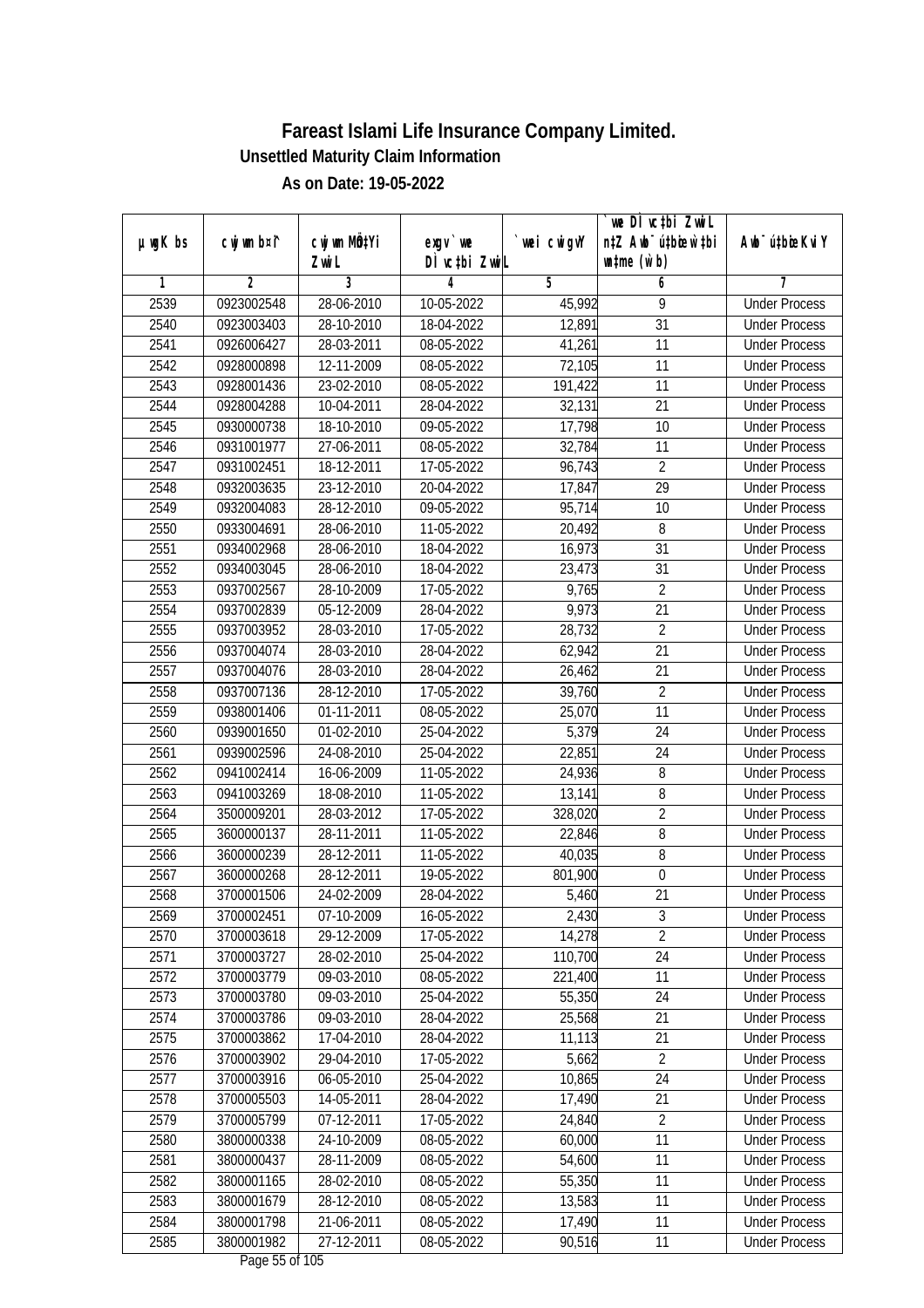|               |                |              |                          |             | `we DÌ vc‡bi ZwwiL               |                             |
|---------------|----------------|--------------|--------------------------|-------------|----------------------------------|-----------------------------|
| $µ$ ug $K$ bs | cwj wm b¤i^    | cwj wm MQtYi | exgy `we                 | `wei cwigvY | n‡Z Awb <sup>-</sup> ú‡bioen`‡bi | Awb <sup>-</sup> ú‡bioeKviY |
|               |                | Zwi L        | DÌ vctbi ZwiL            |             | $\n  untime\n  (u`b)\n$          |                             |
| 1             | $\overline{2}$ | 3            | 4                        | 5           | 6                                | 7                           |
| 2539          | 0923002548     | 28-06-2010   | 10-05-2022               | 45,992      | 9                                | <b>Under Process</b>        |
| 2540          | 0923003403     | 28-10-2010   | 18-04-2022               | 12,891      | $\overline{31}$                  | <b>Under Process</b>        |
| 2541          | 0926006427     | 28-03-2011   | 08-05-2022               | 41,261      | 11                               | <b>Under Process</b>        |
| 2542          | 0928000898     | 12-11-2009   | 08-05-2022               | 72,105      | 11                               | <b>Under Process</b>        |
| 2543          | 0928001436     | 23-02-2010   | 08-05-2022               | 191,422     | 11                               | <b>Under Process</b>        |
| 2544          | 0928004288     | 10-04-2011   | 28-04-2022               | 32,131      | $\overline{21}$                  | <b>Under Process</b>        |
| 2545          | 0930000738     | 18-10-2010   | 09-05-2022               | 17,798      | 10                               | <b>Under Process</b>        |
| 2546          | 0931001977     | 27-06-2011   | $08-05-2022$             | 32,784      | 11                               | <b>Under Process</b>        |
| 2547          | 0931002451     | 18-12-2011   | 17-05-2022               | 96,743      | $\overline{2}$                   | <b>Under Process</b>        |
| 2548          | 0932003635     | 23-12-2010   | 20-04-2022               | 17,847      | 29                               | <b>Under Process</b>        |
| 2549          | 0932004083     | 28-12-2010   | 09-05-2022               | 95,714      | 10                               | <b>Under Process</b>        |
| 2550          | 0933004691     | 28-06-2010   | $\overline{11}$ -05-2022 | 20,492      | 8                                | <b>Under Process</b>        |
| 2551          | 0934002968     | 28-06-2010   | 18-04-2022               | 16,973      | $\overline{31}$                  | <b>Under Process</b>        |
| 2552          | 0934003045     | 28-06-2010   | 18-04-2022               | 23,473      | 31                               | <b>Under Process</b>        |
| 2553          | 0937002567     | 28-10-2009   | 17-05-2022               | 9,765       | $\overline{2}$                   | <b>Under Process</b>        |
| 2554          | 0937002839     | 05-12-2009   | 28-04-2022               | 9,973       | 21                               | <b>Under Process</b>        |
| 2555          | 0937003952     | 28-03-2010   | 17-05-2022               | 28,732      | $\overline{2}$                   | <b>Under Process</b>        |
| 2556          | 0937004074     | 28-03-2010   | 28-04-2022               | 62,942      | 21                               | <b>Under Process</b>        |
| 2557          | 0937004076     | 28-03-2010   | 28-04-2022               | 26,462      | 21                               | <b>Under Process</b>        |
| 2558          | 0937007136     | 28-12-2010   | 17-05-2022               | 39,760      | $\overline{2}$                   | <b>Under Process</b>        |
| 2559          | 0938001406     | 01-11-2011   | 08-05-2022               | 25,070      | 11                               | <b>Under Process</b>        |
| 2560          | 0939001650     | 01-02-2010   | 25-04-2022               | 5,379       | 24                               | <b>Under Process</b>        |
| 2561          | 0939002596     | 24-08-2010   | 25-04-2022               | 22,851      | 24                               | <b>Under Process</b>        |
| 2562          | 0941002414     | 16-06-2009   | 11-05-2022               | 24,936      | 8                                | <b>Under Process</b>        |
| 2563          | 0941003269     | 18-08-2010   | 11-05-2022               | 13,141      | 8                                | <b>Under Process</b>        |
| 2564          | 3500009201     | 28-03-2012   | 17-05-2022               | 328,020     | $\overline{2}$                   | <b>Under Process</b>        |
| 2565          | 3600000137     | 28-11-2011   | 11-05-2022               | 22,846      | 8                                | <b>Under Process</b>        |
| 2566          | 3600000239     | 28-12-2011   | 11-05-2022               | 40,035      | $8\,$                            | <b>Under Process</b>        |
| 2567          | 3600000268     | 28-12-2011   | 19-05-2022               | 801,900     | $\boldsymbol{0}$                 | <b>Under Process</b>        |
| 2568          | 3700001506     | 24-02-2009   | 28-04-2022               | 5,460       | 21                               | <b>Under Process</b>        |
| 2569          | 3700002451     | 07-10-2009   | 16-05-2022               | 2,430       | $\sqrt{3}$                       | <b>Under Process</b>        |
| 2570          | 3700003618     | 29-12-2009   | 17-05-2022               | 14,278      | $\overline{2}$                   | <b>Under Process</b>        |
| 2571          | 3700003727     | 28-02-2010   | 25-04-2022               | 110,700     | 24                               | <b>Under Process</b>        |
| 2572          | 3700003779     | 09-03-2010   | 08-05-2022               | 221,400     | 11                               | <b>Under Process</b>        |
| 2573          | 3700003780     | 09-03-2010   | 25-04-2022               | 55,350      | 24                               | <b>Under Process</b>        |
| 2574          | 3700003786     | 09-03-2010   | 28-04-2022               | 25,568      | 21                               | <b>Under Process</b>        |
| 2575          | 3700003862     | 17-04-2010   | 28-04-2022               | 11,113      | 21                               | <b>Under Process</b>        |
| 2576          | 3700003902     | 29-04-2010   | 17-05-2022               | 5,662       | $\overline{2}$                   | <b>Under Process</b>        |
| 2577          | 3700003916     | 06-05-2010   | 25-04-2022               | 10,865      | 24                               | <b>Under Process</b>        |
| 2578          | 3700005503     | 14-05-2011   | 28-04-2022               | 17,490      | 21                               | <b>Under Process</b>        |
| 2579          | 3700005799     | 07-12-2011   | 17-05-2022               | 24,840      | $\overline{2}$                   | <b>Under Process</b>        |
| 2580          | 3800000338     | 24-10-2009   | 08-05-2022               | 60,000      | 11                               | <b>Under Process</b>        |
| 2581          | 3800000437     | 28-11-2009   | 08-05-2022               | 54,600      | $\overline{11}$                  | <b>Under Process</b>        |
| 2582          | 3800001165     | 28-02-2010   | 08-05-2022               | 55,350      | 11                               | <b>Under Process</b>        |
| 2583          | 3800001679     | 28-12-2010   | 08-05-2022               | 13,583      | 11                               | <b>Under Process</b>        |
| 2584          | 3800001798     | 21-06-2011   | 08-05-2022               | 17,490      | 11                               | <b>Under Process</b>        |
| 2585          | 3800001982     | 27-12-2011   | 08-05-2022               | 90,516      | 11                               | <b>Under Process</b>        |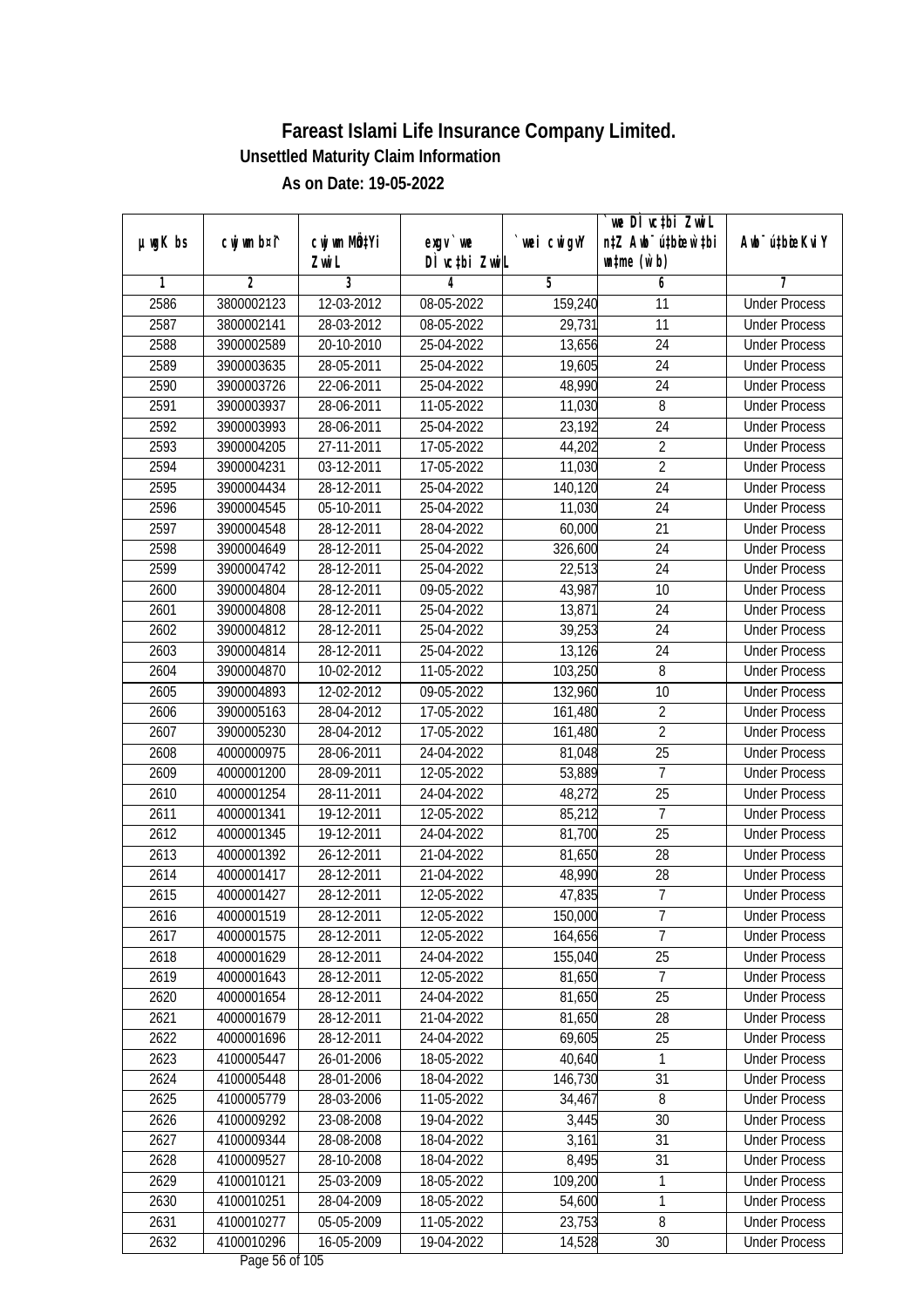|               |                |              |               |             | `we DÌ vc‡bi ZwwiL               |                             |
|---------------|----------------|--------------|---------------|-------------|----------------------------------|-----------------------------|
| $µ$ ug $K$ bs | cwj wm b¤i^    | cwj wm MQtYi | exgy `we      | `wei cwigvY | n‡Z Awb <sup>-</sup> ú‡bioen`‡bi | Awb <sup>-</sup> ú‡bioeKviY |
|               |                | Zwi L        | DÌ vctbi ZwiL |             | $\n  untime\n  (u`b)\n$          |                             |
| 1             | $\overline{2}$ | 3            | 4             | 5           | 6                                | 7                           |
| 2586          | 3800002123     | 12-03-2012   | 08-05-2022    | 159,240     | 11                               | <b>Under Process</b>        |
| 2587          | 3800002141     | 28-03-2012   | 08-05-2022    | 29,731      | $\overline{11}$                  | <b>Under Process</b>        |
| 2588          | 3900002589     | 20-10-2010   | 25-04-2022    | 13,656      | 24                               | <b>Under Process</b>        |
| 2589          | 3900003635     | 28-05-2011   | 25-04-2022    | 19,605      | 24                               | <b>Under Process</b>        |
| 2590          | 3900003726     | 22-06-2011   | 25-04-2022    | 48,990      | 24                               | <b>Under Process</b>        |
| 2591          | 3900003937     | 28-06-2011   | 11-05-2022    | 11,030      | 8                                | <b>Under Process</b>        |
| 2592          | 3900003993     | 28-06-2011   | 25-04-2022    | 23, 192     | $\overline{24}$                  | <b>Under Process</b>        |
| 2593          | 3900004205     | 27-11-2011   | 17-05-2022    | 44,202      | $\overline{2}$                   | <b>Under Process</b>        |
| 2594          | 3900004231     | 03-12-2011   | 17-05-2022    | 11,030      | $\overline{2}$                   | <b>Under Process</b>        |
| 2595          | 3900004434     | 28-12-2011   | 25-04-2022    | 140,120     | 24                               | <b>Under Process</b>        |
| 2596          | 3900004545     | 05-10-2011   | 25-04-2022    | 11,030      | 24                               | <b>Under Process</b>        |
| 2597          | 3900004548     | 28-12-2011   | 28-04-2022    | 60,000      | 21                               | <b>Under Process</b>        |
| 2598          | 3900004649     | 28-12-2011   | 25-04-2022    | 326,600     | $\overline{24}$                  | <b>Under Process</b>        |
| 2599          | 3900004742     | 28-12-2011   | 25-04-2022    | 22,513      | 24                               | <b>Under Process</b>        |
| 2600          | 3900004804     | 28-12-2011   | 09-05-2022    | 43,987      | 10                               | <b>Under Process</b>        |
| 2601          | 3900004808     | 28-12-2011   | 25-04-2022    | 13,871      | 24                               | <b>Under Process</b>        |
| 2602          | 3900004812     | 28-12-2011   | 25-04-2022    | 39,253      | 24                               | <b>Under Process</b>        |
| 2603          | 3900004814     | 28-12-2011   | 25-04-2022    | 13,126      | 24                               | <b>Under Process</b>        |
| 2604          | 3900004870     | 10-02-2012   | 11-05-2022    | 103,250     | 8                                | <b>Under Process</b>        |
| 2605          | 3900004893     | 12-02-2012   | 09-05-2022    | 132,960     | 10                               | <b>Under Process</b>        |
| 2606          | 3900005163     | 28-04-2012   | 17-05-2022    | 161,480     | $\overline{2}$                   | <b>Under Process</b>        |
| 2607          | 3900005230     | 28-04-2012   | 17-05-2022    | 161,480     | $\overline{2}$                   | <b>Under Process</b>        |
| 2608          | 4000000975     | 28-06-2011   | 24-04-2022    | 81,048      | 25                               | <b>Under Process</b>        |
| 2609          | 4000001200     | 28-09-2011   | 12-05-2022    | 53,889      | $\overline{7}$                   | <b>Under Process</b>        |
| 2610          | 4000001254     | 28-11-2011   | 24-04-2022    | 48,272      | 25                               | <b>Under Process</b>        |
| 2611          | 4000001341     | 19-12-2011   | 12-05-2022    | 85,212      | $\overline{1}$                   | <b>Under Process</b>        |
| 2612          | 4000001345     | 19-12-2011   | 24-04-2022    | 81,700      | 25                               | <b>Under Process</b>        |
| 2613          | 4000001392     | 26-12-2011   | 21-04-2022    | 81,650      | 28                               | <b>Under Process</b>        |
| 2614          | 4000001417     | 28-12-2011   | 21-04-2022    | 48,990      | 28                               | <b>Under Process</b>        |
| 2615          | 4000001427     | 28-12-2011   | 12-05-2022    | 47,835      | $\overline{7}$                   | <b>Under Process</b>        |
| 2616          | 4000001519     | 28-12-2011   | 12-05-2022    | 150,000     | 7                                | <b>Under Process</b>        |
| 2617          | 4000001575     | 28-12-2011   | 12-05-2022    | 164,656     | $\overline{7}$                   | <b>Under Process</b>        |
| 2618          | 4000001629     | 28-12-2011   | 24-04-2022    | 155,040     | 25                               | <b>Under Process</b>        |
| 2619          | 4000001643     | 28-12-2011   | 12-05-2022    | 81,650      | $\overline{7}$                   | <b>Under Process</b>        |
| 2620          | 4000001654     | 28-12-2011   | 24-04-2022    | 81,650      | 25                               | <b>Under Process</b>        |
| 2621          | 4000001679     | 28-12-2011   | 21-04-2022    | 81,650      | 28                               | <b>Under Process</b>        |
| 2622          | 4000001696     | 28-12-2011   | 24-04-2022    | 69,605      | 25                               | <b>Under Process</b>        |
| 2623          | 4100005447     | 26-01-2006   | 18-05-2022    | 40,640      | 1                                | <b>Under Process</b>        |
| 2624          | 4100005448     | 28-01-2006   | 18-04-2022    | 146,730     | 31                               | <b>Under Process</b>        |
| 2625          | 4100005779     | 28-03-2006   | 11-05-2022    | 34,467      | 8                                | <b>Under Process</b>        |
| 2626          | 4100009292     | 23-08-2008   | 19-04-2022    | 3,445       | 30                               | <b>Under Process</b>        |
| 2627          | 4100009344     | 28-08-2008   | 18-04-2022    | 3,161       | 31                               | <b>Under Process</b>        |
| 2628          | 4100009527     | 28-10-2008   | $18-04-2022$  | 8,495       | $\overline{31}$                  | <b>Under Process</b>        |
| 2629          | 4100010121     | 25-03-2009   | 18-05-2022    | 109,200     | 1                                | <b>Under Process</b>        |
| 2630          | 4100010251     | 28-04-2009   | 18-05-2022    | 54,600      | 1                                | <b>Under Process</b>        |
| 2631          | 4100010277     | 05-05-2009   | 11-05-2022    | 23,753      | 8                                | <b>Under Process</b>        |
| 2632          | 4100010296     | 16-05-2009   | 19-04-2022    | 14,528      | 30                               | <b>Under Process</b>        |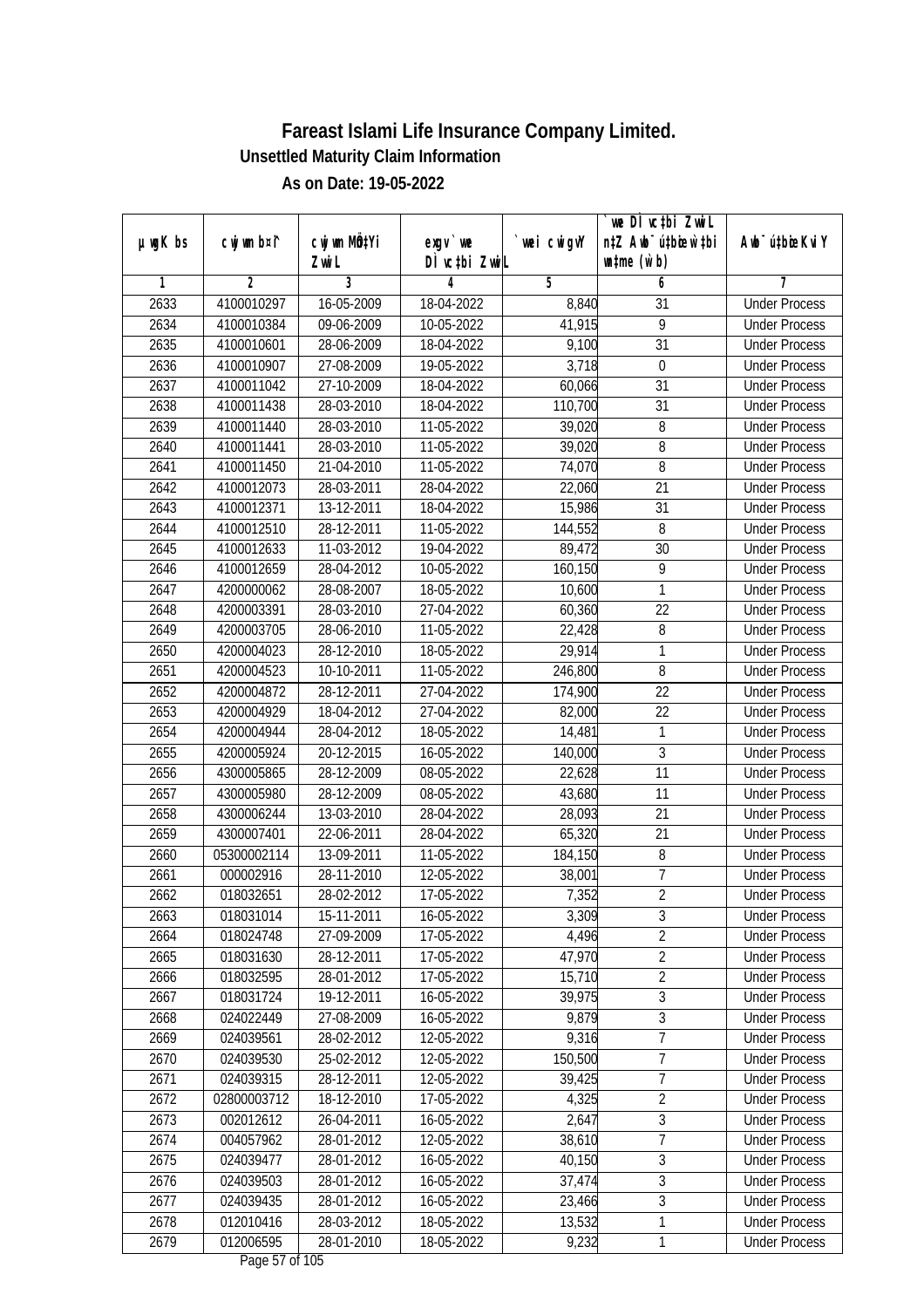|               |                |                       |                                         |            | we DI vctbi ZwiL<br>n‡Z Awb <sup>-</sup> ú‡bioen`‡bi |                             |
|---------------|----------------|-----------------------|-----------------------------------------|------------|------------------------------------------------------|-----------------------------|
| $µ$ ug $K$ bs | cwj wm b¤i^    | cwj wm MQtYi<br>Zwi L | $exgV$ we<br>DÌ vctbi ZwiL              | wei cwigvY | $\n  untime\n  (u`b)\n$                              | Awb <sup>-</sup> ú‡bioeKviY |
| 1             | $\overline{2}$ | 3                     | 4                                       | 5          | 6                                                    | 7                           |
| 2633          | 4100010297     | 16-05-2009            | 18-04-2022                              | 8,840      | $\overline{31}$                                      | <b>Under Process</b>        |
| 2634          | 4100010384     | 09-06-2009            | 10-05-2022                              | 41,915     | $\overline{9}$                                       | <b>Under Process</b>        |
| 2635          | 4100010601     | 28-06-2009            | 18-04-2022                              | 9,100      | $\overline{31}$                                      | <b>Under Process</b>        |
| 2636          | 4100010907     | 27-08-2009            | 19-05-2022                              | 3,718      | 0                                                    | <b>Under Process</b>        |
| 2637          | 4100011042     | 27-10-2009            | 18-04-2022                              | 60,066     | $\overline{31}$                                      | <b>Under Process</b>        |
| 2638          | 4100011438     | 28-03-2010            | 18-04-2022                              | 110,700    | $\overline{31}$                                      | <b>Under Process</b>        |
| 2639          | 4100011440     | 28-03-2010            | 11-05-2022                              | 39,020     | $\overline{8}$                                       | <b>Under Process</b>        |
| 2640          | 4100011441     | 28-03-2010            | 11-05-2022                              | 39,020     | $\overline{8}$                                       | <b>Under Process</b>        |
| 2641          | 4100011450     | 21-04-2010            | 11-05-2022                              | 74,070     | 8                                                    | <b>Under Process</b>        |
| 2642          | 4100012073     | 28-03-2011            | 28-04-2022                              | 22,060     | 21                                                   | <b>Under Process</b>        |
| 2643          | 4100012371     | 13-12-2011            | 18-04-2022                              | 15,986     | $\overline{31}$                                      | <b>Under Process</b>        |
| 2644          | 4100012510     | 28-12-2011            | $\overline{11}$ -05-2022                | 144,552    | 8                                                    | <b>Under Process</b>        |
| 2645          | 4100012633     | 11-03-2012            | 19-04-2022                              | 89,472     | $\overline{30}$                                      | <b>Under Process</b>        |
| 2646          | 4100012659     | 28-04-2012            | 10-05-2022                              | 160,150    | 9                                                    | <b>Under Process</b>        |
| 2647          | 4200000062     | 28-08-2007            | 18-05-2022                              | 10,600     | $\mathbf{1}$                                         | <b>Under Process</b>        |
| 2648          | 4200003391     | 28-03-2010            | 27-04-2022                              | 60,360     | 22                                                   | <b>Under Process</b>        |
| 2649          | 4200003705     | 28-06-2010            | 11-05-2022                              | 22,428     | 8                                                    | <b>Under Process</b>        |
| 2650          | 4200004023     | 28-12-2010            | 18-05-2022                              | 29,914     | $\mathbf{1}$                                         | <b>Under Process</b>        |
| 2651          | 4200004523     | 10-10-2011            | 11-05-2022                              | 246,800    | $\, 8$                                               | <b>Under Process</b>        |
| 2652          | 4200004872     | 28-12-2011            | 27-04-2022                              | 174,900    | 22                                                   | <b>Under Process</b>        |
| 2653          | 4200004929     | 18-04-2012            | 27-04-2022                              | 82,000     | 22                                                   | <b>Under Process</b>        |
| 2654          | 4200004944     | 28-04-2012            | 18-05-2022                              | 14,481     | 1                                                    | <b>Under Process</b>        |
| 2655          | 4200005924     | 20-12-2015            | 16-05-2022                              | 140,000    | $\mathfrak{Z}$                                       | <b>Under Process</b>        |
| 2656          | 4300005865     | 28-12-2009            | 08-05-2022                              | 22,628     | 11                                                   | <b>Under Process</b>        |
| 2657          | 4300005980     | 28-12-2009            | 08-05-2022                              | 43,680     | 11                                                   | <b>Under Process</b>        |
| 2658          | 4300006244     | 13-03-2010            | 28-04-2022                              | 28,093     | 21                                                   | <b>Under Process</b>        |
| 2659          | 4300007401     | 22-06-2011            | 28-04-2022                              | 65,320     | 21                                                   | <b>Under Process</b>        |
| 2660          | 05300002114    | 13-09-2011            | 11-05-2022                              | 184,150    | 8                                                    | <b>Under Process</b>        |
| 2661          | 000002916      | 28-11-2010            | 12-05-2022                              | 38,001     | $\overline{1}$                                       | <b>Under Process</b>        |
| 2662          | 018032651      | 28-02-2012            | 17-05-2022                              | 7,352      | $\overline{2}$                                       | <b>Under Process</b>        |
| 2663          | 018031014      | 15-11-2011            | 16-05-2022                              | 3,309      | 3                                                    | <b>Under Process</b>        |
| 2664          | 018024748      | 27-09-2009            | 17-05-2022                              | 4,496      | $\overline{2}$                                       | <b>Under Process</b>        |
| 2665          | 018031630      | 28-12-2011            | 17-05-2022                              | 47,970     | $\overline{2}$                                       | <b>Under Process</b>        |
| 2666          | 018032595      | 28-01-2012            | 17-05-2022                              | 15,710     | $\overline{2}$                                       | <b>Under Process</b>        |
| 2667          | 018031724      | 19-12-2011            | 16-05-2022                              | 39,975     | $\overline{3}$                                       | <b>Under Process</b>        |
| 2668          | 024022449      | 27-08-2009            | 16-05-2022                              | 9,879      | $\sqrt{3}$                                           | <b>Under Process</b>        |
| 2669          | 024039561      | 28-02-2012            | 12-05-2022                              | 9,316      | $\overline{7}$                                       | <b>Under Process</b>        |
| 2670          | 024039530      | 25-02-2012            | 12-05-2022                              | 150,500    | $\overline{7}$                                       | <b>Under Process</b>        |
| 2671          | 024039315      | 28-12-2011            | 12-05-2022                              | 39,425     | $\overline{7}$                                       | <b>Under Process</b>        |
| 2672          | 02800003712    | 18-12-2010            | 17-05-2022                              | 4,325      | $\overline{2}$                                       | <b>Under Process</b>        |
| 2673          | 002012612      | 26-04-2011            | 16-05-2022                              | 2,647      | $\overline{3}$                                       | <b>Under Process</b>        |
| 2674          | 004057962      | 28-01-2012            | 12-05-2022                              | 38,610     | $\overline{7}$                                       | <b>Under Process</b>        |
| 2675          | 024039477      | 28-01-2012            | 16-05-2022                              | 40,150     | $\overline{3}$                                       | <b>Under Process</b>        |
| 2676          | 024039503      | 28-01-2012            | 16-05-2022                              | 37,474     | $\overline{3}$                                       | <b>Under Process</b>        |
| 2677          | 024039435      | 28-01-2012            | 16-05-2022                              | 23,466     | $\overline{3}$                                       | <b>Under Process</b>        |
| 2678          | 012010416      | 28-03-2012            | 18-05-2022                              | 13,532     | $\mathbf{1}$                                         | <b>Under Process</b>        |
| 2679          | 012006595      | 28-01-2010            | 18-05-2022<br>$D_{0.92}$ $E7$ of 10 $E$ | 9,232      | $\mathbf{1}$                                         | <b>Under Process</b>        |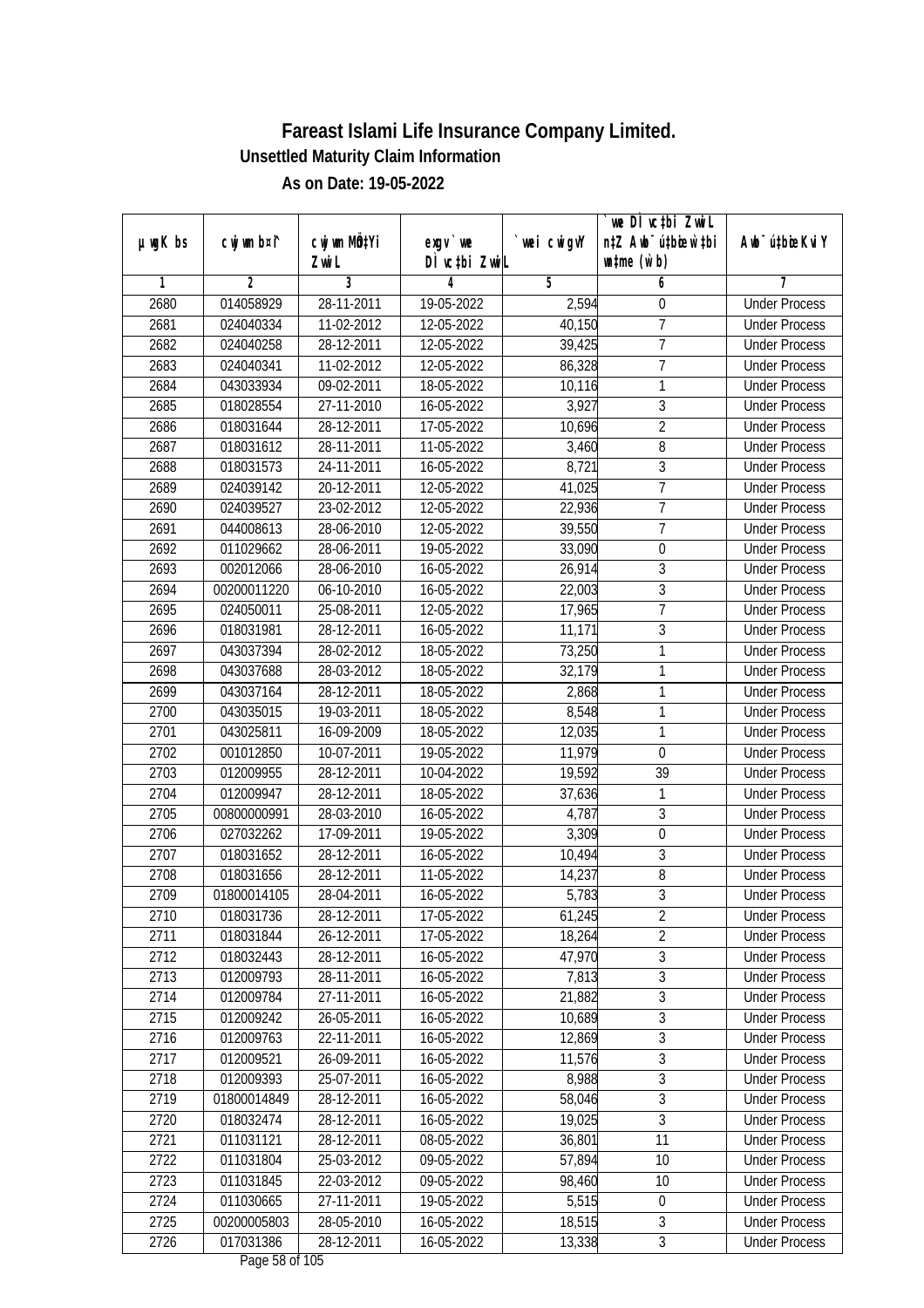|               |                |              |                            |             | `we DÌ vc‡bi ZwwiL               |                             |
|---------------|----------------|--------------|----------------------------|-------------|----------------------------------|-----------------------------|
| $µ$ ug $K$ bs | cwj wm b¤i^    | cwj wm MQtYi | exgy `we                   | `wei cwigvY | n‡Z Awb <sup>-</sup> ú‡bioen`‡bi | Awb <sup>-</sup> ú‡bioeKviY |
|               |                | Zwi L        | DÌ vctbi ZwiL              |             | $\n  untime\n  (u`b)\n$          |                             |
| 1             | $\overline{2}$ | 3            | 4                          | 5           | 6                                | 7                           |
| 2680          | 014058929      | 28-11-2011   | 19-05-2022                 | 2,594       | 0                                | <b>Under Process</b>        |
| 2681          | 024040334      | 11-02-2012   | 12-05-2022                 | 40,150      | $\overline{7}$                   | <b>Under Process</b>        |
| 2682          | 024040258      | 28-12-2011   | 12-05-2022                 | 39,425      | $\overline{7}$                   | <b>Under Process</b>        |
| 2683          | 024040341      | 11-02-2012   | 12-05-2022                 | 86,328      | 7                                | <b>Under Process</b>        |
| 2684          | 043033934      | 09-02-2011   | 18-05-2022                 | 10,116      | 1                                | <b>Under Process</b>        |
| 2685          | 018028554      | 27-11-2010   | 16-05-2022                 | 3,927       | $\overline{3}$                   | <b>Under Process</b>        |
| 2686          | 018031644      | 28-12-2011   | 17-05-2022                 | 10,696      | $\overline{2}$                   | <b>Under Process</b>        |
| 2687          | 018031612      | 28-11-2011   | 11-05-2022                 | 3,460       | $\overline{8}$                   | <b>Under Process</b>        |
| 2688          | 018031573      | 24-11-2011   | 16-05-2022                 | 8,721       | $\overline{3}$                   | <b>Under Process</b>        |
| 2689          | 024039142      | $20-12-2011$ | 12-05-2022                 | 41,025      | $\overline{7}$                   | <b>Under Process</b>        |
| 2690          | 024039527      | 23-02-2012   | 12-05-2022                 | 22,936      | 7                                | <b>Under Process</b>        |
| 2691          | 044008613      | 28-06-2010   | 12-05-2022                 | 39,550      | $\overline{7}$                   | <b>Under Process</b>        |
| 2692          | 011029662      | 28-06-2011   | 19-05-2022                 | 33,090      | $\overline{0}$                   | <b>Under Process</b>        |
| 2693          | 002012066      | 28-06-2010   | 16-05-2022                 | 26,914      | $\mathfrak{Z}$                   | <b>Under Process</b>        |
| 2694          | 00200011220    | 06-10-2010   | 16-05-2022                 | 22,003      | 3                                | <b>Under Process</b>        |
| 2695          | 024050011      | 25-08-2011   | 12-05-2022                 | 17,965      | $\overline{1}$                   | <b>Under Process</b>        |
| 2696          | 018031981      | 28-12-2011   | 16-05-2022                 | 11,171      | 3                                | <b>Under Process</b>        |
| 2697          | 043037394      | 28-02-2012   | 18-05-2022                 | 73,250      | 1                                | <b>Under Process</b>        |
| 2698          | 043037688      | 28-03-2012   | 18-05-2022                 | 32,179      | 1                                | <b>Under Process</b>        |
| 2699          | 043037164      | 28-12-2011   | 18-05-2022                 | 2,868       | 1                                | <b>Under Process</b>        |
| 2700          | 043035015      | 19-03-2011   | 18-05-2022                 | 8,548       | 1                                | <b>Under Process</b>        |
| 2701          | 043025811      | 16-09-2009   | 18-05-2022                 | 12,035      | 1                                | <b>Under Process</b>        |
| 2702          | 001012850      | 10-07-2011   | 19-05-2022                 | 11,979      | $\mathbf 0$                      | <b>Under Process</b>        |
| 2703          | 012009955      | 28-12-2011   | 10-04-2022                 | 19,592      | 39                               | <b>Under Process</b>        |
| 2704          | 012009947      | 28-12-2011   | 18-05-2022                 | 37,636      | 1                                | <b>Under Process</b>        |
| 2705          | 00800000991    | 28-03-2010   | 16-05-2022                 | 4,787       | 3                                | <b>Under Process</b>        |
| 2706          | 027032262      | 17-09-2011   | 19-05-2022                 | 3,309       | $\mathbf{0}$                     | <b>Under Process</b>        |
| 2707          | 018031652      | 28-12-2011   | 16-05-2022                 | 10,494      | 3                                | <b>Under Process</b>        |
| 2708          | 018031656      | 28-12-2011   | 11-05-2022                 | 14,237      | $\sqrt{8}$                       | <b>Under Process</b>        |
| 2709          | 01800014105    | 28-04-2011   | 16-05-2022                 | 5,783       | $\overline{3}$                   | <b>Under Process</b>        |
| 2710          | 018031736      | 28-12-2011   | 17-05-2022                 | 61,245      | $\sqrt{2}$                       | <b>Under Process</b>        |
| 2711          | 018031844      | 26-12-2011   | 17-05-2022                 | 18,264      | $\overline{2}$                   | <b>Under Process</b>        |
| 2712          | 018032443      | 28-12-2011   | 16-05-2022                 | 47,970      | $\overline{3}$                   | <b>Under Process</b>        |
| 2713          | 012009793      | 28-11-2011   | 16-05-2022                 | 7,813       | $\overline{3}$                   | <b>Under Process</b>        |
| 2714          | 012009784      | 27-11-2011   | 16-05-2022                 | 21,882      | $\overline{3}$                   | <b>Under Process</b>        |
| 2715          | 012009242      | 26-05-2011   | 16-05-2022                 | 10,689      | 3                                | <b>Under Process</b>        |
| 2716          | 012009763      | 22-11-2011   | 16-05-2022                 | 12,869      | $\overline{3}$                   | <b>Under Process</b>        |
| 2717          | 012009521      | 26-09-2011   | 16-05-2022                 | 11,576      | 3                                | <b>Under Process</b>        |
| 2718          | 012009393      | 25-07-2011   | 16-05-2022                 | 8,988       | $\overline{3}$                   | <b>Under Process</b>        |
| 2719          | 01800014849    | 28-12-2011   | 16-05-2022                 | 58,046      | $\overline{3}$                   | <b>Under Process</b>        |
| 2720          | 018032474      | 28-12-2011   | 16-05-2022                 | 19,025      | 3                                | <b>Under Process</b>        |
| 2721          | 011031121      | 28-12-2011   | 08-05-2022                 | 36,801      | 11                               | <b>Under Process</b>        |
| 2722          | 011031804      | 25-03-2012   | 09-05-2022                 | 57,894      | $\overline{10}$                  | <b>Under Process</b>        |
| 2723          | 011031845      | 22-03-2012   | 09-05-2022                 | 98,460      | 10                               | <b>Under Process</b>        |
| 2724          | 011030665      | 27-11-2011   | 19-05-2022                 | 5,515       | $\boldsymbol{0}$                 | <b>Under Process</b>        |
| 2725          | 00200005803    | 28-05-2010   | 16-05-2022                 | 18,515      | 3                                | <b>Under Process</b>        |
| 2726          | 017031386      | 28-12-2011   | 16-05-2022                 | 13,338      | $\overline{3}$                   | <b>Under Process</b>        |
|               |                |              | $D_{\text{max}}$ CO of 10D |             |                                  |                             |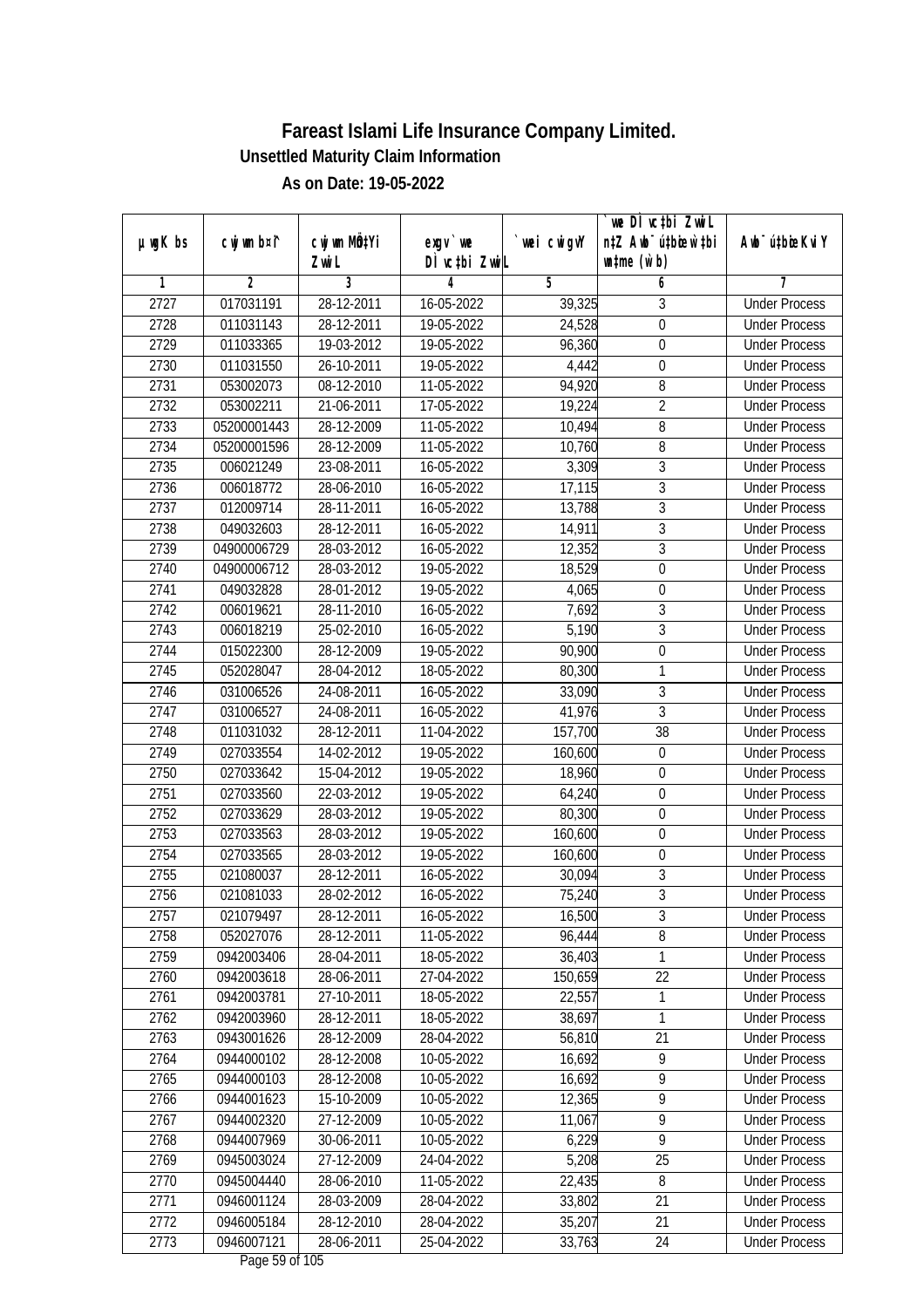|               |                |                  |               |            | we DI vctbi ZwiL                 |                             |
|---------------|----------------|------------------|---------------|------------|----------------------------------|-----------------------------|
| $µ$ ug $K$ bs | cwj wm b¤i^    | cwj wm MQtYi     | $exgV$ we     | wei cwigvY | n‡Z Awb <sup>-</sup> ú‡bicew`‡bi | Awb <sup>-</sup> ú‡bioeKviY |
|               |                | Zwi L            | DÌ vctbi ZwiL |            | $\n  untime\n  (u`b)\n$          |                             |
| 1             | $\overline{2}$ | 3<br>28-12-2011  | 4             | 5          | 6                                | 7<br><b>Under Process</b>   |
| 2727          | 017031191      |                  | 16-05-2022    | 39,325     | 3                                |                             |
| 2728          | 011031143      | 28-12-2011       | 19-05-2022    | 24,528     | $\overline{0}$                   | <b>Under Process</b>        |
| 2729          | 011033365      | 19-03-2012       | 19-05-2022    | 96,360     | $\overline{0}$                   | <b>Under Process</b>        |
| 2730          | 011031550      | $26 - 10 - 2011$ | 19-05-2022    | 4,442      | $\boldsymbol{0}$                 | <b>Under Process</b>        |
| 2731          | 053002073      | 08-12-2010       | 11-05-2022    | 94,920     | 8                                | <b>Under Process</b>        |
| 2732          | 053002211      | 21-06-2011       | 17-05-2022    | 19,224     | $\overline{2}$                   | <b>Under Process</b>        |
| 2733          | 05200001443    | 28-12-2009       | 11-05-2022    | 10,494     | 8                                | <b>Under Process</b>        |
| 2734          | 05200001596    | 28-12-2009       | 11-05-2022    | 10,760     | $\overline{8}$                   | <b>Under Process</b>        |
| 2735          | 006021249      | 23-08-2011       | 16-05-2022    | 3,309      | $\overline{3}$                   | <b>Under Process</b>        |
| 2736          | 006018772      | 28-06-2010       | 16-05-2022    | 17,115     | $\mathfrak{Z}$                   | <b>Under Process</b>        |
| 2737          | 012009714      | 28-11-2011       | 16-05-2022    | 13,788     | $\overline{3}$                   | <b>Under Process</b>        |
| 2738          | 049032603      | 28-12-2011       | 16-05-2022    | 14,911     | $\sqrt{3}$                       | <b>Under Process</b>        |
| 2739          | 04900006729    | 28-03-2012       | 16-05-2022    | 12,352     | $\overline{3}$                   | <b>Under Process</b>        |
| 2740          | 04900006712    | 28-03-2012       | 19-05-2022    | 18,529     | $\boldsymbol{0}$                 | <b>Under Process</b>        |
| 2741          | 049032828      | 28-01-2012       | 19-05-2022    | 4,065      | $\boldsymbol{0}$                 | <b>Under Process</b>        |
| 2742          | 006019621      | 28-11-2010       | 16-05-2022    | 7,692      | $\mathfrak{Z}$                   | <b>Under Process</b>        |
| 2743          | 006018219      | 25-02-2010       | 16-05-2022    | 5,190      | $\mathfrak{Z}$                   | <b>Under Process</b>        |
| 2744          | 015022300      | 28-12-2009       | 19-05-2022    | 90,900     | $\boldsymbol{0}$                 | <b>Under Process</b>        |
| 2745          | 052028047      | 28-04-2012       | 18-05-2022    | 80,300     | $\mathbf{1}$                     | <b>Under Process</b>        |
| 2746          | 031006526      | 24-08-2011       | 16-05-2022    | 33,090     | $\sqrt{3}$                       | <b>Under Process</b>        |
| 2747          | 031006527      | 24-08-2011       | 16-05-2022    | 41,976     | $\overline{3}$                   | <b>Under Process</b>        |
| 2748          | 011031032      | 28-12-2011       | 11-04-2022    | 157,700    | 38                               | <b>Under Process</b>        |
| 2749          | 027033554      | 14-02-2012       | 19-05-2022    | 160,600    | $\boldsymbol{0}$                 | <b>Under Process</b>        |
| 2750          | 027033642      | 15-04-2012       | 19-05-2022    | 18,960     | $\boldsymbol{0}$                 | <b>Under Process</b>        |
| 2751          | 027033560      | 22-03-2012       | 19-05-2022    | 64,240     | $\boldsymbol{0}$                 | <b>Under Process</b>        |
| 2752          | 027033629      | 28-03-2012       | 19-05-2022    | 80,300     | $\mathbf 0$                      | <b>Under Process</b>        |
| 2753          | 027033563      | 28-03-2012       | 19-05-2022    | 160,600    | $\boldsymbol{0}$                 | <b>Under Process</b>        |
| 2754          | 027033565      | 28-03-2012       | 19-05-2022    | 160,600    | $\boldsymbol{0}$                 | <b>Under Process</b>        |
| 2755          | 021080037      | 28-12-2011       | 16-05-2022    | 30,094     | $\overline{3}$                   | <b>Under Process</b>        |
| 2756          | 021081033      | 28-02-2012       | 16-05-2022    | 75,240     | $\overline{3}$                   | <b>Under Process</b>        |
| 2757          | 021079497      | 28-12-2011       | 16-05-2022    | 16,500     | 3                                | <b>Under Process</b>        |
| 2758          | 052027076      | 28-12-2011       | 11-05-2022    | 96,444     | 8                                | <b>Under Process</b>        |
| 2759          | 0942003406     | 28-04-2011       | 18-05-2022    | 36,403     | 1                                | <b>Under Process</b>        |
| 2760          | 0942003618     | 28-06-2011       | 27-04-2022    | 150,659    | 22                               | <b>Under Process</b>        |
| 2761          | 0942003781     | 27-10-2011       | 18-05-2022    | 22,557     | 1                                | <b>Under Process</b>        |
| 2762          | 0942003960     | 28-12-2011       | 18-05-2022    | 38,697     | 1                                | <b>Under Process</b>        |
| 2763          | 0943001626     | 28-12-2009       | 28-04-2022    | 56,810     | 21                               | <b>Under Process</b>        |
| 2764          | 0944000102     | 28-12-2008       | 10-05-2022    | 16,692     | $\overline{9}$                   | <b>Under Process</b>        |
| 2765          | 0944000103     | 28-12-2008       | 10-05-2022    | 16,692     | $\overline{9}$                   | <b>Under Process</b>        |
| 2766          | 0944001623     | 15-10-2009       | 10-05-2022    | 12,365     | $\overline{9}$                   | <b>Under Process</b>        |
| 2767          | 0944002320     | 27-12-2009       | 10-05-2022    | 11,067     | 9                                | <b>Under Process</b>        |
| 2768          | 0944007969     | 30-06-2011       | 10-05-2022    | 6,229      | $\overline{9}$                   | <b>Under Process</b>        |
| 2769          | 0945003024     | 27-12-2009       | 24-04-2022    | 5,208      | 25                               | <b>Under Process</b>        |
| 2770          | 0945004440     | 28-06-2010       | 11-05-2022    | 22,435     | 8                                | <b>Under Process</b>        |
| 2771          | 0946001124     | 28-03-2009       | 28-04-2022    | 33,802     | 21                               | <b>Under Process</b>        |
| 2772          | 0946005184     | 28-12-2010       | 28-04-2022    | 35,207     | 21                               | <b>Under Process</b>        |
| 2773          | 0946007121     | 28-06-2011       | 25-04-2022    | 33,763     | 24                               | <b>Under Process</b>        |
|               |                |                  |               |            |                                  |                             |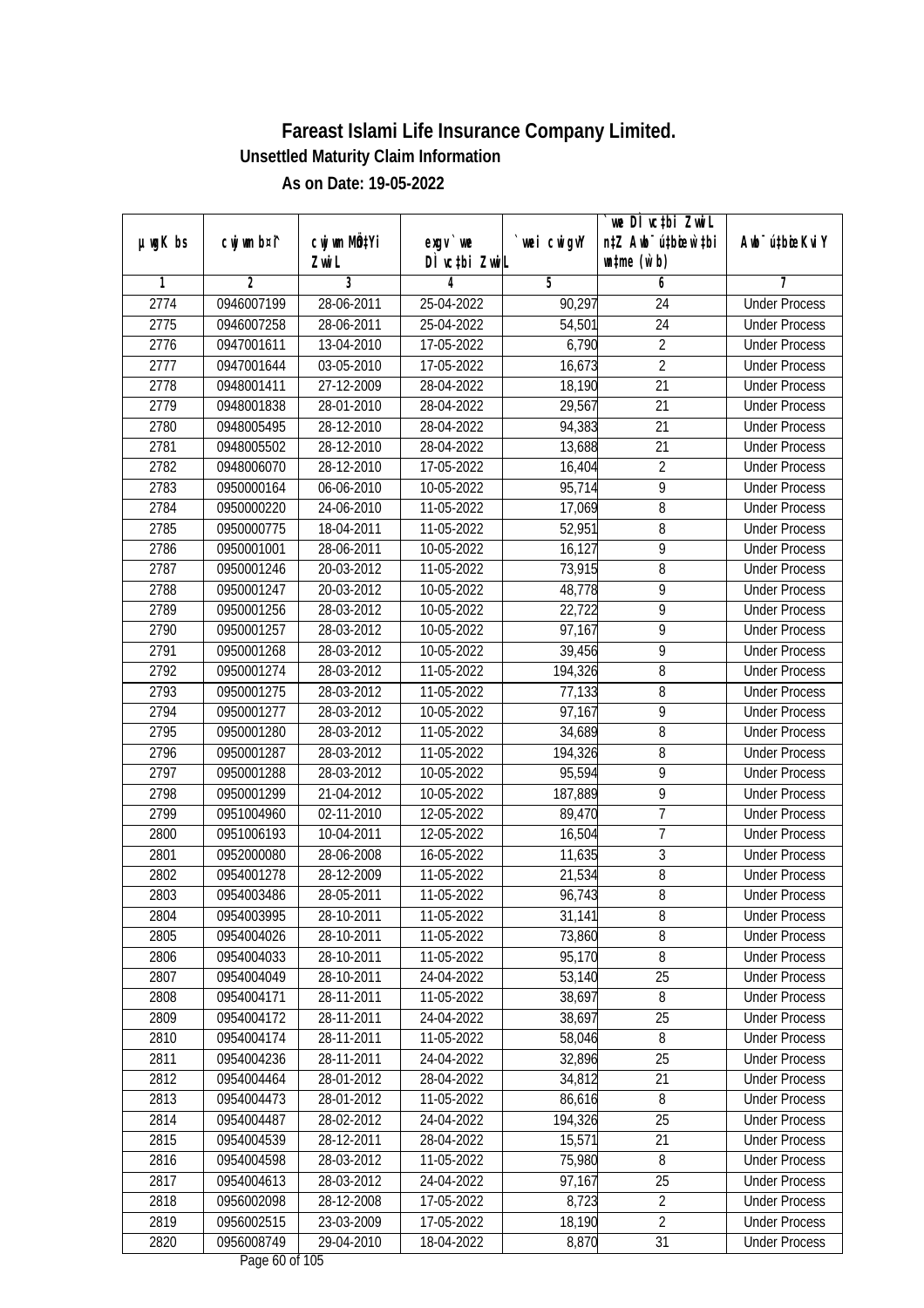|               |                |                                    |                            |             | we DI vctbi ZwiL                                            |                             |
|---------------|----------------|------------------------------------|----------------------------|-------------|-------------------------------------------------------------|-----------------------------|
| $µ$ ug $K$ bs | cwj wm b¤i^    | cwj wm MQ <sup>1</sup> Yi<br>Zwi L | $exgV$ we<br>DÌ vctbi ZwiL | `wei cwigvY | n‡Z Awb <sup>-</sup> ú‡bioen`‡bi<br>$\n  untime\n  (u`b)\n$ | Awb <sup>-</sup> ú‡bioeKviY |
| 1             | $\overline{2}$ | 3                                  | 4                          | 5           | 6                                                           | 7                           |
| 2774          | 0946007199     | 28-06-2011                         | 25-04-2022                 | 90,297      | 24                                                          | <b>Under Process</b>        |
| 2775          | 0946007258     | 28-06-2011                         | 25-04-2022                 | 54,501      | $\overline{24}$                                             | <b>Under Process</b>        |
| 2776          | 0947001611     | 13-04-2010                         | 17-05-2022                 | 6,790       | $\overline{2}$                                              | <b>Under Process</b>        |
| 2777          | 0947001644     | 03-05-2010                         | 17-05-2022                 | 16,673      | $\overline{2}$                                              | <b>Under Process</b>        |
| 2778          | 0948001411     | $27 - 12 - 2009$                   | 28-04-2022                 | 18,190      | $\overline{21}$                                             | <b>Under Process</b>        |
| 2779          | 0948001838     | 28-01-2010                         | 28-04-2022                 | 29,567      | 21                                                          | <b>Under Process</b>        |
| 2780          | 0948005495     | 28-12-2010                         | 28-04-2022                 | 94,383      | $\overline{21}$                                             | <b>Under Process</b>        |
| 2781          | 0948005502     | 28-12-2010                         | 28-04-2022                 | 13,688      | 21                                                          | <b>Under Process</b>        |
| 2782          | 0948006070     | 28-12-2010                         | 17-05-2022                 | 16,404      | $\overline{2}$                                              | <b>Under Process</b>        |
| 2783          | 0950000164     | 06-06-2010                         | 10-05-2022                 | 95,714      | 9                                                           | <b>Under Process</b>        |
| 2784          | 0950000220     | 24-06-2010                         | 11-05-2022                 | 17,069      | 8                                                           | <b>Under Process</b>        |
| 2785          | 0950000775     | 18-04-2011                         | $\overline{11}$ -05-2022   | 52,951      | 8                                                           | <b>Under Process</b>        |
| 2786          | 0950001001     | 28-06-2011                         | 10-05-2022                 | 16,127      | $\overline{9}$                                              | <b>Under Process</b>        |
| 2787          | 0950001246     | 20-03-2012                         | 11-05-2022                 | 73,915      | 8                                                           | <b>Under Process</b>        |
| 2788          | 0950001247     | 20-03-2012                         | 10-05-2022                 | 48,778      | 9                                                           | <b>Under Process</b>        |
| 2789          | 0950001256     | 28-03-2012                         | 10-05-2022                 | 22,722      | 9                                                           | <b>Under Process</b>        |
| 2790          | 0950001257     | 28-03-2012                         | 10-05-2022                 | 97,167      | 9                                                           | <b>Under Process</b>        |
| 2791          | 0950001268     | 28-03-2012                         | 10-05-2022                 | 39,456      | $\overline{9}$                                              | <b>Under Process</b>        |
| 2792          | 0950001274     | 28-03-2012                         | 11-05-2022                 | 194,326     | 8                                                           | <b>Under Process</b>        |
| 2793          | 0950001275     | 28-03-2012                         | 11-05-2022                 | 77,133      | 8                                                           | <b>Under Process</b>        |
| 2794          | 0950001277     | 28-03-2012                         | 10-05-2022                 | 97,167      | 9                                                           | <b>Under Process</b>        |
| 2795          | 0950001280     | 28-03-2012                         | 11-05-2022                 | 34,689      | 8                                                           | <b>Under Process</b>        |
| 2796          | 0950001287     | 28-03-2012                         | 11-05-2022                 | 194,326     | 8                                                           | <b>Under Process</b>        |
| 2797          | 0950001288     | 28-03-2012                         | 10-05-2022                 | 95,594      | 9                                                           | <b>Under Process</b>        |
| 2798          | 0950001299     | 21-04-2012                         | 10-05-2022                 | 187,889     | 9                                                           | <b>Under Process</b>        |
| 2799          | 0951004960     | 02-11-2010                         | 12-05-2022                 | 89,470      | 7                                                           | <b>Under Process</b>        |
| 2800          | 0951006193     | 10-04-2011                         | 12-05-2022                 | 16,504      | $\overline{1}$                                              | <b>Under Process</b>        |
| 2801          | 0952000080     | 28-06-2008                         | 16-05-2022                 | 11,635      | $\overline{3}$                                              | <b>Under Process</b>        |
| 2802          | 0954001278     | 28-12-2009                         | 11-05-2022                 | 21,534      | $\overline{8}$                                              | <b>Under Process</b>        |
| 2803          | 0954003486     | 28-05-2011                         | 11-05-2022                 | 96,743      | $8\,$                                                       | <b>Under Process</b>        |
| 2804          | 0954003995     | 28-10-2011                         | 11-05-2022                 | 31,141      | 8                                                           | <b>Under Process</b>        |
| 2805          | 0954004026     | 28-10-2011                         | 11-05-2022                 | 73,860      | 8                                                           | <b>Under Process</b>        |
| 2806          | 0954004033     | 28-10-2011                         | 11-05-2022                 | 95,170      | 8                                                           | <b>Under Process</b>        |
| 2807          | 0954004049     | 28-10-2011                         | 24-04-2022                 | 53,140      | 25                                                          | <b>Under Process</b>        |
| 2808          | 0954004171     | 28-11-2011                         | 11-05-2022                 | 38,697      | 8                                                           | <b>Under Process</b>        |
| 2809          | 0954004172     | 28-11-2011                         | 24-04-2022                 | 38,697      | 25                                                          | <b>Under Process</b>        |
| 2810          | 0954004174     | 28-11-2011                         | 11-05-2022                 | 58,046      | 8                                                           | <b>Under Process</b>        |
| 2811          | 0954004236     | 28-11-2011                         | 24-04-2022                 | 32,896      | 25                                                          | <b>Under Process</b>        |
| 2812          | 0954004464     | 28-01-2012                         | 28-04-2022                 | 34,812      | 21                                                          | <b>Under Process</b>        |
| 2813          | 0954004473     | 28-01-2012                         | 11-05-2022                 | 86,616      | 8                                                           | <b>Under Process</b>        |
| 2814          | 0954004487     | 28-02-2012                         | 24-04-2022                 | 194,326     | 25                                                          | <b>Under Process</b>        |
| 2815          | 0954004539     | 28-12-2011                         | 28-04-2022                 | 15,571      | 21                                                          | <b>Under Process</b>        |
| 2816          | 0954004598     | 28-03-2012                         | 11-05-2022                 | 75,980      | 8                                                           | <b>Under Process</b>        |
| 2817          | 0954004613     | 28-03-2012                         | 24-04-2022                 | 97,167      | 25                                                          | <b>Under Process</b>        |
| 2818          | 0956002098     | 28-12-2008                         | 17-05-2022                 | 8,723       | $\overline{2}$                                              | <b>Under Process</b>        |
| 2819          | 0956002515     | 23-03-2009                         | 17-05-2022                 | 18,190      | $\overline{2}$                                              | <b>Under Process</b>        |
| 2820          | 0956008749     | 29-04-2010                         | 18-04-2022                 | 8,870       | 31                                                          | <b>Under Process</b>        |
|               |                |                                    | Dege $\ell$ 0 of 10E       |             |                                                             |                             |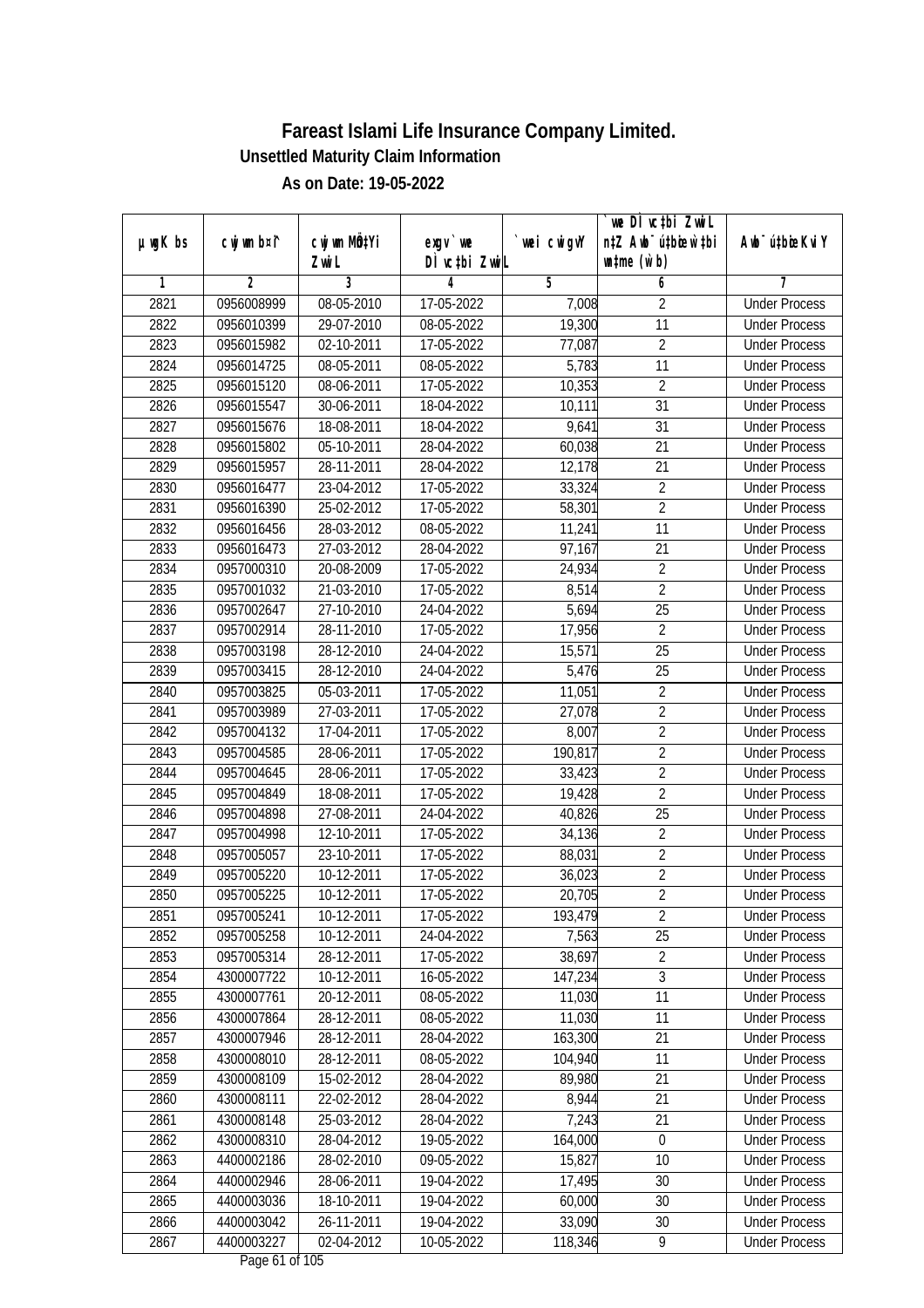| $µ$ ug $K$ bs | cwj wm b¤i^    | cwj wm MQtYi |                            | wei cwigvY | we DI vctbi ZwiL<br>n‡Z Awb <sup>-</sup> ú‡bicen`‡bi | Awb <sup>-</sup> ú‡bioeKviY |
|---------------|----------------|--------------|----------------------------|------------|------------------------------------------------------|-----------------------------|
|               |                | Zwi L        | $exgV$ we<br>DÌ vctbi ZwiL |            | $\n  untime\n  (u`b)\n$                              |                             |
| 1             | $\overline{2}$ | 3            | 4                          | 5          | 6                                                    | 7                           |
| 2821          | 0956008999     | 08-05-2010   | 17-05-2022                 | 7,008      | $\overline{2}$                                       | <b>Under Process</b>        |
| 2822          | 0956010399     | 29-07-2010   | 08-05-2022                 | 19,300     | $\overline{11}$                                      | <b>Under Process</b>        |
| 2823          | 0956015982     | 02-10-2011   | 17-05-2022                 | 77,087     | $\overline{2}$                                       | <b>Under Process</b>        |
| 2824          | 0956014725     | 08-05-2011   | 08-05-2022                 | 5,783      | 11                                                   | <b>Under Process</b>        |
| 2825          | 0956015120     | 08-06-2011   | 17-05-2022                 | 10,353     | $\overline{2}$                                       | <b>Under Process</b>        |
| 2826          | 0956015547     | 30-06-2011   | 18-04-2022                 | 10,111     | $\overline{31}$                                      | <b>Under Process</b>        |
| 2827          | 0956015676     | 18-08-2011   | 18-04-2022                 | 9,641      | 31                                                   | <b>Under Process</b>        |
| 2828          | 0956015802     | 05-10-2011   | 28-04-2022                 | 60,038     | 21                                                   | <b>Under Process</b>        |
| 2829          | 0956015957     | 28-11-2011   | 28-04-2022                 | 12,178     | 21                                                   | <b>Under Process</b>        |
| 2830          | 0956016477     | 23-04-2012   | 17-05-2022                 | 33,324     | $\overline{2}$                                       | <b>Under Process</b>        |
| 2831          | 0956016390     | 25-02-2012   | 17-05-2022                 | 58,301     | $\overline{2}$                                       | <b>Under Process</b>        |
| 2832          | 0956016456     | 28-03-2012   | 08-05-2022                 | 11,241     | 11                                                   | <b>Under Process</b>        |
| 2833          | 0956016473     | 27-03-2012   | 28-04-2022                 | 97,167     | $\overline{21}$                                      | <b>Under Process</b>        |
| 2834          | 0957000310     | 20-08-2009   | 17-05-2022                 | 24,934     | $\sqrt{2}$                                           | <b>Under Process</b>        |
| 2835          | 0957001032     | 21-03-2010   | 17-05-2022                 | 8,514      | $\overline{2}$                                       | <b>Under Process</b>        |
| 2836          | 0957002647     | 27-10-2010   | 24-04-2022                 | 5,694      | 25                                                   | <b>Under Process</b>        |
| 2837          | 0957002914     | 28-11-2010   | 17-05-2022                 | 17,956     | $\overline{2}$                                       | <b>Under Process</b>        |
| 2838          | 0957003198     | 28-12-2010   | 24-04-2022                 | 15,571     | 25                                                   | <b>Under Process</b>        |
| 2839          | 0957003415     | 28-12-2010   | 24-04-2022                 | 5,476      | 25                                                   | <b>Under Process</b>        |
| 2840          | 0957003825     | 05-03-2011   | 17-05-2022                 | 11,051     | $\overline{2}$                                       | <b>Under Process</b>        |
| 2841          | 0957003989     | 27-03-2011   | 17-05-2022                 | 27,078     | $\overline{2}$                                       | <b>Under Process</b>        |
| 2842          | 0957004132     | 17-04-2011   | 17-05-2022                 | 8,007      | $\sqrt{2}$                                           | <b>Under Process</b>        |
| 2843          | 0957004585     | 28-06-2011   | 17-05-2022                 | 190,817    | $\overline{2}$                                       | <b>Under Process</b>        |
| 2844          | 0957004645     | 28-06-2011   | 17-05-2022                 | 33,423     | $\overline{2}$                                       | <b>Under Process</b>        |
| 2845          | 0957004849     | 18-08-2011   | 17-05-2022                 | 19,428     | $\overline{2}$                                       | <b>Under Process</b>        |
| 2846          | 0957004898     | 27-08-2011   | 24-04-2022                 | 40,826     | 25                                                   | <b>Under Process</b>        |
| 2847          | 0957004998     | 12-10-2011   | 17-05-2022                 | 34,136     | $\overline{2}$                                       | <b>Under Process</b>        |
| 2848          | 0957005057     | 23-10-2011   | 17-05-2022                 | 88,031     | $\overline{2}$                                       | <b>Under Process</b>        |
| 2849          | 0957005220     | 10-12-2011   | 17-05-2022                 | 36,023     | $\overline{2}$                                       | <b>Under Process</b>        |
| 2850          | 0957005225     | 10-12-2011   | 17-05-2022                 | 20,705     | $\overline{2}$                                       | <b>Under Process</b>        |
| 2851          | 0957005241     | 10-12-2011   | 17-05-2022                 | 193,479    | 2                                                    | <b>Under Process</b>        |
| 2852          | 0957005258     | 10-12-2011   | 24-04-2022                 | 7,563      | 25                                                   | <b>Under Process</b>        |
| 2853          | 0957005314     | 28-12-2011   | 17-05-2022                 | 38,697     | $\overline{2}$                                       | <b>Under Process</b>        |
| 2854          | 4300007722     | 10-12-2011   | 16-05-2022                 | 147,234    | $\overline{3}$                                       | <b>Under Process</b>        |
| 2855          | 4300007761     | 20-12-2011   | 08-05-2022                 | 11,030     | 11                                                   | <b>Under Process</b>        |
| 2856          | 4300007864     | 28-12-2011   | 08-05-2022                 | 11,030     | 11                                                   | <b>Under Process</b>        |
| 2857          | 4300007946     | 28-12-2011   | 28-04-2022                 | 163,300    | 21                                                   | <b>Under Process</b>        |
| 2858          | 4300008010     | 28-12-2011   | 08-05-2022                 | 104,940    | 11                                                   | <b>Under Process</b>        |
| 2859          | 4300008109     | 15-02-2012   | 28-04-2022                 | 89,980     | 21                                                   | <b>Under Process</b>        |
| 2860          | 4300008111     | 22-02-2012   | 28-04-2022                 | 8,944      | 21                                                   | <b>Under Process</b>        |
| 2861          | 4300008148     | 25-03-2012   | 28-04-2022                 | 7,243      | 21                                                   | <b>Under Process</b>        |
| 2862          | 4300008310     | 28-04-2012   | 19-05-2022                 | 164,000    | $\mathbf 0$                                          | <b>Under Process</b>        |
| 2863          | 4400002186     | 28-02-2010   | $\overline{09}$ -05-2022   | 15,827     | 10                                                   | <b>Under Process</b>        |
| 2864          | 4400002946     | 28-06-2011   | 19-04-2022                 | 17,495     | 30                                                   | <b>Under Process</b>        |
| 2865          | 4400003036     | 18-10-2011   | 19-04-2022                 | 60,000     | 30                                                   | <b>Under Process</b>        |
| 2866          | 4400003042     | 26-11-2011   | 19-04-2022                 | 33,090     | 30                                                   | <b>Under Process</b>        |
| 2867          | 4400003227     | 02-04-2012   | 10-05-2022                 | 118,346    | 9                                                    | <b>Under Process</b>        |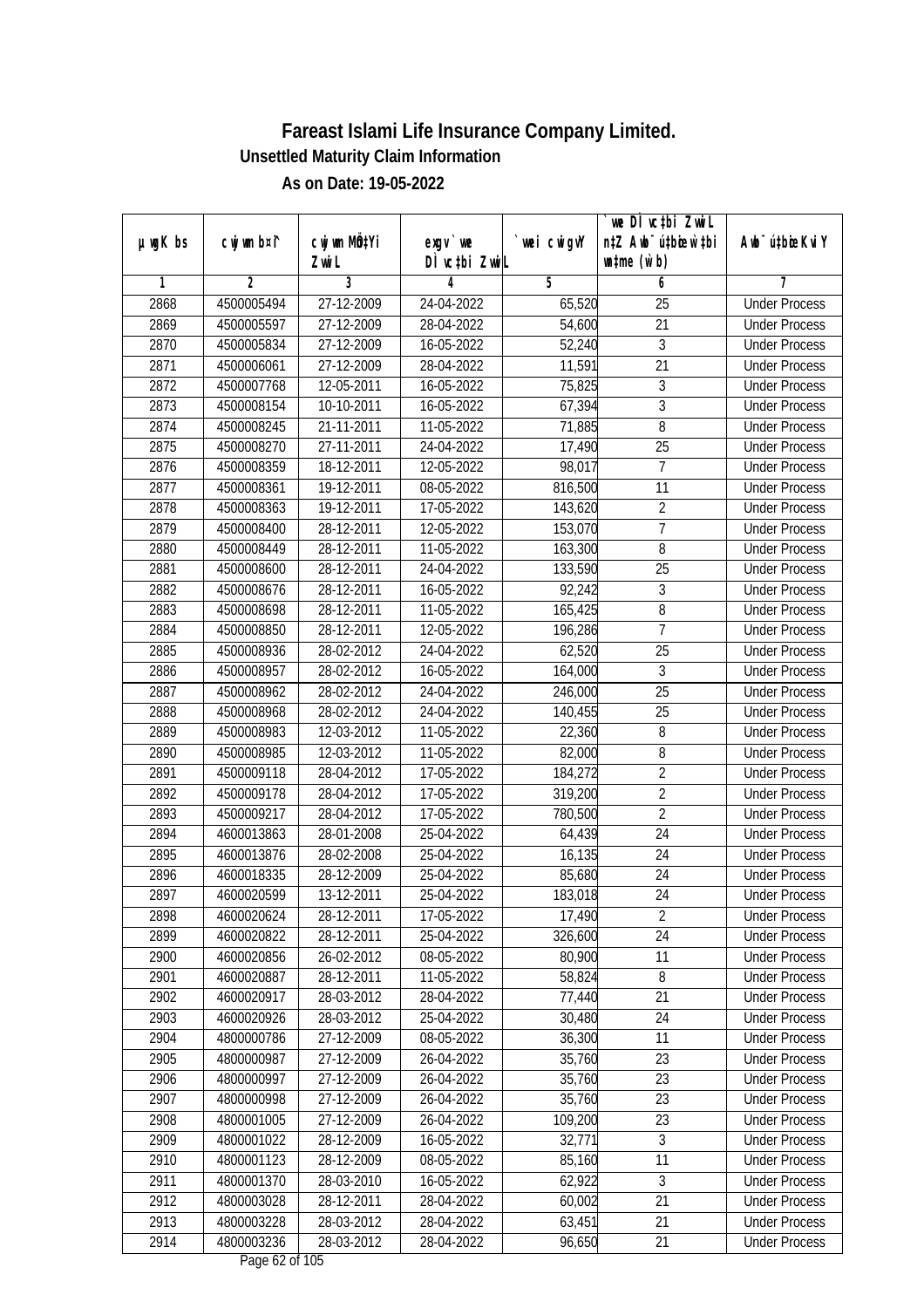|               |                |                                    |                            |                   | we DI vctbi ZwiL                                            |                                              |
|---------------|----------------|------------------------------------|----------------------------|-------------------|-------------------------------------------------------------|----------------------------------------------|
| $µ$ ug $K$ bs | cwj wm b¤i^    | cwj wm MQ <sup>1</sup> Yi<br>Zwi L | $exgv$ we<br>DÌ vctbi ZwiL | `wei cwigvY       | n‡Z Awb <sup>-</sup> ú‡bicen`‡bi<br>$\n  untime\n  (u`b)\n$ | Awb <sup>-</sup> ú‡bioeKviY                  |
| 1             | $\overline{2}$ | 3                                  | 4                          | 5                 | 6                                                           | 7                                            |
| 2868          | 4500005494     | 27-12-2009                         | 24-04-2022                 | 65,520            | $\overline{25}$                                             | <b>Under Process</b>                         |
| 2869          | 4500005597     | 27-12-2009                         | 28-04-2022                 | 54,600            | $\overline{21}$                                             | <b>Under Process</b>                         |
| 2870          | 4500005834     | 27-12-2009                         | 16-05-2022                 | 52,240            | $\overline{3}$                                              | <b>Under Process</b>                         |
| 2871          | 4500006061     | 27-12-2009                         | 28-04-2022                 | 11,591            | $\overline{21}$                                             | <b>Under Process</b>                         |
| 2872          | 4500007768     | 12-05-2011                         | 16-05-2022                 | 75,825            | $\overline{3}$                                              | <b>Under Process</b>                         |
| 2873          | 4500008154     | 10-10-2011                         | 16-05-2022                 | 67,394            | 3                                                           | <b>Under Process</b>                         |
| 2874          | 4500008245     | 21-11-2011                         | 11-05-2022                 | 71,885            | 8                                                           | <b>Under Process</b>                         |
| 2875          | 4500008270     | 27-11-2011                         | 24-04-2022                 | 17,490            | $\overline{25}$                                             | <b>Under Process</b>                         |
| 2876          | 4500008359     | 18-12-2011                         | 12-05-2022                 | 98,017            | 7                                                           | <b>Under Process</b>                         |
| 2877          | 4500008361     | 19-12-2011                         | 08-05-2022                 | 816,500           | 11                                                          | <b>Under Process</b>                         |
| 2878          | 4500008363     | 19-12-2011                         | 17-05-2022                 | 143,620           | $\overline{2}$                                              | <b>Under Process</b>                         |
| 2879          | 4500008400     | 28-12-2011                         | 12-05-2022                 | 153,070           | $\overline{1}$                                              | <b>Under Process</b>                         |
| 2880          | 4500008449     | 28-12-2011                         | 11-05-2022                 | 163,300           | $\overline{8}$                                              | <b>Under Process</b>                         |
| 2881          | 4500008600     | 28-12-2011                         | 24-04-2022                 | 133,590           | 25                                                          | <b>Under Process</b>                         |
| 2882          | 4500008676     | 28-12-2011                         | 16-05-2022                 | 92,242            | 3                                                           | <b>Under Process</b>                         |
| 2883          | 4500008698     | 28-12-2011                         | 11-05-2022                 | 165,425           | 8                                                           | <b>Under Process</b>                         |
| 2884          | 4500008850     | 28-12-2011                         | 12-05-2022                 | 196,286           | $\overline{1}$                                              | <b>Under Process</b>                         |
| 2885          | 4500008936     | 28-02-2012                         | 24-04-2022                 | 62,520            | 25                                                          | <b>Under Process</b>                         |
| 2886          | 4500008957     | 28-02-2012                         | 16-05-2022                 | 164,000           | $\mathfrak{Z}$                                              | <b>Under Process</b>                         |
| 2887          | 4500008962     | 28-02-2012                         | 24-04-2022                 | 246,000           | 25                                                          | <b>Under Process</b>                         |
| 2888          | 4500008968     | 28-02-2012                         | 24-04-2022                 | 140,455           | 25                                                          | <b>Under Process</b>                         |
| 2889          | 4500008983     | 12-03-2012                         | 11-05-2022                 | 22,360            | 8                                                           | <b>Under Process</b>                         |
| 2890          | 4500008985     | 12-03-2012                         | 11-05-2022                 | 82,000            | 8                                                           | <b>Under Process</b>                         |
| 2891          | 4500009118     | 28-04-2012                         | 17-05-2022                 | 184,272           | $\overline{2}$                                              | <b>Under Process</b>                         |
| 2892          | 4500009178     | 28-04-2012                         | 17-05-2022                 | 319,200           | $\overline{2}$                                              | <b>Under Process</b>                         |
| 2893          | 4500009217     | 28-04-2012                         | 17-05-2022                 | 780,500           | $\overline{2}$                                              | <b>Under Process</b>                         |
| 2894          | 4600013863     | 28-01-2008                         | 25-04-2022                 | 64,439            | 24                                                          | <b>Under Process</b>                         |
| 2895          | 4600013876     | 28-02-2008                         | 25-04-2022                 | 16,135            | 24                                                          | <b>Under Process</b>                         |
| 2896          | 4600018335     | 28-12-2009                         | 25-04-2022                 | 85,680            | 24                                                          | <b>Under Process</b>                         |
| 2897          | 4600020599     |                                    | 25-04-2022                 |                   | 24                                                          | <b>Under Process</b>                         |
|               | 4600020624     | 13-12-2011                         |                            | 183,018           |                                                             |                                              |
| 2898<br>2899  | 4600020822     | 28-12-2011<br>28-12-2011           | 17-05-2022                 | 17,490<br>326,600 | $\overline{2}$<br>24                                        | <b>Under Process</b><br><b>Under Process</b> |
| 2900          | 4600020856     | 26-02-2012                         | 25-04-2022<br>08-05-2022   | 80,900            | 11                                                          |                                              |
| 2901          | 4600020887     | 28-12-2011                         | 11-05-2022                 | 58,824            | $8\,$                                                       | <b>Under Process</b><br><b>Under Process</b> |
| 2902          | 4600020917     | 28-03-2012                         | 28-04-2022                 | 77,440            | 21                                                          | <b>Under Process</b>                         |
| 2903          | 4600020926     | 28-03-2012                         | 25-04-2022                 | 30,480            | 24                                                          | <b>Under Process</b>                         |
| 2904          | 4800000786     | 27-12-2009                         |                            | 36,300            | 11                                                          | <b>Under Process</b>                         |
|               |                |                                    | 08-05-2022                 | 35,760            | 23                                                          |                                              |
| 2905          | 4800000987     | 27-12-2009                         | 26-04-2022<br>26-04-2022   | 35,760            |                                                             | <b>Under Process</b>                         |
| 2906          | 4800000997     | 27-12-2009                         |                            |                   | 23                                                          | <b>Under Process</b>                         |
| 2907          | 4800000998     | 27-12-2009                         | 26-04-2022                 | 35,760            | 23                                                          | <b>Under Process</b>                         |
| 2908          | 4800001005     | 27-12-2009                         | 26-04-2022                 | 109,200           | 23                                                          | <b>Under Process</b>                         |
| 2909          | 4800001022     | 28-12-2009                         | 16-05-2022                 | 32,771            | 3                                                           | <b>Under Process</b>                         |
| 2910          | 4800001123     | 28-12-2009                         | 08-05-2022                 | 85,160            | 11                                                          | <b>Under Process</b>                         |
| 2911          | 4800001370     | 28-03-2010                         | 16-05-2022                 | 62,922            | $\overline{3}$                                              | <b>Under Process</b>                         |
| 2912          | 4800003028     | 28-12-2011                         | 28-04-2022                 | 60,002            | 21                                                          | <b>Under Process</b>                         |
| 2913          | 4800003228     | 28-03-2012                         | 28-04-2022                 | 63,451            | 21                                                          | <b>Under Process</b>                         |
| 2914          | 4800003236     | 28-03-2012                         | 28-04-2022                 | 96,650            | 21                                                          | <b>Under Process</b>                         |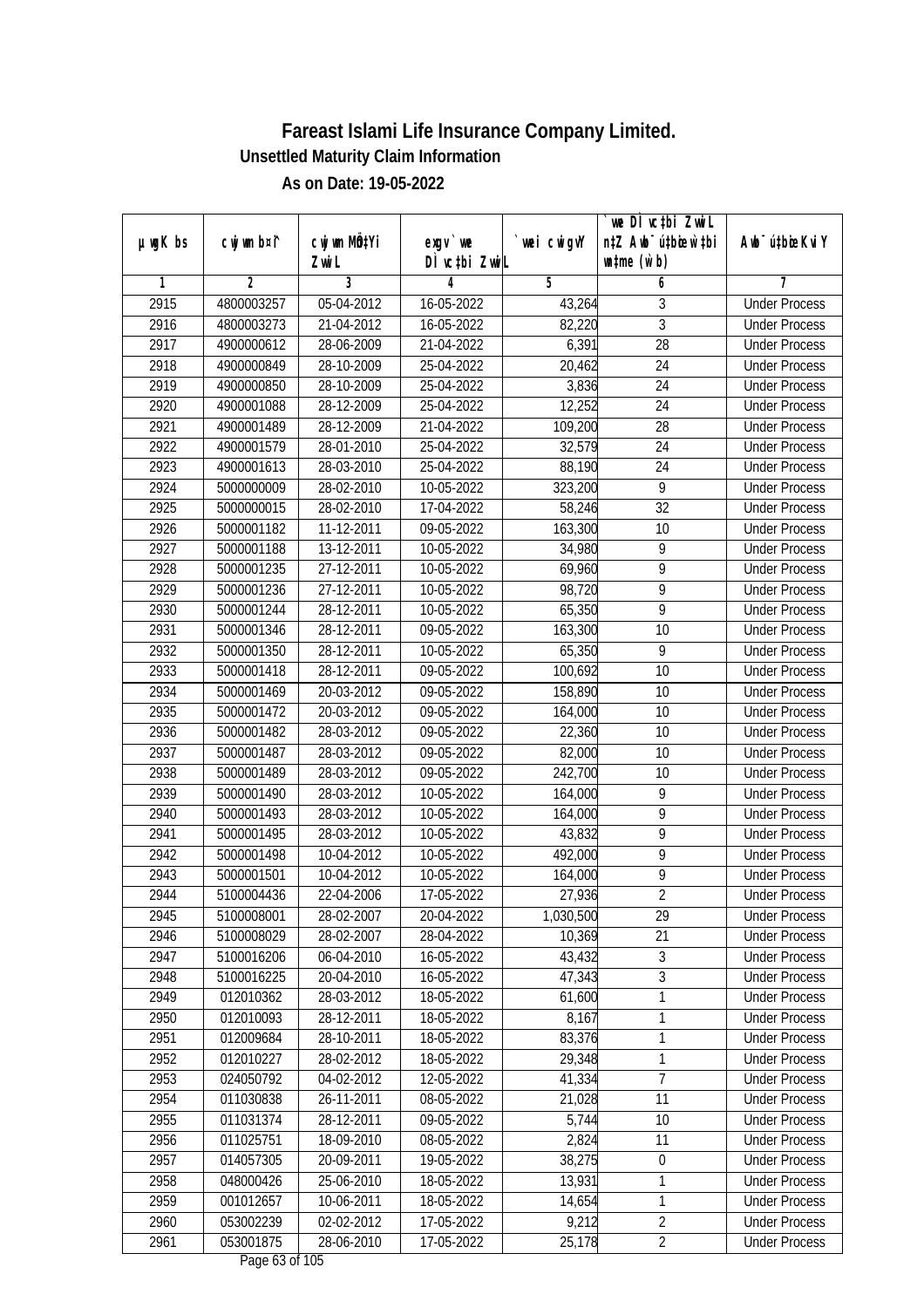|               |                          |                          |                            |                    | we DI vctbi ZwiL                                            |                                              |
|---------------|--------------------------|--------------------------|----------------------------|--------------------|-------------------------------------------------------------|----------------------------------------------|
| $µ$ ug $K$ bs | cwj wm b¤i^              | cwj wm MQtYi<br>Zwi L    | $exgV$ we<br>DÌ vctbi ZwiL | wei cwigvY         | n‡Z Awb <sup>-</sup> ú‡bicen`‡bi<br>$\n  untime\n  (u`b)\n$ | Awb <sup>-</sup> ú‡bioeKviY                  |
| 1             | $\overline{2}$           | 3                        | 4                          | 5                  | 6                                                           | 7                                            |
| 2915          | 4800003257               | 05-04-2012               | 16-05-2022                 | 43,264             | 3                                                           | <b>Under Process</b>                         |
| 2916          | 4800003273               | 21-04-2012               | 16-05-2022                 | 82,220             | $\overline{3}$                                              | <b>Under Process</b>                         |
| 2917          | 4900000612               | 28-06-2009               | 21-04-2022                 | 6,391              | $\overline{28}$                                             | <b>Under Process</b>                         |
| 2918          | 4900000849               | 28-10-2009               | 25-04-2022                 | 20,462             | 24                                                          | <b>Under Process</b>                         |
| 2919          | 4900000850               | 28-10-2009               | 25-04-2022                 | 3,836              | 24                                                          | <b>Under Process</b>                         |
| 2920          | 4900001088               | 28-12-2009               | 25-04-2022                 | 12,252             | $\overline{24}$                                             | <b>Under Process</b>                         |
| 2921          | 4900001489               | 28-12-2009               | 21-04-2022                 | 109,200            | $\overline{28}$                                             | <b>Under Process</b>                         |
| 2922          | 4900001579               | 28-01-2010               | 25-04-2022                 | 32,579             | 24                                                          | <b>Under Process</b>                         |
| 2923          | 4900001613               | 28-03-2010               | 25-04-2022                 | 88,190             | 24                                                          | <b>Under Process</b>                         |
| 2924          | 5000000009               | 28-02-2010               | 10-05-2022                 | 323,200            | 9                                                           | <b>Under Process</b>                         |
| 2925          | 5000000015               | 28-02-2010               | 17-04-2022                 | 58,246             | $\overline{32}$                                             | <b>Under Process</b>                         |
| 2926          | 5000001182               | 11-12-2011               | 09-05-2022                 | 163,300            | 10                                                          | <b>Under Process</b>                         |
| 2927          | 5000001188               | 13-12-2011               | 10-05-2022                 | 34,980             | $\overline{9}$                                              | <b>Under Process</b>                         |
| 2928          | 5000001235               | 27-12-2011               | 10-05-2022                 | 69,960             | 9                                                           | <b>Under Process</b>                         |
| 2929          | 5000001236               | 27-12-2011               | 10-05-2022                 | 98,720             | $\overline{9}$                                              | <b>Under Process</b>                         |
| 2930          | 5000001244               | 28-12-2011               | 10-05-2022                 | 65,350             | $\overline{9}$                                              | <b>Under Process</b>                         |
| 2931          | 5000001346               | 28-12-2011               | 09-05-2022                 | 163,300            | 10                                                          | <b>Under Process</b>                         |
| 2932          | 5000001350               | 28-12-2011               | 10-05-2022                 | 65,350             | 9                                                           | <b>Under Process</b>                         |
| 2933          | 5000001418               | 28-12-2011               | 09-05-2022                 | 100,692            | 10                                                          | <b>Under Process</b>                         |
| 2934          | 5000001469               | 20-03-2012               | 09-05-2022                 | 158,890            | 10                                                          | <b>Under Process</b>                         |
| 2935          | 5000001472               | 20-03-2012               | 09-05-2022                 | 164,000            | 10                                                          | <b>Under Process</b>                         |
| 2936          | 5000001482               | 28-03-2012               | 09-05-2022                 | 22,360             | 10                                                          |                                              |
| 2937          |                          |                          |                            |                    | 10                                                          | <b>Under Process</b><br><b>Under Process</b> |
|               | 5000001487<br>5000001489 | 28-03-2012               | 09-05-2022                 | 82,000             |                                                             |                                              |
| 2938<br>2939  |                          | 28-03-2012               | 09-05-2022                 | 242,700            | 10<br>9                                                     | <b>Under Process</b>                         |
| 2940          | 5000001490<br>5000001493 | 28-03-2012<br>28-03-2012 | 10-05-2022<br>10-05-2022   | 164,000            | 9                                                           | <b>Under Process</b><br><b>Under Process</b> |
| 2941          | 5000001495               | 28-03-2012               |                            | 164,000<br>43,832  | 9                                                           | <b>Under Process</b>                         |
|               |                          |                          | 10-05-2022                 |                    | 9                                                           |                                              |
| 2942          | 5000001498               | 10-04-2012               | 10-05-2022                 | 492,000<br>164,000 | $\overline{9}$                                              | <b>Under Process</b><br><b>Under Process</b> |
| 2943          | 5000001501<br>5100004436 | 10-04-2012<br>22-04-2006 | 10-05-2022                 |                    | $\overline{2}$                                              |                                              |
| 2944          |                          |                          | 17-05-2022                 | 27,936             |                                                             | <b>Under Process</b>                         |
| 2945          | 5100008001               | 28-02-2007<br>28-02-2007 | 20-04-2022                 | 1,030,500          | 29                                                          | <b>Under Process</b>                         |
| 2946          | 5100008029               |                          | 28-04-2022                 | 10,369             | 21                                                          | <b>Under Process</b>                         |
| 2947          | 5100016206               | 06-04-2010               | 16-05-2022                 | 43,432             | $\overline{3}$<br>$\overline{3}$                            | <b>Under Process</b>                         |
| 2948          | 5100016225               | 20-04-2010               | 16-05-2022                 | 47,343             |                                                             | <b>Under Process</b>                         |
| 2949          | 012010362                | 28-03-2012<br>28-12-2011 | 18-05-2022                 | 61,600             | $\mathbf 1$                                                 | <b>Under Process</b><br><b>Under Process</b> |
| 2950          | 012010093                |                          | 18-05-2022                 | 8,167              | 1                                                           |                                              |
| 2951          | 012009684                | 28-10-2011               | 18-05-2022                 | 83,376             | $\mathbf{1}$                                                | <b>Under Process</b>                         |
| 2952          | 012010227                | 28-02-2012               | 18-05-2022                 | 29,348             | $\mathbf{1}$                                                | <b>Under Process</b>                         |
| 2953          | 024050792                | 04-02-2012               | 12-05-2022                 | 41,334             | $\overline{7}$                                              | <b>Under Process</b>                         |
| 2954          | 011030838                | 26-11-2011               | 08-05-2022                 | 21,028             | 11                                                          | <b>Under Process</b>                         |
| 2955          | 011031374                | 28-12-2011               | 09-05-2022                 | 5,744              | 10                                                          | <b>Under Process</b>                         |
| 2956          | 011025751                | 18-09-2010               | 08-05-2022                 | 2,824              | 11                                                          | <b>Under Process</b>                         |
| 2957          | 014057305                | 20-09-2011               | 19-05-2022                 | 38,275             | $\boldsymbol{0}$                                            | <b>Under Process</b>                         |
| 2958          | 048000426                | 25-06-2010               | 18-05-2022                 | 13,931             | 1                                                           | <b>Under Process</b>                         |
| 2959          | 001012657                | 10-06-2011               | 18-05-2022                 | 14,654             | 1                                                           | <b>Under Process</b>                         |
| 2960          | 053002239                | 02-02-2012               | 17-05-2022                 | 9,212              | $\overline{2}$                                              | <b>Under Process</b>                         |
| 2961          | 053001875                | 28-06-2010               | 17-05-2022                 | 25,178             | $\overline{2}$                                              | <b>Under Process</b>                         |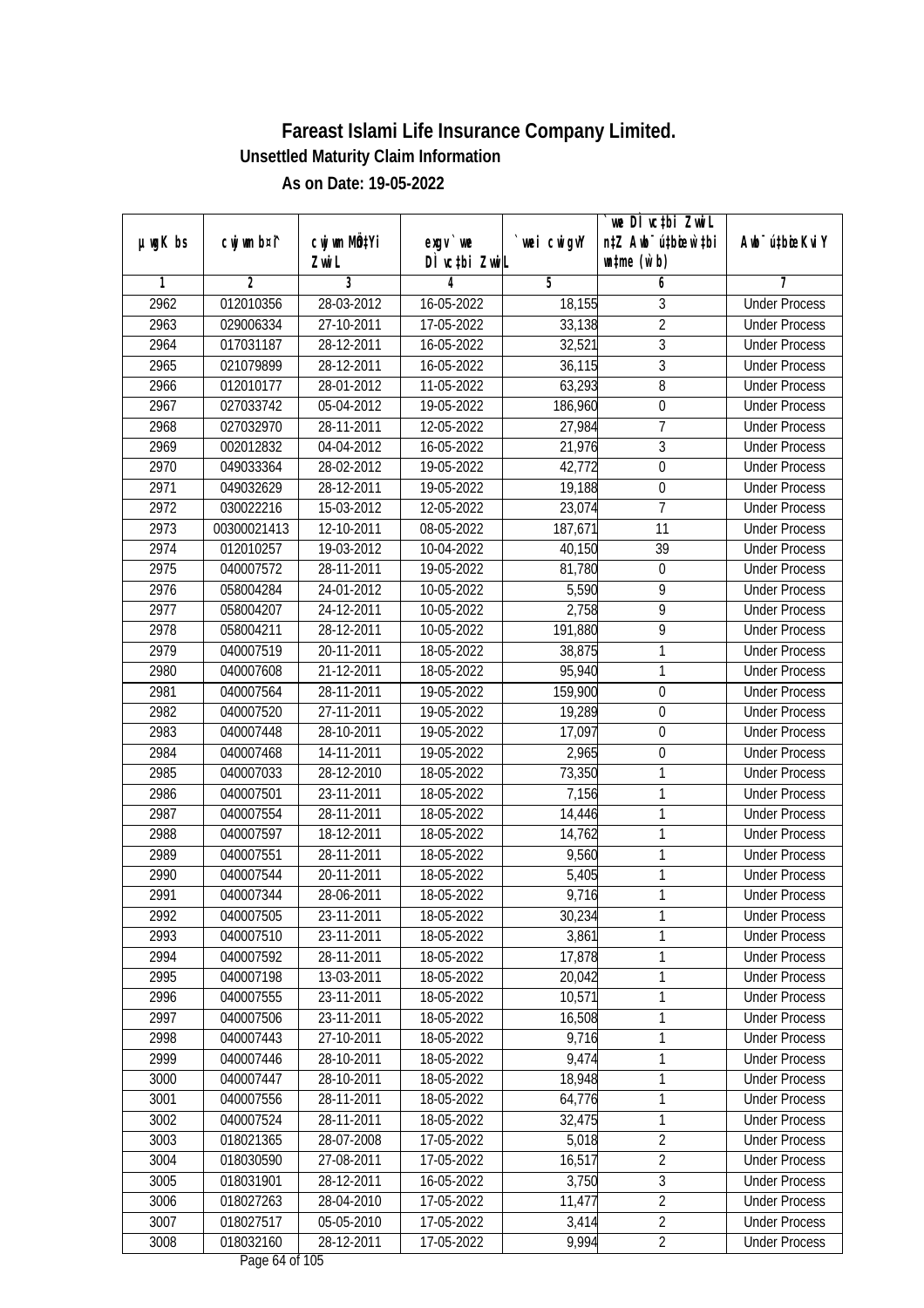|               |                |              |                                                        |             | `we DÌ vc‡bi ZwwiL               |                             |
|---------------|----------------|--------------|--------------------------------------------------------|-------------|----------------------------------|-----------------------------|
| $µ$ ug $K$ bs | cwj wm b¤i^    | cwj wm MQtYi | exgy `we                                               | `wei cwigvY | n‡Z Awb <sup>-</sup> ú‡bioen`‡bi | Awb <sup>-</sup> ú‡bioeKviY |
|               |                | Zwi L        | DÌ vctbi ZwiL                                          |             | $\n  untime\n  (u`b)\n$          |                             |
| 1             | $\overline{2}$ | 3            | 4                                                      | 5           | 6                                | 7                           |
| 2962          | 012010356      | 28-03-2012   | 16-05-2022                                             | 18,155      | 3                                | <b>Under Process</b>        |
| 2963          | 029006334      | 27-10-2011   | 17-05-2022                                             | 33,138      | $\overline{2}$                   | <b>Under Process</b>        |
| 2964          | 017031187      | 28-12-2011   | 16-05-2022                                             | 32,521      | $\overline{3}$                   | <b>Under Process</b>        |
| 2965          | 021079899      | 28-12-2011   | 16-05-2022                                             | 36,115      | $\overline{3}$                   | <b>Under Process</b>        |
| 2966          | 012010177      | 28-01-2012   | 11-05-2022                                             | 63,293      | 8                                | <b>Under Process</b>        |
| 2967          | 027033742      | 05-04-2012   | 19-05-2022                                             | 186,960     | $\boldsymbol{0}$                 | <b>Under Process</b>        |
| 2968          | 027032970      | 28-11-2011   | 12-05-2022                                             | 27,984      | $\overline{7}$                   | <b>Under Process</b>        |
| 2969          | 002012832      | 04-04-2012   | 16-05-2022                                             | 21,976      | $\overline{3}$                   | <b>Under Process</b>        |
| 2970          | 049033364      | 28-02-2012   | 19-05-2022                                             | 42,772      | $\boldsymbol{0}$                 | <b>Under Process</b>        |
| 2971          | 049032629      | $28-12-2011$ | 19-05-2022                                             | 19,188      | $\boldsymbol{0}$                 | <b>Under Process</b>        |
| 2972          | 030022216      | 15-03-2012   | 12-05-2022                                             | 23,074      | 7                                | <b>Under Process</b>        |
| 2973          | 00300021413    | 12-10-2011   | 08-05-2022                                             | 187,671     | 11                               | <b>Under Process</b>        |
| 2974          | 012010257      | 19-03-2012   | 10-04-2022                                             | 40,150      | $\overline{39}$                  | <b>Under Process</b>        |
| 2975          | 040007572      | 28-11-2011   | 19-05-2022                                             | 81,780      | $\boldsymbol{0}$                 | <b>Under Process</b>        |
| 2976          | 058004284      | 24-01-2012   | 10-05-2022                                             | 5,590       | 9                                | <b>Under Process</b>        |
| 2977          | 058004207      | 24-12-2011   | 10-05-2022                                             | 2,758       | 9                                | <b>Under Process</b>        |
| 2978          | 058004211      | 28-12-2011   | 10-05-2022                                             | 191,880     | 9                                | <b>Under Process</b>        |
| 2979          | 040007519      | 20-11-2011   | 18-05-2022                                             | 38,875      | 1                                | <b>Under Process</b>        |
| 2980          | 040007608      | 21-12-2011   | 18-05-2022                                             | 95,940      | 1                                | <b>Under Process</b>        |
| 2981          | 040007564      | 28-11-2011   | 19-05-2022                                             | 159,900     | $\boldsymbol{0}$                 | <b>Under Process</b>        |
| 2982          | 040007520      | 27-11-2011   | 19-05-2022                                             | 19,289      | $\boldsymbol{0}$                 | <b>Under Process</b>        |
| 2983          | 040007448      | 28-10-2011   | 19-05-2022                                             | 17,097      | 0                                | <b>Under Process</b>        |
| 2984          | 040007468      | 14-11-2011   | 19-05-2022                                             | 2,965       | $\pmb{0}$                        | <b>Under Process</b>        |
| 2985          | 040007033      | 28-12-2010   | 18-05-2022                                             | 73,350      | 1                                | <b>Under Process</b>        |
| 2986          | 040007501      | 23-11-2011   | 18-05-2022                                             | 7,156       | 1                                | <b>Under Process</b>        |
| 2987          | 040007554      | 28-11-2011   | 18-05-2022                                             | 14,446      | 1                                | <b>Under Process</b>        |
| 2988          | 040007597      | 18-12-2011   | 18-05-2022                                             | 14,762      | 1                                | <b>Under Process</b>        |
| 2989          | 040007551      | 28-11-2011   | 18-05-2022                                             | 9,560       | 1                                | <b>Under Process</b>        |
| 2990          | 040007544      | 20-11-2011   | 18-05-2022                                             | 5,405       | 1                                | <b>Under Process</b>        |
| 2991          | 040007344      | 28-06-2011   | 18-05-2022                                             | 9,716       | 1                                | <b>Under Process</b>        |
| 2992          | 040007505      | 23-11-2011   | 18-05-2022                                             | 30,234      | 1                                | <b>Under Process</b>        |
| 2993          | 040007510      | 23-11-2011   | 18-05-2022                                             | 3,861       | 1                                | <b>Under Process</b>        |
| 2994          | 040007592      | 28-11-2011   | 18-05-2022                                             | 17,878      | 1                                | <b>Under Process</b>        |
| 2995          | 040007198      | 13-03-2011   | 18-05-2022                                             | 20,042      | 1                                | <b>Under Process</b>        |
| 2996          | 040007555      | 23-11-2011   | 18-05-2022                                             | 10,571      | 1                                | <b>Under Process</b>        |
| 2997          | 040007506      | 23-11-2011   | 18-05-2022                                             | 16,508      | 1                                | <b>Under Process</b>        |
| 2998          | 040007443      | 27-10-2011   | 18-05-2022                                             | 9,716       | 1                                | <b>Under Process</b>        |
| 2999          | 040007446      | 28-10-2011   | 18-05-2022                                             | 9,474       | 1                                | <b>Under Process</b>        |
| 3000          | 040007447      | 28-10-2011   | 18-05-2022                                             | 18,948      | 1                                | <b>Under Process</b>        |
| 3001          | 040007556      | 28-11-2011   | 18-05-2022                                             | 64,776      | 1                                | <b>Under Process</b>        |
| 3002          | 040007524      | 28-11-2011   | 18-05-2022                                             | 32,475      | 1                                | <b>Under Process</b>        |
| 3003          | 018021365      | 28-07-2008   | 17-05-2022                                             | 5,018       | $\overline{2}$                   | <b>Under Process</b>        |
| 3004          | 018030590      | 27-08-2011   | 17-05-2022                                             | 16,517      | $\overline{2}$                   | <b>Under Process</b>        |
| 3005          | 018031901      | 28-12-2011   | 16-05-2022                                             | 3,750       | $\overline{3}$                   | <b>Under Process</b>        |
| 3006          | 018027263      | 28-04-2010   | 17-05-2022                                             | 11,477      | $\overline{2}$                   | <b>Under Process</b>        |
| 3007          | 018027517      | 05-05-2010   | 17-05-2022                                             | 3,414       | $\overline{2}$                   | <b>Under Process</b>        |
| 3008          | 018032160      | 28-12-2011   | 17-05-2022<br>$D_{\text{max}}$ / $\ell$ of 10 $\Gamma$ | 9,994       | $\overline{2}$                   | <b>Under Process</b>        |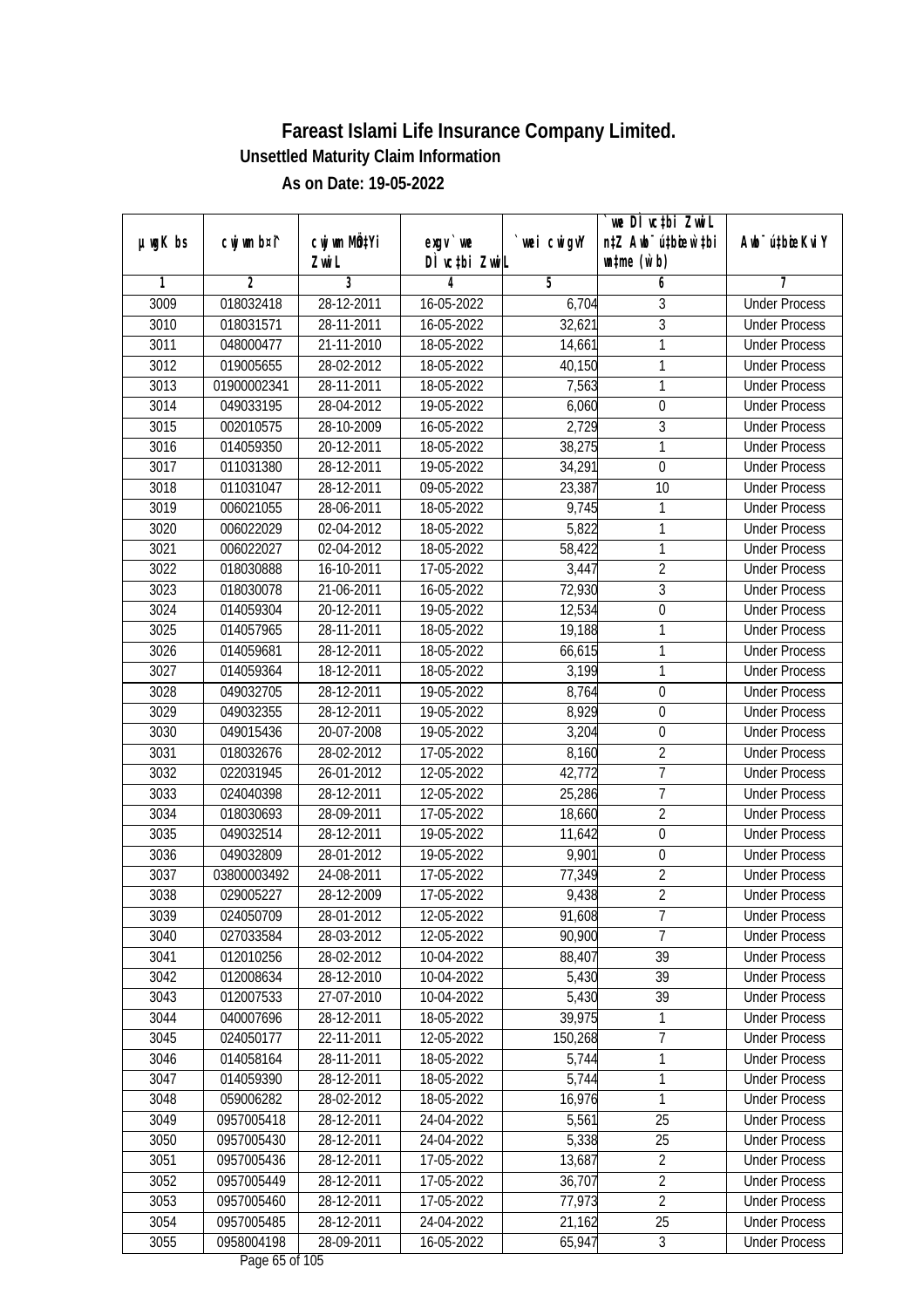|               |                        |                          |                           |            | we DI vctbi ZwiL                                            |                             |
|---------------|------------------------|--------------------------|---------------------------|------------|-------------------------------------------------------------|-----------------------------|
| $µ$ ug $K$ bs | cwj wm b¤i^            | cwj wm MQtYi<br>Zwi L    | exgv `we<br>DÌ vctbi ZwiL | wei cwigvY | n‡Z Awb <sup>-</sup> ú‡bioar`‡bi<br>$\n  untime\n  (u`b)\n$ | Awb <sup>-</sup> ú‡bioeKviY |
| 1             | $\overline{2}$         | 3                        | 4                         | 5          | 6                                                           | 7                           |
| 3009          | 018032418              | 28-12-2011               | 16-05-2022                | 6,704      | 3                                                           | <b>Under Process</b>        |
| 3010          | 018031571              | 28-11-2011               | $16 - 05 - 2022$          | 32,621     | $\overline{3}$                                              | <b>Under Process</b>        |
| 3011          | 048000477              | 21-11-2010               | 18-05-2022                | 14,661     | 1                                                           | <b>Under Process</b>        |
| 3012          | 019005655              | 28-02-2012               | 18-05-2022                | 40,150     | 1                                                           | <b>Under Process</b>        |
| 3013          | 01900002341            | 28-11-2011               | 18-05-2022                | 7,563      | 1                                                           | <b>Under Process</b>        |
| 3014          |                        |                          |                           |            |                                                             | <b>Under Process</b>        |
|               | 049033195<br>002010575 | 28-04-2012<br>28-10-2009 | 19-05-2022                | 6,060      | $\boldsymbol{0}$                                            |                             |
| 3015          |                        |                          | $16 - 05 - 2022$          | 2,729      | 3                                                           | <b>Under Process</b>        |
| 3016          | 014059350              | 20-12-2011               | 18-05-2022                | 38,275     | 1                                                           | <b>Under Process</b>        |
| 3017          | 011031380              | 28-12-2011               | 19-05-2022                | 34,291     | $\mathbf 0$                                                 | <b>Under Process</b>        |
| 3018          | 011031047              | 28-12-2011               | 09-05-2022                | 23,387     | 10                                                          | <b>Under Process</b>        |
| 3019          | 006021055              | 28-06-2011               | 18-05-2022                | 9,745      | 1                                                           | <b>Under Process</b>        |
| 3020          | 006022029              | 02-04-2012               | 18-05-2022                | 5,822      | 1                                                           | <b>Under Process</b>        |
| 3021          | 006022027              | 02-04-2012               | 18-05-2022                | 58,422     | 1                                                           | <b>Under Process</b>        |
| 3022          | 018030888              | 16-10-2011               | 17-05-2022                | 3,447      | $\overline{2}$                                              | <b>Under Process</b>        |
| 3023          | 018030078              | 21-06-2011               | 16-05-2022                | 72,930     | 3                                                           | <b>Under Process</b>        |
| 3024          | 014059304              | 20-12-2011               | 19-05-2022                | 12,534     | $\boldsymbol{0}$                                            | <b>Under Process</b>        |
| 3025          | 014057965              | 28-11-2011               | 18-05-2022                | 19,188     | 1                                                           | <b>Under Process</b>        |
| 3026          | 014059681              | 28-12-2011               | 18-05-2022                | 66,615     | 1                                                           | <b>Under Process</b>        |
| 3027          | 014059364              | 18-12-2011               | 18-05-2022                | 3,199      | $\mathbf{1}$                                                | <b>Under Process</b>        |
| 3028          | 049032705              | 28-12-2011               | 19-05-2022                | 8,764      | $\boldsymbol{0}$                                            | <b>Under Process</b>        |
| 3029          | 049032355              | 28-12-2011               | 19-05-2022                | 8,929      | $\mathbf 0$                                                 | <b>Under Process</b>        |
| 3030          | 049015436              | 20-07-2008               | 19-05-2022                | 3,204      | $\mathbf 0$                                                 | <b>Under Process</b>        |
| 3031          | 018032676              | 28-02-2012               | 17-05-2022                | 8,160      | $\overline{2}$                                              | <b>Under Process</b>        |
| 3032          | 022031945              | 26-01-2012               | 12-05-2022                | 42,772     | $\overline{7}$                                              | <b>Under Process</b>        |
| 3033          | 024040398              | 28-12-2011               | 12-05-2022                | 25,286     | $\overline{1}$                                              | <b>Under Process</b>        |
| 3034          | 018030693              | 28-09-2011               | 17-05-2022                | 18,660     | $\overline{2}$                                              | <b>Under Process</b>        |
| 3035          | 049032514              | 28-12-2011               | 19-05-2022                | 11,642     | $\mathbf 0$                                                 | <b>Under Process</b>        |
| 3036          | 049032809              | 28-01-2012               | 19-05-2022                | 9,901      | $\boldsymbol{0}$                                            | <b>Under Process</b>        |
| 3037          | 03800003492            | 24-08-2011               | 17-05-2022                | 77,349     | $\overline{2}$                                              | <b>Under Process</b>        |
| 3038          | 029005227              | 28-12-2009               | 17-05-2022                | 9,438      | $\overline{2}$                                              | <b>Under Process</b>        |
| 3039          | 024050709              | 28-01-2012               | 12-05-2022                | 91,608     | 7                                                           | <b>Under Process</b>        |
| 3040          | 027033584              | 28-03-2012               | 12-05-2022                | 90,900     | 7                                                           | <b>Under Process</b>        |
| 3041          | 012010256              | 28-02-2012               | 10-04-2022                | 88,407     | 39                                                          | <b>Under Process</b>        |
| 3042          | 012008634              | 28-12-2010               | 10-04-2022                | 5,430      | 39                                                          | <b>Under Process</b>        |
| 3043          | 012007533              | 27-07-2010               | 10-04-2022                | 5,430      | 39                                                          | <b>Under Process</b>        |
| 3044          | 040007696              | 28-12-2011               | 18-05-2022                | 39,975     | 1                                                           | <b>Under Process</b>        |
| 3045          | 024050177              | 22-11-2011               | 12-05-2022                | 150,268    | $\overline{7}$                                              | <b>Under Process</b>        |
| 3046          | 014058164              | 28-11-2011               | 18-05-2022                | 5,744      | 1                                                           | <b>Under Process</b>        |
| 3047          | 014059390              | 28-12-2011               | 18-05-2022                | 5,744      | 1                                                           | <b>Under Process</b>        |
| 3048          | 059006282              | 28-02-2012               | 18-05-2022                | 16,976     | 1                                                           | <b>Under Process</b>        |
| 3049          | 0957005418             | 28-12-2011               | 24-04-2022                | 5,561      | 25                                                          | <b>Under Process</b>        |
| 3050          | 0957005430             | 28-12-2011               | 24-04-2022                | 5,338      | 25                                                          | <b>Under Process</b>        |
| 3051          | 0957005436             | 28-12-2011               | 17-05-2022                | 13,687     | $\overline{2}$                                              | <b>Under Process</b>        |
| 3052          | 0957005449             | 28-12-2011               | 17-05-2022                | 36,707     | $\overline{2}$                                              | <b>Under Process</b>        |
| 3053          | 0957005460             | 28-12-2011               | 17-05-2022                | 77,973     | $\overline{2}$                                              | <b>Under Process</b>        |
| 3054          | 0957005485             | 28-12-2011               | 24-04-2022                | 21,162     | 25                                                          | <b>Under Process</b>        |
| 3055          | 0958004198             | 28-09-2011               | 16-05-2022                | 65,947     | $\mathfrak{Z}$                                              | <b>Under Process</b>        |
|               |                        |                          |                           |            |                                                             |                             |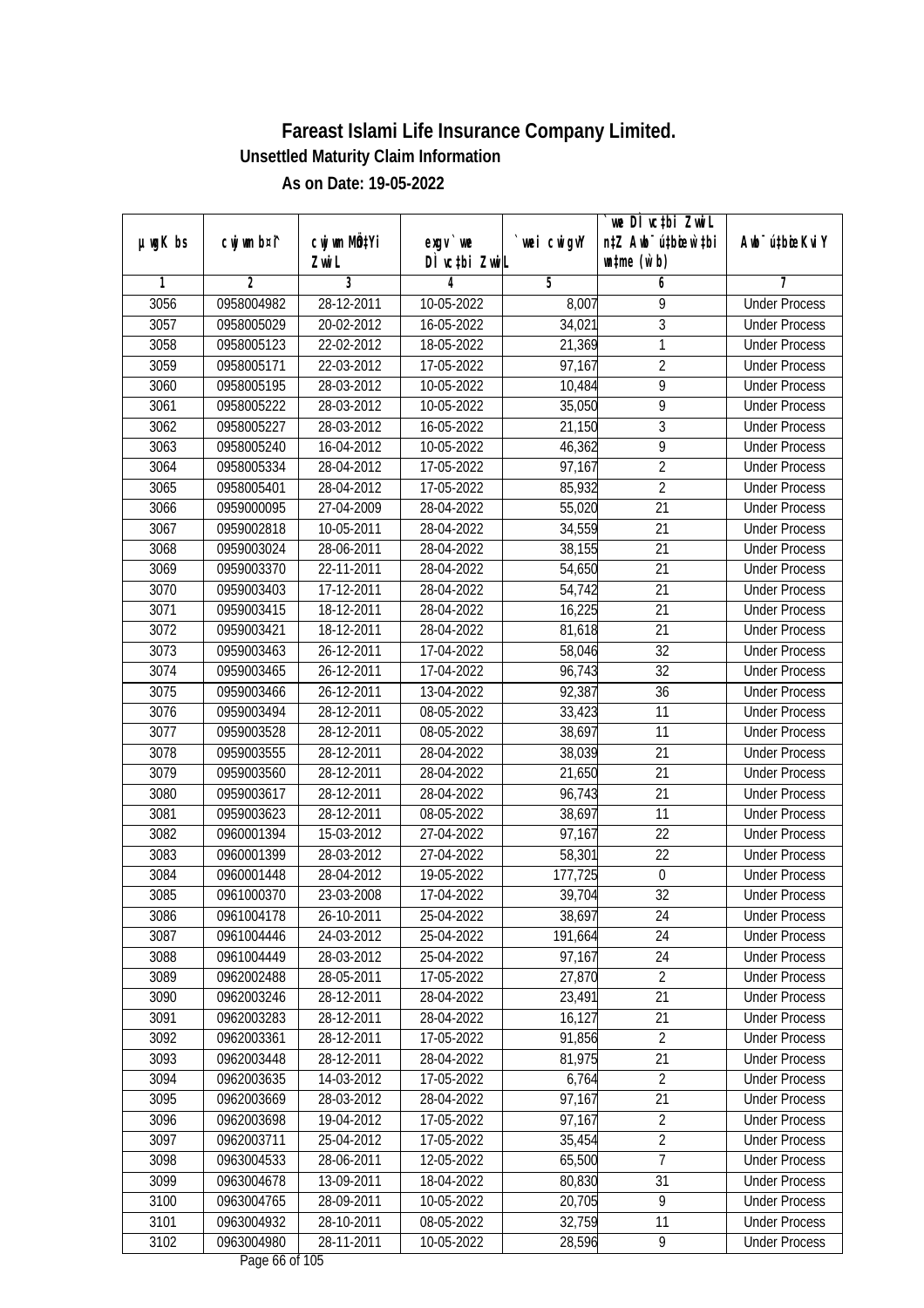|               |                |                       |                            |            | we DI vctbi ZwiL                                            |                             |
|---------------|----------------|-----------------------|----------------------------|------------|-------------------------------------------------------------|-----------------------------|
| $µ$ ug $K$ bs | cwj wm b¤i^    | cwj wm MQtYi<br>Zwi L | $exgV$ we<br>DÌ vctbi ZwiL | wei cwigvY | n‡Z Awb <sup>-</sup> ú‡bioar`‡bi<br>$\n  untime\n  (u`b)\n$ | Awb <sup>-</sup> ú‡bioeKviY |
| 1             | $\overline{2}$ | 3                     | 4                          | 5          | 6                                                           | 7                           |
| 3056          | 0958004982     | 28-12-2011            | 10-05-2022                 | 8,007      | 9                                                           | <b>Under Process</b>        |
| 3057          | 0958005029     | 20-02-2012            | 16-05-2022                 | 34,021     | $\overline{3}$                                              | <b>Under Process</b>        |
| 3058          | 0958005123     | 22-02-2012            | 18-05-2022                 | 21,369     | 1                                                           | <b>Under Process</b>        |
| 3059          | 0958005171     | 22-03-2012            | 17-05-2022                 | 97,167     | $\overline{2}$                                              | <b>Under Process</b>        |
| 3060          | 0958005195     | 28-03-2012            | 10-05-2022                 | 10,484     | $\overline{9}$                                              | <b>Under Process</b>        |
| 3061          | 0958005222     | 28-03-2012            | 10-05-2022                 | 35,050     | $\overline{9}$                                              | <b>Under Process</b>        |
| 3062          | 0958005227     | 28-03-2012            | $16 - 05 - 2022$           | 21,150     | 3                                                           | <b>Under Process</b>        |
| 3063          | 0958005240     | 16-04-2012            | 10-05-2022                 | 46,362     | $\overline{9}$                                              | <b>Under Process</b>        |
| 3064          | 0958005334     | 28-04-2012            | 17-05-2022                 | 97,167     | $\overline{2}$                                              | <b>Under Process</b>        |
| 3065          | 0958005401     | 28-04-2012            | 17-05-2022                 | 85,932     | $\overline{2}$                                              | <b>Under Process</b>        |
| 3066          | 0959000095     | 27-04-2009            | 28-04-2022                 | 55,020     | $\overline{21}$                                             | <b>Under Process</b>        |
|               |                |                       |                            |            |                                                             |                             |
| 3067          | 0959002818     | 10-05-2011            | 28-04-2022                 | 34,559     | 21<br>$\overline{21}$                                       | <b>Under Process</b>        |
| 3068          | 0959003024     | 28-06-2011            | 28-04-2022                 | 38,155     |                                                             | <b>Under Process</b>        |
| 3069          | 0959003370     | 22-11-2011            | 28-04-2022                 | 54,650     | 21                                                          | <b>Under Process</b>        |
| 3070          | 0959003403     | 17-12-2011            | 28-04-2022                 | 54,742     | 21                                                          | <b>Under Process</b>        |
| 3071          | 0959003415     | 18-12-2011            | 28-04-2022                 | 16,225     | 21                                                          | <b>Under Process</b>        |
| 3072          | 0959003421     | 18-12-2011            | 28-04-2022                 | 81,618     | 21                                                          | <b>Under Process</b>        |
| 3073          | 0959003463     | 26-12-2011            | 17-04-2022                 | 58,046     | 32                                                          | <b>Under Process</b>        |
| 3074          | 0959003465     | 26-12-2011            | 17-04-2022                 | 96,743     | 32                                                          | <b>Under Process</b>        |
| 3075          | 0959003466     | 26-12-2011            | 13-04-2022                 | 92,387     | 36                                                          | <b>Under Process</b>        |
| 3076          | 0959003494     | 28-12-2011            | 08-05-2022                 | 33,423     | 11                                                          | <b>Under Process</b>        |
| 3077          | 0959003528     | $28 - 12 - 2011$      | 08-05-2022                 | 38,697     | 11                                                          | <b>Under Process</b>        |
| 3078          | 0959003555     | 28-12-2011            | 28-04-2022                 | 38,039     | 21                                                          | <b>Under Process</b>        |
| 3079          | 0959003560     | 28-12-2011            | 28-04-2022                 | 21,650     | 21                                                          | <b>Under Process</b>        |
| 3080          | 0959003617     | 28-12-2011            | 28-04-2022                 | 96,743     | 21                                                          | <b>Under Process</b>        |
| 3081          | 0959003623     | 28-12-2011            | 08-05-2022                 | 38,697     | 11                                                          | <b>Under Process</b>        |
| 3082          | 0960001394     | 15-03-2012            | 27-04-2022                 | 97,167     | 22                                                          | <b>Under Process</b>        |
| 3083          | 0960001399     | 28-03-2012            | 27-04-2022                 | 58,301     | 22                                                          | <b>Under Process</b>        |
| 3084          | 0960001448     | 28-04-2012            | 19-05-2022                 | 177,725    | $\boldsymbol{0}$                                            | <b>Under Process</b>        |
| 3085          | 0961000370     | 23-03-2008            | 17-04-2022                 | 39,704     | 32                                                          | <b>Under Process</b>        |
| 3086          | 0961004178     | 26-10-2011            | 25-04-2022                 | 38,697     | 24                                                          | <b>Under Process</b>        |
| 3087          | 0961004446     | 24-03-2012            | 25-04-2022                 | 191,664    | 24                                                          | <b>Under Process</b>        |
| 3088          | 0961004449     | 28-03-2012            | 25-04-2022                 | 97,167     | 24                                                          | <b>Under Process</b>        |
| 3089          | 0962002488     | 28-05-2011            | 17-05-2022                 | 27,870     | $\overline{2}$                                              | <b>Under Process</b>        |
| 3090          | 0962003246     | 28-12-2011            | 28-04-2022                 | 23,491     | 21                                                          | <b>Under Process</b>        |
| 3091          | 0962003283     | 28-12-2011            | 28-04-2022                 | 16,127     | 21                                                          | <b>Under Process</b>        |
| 3092          | 0962003361     | 28-12-2011            | 17-05-2022                 | 91,856     | $\overline{2}$                                              | <b>Under Process</b>        |
| 3093          | 0962003448     | 28-12-2011            | 28-04-2022                 | 81,975     | 21                                                          | <b>Under Process</b>        |
| 3094          | 0962003635     | 14-03-2012            | 17-05-2022                 | 6,764      | $\overline{2}$                                              | <b>Under Process</b>        |
| 3095          | 0962003669     | 28-03-2012            | 28-04-2022                 | 97,167     | 21                                                          | <b>Under Process</b>        |
| 3096          | 0962003698     | 19-04-2012            | 17-05-2022                 | 97,167     | $\overline{2}$                                              | <b>Under Process</b>        |
| 3097          | 0962003711     | 25-04-2012            | 17-05-2022                 | 35,454     | $\overline{2}$                                              | <b>Under Process</b>        |
| 3098          | 0963004533     | 28-06-2011            | 12-05-2022                 | 65,500     | 7                                                           | <b>Under Process</b>        |
| 3099          | 0963004678     | 13-09-2011            | 18-04-2022                 | 80,830     | 31                                                          | <b>Under Process</b>        |
| 3100          | 0963004765     | 28-09-2011            | 10-05-2022                 | 20,705     | $\overline{9}$                                              | <b>Under Process</b>        |
| 3101          | 0963004932     | 28-10-2011            | 08-05-2022                 | 32,759     | 11                                                          | <b>Under Process</b>        |
| 3102          | 0963004980     | 28-11-2011            | 10-05-2022                 | 28,596     | 9                                                           | <b>Under Process</b>        |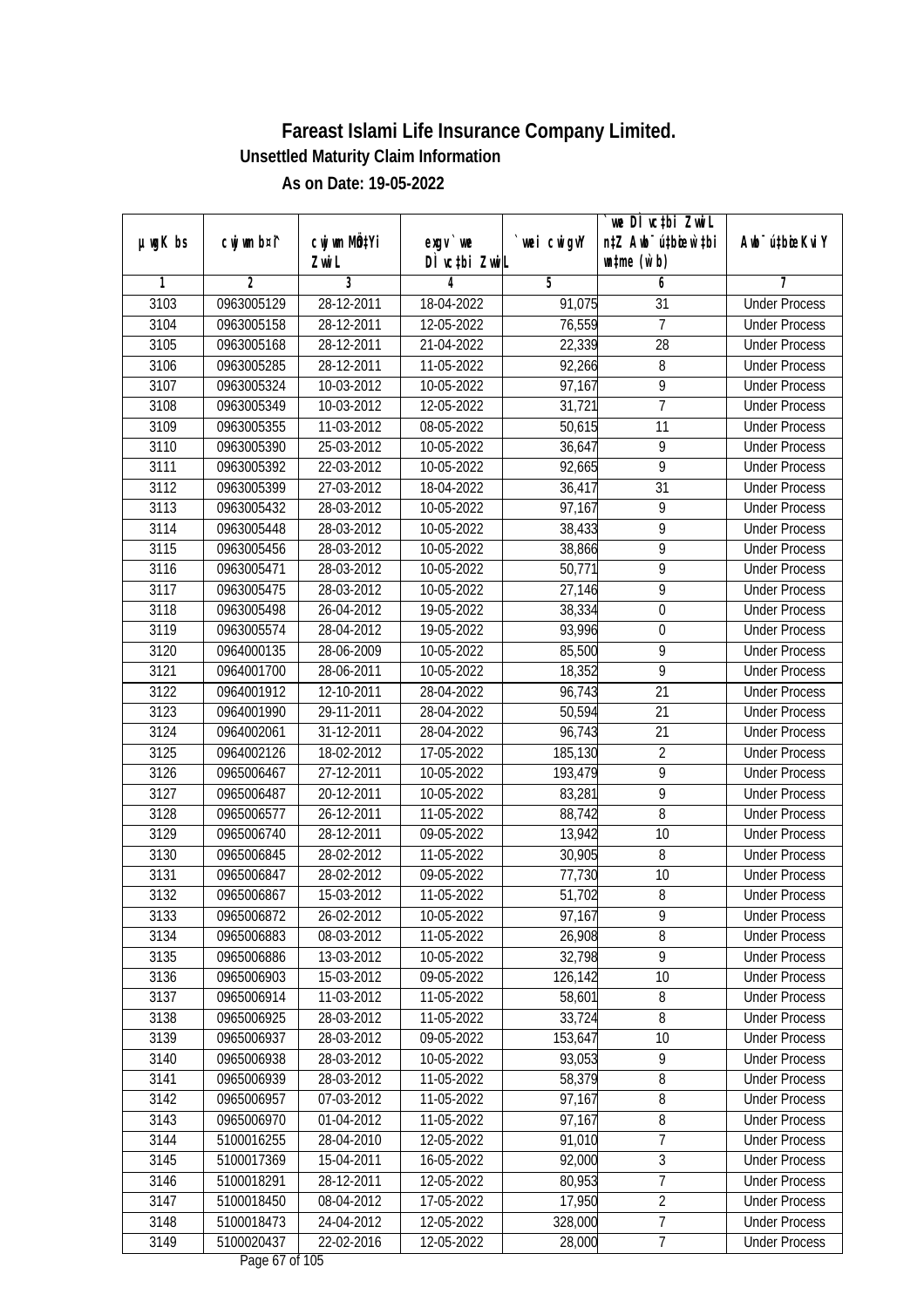|               |                |                       |                                   |            | we DI vctbi ZwiL<br>n‡Z Awb <sup>-</sup> ú‡bioen`‡bi |                             |
|---------------|----------------|-----------------------|-----------------------------------|------------|------------------------------------------------------|-----------------------------|
| $µ$ ug $K$ bs | cwj wm b¤i^    | cwj wm MÖ¢Yi<br>Zwi L | $exgV$ we<br>DÌ vctbi ZwiL        | wei cwigvY | $\n  untime\n  (u`b)\n$                              | Awb <sup>-</sup> ú‡bioeKviY |
| 1             | $\overline{2}$ | 3                     | 4                                 | 5          | 6                                                    | 7                           |
| 3103          | 0963005129     | 28-12-2011            | 18-04-2022                        | 91,075     | $\overline{31}$                                      | <b>Under Process</b>        |
| 3104          | 0963005158     | 28-12-2011            | 12-05-2022                        | 76,559     | $\overline{7}$                                       | <b>Under Process</b>        |
| 3105          | 0963005168     | 28-12-2011            | 21-04-2022                        | 22,339     | $\overline{28}$                                      | <b>Under Process</b>        |
| 3106          | 0963005285     | 28-12-2011            | 11-05-2022                        | 92,266     | 8                                                    | <b>Under Process</b>        |
| 3107          | 0963005324     | 10-03-2012            | 10-05-2022                        | 97,167     | $\overline{9}$                                       | <b>Under Process</b>        |
| 3108          | 0963005349     | 10-03-2012            | 12-05-2022                        | 31,721     | $\overline{7}$                                       | <b>Under Process</b>        |
| 3109          | 0963005355     | 11-03-2012            | $08-05-2022$                      | 50,615     | 11                                                   | <b>Under Process</b>        |
| 3110          | 0963005390     | 25-03-2012            | 10-05-2022                        | 36,647     | $\overline{9}$                                       | <b>Under Process</b>        |
| 3111          | 0963005392     | 22-03-2012            | 10-05-2022                        | 92,665     | $\overline{9}$                                       | <b>Under Process</b>        |
| 3112          | 0963005399     | $27 - 03 - 2012$      | 18-04-2022                        | 36,417     | 31                                                   | <b>Under Process</b>        |
| 3113          | 0963005432     | 28-03-2012            | 10-05-2022                        | 97,167     | $\overline{9}$                                       | <b>Under Process</b>        |
| 3114          | 0963005448     | 28-03-2012            | 10-05-2022                        | 38,433     | 9                                                    | <b>Under Process</b>        |
| 3115          | 0963005456     | 28-03-2012            | 10-05-2022                        | 38,866     | $\overline{9}$                                       | <b>Under Process</b>        |
| 3116          | 0963005471     | 28-03-2012            | 10-05-2022                        | 50,771     | 9                                                    | <b>Under Process</b>        |
| 3117          | 0963005475     | 28-03-2012            | 10-05-2022                        | 27,146     | $\overline{9}$                                       | <b>Under Process</b>        |
| 3118          | 0963005498     | 26-04-2012            | 19-05-2022                        | 38,334     | $\mathbf 0$                                          | <b>Under Process</b>        |
| 3119          | 0963005574     | 28-04-2012            | 19-05-2022                        | 93,996     | $\boldsymbol{0}$                                     | <b>Under Process</b>        |
| 3120          | 0964000135     | 28-06-2009            | 10-05-2022                        | 85,500     | 9                                                    | <b>Under Process</b>        |
| 3121          | 0964001700     | 28-06-2011            | 10-05-2022                        | 18,352     | $\overline{9}$                                       | <b>Under Process</b>        |
| 3122          | 0964001912     | 12-10-2011            | 28-04-2022                        | 96,743     | 21                                                   | <b>Under Process</b>        |
| 3123          | 0964001990     | 29-11-2011            | 28-04-2022                        | 50,594     | 21                                                   | <b>Under Process</b>        |
| 3124          | 0964002061     | 31-12-2011            | 28-04-2022                        | 96,743     | 21                                                   | <b>Under Process</b>        |
| 3125          | 0964002126     | 18-02-2012            | 17-05-2022                        | 185,130    | $\overline{2}$                                       | <b>Under Process</b>        |
| 3126          | 0965006467     | 27-12-2011            | 10-05-2022                        | 193,479    | $\overline{9}$                                       | <b>Under Process</b>        |
| 3127          | 0965006487     | 20-12-2011            | 10-05-2022                        | 83,281     | $\overline{9}$                                       | <b>Under Process</b>        |
| 3128          | 0965006577     | 26-12-2011            | 11-05-2022                        | 88,742     | 8                                                    | <b>Under Process</b>        |
| 3129          | 0965006740     | 28-12-2011            | 09-05-2022                        | 13,942     | 10                                                   | <b>Under Process</b>        |
| 3130          | 0965006845     | 28-02-2012            | 11-05-2022                        | 30,905     | 8                                                    | <b>Under Process</b>        |
| 3131          | 0965006847     | 28-02-2012            | 09-05-2022                        | 77,730     | 10                                                   | <b>Under Process</b>        |
| 3132          | 0965006867     | 15-03-2012            | 11-05-2022                        | 51,702     | 8                                                    | <b>Under Process</b>        |
| 3133          | 0965006872     | 26-02-2012            | 10-05-2022                        | 97,167     | 9                                                    | <b>Under Process</b>        |
| 3134          | 0965006883     | 08-03-2012            | 11-05-2022                        | 26,908     | 8                                                    | <b>Under Process</b>        |
| 3135          | 0965006886     | 13-03-2012            | 10-05-2022                        | 32,798     | 9                                                    | <b>Under Process</b>        |
| 3136          | 0965006903     | 15-03-2012            | 09-05-2022                        | 126,142    | 10                                                   | <b>Under Process</b>        |
| 3137          | 0965006914     | 11-03-2012            | 11-05-2022                        | 58,601     | 8                                                    | <b>Under Process</b>        |
| 3138          | 0965006925     | 28-03-2012            | 11-05-2022                        | 33,724     | 8                                                    | <b>Under Process</b>        |
| 3139          | 0965006937     | 28-03-2012            | 09-05-2022                        | 153,647    | 10                                                   | <b>Under Process</b>        |
| 3140          | 0965006938     | 28-03-2012            | 10-05-2022                        | 93,053     | $\overline{9}$                                       | <b>Under Process</b>        |
| 3141          | 0965006939     | 28-03-2012            | 11-05-2022                        | 58,379     | $\overline{\bf 8}$                                   | <b>Under Process</b>        |
| 3142          | 0965006957     | 07-03-2012            | 11-05-2022                        | 97,167     | 8                                                    | <b>Under Process</b>        |
| 3143          | 0965006970     | 01-04-2012            | 11-05-2022                        | 97,167     | 8                                                    | <b>Under Process</b>        |
| 3144          | 5100016255     | 28-04-2010            | 12-05-2022                        | 91,010     | 7                                                    | <b>Under Process</b>        |
| 3145          | 5100017369     | 15-04-2011            | 16-05-2022                        | 92,000     | $\overline{3}$                                       | <b>Under Process</b>        |
| 3146          | 5100018291     | 28-12-2011            | 12-05-2022                        | 80,953     | $\overline{7}$                                       | <b>Under Process</b>        |
| 3147          | 5100018450     | 08-04-2012            | 17-05-2022                        | 17,950     | $\overline{2}$                                       | <b>Under Process</b>        |
| 3148          | 5100018473     | 24-04-2012            | 12-05-2022                        | 328,000    | $\overline{7}$                                       | <b>Under Process</b>        |
| 3149          | 5100020437     | 22-02-2016            | 12-05-2022<br>Dege $L7$ of 10 $E$ | 28,000     | $\overline{7}$                                       | <b>Under Process</b>        |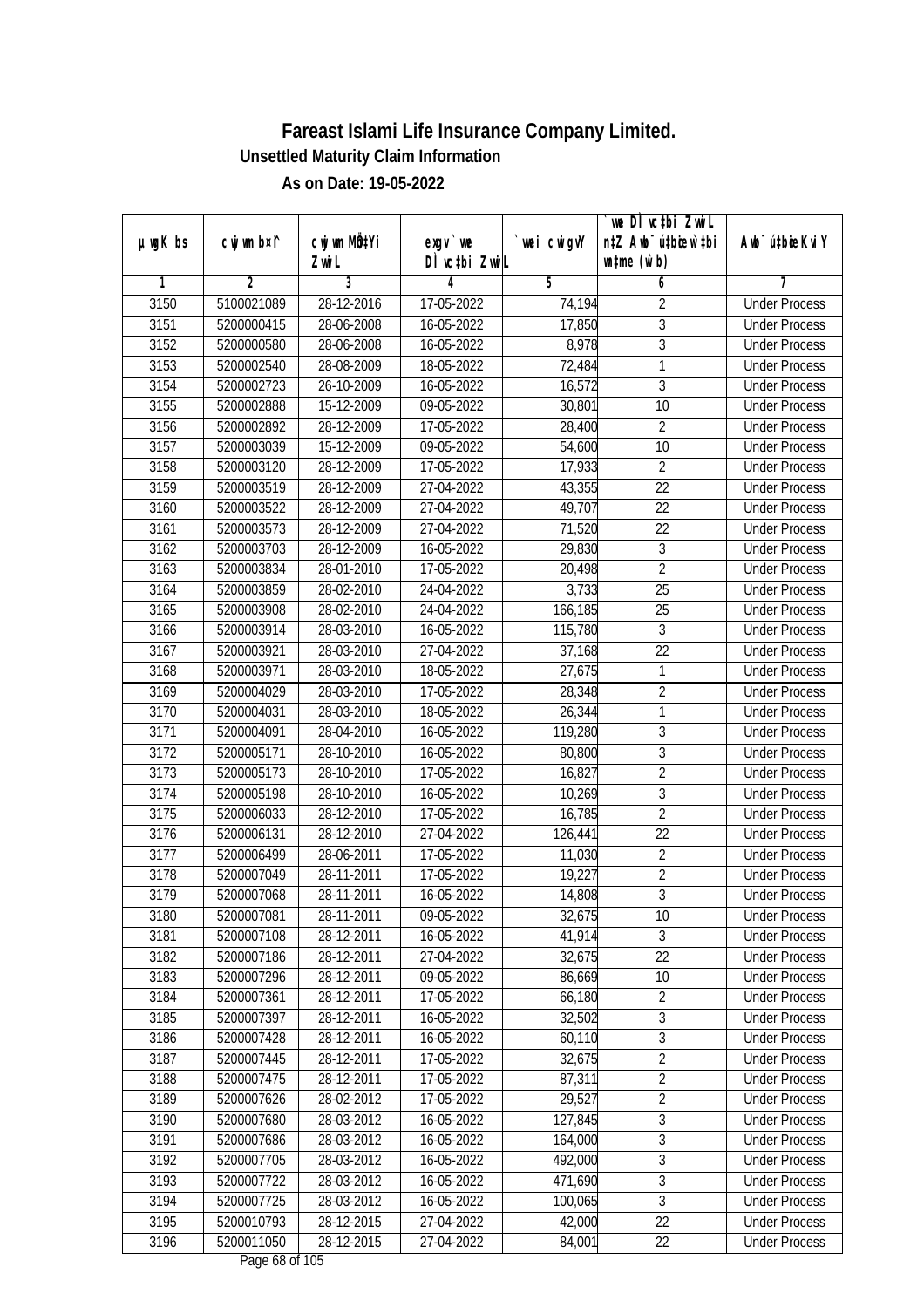|               |                |                           |                  |             | we DI vctbi ZwiL                 |                             |
|---------------|----------------|---------------------------|------------------|-------------|----------------------------------|-----------------------------|
| $µ$ ug $K$ bs | cwj wm b¤i^    | cwj wm MQ <sup>1</sup> Yi | $exgV$ we        | `wei cwigvY | n‡Z Awb <sup>-</sup> ú‡bioen`‡bi | Awb <sup>-</sup> ú‡bioeKviY |
|               |                | Zwi L                     | DÌ vctbi ZwiL    |             | $\n  untime\n  (u`b)\n$          |                             |
| 1             | $\overline{2}$ | 3                         | 4                | 5           | 6                                | 7                           |
| 3150          | 5100021089     | 28-12-2016                | 17-05-2022       | 74,194      | $\overline{2}$                   | <b>Under Process</b>        |
| 3151          | 5200000415     | 28-06-2008                | 16-05-2022       | 17,850      | $\overline{3}$                   | <b>Under Process</b>        |
| 3152          | 5200000580     | 28-06-2008                | 16-05-2022       | 8,978       | $\overline{3}$                   | <b>Under Process</b>        |
| 3153          | 5200002540     | 28-08-2009                | 18-05-2022       | 72,484      | 1                                | <b>Under Process</b>        |
| 3154          | 5200002723     | 26-10-2009                | 16-05-2022       | 16,572      | $\overline{3}$                   | <b>Under Process</b>        |
| 3155          | 5200002888     | 15-12-2009                | 09-05-2022       | 30,801      | 10                               | <b>Under Process</b>        |
| 3156          | 5200002892     | 28-12-2009                | $17 - 05 - 2022$ | 28,400      | $\overline{2}$                   | <b>Under Process</b>        |
| 3157          | 5200003039     | 15-12-2009                | 09-05-2022       | 54,600      | 10                               | <b>Under Process</b>        |
| 3158          | 5200003120     | 28-12-2009                | 17-05-2022       | 17,933      | $\overline{2}$                   | <b>Under Process</b>        |
| 3159          | 5200003519     | 28-12-2009                | 27-04-2022       | 43,355      | 22                               | <b>Under Process</b>        |
| 3160          | 5200003522     | 28-12-2009                | 27-04-2022       | 49,707      | $\overline{22}$                  | <b>Under Process</b>        |
| 3161          | 5200003573     | 28-12-2009                | 27-04-2022       | 71,520      | 22                               | <b>Under Process</b>        |
| 3162          | 5200003703     | 28-12-2009                | 16-05-2022       | 29,830      | $\overline{3}$                   | <b>Under Process</b>        |
| 3163          | 5200003834     | 28-01-2010                | 17-05-2022       | 20,498      | $\overline{2}$                   | <b>Under Process</b>        |
| 3164          | 5200003859     | 28-02-2010                | 24-04-2022       | 3,733       | 25                               | <b>Under Process</b>        |
| 3165          | 5200003908     | 28-02-2010                | 24-04-2022       | 166,185     | 25                               | <b>Under Process</b>        |
| 3166          | 5200003914     | 28-03-2010                | 16-05-2022       | 115,780     | $\mathfrak{Z}$                   | <b>Under Process</b>        |
| 3167          | 5200003921     | 28-03-2010                | 27-04-2022       | 37,168      | 22                               | <b>Under Process</b>        |
| 3168          | 5200003971     | 28-03-2010                | 18-05-2022       | 27,675      | 1                                | <b>Under Process</b>        |
| 3169          | 5200004029     | 28-03-2010                | 17-05-2022       | 28,348      | $\sqrt{2}$                       | <b>Under Process</b>        |
| 3170          | 5200004031     | 28-03-2010                | 18-05-2022       | 26,344      | 1                                | <b>Under Process</b>        |
| 3171          | 5200004091     | 28-04-2010                | 16-05-2022       | 119,280     | $\mathfrak{Z}$                   | <b>Under Process</b>        |
| 3172          | 5200005171     | 28-10-2010                | 16-05-2022       | 80,800      | 3                                | <b>Under Process</b>        |
| 3173          | 5200005173     | 28-10-2010                | 17-05-2022       | 16,827      | $\overline{2}$                   | <b>Under Process</b>        |
| 3174          | 5200005198     | 28-10-2010                | 16-05-2022       | 10,269      | 3                                | <b>Under Process</b>        |
| 3175          | 5200006033     | 28-12-2010                | 17-05-2022       | 16,785      | $\overline{2}$                   | <b>Under Process</b>        |
| 3176          | 5200006131     | 28-12-2010                | 27-04-2022       | 126,441     | 22                               | <b>Under Process</b>        |
| 3177          | 5200006499     | 28-06-2011                | 17-05-2022       | 11,030      | $\overline{2}$                   | <b>Under Process</b>        |
| 3178          | 5200007049     | 28-11-2011                | 17-05-2022       | 19,227      | $\overline{2}$                   | <b>Under Process</b>        |
| 3179          | 5200007068     | 28-11-2011                | 16-05-2022       | 14,808      | $\overline{3}$                   | <b>Under Process</b>        |
| 3180          | 5200007081     | 28-11-2011                | 09-05-2022       | 32,675      | 10                               | <b>Under Process</b>        |
| 3181          | 5200007108     | 28-12-2011                | 16-05-2022       | 41,914      | 3                                | <b>Under Process</b>        |
| 3182          | 5200007186     | 28-12-2011                | 27-04-2022       | 32,675      | 22                               | <b>Under Process</b>        |
| 3183          | 5200007296     | 28-12-2011                | 09-05-2022       | 86,669      | 10                               | <b>Under Process</b>        |
| 3184          | 5200007361     | 28-12-2011                | 17-05-2022       | 66,180      | $\sqrt{2}$                       | <b>Under Process</b>        |
| 3185          | 5200007397     | 28-12-2011                | 16-05-2022       | 32,502      | 3                                | <b>Under Process</b>        |
| 3186          | 5200007428     | 28-12-2011                | 16-05-2022       | 60,110      | $\overline{3}$                   | <b>Under Process</b>        |
| 3187          | 5200007445     | 28-12-2011                | 17-05-2022       | 32,675      | $\overline{2}$                   | <b>Under Process</b>        |
| 3188          | 5200007475     | 28-12-2011                | 17-05-2022       | 87,311      | $\overline{2}$                   | <b>Under Process</b>        |
| 3189          | 5200007626     | 28-02-2012                | 17-05-2022       | 29,527      | $\overline{2}$                   | <b>Under Process</b>        |
| 3190          | 5200007680     | 28-03-2012                | 16-05-2022       | 127,845     | 3                                | <b>Under Process</b>        |
| 3191          | 5200007686     | 28-03-2012                | 16-05-2022       | 164,000     | $\overline{3}$                   | <b>Under Process</b>        |
| 3192          | 5200007705     | 28-03-2012                | 16-05-2022       | 492,000     | 3                                | <b>Under Process</b>        |
| 3193          | 5200007722     | 28-03-2012                | 16-05-2022       | 471,690     | $\overline{3}$                   | <b>Under Process</b>        |
| 3194          | 5200007725     | 28-03-2012                | 16-05-2022       | 100,065     | $\overline{3}$                   | <b>Under Process</b>        |
| 3195          | 5200010793     | 28-12-2015                | 27-04-2022       | 42,000      | 22                               | <b>Under Process</b>        |
| 3196          | 5200011050     | 28-12-2015                | 27-04-2022       | 84,001      | 22                               | <b>Under Process</b>        |
|               |                |                           |                  |             |                                  |                             |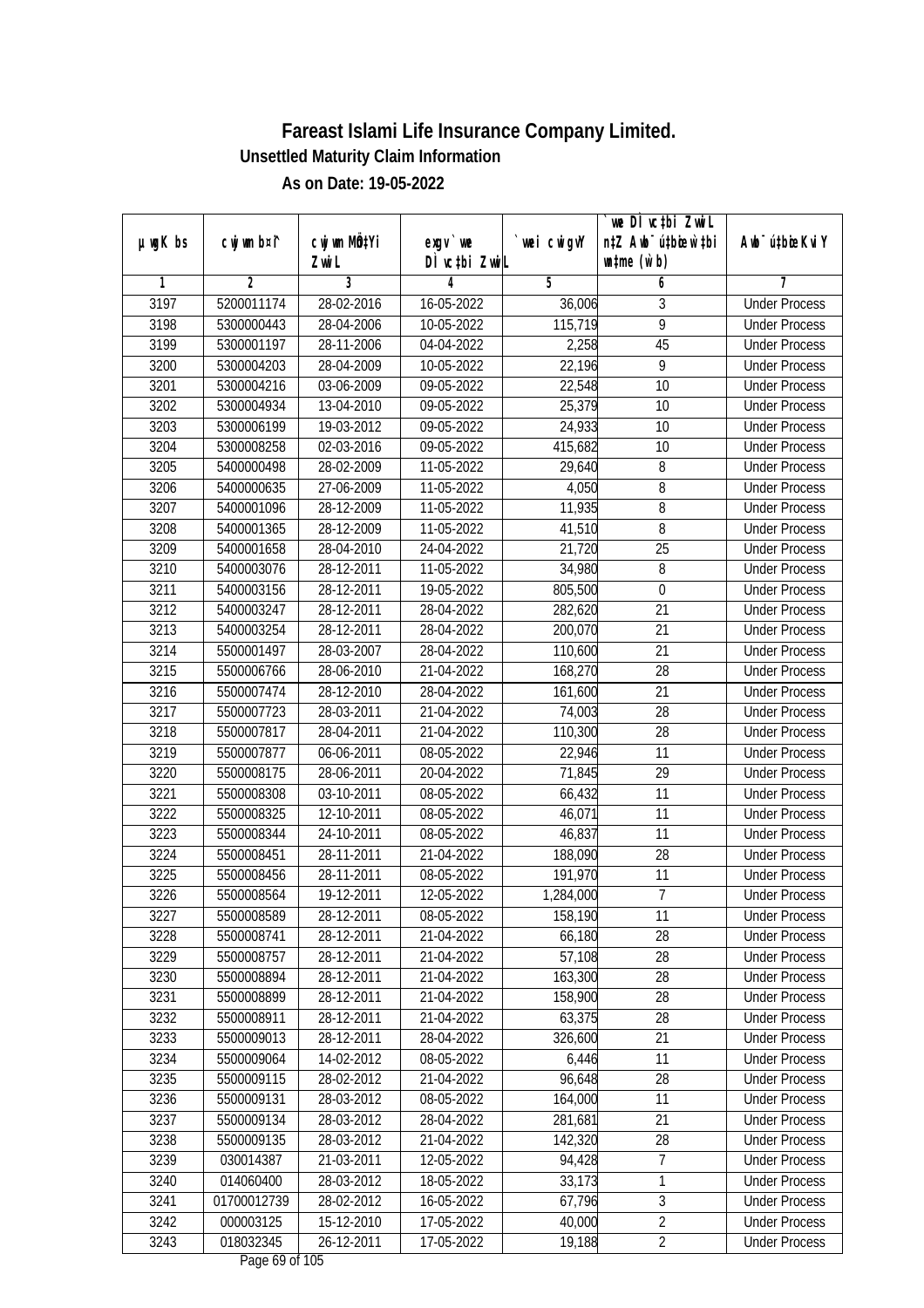|         |                |                                    |                            |             | we DI vctbi ZwiL                                            |                             |
|---------|----------------|------------------------------------|----------------------------|-------------|-------------------------------------------------------------|-----------------------------|
| µwgK bs | cwj wm b¤i^    | cwj wm MQ <sup>1</sup> Yi<br>Zwi L | $exqu$ we<br>DÌ vctbi ZwiL | `wei cwigvY | n‡Z Awb <sup>-</sup> ú‡bioar`‡bi<br>$\n  untime\n  (u`b)\n$ | Awb <sup>-</sup> ú‡bioeKviY |
| 1       | $\overline{2}$ | 3                                  | 4                          | 5           | 6                                                           | 7                           |
| 3197    | 5200011174     | 28-02-2016                         | 16-05-2022                 | 36,006      | 3                                                           | <b>Under Process</b>        |
| 3198    | 5300000443     | 28-04-2006                         | $10-05-2022$               | 115,719     | $\overline{9}$                                              | <b>Under Process</b>        |
| 3199    | 5300001197     | 28-11-2006                         | 04-04-2022                 | 2,258       | 45                                                          | <b>Under Process</b>        |
| 3200    | 5300004203     | 28-04-2009                         | 10-05-2022                 | 22,196      | 9                                                           | <b>Under Process</b>        |
| 3201    | 5300004216     | 03-06-2009                         | 09-05-2022                 | 22,548      | $\overline{10}$                                             | <b>Under Process</b>        |
| 3202    | 5300004934     | 13-04-2010                         | 09-05-2022                 | 25,379      | 10                                                          | <b>Under Process</b>        |
| 3203    | 5300006199     | 19-03-2012                         | $09-05-2022$               | 24,933      | 10                                                          | <b>Under Process</b>        |
| 3204    | 5300008258     | 02-03-2016                         | 09-05-2022                 | 415,682     | 10                                                          | <b>Under Process</b>        |
| 3205    | 5400000498     | 28-02-2009                         | 11-05-2022                 | 29,640      | 8                                                           | <b>Under Process</b>        |
| 3206    | 5400000635     | 27-06-2009                         | 11-05-2022                 | 4,050       | 8                                                           | <b>Under Process</b>        |
| 3207    | 5400001096     | 28-12-2009                         | 11-05-2022                 | 11,935      | 8                                                           | <b>Under Process</b>        |
| 3208    | 5400001365     | 28-12-2009                         | 11-05-2022                 | 41,510      | 8                                                           | <b>Under Process</b>        |
| 3209    | 5400001658     | 28-04-2010                         | 24-04-2022                 | 21,720      | $\overline{25}$                                             | <b>Under Process</b>        |
| 3210    | 5400003076     | 28-12-2011                         | 11-05-2022                 | 34,980      | 8                                                           | <b>Under Process</b>        |
| 3211    | 5400003156     | 28-12-2011                         | 19-05-2022                 | 805,500     | $\boldsymbol{0}$                                            | <b>Under Process</b>        |
| 3212    | 5400003247     | 28-12-2011                         | 28-04-2022                 | 282,620     | 21                                                          | <b>Under Process</b>        |
| 3213    | 5400003254     | 28-12-2011                         | 28-04-2022                 | 200,070     | 21                                                          | <b>Under Process</b>        |
| 3214    | 5500001497     | 28-03-2007                         | 28-04-2022                 | 110,600     | 21                                                          | <b>Under Process</b>        |
| 3215    | 5500006766     | 28-06-2010                         | 21-04-2022                 | 168,270     | 28                                                          | <b>Under Process</b>        |
| 3216    | 5500007474     | 28-12-2010                         | 28-04-2022                 | 161,600     | 21                                                          | <b>Under Process</b>        |
| 3217    | 5500007723     | 28-03-2011                         | 21-04-2022                 | 74,003      | 28                                                          | <b>Under Process</b>        |
| 3218    | 5500007817     | 28-04-2011                         | 21-04-2022                 | 110,300     | 28                                                          | <b>Under Process</b>        |
| 3219    | 5500007877     | 06-06-2011                         | 08-05-2022                 | 22,946      | 11                                                          | <b>Under Process</b>        |
| 3220    | 5500008175     | 28-06-2011                         | 20-04-2022                 | 71,845      | 29                                                          | <b>Under Process</b>        |
| 3221    | 5500008308     | 03-10-2011                         | 08-05-2022                 | 66,432      | 11                                                          | <b>Under Process</b>        |
| 3222    | 5500008325     | 12-10-2011                         | 08-05-2022                 | 46,071      | 11                                                          | <b>Under Process</b>        |
| 3223    | 5500008344     | 24-10-2011                         | 08-05-2022                 | 46,837      | 11                                                          | <b>Under Process</b>        |
| 3224    | 5500008451     | 28-11-2011                         | 21-04-2022                 | 188,090     | 28                                                          | <b>Under Process</b>        |
| 3225    | 5500008456     | 28-11-2011                         | 08-05-2022                 | 191,970     | 11                                                          | <b>Under Process</b>        |
| 3226    | 5500008564     | 19-12-2011                         | 12-05-2022                 | 1,284,000   | $\overline{7}$                                              | <b>Under Process</b>        |
| 3227    | 5500008589     | 28-12-2011                         | 08-05-2022                 | 158,190     | 11                                                          | <b>Under Process</b>        |
| 3228    | 5500008741     | 28-12-2011                         | 21-04-2022                 | 66,180      | 28                                                          | <b>Under Process</b>        |
| 3229    | 5500008757     | 28-12-2011                         | 21-04-2022                 | 57,108      | 28                                                          | <b>Under Process</b>        |
| 3230    | 5500008894     | 28-12-2011                         | 21-04-2022                 | 163,300     | 28                                                          | <b>Under Process</b>        |
| 3231    | 5500008899     | 28-12-2011                         | 21-04-2022                 | 158,900     | 28                                                          | <b>Under Process</b>        |
| 3232    | 5500008911     | 28-12-2011                         | 21-04-2022                 | 63,375      | 28                                                          | <b>Under Process</b>        |
| 3233    | 5500009013     | 28-12-2011                         | 28-04-2022                 | 326,600     | 21                                                          | <b>Under Process</b>        |
| 3234    | 5500009064     | 14-02-2012                         | 08-05-2022                 | 6,446       | 11                                                          | <b>Under Process</b>        |
| 3235    | 5500009115     | 28-02-2012                         | 21-04-2022                 | 96,648      | 28                                                          | <b>Under Process</b>        |
| 3236    | 5500009131     | 28-03-2012                         | 08-05-2022                 | 164,000     | 11                                                          | <b>Under Process</b>        |
| 3237    | 5500009134     | 28-03-2012                         | 28-04-2022                 | 281,681     | 21                                                          | <b>Under Process</b>        |
| 3238    | 5500009135     | 28-03-2012                         | 21-04-2022                 | 142,320     | 28                                                          | <b>Under Process</b>        |
| 3239    | 030014387      | 21-03-2011                         | $12 - 05 - 2022$           | 94,428      | 7                                                           | <b>Under Process</b>        |
| 3240    | 014060400      | $28-03-2012$                       | 18-05-2022                 | 33,173      | 1                                                           | <b>Under Process</b>        |
| 3241    | 01700012739    | 28-02-2012                         | 16-05-2022                 | 67,796      | $\overline{3}$                                              | <b>Under Process</b>        |
| 3242    | 000003125      | 15-12-2010                         | 17-05-2022                 | 40,000      | $\overline{2}$                                              | <b>Under Process</b>        |
| 3243    | 018032345      | 26-12-2011                         | 17-05-2022                 | 19,188      | $\overline{2}$                                              | <b>Under Process</b>        |
|         |                |                                    |                            |             |                                                             |                             |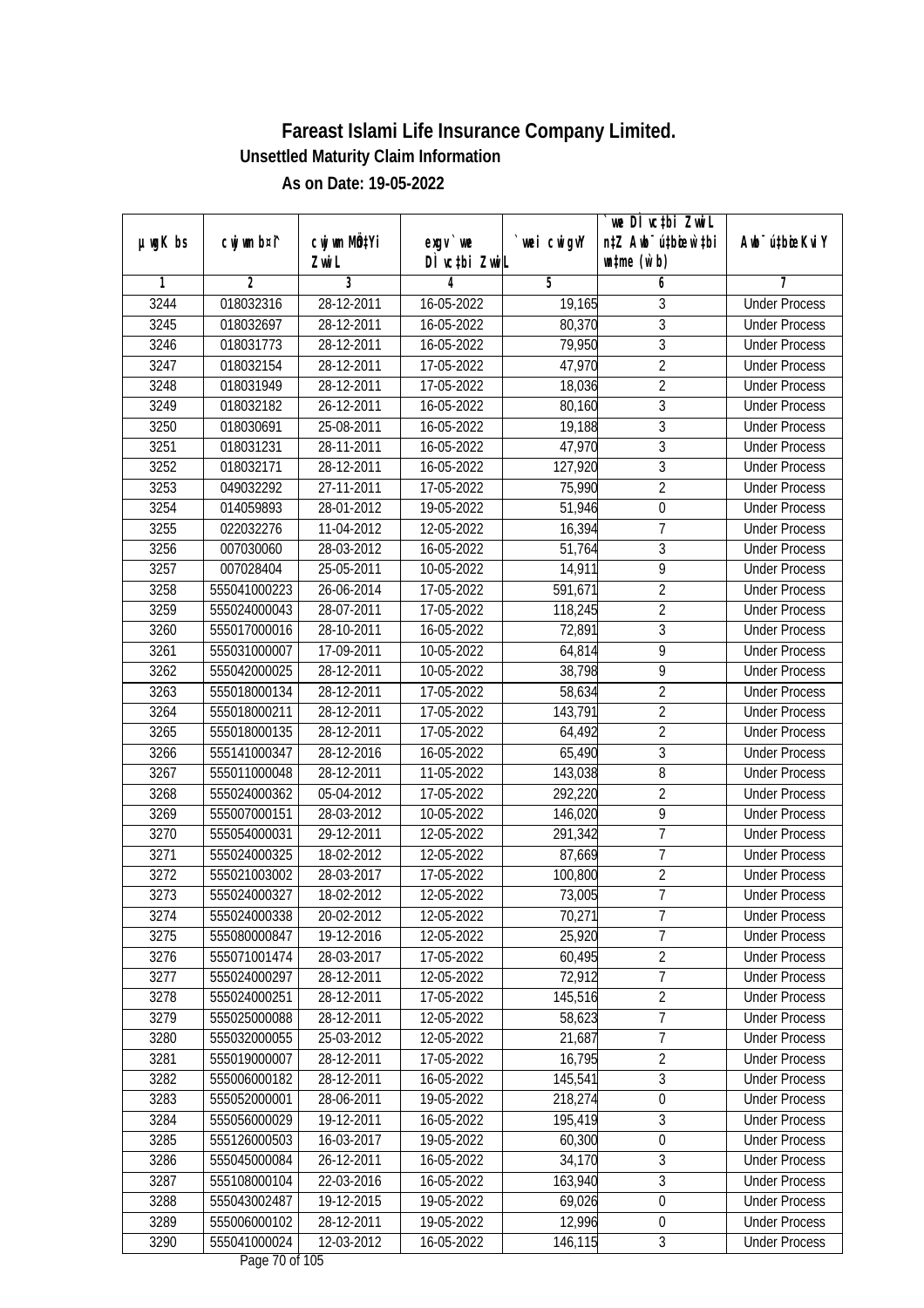|               |                |                       |                            |                  | we DI vctbi ZwiL                                            |                             |
|---------------|----------------|-----------------------|----------------------------|------------------|-------------------------------------------------------------|-----------------------------|
| $µ$ ug $K$ bs | cwj wm b¤i^    | cwj wm MQtYi<br>Zwi L | $exgV$ we<br>DÌ vctbi ZwiL | wei cwigvY       | n‡Z Awb <sup>-</sup> ú‡bicen`‡bi<br>$\n  untime\n  (u`b)\n$ | Awb <sup>-</sup> ú‡bioeKviY |
| 1             | $\overline{2}$ | 3                     | 4                          | 5                | 6                                                           | 7                           |
| 3244          | 018032316      | 28-12-2011            | 16-05-2022                 | 19,165           | 3                                                           | <b>Under Process</b>        |
| 3245          | 018032697      | 28-12-2011            | 16-05-2022                 | 80,370           | $\overline{3}$                                              | <b>Under Process</b>        |
| 3246          | 018031773      | 28-12-2011            | 16-05-2022                 | 79,950           | $\overline{3}$                                              | <b>Under Process</b>        |
| 3247          | 018032154      | 28-12-2011            | 17-05-2022                 | 47,970           | $\overline{2}$                                              | <b>Under Process</b>        |
| 3248          | 018031949      | 28-12-2011            | 17-05-2022                 | 18,036           | $\overline{2}$                                              | <b>Under Process</b>        |
| 3249          | 018032182      | 26-12-2011            | 16-05-2022                 | 80,160           | $\overline{3}$                                              | <b>Under Process</b>        |
| 3250          | 018030691      | 25-08-2011            | 16-05-2022                 | 19,188           | $\overline{3}$                                              | <b>Under Process</b>        |
| 3251          | 018031231      | 28-11-2011            | 16-05-2022                 | 47,970           | $\overline{3}$                                              | <b>Under Process</b>        |
| 3252          | 018032171      | 28-12-2011            | 16-05-2022                 | 127,920          | $\overline{3}$                                              | <b>Under Process</b>        |
| 3253          | 049032292      | 27-11-2011            | 17-05-2022                 | 75,990           | $\overline{2}$                                              | <b>Under Process</b>        |
| 3254          | 014059893      | 28-01-2012            | 19-05-2022                 | 51,946           | $\boldsymbol{0}$                                            | <b>Under Process</b>        |
| 3255          | 022032276      | 11-04-2012            | 12-05-2022                 | 16,394           | $\overline{7}$                                              | <b>Under Process</b>        |
| 3256          | 007030060      | 28-03-2012            | 16-05-2022                 | 51,764           | $\overline{3}$                                              | <b>Under Process</b>        |
| 3257          | 007028404      | 25-05-2011            | 10-05-2022                 | 14,911           | 9                                                           | <b>Under Process</b>        |
| 3258          | 555041000223   | 26-06-2014            | 17-05-2022                 | 591,671          | $\overline{2}$                                              | <b>Under Process</b>        |
| 3259          | 555024000043   | 28-07-2011            | 17-05-2022                 | 118,245          | $\overline{2}$                                              | <b>Under Process</b>        |
| 3260          | 555017000016   | 28-10-2011            | 16-05-2022                 | 72,891           | $\mathfrak z$                                               | <b>Under Process</b>        |
| 3261          | 555031000007   | 17-09-2011            | 10-05-2022                 | 64,814           | $\overline{9}$                                              | <b>Under Process</b>        |
| 3262          | 555042000025   | 28-12-2011            | 10-05-2022                 | 38,798           | $\overline{9}$                                              | <b>Under Process</b>        |
| 3263          | 555018000134   | 28-12-2011            | 17-05-2022                 | 58,634           | $\overline{2}$                                              | <b>Under Process</b>        |
| 3264          | 555018000211   | 28-12-2011            | 17-05-2022                 | 143,791          | $\overline{2}$                                              | <b>Under Process</b>        |
| 3265          | 555018000135   | 28-12-2011            | 17-05-2022                 | 64,492           | $\overline{2}$                                              | <b>Under Process</b>        |
| 3266          | 555141000347   | 28-12-2016            | 16-05-2022                 | 65,490           | $\mathfrak{Z}$                                              | <b>Under Process</b>        |
| 3267          | 555011000048   | 28-12-2011            | 11-05-2022                 | 143,038          | 8                                                           | <b>Under Process</b>        |
| 3268          | 555024000362   | 05-04-2012            | 17-05-2022                 | 292,220          | $\overline{2}$                                              | <b>Under Process</b>        |
| 3269          | 555007000151   | 28-03-2012            | 10-05-2022                 | 146,020          | 9                                                           | <b>Under Process</b>        |
| 3270          | 555054000031   | 29-12-2011            | 12-05-2022                 | 291,342          | $\overline{1}$                                              | <b>Under Process</b>        |
| 3271          | 555024000325   | 18-02-2012            | 12-05-2022                 | 87,669           | $\overline{7}$                                              | <b>Under Process</b>        |
| 3272          | 555021003002   | 28-03-2017            | 17-05-2022                 | 100,800          | $\overline{2}$                                              | <b>Under Process</b>        |
| 3273          | 555024000327   | 18-02-2012            | 12-05-2022                 | 73,005           | $\overline{7}$                                              | <b>Under Process</b>        |
| 3274          | 555024000338   | 20-02-2012            | 12-05-2022                 | 70,271           | 7                                                           | <b>Under Process</b>        |
| 3275          | 555080000847   | 19-12-2016            | 12-05-2022                 | 25,920           | $\overline{7}$                                              | <b>Under Process</b>        |
| 3276          | 555071001474   | 28-03-2017            | 17-05-2022                 | 60,495           | $\overline{2}$                                              | <b>Under Process</b>        |
| 3277          | 555024000297   | 28-12-2011            | 12-05-2022                 | 72,912           | $\overline{7}$                                              | <b>Under Process</b>        |
| 3278          | 555024000251   | 28-12-2011            | 17-05-2022                 | 145,516          | $\overline{2}$                                              | <b>Under Process</b>        |
| 3279          | 555025000088   | 28-12-2011            |                            |                  | $\overline{7}$                                              | <b>Under Process</b>        |
| 3280          | 555032000055   | 25-03-2012            | 12-05-2022                 | 58,623<br>21,687 | $\overline{7}$                                              | <b>Under Process</b>        |
|               |                |                       | 12-05-2022                 |                  | $\overline{2}$                                              |                             |
| 3281          | 555019000007   | 28-12-2011            | 17-05-2022                 | 16,795           |                                                             | <b>Under Process</b>        |
| 3282          | 555006000182   | 28-12-2011            | 16-05-2022                 | 145,541          | $\sqrt{3}$                                                  | <b>Under Process</b>        |
| 3283          | 555052000001   | 28-06-2011            | 19-05-2022                 | 218,274          | $\boldsymbol{0}$                                            | <b>Under Process</b>        |
| 3284          | 555056000029   | 19-12-2011            | 16-05-2022                 | 195,419          | 3                                                           | <b>Under Process</b>        |
| 3285          | 555126000503   | 16-03-2017            | 19-05-2022                 | 60,300           | $\boldsymbol{0}$                                            | <b>Under Process</b>        |
| 3286          | 555045000084   | 26-12-2011            | 16-05-2022                 | 34,170           | $\sqrt{3}$                                                  | <b>Under Process</b>        |
| 3287          | 555108000104   | 22-03-2016            | 16-05-2022                 | 163,940          | $\sqrt{3}$                                                  | <b>Under Process</b>        |
| 3288          | 555043002487   | 19-12-2015            | 19-05-2022                 | 69,026           | $\boldsymbol{0}$                                            | <b>Under Process</b>        |
| 3289          | 555006000102   | 28-12-2011            | 19-05-2022                 | 12,996           | $\boldsymbol{0}$                                            | <b>Under Process</b>        |
| 3290          | 555041000024   | 12-03-2012            | 16-05-2022                 | 146,115          | $\mathfrak{Z}$                                              | <b>Under Process</b>        |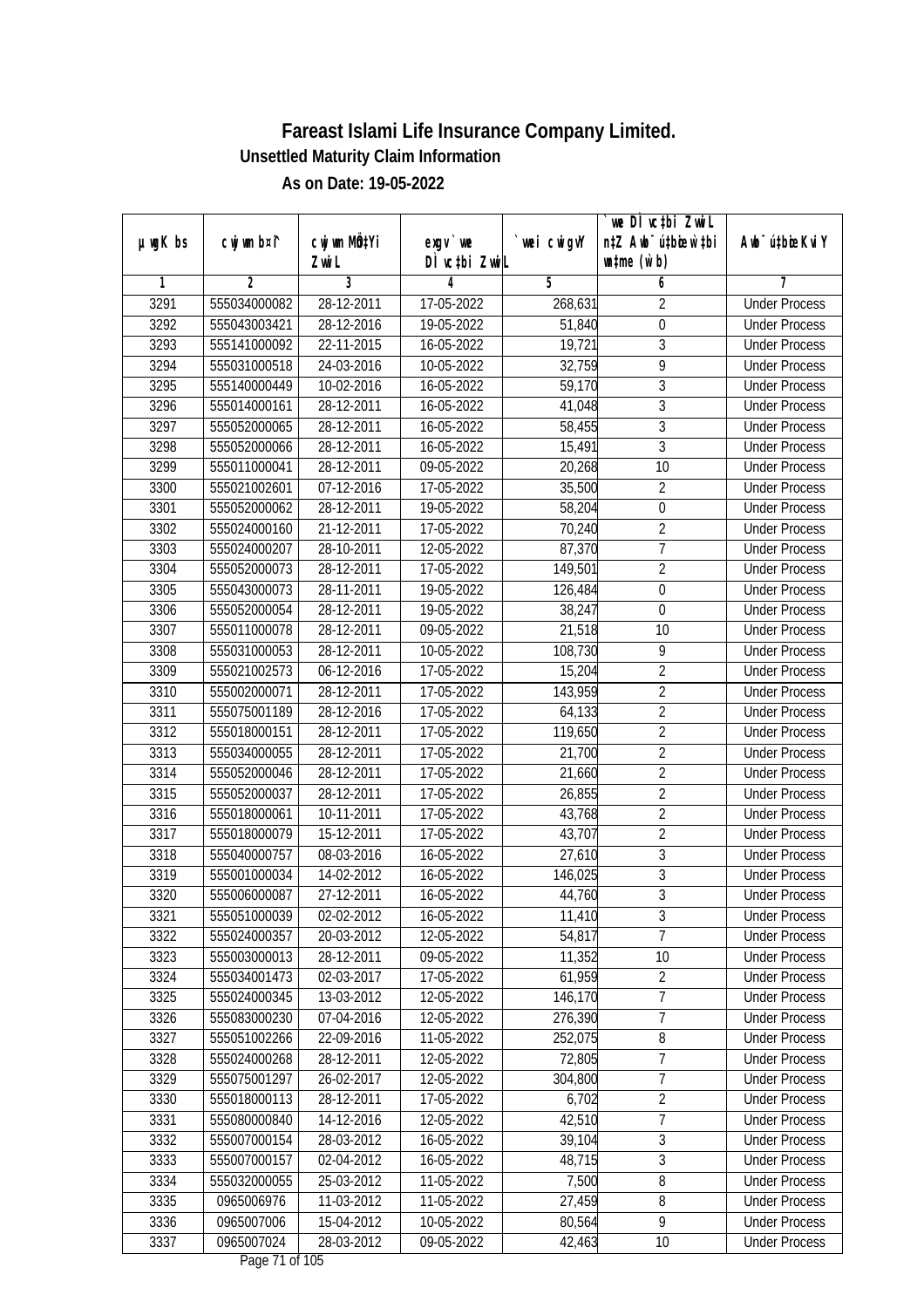|               |                |                       |                            |            | we DI vctbi ZwiL                                            |                             |
|---------------|----------------|-----------------------|----------------------------|------------|-------------------------------------------------------------|-----------------------------|
| $µ$ ug $K$ bs | cwj wm b¤i^    | cwj wm MQtYi<br>Zwi L | $exgV$ we<br>DÌ vctbi ZwiL | wei cwigvY | n‡Z Awb <sup>-</sup> ú‡bioar`‡bi<br>$\n  untime\n  (u`b)\n$ | Awb <sup>-</sup> ú‡bioeKviY |
| 1             | $\overline{2}$ | 3                     | 4                          | 5          | 6                                                           | 7                           |
| 3291          | 555034000082   | 28-12-2011            | 17-05-2022                 | 268,631    | $\overline{2}$                                              | <b>Under Process</b>        |
| 3292          | 555043003421   | 28-12-2016            | 19-05-2022                 | 51,840     | $\overline{0}$                                              | <b>Under Process</b>        |
| 3293          | 555141000092   | 22-11-2015            | 16-05-2022                 | 19,721     | $\overline{3}$                                              | <b>Under Process</b>        |
| 3294          | 555031000518   | 24-03-2016            | 10-05-2022                 | 32,759     | 9                                                           | <b>Under Process</b>        |
| 3295          | 555140000449   | 10-02-2016            | 16-05-2022                 | 59,170     | $\overline{3}$                                              | <b>Under Process</b>        |
| 3296          | 555014000161   | 28-12-2011            | 16-05-2022                 | 41,048     | $\overline{3}$                                              | <b>Under Process</b>        |
| 3297          | 555052000065   | 28-12-2011            | 16-05-2022                 | 58,455     | $\overline{3}$                                              | <b>Under Process</b>        |
| 3298          | 555052000066   | 28-12-2011            | 16-05-2022                 | 15,491     | $\overline{3}$                                              | <b>Under Process</b>        |
| 3299          | 555011000041   | 28-12-2011            | 09-05-2022                 | 20,268     | 10                                                          | <b>Under Process</b>        |
| 3300          | 555021002601   | 07-12-2016            | 17-05-2022                 | 35,500     | $\overline{2}$                                              | <b>Under Process</b>        |
| 3301          | 555052000062   | 28-12-2011            | 19-05-2022                 | 58,204     | $\boldsymbol{0}$                                            | <b>Under Process</b>        |
| 3302          | 555024000160   | 21-12-2011            | 17-05-2022                 | 70,240     | $\overline{2}$                                              | <b>Under Process</b>        |
| 3303          | 555024000207   | 28-10-2011            | 12-05-2022                 | 87,370     | $\overline{7}$                                              | <b>Under Process</b>        |
| 3304          | 555052000073   | 28-12-2011            | 17-05-2022                 | 149,501    | $\overline{2}$                                              | <b>Under Process</b>        |
| 3305          | 555043000073   | 28-11-2011            | 19-05-2022                 | 126,484    | $\boldsymbol{0}$                                            | <b>Under Process</b>        |
| 3306          | 555052000054   | 28-12-2011            | 19-05-2022                 | 38,247     | $\mathbf 0$                                                 | <b>Under Process</b>        |
| 3307          | 555011000078   | 28-12-2011            | 09-05-2022                 | 21,518     | 10                                                          | <b>Under Process</b>        |
| 3308          | 555031000053   | 28-12-2011            | 10-05-2022                 | 108,730    | 9                                                           | <b>Under Process</b>        |
| 3309          | 555021002573   | 06-12-2016            | 17-05-2022                 | 15,204     | $\overline{2}$                                              | <b>Under Process</b>        |
| 3310          | 555002000071   | 28-12-2011            | 17-05-2022                 | 143,959    | $\overline{2}$                                              | <b>Under Process</b>        |
| 3311          | 555075001189   | 28-12-2016            | 17-05-2022                 | 64,133     | $\overline{2}$                                              | <b>Under Process</b>        |
| 3312          | 555018000151   | 28-12-2011            | 17-05-2022                 | 119,650    | $\sqrt{2}$                                                  | <b>Under Process</b>        |
| 3313          | 555034000055   | 28-12-2011            | 17-05-2022                 | 21,700     | $\overline{2}$                                              | <b>Under Process</b>        |
| 3314          | 555052000046   | 28-12-2011            | 17-05-2022                 | 21,660     | $\overline{2}$                                              | <b>Under Process</b>        |
| 3315          | 555052000037   | 28-12-2011            | 17-05-2022                 | 26,855     | $\overline{2}$                                              | <b>Under Process</b>        |
| 3316          | 555018000061   | 10-11-2011            | 17-05-2022                 | 43,768     | $\overline{2}$                                              | <b>Under Process</b>        |
| 3317          | 555018000079   | 15-12-2011            | 17-05-2022                 | 43,707     | $\overline{2}$                                              | <b>Under Process</b>        |
| 3318          | 555040000757   | 08-03-2016            | 16-05-2022                 | 27,610     | $\overline{3}$                                              | <b>Under Process</b>        |
| 3319          | 555001000034   | 14-02-2012            | 16-05-2022                 | 146,025    | $\overline{3}$                                              | <b>Under Process</b>        |
| 3320          | 555006000087   | 27-12-2011            | 16-05-2022                 | 44,760     | $\overline{3}$                                              | <b>Under Process</b>        |
| 3321          | 555051000039   | 02-02-2012            | 16-05-2022                 | 11,410     | 3                                                           | <b>Under Process</b>        |
| 3322          | 555024000357   | 20-03-2012            | 12-05-2022                 | 54,817     | $\overline{7}$                                              | <b>Under Process</b>        |
| 3323          | 555003000013   | 28-12-2011            | 09-05-2022                 | 11,352     | 10                                                          | <b>Under Process</b>        |
| 3324          | 555034001473   | 02-03-2017            | 17-05-2022                 | 61,959     | $\overline{2}$                                              | <b>Under Process</b>        |
| 3325          | 555024000345   | 13-03-2012            | 12-05-2022                 | 146,170    | $\overline{7}$                                              | <b>Under Process</b>        |
| 3326          | 555083000230   | 07-04-2016            | 12-05-2022                 | 276,390    | 7                                                           | <b>Under Process</b>        |
| 3327          | 555051002266   | 22-09-2016            | 11-05-2022                 | 252,075    | 8                                                           | <b>Under Process</b>        |
| 3328          | 555024000268   | 28-12-2011            | 12-05-2022                 | 72,805     | $\overline{7}$                                              | <b>Under Process</b>        |
| 3329          | 555075001297   | 26-02-2017            | 12-05-2022                 | 304,800    | 7                                                           | <b>Under Process</b>        |
| 3330          | 555018000113   | 28-12-2011            | 17-05-2022                 | 6,702      | $\overline{2}$                                              | <b>Under Process</b>        |
| 3331          | 555080000840   | 14-12-2016            | 12-05-2022                 | 42,510     | 7                                                           | <b>Under Process</b>        |
| 3332          | 555007000154   | 28-03-2012            | 16-05-2022                 | 39,104     | $\overline{3}$                                              | <b>Under Process</b>        |
| 3333          | 555007000157   | 02-04-2012            | 16-05-2022                 | 48,715     | $\sqrt{3}$                                                  | <b>Under Process</b>        |
| 3334          | 555032000055   | 25-03-2012            | 11-05-2022                 | 7,500      | $\overline{\bf 8}$                                          | <b>Under Process</b>        |
| 3335          | 0965006976     | 11-03-2012            | 11-05-2022                 | 27,459     | 8                                                           | <b>Under Process</b>        |
| 3336          | 0965007006     | 15-04-2012            | 10-05-2022                 | 80,564     | $\overline{9}$                                              | <b>Under Process</b>        |
| 3337          | 0965007024     | 28-03-2012            | 09-05-2022                 | 42,463     | 10                                                          | <b>Under Process</b>        |
|               |                |                       |                            |            |                                                             |                             |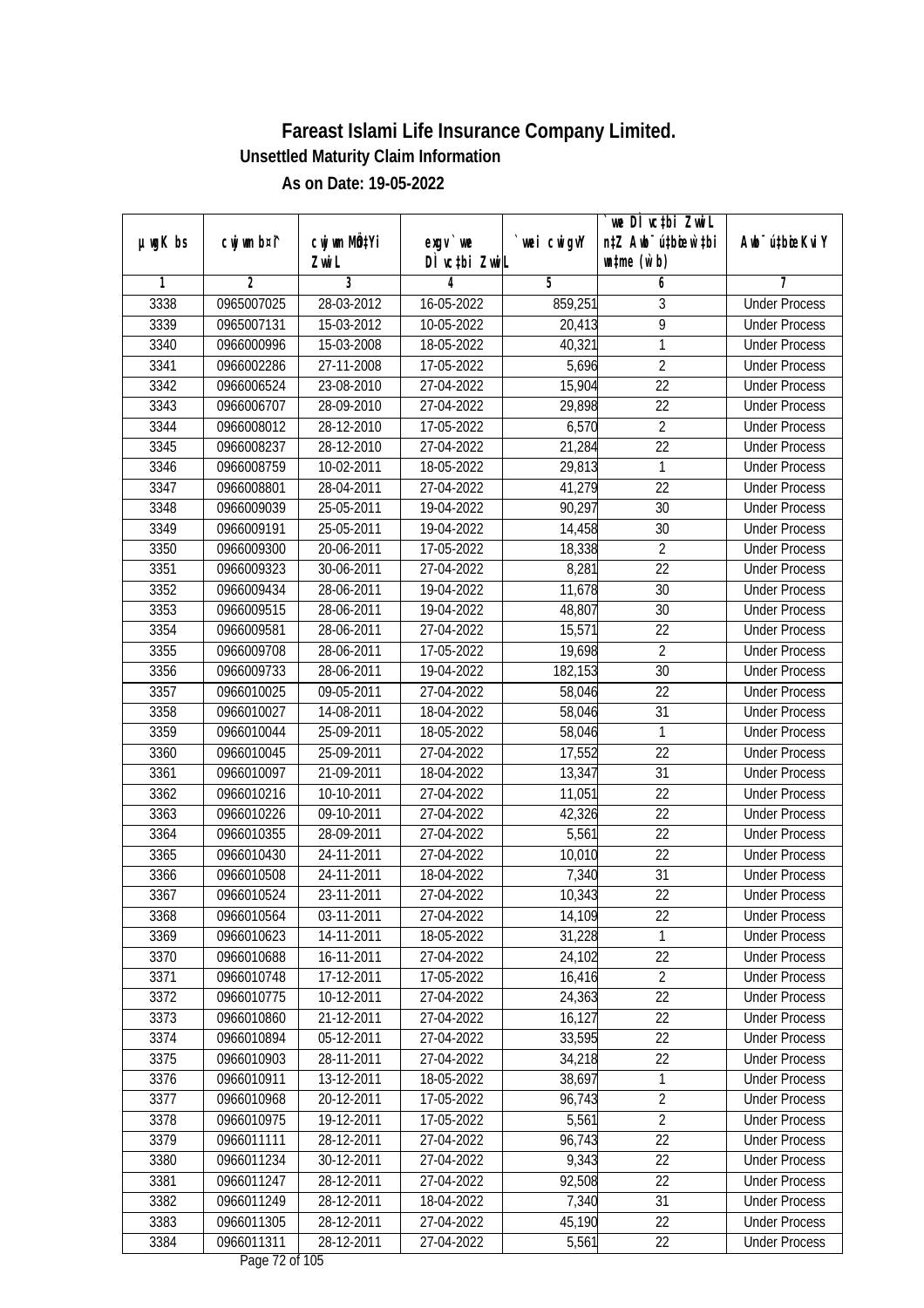|               |                |                       |                                          |            | `we DÌ vc‡bi ZwiL                                           |                              |
|---------------|----------------|-----------------------|------------------------------------------|------------|-------------------------------------------------------------|------------------------------|
| $µ$ ug $K$ bs | cwj wm b¤i^    | cwj wm MQtYi<br>Zwi L | $exqu$ we<br>DÌ vctbi ZwiL               | wei cwigvY | n‡Z Awb <sup>-</sup> ú‡bioar`‡bi<br>$\n  untime\n  (u`b)\n$ | Aub <sup>-</sup> ú‡biosKvi Y |
| 1             | $\overline{2}$ | 3                     | 4                                        | 5          | 6                                                           | 7                            |
| 3338          | 0965007025     | 28-03-2012            | 16-05-2022                               | 859,251    | 3                                                           | <b>Under Process</b>         |
| 3339          | 0965007131     | 15-03-2012            | 10-05-2022                               | 20,413     | $\overline{9}$                                              | <b>Under Process</b>         |
| 3340          | 0966000996     | 15-03-2008            | 18-05-2022                               | 40,321     | $\overline{1}$                                              | <b>Under Process</b>         |
| 3341          | 0966002286     | 27-11-2008            | 17-05-2022                               | 5,696      | $\overline{2}$                                              | <b>Under Process</b>         |
| 3342          | 0966006524     | 23-08-2010            | 27-04-2022                               | 15,904     | $\overline{22}$                                             | <b>Under Process</b>         |
| 3343          | 0966006707     | 28-09-2010            | 27-04-2022                               | 29,898     | $\overline{22}$                                             | <b>Under Process</b>         |
| 3344          | 0966008012     | 28-12-2010            | 17-05-2022                               | 6,570      | $\overline{2}$                                              | <b>Under Process</b>         |
| 3345          | 0966008237     | 28-12-2010            | 27-04-2022                               | 21,284     | $\overline{22}$                                             | <b>Under Process</b>         |
| 3346          | 0966008759     | 10-02-2011            | 18-05-2022                               | 29,813     | 1                                                           | <b>Under Process</b>         |
| 3347          | 0966008801     | 28-04-2011            | 27-04-2022                               | 41,279     | 22                                                          | <b>Under Process</b>         |
| 3348          | 0966009039     | 25-05-2011            | 19-04-2022                               | 90,297     | 30                                                          | <b>Under Process</b>         |
| 3349          | 0966009191     | 25-05-2011            | 19-04-2022                               | 14,458     | 30                                                          | <b>Under Process</b>         |
| 3350          | 0966009300     | 20-06-2011            | 17-05-2022                               | 18,338     | $\overline{2}$                                              | <b>Under Process</b>         |
| 3351          | 0966009323     | 30-06-2011            | 27-04-2022                               | 8,281      | 22                                                          | <b>Under Process</b>         |
| 3352          | 0966009434     | 28-06-2011            | 19-04-2022                               | 11,678     | 30                                                          | <b>Under Process</b>         |
| 3353          | 0966009515     | 28-06-2011            | 19-04-2022                               | 48,807     | 30                                                          | <b>Under Process</b>         |
| 3354          | 0966009581     | 28-06-2011            | 27-04-2022                               | 15,571     | 22                                                          | <b>Under Process</b>         |
| 3355          | 0966009708     | 28-06-2011            | 17-05-2022                               | 19,698     | $\overline{2}$                                              | <b>Under Process</b>         |
| 3356          | 0966009733     | 28-06-2011            | 19-04-2022                               | 182,153    | 30                                                          | <b>Under Process</b>         |
| 3357          | 0966010025     | 09-05-2011            | 27-04-2022                               | 58,046     | 22                                                          | <b>Under Process</b>         |
| 3358          | 0966010027     | 14-08-2011            | 18-04-2022                               | 58,046     | 31                                                          | <b>Under Process</b>         |
| 3359          | 0966010044     | 25-09-2011            | 18-05-2022                               | 58,046     | 1                                                           | <b>Under Process</b>         |
| 3360          | 0966010045     | 25-09-2011            | 27-04-2022                               | 17,552     | 22                                                          | <b>Under Process</b>         |
| 3361          | 0966010097     | 21-09-2011            | 18-04-2022                               | 13,347     | 31                                                          | <b>Under Process</b>         |
| 3362          | 0966010216     | 10-10-2011            | 27-04-2022                               | 11,051     | 22                                                          | <b>Under Process</b>         |
| 3363          | 0966010226     | 09-10-2011            | 27-04-2022                               | 42,326     | 22                                                          | <b>Under Process</b>         |
| 3364          | 0966010355     | 28-09-2011            | 27-04-2022                               | 5,561      | 22                                                          | <b>Under Process</b>         |
| 3365          | 0966010430     | 24-11-2011            | 27-04-2022                               | 10,010     | 22                                                          | <b>Under Process</b>         |
| 3366          | 0966010508     | 24-11-2011            | 18-04-2022                               | 7,340      | 31                                                          | <b>Under Process</b>         |
| 3367          | 0966010524     | 23-11-2011            | 27-04-2022                               | 10,343     | 22                                                          | <b>Under Process</b>         |
| 3368          | 0966010564     | 03-11-2011            | 27-04-2022                               | 14,109     | 22                                                          | <b>Under Process</b>         |
| 3369          | 0966010623     | 14-11-2011            | 18-05-2022                               | 31,228     | 1                                                           | <b>Under Process</b>         |
| 3370          | 0966010688     | 16-11-2011            | 27-04-2022                               | 24,102     | 22                                                          | <b>Under Process</b>         |
| 3371          | 0966010748     | 17-12-2011            | 17-05-2022                               | 16,416     | $\overline{2}$                                              | <b>Under Process</b>         |
| 3372          | 0966010775     | 10-12-2011            | 27-04-2022                               | 24,363     | 22                                                          | <b>Under Process</b>         |
| 3373          | 0966010860     | 21-12-2011            | 27-04-2022                               | 16,127     | 22                                                          | <b>Under Process</b>         |
| 3374          | 0966010894     | 05-12-2011            | 27-04-2022                               | 33,595     | 22                                                          | <b>Under Process</b>         |
| 3375          | 0966010903     | 28-11-2011            | 27-04-2022                               | 34,218     | 22                                                          | <b>Under Process</b>         |
| 3376          | 0966010911     | 13-12-2011            | 18-05-2022                               | 38,697     | 1                                                           | <b>Under Process</b>         |
| 3377          | 0966010968     | 20-12-2011            | 17-05-2022                               | 96,743     | $\sqrt{2}$                                                  | <b>Under Process</b>         |
| 3378          | 0966010975     | 19-12-2011            | 17-05-2022                               | 5,561      | $\overline{2}$                                              | <b>Under Process</b>         |
| 3379          | 0966011111     | 28-12-2011            | 27-04-2022                               | 96,743     | 22                                                          | <b>Under Process</b>         |
| 3380          | 0966011234     | 30-12-2011            | 27-04-2022                               | 9,343      | $\overline{22}$                                             | <b>Under Process</b>         |
| 3381          | 0966011247     | 28-12-2011            | 27-04-2022                               | 92,508     | 22                                                          | <b>Under Process</b>         |
| 3382          | 0966011249     | 28-12-2011            | 18-04-2022                               | 7,340      | 31                                                          | <b>Under Process</b>         |
| 3383          | 0966011305     | 28-12-2011            | 27-04-2022                               | 45,190     | 22                                                          | <b>Under Process</b>         |
| 3384          | 0966011311     | 28-12-2011            | 27-04-2022<br>$D_{\text{max}}$ 70 of 105 | 5,561      | 22                                                          | <b>Under Process</b>         |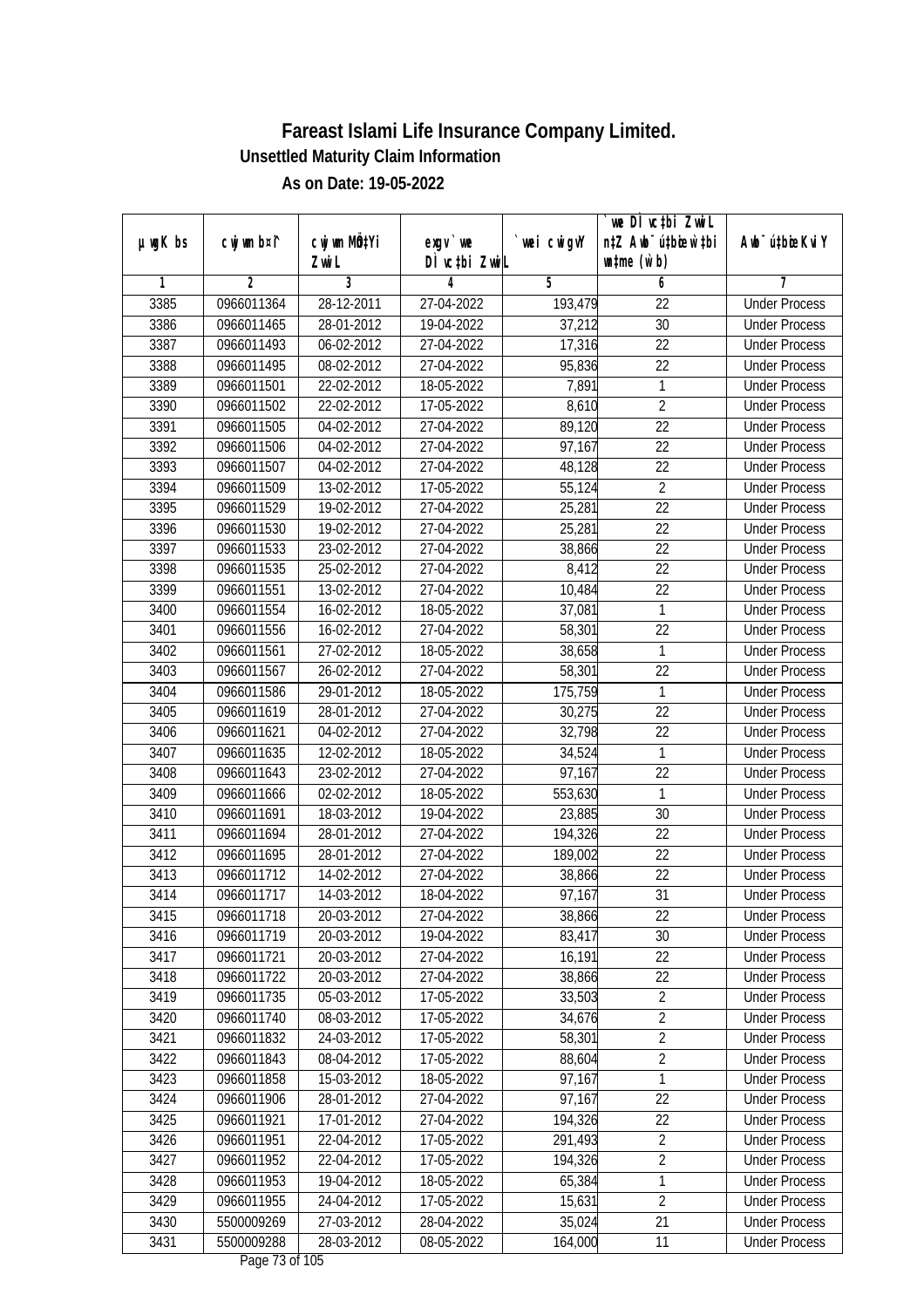|               |                |                          |                                    |            | we DI vctbi ZwiL                                            |                                              |
|---------------|----------------|--------------------------|------------------------------------|------------|-------------------------------------------------------------|----------------------------------------------|
| $µ$ ug $K$ bs | cwj wm b¤i^    | cwj wm MQtYi<br>Zwi L    | exgv `we<br>DÌ vctbi ZwiL          | wei cwigvY | n‡Z Awb <sup>-</sup> ú‡bicen`‡bi<br>$\n  untime\n  (u`b)\n$ | Awb <sup>-</sup> ú‡bioeKviY                  |
| 1             | $\overline{2}$ | 3                        | 4                                  | 5          | 6                                                           | 7                                            |
| 3385          | 0966011364     | 28-12-2011               | 27-04-2022                         | 193,479    | $\overline{22}$                                             | <b>Under Process</b>                         |
| 3386          | 0966011465     | 28-01-2012               | 19-04-2022                         | 37,212     | $\overline{30}$                                             | <b>Under Process</b>                         |
| 3387          | 0966011493     | 06-02-2012               | 27-04-2022                         | 17,316     | $\overline{22}$                                             | <b>Under Process</b>                         |
| 3388          | 0966011495     | 08-02-2012               | 27-04-2022                         | 95,836     | 22                                                          | <b>Under Process</b>                         |
| 3389          | 0966011501     | 22-02-2012               | 18-05-2022                         | 7,891      | $\mathbf{1}$                                                | <b>Under Process</b>                         |
| 3390          | 0966011502     | 22-02-2012               | 17-05-2022                         | 8,610      | $\overline{2}$                                              | <b>Under Process</b>                         |
| 3391          | 0966011505     | 04-02-2012               | 27-04-2022                         | 89,120     | $\overline{22}$                                             | <b>Under Process</b>                         |
| 3392          | 0966011506     | 04-02-2012               | 27-04-2022                         | 97,167     | $\overline{22}$                                             | <b>Under Process</b>                         |
| 3393          | 0966011507     | 04-02-2012               | 27-04-2022                         | 48,128     | 22                                                          | <b>Under Process</b>                         |
| 3394          | 0966011509     | 13-02-2012               | 17-05-2022                         | 55,124     | $\overline{2}$                                              | <b>Under Process</b>                         |
| 3395          | 0966011529     | 19-02-2012               | 27-04-2022                         | 25,281     | $\overline{22}$                                             | <b>Under Process</b>                         |
| 3396          | 0966011530     | 19-02-2012               | 27-04-2022                         | 25,281     | 22                                                          | <b>Under Process</b>                         |
| 3397          | 0966011533     | 23-02-2012               | 27-04-2022                         | 38,866     | $\overline{22}$                                             | <b>Under Process</b>                         |
| 3398          | 0966011535     | 25-02-2012               | 27-04-2022                         | 8,412      | 22                                                          |                                              |
| 3399          | 0966011551     | 13-02-2012               | 27-04-2022                         |            | 22                                                          | <b>Under Process</b><br><b>Under Process</b> |
|               |                |                          |                                    | 10,484     | $\mathbf{1}$                                                | <b>Under Process</b>                         |
| 3400          | 0966011554     | 16-02-2012               | 18-05-2022                         | 37,081     |                                                             |                                              |
| 3401          | 0966011556     | 16-02-2012<br>27-02-2012 | 27-04-2022                         | 58,301     | 22<br>$\mathbf{1}$                                          | <b>Under Process</b>                         |
| 3402          | 0966011561     |                          | 18-05-2022                         | 38,658     |                                                             | <b>Under Process</b>                         |
| 3403          | 0966011567     | 26-02-2012               | 27-04-2022                         | 58,301     | 22                                                          | <b>Under Process</b>                         |
| 3404          | 0966011586     | 29-01-2012               | 18-05-2022                         | 175,759    | $\mathbf{1}$                                                | <b>Under Process</b>                         |
| 3405          | 0966011619     | 28-01-2012               | 27-04-2022                         | 30,275     | 22                                                          | <b>Under Process</b>                         |
| 3406          | 0966011621     | 04-02-2012               | 27-04-2022                         | 32,798     | 22                                                          | <b>Under Process</b>                         |
| 3407          | 0966011635     | 12-02-2012               | 18-05-2022                         | 34,524     | 1                                                           | <b>Under Process</b>                         |
| 3408          | 0966011643     | 23-02-2012               | 27-04-2022                         | 97,167     | 22                                                          | <b>Under Process</b>                         |
| 3409          | 0966011666     | 02-02-2012               | 18-05-2022                         | 553,630    | 1                                                           | <b>Under Process</b>                         |
| 3410          | 0966011691     | 18-03-2012               | 19-04-2022                         | 23,885     | 30                                                          | <b>Under Process</b>                         |
| 3411          | 0966011694     | 28-01-2012               | 27-04-2022                         | 194,326    | 22                                                          | <b>Under Process</b>                         |
| 3412          | 0966011695     | 28-01-2012               | 27-04-2022                         | 189,002    | 22                                                          | <b>Under Process</b>                         |
| 3413          | 0966011712     | 14-02-2012               | 27-04-2022                         | 38,866     | 22                                                          | <b>Under Process</b>                         |
| 3414          | 0966011717     | 14-03-2012               | 18-04-2022                         | 97,167     | 31                                                          | <b>Under Process</b>                         |
| 3415          | 0966011718     | 20-03-2012               | 27-04-2022                         | 38,866     | 22                                                          | <b>Under Process</b>                         |
| 3416          | 0966011719     | 20-03-2012               | 19-04-2022                         | 83,417     | 30                                                          | <b>Under Process</b>                         |
| 3417          | 0966011721     | 20-03-2012               | 27-04-2022                         | 16,191     | 22                                                          | <b>Under Process</b>                         |
| 3418          | 0966011722     | 20-03-2012               | 27-04-2022                         | 38,866     | 22                                                          | <b>Under Process</b>                         |
| 3419          | 0966011735     | 05-03-2012               | 17-05-2022                         | 33,503     | $\overline{2}$                                              | <b>Under Process</b>                         |
| 3420          | 0966011740     | 08-03-2012               | 17-05-2022                         | 34,676     | $\overline{2}$                                              | <b>Under Process</b>                         |
| 3421          | 0966011832     | 24-03-2012               | 17-05-2022                         | 58,301     | $\overline{2}$                                              | <b>Under Process</b>                         |
| 3422          | 0966011843     | 08-04-2012               | 17-05-2022                         | 88,604     | $\overline{2}$                                              | <b>Under Process</b>                         |
| 3423          | 0966011858     | 15-03-2012               | 18-05-2022                         | 97,167     | $\mathbf{1}$                                                | <b>Under Process</b>                         |
| 3424          | 0966011906     | 28-01-2012               | 27-04-2022                         | 97,167     | 22                                                          | <b>Under Process</b>                         |
| 3425          | 0966011921     | 17-01-2012               | 27-04-2022                         | 194,326    | 22                                                          | <b>Under Process</b>                         |
| 3426          | 0966011951     | 22-04-2012               | 17-05-2022                         | 291,493    | $\overline{2}$                                              | <b>Under Process</b>                         |
| 3427          | 0966011952     | 22-04-2012               | 17-05-2022                         | 194,326    | $\overline{2}$                                              | <b>Under Process</b>                         |
| 3428          | 0966011953     | 19-04-2012               | 18-05-2022                         | 65,384     | $\mathbf{1}$                                                | <b>Under Process</b>                         |
| 3429          | 0966011955     | 24-04-2012               | 17-05-2022                         | 15,631     | $\overline{2}$                                              | <b>Under Process</b>                         |
| 3430          | 5500009269     | 27-03-2012               | 28-04-2022                         | 35,024     | 21                                                          | <b>Under Process</b>                         |
| 3431          | 5500009288     | 28-03-2012               | 08-05-2022<br>$D_{0.82}$ 72 of 10E | 164,000    | 11                                                          | <b>Under Process</b>                         |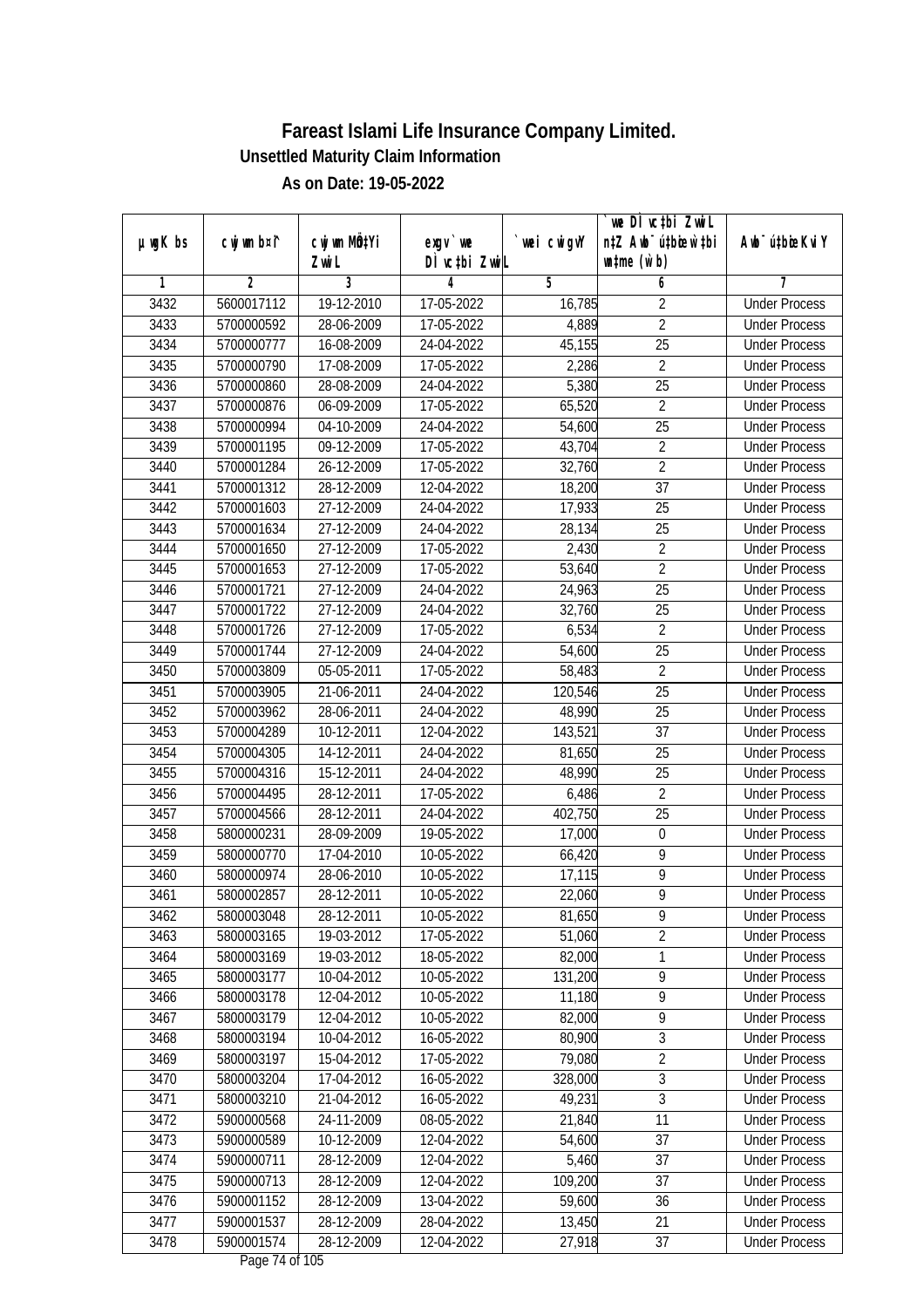|               |             |                           |                                    |             | `we DÌ vc‡bi ZwiL                |                             |
|---------------|-------------|---------------------------|------------------------------------|-------------|----------------------------------|-----------------------------|
| $µ$ ug $K$ bs | cwj wm b¤i^ | cwj wm MQ <sup>1</sup> Yi | $exgV$ we                          | `wei cwigvY | n‡Z Awb <sup>-</sup> ú‡bioen`‡bi | Awb <sup>-</sup> ú‡bioeKviY |
|               |             | Zwi L                     | DÌ vctbi ZwiL                      |             | $\n  untime\n  (u`b)\n$          |                             |
| 1             | 2           | 3                         | 4                                  | 5           | 6                                | 7                           |
| 3432          | 5600017112  | 19-12-2010                | 17-05-2022                         | 16,785      | $\overline{2}$                   | <b>Under Process</b>        |
| 3433          | 5700000592  | 28-06-2009                | 17-05-2022                         | 4,889       | $\overline{2}$                   | <b>Under Process</b>        |
| 3434          | 5700000777  | 16-08-2009                | 24-04-2022                         | 45,155      | 25                               | <b>Under Process</b>        |
| 3435          | 5700000790  | 17-08-2009                | 17-05-2022                         | 2,286       | $\overline{2}$                   | <b>Under Process</b>        |
| 3436          | 5700000860  | 28-08-2009                | 24-04-2022                         | 5,380       | $\overline{25}$                  | <b>Under Process</b>        |
| 3437          | 5700000876  | 06-09-2009                | 17-05-2022                         | 65,520      | $\overline{2}$                   | <b>Under Process</b>        |
| 3438          | 5700000994  | 04-10-2009                | 24-04-2022                         | 54,600      | $\overline{25}$                  | <b>Under Process</b>        |
| 3439          | 5700001195  | 09-12-2009                | 17-05-2022                         | 43,704      | $\overline{2}$                   | <b>Under Process</b>        |
| 3440          | 5700001284  | 26-12-2009                | 17-05-2022                         | 32,760      | $\overline{2}$                   | <b>Under Process</b>        |
| 3441          | 5700001312  | 28-12-2009                | 12-04-2022                         | 18,200      | 37                               | <b>Under Process</b>        |
| 3442          | 5700001603  | 27-12-2009                | 24-04-2022                         | 17,933      | 25                               | <b>Under Process</b>        |
| 3443          | 5700001634  | 27-12-2009                | 24-04-2022                         | 28,134      | 25                               | <b>Under Process</b>        |
| 3444          | 5700001650  | 27-12-2009                | 17-05-2022                         | 2,430       | $\overline{2}$                   | <b>Under Process</b>        |
| 3445          | 5700001653  | 27-12-2009                | 17-05-2022                         | 53,640      | $\overline{2}$                   | <b>Under Process</b>        |
| 3446          | 5700001721  | 27-12-2009                | 24-04-2022                         | 24,963      | 25                               | <b>Under Process</b>        |
| 3447          | 5700001722  | 27-12-2009                | 24-04-2022                         | 32,760      | 25                               | <b>Under Process</b>        |
| 3448          | 5700001726  | 27-12-2009                | 17-05-2022                         | 6,534       | $\overline{2}$                   | <b>Under Process</b>        |
| 3449          | 5700001744  | 27-12-2009                | 24-04-2022                         | 54,600      | 25                               | <b>Under Process</b>        |
| 3450          | 5700003809  | 05-05-2011                | 17-05-2022                         | 58,483      | $\overline{2}$                   | <b>Under Process</b>        |
| 3451          | 5700003905  | 21-06-2011                | 24-04-2022                         | 120,546     | 25                               | <b>Under Process</b>        |
| 3452          | 5700003962  | 28-06-2011                | 24-04-2022                         | 48,990      | 25                               | <b>Under Process</b>        |
| 3453          | 5700004289  | $\overline{10}$ -12-2011  | 12-04-2022                         | 143,521     | 37                               | <b>Under Process</b>        |
| 3454          | 5700004305  | 14-12-2011                | 24-04-2022                         | 81,650      | 25                               | <b>Under Process</b>        |
| 3455          | 5700004316  | 15-12-2011                | 24-04-2022                         | 48,990      | 25                               | <b>Under Process</b>        |
| 3456          | 5700004495  | 28-12-2011                | 17-05-2022                         | 6,486       | $\overline{2}$                   | <b>Under Process</b>        |
| 3457          | 5700004566  | 28-12-2011                | 24-04-2022                         | 402,750     | 25                               | <b>Under Process</b>        |
| 3458          | 5800000231  | 28-09-2009                | 19-05-2022                         | 17,000      | $\boldsymbol{0}$                 | <b>Under Process</b>        |
| 3459          | 5800000770  | 17-04-2010                | 10-05-2022                         | 66,420      | 9                                | <b>Under Process</b>        |
| 3460          | 5800000974  | 28-06-2010                | 10-05-2022                         | 17,115      | $\overline{9}$                   | <b>Under Process</b>        |
| 3461          | 5800002857  | 28-12-2011                | 10-05-2022                         | 22,060      | $\overline{9}$                   | <b>Under Process</b>        |
| 3462          | 5800003048  | 28-12-2011                | 10-05-2022                         | 81,650      | 9                                | <b>Under Process</b>        |
| 3463          | 5800003165  | 19-03-2012                | 17-05-2022                         | 51,060      | $\overline{2}$                   | <b>Under Process</b>        |
| 3464          | 5800003169  | 19-03-2012                | 18-05-2022                         | 82,000      | 1                                | <b>Under Process</b>        |
| 3465          | 5800003177  | 10-04-2012                | 10-05-2022                         | 131,200     | $\overline{9}$                   | <b>Under Process</b>        |
| 3466          | 5800003178  | 12-04-2012                | 10-05-2022                         | 11,180      | 9                                | <b>Under Process</b>        |
| 3467          | 5800003179  | 12-04-2012                | 10-05-2022                         | 82,000      | 9                                | <b>Under Process</b>        |
| 3468          | 5800003194  | 10-04-2012                | 16-05-2022                         | 80,900      | $\overline{3}$                   | <b>Under Process</b>        |
| 3469          | 5800003197  | 15-04-2012                | 17-05-2022                         | 79,080      | $\overline{2}$                   | <b>Under Process</b>        |
| 3470          | 5800003204  | 17-04-2012                | 16-05-2022                         | 328,000     | 3                                | <b>Under Process</b>        |
| 3471          | 5800003210  | 21-04-2012                | 16-05-2022                         | 49,231      | $\overline{3}$                   | <b>Under Process</b>        |
| 3472          | 5900000568  | 24-11-2009                | 08-05-2022                         | 21,840      | 11                               | <b>Under Process</b>        |
| 3473          | 5900000589  | 10-12-2009                | 12-04-2022                         | 54,600      | 37                               | <b>Under Process</b>        |
| 3474          | 5900000711  | 28-12-2009                | 12-04-2022                         | 5,460       | $\overline{37}$                  | <b>Under Process</b>        |
| 3475          | 5900000713  | 28-12-2009                | 12-04-2022                         | 109,200     | $\overline{37}$                  | <b>Under Process</b>        |
| 3476          | 5900001152  | 28-12-2009                | 13-04-2022                         | 59,600      | 36                               | <b>Under Process</b>        |
| 3477          | 5900001537  | 28-12-2009                | 28-04-2022                         | 13,450      | 21                               | <b>Under Process</b>        |
| 3478          | 5900001574  | 28-12-2009                | 12-04-2022<br>$D_{0.92}$ 74 of 10E | 27,918      | 37                               | <b>Under Process</b>        |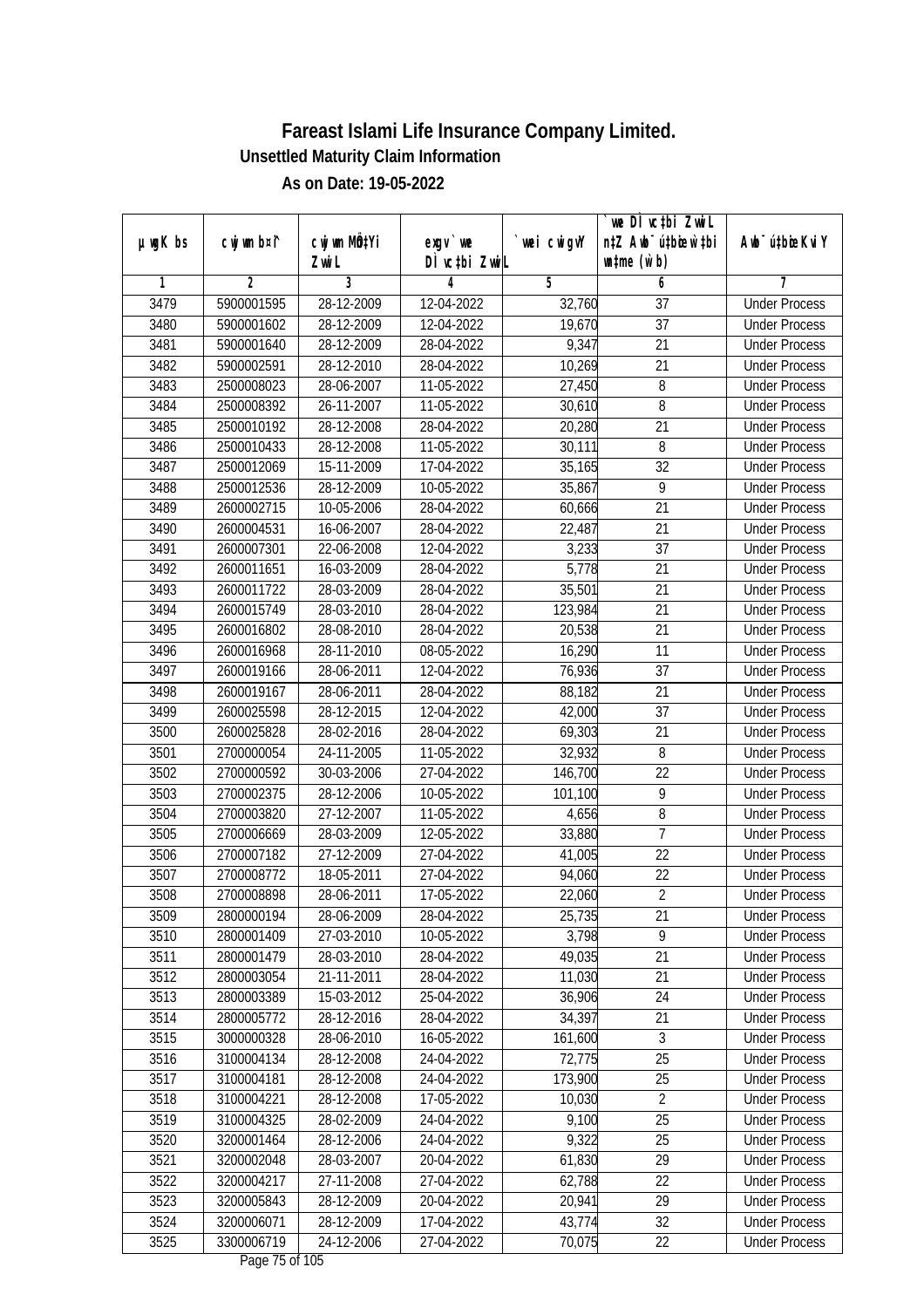| DÌ vctbi ZwiL<br>$\n  untime\n  (u`b)\n$<br>Zwi L<br>3<br>$\overline{2}$<br>5<br>1<br>4<br>6<br>7<br>3479<br>28-12-2009<br>5900001595<br>12-04-2022<br>32,760<br>$\overline{37}$<br><b>Under Process</b><br>$\overline{37}$<br>3480<br>28-12-2009<br>12-04-2022<br>19,670<br>5900001602<br><b>Under Process</b><br>9,347<br>$\overline{21}$<br>3481<br>5900001640<br>28-12-2009<br>28-04-2022<br><b>Under Process</b><br>3482<br>21<br>5900002591<br>28-12-2010<br>28-04-2022<br>10,269<br><b>Under Process</b><br>3483<br>8<br>2500008023<br>28-06-2007<br>11-05-2022<br>27,450<br><b>Under Process</b><br>8<br>3484<br>2500008392<br>26-11-2007<br>11-05-2022<br>30,610<br><b>Under Process</b><br>3485<br>2500010192<br>28-12-2008<br>28-04-2022<br>20,280<br>21<br><b>Under Process</b><br>3486<br>2500010433<br>28-12-2008<br>11-05-2022<br>8<br>30,111<br><b>Under Process</b><br>$\overline{32}$<br>3487<br>2500012069<br>15-11-2009<br>17-04-2022<br>35,165<br><b>Under Process</b><br>3488<br>9<br>2500012536<br>28-12-2009<br>10-05-2022<br>35,867<br><b>Under Process</b><br>$\overline{21}$<br>3489<br>2600002715<br>10-05-2006<br>28-04-2022<br>60,666<br><b>Under Process</b><br>3490<br>22,487<br>21<br>2600004531<br>16-06-2007<br>28-04-2022<br><b>Under Process</b><br>3,233<br>$\overline{37}$<br>3491<br>22-06-2008<br>12-04-2022<br>2600007301<br><b>Under Process</b><br>3492<br>2600011651<br>16-03-2009<br>28-04-2022<br>5,778<br>21<br><b>Under Process</b><br>3493<br>2600011722<br>28-03-2009<br>28-04-2022<br>35,501<br>21<br><b>Under Process</b><br>21<br>3494<br>2600015749<br>28-03-2010<br>28-04-2022<br>123,984<br><b>Under Process</b><br>3495<br>20,538<br>21<br>2600016802<br>28-08-2010<br>28-04-2022<br><b>Under Process</b><br>3496<br>28-11-2010<br>16,290<br>11<br>2600016968<br>08-05-2022<br><b>Under Process</b><br>3497<br>2600019166<br>28-06-2011<br>76,936<br>37<br>12-04-2022<br><b>Under Process</b><br>3498<br>28-06-2011<br>21<br>2600019167<br>28-04-2022<br>88,182<br><b>Under Process</b><br>3499<br>37<br>2600025598<br>28-12-2015<br>12-04-2022<br>42,000<br><b>Under Process</b><br>3500<br>69,303<br>21<br>2600025828<br>28-02-2016<br>28-04-2022<br><b>Under Process</b><br>32,932<br>3501<br>24-11-2005<br>11-05-2022<br>8<br>2700000054<br><b>Under Process</b><br>22<br>3502<br>2700000592<br>27-04-2022<br>146,700<br>30-03-2006<br><b>Under Process</b><br>9<br>3503<br>2700002375<br>28-12-2006<br>10-05-2022<br>101,100<br><b>Under Process</b><br>8<br>3504<br>2700003820<br>27-12-2007<br>11-05-2022<br>4,656<br><b>Under Process</b><br>$\overline{7}$<br>3505<br>2700006669<br>28-03-2009<br>33,880<br>12-05-2022<br><b>Under Process</b><br>22<br>3506<br>27-12-2009<br>27-04-2022<br>2700007182<br>41,005<br><b>Under Process</b><br>22<br>3507<br>2700008772<br>18-05-2011<br>27-04-2022<br>94,060<br><b>Under Process</b><br>$\overline{2}$<br>3508<br>2700008898<br>28-06-2011<br>17-05-2022<br>22,060<br><b>Under Process</b><br>3509<br>2800000194<br>28-06-2009<br>28-04-2022<br>25,735<br>21<br><b>Under Process</b><br>9<br>3510<br>2800001409<br>27-03-2010<br>3,798<br>10-05-2022<br><b>Under Process</b><br>21<br>3511<br>49,035<br>2800001479<br>28-03-2010<br>28-04-2022<br><b>Under Process</b><br>3512<br>11,030<br>21<br>2800003054<br>21-11-2011<br>28-04-2022<br><b>Under Process</b><br>2800003389<br>36,906<br>3513<br>15-03-2012<br>25-04-2022<br>24<br><b>Under Process</b><br>3514<br>2800005772<br>28-12-2016<br>28-04-2022<br>34,397<br>21<br><b>Under Process</b><br>$\overline{3}$<br>3515<br>3000000328<br>28-06-2010<br>16-05-2022<br>161,600<br><b>Under Process</b><br>72,775<br>$\overline{25}$<br>3516<br>3100004134<br>28-12-2008<br>24-04-2022<br><b>Under Process</b><br>173,900<br>25<br>3517<br>3100004181<br>28-12-2008<br>24-04-2022<br><b>Under Process</b><br>10,030<br>$\sqrt{2}$<br>3518<br>3100004221<br>28-12-2008<br>17-05-2022<br><b>Under Process</b><br>3519<br>3100004325<br>28-02-2009<br>24-04-2022<br>9,100<br>25<br><b>Under Process</b><br>3520<br>3200001464<br>28-12-2006<br>24-04-2022<br>9,322<br>25<br><b>Under Process</b><br>$\overline{29}$<br>3521<br>3200002048<br>28-03-2007<br>61,830<br>20-04-2022<br><b>Under Process</b><br>62,788<br>22<br>3522<br>3200004217<br>27-11-2008<br>27-04-2022<br><b>Under Process</b><br>3523<br>29<br>3200005843<br>28-12-2009<br>20-04-2022<br>20,941<br><b>Under Process</b> | $µ$ ug $K$ bs | cwj wm b¤i^ | cwj wm MÖ¢Yi | $exgV$ we  | wei cwigvY | we DI vctbi ZwiL<br>n‡Z Awb <sup>-</sup> ú‡bioen`‡bi | Awb <sup>-</sup> ú‡bioeKviY |
|---------------------------------------------------------------------------------------------------------------------------------------------------------------------------------------------------------------------------------------------------------------------------------------------------------------------------------------------------------------------------------------------------------------------------------------------------------------------------------------------------------------------------------------------------------------------------------------------------------------------------------------------------------------------------------------------------------------------------------------------------------------------------------------------------------------------------------------------------------------------------------------------------------------------------------------------------------------------------------------------------------------------------------------------------------------------------------------------------------------------------------------------------------------------------------------------------------------------------------------------------------------------------------------------------------------------------------------------------------------------------------------------------------------------------------------------------------------------------------------------------------------------------------------------------------------------------------------------------------------------------------------------------------------------------------------------------------------------------------------------------------------------------------------------------------------------------------------------------------------------------------------------------------------------------------------------------------------------------------------------------------------------------------------------------------------------------------------------------------------------------------------------------------------------------------------------------------------------------------------------------------------------------------------------------------------------------------------------------------------------------------------------------------------------------------------------------------------------------------------------------------------------------------------------------------------------------------------------------------------------------------------------------------------------------------------------------------------------------------------------------------------------------------------------------------------------------------------------------------------------------------------------------------------------------------------------------------------------------------------------------------------------------------------------------------------------------------------------------------------------------------------------------------------------------------------------------------------------------------------------------------------------------------------------------------------------------------------------------------------------------------------------------------------------------------------------------------------------------------------------------------------------------------------------------------------------------------------------------------------------------------------------------------------------------------------------------------------------------------------------------------------------------------------------------------------------------------------------------------------------------------------------------------------------------------------------------------------------------------------------------------------------------------------------------------------------------------------------------------------------------------------------------------------------------------------------------------------------------------------------------------------------------------------------------------------------------------------------------------------------------------------------------------------------------------------------------------------|---------------|-------------|--------------|------------|------------|------------------------------------------------------|-----------------------------|
|                                                                                                                                                                                                                                                                                                                                                                                                                                                                                                                                                                                                                                                                                                                                                                                                                                                                                                                                                                                                                                                                                                                                                                                                                                                                                                                                                                                                                                                                                                                                                                                                                                                                                                                                                                                                                                                                                                                                                                                                                                                                                                                                                                                                                                                                                                                                                                                                                                                                                                                                                                                                                                                                                                                                                                                                                                                                                                                                                                                                                                                                                                                                                                                                                                                                                                                                                                                                                                                                                                                                                                                                                                                                                                                                                                                                                                                                                                                                                                                                                                                                                                                                                                                                                                                                                                                                                                                                                                                               |               |             |              |            |            |                                                      |                             |
|                                                                                                                                                                                                                                                                                                                                                                                                                                                                                                                                                                                                                                                                                                                                                                                                                                                                                                                                                                                                                                                                                                                                                                                                                                                                                                                                                                                                                                                                                                                                                                                                                                                                                                                                                                                                                                                                                                                                                                                                                                                                                                                                                                                                                                                                                                                                                                                                                                                                                                                                                                                                                                                                                                                                                                                                                                                                                                                                                                                                                                                                                                                                                                                                                                                                                                                                                                                                                                                                                                                                                                                                                                                                                                                                                                                                                                                                                                                                                                                                                                                                                                                                                                                                                                                                                                                                                                                                                                                               |               |             |              |            |            |                                                      |                             |
|                                                                                                                                                                                                                                                                                                                                                                                                                                                                                                                                                                                                                                                                                                                                                                                                                                                                                                                                                                                                                                                                                                                                                                                                                                                                                                                                                                                                                                                                                                                                                                                                                                                                                                                                                                                                                                                                                                                                                                                                                                                                                                                                                                                                                                                                                                                                                                                                                                                                                                                                                                                                                                                                                                                                                                                                                                                                                                                                                                                                                                                                                                                                                                                                                                                                                                                                                                                                                                                                                                                                                                                                                                                                                                                                                                                                                                                                                                                                                                                                                                                                                                                                                                                                                                                                                                                                                                                                                                                               |               |             |              |            |            |                                                      |                             |
|                                                                                                                                                                                                                                                                                                                                                                                                                                                                                                                                                                                                                                                                                                                                                                                                                                                                                                                                                                                                                                                                                                                                                                                                                                                                                                                                                                                                                                                                                                                                                                                                                                                                                                                                                                                                                                                                                                                                                                                                                                                                                                                                                                                                                                                                                                                                                                                                                                                                                                                                                                                                                                                                                                                                                                                                                                                                                                                                                                                                                                                                                                                                                                                                                                                                                                                                                                                                                                                                                                                                                                                                                                                                                                                                                                                                                                                                                                                                                                                                                                                                                                                                                                                                                                                                                                                                                                                                                                                               |               |             |              |            |            |                                                      |                             |
|                                                                                                                                                                                                                                                                                                                                                                                                                                                                                                                                                                                                                                                                                                                                                                                                                                                                                                                                                                                                                                                                                                                                                                                                                                                                                                                                                                                                                                                                                                                                                                                                                                                                                                                                                                                                                                                                                                                                                                                                                                                                                                                                                                                                                                                                                                                                                                                                                                                                                                                                                                                                                                                                                                                                                                                                                                                                                                                                                                                                                                                                                                                                                                                                                                                                                                                                                                                                                                                                                                                                                                                                                                                                                                                                                                                                                                                                                                                                                                                                                                                                                                                                                                                                                                                                                                                                                                                                                                                               |               |             |              |            |            |                                                      |                             |
|                                                                                                                                                                                                                                                                                                                                                                                                                                                                                                                                                                                                                                                                                                                                                                                                                                                                                                                                                                                                                                                                                                                                                                                                                                                                                                                                                                                                                                                                                                                                                                                                                                                                                                                                                                                                                                                                                                                                                                                                                                                                                                                                                                                                                                                                                                                                                                                                                                                                                                                                                                                                                                                                                                                                                                                                                                                                                                                                                                                                                                                                                                                                                                                                                                                                                                                                                                                                                                                                                                                                                                                                                                                                                                                                                                                                                                                                                                                                                                                                                                                                                                                                                                                                                                                                                                                                                                                                                                                               |               |             |              |            |            |                                                      |                             |
|                                                                                                                                                                                                                                                                                                                                                                                                                                                                                                                                                                                                                                                                                                                                                                                                                                                                                                                                                                                                                                                                                                                                                                                                                                                                                                                                                                                                                                                                                                                                                                                                                                                                                                                                                                                                                                                                                                                                                                                                                                                                                                                                                                                                                                                                                                                                                                                                                                                                                                                                                                                                                                                                                                                                                                                                                                                                                                                                                                                                                                                                                                                                                                                                                                                                                                                                                                                                                                                                                                                                                                                                                                                                                                                                                                                                                                                                                                                                                                                                                                                                                                                                                                                                                                                                                                                                                                                                                                                               |               |             |              |            |            |                                                      |                             |
|                                                                                                                                                                                                                                                                                                                                                                                                                                                                                                                                                                                                                                                                                                                                                                                                                                                                                                                                                                                                                                                                                                                                                                                                                                                                                                                                                                                                                                                                                                                                                                                                                                                                                                                                                                                                                                                                                                                                                                                                                                                                                                                                                                                                                                                                                                                                                                                                                                                                                                                                                                                                                                                                                                                                                                                                                                                                                                                                                                                                                                                                                                                                                                                                                                                                                                                                                                                                                                                                                                                                                                                                                                                                                                                                                                                                                                                                                                                                                                                                                                                                                                                                                                                                                                                                                                                                                                                                                                                               |               |             |              |            |            |                                                      |                             |
|                                                                                                                                                                                                                                                                                                                                                                                                                                                                                                                                                                                                                                                                                                                                                                                                                                                                                                                                                                                                                                                                                                                                                                                                                                                                                                                                                                                                                                                                                                                                                                                                                                                                                                                                                                                                                                                                                                                                                                                                                                                                                                                                                                                                                                                                                                                                                                                                                                                                                                                                                                                                                                                                                                                                                                                                                                                                                                                                                                                                                                                                                                                                                                                                                                                                                                                                                                                                                                                                                                                                                                                                                                                                                                                                                                                                                                                                                                                                                                                                                                                                                                                                                                                                                                                                                                                                                                                                                                                               |               |             |              |            |            |                                                      |                             |
|                                                                                                                                                                                                                                                                                                                                                                                                                                                                                                                                                                                                                                                                                                                                                                                                                                                                                                                                                                                                                                                                                                                                                                                                                                                                                                                                                                                                                                                                                                                                                                                                                                                                                                                                                                                                                                                                                                                                                                                                                                                                                                                                                                                                                                                                                                                                                                                                                                                                                                                                                                                                                                                                                                                                                                                                                                                                                                                                                                                                                                                                                                                                                                                                                                                                                                                                                                                                                                                                                                                                                                                                                                                                                                                                                                                                                                                                                                                                                                                                                                                                                                                                                                                                                                                                                                                                                                                                                                                               |               |             |              |            |            |                                                      |                             |
|                                                                                                                                                                                                                                                                                                                                                                                                                                                                                                                                                                                                                                                                                                                                                                                                                                                                                                                                                                                                                                                                                                                                                                                                                                                                                                                                                                                                                                                                                                                                                                                                                                                                                                                                                                                                                                                                                                                                                                                                                                                                                                                                                                                                                                                                                                                                                                                                                                                                                                                                                                                                                                                                                                                                                                                                                                                                                                                                                                                                                                                                                                                                                                                                                                                                                                                                                                                                                                                                                                                                                                                                                                                                                                                                                                                                                                                                                                                                                                                                                                                                                                                                                                                                                                                                                                                                                                                                                                                               |               |             |              |            |            |                                                      |                             |
|                                                                                                                                                                                                                                                                                                                                                                                                                                                                                                                                                                                                                                                                                                                                                                                                                                                                                                                                                                                                                                                                                                                                                                                                                                                                                                                                                                                                                                                                                                                                                                                                                                                                                                                                                                                                                                                                                                                                                                                                                                                                                                                                                                                                                                                                                                                                                                                                                                                                                                                                                                                                                                                                                                                                                                                                                                                                                                                                                                                                                                                                                                                                                                                                                                                                                                                                                                                                                                                                                                                                                                                                                                                                                                                                                                                                                                                                                                                                                                                                                                                                                                                                                                                                                                                                                                                                                                                                                                                               |               |             |              |            |            |                                                      |                             |
|                                                                                                                                                                                                                                                                                                                                                                                                                                                                                                                                                                                                                                                                                                                                                                                                                                                                                                                                                                                                                                                                                                                                                                                                                                                                                                                                                                                                                                                                                                                                                                                                                                                                                                                                                                                                                                                                                                                                                                                                                                                                                                                                                                                                                                                                                                                                                                                                                                                                                                                                                                                                                                                                                                                                                                                                                                                                                                                                                                                                                                                                                                                                                                                                                                                                                                                                                                                                                                                                                                                                                                                                                                                                                                                                                                                                                                                                                                                                                                                                                                                                                                                                                                                                                                                                                                                                                                                                                                                               |               |             |              |            |            |                                                      |                             |
|                                                                                                                                                                                                                                                                                                                                                                                                                                                                                                                                                                                                                                                                                                                                                                                                                                                                                                                                                                                                                                                                                                                                                                                                                                                                                                                                                                                                                                                                                                                                                                                                                                                                                                                                                                                                                                                                                                                                                                                                                                                                                                                                                                                                                                                                                                                                                                                                                                                                                                                                                                                                                                                                                                                                                                                                                                                                                                                                                                                                                                                                                                                                                                                                                                                                                                                                                                                                                                                                                                                                                                                                                                                                                                                                                                                                                                                                                                                                                                                                                                                                                                                                                                                                                                                                                                                                                                                                                                                               |               |             |              |            |            |                                                      |                             |
|                                                                                                                                                                                                                                                                                                                                                                                                                                                                                                                                                                                                                                                                                                                                                                                                                                                                                                                                                                                                                                                                                                                                                                                                                                                                                                                                                                                                                                                                                                                                                                                                                                                                                                                                                                                                                                                                                                                                                                                                                                                                                                                                                                                                                                                                                                                                                                                                                                                                                                                                                                                                                                                                                                                                                                                                                                                                                                                                                                                                                                                                                                                                                                                                                                                                                                                                                                                                                                                                                                                                                                                                                                                                                                                                                                                                                                                                                                                                                                                                                                                                                                                                                                                                                                                                                                                                                                                                                                                               |               |             |              |            |            |                                                      |                             |
|                                                                                                                                                                                                                                                                                                                                                                                                                                                                                                                                                                                                                                                                                                                                                                                                                                                                                                                                                                                                                                                                                                                                                                                                                                                                                                                                                                                                                                                                                                                                                                                                                                                                                                                                                                                                                                                                                                                                                                                                                                                                                                                                                                                                                                                                                                                                                                                                                                                                                                                                                                                                                                                                                                                                                                                                                                                                                                                                                                                                                                                                                                                                                                                                                                                                                                                                                                                                                                                                                                                                                                                                                                                                                                                                                                                                                                                                                                                                                                                                                                                                                                                                                                                                                                                                                                                                                                                                                                                               |               |             |              |            |            |                                                      |                             |
|                                                                                                                                                                                                                                                                                                                                                                                                                                                                                                                                                                                                                                                                                                                                                                                                                                                                                                                                                                                                                                                                                                                                                                                                                                                                                                                                                                                                                                                                                                                                                                                                                                                                                                                                                                                                                                                                                                                                                                                                                                                                                                                                                                                                                                                                                                                                                                                                                                                                                                                                                                                                                                                                                                                                                                                                                                                                                                                                                                                                                                                                                                                                                                                                                                                                                                                                                                                                                                                                                                                                                                                                                                                                                                                                                                                                                                                                                                                                                                                                                                                                                                                                                                                                                                                                                                                                                                                                                                                               |               |             |              |            |            |                                                      |                             |
|                                                                                                                                                                                                                                                                                                                                                                                                                                                                                                                                                                                                                                                                                                                                                                                                                                                                                                                                                                                                                                                                                                                                                                                                                                                                                                                                                                                                                                                                                                                                                                                                                                                                                                                                                                                                                                                                                                                                                                                                                                                                                                                                                                                                                                                                                                                                                                                                                                                                                                                                                                                                                                                                                                                                                                                                                                                                                                                                                                                                                                                                                                                                                                                                                                                                                                                                                                                                                                                                                                                                                                                                                                                                                                                                                                                                                                                                                                                                                                                                                                                                                                                                                                                                                                                                                                                                                                                                                                                               |               |             |              |            |            |                                                      |                             |
|                                                                                                                                                                                                                                                                                                                                                                                                                                                                                                                                                                                                                                                                                                                                                                                                                                                                                                                                                                                                                                                                                                                                                                                                                                                                                                                                                                                                                                                                                                                                                                                                                                                                                                                                                                                                                                                                                                                                                                                                                                                                                                                                                                                                                                                                                                                                                                                                                                                                                                                                                                                                                                                                                                                                                                                                                                                                                                                                                                                                                                                                                                                                                                                                                                                                                                                                                                                                                                                                                                                                                                                                                                                                                                                                                                                                                                                                                                                                                                                                                                                                                                                                                                                                                                                                                                                                                                                                                                                               |               |             |              |            |            |                                                      |                             |
|                                                                                                                                                                                                                                                                                                                                                                                                                                                                                                                                                                                                                                                                                                                                                                                                                                                                                                                                                                                                                                                                                                                                                                                                                                                                                                                                                                                                                                                                                                                                                                                                                                                                                                                                                                                                                                                                                                                                                                                                                                                                                                                                                                                                                                                                                                                                                                                                                                                                                                                                                                                                                                                                                                                                                                                                                                                                                                                                                                                                                                                                                                                                                                                                                                                                                                                                                                                                                                                                                                                                                                                                                                                                                                                                                                                                                                                                                                                                                                                                                                                                                                                                                                                                                                                                                                                                                                                                                                                               |               |             |              |            |            |                                                      |                             |
|                                                                                                                                                                                                                                                                                                                                                                                                                                                                                                                                                                                                                                                                                                                                                                                                                                                                                                                                                                                                                                                                                                                                                                                                                                                                                                                                                                                                                                                                                                                                                                                                                                                                                                                                                                                                                                                                                                                                                                                                                                                                                                                                                                                                                                                                                                                                                                                                                                                                                                                                                                                                                                                                                                                                                                                                                                                                                                                                                                                                                                                                                                                                                                                                                                                                                                                                                                                                                                                                                                                                                                                                                                                                                                                                                                                                                                                                                                                                                                                                                                                                                                                                                                                                                                                                                                                                                                                                                                                               |               |             |              |            |            |                                                      |                             |
|                                                                                                                                                                                                                                                                                                                                                                                                                                                                                                                                                                                                                                                                                                                                                                                                                                                                                                                                                                                                                                                                                                                                                                                                                                                                                                                                                                                                                                                                                                                                                                                                                                                                                                                                                                                                                                                                                                                                                                                                                                                                                                                                                                                                                                                                                                                                                                                                                                                                                                                                                                                                                                                                                                                                                                                                                                                                                                                                                                                                                                                                                                                                                                                                                                                                                                                                                                                                                                                                                                                                                                                                                                                                                                                                                                                                                                                                                                                                                                                                                                                                                                                                                                                                                                                                                                                                                                                                                                                               |               |             |              |            |            |                                                      |                             |
|                                                                                                                                                                                                                                                                                                                                                                                                                                                                                                                                                                                                                                                                                                                                                                                                                                                                                                                                                                                                                                                                                                                                                                                                                                                                                                                                                                                                                                                                                                                                                                                                                                                                                                                                                                                                                                                                                                                                                                                                                                                                                                                                                                                                                                                                                                                                                                                                                                                                                                                                                                                                                                                                                                                                                                                                                                                                                                                                                                                                                                                                                                                                                                                                                                                                                                                                                                                                                                                                                                                                                                                                                                                                                                                                                                                                                                                                                                                                                                                                                                                                                                                                                                                                                                                                                                                                                                                                                                                               |               |             |              |            |            |                                                      |                             |
|                                                                                                                                                                                                                                                                                                                                                                                                                                                                                                                                                                                                                                                                                                                                                                                                                                                                                                                                                                                                                                                                                                                                                                                                                                                                                                                                                                                                                                                                                                                                                                                                                                                                                                                                                                                                                                                                                                                                                                                                                                                                                                                                                                                                                                                                                                                                                                                                                                                                                                                                                                                                                                                                                                                                                                                                                                                                                                                                                                                                                                                                                                                                                                                                                                                                                                                                                                                                                                                                                                                                                                                                                                                                                                                                                                                                                                                                                                                                                                                                                                                                                                                                                                                                                                                                                                                                                                                                                                                               |               |             |              |            |            |                                                      |                             |
|                                                                                                                                                                                                                                                                                                                                                                                                                                                                                                                                                                                                                                                                                                                                                                                                                                                                                                                                                                                                                                                                                                                                                                                                                                                                                                                                                                                                                                                                                                                                                                                                                                                                                                                                                                                                                                                                                                                                                                                                                                                                                                                                                                                                                                                                                                                                                                                                                                                                                                                                                                                                                                                                                                                                                                                                                                                                                                                                                                                                                                                                                                                                                                                                                                                                                                                                                                                                                                                                                                                                                                                                                                                                                                                                                                                                                                                                                                                                                                                                                                                                                                                                                                                                                                                                                                                                                                                                                                                               |               |             |              |            |            |                                                      |                             |
|                                                                                                                                                                                                                                                                                                                                                                                                                                                                                                                                                                                                                                                                                                                                                                                                                                                                                                                                                                                                                                                                                                                                                                                                                                                                                                                                                                                                                                                                                                                                                                                                                                                                                                                                                                                                                                                                                                                                                                                                                                                                                                                                                                                                                                                                                                                                                                                                                                                                                                                                                                                                                                                                                                                                                                                                                                                                                                                                                                                                                                                                                                                                                                                                                                                                                                                                                                                                                                                                                                                                                                                                                                                                                                                                                                                                                                                                                                                                                                                                                                                                                                                                                                                                                                                                                                                                                                                                                                                               |               |             |              |            |            |                                                      |                             |
|                                                                                                                                                                                                                                                                                                                                                                                                                                                                                                                                                                                                                                                                                                                                                                                                                                                                                                                                                                                                                                                                                                                                                                                                                                                                                                                                                                                                                                                                                                                                                                                                                                                                                                                                                                                                                                                                                                                                                                                                                                                                                                                                                                                                                                                                                                                                                                                                                                                                                                                                                                                                                                                                                                                                                                                                                                                                                                                                                                                                                                                                                                                                                                                                                                                                                                                                                                                                                                                                                                                                                                                                                                                                                                                                                                                                                                                                                                                                                                                                                                                                                                                                                                                                                                                                                                                                                                                                                                                               |               |             |              |            |            |                                                      |                             |
|                                                                                                                                                                                                                                                                                                                                                                                                                                                                                                                                                                                                                                                                                                                                                                                                                                                                                                                                                                                                                                                                                                                                                                                                                                                                                                                                                                                                                                                                                                                                                                                                                                                                                                                                                                                                                                                                                                                                                                                                                                                                                                                                                                                                                                                                                                                                                                                                                                                                                                                                                                                                                                                                                                                                                                                                                                                                                                                                                                                                                                                                                                                                                                                                                                                                                                                                                                                                                                                                                                                                                                                                                                                                                                                                                                                                                                                                                                                                                                                                                                                                                                                                                                                                                                                                                                                                                                                                                                                               |               |             |              |            |            |                                                      |                             |
|                                                                                                                                                                                                                                                                                                                                                                                                                                                                                                                                                                                                                                                                                                                                                                                                                                                                                                                                                                                                                                                                                                                                                                                                                                                                                                                                                                                                                                                                                                                                                                                                                                                                                                                                                                                                                                                                                                                                                                                                                                                                                                                                                                                                                                                                                                                                                                                                                                                                                                                                                                                                                                                                                                                                                                                                                                                                                                                                                                                                                                                                                                                                                                                                                                                                                                                                                                                                                                                                                                                                                                                                                                                                                                                                                                                                                                                                                                                                                                                                                                                                                                                                                                                                                                                                                                                                                                                                                                                               |               |             |              |            |            |                                                      |                             |
|                                                                                                                                                                                                                                                                                                                                                                                                                                                                                                                                                                                                                                                                                                                                                                                                                                                                                                                                                                                                                                                                                                                                                                                                                                                                                                                                                                                                                                                                                                                                                                                                                                                                                                                                                                                                                                                                                                                                                                                                                                                                                                                                                                                                                                                                                                                                                                                                                                                                                                                                                                                                                                                                                                                                                                                                                                                                                                                                                                                                                                                                                                                                                                                                                                                                                                                                                                                                                                                                                                                                                                                                                                                                                                                                                                                                                                                                                                                                                                                                                                                                                                                                                                                                                                                                                                                                                                                                                                                               |               |             |              |            |            |                                                      |                             |
|                                                                                                                                                                                                                                                                                                                                                                                                                                                                                                                                                                                                                                                                                                                                                                                                                                                                                                                                                                                                                                                                                                                                                                                                                                                                                                                                                                                                                                                                                                                                                                                                                                                                                                                                                                                                                                                                                                                                                                                                                                                                                                                                                                                                                                                                                                                                                                                                                                                                                                                                                                                                                                                                                                                                                                                                                                                                                                                                                                                                                                                                                                                                                                                                                                                                                                                                                                                                                                                                                                                                                                                                                                                                                                                                                                                                                                                                                                                                                                                                                                                                                                                                                                                                                                                                                                                                                                                                                                                               |               |             |              |            |            |                                                      |                             |
|                                                                                                                                                                                                                                                                                                                                                                                                                                                                                                                                                                                                                                                                                                                                                                                                                                                                                                                                                                                                                                                                                                                                                                                                                                                                                                                                                                                                                                                                                                                                                                                                                                                                                                                                                                                                                                                                                                                                                                                                                                                                                                                                                                                                                                                                                                                                                                                                                                                                                                                                                                                                                                                                                                                                                                                                                                                                                                                                                                                                                                                                                                                                                                                                                                                                                                                                                                                                                                                                                                                                                                                                                                                                                                                                                                                                                                                                                                                                                                                                                                                                                                                                                                                                                                                                                                                                                                                                                                                               |               |             |              |            |            |                                                      |                             |
|                                                                                                                                                                                                                                                                                                                                                                                                                                                                                                                                                                                                                                                                                                                                                                                                                                                                                                                                                                                                                                                                                                                                                                                                                                                                                                                                                                                                                                                                                                                                                                                                                                                                                                                                                                                                                                                                                                                                                                                                                                                                                                                                                                                                                                                                                                                                                                                                                                                                                                                                                                                                                                                                                                                                                                                                                                                                                                                                                                                                                                                                                                                                                                                                                                                                                                                                                                                                                                                                                                                                                                                                                                                                                                                                                                                                                                                                                                                                                                                                                                                                                                                                                                                                                                                                                                                                                                                                                                                               |               |             |              |            |            |                                                      |                             |
|                                                                                                                                                                                                                                                                                                                                                                                                                                                                                                                                                                                                                                                                                                                                                                                                                                                                                                                                                                                                                                                                                                                                                                                                                                                                                                                                                                                                                                                                                                                                                                                                                                                                                                                                                                                                                                                                                                                                                                                                                                                                                                                                                                                                                                                                                                                                                                                                                                                                                                                                                                                                                                                                                                                                                                                                                                                                                                                                                                                                                                                                                                                                                                                                                                                                                                                                                                                                                                                                                                                                                                                                                                                                                                                                                                                                                                                                                                                                                                                                                                                                                                                                                                                                                                                                                                                                                                                                                                                               |               |             |              |            |            |                                                      |                             |
|                                                                                                                                                                                                                                                                                                                                                                                                                                                                                                                                                                                                                                                                                                                                                                                                                                                                                                                                                                                                                                                                                                                                                                                                                                                                                                                                                                                                                                                                                                                                                                                                                                                                                                                                                                                                                                                                                                                                                                                                                                                                                                                                                                                                                                                                                                                                                                                                                                                                                                                                                                                                                                                                                                                                                                                                                                                                                                                                                                                                                                                                                                                                                                                                                                                                                                                                                                                                                                                                                                                                                                                                                                                                                                                                                                                                                                                                                                                                                                                                                                                                                                                                                                                                                                                                                                                                                                                                                                                               |               |             |              |            |            |                                                      |                             |
|                                                                                                                                                                                                                                                                                                                                                                                                                                                                                                                                                                                                                                                                                                                                                                                                                                                                                                                                                                                                                                                                                                                                                                                                                                                                                                                                                                                                                                                                                                                                                                                                                                                                                                                                                                                                                                                                                                                                                                                                                                                                                                                                                                                                                                                                                                                                                                                                                                                                                                                                                                                                                                                                                                                                                                                                                                                                                                                                                                                                                                                                                                                                                                                                                                                                                                                                                                                                                                                                                                                                                                                                                                                                                                                                                                                                                                                                                                                                                                                                                                                                                                                                                                                                                                                                                                                                                                                                                                                               |               |             |              |            |            |                                                      |                             |
|                                                                                                                                                                                                                                                                                                                                                                                                                                                                                                                                                                                                                                                                                                                                                                                                                                                                                                                                                                                                                                                                                                                                                                                                                                                                                                                                                                                                                                                                                                                                                                                                                                                                                                                                                                                                                                                                                                                                                                                                                                                                                                                                                                                                                                                                                                                                                                                                                                                                                                                                                                                                                                                                                                                                                                                                                                                                                                                                                                                                                                                                                                                                                                                                                                                                                                                                                                                                                                                                                                                                                                                                                                                                                                                                                                                                                                                                                                                                                                                                                                                                                                                                                                                                                                                                                                                                                                                                                                                               |               |             |              |            |            |                                                      |                             |
|                                                                                                                                                                                                                                                                                                                                                                                                                                                                                                                                                                                                                                                                                                                                                                                                                                                                                                                                                                                                                                                                                                                                                                                                                                                                                                                                                                                                                                                                                                                                                                                                                                                                                                                                                                                                                                                                                                                                                                                                                                                                                                                                                                                                                                                                                                                                                                                                                                                                                                                                                                                                                                                                                                                                                                                                                                                                                                                                                                                                                                                                                                                                                                                                                                                                                                                                                                                                                                                                                                                                                                                                                                                                                                                                                                                                                                                                                                                                                                                                                                                                                                                                                                                                                                                                                                                                                                                                                                                               |               |             |              |            |            |                                                      |                             |
|                                                                                                                                                                                                                                                                                                                                                                                                                                                                                                                                                                                                                                                                                                                                                                                                                                                                                                                                                                                                                                                                                                                                                                                                                                                                                                                                                                                                                                                                                                                                                                                                                                                                                                                                                                                                                                                                                                                                                                                                                                                                                                                                                                                                                                                                                                                                                                                                                                                                                                                                                                                                                                                                                                                                                                                                                                                                                                                                                                                                                                                                                                                                                                                                                                                                                                                                                                                                                                                                                                                                                                                                                                                                                                                                                                                                                                                                                                                                                                                                                                                                                                                                                                                                                                                                                                                                                                                                                                                               |               |             |              |            |            |                                                      |                             |
|                                                                                                                                                                                                                                                                                                                                                                                                                                                                                                                                                                                                                                                                                                                                                                                                                                                                                                                                                                                                                                                                                                                                                                                                                                                                                                                                                                                                                                                                                                                                                                                                                                                                                                                                                                                                                                                                                                                                                                                                                                                                                                                                                                                                                                                                                                                                                                                                                                                                                                                                                                                                                                                                                                                                                                                                                                                                                                                                                                                                                                                                                                                                                                                                                                                                                                                                                                                                                                                                                                                                                                                                                                                                                                                                                                                                                                                                                                                                                                                                                                                                                                                                                                                                                                                                                                                                                                                                                                                               |               |             |              |            |            |                                                      |                             |
|                                                                                                                                                                                                                                                                                                                                                                                                                                                                                                                                                                                                                                                                                                                                                                                                                                                                                                                                                                                                                                                                                                                                                                                                                                                                                                                                                                                                                                                                                                                                                                                                                                                                                                                                                                                                                                                                                                                                                                                                                                                                                                                                                                                                                                                                                                                                                                                                                                                                                                                                                                                                                                                                                                                                                                                                                                                                                                                                                                                                                                                                                                                                                                                                                                                                                                                                                                                                                                                                                                                                                                                                                                                                                                                                                                                                                                                                                                                                                                                                                                                                                                                                                                                                                                                                                                                                                                                                                                                               |               |             |              |            |            |                                                      |                             |
|                                                                                                                                                                                                                                                                                                                                                                                                                                                                                                                                                                                                                                                                                                                                                                                                                                                                                                                                                                                                                                                                                                                                                                                                                                                                                                                                                                                                                                                                                                                                                                                                                                                                                                                                                                                                                                                                                                                                                                                                                                                                                                                                                                                                                                                                                                                                                                                                                                                                                                                                                                                                                                                                                                                                                                                                                                                                                                                                                                                                                                                                                                                                                                                                                                                                                                                                                                                                                                                                                                                                                                                                                                                                                                                                                                                                                                                                                                                                                                                                                                                                                                                                                                                                                                                                                                                                                                                                                                                               |               |             |              |            |            |                                                      |                             |
|                                                                                                                                                                                                                                                                                                                                                                                                                                                                                                                                                                                                                                                                                                                                                                                                                                                                                                                                                                                                                                                                                                                                                                                                                                                                                                                                                                                                                                                                                                                                                                                                                                                                                                                                                                                                                                                                                                                                                                                                                                                                                                                                                                                                                                                                                                                                                                                                                                                                                                                                                                                                                                                                                                                                                                                                                                                                                                                                                                                                                                                                                                                                                                                                                                                                                                                                                                                                                                                                                                                                                                                                                                                                                                                                                                                                                                                                                                                                                                                                                                                                                                                                                                                                                                                                                                                                                                                                                                                               |               |             |              |            |            |                                                      |                             |
|                                                                                                                                                                                                                                                                                                                                                                                                                                                                                                                                                                                                                                                                                                                                                                                                                                                                                                                                                                                                                                                                                                                                                                                                                                                                                                                                                                                                                                                                                                                                                                                                                                                                                                                                                                                                                                                                                                                                                                                                                                                                                                                                                                                                                                                                                                                                                                                                                                                                                                                                                                                                                                                                                                                                                                                                                                                                                                                                                                                                                                                                                                                                                                                                                                                                                                                                                                                                                                                                                                                                                                                                                                                                                                                                                                                                                                                                                                                                                                                                                                                                                                                                                                                                                                                                                                                                                                                                                                                               |               |             |              |            |            |                                                      |                             |
|                                                                                                                                                                                                                                                                                                                                                                                                                                                                                                                                                                                                                                                                                                                                                                                                                                                                                                                                                                                                                                                                                                                                                                                                                                                                                                                                                                                                                                                                                                                                                                                                                                                                                                                                                                                                                                                                                                                                                                                                                                                                                                                                                                                                                                                                                                                                                                                                                                                                                                                                                                                                                                                                                                                                                                                                                                                                                                                                                                                                                                                                                                                                                                                                                                                                                                                                                                                                                                                                                                                                                                                                                                                                                                                                                                                                                                                                                                                                                                                                                                                                                                                                                                                                                                                                                                                                                                                                                                                               |               |             |              |            |            |                                                      |                             |
|                                                                                                                                                                                                                                                                                                                                                                                                                                                                                                                                                                                                                                                                                                                                                                                                                                                                                                                                                                                                                                                                                                                                                                                                                                                                                                                                                                                                                                                                                                                                                                                                                                                                                                                                                                                                                                                                                                                                                                                                                                                                                                                                                                                                                                                                                                                                                                                                                                                                                                                                                                                                                                                                                                                                                                                                                                                                                                                                                                                                                                                                                                                                                                                                                                                                                                                                                                                                                                                                                                                                                                                                                                                                                                                                                                                                                                                                                                                                                                                                                                                                                                                                                                                                                                                                                                                                                                                                                                                               |               |             |              |            |            |                                                      |                             |
|                                                                                                                                                                                                                                                                                                                                                                                                                                                                                                                                                                                                                                                                                                                                                                                                                                                                                                                                                                                                                                                                                                                                                                                                                                                                                                                                                                                                                                                                                                                                                                                                                                                                                                                                                                                                                                                                                                                                                                                                                                                                                                                                                                                                                                                                                                                                                                                                                                                                                                                                                                                                                                                                                                                                                                                                                                                                                                                                                                                                                                                                                                                                                                                                                                                                                                                                                                                                                                                                                                                                                                                                                                                                                                                                                                                                                                                                                                                                                                                                                                                                                                                                                                                                                                                                                                                                                                                                                                                               |               |             |              |            |            |                                                      |                             |
|                                                                                                                                                                                                                                                                                                                                                                                                                                                                                                                                                                                                                                                                                                                                                                                                                                                                                                                                                                                                                                                                                                                                                                                                                                                                                                                                                                                                                                                                                                                                                                                                                                                                                                                                                                                                                                                                                                                                                                                                                                                                                                                                                                                                                                                                                                                                                                                                                                                                                                                                                                                                                                                                                                                                                                                                                                                                                                                                                                                                                                                                                                                                                                                                                                                                                                                                                                                                                                                                                                                                                                                                                                                                                                                                                                                                                                                                                                                                                                                                                                                                                                                                                                                                                                                                                                                                                                                                                                                               | 3524          | 3200006071  | 28-12-2009   | 17-04-2022 | 43,774     | 32                                                   | <b>Under Process</b>        |
| 3525<br>3300006719<br>24-12-2006<br>70,075<br>22<br>27-04-2022<br><b>Under Process</b>                                                                                                                                                                                                                                                                                                                                                                                                                                                                                                                                                                                                                                                                                                                                                                                                                                                                                                                                                                                                                                                                                                                                                                                                                                                                                                                                                                                                                                                                                                                                                                                                                                                                                                                                                                                                                                                                                                                                                                                                                                                                                                                                                                                                                                                                                                                                                                                                                                                                                                                                                                                                                                                                                                                                                                                                                                                                                                                                                                                                                                                                                                                                                                                                                                                                                                                                                                                                                                                                                                                                                                                                                                                                                                                                                                                                                                                                                                                                                                                                                                                                                                                                                                                                                                                                                                                                                                        |               |             |              |            |            |                                                      |                             |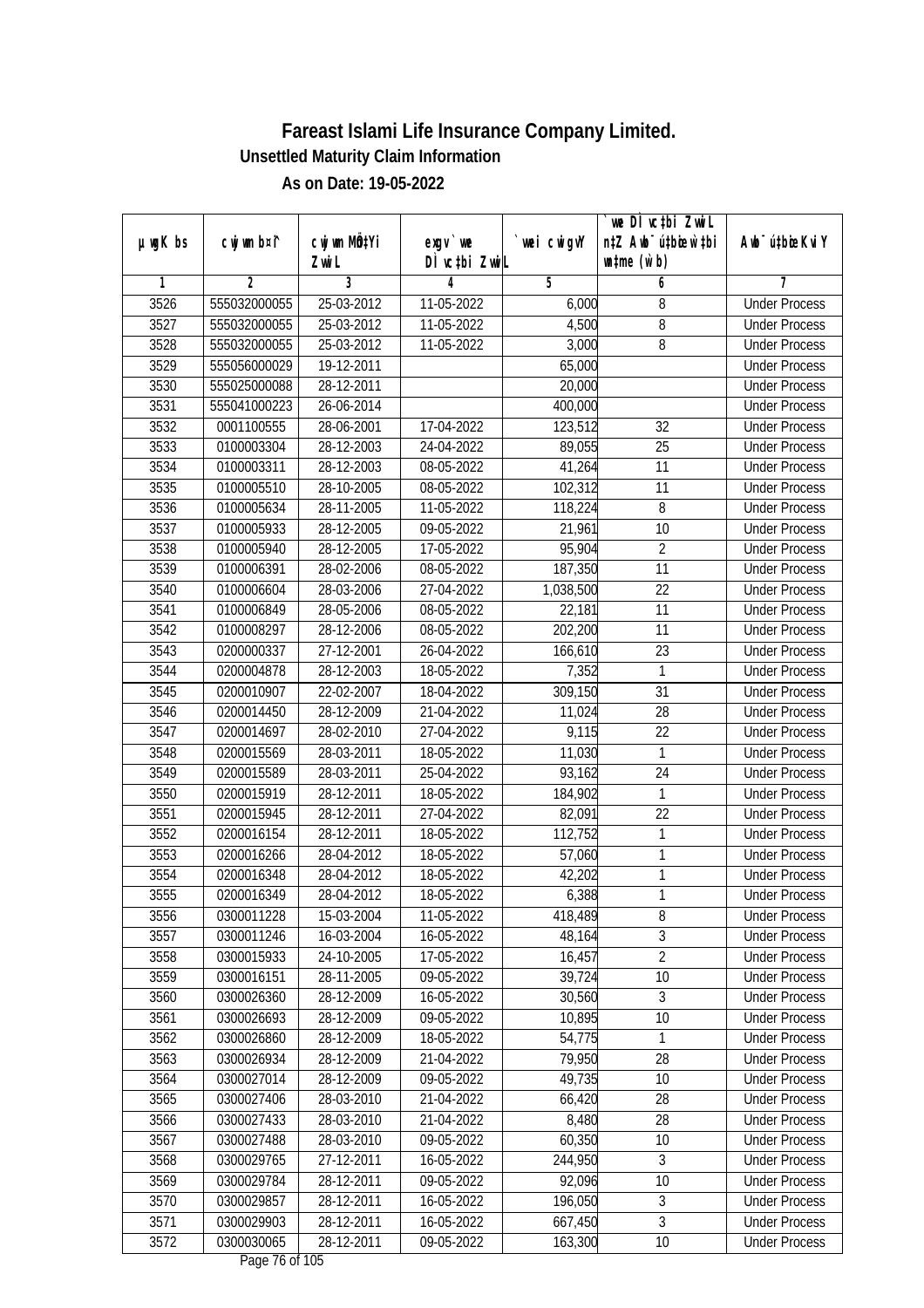|               |                |                           |                          |             | `we DÌ vc‡bi Zwwi∟               |                             |
|---------------|----------------|---------------------------|--------------------------|-------------|----------------------------------|-----------------------------|
| $µ$ ug $K$ bs | cwj wm b¤i^    | cwj wm MQ <sup>1</sup> Yi | $exqu$ we                | `wei cwigvY | n‡Z Awb <sup>-</sup> ú‡bioen`‡bi | Awb <sup>-</sup> ú‡bioeKviY |
|               |                | Zwi L                     | DÌ vctbi ZwiL            |             | $\n  untime\n  (u`b)\n$          |                             |
| 1             | $\overline{2}$ | 3                         | 4                        | 5           | 6                                | 7                           |
| 3526          | 555032000055   | 25-03-2012                | 11-05-2022               | 6,000       | 8                                | <b>Under Process</b>        |
| 3527          | 555032000055   | 25-03-2012                | 11-05-2022               | 4,500       | 8                                | <b>Under Process</b>        |
| 3528          | 555032000055   | 25-03-2012                | 11-05-2022               | 3,000       | 8                                | <b>Under Process</b>        |
| 3529          | 555056000029   | 19-12-2011                |                          | 65,000      |                                  | <b>Under Process</b>        |
| 3530          | 555025000088   | 28-12-2011                |                          | 20,000      |                                  | <b>Under Process</b>        |
| 3531          | 555041000223   | 26-06-2014                |                          | 400,000     |                                  | <b>Under Process</b>        |
| 3532          | 0001100555     | 28-06-2001                | 17-04-2022               | 123,512     | 32                               | <b>Under Process</b>        |
| 3533          | 0100003304     | 28-12-2003                | 24-04-2022               | 89,055      | $\overline{25}$                  | <b>Under Process</b>        |
| 3534          | 0100003311     | 28-12-2003                | 08-05-2022               | 41,264      | 11                               | <b>Under Process</b>        |
| 3535          | 0100005510     | 28-10-2005                | 08-05-2022               | 102,312     | $\overline{11}$                  | <b>Under Process</b>        |
| 3536          | 0100005634     | 28-11-2005                | 11-05-2022               | 118,224     | 8                                | <b>Under Process</b>        |
| 3537          | 0100005933     | 28-12-2005                | 09-05-2022               | 21,961      | 10                               | <b>Under Process</b>        |
| 3538          | 0100005940     | 28-12-2005                | 17-05-2022               | 95,904      | $\overline{2}$                   | <b>Under Process</b>        |
| 3539          | 0100006391     | 28-02-2006                | 08-05-2022               | 187,350     | 11                               | <b>Under Process</b>        |
| 3540          | 0100006604     | 28-03-2006                | 27-04-2022               | 1,038,500   | 22                               | <b>Under Process</b>        |
| 3541          | 0100006849     | 28-05-2006                | $\overline{08}$ -05-2022 | 22,181      | $\overline{11}$                  | <b>Under Process</b>        |
| 3542          | 0100008297     | 28-12-2006                | 08-05-2022               | 202,200     | 11                               | <b>Under Process</b>        |
| 3543          | 0200000337     | 27-12-2001                | 26-04-2022               | 166,610     | 23                               | <b>Under Process</b>        |
| 3544          | 0200004878     | 28-12-2003                | 18-05-2022               | 7,352       | 1                                | <b>Under Process</b>        |
| 3545          | 0200010907     | 22-02-2007                | 18-04-2022               | 309,150     | 31                               | <b>Under Process</b>        |
| 3546          | 0200014450     | 28-12-2009                | 21-04-2022               | 11,024      | 28                               | <b>Under Process</b>        |
| 3547          | 0200014697     | 28-02-2010                | 27-04-2022               | 9,115       | 22                               | <b>Under Process</b>        |
| 3548          | 0200015569     | 28-03-2011                | 18-05-2022               | 11,030      | 1                                | <b>Under Process</b>        |
| 3549          | 0200015589     | 28-03-2011                | 25-04-2022               | 93,162      | 24                               | <b>Under Process</b>        |
| 3550          | 0200015919     | 28-12-2011                | 18-05-2022               | 184,902     | 1                                | <b>Under Process</b>        |
| 3551          | 0200015945     | 28-12-2011                | 27-04-2022               | 82,091      | 22                               | <b>Under Process</b>        |
| 3552          | 0200016154     | 28-12-2011                | 18-05-2022               | 112,752     | 1                                | <b>Under Process</b>        |
| 3553          | 0200016266     | 28-04-2012                | 18-05-2022               | 57,060      | 1                                | <b>Under Process</b>        |
| 3554          | 0200016348     | 28-04-2012                | 18-05-2022               | 42,202      | $\mathbf{1}$                     | <b>Under Process</b>        |
| 3555          | 0200016349     | 28-04-2012                | 18-05-2022               | 6,388       | 1                                | <b>Under Process</b>        |
| 3556          | 0300011228     | 15-03-2004                | 11-05-2022               | 418,489     | 8                                | <b>Under Process</b>        |
| 3557          | 0300011246     | 16-03-2004                | 16-05-2022               | 48,164      | 3                                | <b>Under Process</b>        |
| 3558          | 0300015933     | 24-10-2005                | 17-05-2022               | 16,457      | $\overline{2}$                   | <b>Under Process</b>        |
| 3559          | 0300016151     | 28-11-2005                | 09-05-2022               | 39,724      | 10                               | <b>Under Process</b>        |
| 3560          | 0300026360     | 28-12-2009                | 16-05-2022               | 30,560      | 3                                | <b>Under Process</b>        |
| 3561          | 0300026693     | 28-12-2009                | 09-05-2022               | 10,895      | 10                               | <b>Under Process</b>        |
| 3562          | 0300026860     | 28-12-2009                | 18-05-2022               | 54,775      | 1                                | <b>Under Process</b>        |
| 3563          | 0300026934     | 28-12-2009                | 21-04-2022               | 79,950      | 28                               | <b>Under Process</b>        |
| 3564          | 0300027014     | 28-12-2009                | 09-05-2022               | 49,735      | 10                               | <b>Under Process</b>        |
| 3565          | 0300027406     | 28-03-2010                | 21-04-2022               | 66,420      | 28                               | <b>Under Process</b>        |
| 3566          | 0300027433     | 28-03-2010                | 21-04-2022               | 8,480       | 28                               | <b>Under Process</b>        |
| 3567          | 0300027488     | 28-03-2010                | 09-05-2022               | 60,350      | 10                               | <b>Under Process</b>        |
| 3568          | 0300029765     | 27-12-2011                | 16-05-2022               | 244,950     | $\overline{3}$                   | <b>Under Process</b>        |
| 3569          | 0300029784     | 28-12-2011                | 09-05-2022               | 92,096      | 10                               | <b>Under Process</b>        |
| 3570          | 0300029857     | 28-12-2011                | 16-05-2022               | 196,050     | $\overline{3}$                   | <b>Under Process</b>        |
| 3571          | 0300029903     | 28-12-2011                | 16-05-2022               | 667,450     | $\overline{3}$                   | <b>Under Process</b>        |
| 3572          | 0300030065     | 28-12-2011                | 09-05-2022               | 163,300     | 10                               | <b>Under Process</b>        |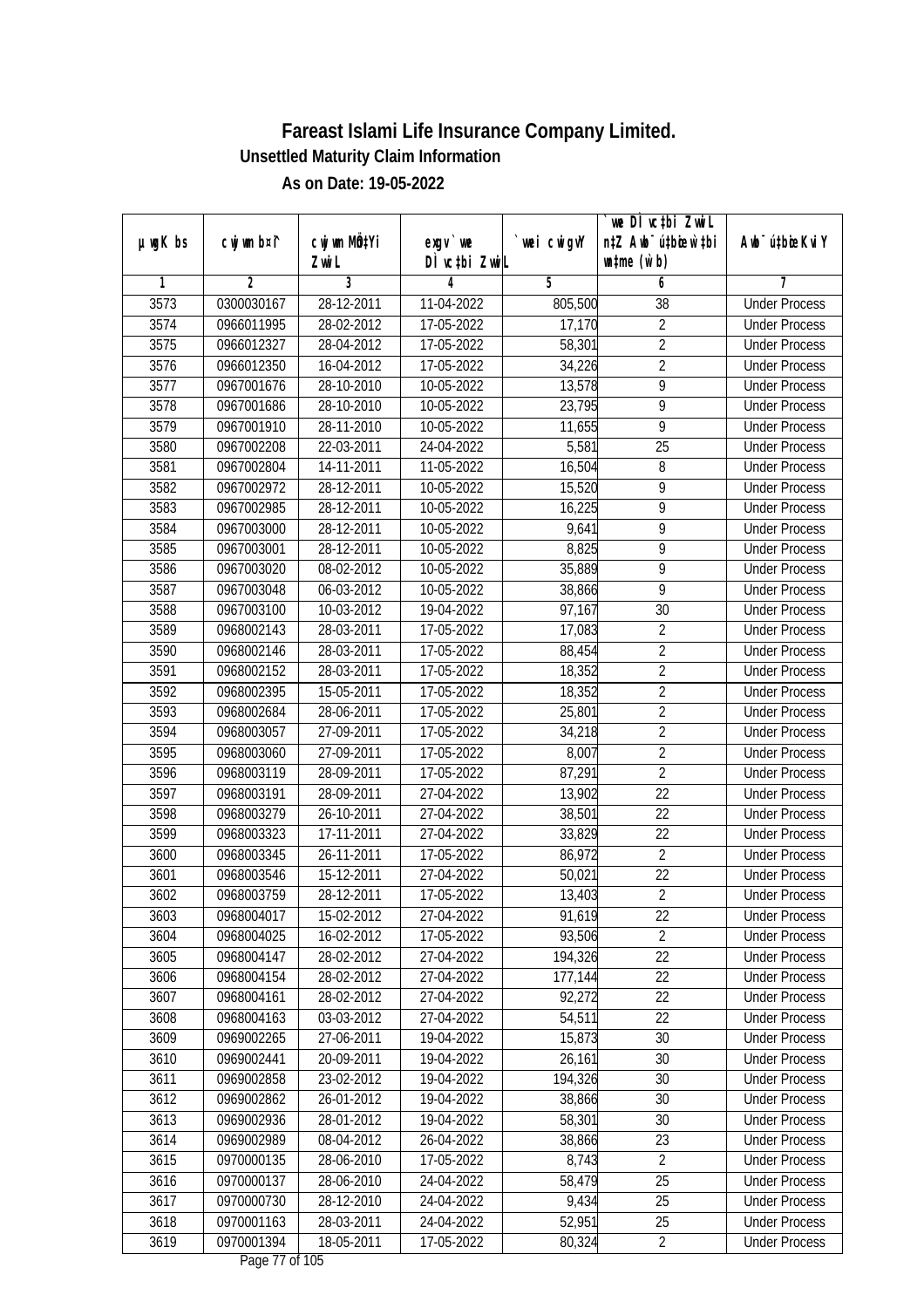|               |                |                                    |                            |             | we DI vctbi ZwiL                                            |                             |
|---------------|----------------|------------------------------------|----------------------------|-------------|-------------------------------------------------------------|-----------------------------|
| $µ$ ug $K$ bs | cwj wm b¤i^    | cwj wm MQ <sup>1</sup> Yi<br>Zwi L | $exgV$ we<br>DÌ vctbi ZwiL | `wei cwigvY | n‡Z Awb <sup>-</sup> ú‡bicen`‡bi<br>$\n  untime\n  (u`b)\n$ | Awb <sup>-</sup> ú‡bioeKviY |
| 1             | $\overline{2}$ | 3                                  | 4                          | 5           | 6                                                           | 7                           |
| 3573          | 0300030167     | 28-12-2011                         | 11-04-2022                 | 805,500     | $\overline{38}$                                             | <b>Under Process</b>        |
| 3574          | 0966011995     | 28-02-2012                         | 17-05-2022                 | 17,170      | $\overline{2}$                                              | <b>Under Process</b>        |
| 3575          | 0966012327     | 28-04-2012                         | 17-05-2022                 | 58,301      | $\overline{2}$                                              | <b>Under Process</b>        |
| 3576          | 0966012350     | 16-04-2012                         | 17-05-2022                 | 34,226      | $\overline{2}$                                              | <b>Under Process</b>        |
| 3577          | 0967001676     | 28-10-2010                         | 10-05-2022                 | 13,578      | $\overline{9}$                                              | <b>Under Process</b>        |
| 3578          | 0967001686     | 28-10-2010                         | 10-05-2022                 | 23,795      | 9                                                           | <b>Under Process</b>        |
| 3579          | 0967001910     | 28-11-2010                         | 10-05-2022                 | 11,655      | 9                                                           | <b>Under Process</b>        |
| 3580          | 0967002208     | 22-03-2011                         | 24-04-2022                 | 5,581       | $\overline{25}$                                             | <b>Under Process</b>        |
| 3581          | 0967002804     | 14-11-2011                         | 11-05-2022                 | 16,504      | $\overline{8}$                                              | <b>Under Process</b>        |
| 3582          | 0967002972     | 28-12-2011                         | 10-05-2022                 | 15,520      | 9                                                           | <b>Under Process</b>        |
| 3583          | 0967002985     | 28-12-2011                         | 10-05-2022                 | 16,225      | 9                                                           | <b>Under Process</b>        |
| 3584          | 0967003000     | 28-12-2011                         | 10-05-2022                 | 9,641       | 9                                                           | <b>Under Process</b>        |
| 3585          | 0967003001     | 28-12-2011                         | 10-05-2022                 | 8,825       | $\overline{9}$                                              | <b>Under Process</b>        |
| 3586          | 0967003020     | 08-02-2012                         | 10-05-2022                 | 35,889      | 9                                                           | <b>Under Process</b>        |
| 3587          | 0967003048     | 06-03-2012                         | 10-05-2022                 | 38,866      | 9                                                           | <b>Under Process</b>        |
| 3588          | 0967003100     | 10-03-2012                         | 19-04-2022                 | 97,167      | 30                                                          | <b>Under Process</b>        |
| 3589          | 0968002143     | 28-03-2011                         | 17-05-2022                 | 17,083      | $\sqrt{2}$                                                  | <b>Under Process</b>        |
| 3590          | 0968002146     | 28-03-2011                         | 17-05-2022                 | 88,454      | $\overline{2}$                                              | <b>Under Process</b>        |
| 3591          | 0968002152     | 28-03-2011                         | 17-05-2022                 | 18,352      | $\overline{2}$                                              | <b>Under Process</b>        |
| 3592          | 0968002395     | 15-05-2011                         | 17-05-2022                 | 18,352      | $\sqrt{2}$                                                  | <b>Under Process</b>        |
| 3593          | 0968002684     | 28-06-2011                         | 17-05-2022                 | 25,801      | $\overline{2}$                                              | <b>Under Process</b>        |
| 3594          | 0968003057     | 27-09-2011                         | 17-05-2022                 | 34,218      | $\overline{2}$                                              | <b>Under Process</b>        |
| 3595          | 0968003060     | 27-09-2011                         | 17-05-2022                 | 8,007       | $\overline{2}$                                              | <b>Under Process</b>        |
| 3596          | 0968003119     | 28-09-2011                         | 17-05-2022                 | 87,291      | $\overline{2}$                                              | <b>Under Process</b>        |
| 3597          | 0968003191     | 28-09-2011                         | 27-04-2022                 | 13,902      | 22                                                          | <b>Under Process</b>        |
| 3598          | 0968003279     | 26-10-2011                         | 27-04-2022                 | 38,501      | 22                                                          | <b>Under Process</b>        |
| 3599          | 0968003323     | 17-11-2011                         | 27-04-2022                 | 33,829      | 22                                                          | <b>Under Process</b>        |
| 3600          | 0968003345     | 26-11-2011                         | 17-05-2022                 | 86,972      | $\overline{2}$                                              | <b>Under Process</b>        |
| 3601          | 0968003546     | 15-12-2011                         | 27-04-2022                 | 50,021      | 22                                                          | <b>Under Process</b>        |
| 3602          | 0968003759     | 28-12-2011                         | 17-05-2022                 | 13,403      | $\overline{2}$                                              | <b>Under Process</b>        |
| 3603          | 0968004017     | 15-02-2012                         | 27-04-2022                 | 91,619      | 22                                                          | <b>Under Process</b>        |
| 3604          | 0968004025     | 16-02-2012                         | $17 - 05 - 2022$           | 93,506      | $\overline{2}$                                              | <b>Under Process</b>        |
| 3605          | 0968004147     | 28-02-2012                         | 27-04-2022                 | 194,326     | 22                                                          | <b>Under Process</b>        |
| 3606          | 0968004154     | 28-02-2012                         | 27-04-2022                 | 177,144     | 22                                                          | <b>Under Process</b>        |
| 3607          | 0968004161     | 28-02-2012                         | 27-04-2022                 | 92,272      | 22                                                          | <b>Under Process</b>        |
| 3608          | 0968004163     | 03-03-2012                         | 27-04-2022                 | 54,511      | 22                                                          | <b>Under Process</b>        |
| 3609          | 0969002265     | 27-06-2011                         | 19-04-2022                 | 15,873      | 30                                                          | <b>Under Process</b>        |
| 3610          | 0969002441     | 20-09-2011                         | 19-04-2022                 | 26,161      | 30                                                          | <b>Under Process</b>        |
| 3611          | 0969002858     | 23-02-2012                         | 19-04-2022                 | 194,326     | 30                                                          | <b>Under Process</b>        |
| 3612          | 0969002862     | 26-01-2012                         | 19-04-2022                 | 38,866      | 30                                                          | <b>Under Process</b>        |
| 3613          | 0969002936     | 28-01-2012                         | 19-04-2022                 | 58,301      | 30                                                          | <b>Under Process</b>        |
| 3614          | 0969002989     | 08-04-2012                         | 26-04-2022                 | 38,866      | 23                                                          | <b>Under Process</b>        |
| 3615          | 0970000135     | 28-06-2010                         | 17-05-2022                 | 8,743       | $\overline{2}$                                              | <b>Under Process</b>        |
| 3616          | 0970000137     | 28-06-2010                         | 24-04-2022                 | 58,479      | 25                                                          | <b>Under Process</b>        |
| 3617          | 0970000730     | 28-12-2010                         | 24-04-2022                 | 9,434       | 25                                                          | <b>Under Process</b>        |
| 3618          | 0970001163     | 28-03-2011                         | 24-04-2022                 | 52,951      | 25                                                          | <b>Under Process</b>        |
| 3619          | 0970001394     | 18-05-2011                         | 17-05-2022                 | 80,324      | $\overline{2}$                                              | <b>Under Process</b>        |
|               |                |                                    |                            |             |                                                             |                             |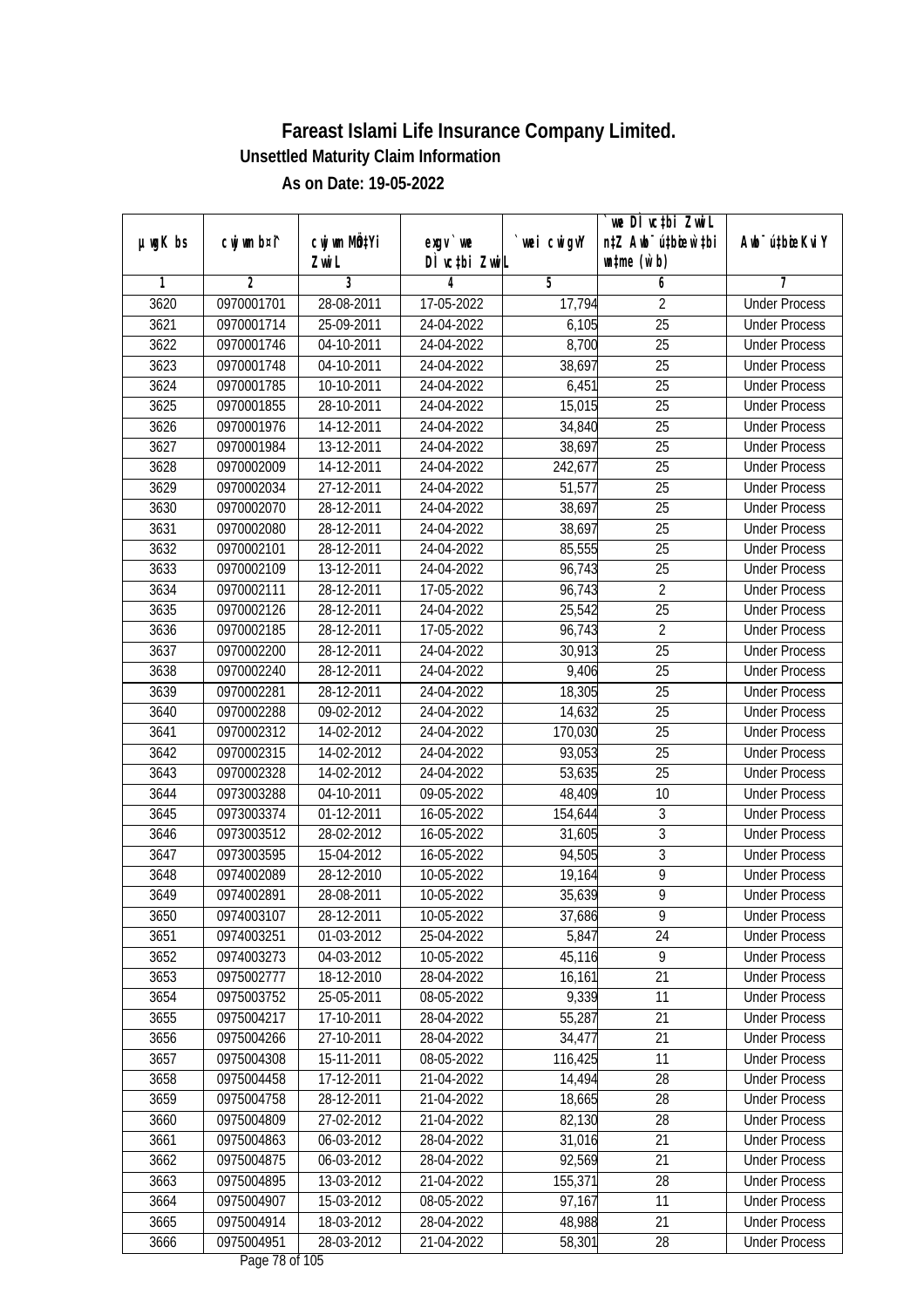|               |                          |                           |                          |             | we DI vctbi ZwiL                 |                                              |
|---------------|--------------------------|---------------------------|--------------------------|-------------|----------------------------------|----------------------------------------------|
| $µ$ ug $K$ bs | cwj wm b¤i^              | cwj wm MQtYi              | $exgV$ we                | `wei cwigvY | n‡Z Awb <sup>-</sup> ú‡bioar`‡bi | Awb <sup>-</sup> ú‡bioeKviY                  |
| 1             | $\overline{2}$           | Zwi L<br>3                | DÌ vctbi ZwiL<br>4       | 5           | $\n  untime\n  (u`b)\n$<br>6     | 7                                            |
| 3620          | 0970001701               | 28-08-2011                | 17-05-2022               | 17,794      | $\overline{2}$                   | <b>Under Process</b>                         |
| 3621          | 0970001714               | 25-09-2011                | 24-04-2022               | 6,105       | $\overline{25}$                  | <b>Under Process</b>                         |
| 3622          | 0970001746               | 04-10-2011                | 24-04-2022               | 8,700       | $\overline{25}$                  | <b>Under Process</b>                         |
|               | 0970001748               |                           |                          |             | 25                               | <b>Under Process</b>                         |
| 3623          |                          | 04-10-2011                | 24-04-2022               | 38,697      | $\overline{25}$                  | <b>Under Process</b>                         |
| 3624          | 0970001785<br>0970001855 | 10-10-2011<br>28-10-2011  | 24-04-2022               | 6,451       |                                  | <b>Under Process</b>                         |
| 3625          | 0970001976               | 14-12-2011                | 24-04-2022<br>24-04-2022 | 15,015      | 25<br>$\overline{25}$            |                                              |
| 3626<br>3627  | 0970001984               |                           |                          | 34,840      | $\overline{25}$                  | <b>Under Process</b><br><b>Under Process</b> |
| 3628          |                          | 13-12-2011                | 24-04-2022               | 38,697      | $\overline{25}$                  |                                              |
|               | 0970002009               | 14-12-2011                | 24-04-2022               | 242,677     |                                  | <b>Under Process</b>                         |
| 3629          | 0970002034               | 27-12-2011                | 24-04-2022               | 51,577      | 25                               | <b>Under Process</b>                         |
| 3630          | 0970002070               | 28-12-2011                | 24-04-2022               | 38,697      | $\overline{25}$                  | <b>Under Process</b>                         |
| 3631          | 0970002080               | 28-12-2011                | 24-04-2022               | 38,697      | 25                               | <b>Under Process</b>                         |
| 3632          | 0970002101               | 28-12-2011                | 24-04-2022               | 85,555      | $\overline{25}$                  | <b>Under Process</b>                         |
| 3633          | 0970002109               | 13-12-2011                | 24-04-2022               | 96,743      | 25                               | <b>Under Process</b>                         |
| 3634          | 0970002111               | 28-12-2011                | 17-05-2022               | 96,743      | $\overline{2}$                   | <b>Under Process</b>                         |
| 3635          | 0970002126               | 28-12-2011                | 24-04-2022               | 25,542      | 25                               | <b>Under Process</b>                         |
| 3636          | 0970002185               | 28-12-2011                | 17-05-2022               | 96,743      | $\overline{2}$                   | <b>Under Process</b>                         |
| 3637          | 0970002200               | 28-12-2011                | 24-04-2022               | 30,913      | 25                               | <b>Under Process</b>                         |
| 3638          | 0970002240               | 28-12-2011                | 24-04-2022               | 9,406       | 25                               | <b>Under Process</b>                         |
| 3639          | 0970002281               | 28-12-2011                | 24-04-2022               | 18,305      | 25                               | <b>Under Process</b>                         |
| 3640          | 0970002288               | 09-02-2012                | 24-04-2022               | 14,632      | 25                               | <b>Under Process</b>                         |
| 3641          | 0970002312               | 14-02-2012                | 24-04-2022               | 170,030     | 25                               | <b>Under Process</b>                         |
| 3642          | 0970002315               | 14-02-2012                | 24-04-2022               | 93,053      | 25                               | <b>Under Process</b>                         |
| 3643          | 0970002328               | 14-02-2012                | 24-04-2022               | 53,635      | 25                               | <b>Under Process</b>                         |
| 3644          | 0973003288               | 04-10-2011                | 09-05-2022               | 48,409      | 10                               | <b>Under Process</b>                         |
| 3645          | 0973003374               | $\overline{01-1}2 - 2011$ | 16-05-2022               | 154,644     | 3                                | <b>Under Process</b>                         |
| 3646          | 0973003512               | 28-02-2012                | 16-05-2022               | 31,605      | 3                                | <b>Under Process</b>                         |
| 3647          | 0973003595               | 15-04-2012                | 16-05-2022               | 94,505      | $\overline{3}$                   | <b>Under Process</b>                         |
| 3648          | 0974002089               | 28-12-2010                | 10-05-2022               | 19,164      | $\overline{9}$                   | <b>Under Process</b>                         |
| 3649          | 0974002891               | 28-08-2011                | 10-05-2022               | 35,639      | $\overline{9}$                   | <b>Under Process</b>                         |
| 3650          | 0974003107               | 28-12-2011                | 10-05-2022               | 37,686      | 9                                | <b>Under Process</b>                         |
| 3651          | 0974003251               | 01-03-2012                | 25-04-2022               | 5,847       | 24                               | <b>Under Process</b>                         |
| 3652          | 0974003273               | 04-03-2012                | 10-05-2022               | 45,116      | 9                                | <b>Under Process</b>                         |
| 3653          | 0975002777               | 18-12-2010                | 28-04-2022               | 16,161      | $\overline{21}$                  | <b>Under Process</b>                         |
| 3654          | 0975003752               | 25-05-2011                | 08-05-2022               | 9,339       | 11                               | <b>Under Process</b>                         |
| 3655          | 0975004217               | 17-10-2011                | 28-04-2022               | 55,287      | 21                               | <b>Under Process</b>                         |
| 3656          | 0975004266               | 27-10-2011                | 28-04-2022               | 34,477      | 21                               | <b>Under Process</b>                         |
| 3657          | 0975004308               | 15-11-2011                | 08-05-2022               | 116,425     | 11                               | <b>Under Process</b>                         |
| 3658          | 0975004458               | 17-12-2011                | 21-04-2022               | 14,494      | 28                               | <b>Under Process</b>                         |
| 3659          | 0975004758               | 28-12-2011                | 21-04-2022               | 18,665      | 28                               | <b>Under Process</b>                         |
| 3660          | 0975004809               | 27-02-2012                | 21-04-2022               | 82,130      | 28                               | <b>Under Process</b>                         |
| 3661          | 0975004863               | 06-03-2012                | 28-04-2022               | 31,016      | 21                               | <b>Under Process</b>                         |
| 3662          | 0975004875               | 06-03-2012                | 28-04-2022               | 92,569      | 21                               | <b>Under Process</b>                         |
| 3663          | 0975004895               | 13-03-2012                | 21-04-2022               | 155,371     | 28                               | <b>Under Process</b>                         |
| 3664          | 0975004907               | 15-03-2012                | 08-05-2022               | 97,167      | 11                               | <b>Under Process</b>                         |
| 3665          | 0975004914               | 18-03-2012                | 28-04-2022               | 48,988      | 21                               | <b>Under Process</b>                         |
| 3666          | 0975004951               | 28-03-2012                | 21-04-2022               | 58,301      | 28                               | <b>Under Process</b>                         |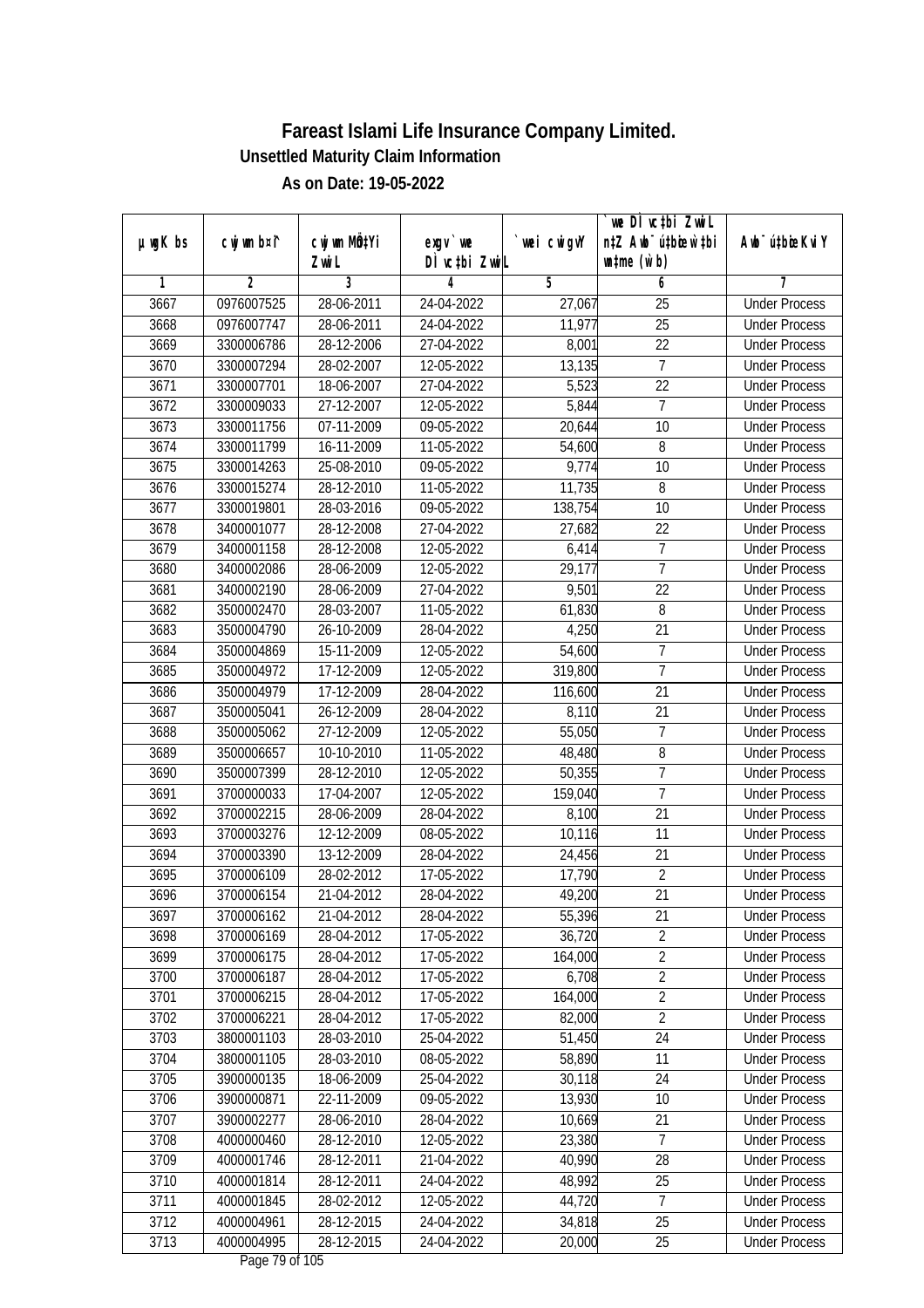|               |                          |                          |                            |                  | we DI vctbi ZwiL<br>n‡Z Awb <sup>-</sup> ú‡bioen`‡bi |                                              |
|---------------|--------------------------|--------------------------|----------------------------|------------------|------------------------------------------------------|----------------------------------------------|
| $µ$ ug $K$ bs | cwj wm b¤i^              | cwj wm MQtYi<br>Zwi L    | $exgV$ we<br>DÌ vctbi ZwiL | wei cwigvY       | $\n  untime\n  (u`b)\n$                              | Awb <sup>-</sup> ú‡bioeKviY                  |
| 1             | $\overline{2}$           | 3                        | 4                          | 5                | 6                                                    | 7                                            |
| 3667          | 0976007525               | 28-06-2011               | 24-04-2022                 | 27,067           | $\overline{25}$                                      | <b>Under Process</b>                         |
| 3668          | 0976007747               | 28-06-2011               | 24-04-2022                 | 11,977           | $\overline{25}$                                      | <b>Under Process</b>                         |
| 3669          | 3300006786               | 28-12-2006               | 27-04-2022                 | 8,001            | $\overline{22}$                                      | <b>Under Process</b>                         |
| 3670          | 3300007294               | 28-02-2007               | 12-05-2022                 | 13,135           | 7                                                    | <b>Under Process</b>                         |
| 3671          | 3300007701               | 18-06-2007               | 27-04-2022                 | 5,523            | $\overline{22}$                                      | <b>Under Process</b>                         |
| 3672          | 3300009033               | $27 - 12 - 2007$         | 12-05-2022                 | 5,844            | $\overline{7}$                                       | <b>Under Process</b>                         |
| 3673          | 3300011756               | 07-11-2009               | 09-05-2022                 | 20,644           | 10                                                   | <b>Under Process</b>                         |
| 3674          | 3300011799               | 16-11-2009               | 11-05-2022                 | 54,600           | 8                                                    | <b>Under Process</b>                         |
| 3675          | 3300014263               | 25-08-2010               | 09-05-2022                 | 9,774            | 10                                                   | <b>Under Process</b>                         |
| 3676          | 3300015274               | 28-12-2010               | 11-05-2022                 | 11,735           | 8                                                    | <b>Under Process</b>                         |
| 3677          | 3300019801               | 28-03-2016               | 09-05-2022                 | 138,754          | $\overline{10}$                                      | <b>Under Process</b>                         |
| 3678          | 3400001077               | 28-12-2008               | 27-04-2022                 | 27,682           | 22                                                   | <b>Under Process</b>                         |
| 3679          | 3400001158               | 28-12-2008               | 12-05-2022                 | 6,414            | $\overline{7}$                                       | <b>Under Process</b>                         |
| 3680          | 3400002086               | 28-06-2009               | 12-05-2022                 | 29,177           | 7                                                    | <b>Under Process</b>                         |
| 3681          | 3400002190               | 28-06-2009               | 27-04-2022                 | 9,501            | 22                                                   | <b>Under Process</b>                         |
| 3682          | 3500002470               | 28-03-2007               | 11-05-2022                 | 61,830           | 8                                                    | <b>Under Process</b>                         |
| 3683          | 3500004790               | 26-10-2009               | 28-04-2022                 | 4,250            | 21                                                   | <b>Under Process</b>                         |
| 3684          | 3500004869               | 15-11-2009               | 12-05-2022                 | 54,600           | $\overline{7}$                                       | <b>Under Process</b>                         |
| 3685          | 3500004972               | 17-12-2009               | 12-05-2022                 | 319,800          | $\overline{1}$                                       | <b>Under Process</b>                         |
| 3686          | 3500004979               | 17-12-2009               | 28-04-2022                 | 116,600          | 21                                                   | <b>Under Process</b>                         |
| 3687          | 3500005041               | 26-12-2009               | 28-04-2022                 | 8,110            | 21                                                   | <b>Under Process</b>                         |
| 3688          |                          | 27-12-2009               |                            | 55,050           | 7                                                    |                                              |
|               | 3500005062               |                          | 12-05-2022                 |                  | 8                                                    | <b>Under Process</b>                         |
| 3689          | 3500006657               | 10-10-2010               | 11-05-2022                 | 48,480           | $\overline{1}$                                       | <b>Under Process</b>                         |
| 3690<br>3691  | 3500007399               | 28-12-2010               | 12-05-2022                 | 50,355           | $\overline{1}$                                       | <b>Under Process</b>                         |
| 3692          | 3700000033<br>3700002215 | 17-04-2007<br>28-06-2009 | 12-05-2022<br>28-04-2022   | 159,040<br>8,100 | 21                                                   | <b>Under Process</b><br><b>Under Process</b> |
| 3693          |                          | 12-12-2009               |                            |                  | 11                                                   |                                              |
|               | 3700003276               |                          | 08-05-2022                 | 10,116           |                                                      | <b>Under Process</b>                         |
| 3694          | 3700003390               | 13-12-2009               | 28-04-2022                 | 24,456           | 21<br>$\overline{2}$                                 | <b>Under Process</b>                         |
| 3695          | 3700006109               | 28-02-2012               | 17-05-2022                 | 17,790           |                                                      | <b>Under Process</b>                         |
| 3696          | 3700006154               | 21-04-2012               | 28-04-2022                 | 49,200           | 21                                                   | <b>Under Process</b>                         |
| 3697          | 3700006162               | 21-04-2012               | 28-04-2022                 | 55,396           | 21                                                   | <b>Under Process</b>                         |
| 3698          | 3700006169               | 28-04-2012               | 17-05-2022                 | 36,720           | $\overline{2}$                                       | <b>Under Process</b>                         |
| 3699          | 3700006175               | 28-04-2012               | 17-05-2022                 | 164,000          | $\overline{2}$                                       | <b>Under Process</b>                         |
| 3700          | 3700006187               | 28-04-2012               | 17-05-2022                 | 6,708            | $\overline{2}$                                       | <b>Under Process</b>                         |
| 3701          | 3700006215               | 28-04-2012               | 17-05-2022                 | 164,000          | $\overline{2}$                                       | <b>Under Process</b>                         |
| 3702          | 3700006221               | 28-04-2012               | 17-05-2022                 | 82,000           | $\overline{2}$                                       | <b>Under Process</b>                         |
| 3703          | 3800001103               | 28-03-2010               | 25-04-2022                 | 51,450           | 24                                                   | <b>Under Process</b>                         |
| 3704          | 3800001105               | 28-03-2010               | 08-05-2022                 | 58,890           | 11                                                   | <b>Under Process</b>                         |
| 3705          | 3900000135               | 18-06-2009               | 25-04-2022                 | 30,118           | 24                                                   | <b>Under Process</b>                         |
| 3706          | 3900000871               | 22-11-2009               | 09-05-2022                 | 13,930           | 10                                                   | <b>Under Process</b>                         |
| 3707          | 3900002277               | 28-06-2010               | 28-04-2022                 | 10,669           | 21                                                   | <b>Under Process</b>                         |
| 3708          | 4000000460               | 28-12-2010               | 12-05-2022                 | 23,380           | $\overline{7}$                                       | <b>Under Process</b>                         |
| 3709          | 4000001746               | 28-12-2011               | 21-04-2022                 | 40,990           | $\overline{28}$                                      | <b>Under Process</b>                         |
| 3710          | 4000001814               | 28-12-2011               | 24-04-2022                 | 48,992           | 25                                                   | <b>Under Process</b>                         |
| 3711          | 4000001845               | 28-02-2012               | 12-05-2022                 | 44,720           | $\overline{7}$                                       | <b>Under Process</b>                         |
| 3712          | 4000004961               | 28-12-2015               | 24-04-2022                 | 34,818           | 25                                                   | <b>Under Process</b>                         |
| 3713          | 4000004995               | 28-12-2015               | 24-04-2022                 | 20,000           | 25                                                   | <b>Under Process</b>                         |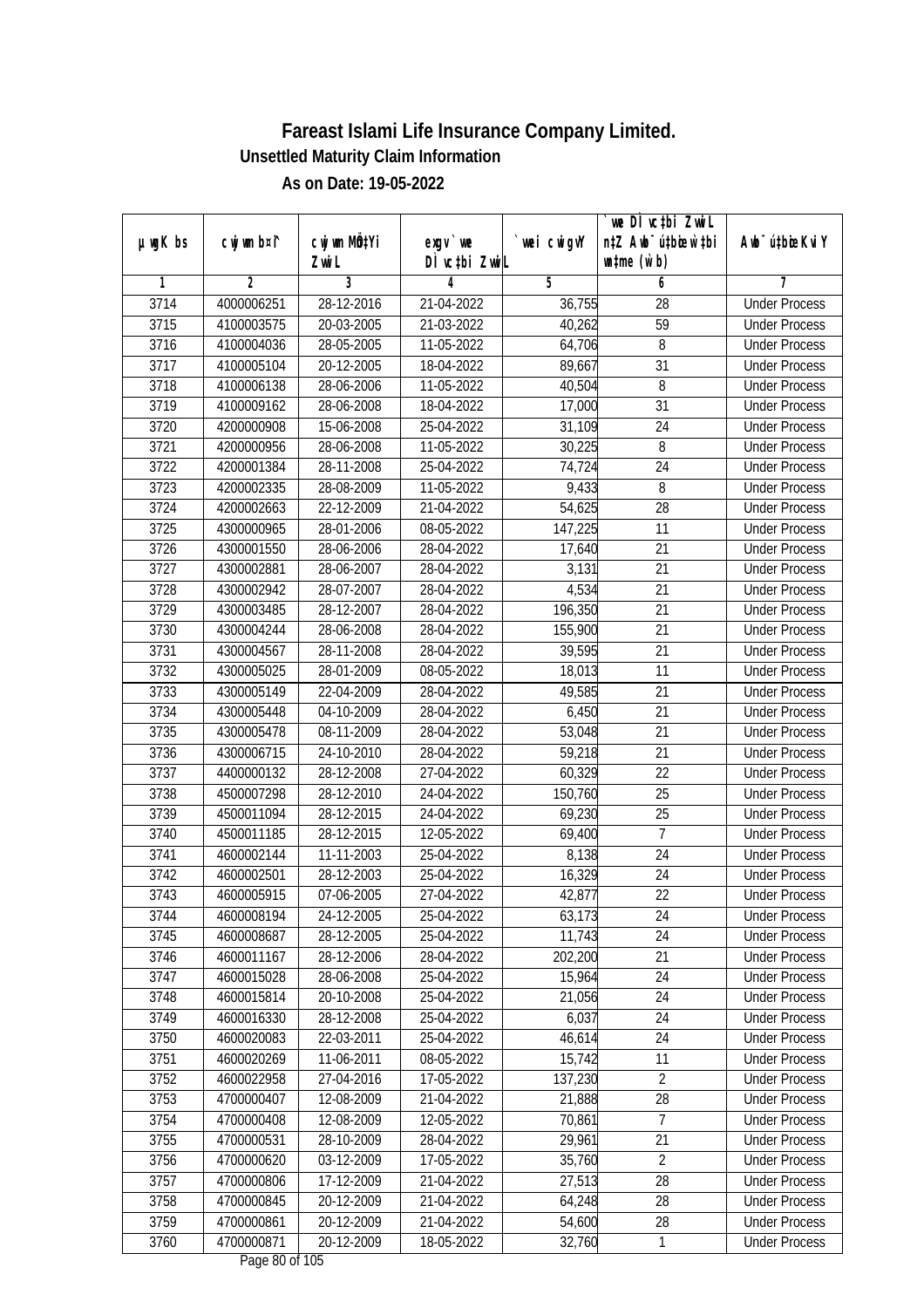|               |                |                  |                                          |             | `we DÌ vc‡bi ZwwiL               |                             |
|---------------|----------------|------------------|------------------------------------------|-------------|----------------------------------|-----------------------------|
| $µ$ ug $K$ bs | cwj wm b¤i^    | cwj wm MQtYi     | $exgV$ we                                | `wei cwigvY | n‡Z Awb <sup>-</sup> ú‡bioen`‡bi | Awb <sup>-</sup> ú‡bioeKviY |
|               |                | Zwi L            | DÌ vctbi ZwiL                            |             | $\n  untime\n  (u`b)\n$          |                             |
| 1             | $\overline{2}$ | 3                | 4                                        | 5           | 6                                | 7                           |
| 3714          | 4000006251     | $28 - 12 - 2016$ | 21-04-2022                               | 36,755      | 28                               | <b>Under Process</b>        |
| 3715          | 4100003575     | 20-03-2005       | 21-03-2022                               | 40,262      | 59                               | <b>Under Process</b>        |
| 3716          | 4100004036     | 28-05-2005       | 11-05-2022                               | 64,706      | 8                                | <b>Under Process</b>        |
| 3717          | 4100005104     | 20-12-2005       | 18-04-2022                               | 89,667      | $\overline{31}$                  | <b>Under Process</b>        |
| 3718          | 4100006138     | 28-06-2006       | 11-05-2022                               | 40,504      | 8                                | <b>Under Process</b>        |
| 3719          | 4100009162     | 28-06-2008       | 18-04-2022                               | 17,000      | $\overline{31}$                  | <b>Under Process</b>        |
| 3720          | 4200000908     | 15-06-2008       | 25-04-2022                               | 31,109      | $\overline{24}$                  | <b>Under Process</b>        |
| 3721          | 4200000956     | 28-06-2008       | 11-05-2022                               | 30,225      | 8                                | <b>Under Process</b>        |
| 3722          | 4200001384     | 28-11-2008       | 25-04-2022                               | 74,724      | 24                               | <b>Under Process</b>        |
| 3723          | 4200002335     | 28-08-2009       | 11-05-2022                               | 9,433       | 8                                | <b>Under Process</b>        |
| 3724          | 4200002663     | 22-12-2009       | 21-04-2022                               | 54,625      | 28                               | <b>Under Process</b>        |
| 3725          | 4300000965     | 28-01-2006       | 08-05-2022                               | 147,225     | 11                               | <b>Under Process</b>        |
| 3726          | 4300001550     | 28-06-2006       | 28-04-2022                               | 17,640      | 21                               | <b>Under Process</b>        |
| 3727          | 4300002881     | 28-06-2007       | 28-04-2022                               | 3,131       | 21                               | <b>Under Process</b>        |
| 3728          | 4300002942     | 28-07-2007       | 28-04-2022                               | 4,534       | 21                               | <b>Under Process</b>        |
| 3729          | 4300003485     | 28-12-2007       | 28-04-2022                               | 196,350     | 21                               | <b>Under Process</b>        |
| 3730          | 4300004244     | 28-06-2008       | 28-04-2022                               | 155,900     | 21                               | <b>Under Process</b>        |
| 3731          | 4300004567     | 28-11-2008       | 28-04-2022                               | 39,595      | 21                               | <b>Under Process</b>        |
| 3732          | 4300005025     | 28-01-2009       | 08-05-2022                               | 18,013      | 11                               | <b>Under Process</b>        |
| 3733          | 4300005149     | 22-04-2009       | 28-04-2022                               | 49,585      | 21                               | <b>Under Process</b>        |
| 3734          | 4300005448     | 04-10-2009       | 28-04-2022                               | 6,450       | 21                               | <b>Under Process</b>        |
| 3735          | 4300005478     | 08-11-2009       | 28-04-2022                               | 53,048      | 21                               | <b>Under Process</b>        |
| 3736          | 4300006715     | 24-10-2010       | 28-04-2022                               | 59,218      | 21                               | <b>Under Process</b>        |
| 3737          | 4400000132     | 28-12-2008       | 27-04-2022                               | 60,329      | 22                               | <b>Under Process</b>        |
| 3738          | 4500007298     | 28-12-2010       | 24-04-2022                               | 150,760     | 25                               | <b>Under Process</b>        |
| 3739          | 4500011094     | 28-12-2015       | 24-04-2022                               | 69,230      | 25                               | <b>Under Process</b>        |
| 3740          | 4500011185     | 28-12-2015       | 12-05-2022                               | 69,400      | $\overline{7}$                   | <b>Under Process</b>        |
| 3741          | 4600002144     | 11-11-2003       | 25-04-2022                               | 8,138       | 24                               | <b>Under Process</b>        |
| 3742          | 4600002501     | 28-12-2003       | 25-04-2022                               | 16,329      | 24                               | <b>Under Process</b>        |
| 3743          | 4600005915     | 07-06-2005       | 27-04-2022                               | 42,877      | 22                               | <b>Under Process</b>        |
| 3744          | 4600008194     | 24-12-2005       | 25-04-2022                               | 63,173      | 24                               | <b>Under Process</b>        |
| 3745          | 4600008687     | 28-12-2005       | 25-04-2022                               | 11,743      | 24                               | <b>Under Process</b>        |
| 3746          | 4600011167     | 28-12-2006       | 28-04-2022                               | 202,200     | 21                               | <b>Under Process</b>        |
| 3747          | 4600015028     | 28-06-2008       | 25-04-2022                               | 15,964      | 24                               | <b>Under Process</b>        |
| 3748          | 4600015814     | 20-10-2008       | 25-04-2022                               | 21,056      | 24                               | <b>Under Process</b>        |
| 3749          | 4600016330     | 28-12-2008       | 25-04-2022                               | 6,037       | 24                               | <b>Under Process</b>        |
| 3750          | 4600020083     | 22-03-2011       | 25-04-2022                               | 46,614      | 24                               | <b>Under Process</b>        |
| 3751          | 4600020269     | 11-06-2011       | 08-05-2022                               | 15,742      | 11                               | <b>Under Process</b>        |
| 3752          | 4600022958     | 27-04-2016       | 17-05-2022                               | 137,230     | $\overline{2}$                   | <b>Under Process</b>        |
| 3753          | 4700000407     | 12-08-2009       | 21-04-2022                               | 21,888      | 28                               | <b>Under Process</b>        |
| 3754          | 4700000408     | 12-08-2009       | 12-05-2022                               | 70,861      | 7                                | <b>Under Process</b>        |
| 3755          | 4700000531     | 28-10-2009       | 28-04-2022                               | 29,961      | 21                               | <b>Under Process</b>        |
| 3756          | 4700000620     | 03-12-2009       | 17-05-2022                               | 35,760      | $\overline{2}$                   | <b>Under Process</b>        |
| 3757          | 4700000806     | 17-12-2009       | 21-04-2022                               | 27,513      | 28                               | <b>Under Process</b>        |
| 3758          | 4700000845     | 20-12-2009       | 21-04-2022                               | 64,248      | 28                               | <b>Under Process</b>        |
| 3759          | 4700000861     | 20-12-2009       | 21-04-2022                               | 54,600      | 28                               | <b>Under Process</b>        |
| 3760          | 4700000871     | 20-12-2009       | 18-05-2022<br>$D_{\text{max}}$ 00 of 105 | 32,760      | $\mathbf{1}$                     | <b>Under Process</b>        |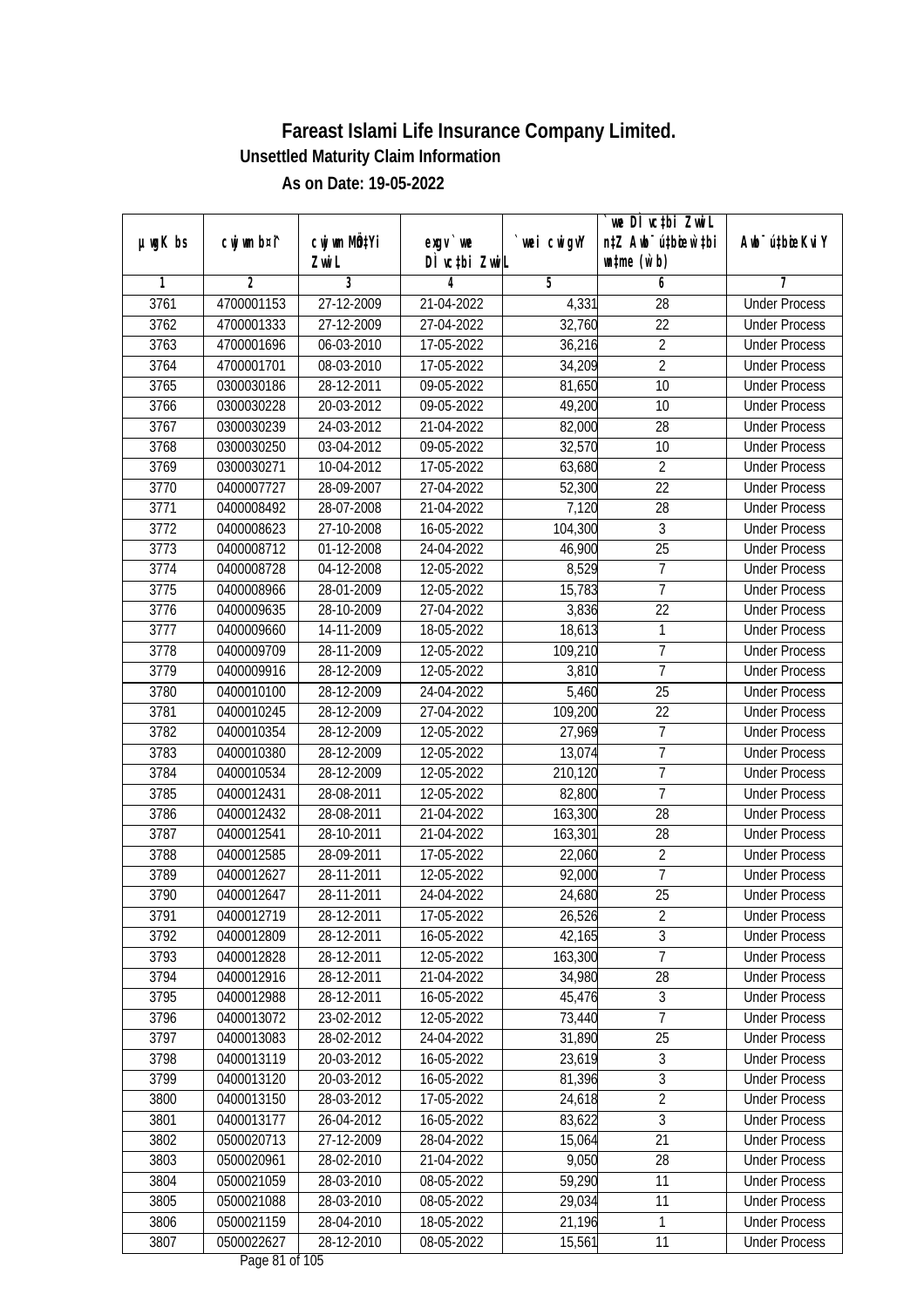|               | cwj wm b¤i^    | cwj wm MQtYi     | $exgV$ we     | wei cwigvY | we DI vctbi ZwiL<br>n‡Z Awb <sup>-</sup> ú‡bicew`‡bi | Awb <sup>-</sup> ú‡bioeKviY |
|---------------|----------------|------------------|---------------|------------|------------------------------------------------------|-----------------------------|
| $µ$ ug $K$ bs |                | Zwi L            | DÌ vctbi ZwiL |            | $\n  untime\n  (u`b)\n$                              |                             |
| 1             | $\overline{2}$ | 3                | 4             | 5          | 6                                                    | 7                           |
| 3761          | 4700001153     | 27-12-2009       | 21-04-2022    | 4,331      | $\overline{28}$                                      | <b>Under Process</b>        |
| 3762          | 4700001333     | 27-12-2009       | 27-04-2022    | 32,760     | $\overline{22}$                                      | <b>Under Process</b>        |
| 3763          | 4700001696     | 06-03-2010       | 17-05-2022    | 36,216     | $\overline{2}$                                       | <b>Under Process</b>        |
| 3764          | 4700001701     | 08-03-2010       | 17-05-2022    | 34,209     | $\overline{2}$                                       | <b>Under Process</b>        |
| 3765          | 0300030186     | $28 - 12 - 2011$ | 09-05-2022    | 81,650     | $\overline{10}$                                      | <b>Under Process</b>        |
| 3766          | 0300030228     | 20-03-2012       | 09-05-2022    | 49,200     | 10                                                   | <b>Under Process</b>        |
| 3767          | 0300030239     | 24-03-2012       | 21-04-2022    | 82,000     | 28                                                   | <b>Under Process</b>        |
| 3768          | 0300030250     | 03-04-2012       | 09-05-2022    | 32,570     | 10                                                   | <b>Under Process</b>        |
| 3769          | 0300030271     | 10-04-2012       | 17-05-2022    | 63,680     | $\overline{2}$                                       | <b>Under Process</b>        |
| 3770          | 0400007727     | 28-09-2007       | 27-04-2022    | 52,300     | 22                                                   | <b>Under Process</b>        |
| 3771          | 0400008492     | 28-07-2008       | 21-04-2022    | 7,120      | $\overline{28}$                                      | <b>Under Process</b>        |
| 3772          | 0400008623     | 27-10-2008       | 16-05-2022    | 104,300    | 3                                                    | <b>Under Process</b>        |
| 3773          | 0400008712     | 01-12-2008       | 24-04-2022    | 46,900     | $\overline{25}$                                      | <b>Under Process</b>        |
| 3774          | 0400008728     | 04-12-2008       | 12-05-2022    | 8,529      | 7                                                    | <b>Under Process</b>        |
| 3775          | 0400008966     | 28-01-2009       | 12-05-2022    | 15,783     | $\overline{1}$                                       | <b>Under Process</b>        |
| 3776          | 0400009635     | 28-10-2009       | 27-04-2022    | 3,836      | 22                                                   | <b>Under Process</b>        |
| 3777          | 0400009660     | 14-11-2009       | 18-05-2022    | 18,613     | $\mathbf{1}$                                         | <b>Under Process</b>        |
| 3778          | 0400009709     | 28-11-2009       | 12-05-2022    | 109,210    | $\overline{1}$                                       | <b>Under Process</b>        |
| 3779          | 0400009916     | 28-12-2009       | 12-05-2022    | 3,810      | $\overline{7}$                                       | <b>Under Process</b>        |
| 3780          | 0400010100     | 28-12-2009       | 24-04-2022    | 5,460      | 25                                                   | <b>Under Process</b>        |
| 3781          | 0400010245     | 28-12-2009       | 27-04-2022    | 109,200    | 22                                                   | <b>Under Process</b>        |
| 3782          | 0400010354     | 28-12-2009       | 12-05-2022    | 27,969     | 7                                                    | <b>Under Process</b>        |
| 3783          | 0400010380     | 28-12-2009       | 12-05-2022    | 13,074     | $\overline{1}$                                       | <b>Under Process</b>        |
| 3784          | 0400010534     | 28-12-2009       | 12-05-2022    | 210,120    | $\overline{1}$                                       | <b>Under Process</b>        |
| 3785          | 0400012431     | 28-08-2011       | 12-05-2022    | 82,800     | $\overline{1}$                                       | <b>Under Process</b>        |
| 3786          | 0400012432     | 28-08-2011       | 21-04-2022    | 163,300    | 28                                                   | <b>Under Process</b>        |
| 3787          | 0400012541     | 28-10-2011       | 21-04-2022    | 163,301    | 28                                                   | <b>Under Process</b>        |
| 3788          | 0400012585     | 28-09-2011       | 17-05-2022    | 22,060     | $\overline{2}$                                       | <b>Under Process</b>        |
| 3789          | 0400012627     | 28-11-2011       | 12-05-2022    | 92,000     | $\overline{7}$                                       | <b>Under Process</b>        |
| 3790          | 0400012647     | 28-11-2011       | 24-04-2022    | 24,680     | 25                                                   | <b>Under Process</b>        |
| 3791          | 0400012719     | 28-12-2011       | 17-05-2022    | 26,526     | 2                                                    | <b>Under Process</b>        |
| 3792          | 0400012809     | 28-12-2011       | 16-05-2022    | 42,165     | $\overline{3}$                                       | <b>Under Process</b>        |
| 3793          | 0400012828     | 28-12-2011       | 12-05-2022    | 163,300    | $\overline{7}$                                       | <b>Under Process</b>        |
| 3794          | 0400012916     | 28-12-2011       | 21-04-2022    | 34,980     | 28                                                   | <b>Under Process</b>        |
| 3795          | 0400012988     | 28-12-2011       | 16-05-2022    | 45,476     | $\sqrt{3}$                                           | <b>Under Process</b>        |
| 3796          | 0400013072     | 23-02-2012       | 12-05-2022    | 73,440     | $\overline{7}$                                       | <b>Under Process</b>        |
| 3797          | 0400013083     | 28-02-2012       | 24-04-2022    | 31,890     | 25                                                   | <b>Under Process</b>        |
| 3798          | 0400013119     | 20-03-2012       | 16-05-2022    | 23,619     | $\overline{3}$                                       | <b>Under Process</b>        |
| 3799          | 0400013120     | 20-03-2012       | 16-05-2022    | 81,396     | $\sqrt{3}$                                           | <b>Under Process</b>        |
| 3800          | 0400013150     | 28-03-2012       | 17-05-2022    | 24,618     | $\overline{2}$                                       | <b>Under Process</b>        |
| 3801          | 0400013177     | 26-04-2012       | 16-05-2022    | 83,622     | 3                                                    | <b>Under Process</b>        |
| 3802          | 0500020713     | 27-12-2009       | 28-04-2022    | 15,064     | 21                                                   | <b>Under Process</b>        |
| 3803          | 0500020961     | 28-02-2010       | 21-04-2022    | 9,050      | $\overline{28}$                                      | <b>Under Process</b>        |
| 3804          | 0500021059     | 28-03-2010       | 08-05-2022    | 59,290     | 11                                                   | <b>Under Process</b>        |
| 3805          | 0500021088     | 28-03-2010       | 08-05-2022    | 29,034     | 11                                                   | <b>Under Process</b>        |
| 3806          | 0500021159     | 28-04-2010       | 18-05-2022    | 21,196     | $\mathbf{1}$                                         | <b>Under Process</b>        |
| 3807          | 0500022627     | 28-12-2010       | 08-05-2022    | 15,561     | 11                                                   | <b>Under Process</b>        |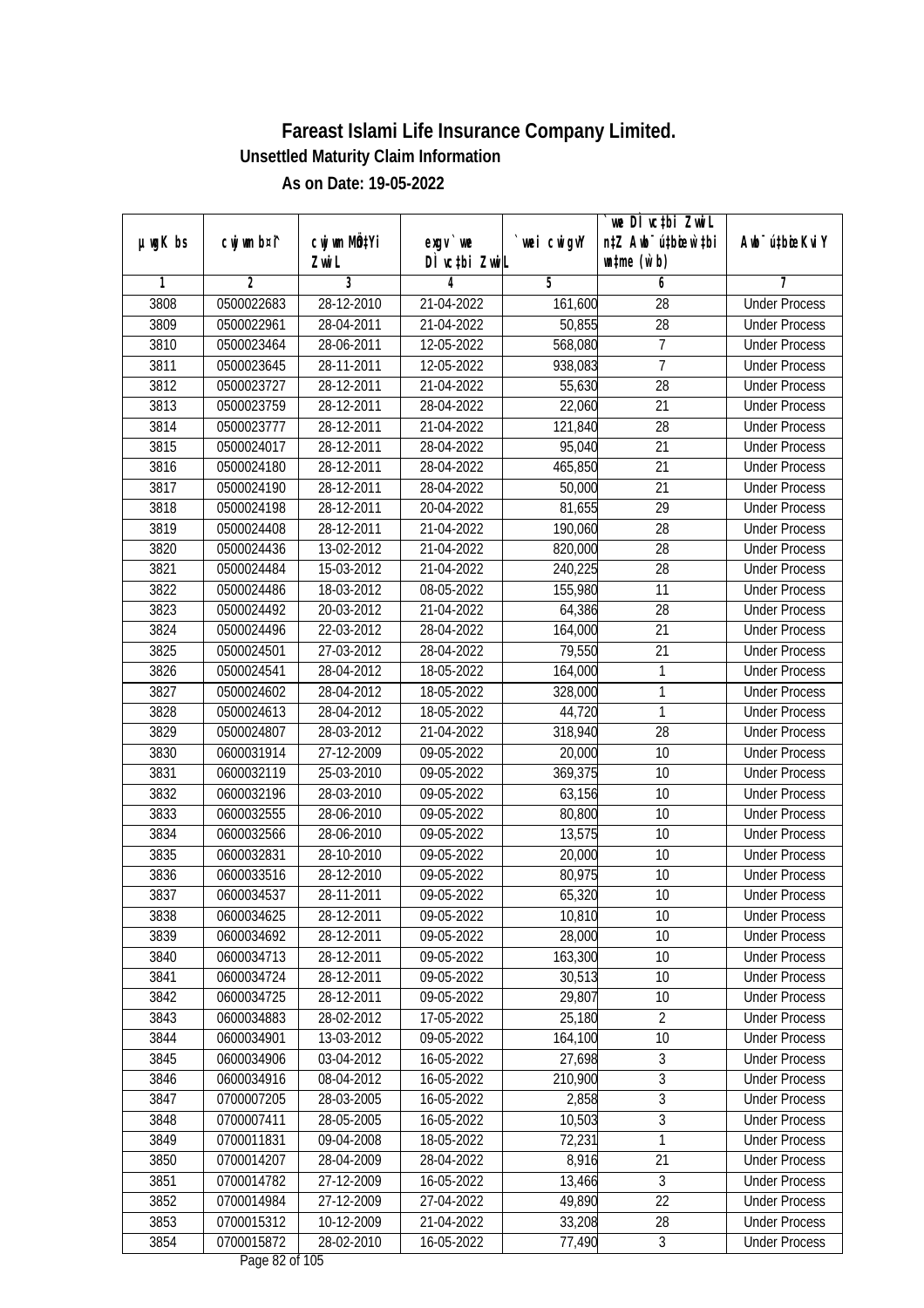|               |                |                       |                           |            | `we DÌ vc‡bi ZwiL                                           |                             |
|---------------|----------------|-----------------------|---------------------------|------------|-------------------------------------------------------------|-----------------------------|
| $µ$ ug $K$ bs | cwj wm b¤i^    | cwj wm MQtYi<br>Zwi L | exgv `we<br>DÌ vctbi ZwiL | wei cwigvY | n‡Z Awb <sup>-</sup> ú‡bioen`‡bi<br>$\n  untime\n  (u`b)\n$ | Awb <sup>-</sup> ú‡bioeKviY |
| 1             | $\overline{2}$ | 3                     | 4                         | 5          | 6                                                           | 7                           |
| 3808          | 0500022683     | 28-12-2010            | 21-04-2022                | 161,600    | 28                                                          | <b>Under Process</b>        |
| 3809          | 0500022961     | 28-04-2011            | 21-04-2022                | 50,855     | $\overline{28}$                                             | <b>Under Process</b>        |
| 3810          | 0500023464     | 28-06-2011            | 12-05-2022                | 568,080    | 7                                                           | <b>Under Process</b>        |
| 3811          | 0500023645     | 28-11-2011            | 12-05-2022                | 938,083    | $\overline{7}$                                              | <b>Under Process</b>        |
| 3812          | 0500023727     | 28-12-2011            | 21-04-2022                | 55,630     | $\overline{28}$                                             | <b>Under Process</b>        |
| 3813          | 0500023759     | 28-12-2011            | 28-04-2022                | 22,060     | $\overline{21}$                                             | <b>Under Process</b>        |
| 3814          | 0500023777     | 28-12-2011            | 21-04-2022                | 121,840    | 28                                                          | <b>Under Process</b>        |
| 3815          | 0500024017     | 28-12-2011            | 28-04-2022                | 95,040     | $\overline{21}$                                             | <b>Under Process</b>        |
| 3816          | 0500024180     | 28-12-2011            | 28-04-2022                | 465,850    | 21                                                          | <b>Under Process</b>        |
| 3817          | 0500024190     | 28-12-2011            | 28-04-2022                | 50,000     | 21                                                          | <b>Under Process</b>        |
| 3818          | 0500024198     | 28-12-2011            | 20-04-2022                | 81,655     | $\overline{29}$                                             | <b>Under Process</b>        |
| 3819          | 0500024408     | 28-12-2011            | 21-04-2022                | 190,060    | 28                                                          | <b>Under Process</b>        |
| 3820          | 0500024436     | 13-02-2012            | 21-04-2022                | 820,000    | 28                                                          | <b>Under Process</b>        |
| 3821          | 0500024484     | 15-03-2012            | 21-04-2022                | 240,225    | 28                                                          | <b>Under Process</b>        |
| 3822          | 0500024486     | 18-03-2012            | 08-05-2022                | 155,980    | 11                                                          | <b>Under Process</b>        |
| 3823          | 0500024492     | 20-03-2012            | 21-04-2022                | 64,386     | 28                                                          | <b>Under Process</b>        |
| 3824          | 0500024496     | 22-03-2012            | 28-04-2022                | 164,000    | 21                                                          | <b>Under Process</b>        |
| 3825          | 0500024501     | 27-03-2012            | 28-04-2022                | 79,550     | 21                                                          | <b>Under Process</b>        |
| 3826          | 0500024541     | 28-04-2012            | 18-05-2022                | 164,000    | 1                                                           | <b>Under Process</b>        |
| 3827          | 0500024602     | 28-04-2012            | 18-05-2022                | 328,000    | 1                                                           | <b>Under Process</b>        |
| 3828          | 0500024613     | 28-04-2012            | 18-05-2022                | 44,720     | $\mathbf{1}$                                                | <b>Under Process</b>        |
| 3829          | 0500024807     | 28-03-2012            | 21-04-2022                | 318,940    | 28                                                          | <b>Under Process</b>        |
| 3830          | 0600031914     | 27-12-2009            | 09-05-2022                | 20,000     | 10                                                          | <b>Under Process</b>        |
| 3831          | 0600032119     | 25-03-2010            | 09-05-2022                | 369,375    | 10                                                          | <b>Under Process</b>        |
| 3832          | 0600032196     | 28-03-2010            | 09-05-2022                | 63,156     | 10                                                          | <b>Under Process</b>        |
| 3833          | 0600032555     | 28-06-2010            | 09-05-2022                | 80,800     | 10                                                          | <b>Under Process</b>        |
| 3834          | 0600032566     | 28-06-2010            | 09-05-2022                | 13,575     | 10                                                          | <b>Under Process</b>        |
| 3835          | 0600032831     | 28-10-2010            | 09-05-2022                | 20,000     | 10                                                          | <b>Under Process</b>        |
| 3836          | 0600033516     | 28-12-2010            | 09-05-2022                | 80,975     | 10                                                          | <b>Under Process</b>        |
| 3837          | 0600034537     | 28-11-2011            | 09-05-2022                | 65,320     | 10                                                          | <b>Under Process</b>        |
| 3838          | 0600034625     | 28-12-2011            | 09-05-2022                | 10,810     | 10                                                          | <b>Under Process</b>        |
| 3839          | 0600034692     | 28-12-2011            | 09-05-2022                | 28,000     | 10                                                          | <b>Under Process</b>        |
| 3840          | 0600034713     | 28-12-2011            | 09-05-2022                | 163,300    | 10                                                          | <b>Under Process</b>        |
| 3841          | 0600034724     | 28-12-2011            | 09-05-2022                | 30,513     | 10                                                          | <b>Under Process</b>        |
| 3842          | 0600034725     | 28-12-2011            | 09-05-2022                | 29,807     | 10                                                          | <b>Under Process</b>        |
| 3843          | 0600034883     | 28-02-2012            | 17-05-2022                | 25,180     | $\overline{2}$                                              | <b>Under Process</b>        |
| 3844          | 0600034901     | 13-03-2012            | 09-05-2022                | 164,100    | 10                                                          | <b>Under Process</b>        |
| 3845          | 0600034906     | 03-04-2012            | 16-05-2022                | 27,698     | 3                                                           | <b>Under Process</b>        |
| 3846          | 0600034916     | 08-04-2012            | 16-05-2022                | 210,900    | $\overline{3}$                                              | <b>Under Process</b>        |
| 3847          | 0700007205     | 28-03-2005            | 16-05-2022                | 2,858      | $\sqrt{3}$                                                  | <b>Under Process</b>        |
| 3848          | 0700007411     | 28-05-2005            | 16-05-2022                | 10,503     | $\overline{3}$                                              | <b>Under Process</b>        |
| 3849          | 0700011831     | 09-04-2008            | 18-05-2022                | 72,231     | 1                                                           | <b>Under Process</b>        |
| 3850          | 0700014207     | 28-04-2009            | 28-04-2022                | 8,916      | $\overline{21}$                                             | <b>Under Process</b>        |
| 3851          | 0700014782     | 27-12-2009            | 16-05-2022                | 13,466     | $\overline{3}$                                              | <b>Under Process</b>        |
| 3852          | 0700014984     | 27-12-2009            | 27-04-2022                | 49,890     | 22                                                          | <b>Under Process</b>        |
| 3853          | 0700015312     | 10-12-2009            | 21-04-2022                | 33,208     | 28                                                          | <b>Under Process</b>        |
| 3854          | 0700015872     | 28-02-2010            | 16-05-2022                | 77,490     | $\overline{3}$                                              | <b>Under Process</b>        |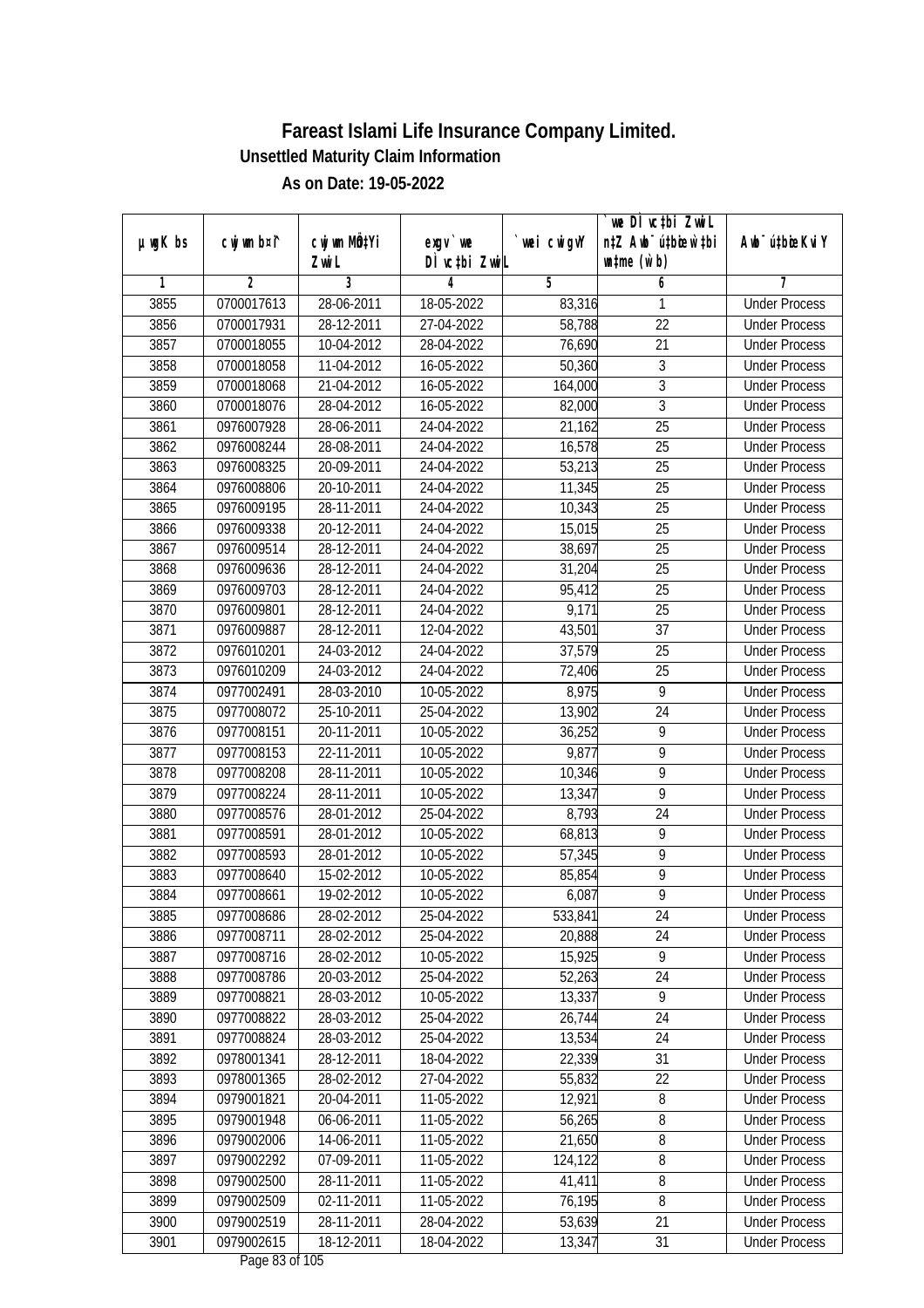|               |                |                       |                            |            | `we DÌ vc‡bi ZwiL                                           |                             |
|---------------|----------------|-----------------------|----------------------------|------------|-------------------------------------------------------------|-----------------------------|
| $µ$ ug $K$ bs | cwj wm b¤i^    | cwj wm MQtYi<br>Zwi L | $exqu$ we<br>DÌ vctbi ZwiL | wei cwigvY | n‡Z Awb <sup>-</sup> ú‡bioen`‡bi<br>$\n  untime\n  (u`b)\n$ | Awb <sup>-</sup> ú‡bioeKviY |
| 1             | $\overline{2}$ | 3                     | 4                          | 5          | 6                                                           | 7                           |
| 3855          | 0700017613     | 28-06-2011            | 18-05-2022                 | 83,316     | 1                                                           | <b>Under Process</b>        |
| 3856          | 0700017931     | 28-12-2011            | 27-04-2022                 | 58,788     | $\overline{22}$                                             | <b>Under Process</b>        |
| 3857          | 0700018055     | 10-04-2012            | 28-04-2022                 | 76,690     | 21                                                          | <b>Under Process</b>        |
| 3858          | 0700018058     | 11-04-2012            | 16-05-2022                 | 50,360     | $\sqrt{3}$                                                  | <b>Under Process</b>        |
| 3859          | 0700018068     | 21-04-2012            | 16-05-2022                 | 164,000    | $\overline{3}$                                              | <b>Under Process</b>        |
| 3860          | 0700018076     | 28-04-2012            | 16-05-2022                 | 82,000     | $\overline{3}$                                              | <b>Under Process</b>        |
| 3861          | 0976007928     | 28-06-2011            | 24-04-2022                 | 21,162     | $\overline{25}$                                             | <b>Under Process</b>        |
| 3862          | 0976008244     | 28-08-2011            | 24-04-2022                 | 16,578     | $\overline{25}$                                             | <b>Under Process</b>        |
| 3863          | 0976008325     | 20-09-2011            | 24-04-2022                 | 53,213     | 25                                                          | <b>Under Process</b>        |
| 3864          | 0976008806     | 20-10-2011            | 24-04-2022                 | 11,345     | $\overline{25}$                                             | <b>Under Process</b>        |
| 3865          | 0976009195     | 28-11-2011            | 24-04-2022                 | 10,343     | $\overline{25}$                                             | <b>Under Process</b>        |
| 3866          | 0976009338     | 20-12-2011            | 24-04-2022                 | 15,015     | 25                                                          | <b>Under Process</b>        |
| 3867          | 0976009514     | 28-12-2011            | 24-04-2022                 | 38,697     | 25                                                          | <b>Under Process</b>        |
| 3868          | 0976009636     | 28-12-2011            | 24-04-2022                 | 31,204     | 25                                                          | <b>Under Process</b>        |
| 3869          | 0976009703     | 28-12-2011            | 24-04-2022                 | 95,412     | 25                                                          | <b>Under Process</b>        |
| 3870          | 0976009801     | 28-12-2011            | 24-04-2022                 | 9,171      | 25                                                          | <b>Under Process</b>        |
| 3871          | 0976009887     | 28-12-2011            | 12-04-2022                 | 43,501     | 37                                                          | <b>Under Process</b>        |
| 3872          | 0976010201     | 24-03-2012            | 24-04-2022                 | 37,579     | 25                                                          | <b>Under Process</b>        |
| 3873          | 0976010209     | 24-03-2012            | 24-04-2022                 | 72,406     | 25                                                          | <b>Under Process</b>        |
| 3874          | 0977002491     | 28-03-2010            | 10-05-2022                 | 8,975      | 9                                                           | <b>Under Process</b>        |
| 3875          | 0977008072     | 25-10-2011            | 25-04-2022                 | 13,902     | 24                                                          | <b>Under Process</b>        |
| 3876          | 0977008151     | 20-11-2011            | 10-05-2022                 | 36,252     | 9                                                           | <b>Under Process</b>        |
| 3877          | 0977008153     | 22-11-2011            | 10-05-2022                 | 9,877      | $\overline{9}$                                              | <b>Under Process</b>        |
| 3878          | 0977008208     | 28-11-2011            | 10-05-2022                 | 10,346     | $\overline{9}$                                              | <b>Under Process</b>        |
| 3879          | 0977008224     | 28-11-2011            | 10-05-2022                 | 13,347     | 9                                                           | <b>Under Process</b>        |
| 3880          | 0977008576     | 28-01-2012            | 25-04-2022                 | 8,793      | 24                                                          | <b>Under Process</b>        |
| 3881          | 0977008591     | 28-01-2012            | 10-05-2022                 | 68,813     | 9                                                           | <b>Under Process</b>        |
| 3882          | 0977008593     | 28-01-2012            | 10-05-2022                 | 57,345     | $\overline{9}$                                              | <b>Under Process</b>        |
| 3883          | 0977008640     | 15-02-2012            | 10-05-2022                 | 85,854     | $\overline{9}$                                              | <b>Under Process</b>        |
| 3884          | 0977008661     | 19-02-2012            | 10-05-2022                 | 6,087      | $\overline{9}$                                              | <b>Under Process</b>        |
| 3885          | 0977008686     | 28-02-2012            | 25-04-2022                 | 533,841    | 24                                                          | <b>Under Process</b>        |
| 3886          | 0977008711     | 28-02-2012            | 25-04-2022                 | 20,888     | 24                                                          | <b>Under Process</b>        |
| 3887          | 0977008716     | 28-02-2012            | 10-05-2022                 | 15,925     | 9                                                           | <b>Under Process</b>        |
| 3888          | 0977008786     | 20-03-2012            | 25-04-2022                 | 52,263     | 24                                                          | <b>Under Process</b>        |
| 3889          | 0977008821     | 28-03-2012            | 10-05-2022                 | 13,337     | 9                                                           | <b>Under Process</b>        |
| 3890          | 0977008822     | 28-03-2012            | 25-04-2022                 | 26,744     | 24                                                          | <b>Under Process</b>        |
| 3891          | 0977008824     | 28-03-2012            | 25-04-2022                 | 13,534     | 24                                                          | <b>Under Process</b>        |
| 3892          | 0978001341     | 28-12-2011            | 18-04-2022                 | 22,339     | 31                                                          | <b>Under Process</b>        |
| 3893          | 0978001365     | 28-02-2012            | 27-04-2022                 | 55,832     | 22                                                          | <b>Under Process</b>        |
| 3894          | 0979001821     | 20-04-2011            | 11-05-2022                 | 12,921     | 8                                                           | <b>Under Process</b>        |
| 3895          | 0979001948     | 06-06-2011            | 11-05-2022                 | 56,265     | 8                                                           | <b>Under Process</b>        |
| 3896          | 0979002006     | 14-06-2011            | 11-05-2022                 | 21,650     | $\overline{8}$                                              | <b>Under Process</b>        |
| 3897          | 0979002292     | 07-09-2011            | 11-05-2022                 | 124,122    | 8                                                           | <b>Under Process</b>        |
| 3898          | 0979002500     | 28-11-2011            | 11-05-2022                 | 41,411     | 8                                                           | <b>Under Process</b>        |
| 3899          | 0979002509     | 02-11-2011            | 11-05-2022                 | 76,195     | $\overline{8}$                                              | <b>Under Process</b>        |
| 3900          | 0979002519     | 28-11-2011            | 28-04-2022                 | 53,639     | 21                                                          | <b>Under Process</b>        |
| 3901          | 0979002615     | 18-12-2011            | 18-04-2022                 | 13,347     | 31                                                          | <b>Under Process</b>        |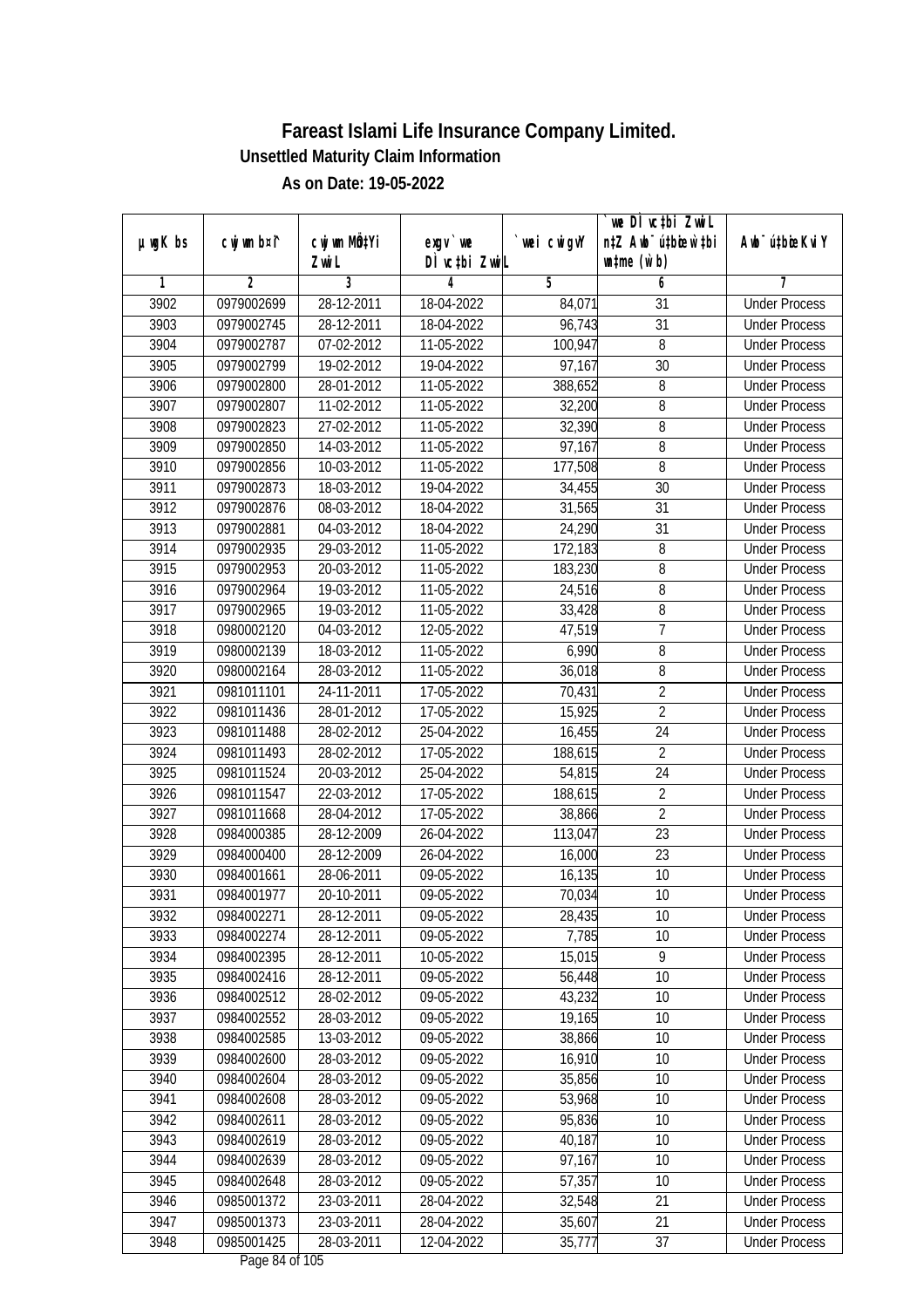|               |                |              |                                                     |             | `we DÌ vc‡bi ZwwiL               |                             |
|---------------|----------------|--------------|-----------------------------------------------------|-------------|----------------------------------|-----------------------------|
| $µ$ ug $K$ bs | cwj wm b¤i^    | cwj wm MQtYi | $exgV$ we                                           | `wei cwigvY | n‡Z Awb <sup>-</sup> ú‡bioen`‡bi | Awb <sup>-</sup> ú‡bioeKviY |
|               |                | Zwi L        | DÌ vctbi ZwiL                                       |             | $\n  untime\n  (u`b)\n$          |                             |
| 1             | $\overline{2}$ | 3            | 4                                                   | 5           | 6                                | 7                           |
| 3902          | 0979002699     | 28-12-2011   | 18-04-2022                                          | 84,071      | 31                               | <b>Under Process</b>        |
| 3903          | 0979002745     | 28-12-2011   | 18-04-2022                                          | 96,743      | $\overline{31}$                  | <b>Under Process</b>        |
| 3904          | 0979002787     | 07-02-2012   | 11-05-2022                                          | 100,947     | 8                                | <b>Under Process</b>        |
| 3905          | 0979002799     | 19-02-2012   | 19-04-2022                                          | 97,167      | $\overline{30}$                  | <b>Under Process</b>        |
| 3906          | 0979002800     | 28-01-2012   | 11-05-2022                                          | 388,652     | 8                                | <b>Under Process</b>        |
| 3907          | 0979002807     | 11-02-2012   | 11-05-2022                                          | 32,200      | 8                                | <b>Under Process</b>        |
| 3908          | 0979002823     | 27-02-2012   | 11-05-2022                                          | 32,390      | 8                                | <b>Under Process</b>        |
| 3909          | 0979002850     | 14-03-2012   | 11-05-2022                                          | 97,167      | $\overline{8}$                   | <b>Under Process</b>        |
| 3910          | 0979002856     | 10-03-2012   | 11-05-2022                                          | 177,508     | 8                                | <b>Under Process</b>        |
| 3911          | 0979002873     | 18-03-2012   | 19-04-2022                                          | 34,455      | 30                               | <b>Under Process</b>        |
| 3912          | 0979002876     | 08-03-2012   | 18-04-2022                                          | 31,565      | 31                               | <b>Under Process</b>        |
| 3913          | 0979002881     | 04-03-2012   | 18-04-2022                                          | 24,290      | 31                               | <b>Under Process</b>        |
| 3914          | 0979002935     | 29-03-2012   | 11-05-2022                                          | 172,183     | 8                                | <b>Under Process</b>        |
| 3915          | 0979002953     | 20-03-2012   | 11-05-2022                                          | 183,230     | 8                                | <b>Under Process</b>        |
| 3916          | 0979002964     | 19-03-2012   | 11-05-2022                                          | 24,516      | 8                                | <b>Under Process</b>        |
| 3917          | 0979002965     | 19-03-2012   | 11-05-2022                                          | 33,428      | 8                                | <b>Under Process</b>        |
| 3918          | 0980002120     | 04-03-2012   | 12-05-2022                                          | 47,519      | 7                                | <b>Under Process</b>        |
| 3919          | 0980002139     | 18-03-2012   | 11-05-2022                                          | 6,990       | 8                                | <b>Under Process</b>        |
| 3920          | 0980002164     | 28-03-2012   | 11-05-2022                                          | 36,018      | 8                                | <b>Under Process</b>        |
| 3921          | 0981011101     | 24-11-2011   | 17-05-2022                                          | 70,431      | $\overline{2}$                   | <b>Under Process</b>        |
| 3922          | 0981011436     | 28-01-2012   | 17-05-2022                                          | 15,925      | $\overline{2}$                   | <b>Under Process</b>        |
| 3923          | 0981011488     | 28-02-2012   | 25-04-2022                                          | 16,455      | 24                               | <b>Under Process</b>        |
| 3924          | 0981011493     | 28-02-2012   | 17-05-2022                                          | 188,615     | $\overline{2}$                   | <b>Under Process</b>        |
| 3925          | 0981011524     | 20-03-2012   | 25-04-2022                                          | 54,815      | 24                               | <b>Under Process</b>        |
| 3926          | 0981011547     | 22-03-2012   | 17-05-2022                                          | 188,615     | $\sqrt{2}$                       | <b>Under Process</b>        |
| 3927          | 0981011668     | 28-04-2012   | 17-05-2022                                          | 38,866      | $\overline{2}$                   | <b>Under Process</b>        |
| 3928          | 0984000385     | 28-12-2009   | 26-04-2022                                          | 113,047     | 23                               | <b>Under Process</b>        |
| 3929          | 0984000400     | 28-12-2009   | 26-04-2022                                          | 16,000      | 23                               | <b>Under Process</b>        |
| 3930          | 0984001661     | 28-06-2011   | 09-05-2022                                          | 16,135      | 10                               | <b>Under Process</b>        |
| 3931          | 0984001977     | 20-10-2011   | 09-05-2022                                          | 70,034      | 10                               | <b>Under Process</b>        |
| 3932          | 0984002271     | 28-12-2011   | 09-05-2022                                          | 28,435      | 10                               | <b>Under Process</b>        |
| 3933          | 0984002274     | 28-12-2011   | 09-05-2022                                          | 7,785       | 10                               | <b>Under Process</b>        |
| 3934          | 0984002395     | 28-12-2011   | 10-05-2022                                          | 15,015      | 9                                | <b>Under Process</b>        |
| 3935          | 0984002416     | 28-12-2011   | 09-05-2022                                          | 56,448      | 10                               | <b>Under Process</b>        |
| 3936          | 0984002512     | 28-02-2012   | 09-05-2022                                          | 43,232      | 10                               | <b>Under Process</b>        |
| 3937          | 0984002552     | 28-03-2012   | 09-05-2022                                          | 19,165      | 10                               | <b>Under Process</b>        |
| 3938          | 0984002585     | 13-03-2012   | 09-05-2022                                          | 38,866      | 10                               | <b>Under Process</b>        |
| 3939          | 0984002600     | 28-03-2012   | 09-05-2022                                          | 16,910      | 10                               | <b>Under Process</b>        |
| 3940          | 0984002604     | 28-03-2012   | 09-05-2022                                          | 35,856      | 10                               | <b>Under Process</b>        |
| 3941          | 0984002608     | 28-03-2012   | 09-05-2022                                          | 53,968      | 10                               | <b>Under Process</b>        |
| 3942          | 0984002611     | 28-03-2012   | 09-05-2022                                          | 95,836      | 10                               | <b>Under Process</b>        |
| 3943          | 0984002619     | $28-03-2012$ | 09-05-2022                                          | 40,187      | 10                               | <b>Under Process</b>        |
| 3944          | 0984002639     | 28-03-2012   | 09-05-2022                                          | 97,167      | 10                               | <b>Under Process</b>        |
| 3945          | 0984002648     | 28-03-2012   | 09-05-2022                                          | 57,357      | 10                               | <b>Under Process</b>        |
| 3946          | 0985001372     | 23-03-2011   | 28-04-2022                                          | 32,548      | 21                               | <b>Under Process</b>        |
| 3947          | 0985001373     | 23-03-2011   | 28-04-2022                                          | 35,607      | 21                               | <b>Under Process</b>        |
| 3948          | 0985001425     | 28-03-2011   | 12-04-2022<br>$D_{\text{max}}$ $0.1$ of 10 $\Gamma$ | 35,777      | 37                               | <b>Under Process</b>        |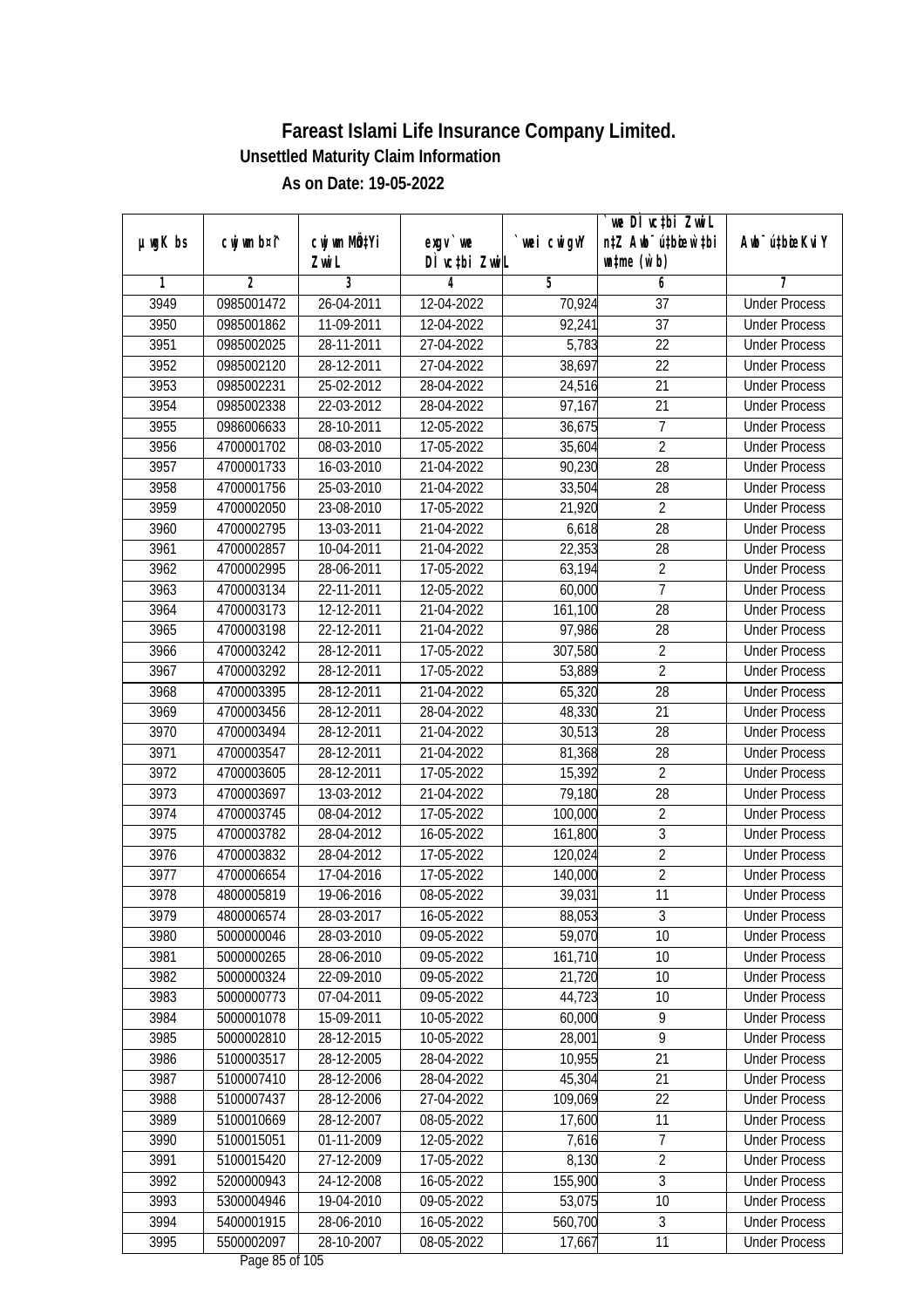| DÌ vctbi ZwiL<br>$\n  untime\n  (u`b)\n$<br>Zwi L<br>3<br>$\overline{2}$<br>5<br>7<br>1<br>4<br>6<br>3949<br>0985001472<br>26-04-2011<br>12-04-2022<br>70,924<br>$\overline{37}$<br><b>Under Process</b><br>$\overline{37}$<br>3950<br>11-09-2011<br>12-04-2022<br>92,241<br>0985001862<br><b>Under Process</b><br>5,783<br>$\overline{22}$<br>3951<br>0985002025<br>28-11-2011<br>27-04-2022<br><b>Under Process</b><br>3952<br>38,697<br>22<br>0985002120<br>28-12-2011<br>27-04-2022<br><b>Under Process</b><br>3953<br>$\overline{21}$<br>0985002231<br>25-02-2012<br>28-04-2022<br>24,516<br><b>Under Process</b><br>3954<br>$\overline{21}$<br>0985002338<br>22-03-2012<br>28-04-2022<br>97,167<br><b>Under Process</b><br>$\overline{7}$<br>3955<br>0986006633<br>28-10-2011<br>12-05-2022<br>36,675<br><b>Under Process</b><br>$\overline{2}$<br>3956<br>4700001702<br>08-03-2010<br>17-05-2022<br><b>Under Process</b><br>35,604<br>3957<br>16-03-2010<br>21-04-2022<br>90,230<br>28<br>4700001733<br><b>Under Process</b><br>3958<br>25-03-2010<br>28<br>4700001756<br>21-04-2022<br>33,504<br><b>Under Process</b><br>3959<br>$\overline{2}$<br>4700002050<br>23-08-2010<br>17-05-2022<br>21,920<br><b>Under Process</b><br>13-03-2011<br>21-04-2022<br>6,618<br>28<br>3960<br>4700002795<br><b>Under Process</b><br>22,353<br>$\overline{28}$<br>3961<br>10-04-2011<br>21-04-2022<br>4700002857<br><b>Under Process</b><br>3962<br>$\sqrt{2}$<br>4700002995<br>28-06-2011<br>17-05-2022<br>63,194<br><b>Under Process</b><br>$\overline{1}$<br>3963<br>4700003134<br>22-11-2011<br>12-05-2022<br>60,000<br><b>Under Process</b><br>28<br>3964<br>4700003173<br>12-12-2011<br>21-04-2022<br>161,100<br><b>Under Process</b><br>3965<br>4700003198<br>22-12-2011<br>21-04-2022<br>97,986<br>28<br><b>Under Process</b><br>$\overline{2}$<br>3966<br>28-12-2011<br>307,580<br>4700003242<br>17-05-2022<br><b>Under Process</b><br>$\overline{2}$<br>3967<br>28-12-2011<br>17-05-2022<br>53,889<br>4700003292<br><b>Under Process</b><br>3968<br>28-12-2011<br>28<br>4700003395<br>21-04-2022<br>65,320<br><b>Under Process</b><br>3969<br>21<br>4700003456<br>28-12-2011<br>28-04-2022<br>48,330<br><b>Under Process</b><br>3970<br>30,513<br>28<br>4700003494<br>28-12-2011<br>21-04-2022<br><b>Under Process</b><br>3971<br>21-04-2022<br>81,368<br>28<br>4700003547<br>28-12-2011<br><b>Under Process</b><br>$\overline{2}$<br>3972<br>4700003605<br>28-12-2011<br>17-05-2022<br>15,392<br><b>Under Process</b><br>3973<br>21-04-2022<br>28<br>4700003697<br>13-03-2012<br>79,180<br><b>Under Process</b><br>3974<br>$\overline{2}$<br>4700003745<br>08-04-2012<br>17-05-2022<br>100,000<br><b>Under Process</b><br>$\mathfrak{Z}$<br>3975<br>4700003782<br>28-04-2012<br>161,800<br>16-05-2022<br><b>Under Process</b><br>$\overline{2}$<br>3976<br>28-04-2012<br>17-05-2022<br>4700003832<br>120,024<br><b>Under Process</b><br>$\overline{2}$<br>3977<br>4700006654<br>17-04-2016<br>17-05-2022<br>140,000<br><b>Under Process</b><br>3978<br>11<br>4800005819<br>19-06-2016<br>08-05-2022<br>39,031<br><b>Under Process</b><br>3979<br>4800006574<br>28-03-2017<br>16-05-2022<br>88,053<br>3<br><b>Under Process</b><br>28-03-2010<br>59,070<br>10<br>3980<br>5000000046<br>09-05-2022<br><b>Under Process</b><br>161,710<br>3981<br>5000000265<br>28-06-2010<br>09-05-2022<br>10<br><b>Under Process</b><br>3982<br>22-09-2010<br>21,720<br>10<br>5000000324<br>09-05-2022<br><b>Under Process</b><br>3983<br>44,723<br>5000000773<br>07-04-2011<br>09-05-2022<br>10<br><b>Under Process</b><br>3984<br>5000001078<br>15-09-2011<br>10-05-2022<br>60,000<br>9<br><b>Under Process</b><br>$\overline{9}$<br>3985<br>5000002810<br>28,001<br>28-12-2015<br>10-05-2022<br><b>Under Process</b><br>10,955<br>3986<br>5100003517<br>28-12-2005<br>21<br>28-04-2022<br><b>Under Process</b><br>3987<br>45,304<br>21<br>5100007410<br>28-12-2006<br>28-04-2022<br><b>Under Process</b><br>3988<br>5100007437<br>109,069<br>22<br>28-12-2006<br>27-04-2022<br><b>Under Process</b><br>3989<br>5100010669<br>28-12-2007<br>08-05-2022<br>17,600<br><b>Under Process</b><br>11<br>$\overline{7}$<br>3990<br>5100015051<br>01-11-2009<br>12-05-2022<br>7,616<br><b>Under Process</b><br>$\overline{2}$<br>3991<br>5100015420<br>27-12-2009<br>8,130<br>17-05-2022<br><b>Under Process</b><br>3<br>155,900<br>3992<br>5200000943<br>24-12-2008<br>16-05-2022<br><b>Under Process</b><br>3993<br>53,075<br>5300004946<br>19-04-2010<br>09-05-2022<br>10<br><b>Under Process</b><br>$\overline{3}$<br>3994<br>5400001915<br>28-06-2010<br>560,700<br>16-05-2022<br><b>Under Process</b> |               |             |              |            |            | we DI vctbi ZwiL<br>n‡Z Awb <sup>-</sup> ú‡bicen`‡bi |                             |
|--------------------------------------------------------------------------------------------------------------------------------------------------------------------------------------------------------------------------------------------------------------------------------------------------------------------------------------------------------------------------------------------------------------------------------------------------------------------------------------------------------------------------------------------------------------------------------------------------------------------------------------------------------------------------------------------------------------------------------------------------------------------------------------------------------------------------------------------------------------------------------------------------------------------------------------------------------------------------------------------------------------------------------------------------------------------------------------------------------------------------------------------------------------------------------------------------------------------------------------------------------------------------------------------------------------------------------------------------------------------------------------------------------------------------------------------------------------------------------------------------------------------------------------------------------------------------------------------------------------------------------------------------------------------------------------------------------------------------------------------------------------------------------------------------------------------------------------------------------------------------------------------------------------------------------------------------------------------------------------------------------------------------------------------------------------------------------------------------------------------------------------------------------------------------------------------------------------------------------------------------------------------------------------------------------------------------------------------------------------------------------------------------------------------------------------------------------------------------------------------------------------------------------------------------------------------------------------------------------------------------------------------------------------------------------------------------------------------------------------------------------------------------------------------------------------------------------------------------------------------------------------------------------------------------------------------------------------------------------------------------------------------------------------------------------------------------------------------------------------------------------------------------------------------------------------------------------------------------------------------------------------------------------------------------------------------------------------------------------------------------------------------------------------------------------------------------------------------------------------------------------------------------------------------------------------------------------------------------------------------------------------------------------------------------------------------------------------------------------------------------------------------------------------------------------------------------------------------------------------------------------------------------------------------------------------------------------------------------------------------------------------------------------------------------------------------------------------------------------------------------------------------------------------------------------------------------------------------------------------------------------------------------------------------------------------------------------------------------------------------------------------------------------------------------------------------------------------------------------------------------------------------------------------------------------------------------------------------------------------------------------------------------------------------------------------------|---------------|-------------|--------------|------------|------------|------------------------------------------------------|-----------------------------|
|                                                                                                                                                                                                                                                                                                                                                                                                                                                                                                                                                                                                                                                                                                                                                                                                                                                                                                                                                                                                                                                                                                                                                                                                                                                                                                                                                                                                                                                                                                                                                                                                                                                                                                                                                                                                                                                                                                                                                                                                                                                                                                                                                                                                                                                                                                                                                                                                                                                                                                                                                                                                                                                                                                                                                                                                                                                                                                                                                                                                                                                                                                                                                                                                                                                                                                                                                                                                                                                                                                                                                                                                                                                                                                                                                                                                                                                                                                                                                                                                                                                                                                                                                                                                                                                                                                                                                                                                                                                                                                                                                                                                                                                                                            | $µ$ ug $K$ bs | cwj wm b¤i^ | cwj wm MQtYi | exgv `we   | wei cwigvY |                                                      | Awb <sup>-</sup> ú‡bioeKviY |
|                                                                                                                                                                                                                                                                                                                                                                                                                                                                                                                                                                                                                                                                                                                                                                                                                                                                                                                                                                                                                                                                                                                                                                                                                                                                                                                                                                                                                                                                                                                                                                                                                                                                                                                                                                                                                                                                                                                                                                                                                                                                                                                                                                                                                                                                                                                                                                                                                                                                                                                                                                                                                                                                                                                                                                                                                                                                                                                                                                                                                                                                                                                                                                                                                                                                                                                                                                                                                                                                                                                                                                                                                                                                                                                                                                                                                                                                                                                                                                                                                                                                                                                                                                                                                                                                                                                                                                                                                                                                                                                                                                                                                                                                                            |               |             |              |            |            |                                                      |                             |
|                                                                                                                                                                                                                                                                                                                                                                                                                                                                                                                                                                                                                                                                                                                                                                                                                                                                                                                                                                                                                                                                                                                                                                                                                                                                                                                                                                                                                                                                                                                                                                                                                                                                                                                                                                                                                                                                                                                                                                                                                                                                                                                                                                                                                                                                                                                                                                                                                                                                                                                                                                                                                                                                                                                                                                                                                                                                                                                                                                                                                                                                                                                                                                                                                                                                                                                                                                                                                                                                                                                                                                                                                                                                                                                                                                                                                                                                                                                                                                                                                                                                                                                                                                                                                                                                                                                                                                                                                                                                                                                                                                                                                                                                                            |               |             |              |            |            |                                                      |                             |
|                                                                                                                                                                                                                                                                                                                                                                                                                                                                                                                                                                                                                                                                                                                                                                                                                                                                                                                                                                                                                                                                                                                                                                                                                                                                                                                                                                                                                                                                                                                                                                                                                                                                                                                                                                                                                                                                                                                                                                                                                                                                                                                                                                                                                                                                                                                                                                                                                                                                                                                                                                                                                                                                                                                                                                                                                                                                                                                                                                                                                                                                                                                                                                                                                                                                                                                                                                                                                                                                                                                                                                                                                                                                                                                                                                                                                                                                                                                                                                                                                                                                                                                                                                                                                                                                                                                                                                                                                                                                                                                                                                                                                                                                                            |               |             |              |            |            |                                                      |                             |
|                                                                                                                                                                                                                                                                                                                                                                                                                                                                                                                                                                                                                                                                                                                                                                                                                                                                                                                                                                                                                                                                                                                                                                                                                                                                                                                                                                                                                                                                                                                                                                                                                                                                                                                                                                                                                                                                                                                                                                                                                                                                                                                                                                                                                                                                                                                                                                                                                                                                                                                                                                                                                                                                                                                                                                                                                                                                                                                                                                                                                                                                                                                                                                                                                                                                                                                                                                                                                                                                                                                                                                                                                                                                                                                                                                                                                                                                                                                                                                                                                                                                                                                                                                                                                                                                                                                                                                                                                                                                                                                                                                                                                                                                                            |               |             |              |            |            |                                                      |                             |
|                                                                                                                                                                                                                                                                                                                                                                                                                                                                                                                                                                                                                                                                                                                                                                                                                                                                                                                                                                                                                                                                                                                                                                                                                                                                                                                                                                                                                                                                                                                                                                                                                                                                                                                                                                                                                                                                                                                                                                                                                                                                                                                                                                                                                                                                                                                                                                                                                                                                                                                                                                                                                                                                                                                                                                                                                                                                                                                                                                                                                                                                                                                                                                                                                                                                                                                                                                                                                                                                                                                                                                                                                                                                                                                                                                                                                                                                                                                                                                                                                                                                                                                                                                                                                                                                                                                                                                                                                                                                                                                                                                                                                                                                                            |               |             |              |            |            |                                                      |                             |
|                                                                                                                                                                                                                                                                                                                                                                                                                                                                                                                                                                                                                                                                                                                                                                                                                                                                                                                                                                                                                                                                                                                                                                                                                                                                                                                                                                                                                                                                                                                                                                                                                                                                                                                                                                                                                                                                                                                                                                                                                                                                                                                                                                                                                                                                                                                                                                                                                                                                                                                                                                                                                                                                                                                                                                                                                                                                                                                                                                                                                                                                                                                                                                                                                                                                                                                                                                                                                                                                                                                                                                                                                                                                                                                                                                                                                                                                                                                                                                                                                                                                                                                                                                                                                                                                                                                                                                                                                                                                                                                                                                                                                                                                                            |               |             |              |            |            |                                                      |                             |
|                                                                                                                                                                                                                                                                                                                                                                                                                                                                                                                                                                                                                                                                                                                                                                                                                                                                                                                                                                                                                                                                                                                                                                                                                                                                                                                                                                                                                                                                                                                                                                                                                                                                                                                                                                                                                                                                                                                                                                                                                                                                                                                                                                                                                                                                                                                                                                                                                                                                                                                                                                                                                                                                                                                                                                                                                                                                                                                                                                                                                                                                                                                                                                                                                                                                                                                                                                                                                                                                                                                                                                                                                                                                                                                                                                                                                                                                                                                                                                                                                                                                                                                                                                                                                                                                                                                                                                                                                                                                                                                                                                                                                                                                                            |               |             |              |            |            |                                                      |                             |
|                                                                                                                                                                                                                                                                                                                                                                                                                                                                                                                                                                                                                                                                                                                                                                                                                                                                                                                                                                                                                                                                                                                                                                                                                                                                                                                                                                                                                                                                                                                                                                                                                                                                                                                                                                                                                                                                                                                                                                                                                                                                                                                                                                                                                                                                                                                                                                                                                                                                                                                                                                                                                                                                                                                                                                                                                                                                                                                                                                                                                                                                                                                                                                                                                                                                                                                                                                                                                                                                                                                                                                                                                                                                                                                                                                                                                                                                                                                                                                                                                                                                                                                                                                                                                                                                                                                                                                                                                                                                                                                                                                                                                                                                                            |               |             |              |            |            |                                                      |                             |
|                                                                                                                                                                                                                                                                                                                                                                                                                                                                                                                                                                                                                                                                                                                                                                                                                                                                                                                                                                                                                                                                                                                                                                                                                                                                                                                                                                                                                                                                                                                                                                                                                                                                                                                                                                                                                                                                                                                                                                                                                                                                                                                                                                                                                                                                                                                                                                                                                                                                                                                                                                                                                                                                                                                                                                                                                                                                                                                                                                                                                                                                                                                                                                                                                                                                                                                                                                                                                                                                                                                                                                                                                                                                                                                                                                                                                                                                                                                                                                                                                                                                                                                                                                                                                                                                                                                                                                                                                                                                                                                                                                                                                                                                                            |               |             |              |            |            |                                                      |                             |
|                                                                                                                                                                                                                                                                                                                                                                                                                                                                                                                                                                                                                                                                                                                                                                                                                                                                                                                                                                                                                                                                                                                                                                                                                                                                                                                                                                                                                                                                                                                                                                                                                                                                                                                                                                                                                                                                                                                                                                                                                                                                                                                                                                                                                                                                                                                                                                                                                                                                                                                                                                                                                                                                                                                                                                                                                                                                                                                                                                                                                                                                                                                                                                                                                                                                                                                                                                                                                                                                                                                                                                                                                                                                                                                                                                                                                                                                                                                                                                                                                                                                                                                                                                                                                                                                                                                                                                                                                                                                                                                                                                                                                                                                                            |               |             |              |            |            |                                                      |                             |
|                                                                                                                                                                                                                                                                                                                                                                                                                                                                                                                                                                                                                                                                                                                                                                                                                                                                                                                                                                                                                                                                                                                                                                                                                                                                                                                                                                                                                                                                                                                                                                                                                                                                                                                                                                                                                                                                                                                                                                                                                                                                                                                                                                                                                                                                                                                                                                                                                                                                                                                                                                                                                                                                                                                                                                                                                                                                                                                                                                                                                                                                                                                                                                                                                                                                                                                                                                                                                                                                                                                                                                                                                                                                                                                                                                                                                                                                                                                                                                                                                                                                                                                                                                                                                                                                                                                                                                                                                                                                                                                                                                                                                                                                                            |               |             |              |            |            |                                                      |                             |
|                                                                                                                                                                                                                                                                                                                                                                                                                                                                                                                                                                                                                                                                                                                                                                                                                                                                                                                                                                                                                                                                                                                                                                                                                                                                                                                                                                                                                                                                                                                                                                                                                                                                                                                                                                                                                                                                                                                                                                                                                                                                                                                                                                                                                                                                                                                                                                                                                                                                                                                                                                                                                                                                                                                                                                                                                                                                                                                                                                                                                                                                                                                                                                                                                                                                                                                                                                                                                                                                                                                                                                                                                                                                                                                                                                                                                                                                                                                                                                                                                                                                                                                                                                                                                                                                                                                                                                                                                                                                                                                                                                                                                                                                                            |               |             |              |            |            |                                                      |                             |
|                                                                                                                                                                                                                                                                                                                                                                                                                                                                                                                                                                                                                                                                                                                                                                                                                                                                                                                                                                                                                                                                                                                                                                                                                                                                                                                                                                                                                                                                                                                                                                                                                                                                                                                                                                                                                                                                                                                                                                                                                                                                                                                                                                                                                                                                                                                                                                                                                                                                                                                                                                                                                                                                                                                                                                                                                                                                                                                                                                                                                                                                                                                                                                                                                                                                                                                                                                                                                                                                                                                                                                                                                                                                                                                                                                                                                                                                                                                                                                                                                                                                                                                                                                                                                                                                                                                                                                                                                                                                                                                                                                                                                                                                                            |               |             |              |            |            |                                                      |                             |
|                                                                                                                                                                                                                                                                                                                                                                                                                                                                                                                                                                                                                                                                                                                                                                                                                                                                                                                                                                                                                                                                                                                                                                                                                                                                                                                                                                                                                                                                                                                                                                                                                                                                                                                                                                                                                                                                                                                                                                                                                                                                                                                                                                                                                                                                                                                                                                                                                                                                                                                                                                                                                                                                                                                                                                                                                                                                                                                                                                                                                                                                                                                                                                                                                                                                                                                                                                                                                                                                                                                                                                                                                                                                                                                                                                                                                                                                                                                                                                                                                                                                                                                                                                                                                                                                                                                                                                                                                                                                                                                                                                                                                                                                                            |               |             |              |            |            |                                                      |                             |
|                                                                                                                                                                                                                                                                                                                                                                                                                                                                                                                                                                                                                                                                                                                                                                                                                                                                                                                                                                                                                                                                                                                                                                                                                                                                                                                                                                                                                                                                                                                                                                                                                                                                                                                                                                                                                                                                                                                                                                                                                                                                                                                                                                                                                                                                                                                                                                                                                                                                                                                                                                                                                                                                                                                                                                                                                                                                                                                                                                                                                                                                                                                                                                                                                                                                                                                                                                                                                                                                                                                                                                                                                                                                                                                                                                                                                                                                                                                                                                                                                                                                                                                                                                                                                                                                                                                                                                                                                                                                                                                                                                                                                                                                                            |               |             |              |            |            |                                                      |                             |
|                                                                                                                                                                                                                                                                                                                                                                                                                                                                                                                                                                                                                                                                                                                                                                                                                                                                                                                                                                                                                                                                                                                                                                                                                                                                                                                                                                                                                                                                                                                                                                                                                                                                                                                                                                                                                                                                                                                                                                                                                                                                                                                                                                                                                                                                                                                                                                                                                                                                                                                                                                                                                                                                                                                                                                                                                                                                                                                                                                                                                                                                                                                                                                                                                                                                                                                                                                                                                                                                                                                                                                                                                                                                                                                                                                                                                                                                                                                                                                                                                                                                                                                                                                                                                                                                                                                                                                                                                                                                                                                                                                                                                                                                                            |               |             |              |            |            |                                                      |                             |
|                                                                                                                                                                                                                                                                                                                                                                                                                                                                                                                                                                                                                                                                                                                                                                                                                                                                                                                                                                                                                                                                                                                                                                                                                                                                                                                                                                                                                                                                                                                                                                                                                                                                                                                                                                                                                                                                                                                                                                                                                                                                                                                                                                                                                                                                                                                                                                                                                                                                                                                                                                                                                                                                                                                                                                                                                                                                                                                                                                                                                                                                                                                                                                                                                                                                                                                                                                                                                                                                                                                                                                                                                                                                                                                                                                                                                                                                                                                                                                                                                                                                                                                                                                                                                                                                                                                                                                                                                                                                                                                                                                                                                                                                                            |               |             |              |            |            |                                                      |                             |
|                                                                                                                                                                                                                                                                                                                                                                                                                                                                                                                                                                                                                                                                                                                                                                                                                                                                                                                                                                                                                                                                                                                                                                                                                                                                                                                                                                                                                                                                                                                                                                                                                                                                                                                                                                                                                                                                                                                                                                                                                                                                                                                                                                                                                                                                                                                                                                                                                                                                                                                                                                                                                                                                                                                                                                                                                                                                                                                                                                                                                                                                                                                                                                                                                                                                                                                                                                                                                                                                                                                                                                                                                                                                                                                                                                                                                                                                                                                                                                                                                                                                                                                                                                                                                                                                                                                                                                                                                                                                                                                                                                                                                                                                                            |               |             |              |            |            |                                                      |                             |
|                                                                                                                                                                                                                                                                                                                                                                                                                                                                                                                                                                                                                                                                                                                                                                                                                                                                                                                                                                                                                                                                                                                                                                                                                                                                                                                                                                                                                                                                                                                                                                                                                                                                                                                                                                                                                                                                                                                                                                                                                                                                                                                                                                                                                                                                                                                                                                                                                                                                                                                                                                                                                                                                                                                                                                                                                                                                                                                                                                                                                                                                                                                                                                                                                                                                                                                                                                                                                                                                                                                                                                                                                                                                                                                                                                                                                                                                                                                                                                                                                                                                                                                                                                                                                                                                                                                                                                                                                                                                                                                                                                                                                                                                                            |               |             |              |            |            |                                                      |                             |
|                                                                                                                                                                                                                                                                                                                                                                                                                                                                                                                                                                                                                                                                                                                                                                                                                                                                                                                                                                                                                                                                                                                                                                                                                                                                                                                                                                                                                                                                                                                                                                                                                                                                                                                                                                                                                                                                                                                                                                                                                                                                                                                                                                                                                                                                                                                                                                                                                                                                                                                                                                                                                                                                                                                                                                                                                                                                                                                                                                                                                                                                                                                                                                                                                                                                                                                                                                                                                                                                                                                                                                                                                                                                                                                                                                                                                                                                                                                                                                                                                                                                                                                                                                                                                                                                                                                                                                                                                                                                                                                                                                                                                                                                                            |               |             |              |            |            |                                                      |                             |
|                                                                                                                                                                                                                                                                                                                                                                                                                                                                                                                                                                                                                                                                                                                                                                                                                                                                                                                                                                                                                                                                                                                                                                                                                                                                                                                                                                                                                                                                                                                                                                                                                                                                                                                                                                                                                                                                                                                                                                                                                                                                                                                                                                                                                                                                                                                                                                                                                                                                                                                                                                                                                                                                                                                                                                                                                                                                                                                                                                                                                                                                                                                                                                                                                                                                                                                                                                                                                                                                                                                                                                                                                                                                                                                                                                                                                                                                                                                                                                                                                                                                                                                                                                                                                                                                                                                                                                                                                                                                                                                                                                                                                                                                                            |               |             |              |            |            |                                                      |                             |
|                                                                                                                                                                                                                                                                                                                                                                                                                                                                                                                                                                                                                                                                                                                                                                                                                                                                                                                                                                                                                                                                                                                                                                                                                                                                                                                                                                                                                                                                                                                                                                                                                                                                                                                                                                                                                                                                                                                                                                                                                                                                                                                                                                                                                                                                                                                                                                                                                                                                                                                                                                                                                                                                                                                                                                                                                                                                                                                                                                                                                                                                                                                                                                                                                                                                                                                                                                                                                                                                                                                                                                                                                                                                                                                                                                                                                                                                                                                                                                                                                                                                                                                                                                                                                                                                                                                                                                                                                                                                                                                                                                                                                                                                                            |               |             |              |            |            |                                                      |                             |
|                                                                                                                                                                                                                                                                                                                                                                                                                                                                                                                                                                                                                                                                                                                                                                                                                                                                                                                                                                                                                                                                                                                                                                                                                                                                                                                                                                                                                                                                                                                                                                                                                                                                                                                                                                                                                                                                                                                                                                                                                                                                                                                                                                                                                                                                                                                                                                                                                                                                                                                                                                                                                                                                                                                                                                                                                                                                                                                                                                                                                                                                                                                                                                                                                                                                                                                                                                                                                                                                                                                                                                                                                                                                                                                                                                                                                                                                                                                                                                                                                                                                                                                                                                                                                                                                                                                                                                                                                                                                                                                                                                                                                                                                                            |               |             |              |            |            |                                                      |                             |
|                                                                                                                                                                                                                                                                                                                                                                                                                                                                                                                                                                                                                                                                                                                                                                                                                                                                                                                                                                                                                                                                                                                                                                                                                                                                                                                                                                                                                                                                                                                                                                                                                                                                                                                                                                                                                                                                                                                                                                                                                                                                                                                                                                                                                                                                                                                                                                                                                                                                                                                                                                                                                                                                                                                                                                                                                                                                                                                                                                                                                                                                                                                                                                                                                                                                                                                                                                                                                                                                                                                                                                                                                                                                                                                                                                                                                                                                                                                                                                                                                                                                                                                                                                                                                                                                                                                                                                                                                                                                                                                                                                                                                                                                                            |               |             |              |            |            |                                                      |                             |
|                                                                                                                                                                                                                                                                                                                                                                                                                                                                                                                                                                                                                                                                                                                                                                                                                                                                                                                                                                                                                                                                                                                                                                                                                                                                                                                                                                                                                                                                                                                                                                                                                                                                                                                                                                                                                                                                                                                                                                                                                                                                                                                                                                                                                                                                                                                                                                                                                                                                                                                                                                                                                                                                                                                                                                                                                                                                                                                                                                                                                                                                                                                                                                                                                                                                                                                                                                                                                                                                                                                                                                                                                                                                                                                                                                                                                                                                                                                                                                                                                                                                                                                                                                                                                                                                                                                                                                                                                                                                                                                                                                                                                                                                                            |               |             |              |            |            |                                                      |                             |
|                                                                                                                                                                                                                                                                                                                                                                                                                                                                                                                                                                                                                                                                                                                                                                                                                                                                                                                                                                                                                                                                                                                                                                                                                                                                                                                                                                                                                                                                                                                                                                                                                                                                                                                                                                                                                                                                                                                                                                                                                                                                                                                                                                                                                                                                                                                                                                                                                                                                                                                                                                                                                                                                                                                                                                                                                                                                                                                                                                                                                                                                                                                                                                                                                                                                                                                                                                                                                                                                                                                                                                                                                                                                                                                                                                                                                                                                                                                                                                                                                                                                                                                                                                                                                                                                                                                                                                                                                                                                                                                                                                                                                                                                                            |               |             |              |            |            |                                                      |                             |
|                                                                                                                                                                                                                                                                                                                                                                                                                                                                                                                                                                                                                                                                                                                                                                                                                                                                                                                                                                                                                                                                                                                                                                                                                                                                                                                                                                                                                                                                                                                                                                                                                                                                                                                                                                                                                                                                                                                                                                                                                                                                                                                                                                                                                                                                                                                                                                                                                                                                                                                                                                                                                                                                                                                                                                                                                                                                                                                                                                                                                                                                                                                                                                                                                                                                                                                                                                                                                                                                                                                                                                                                                                                                                                                                                                                                                                                                                                                                                                                                                                                                                                                                                                                                                                                                                                                                                                                                                                                                                                                                                                                                                                                                                            |               |             |              |            |            |                                                      |                             |
|                                                                                                                                                                                                                                                                                                                                                                                                                                                                                                                                                                                                                                                                                                                                                                                                                                                                                                                                                                                                                                                                                                                                                                                                                                                                                                                                                                                                                                                                                                                                                                                                                                                                                                                                                                                                                                                                                                                                                                                                                                                                                                                                                                                                                                                                                                                                                                                                                                                                                                                                                                                                                                                                                                                                                                                                                                                                                                                                                                                                                                                                                                                                                                                                                                                                                                                                                                                                                                                                                                                                                                                                                                                                                                                                                                                                                                                                                                                                                                                                                                                                                                                                                                                                                                                                                                                                                                                                                                                                                                                                                                                                                                                                                            |               |             |              |            |            |                                                      |                             |
|                                                                                                                                                                                                                                                                                                                                                                                                                                                                                                                                                                                                                                                                                                                                                                                                                                                                                                                                                                                                                                                                                                                                                                                                                                                                                                                                                                                                                                                                                                                                                                                                                                                                                                                                                                                                                                                                                                                                                                                                                                                                                                                                                                                                                                                                                                                                                                                                                                                                                                                                                                                                                                                                                                                                                                                                                                                                                                                                                                                                                                                                                                                                                                                                                                                                                                                                                                                                                                                                                                                                                                                                                                                                                                                                                                                                                                                                                                                                                                                                                                                                                                                                                                                                                                                                                                                                                                                                                                                                                                                                                                                                                                                                                            |               |             |              |            |            |                                                      |                             |
|                                                                                                                                                                                                                                                                                                                                                                                                                                                                                                                                                                                                                                                                                                                                                                                                                                                                                                                                                                                                                                                                                                                                                                                                                                                                                                                                                                                                                                                                                                                                                                                                                                                                                                                                                                                                                                                                                                                                                                                                                                                                                                                                                                                                                                                                                                                                                                                                                                                                                                                                                                                                                                                                                                                                                                                                                                                                                                                                                                                                                                                                                                                                                                                                                                                                                                                                                                                                                                                                                                                                                                                                                                                                                                                                                                                                                                                                                                                                                                                                                                                                                                                                                                                                                                                                                                                                                                                                                                                                                                                                                                                                                                                                                            |               |             |              |            |            |                                                      |                             |
|                                                                                                                                                                                                                                                                                                                                                                                                                                                                                                                                                                                                                                                                                                                                                                                                                                                                                                                                                                                                                                                                                                                                                                                                                                                                                                                                                                                                                                                                                                                                                                                                                                                                                                                                                                                                                                                                                                                                                                                                                                                                                                                                                                                                                                                                                                                                                                                                                                                                                                                                                                                                                                                                                                                                                                                                                                                                                                                                                                                                                                                                                                                                                                                                                                                                                                                                                                                                                                                                                                                                                                                                                                                                                                                                                                                                                                                                                                                                                                                                                                                                                                                                                                                                                                                                                                                                                                                                                                                                                                                                                                                                                                                                                            |               |             |              |            |            |                                                      |                             |
|                                                                                                                                                                                                                                                                                                                                                                                                                                                                                                                                                                                                                                                                                                                                                                                                                                                                                                                                                                                                                                                                                                                                                                                                                                                                                                                                                                                                                                                                                                                                                                                                                                                                                                                                                                                                                                                                                                                                                                                                                                                                                                                                                                                                                                                                                                                                                                                                                                                                                                                                                                                                                                                                                                                                                                                                                                                                                                                                                                                                                                                                                                                                                                                                                                                                                                                                                                                                                                                                                                                                                                                                                                                                                                                                                                                                                                                                                                                                                                                                                                                                                                                                                                                                                                                                                                                                                                                                                                                                                                                                                                                                                                                                                            |               |             |              |            |            |                                                      |                             |
|                                                                                                                                                                                                                                                                                                                                                                                                                                                                                                                                                                                                                                                                                                                                                                                                                                                                                                                                                                                                                                                                                                                                                                                                                                                                                                                                                                                                                                                                                                                                                                                                                                                                                                                                                                                                                                                                                                                                                                                                                                                                                                                                                                                                                                                                                                                                                                                                                                                                                                                                                                                                                                                                                                                                                                                                                                                                                                                                                                                                                                                                                                                                                                                                                                                                                                                                                                                                                                                                                                                                                                                                                                                                                                                                                                                                                                                                                                                                                                                                                                                                                                                                                                                                                                                                                                                                                                                                                                                                                                                                                                                                                                                                                            |               |             |              |            |            |                                                      |                             |
|                                                                                                                                                                                                                                                                                                                                                                                                                                                                                                                                                                                                                                                                                                                                                                                                                                                                                                                                                                                                                                                                                                                                                                                                                                                                                                                                                                                                                                                                                                                                                                                                                                                                                                                                                                                                                                                                                                                                                                                                                                                                                                                                                                                                                                                                                                                                                                                                                                                                                                                                                                                                                                                                                                                                                                                                                                                                                                                                                                                                                                                                                                                                                                                                                                                                                                                                                                                                                                                                                                                                                                                                                                                                                                                                                                                                                                                                                                                                                                                                                                                                                                                                                                                                                                                                                                                                                                                                                                                                                                                                                                                                                                                                                            |               |             |              |            |            |                                                      |                             |
|                                                                                                                                                                                                                                                                                                                                                                                                                                                                                                                                                                                                                                                                                                                                                                                                                                                                                                                                                                                                                                                                                                                                                                                                                                                                                                                                                                                                                                                                                                                                                                                                                                                                                                                                                                                                                                                                                                                                                                                                                                                                                                                                                                                                                                                                                                                                                                                                                                                                                                                                                                                                                                                                                                                                                                                                                                                                                                                                                                                                                                                                                                                                                                                                                                                                                                                                                                                                                                                                                                                                                                                                                                                                                                                                                                                                                                                                                                                                                                                                                                                                                                                                                                                                                                                                                                                                                                                                                                                                                                                                                                                                                                                                                            |               |             |              |            |            |                                                      |                             |
|                                                                                                                                                                                                                                                                                                                                                                                                                                                                                                                                                                                                                                                                                                                                                                                                                                                                                                                                                                                                                                                                                                                                                                                                                                                                                                                                                                                                                                                                                                                                                                                                                                                                                                                                                                                                                                                                                                                                                                                                                                                                                                                                                                                                                                                                                                                                                                                                                                                                                                                                                                                                                                                                                                                                                                                                                                                                                                                                                                                                                                                                                                                                                                                                                                                                                                                                                                                                                                                                                                                                                                                                                                                                                                                                                                                                                                                                                                                                                                                                                                                                                                                                                                                                                                                                                                                                                                                                                                                                                                                                                                                                                                                                                            |               |             |              |            |            |                                                      |                             |
|                                                                                                                                                                                                                                                                                                                                                                                                                                                                                                                                                                                                                                                                                                                                                                                                                                                                                                                                                                                                                                                                                                                                                                                                                                                                                                                                                                                                                                                                                                                                                                                                                                                                                                                                                                                                                                                                                                                                                                                                                                                                                                                                                                                                                                                                                                                                                                                                                                                                                                                                                                                                                                                                                                                                                                                                                                                                                                                                                                                                                                                                                                                                                                                                                                                                                                                                                                                                                                                                                                                                                                                                                                                                                                                                                                                                                                                                                                                                                                                                                                                                                                                                                                                                                                                                                                                                                                                                                                                                                                                                                                                                                                                                                            |               |             |              |            |            |                                                      |                             |
|                                                                                                                                                                                                                                                                                                                                                                                                                                                                                                                                                                                                                                                                                                                                                                                                                                                                                                                                                                                                                                                                                                                                                                                                                                                                                                                                                                                                                                                                                                                                                                                                                                                                                                                                                                                                                                                                                                                                                                                                                                                                                                                                                                                                                                                                                                                                                                                                                                                                                                                                                                                                                                                                                                                                                                                                                                                                                                                                                                                                                                                                                                                                                                                                                                                                                                                                                                                                                                                                                                                                                                                                                                                                                                                                                                                                                                                                                                                                                                                                                                                                                                                                                                                                                                                                                                                                                                                                                                                                                                                                                                                                                                                                                            |               |             |              |            |            |                                                      |                             |
|                                                                                                                                                                                                                                                                                                                                                                                                                                                                                                                                                                                                                                                                                                                                                                                                                                                                                                                                                                                                                                                                                                                                                                                                                                                                                                                                                                                                                                                                                                                                                                                                                                                                                                                                                                                                                                                                                                                                                                                                                                                                                                                                                                                                                                                                                                                                                                                                                                                                                                                                                                                                                                                                                                                                                                                                                                                                                                                                                                                                                                                                                                                                                                                                                                                                                                                                                                                                                                                                                                                                                                                                                                                                                                                                                                                                                                                                                                                                                                                                                                                                                                                                                                                                                                                                                                                                                                                                                                                                                                                                                                                                                                                                                            |               |             |              |            |            |                                                      |                             |
|                                                                                                                                                                                                                                                                                                                                                                                                                                                                                                                                                                                                                                                                                                                                                                                                                                                                                                                                                                                                                                                                                                                                                                                                                                                                                                                                                                                                                                                                                                                                                                                                                                                                                                                                                                                                                                                                                                                                                                                                                                                                                                                                                                                                                                                                                                                                                                                                                                                                                                                                                                                                                                                                                                                                                                                                                                                                                                                                                                                                                                                                                                                                                                                                                                                                                                                                                                                                                                                                                                                                                                                                                                                                                                                                                                                                                                                                                                                                                                                                                                                                                                                                                                                                                                                                                                                                                                                                                                                                                                                                                                                                                                                                                            |               |             |              |            |            |                                                      |                             |
|                                                                                                                                                                                                                                                                                                                                                                                                                                                                                                                                                                                                                                                                                                                                                                                                                                                                                                                                                                                                                                                                                                                                                                                                                                                                                                                                                                                                                                                                                                                                                                                                                                                                                                                                                                                                                                                                                                                                                                                                                                                                                                                                                                                                                                                                                                                                                                                                                                                                                                                                                                                                                                                                                                                                                                                                                                                                                                                                                                                                                                                                                                                                                                                                                                                                                                                                                                                                                                                                                                                                                                                                                                                                                                                                                                                                                                                                                                                                                                                                                                                                                                                                                                                                                                                                                                                                                                                                                                                                                                                                                                                                                                                                                            |               |             |              |            |            |                                                      |                             |
|                                                                                                                                                                                                                                                                                                                                                                                                                                                                                                                                                                                                                                                                                                                                                                                                                                                                                                                                                                                                                                                                                                                                                                                                                                                                                                                                                                                                                                                                                                                                                                                                                                                                                                                                                                                                                                                                                                                                                                                                                                                                                                                                                                                                                                                                                                                                                                                                                                                                                                                                                                                                                                                                                                                                                                                                                                                                                                                                                                                                                                                                                                                                                                                                                                                                                                                                                                                                                                                                                                                                                                                                                                                                                                                                                                                                                                                                                                                                                                                                                                                                                                                                                                                                                                                                                                                                                                                                                                                                                                                                                                                                                                                                                            |               |             |              |            |            |                                                      |                             |
|                                                                                                                                                                                                                                                                                                                                                                                                                                                                                                                                                                                                                                                                                                                                                                                                                                                                                                                                                                                                                                                                                                                                                                                                                                                                                                                                                                                                                                                                                                                                                                                                                                                                                                                                                                                                                                                                                                                                                                                                                                                                                                                                                                                                                                                                                                                                                                                                                                                                                                                                                                                                                                                                                                                                                                                                                                                                                                                                                                                                                                                                                                                                                                                                                                                                                                                                                                                                                                                                                                                                                                                                                                                                                                                                                                                                                                                                                                                                                                                                                                                                                                                                                                                                                                                                                                                                                                                                                                                                                                                                                                                                                                                                                            |               |             |              |            |            |                                                      |                             |
|                                                                                                                                                                                                                                                                                                                                                                                                                                                                                                                                                                                                                                                                                                                                                                                                                                                                                                                                                                                                                                                                                                                                                                                                                                                                                                                                                                                                                                                                                                                                                                                                                                                                                                                                                                                                                                                                                                                                                                                                                                                                                                                                                                                                                                                                                                                                                                                                                                                                                                                                                                                                                                                                                                                                                                                                                                                                                                                                                                                                                                                                                                                                                                                                                                                                                                                                                                                                                                                                                                                                                                                                                                                                                                                                                                                                                                                                                                                                                                                                                                                                                                                                                                                                                                                                                                                                                                                                                                                                                                                                                                                                                                                                                            |               |             |              |            |            |                                                      |                             |
|                                                                                                                                                                                                                                                                                                                                                                                                                                                                                                                                                                                                                                                                                                                                                                                                                                                                                                                                                                                                                                                                                                                                                                                                                                                                                                                                                                                                                                                                                                                                                                                                                                                                                                                                                                                                                                                                                                                                                                                                                                                                                                                                                                                                                                                                                                                                                                                                                                                                                                                                                                                                                                                                                                                                                                                                                                                                                                                                                                                                                                                                                                                                                                                                                                                                                                                                                                                                                                                                                                                                                                                                                                                                                                                                                                                                                                                                                                                                                                                                                                                                                                                                                                                                                                                                                                                                                                                                                                                                                                                                                                                                                                                                                            |               |             |              |            |            |                                                      |                             |
|                                                                                                                                                                                                                                                                                                                                                                                                                                                                                                                                                                                                                                                                                                                                                                                                                                                                                                                                                                                                                                                                                                                                                                                                                                                                                                                                                                                                                                                                                                                                                                                                                                                                                                                                                                                                                                                                                                                                                                                                                                                                                                                                                                                                                                                                                                                                                                                                                                                                                                                                                                                                                                                                                                                                                                                                                                                                                                                                                                                                                                                                                                                                                                                                                                                                                                                                                                                                                                                                                                                                                                                                                                                                                                                                                                                                                                                                                                                                                                                                                                                                                                                                                                                                                                                                                                                                                                                                                                                                                                                                                                                                                                                                                            |               |             |              |            |            |                                                      |                             |
|                                                                                                                                                                                                                                                                                                                                                                                                                                                                                                                                                                                                                                                                                                                                                                                                                                                                                                                                                                                                                                                                                                                                                                                                                                                                                                                                                                                                                                                                                                                                                                                                                                                                                                                                                                                                                                                                                                                                                                                                                                                                                                                                                                                                                                                                                                                                                                                                                                                                                                                                                                                                                                                                                                                                                                                                                                                                                                                                                                                                                                                                                                                                                                                                                                                                                                                                                                                                                                                                                                                                                                                                                                                                                                                                                                                                                                                                                                                                                                                                                                                                                                                                                                                                                                                                                                                                                                                                                                                                                                                                                                                                                                                                                            |               |             |              |            |            |                                                      |                             |
|                                                                                                                                                                                                                                                                                                                                                                                                                                                                                                                                                                                                                                                                                                                                                                                                                                                                                                                                                                                                                                                                                                                                                                                                                                                                                                                                                                                                                                                                                                                                                                                                                                                                                                                                                                                                                                                                                                                                                                                                                                                                                                                                                                                                                                                                                                                                                                                                                                                                                                                                                                                                                                                                                                                                                                                                                                                                                                                                                                                                                                                                                                                                                                                                                                                                                                                                                                                                                                                                                                                                                                                                                                                                                                                                                                                                                                                                                                                                                                                                                                                                                                                                                                                                                                                                                                                                                                                                                                                                                                                                                                                                                                                                                            | 3995          | 5500002097  | 28-10-2007   | 08-05-2022 | 17,667     | 11                                                   | <b>Under Process</b>        |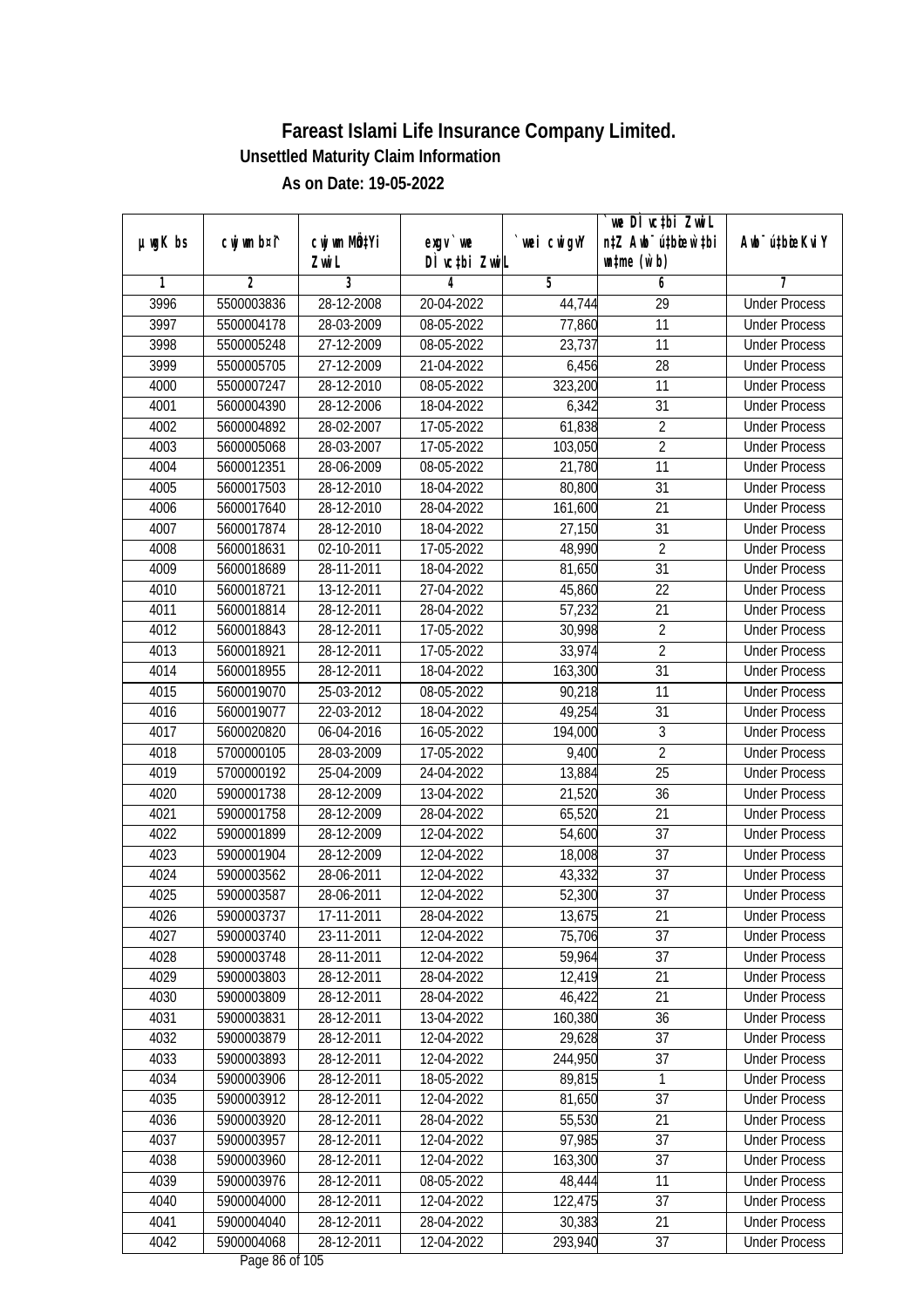| $µ$ ug $K$ bs | cwj wm b¤i^    | cwj wm MQtYi | $exgV$ we        | wei cwigvY | we DI vctbi ZwiL<br>n‡Z Awb <sup>-</sup> ú‡bioar`‡bi | Aub <sup>-</sup> ú‡biosKvi Y |
|---------------|----------------|--------------|------------------|------------|------------------------------------------------------|------------------------------|
|               |                | Zwi L        | DÌ vctbi ZwiL    |            | $\n  untime\n  (u`b)\n$                              |                              |
| 1             | $\overline{2}$ | 3            | 4                | 5          | 6                                                    | 7                            |
| 3996          | 5500003836     | 28-12-2008   | 20-04-2022       | 44,744     | $\overline{29}$                                      | <b>Under Process</b>         |
| 3997          | 5500004178     | 28-03-2009   | $08-05-2022$     | 77,860     | 11                                                   | <b>Under Process</b>         |
| 3998          | 5500005248     | 27-12-2009   | 08-05-2022       | 23,737     | 11                                                   | <b>Under Process</b>         |
| 3999          | 5500005705     | 27-12-2009   | 21-04-2022       | 6,456      | 28                                                   | <b>Under Process</b>         |
| 4000          | 5500007247     | 28-12-2010   | 08-05-2022       | 323,200    | $\overline{11}$                                      | <b>Under Process</b>         |
| 4001          | 5600004390     | 28-12-2006   | 18-04-2022       | 6,342      | $\overline{31}$                                      | <b>Under Process</b>         |
| 4002          | 5600004892     | 28-02-2007   | $17 - 05 - 2022$ | 61,838     | $\overline{2}$                                       | <b>Under Process</b>         |
| 4003          | 5600005068     | 28-03-2007   | 17-05-2022       | 103,050    | $\overline{2}$                                       | <b>Under Process</b>         |
| 4004          | 5600012351     | 28-06-2009   | 08-05-2022       | 21,780     | 11                                                   | <b>Under Process</b>         |
| 4005          | 5600017503     | 28-12-2010   | 18-04-2022       | 80,800     | 31                                                   | <b>Under Process</b>         |
| 4006          | 5600017640     | 28-12-2010   | 28-04-2022       | 161,600    | $\overline{21}$                                      | <b>Under Process</b>         |
| 4007          | 5600017874     | 28-12-2010   | 18-04-2022       | 27,150     | 31                                                   | <b>Under Process</b>         |
| 4008          | 5600018631     | 02-10-2011   | 17-05-2022       | 48,990     | $\overline{2}$                                       | <b>Under Process</b>         |
| 4009          | 5600018689     | 28-11-2011   | 18-04-2022       | 81,650     | 31                                                   | <b>Under Process</b>         |
| 4010          | 5600018721     | 13-12-2011   | 27-04-2022       | 45,860     | 22                                                   | <b>Under Process</b>         |
| 4011          | 5600018814     | 28-12-2011   | 28-04-2022       | 57,232     | 21                                                   | <b>Under Process</b>         |
| 4012          | 5600018843     | 28-12-2011   | 17-05-2022       | 30,998     | $\overline{2}$                                       | <b>Under Process</b>         |
| 4013          | 5600018921     | 28-12-2011   | 17-05-2022       | 33,974     | $\overline{2}$                                       | <b>Under Process</b>         |
| 4014          | 5600018955     | 28-12-2011   | 18-04-2022       | 163,300    | 31                                                   | <b>Under Process</b>         |
| 4015          | 5600019070     | 25-03-2012   | 08-05-2022       | 90,218     | 11                                                   | <b>Under Process</b>         |
| 4016          | 5600019077     | 22-03-2012   | 18-04-2022       | 49,254     | 31                                                   | <b>Under Process</b>         |
| 4017          | 5600020820     | 06-04-2016   | 16-05-2022       | 194,000    | 3                                                    | <b>Under Process</b>         |
| 4018          | 5700000105     | 28-03-2009   | 17-05-2022       | 9,400      | $\overline{2}$                                       | <b>Under Process</b>         |
| 4019          | 5700000192     | 25-04-2009   | 24-04-2022       | 13,884     | 25                                                   | <b>Under Process</b>         |
| 4020          | 5900001738     | 28-12-2009   | 13-04-2022       | 21,520     | 36                                                   | <b>Under Process</b>         |
| 4021          | 5900001758     | 28-12-2009   | 28-04-2022       | 65,520     | 21                                                   | <b>Under Process</b>         |
| 4022          | 5900001899     | 28-12-2009   | 12-04-2022       | 54,600     | 37                                                   | <b>Under Process</b>         |
| 4023          | 5900001904     | 28-12-2009   | 12-04-2022       | 18,008     | 37                                                   | <b>Under Process</b>         |
| 4024          | 5900003562     | 28-06-2011   | 12-04-2022       | 43,332     | 37                                                   | <b>Under Process</b>         |
| 4025          | 5900003587     | 28-06-2011   | 12-04-2022       | 52,300     | 37                                                   | <b>Under Process</b>         |
| 4026          | 5900003737     | 17-11-2011   | 28-04-2022       | 13,675     | 21                                                   | <b>Under Process</b>         |
| 4027          | 5900003740     | 23-11-2011   | 12-04-2022       | 75,706     | 37                                                   | <b>Under Process</b>         |
| 4028          | 5900003748     | 28-11-2011   | 12-04-2022       | 59,964     | 37                                                   | <b>Under Process</b>         |
| 4029          | 5900003803     | 28-12-2011   | 28-04-2022       | 12,419     | 21                                                   | <b>Under Process</b>         |
| 4030          | 5900003809     | 28-12-2011   | 28-04-2022       | 46,422     | 21                                                   | <b>Under Process</b>         |
| 4031          | 5900003831     | 28-12-2011   | 13-04-2022       | 160,380    | 36                                                   | <b>Under Process</b>         |
| 4032          | 5900003879     | 28-12-2011   | 12-04-2022       | 29,628     | 37                                                   | <b>Under Process</b>         |
| 4033          | 5900003893     | 28-12-2011   | 12-04-2022       | 244,950    | 37                                                   | <b>Under Process</b>         |
| 4034          | 5900003906     | 28-12-2011   | 18-05-2022       | 89,815     | 1                                                    | <b>Under Process</b>         |
| 4035          | 5900003912     | 28-12-2011   | 12-04-2022       | 81,650     | 37                                                   | <b>Under Process</b>         |
| 4036          | 5900003920     | 28-12-2011   | 28-04-2022       | 55,530     | 21                                                   | <b>Under Process</b>         |
| 4037          | 5900003957     | 28-12-2011   | 12-04-2022       | 97,985     | 37                                                   | <b>Under Process</b>         |
| 4038          | 5900003960     | 28-12-2011   | 12-04-2022       | 163,300    | 37                                                   | <b>Under Process</b>         |
| 4039          | 5900003976     | 28-12-2011   | 08-05-2022       | 48,444     | 11                                                   | <b>Under Process</b>         |
| 4040          | 5900004000     | 28-12-2011   | 12-04-2022       | 122,475    | 37                                                   | <b>Under Process</b>         |
| 4041          | 5900004040     | 28-12-2011   | 28-04-2022       | 30,383     | 21                                                   | <b>Under Process</b>         |
| 4042          | 5900004068     | 28-12-2011   | 12-04-2022       | 293,940    | 37                                                   | <b>Under Process</b>         |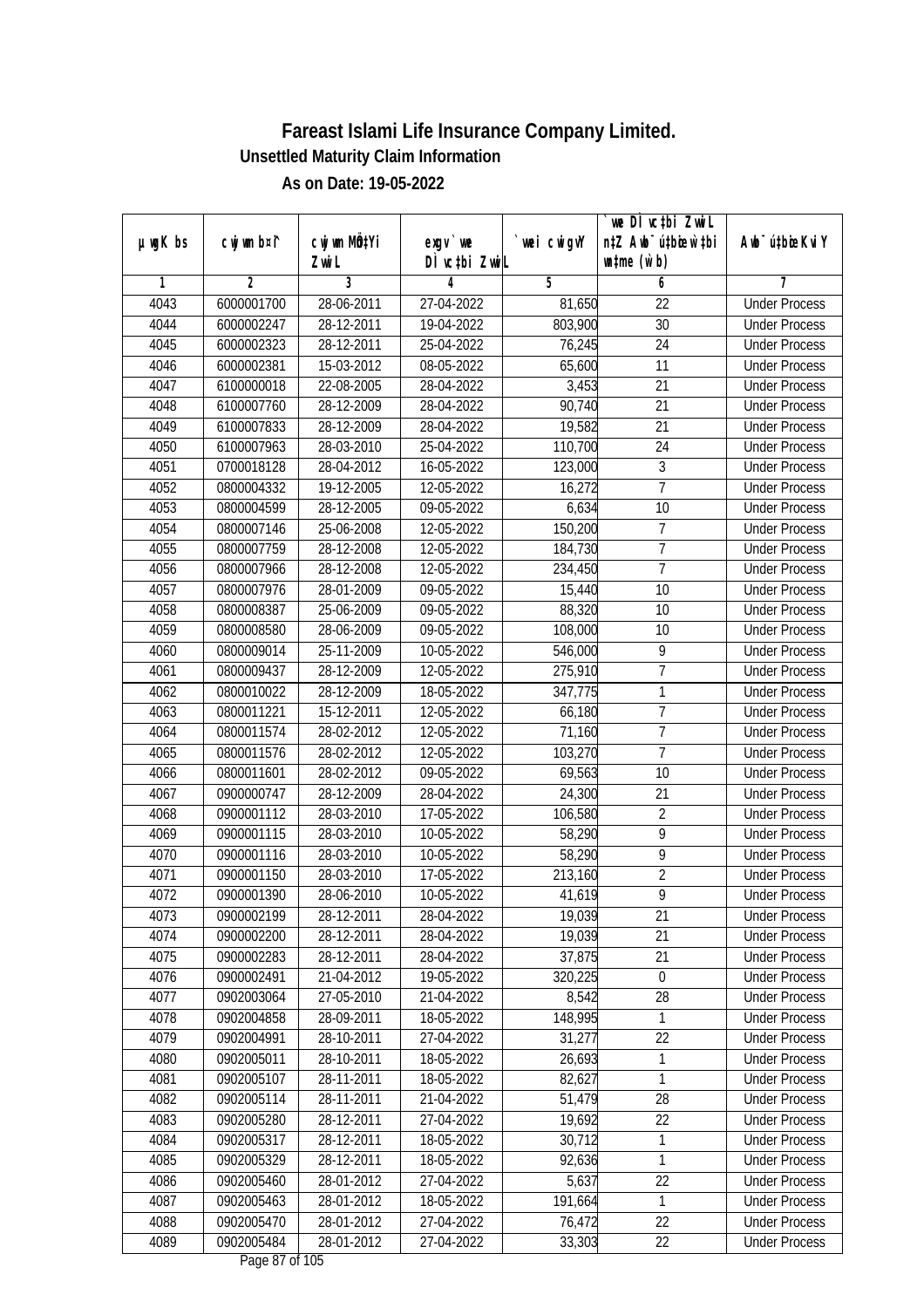| $µ$ ug $K$ bs | cwj wm b¤i^ | cwj wm MÖ¢Yi | $exgv$ we                              | wei cwigvY | `we DÌ vc‡bi ZwiL<br>n‡Z Awb <sup>-</sup> ú‡bioen`‡bi | Awb <sup>-</sup> ú‡bioeKviY |
|---------------|-------------|--------------|----------------------------------------|------------|-------------------------------------------------------|-----------------------------|
|               |             | Zwi L        | DÌ vcțbi ZwiL                          |            | $\n  untime\n  (u`b)\n$                               |                             |
| 1             | 2           | 3            | 4                                      | 5          | 6                                                     | 7                           |
| 4043          | 6000001700  | 28-06-2011   | 27-04-2022                             | 81,650     | 22                                                    | <b>Under Process</b>        |
| 4044          | 6000002247  | 28-12-2011   | 19-04-2022                             | 803,900    | 30                                                    | <b>Under Process</b>        |
| 4045          | 6000002323  | 28-12-2011   | 25-04-2022                             | 76,245     | $\overline{24}$                                       | <b>Under Process</b>        |
| 4046          | 6000002381  | 15-03-2012   | 08-05-2022                             | 65,600     | 11                                                    | <b>Under Process</b>        |
| 4047          | 6100000018  | 22-08-2005   | 28-04-2022                             | 3,453      | 21                                                    | <b>Under Process</b>        |
| 4048          | 6100007760  | 28-12-2009   | 28-04-2022                             | 90,740     | $\overline{21}$                                       | <b>Under Process</b>        |
| 4049          | 6100007833  | 28-12-2009   | 28-04-2022                             | 19,582     | 21                                                    | <b>Under Process</b>        |
| 4050          | 6100007963  | 28-03-2010   | 25-04-2022                             | 110,700    | $\overline{24}$                                       | <b>Under Process</b>        |
| 4051          | 0700018128  | 28-04-2012   | 16-05-2022                             | 123,000    | $\mathfrak{Z}$                                        | <b>Under Process</b>        |
| 4052          | 0800004332  | 19-12-2005   | 12-05-2022                             | 16,272     | $\overline{7}$                                        | <b>Under Process</b>        |
| 4053          | 0800004599  | 28-12-2005   | 09-05-2022                             | 6,634      | 10                                                    | <b>Under Process</b>        |
| 4054          | 0800007146  | 25-06-2008   | 12-05-2022                             | 150,200    | $\overline{1}$                                        | <b>Under Process</b>        |
| 4055          | 0800007759  | 28-12-2008   | 12-05-2022                             | 184,730    | $\overline{7}$                                        | <b>Under Process</b>        |
| 4056          | 0800007966  | 28-12-2008   | 12-05-2022                             | 234,450    | $\overline{1}$                                        | <b>Under Process</b>        |
| 4057          | 0800007976  | 28-01-2009   | 09-05-2022                             | 15,440     | 10                                                    | <b>Under Process</b>        |
| 4058          | 0800008387  | 25-06-2009   | 09-05-2022                             | 88,320     | 10                                                    | <b>Under Process</b>        |
| 4059          | 0800008580  | 28-06-2009   | 09-05-2022                             | 108,000    | 10                                                    | <b>Under Process</b>        |
| 4060          | 0800009014  | 25-11-2009   | 10-05-2022                             | 546,000    | 9                                                     | <b>Under Process</b>        |
| 4061          | 0800009437  | 28-12-2009   | 12-05-2022                             | 275,910    | 7                                                     | <b>Under Process</b>        |
| 4062          | 0800010022  | 28-12-2009   | 18-05-2022                             | 347,775    | 1                                                     | <b>Under Process</b>        |
| 4063          | 0800011221  | 15-12-2011   | 12-05-2022                             | 66,180     | $\overline{7}$                                        | <b>Under Process</b>        |
| 4064          | 0800011574  | 28-02-2012   | 12-05-2022                             | 71,160     | $\overline{7}$                                        | <b>Under Process</b>        |
| 4065          | 0800011576  | 28-02-2012   | 12-05-2022                             | 103,270    | $\overline{1}$                                        | <b>Under Process</b>        |
| 4066          | 0800011601  | 28-02-2012   | 09-05-2022                             | 69,563     | 10                                                    | <b>Under Process</b>        |
| 4067          | 0900000747  | 28-12-2009   | 28-04-2022                             | 24,300     | 21                                                    | <b>Under Process</b>        |
| 4068          | 0900001112  | 28-03-2010   | 17-05-2022                             | 106,580    | $\overline{2}$                                        | <b>Under Process</b>        |
| 4069          | 0900001115  | 28-03-2010   | 10-05-2022                             | 58,290     | 9                                                     | <b>Under Process</b>        |
| 4070          | 0900001116  | 28-03-2010   | 10-05-2022                             | 58,290     | 9                                                     | <b>Under Process</b>        |
| 4071          | 0900001150  | 28-03-2010   | 17-05-2022                             | 213,160    | $\overline{2}$                                        | <b>Under Process</b>        |
| 4072          | 0900001390  | 28-06-2010   | 10-05-2022                             | 41,619     | $\overline{9}$                                        | <b>Under Process</b>        |
| 4073          | 0900002199  | 28-12-2011   | 28-04-2022                             | 19,039     | 21                                                    | <b>Under Process</b>        |
| 4074          | 0900002200  | 28-12-2011   | 28-04-2022                             | 19,039     | 21                                                    | <b>Under Process</b>        |
| 4075          | 0900002283  | 28-12-2011   | 28-04-2022                             | 37,875     | 21                                                    | <b>Under Process</b>        |
| 4076          | 0900002491  | 21-04-2012   | 19-05-2022                             | 320,225    | $\boldsymbol{0}$                                      | <b>Under Process</b>        |
| 4077          | 0902003064  | 27-05-2010   | 21-04-2022                             | 8,542      | 28                                                    | <b>Under Process</b>        |
| 4078          | 0902004858  | 28-09-2011   | 18-05-2022                             | 148,995    | 1                                                     | <b>Under Process</b>        |
| 4079          | 0902004991  | 28-10-2011   | 27-04-2022                             | 31,277     | 22                                                    | <b>Under Process</b>        |
| 4080          | 0902005011  | 28-10-2011   | 18-05-2022                             | 26,693     | 1                                                     | <b>Under Process</b>        |
| 4081          | 0902005107  | 28-11-2011   | 18-05-2022                             | 82,627     | 1                                                     | <b>Under Process</b>        |
| 4082          | 0902005114  | 28-11-2011   | 21-04-2022                             | 51,479     | 28                                                    | <b>Under Process</b>        |
| 4083          | 0902005280  | 28-12-2011   | 27-04-2022                             | 19,692     | 22                                                    | <b>Under Process</b>        |
| 4084          | 0902005317  | 28-12-2011   | 18-05-2022                             | 30,712     | 1                                                     | <b>Under Process</b>        |
| 4085          | 0902005329  | 28-12-2011   | 18-05-2022                             | 92,636     | $\mathbf{1}$                                          | <b>Under Process</b>        |
| 4086          | 0902005460  | 28-01-2012   | 27-04-2022                             | 5,637      | 22                                                    | <b>Under Process</b>        |
| 4087          | 0902005463  | 28-01-2012   | 18-05-2022                             | 191,664    | $\mathbf{1}$                                          | <b>Under Process</b>        |
| 4088          | 0902005470  | 28-01-2012   | 27-04-2022                             | 76,472     | 22                                                    | <b>Under Process</b>        |
| 4089          | 0902005484  | 28-01-2012   | 27-04-2022<br>$D_{0.92}$ $07$ of $105$ | 33,303     | 22                                                    | <b>Under Process</b>        |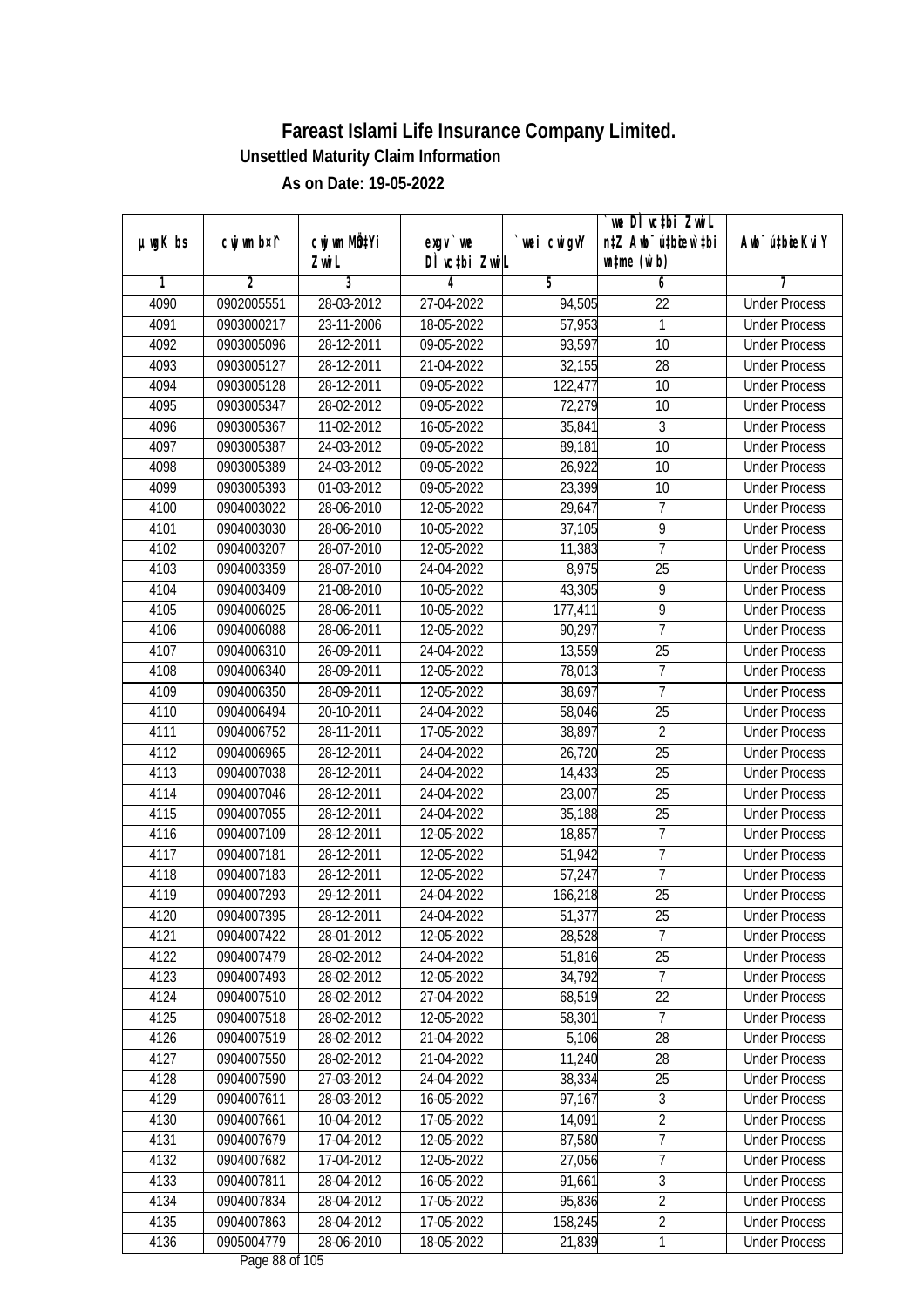| $µ$ ug $K$ bs | cwj wm b¤i^    | cwj wm MQtYi | exgv `we                           | wei cwigvY | we DI vctbi ZwiL<br>n‡Z Awb <sup>-</sup> ú‡bioen`‡bi | Awb <sup>-</sup> ú‡bioeKviY |
|---------------|----------------|--------------|------------------------------------|------------|------------------------------------------------------|-----------------------------|
|               |                | Zwi L        | DÌ vctbi ZwiL                      |            | $\n  untime\n  (u`b)\n$                              |                             |
| 1             | $\overline{2}$ | 3            | 4                                  | 5          | 6                                                    | 7                           |
| 4090          | 0902005551     | 28-03-2012   | 27-04-2022                         | 94,505     | $\overline{22}$                                      | <b>Under Process</b>        |
| 4091          | 0903000217     | 23-11-2006   | 18-05-2022                         | 57,953     | 1                                                    | <b>Under Process</b>        |
| 4092          | 0903005096     | 28-12-2011   | 09-05-2022                         | 93,597     | 10                                                   | <b>Under Process</b>        |
| 4093          | 0903005127     | 28-12-2011   | 21-04-2022                         | 32,155     | 28                                                   | <b>Under Process</b>        |
| 4094          | 0903005128     | 28-12-2011   | 09-05-2022                         | 122,477    | 10                                                   | <b>Under Process</b>        |
| 4095          | 0903005347     | 28-02-2012   | 09-05-2022                         | 72,279     | 10                                                   | <b>Under Process</b>        |
| 4096          | 0903005367     | 11-02-2012   | $16 - 05 - 2022$                   | 35,841     | 3                                                    | <b>Under Process</b>        |
| 4097          | 0903005387     | 24-03-2012   | 09-05-2022                         | 89,181     | $\overline{10}$                                      | <b>Under Process</b>        |
| 4098          | 0903005389     | 24-03-2012   | 09-05-2022                         | 26,922     | 10                                                   | <b>Under Process</b>        |
| 4099          | 0903005393     | $01-03-2012$ | 09-05-2022                         | 23,399     | 10                                                   | <b>Under Process</b>        |
| 4100          | 0904003022     | 28-06-2010   | 12-05-2022                         | 29,647     | $\overline{7}$                                       | <b>Under Process</b>        |
| 4101          | 0904003030     | 28-06-2010   | 10-05-2022                         | 37,105     | 9                                                    | <b>Under Process</b>        |
| 4102          | 0904003207     | 28-07-2010   | 12-05-2022                         | 11,383     | $\overline{7}$                                       | <b>Under Process</b>        |
| 4103          | 0904003359     | 28-07-2010   | 24-04-2022                         | 8,975      | 25                                                   | <b>Under Process</b>        |
| 4104          | 0904003409     | 21-08-2010   | 10-05-2022                         | 43,305     | 9                                                    | <b>Under Process</b>        |
| 4105          | 0904006025     | 28-06-2011   | 10-05-2022                         | 177,411    | $\overline{9}$                                       | <b>Under Process</b>        |
| 4106          | 0904006088     | 28-06-2011   | 12-05-2022                         | 90,297     | $\overline{1}$                                       | <b>Under Process</b>        |
| 4107          | 0904006310     | 26-09-2011   | 24-04-2022                         | 13,559     | 25                                                   | <b>Under Process</b>        |
| 4108          | 0904006340     | 28-09-2011   | 12-05-2022                         | 78,013     | $\overline{7}$                                       | <b>Under Process</b>        |
| 4109          | 0904006350     | 28-09-2011   | 12-05-2022                         | 38,697     | $\overline{7}$                                       | <b>Under Process</b>        |
| 4110          | 0904006494     | 20-10-2011   | 24-04-2022                         | 58,046     | 25                                                   | <b>Under Process</b>        |
| 4111          | 0904006752     | 28-11-2011   | 17-05-2022                         | 38,897     | $\overline{2}$                                       | <b>Under Process</b>        |
| 4112          | 0904006965     | 28-12-2011   | 24-04-2022                         | 26,720     | $\overline{25}$                                      | <b>Under Process</b>        |
| 4113          | 0904007038     | 28-12-2011   | 24-04-2022                         | 14,433     | 25                                                   | <b>Under Process</b>        |
| 4114          | 0904007046     | 28-12-2011   | 24-04-2022                         | 23,007     | 25                                                   | <b>Under Process</b>        |
| 4115          | 0904007055     | 28-12-2011   | 24-04-2022                         | 35,188     | 25                                                   | <b>Under Process</b>        |
| 4116          | 0904007109     | 28-12-2011   | 12-05-2022                         | 18,857     | $\overline{7}$                                       | <b>Under Process</b>        |
| 4117          | 0904007181     | 28-12-2011   | 12-05-2022                         | 51,942     | $\overline{7}$                                       | <b>Under Process</b>        |
| 4118          | 0904007183     | 28-12-2011   | 12-05-2022                         | 57,247     | $\overline{7}$                                       | <b>Under Process</b>        |
| 4119          | 0904007293     | 29-12-2011   | 24-04-2022                         | 166,218    | 25                                                   | <b>Under Process</b>        |
| 4120          | 0904007395     | 28-12-2011   | 24-04-2022                         | 51,377     | 25                                                   | <b>Under Process</b>        |
| 4121          | 0904007422     | 28-01-2012   | 12-05-2022                         | 28,528     | $\overline{7}$                                       | <b>Under Process</b>        |
| 4122          | 0904007479     | 28-02-2012   | 24-04-2022                         | 51,816     | 25                                                   | <b>Under Process</b>        |
| 4123          | 0904007493     | 28-02-2012   | 12-05-2022                         | 34,792     | $\overline{7}$                                       | <b>Under Process</b>        |
| 4124          | 0904007510     | 28-02-2012   | 27-04-2022                         | 68,519     | 22                                                   | <b>Under Process</b>        |
| 4125          | 0904007518     | 28-02-2012   | 12-05-2022                         | 58,301     | $\overline{7}$                                       | <b>Under Process</b>        |
| 4126          | 0904007519     | 28-02-2012   | 21-04-2022                         | 5,106      | 28                                                   | <b>Under Process</b>        |
| 4127          | 0904007550     | 28-02-2012   | 21-04-2022                         | 11,240     | 28                                                   | <b>Under Process</b>        |
| 4128          | 0904007590     | 27-03-2012   | 24-04-2022                         | 38,334     | 25                                                   | <b>Under Process</b>        |
| 4129          | 0904007611     | 28-03-2012   | 16-05-2022                         | 97,167     | $\mathfrak{Z}$                                       | <b>Under Process</b>        |
| 4130          | 0904007661     | 10-04-2012   | 17-05-2022                         | 14,091     | $\overline{2}$                                       | <b>Under Process</b>        |
| 4131          | 0904007679     | 17-04-2012   | 12-05-2022                         | 87,580     | $\overline{7}$                                       | <b>Under Process</b>        |
| 4132          | 0904007682     | 17-04-2012   | 12-05-2022                         | 27,056     | 7                                                    | <b>Under Process</b>        |
| 4133          | 0904007811     | 28-04-2012   | 16-05-2022                         | 91,661     | $\overline{3}$                                       | <b>Under Process</b>        |
| 4134          | 0904007834     | 28-04-2012   | 17-05-2022                         | 95,836     | $\overline{2}$                                       | <b>Under Process</b>        |
| 4135          | 0904007863     | 28-04-2012   | 17-05-2022                         | 158,245    | $\overline{2}$                                       | <b>Under Process</b>        |
| 4136          | 0905004779     | 28-06-2010   | 18-05-2022<br>$D_{0.92}$ 00 of 10E | 21,839     | $\mathbf{1}$                                         | <b>Under Process</b>        |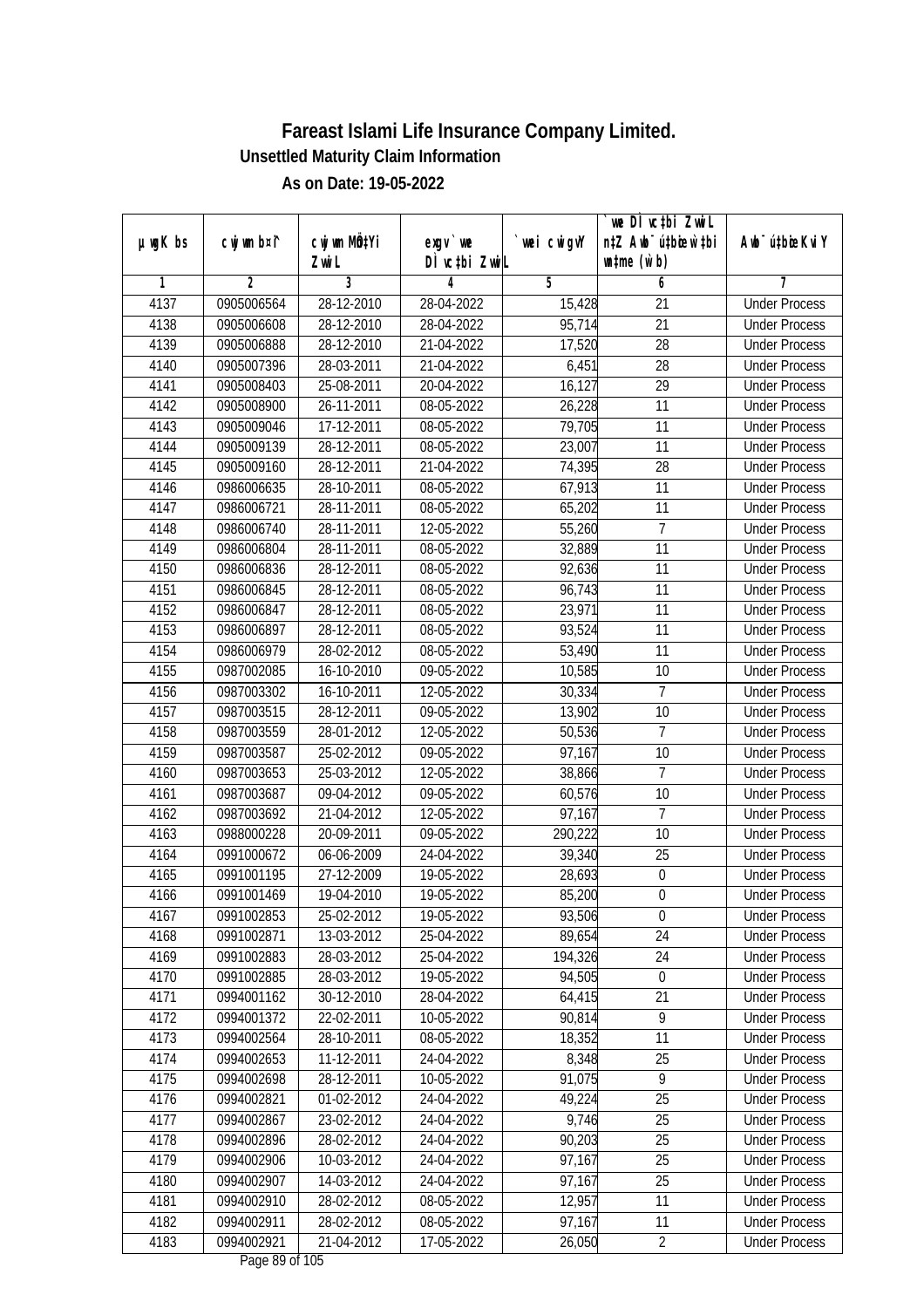|               |                          |                          |                            |                  | we DI vctbi ZwiL                 |                                              |
|---------------|--------------------------|--------------------------|----------------------------|------------------|----------------------------------|----------------------------------------------|
| $µ$ ug $K$ bs | cwj wm b¤i^              | cwj wm MQtYi             | $exgV$ we                  | `wei cwigvY      | n‡Z Awb <sup>-</sup> ú‡bicen`‡bi | Awb <sup>-</sup> ú‡bioeKviY                  |
| 1             | $\overline{2}$           | Zwi L<br>3               | DÌ vctbi ZwiL<br>4         | $\overline{5}$   | $\n  untime\n  (u`b)\n$<br>6     | 7                                            |
| 4137          | 0905006564               | 28-12-2010               | 28-04-2022                 | 15,428           | $\overline{21}$                  | <b>Under Process</b>                         |
| 4138          | 0905006608               | 28-12-2010               | 28-04-2022                 | 95,714           | $\overline{21}$                  | <b>Under Process</b>                         |
| 4139          |                          | 28-12-2010               | 21-04-2022                 |                  | $\overline{28}$                  | <b>Under Process</b>                         |
|               | 0905006888<br>0905007396 |                          |                            | 17,520           | 28                               |                                              |
| 4140          |                          | 28-03-2011               | 21-04-2022                 | 6,451            | $\overline{29}$                  | <b>Under Process</b><br><b>Under Process</b> |
| 4141          | 0905008403               | 25-08-2011<br>26-11-2011 | 20-04-2022                 | 16,127           |                                  |                                              |
| 4142          | 0905008900<br>0905009046 | 17-12-2011               | 08-05-2022<br>$08-05-2022$ | 26,228<br>79,705 | 11<br>11                         | <b>Under Process</b>                         |
| 4143          | 0905009139               |                          |                            |                  | 11                               | <b>Under Process</b><br><b>Under Process</b> |
| 4144          |                          | 28-12-2011               | 08-05-2022                 | 23,007           | $\overline{28}$                  | <b>Under Process</b>                         |
| 4145          | 0905009160               | 28-12-2011               | 21-04-2022                 | 74,395           |                                  |                                              |
| 4146          | 0986006635               | 28-10-2011               | 08-05-2022                 | 67,913           | 11                               | <b>Under Process</b>                         |
| 4147          | 0986006721               | 28-11-2011               | 08-05-2022                 | 65,202           | $\overline{11}$                  | <b>Under Process</b>                         |
| 4148          | 0986006740               | 28-11-2011               | 12-05-2022                 | 55,260           | $\overline{1}$                   | <b>Under Process</b>                         |
| 4149          | 0986006804               | 28-11-2011               | 08-05-2022                 | 32,889           | $\overline{11}$                  | <b>Under Process</b>                         |
| 4150          | 0986006836               | 28-12-2011               | 08-05-2022                 | 92,636           | 11                               | <b>Under Process</b>                         |
| 4151          | 0986006845               | 28-12-2011               | 08-05-2022                 | 96,743           | 11                               | <b>Under Process</b>                         |
| 4152          | 0986006847               | 28-12-2011               | 08-05-2022                 | 23,971           | 11                               | <b>Under Process</b>                         |
| 4153          | 0986006897               | 28-12-2011               | 08-05-2022                 | 93,524           | 11                               | <b>Under Process</b>                         |
| 4154          | 0986006979               | 28-02-2012               | 08-05-2022                 | 53,490           | 11                               | <b>Under Process</b>                         |
| 4155          | 0987002085               | 16-10-2010               | 09-05-2022                 | 10,585           | 10                               | <b>Under Process</b>                         |
| 4156          | 0987003302               | 16-10-2011               | 12-05-2022                 | 30,334           | 7                                | <b>Under Process</b>                         |
| 4157          | 0987003515               | 28-12-2011               | 09-05-2022                 | 13,902           | 10                               | <b>Under Process</b>                         |
| 4158          | 0987003559               | 28-01-2012               | 12-05-2022                 | 50,536           | 7                                | <b>Under Process</b>                         |
| 4159          | 0987003587               | 25-02-2012               | 09-05-2022                 | 97,167           | 10                               | <b>Under Process</b>                         |
| 4160          | 0987003653               | 25-03-2012               | 12-05-2022                 | 38,866           | $\overline{7}$                   | <b>Under Process</b>                         |
| 4161          | 0987003687               | 09-04-2012               | 09-05-2022                 | 60,576           | 10                               | <b>Under Process</b>                         |
| 4162          | 0987003692               | 21-04-2012               | 12-05-2022                 | 97,167           | 7                                | <b>Under Process</b>                         |
| 4163          | 0988000228               | 20-09-2011               | 09-05-2022                 | 290,222          | 10                               | <b>Under Process</b>                         |
| 4164          | 0991000672               | 06-06-2009               | 24-04-2022                 | 39,340           | 25                               | <b>Under Process</b>                         |
| 4165          | 0991001195               | 27-12-2009               | 19-05-2022                 | 28,693           | $\boldsymbol{0}$                 | <b>Under Process</b>                         |
| 4166          | 0991001469               | 19-04-2010               | 19-05-2022                 | 85,200           | $\boldsymbol{0}$                 | <b>Under Process</b>                         |
| 4167          | 0991002853               | 25-02-2012               | 19-05-2022                 | 93,506           | $\boldsymbol{0}$                 | <b>Under Process</b>                         |
| 4168          | 0991002871               | 13-03-2012               | 25-04-2022                 | 89,654           | 24                               | <b>Under Process</b>                         |
| 4169          | 0991002883               | 28-03-2012               | 25-04-2022                 | 194,326          | 24                               | <b>Under Process</b>                         |
| 4170          | 0991002885               | 28-03-2012               | 19-05-2022                 | 94,505           | $\boldsymbol{0}$                 | <b>Under Process</b>                         |
| 4171          | 0994001162               | 30-12-2010               | 28-04-2022                 | 64,415           | 21                               | <b>Under Process</b>                         |
| 4172          | 0994001372               | 22-02-2011               | 10-05-2022                 | 90,814           | 9                                | <b>Under Process</b>                         |
| 4173          | 0994002564               | 28-10-2011               | 08-05-2022                 | 18,352           | 11                               | <b>Under Process</b>                         |
| 4174          | 0994002653               | 11-12-2011               | 24-04-2022                 | 8,348            | 25                               | <b>Under Process</b>                         |
| 4175          | 0994002698               | 28-12-2011               | 10-05-2022                 | 91,075           | $\overline{9}$                   | <b>Under Process</b>                         |
| 4176          | 0994002821               | 01-02-2012               | 24-04-2022                 | 49,224           | 25                               | <b>Under Process</b>                         |
| 4177          | 0994002867               | 23-02-2012               | 24-04-2022                 | 9,746            | 25                               | <b>Under Process</b>                         |
| 4178          | 0994002896               | 28-02-2012               | 24-04-2022                 | 90,203           | 25                               | <b>Under Process</b>                         |
| 4179          | 0994002906               | 10-03-2012               | 24-04-2022                 | 97,167           | 25                               | <b>Under Process</b>                         |
| 4180          | 0994002907               | 14-03-2012               | 24-04-2022                 | 97,167           | $\overline{25}$                  | <b>Under Process</b>                         |
| 4181          | 0994002910               | 28-02-2012               | 08-05-2022                 | 12,957           | 11                               | <b>Under Process</b>                         |
| 4182          | 0994002911               | 28-02-2012               | 08-05-2022                 | 97,167           | 11                               | <b>Under Process</b>                         |
| 4183          | 0994002921               | 21-04-2012               | 17-05-2022                 | 26,050           | $\overline{2}$                   | <b>Under Process</b>                         |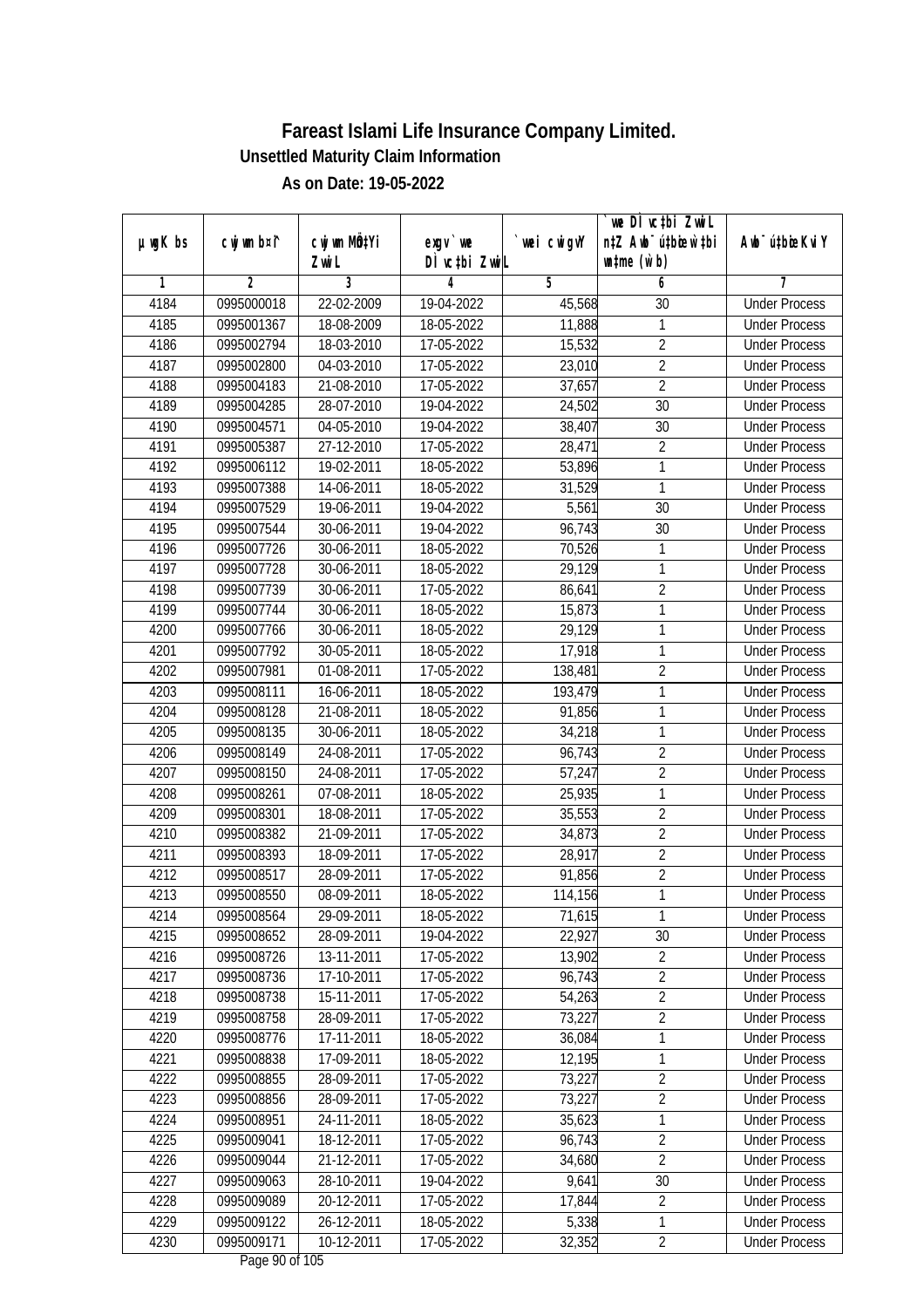| µwgK bs | cwj wm b¤i^ | CW wm MQYi       | $exqu$ we                              | `wei cwigvY | we DI vctbi ZwiL<br>n‡Z Awb <sup>-</sup> ú‡bioar`‡bi | Awb <sup>-</sup> ú‡bioeKviY |
|---------|-------------|------------------|----------------------------------------|-------------|------------------------------------------------------|-----------------------------|
|         |             | Zwi L            | DÌ vctbi ZwiL                          |             | $\n  untime\n  (u`b)\n$                              |                             |
| 1       | 2           | 3                | 4                                      | 5           | 6                                                    | 7                           |
| 4184    | 0995000018  | 22-02-2009       | 19-04-2022                             | 45,568      | 30                                                   | <b>Under Process</b>        |
| 4185    | 0995001367  | 18-08-2009       | 18-05-2022                             | 11,888      | 1                                                    | <b>Under Process</b>        |
| 4186    | 0995002794  | 18-03-2010       | 17-05-2022                             | 15,532      | $\overline{2}$                                       | <b>Under Process</b>        |
| 4187    | 0995002800  | $04 - 03 - 2010$ | 17-05-2022                             | 23,010      | $\overline{2}$                                       | <b>Under Process</b>        |
| 4188    | 0995004183  | 21-08-2010       | 17-05-2022                             | 37,657      | $\overline{2}$                                       | <b>Under Process</b>        |
| 4189    | 0995004285  | 28-07-2010       | 19-04-2022                             | 24,502      | 30                                                   | <b>Under Process</b>        |
| 4190    | 0995004571  | 04-05-2010       | 19-04-2022                             | 38,407      | $\overline{30}$                                      | <b>Under Process</b>        |
| 4191    | 0995005387  | 27-12-2010       | 17-05-2022                             | 28,471      | $\overline{2}$                                       | <b>Under Process</b>        |
| 4192    | 0995006112  | 19-02-2011       | 18-05-2022                             | 53,896      | 1                                                    | <b>Under Process</b>        |
| 4193    | 0995007388  | 14-06-2011       | 18-05-2022                             | 31,529      | 1                                                    | <b>Under Process</b>        |
| 4194    | 0995007529  | 19-06-2011       | 19-04-2022                             | 5,561       | $\overline{30}$                                      | <b>Under Process</b>        |
| 4195    | 0995007544  | 30-06-2011       | 19-04-2022                             | 96,743      | 30                                                   | <b>Under Process</b>        |
| 4196    | 0995007726  | 30-06-2011       | 18-05-2022                             | 70,526      | 1                                                    | <b>Under Process</b>        |
| 4197    | 0995007728  | 30-06-2011       | 18-05-2022                             | 29,129      | 1                                                    | <b>Under Process</b>        |
| 4198    | 0995007739  | 30-06-2011       | 17-05-2022                             | 86,641      | $\overline{2}$                                       | <b>Under Process</b>        |
| 4199    | 0995007744  | 30-06-2011       | 18-05-2022                             | 15,873      | 1                                                    | <b>Under Process</b>        |
| 4200    | 0995007766  | 30-06-2011       | 18-05-2022                             | 29,129      | 1                                                    | <b>Under Process</b>        |
| 4201    | 0995007792  | 30-05-2011       | 18-05-2022                             | 17,918      | 1                                                    | <b>Under Process</b>        |
| 4202    | 0995007981  | 01-08-2011       | 17-05-2022                             | 138,481     | $\overline{2}$                                       | <b>Under Process</b>        |
| 4203    | 0995008111  | 16-06-2011       | 18-05-2022                             | 193,479     | 1                                                    | <b>Under Process</b>        |
| 4204    | 0995008128  | 21-08-2011       | 18-05-2022                             | 91,856      | 1                                                    | <b>Under Process</b>        |
| 4205    | 0995008135  | 30-06-2011       | 18-05-2022                             | 34,218      | 1                                                    | <b>Under Process</b>        |
| 4206    | 0995008149  | 24-08-2011       | 17-05-2022                             | 96,743      | $\overline{2}$                                       | <b>Under Process</b>        |
| 4207    | 0995008150  | 24-08-2011       | 17-05-2022                             | 57,247      | $\overline{2}$                                       | <b>Under Process</b>        |
| 4208    | 0995008261  | 07-08-2011       | 18-05-2022                             | 25,935      | 1                                                    | <b>Under Process</b>        |
| 4209    | 0995008301  | 18-08-2011       | 17-05-2022                             | 35,553      | $\overline{2}$                                       | <b>Under Process</b>        |
| 4210    | 0995008382  | 21-09-2011       | 17-05-2022                             | 34,873      | $\overline{2}$                                       | <b>Under Process</b>        |
| 4211    | 0995008393  | 18-09-2011       | 17-05-2022                             | 28,917      | $\overline{2}$                                       | <b>Under Process</b>        |
| 4212    | 0995008517  | 28-09-2011       | 17-05-2022                             | 91,856      | $\overline{2}$                                       | <b>Under Process</b>        |
| 4213    | 0995008550  | 08-09-2011       | 18-05-2022                             | 114,156     | 1                                                    | <b>Under Process</b>        |
| 4214    | 0995008564  | 29-09-2011       | 18-05-2022                             | 71,615      | 1                                                    | <b>Under Process</b>        |
| 4215    | 0995008652  | 28-09-2011       | 19-04-2022                             | 22,927      | 30                                                   | <b>Under Process</b>        |
| 4216    | 0995008726  | 13-11-2011       | 17-05-2022                             | 13,902      | $\overline{2}$                                       | <b>Under Process</b>        |
| 4217    | 0995008736  | 17-10-2011       | 17-05-2022                             | 96,743      | $\overline{2}$                                       | <b>Under Process</b>        |
| 4218    | 0995008738  | 15-11-2011       | 17-05-2022                             | 54,263      | $\overline{2}$                                       | <b>Under Process</b>        |
| 4219    | 0995008758  | 28-09-2011       | 17-05-2022                             | 73,227      | $\overline{2}$                                       | <b>Under Process</b>        |
| 4220    | 0995008776  | 17-11-2011       | 18-05-2022                             | 36,084      | 1                                                    | <b>Under Process</b>        |
| 4221    | 0995008838  | 17-09-2011       | 18-05-2022                             | 12,195      | 1                                                    | <b>Under Process</b>        |
| 4222    | 0995008855  | 28-09-2011       | 17-05-2022                             | 73,227      | $\overline{2}$                                       | <b>Under Process</b>        |
| 4223    | 0995008856  | 28-09-2011       | 17-05-2022                             | 73,227      | $\overline{2}$                                       | <b>Under Process</b>        |
| 4224    | 0995008951  | 24-11-2011       | 18-05-2022                             | 35,623      | 1                                                    | <b>Under Process</b>        |
| 4225    | 0995009041  | 18-12-2011       | $17 - 05 - 2022$                       | 96,743      | $\overline{2}$                                       | <b>Under Process</b>        |
| 4226    | 0995009044  | 21-12-2011       | 17-05-2022                             | 34,680      | $\overline{2}$                                       | <b>Under Process</b>        |
| 4227    | 0995009063  | 28-10-2011       | 19-04-2022                             | 9,641       | 30                                                   | <b>Under Process</b>        |
| 4228    | 0995009089  | 20-12-2011       | 17-05-2022                             | 17,844      | $\sqrt{2}$                                           | <b>Under Process</b>        |
| 4229    | 0995009122  | 26-12-2011       | 18-05-2022                             | 5,338       | 1                                                    | <b>Under Process</b>        |
| 4230    | 0995009171  | 10-12-2011       | 17-05-2022<br>$D0$ $\approx$ 00 of 10E | 32,352      | $\overline{2}$                                       | <b>Under Process</b>        |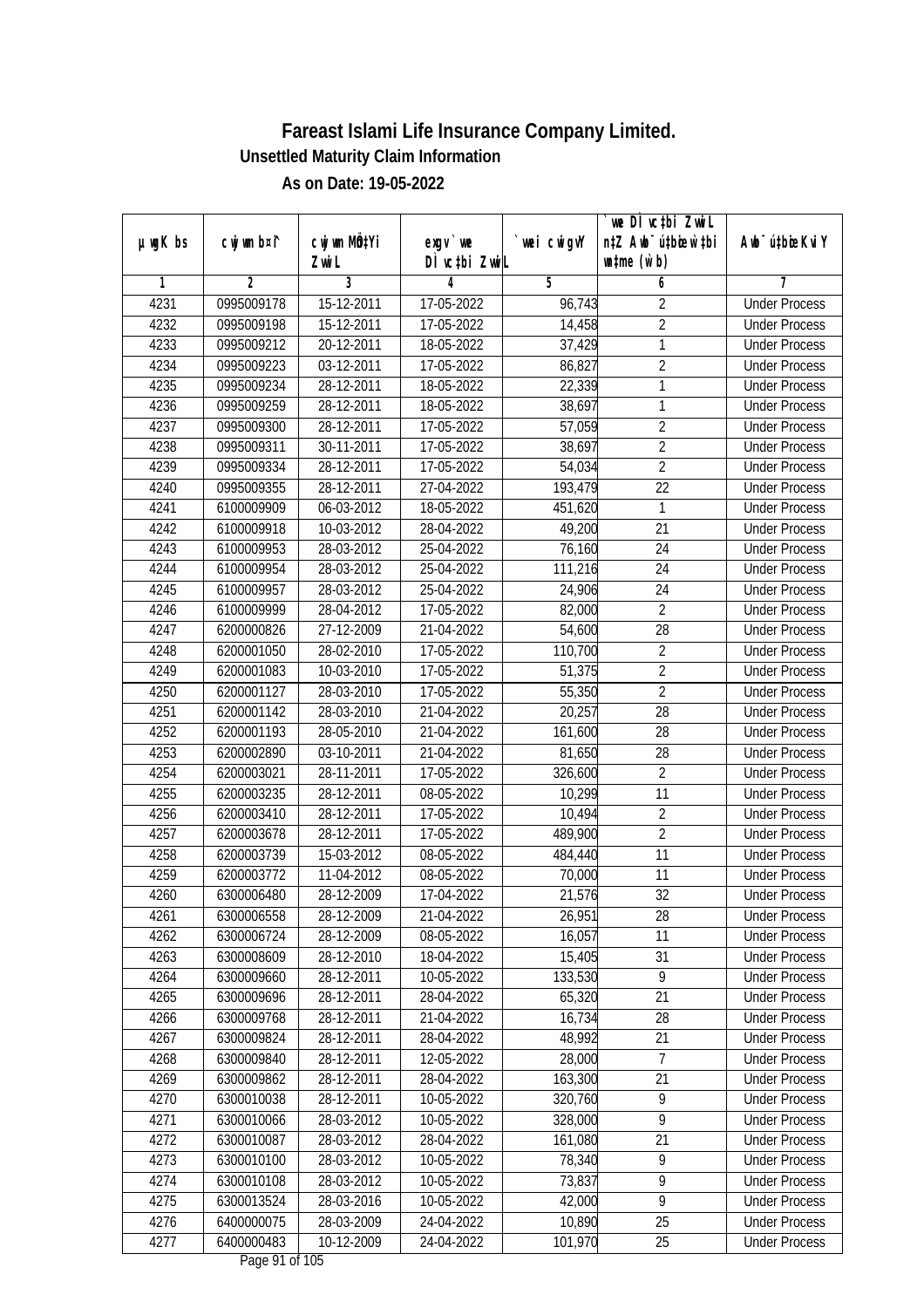|               |                |                 |               |            | we DI vctbi ZwiL                 |                             |
|---------------|----------------|-----------------|---------------|------------|----------------------------------|-----------------------------|
| $µ$ ug $K$ bs | cwj wm b¤i^    | cwj wm MÖ¢Yi    | $exgV$ we     | wei cwigvY | n‡Z Awb <sup>-</sup> ú‡bicen`‡bi | Awb <sup>-</sup> ú‡bioeKviY |
|               |                | Zwi L           | DÌ vctbi ZwiL |            | $\n  untime\n  (u`b)\n$          |                             |
| 1             | $\overline{2}$ | 3<br>15-12-2011 | 4             | 5          | 6                                | 7                           |
| 4231          | 0995009178     |                 | 17-05-2022    | 96,743     | $\overline{2}$                   | <b>Under Process</b>        |
| 4232          | 0995009198     | 15-12-2011      | 17-05-2022    | 14,458     | $\overline{2}$                   | <b>Under Process</b>        |
| 4233          | 0995009212     | 20-12-2011      | 18-05-2022    | 37,429     | $\mathbf{1}$                     | <b>Under Process</b>        |
| 4234          | 0995009223     | 03-12-2011      | 17-05-2022    | 86,827     | $\overline{2}$                   | <b>Under Process</b>        |
| 4235          | 0995009234     | 28-12-2011      | 18-05-2022    | 22,339     | $\mathbf{1}$                     | <b>Under Process</b>        |
| 4236          | 0995009259     | 28-12-2011      | 18-05-2022    | 38,697     | $\mathbf{1}$                     | <b>Under Process</b>        |
| 4237          | 0995009300     | 28-12-2011      | 17-05-2022    | 57,059     | $\overline{2}$                   | <b>Under Process</b>        |
| 4238          | 0995009311     | 30-11-2011      | 17-05-2022    | 38,697     | $\overline{2}$                   | <b>Under Process</b>        |
| 4239          | 0995009334     | 28-12-2011      | 17-05-2022    | 54,034     | $\overline{2}$                   | <b>Under Process</b>        |
| 4240          | 0995009355     | 28-12-2011      | 27-04-2022    | 193,479    | 22                               | <b>Under Process</b>        |
| 4241          | 6100009909     | 06-03-2012      | 18-05-2022    | 451,620    | $\mathbf{1}$                     | <b>Under Process</b>        |
| 4242          | 6100009918     | 10-03-2012      | 28-04-2022    | 49,200     | 21                               | <b>Under Process</b>        |
| 4243          | 6100009953     | 28-03-2012      | 25-04-2022    | 76,160     | $\overline{24}$                  | <b>Under Process</b>        |
| 4244          | 6100009954     | 28-03-2012      | 25-04-2022    | 111,216    | 24                               | <b>Under Process</b>        |
| 4245          | 6100009957     | 28-03-2012      | 25-04-2022    | 24,906     | 24                               | <b>Under Process</b>        |
| 4246          | 6100009999     | 28-04-2012      | 17-05-2022    | 82,000     | $\overline{2}$                   | <b>Under Process</b>        |
| 4247          | 6200000826     | 27-12-2009      | 21-04-2022    | 54,600     | 28                               | <b>Under Process</b>        |
| 4248          | 6200001050     | 28-02-2010      | 17-05-2022    | 110,700    | $\overline{2}$                   | <b>Under Process</b>        |
| 4249          | 6200001083     | 10-03-2010      | 17-05-2022    | 51,375     | $\overline{2}$                   | <b>Under Process</b>        |
| 4250          | 6200001127     | 28-03-2010      | 17-05-2022    | 55,350     | $\overline{2}$                   | <b>Under Process</b>        |
| 4251          | 6200001142     | 28-03-2010      | 21-04-2022    | 20,257     | 28                               | <b>Under Process</b>        |
| 4252          | 6200001193     | 28-05-2010      | 21-04-2022    | 161,600    | 28                               | <b>Under Process</b>        |
| 4253          | 6200002890     | 03-10-2011      | 21-04-2022    | 81,650     | 28                               | <b>Under Process</b>        |
| 4254          | 6200003021     | 28-11-2011      | 17-05-2022    | 326,600    | $\overline{2}$                   | <b>Under Process</b>        |
| 4255          | 6200003235     | 28-12-2011      | 08-05-2022    | 10,299     | 11                               | <b>Under Process</b>        |
| 4256          | 6200003410     | 28-12-2011      | 17-05-2022    | 10,494     | $\overline{2}$                   | <b>Under Process</b>        |
| 4257          | 6200003678     | 28-12-2011      | 17-05-2022    | 489,900    | $\overline{2}$                   | <b>Under Process</b>        |
| 4258          | 6200003739     | 15-03-2012      | 08-05-2022    | 484,440    | 11                               | <b>Under Process</b>        |
| 4259          | 6200003772     | 11-04-2012      | 08-05-2022    | 70,000     | 11                               | <b>Under Process</b>        |
| 4260          | 6300006480     | 28-12-2009      | 17-04-2022    | 21,576     | 32                               | <b>Under Process</b>        |
| 4261          | 6300006558     | 28-12-2009      | 21-04-2022    | 26,951     | 28                               | <b>Under Process</b>        |
| 4262          | 6300006724     | 28-12-2009      | 08-05-2022    | 16,057     | 11                               | <b>Under Process</b>        |
| 4263          | 6300008609     | 28-12-2010      | 18-04-2022    | 15,405     | 31                               | <b>Under Process</b>        |
| 4264          | 6300009660     | 28-12-2011      | 10-05-2022    | 133,530    | $\overline{9}$                   | <b>Under Process</b>        |
| 4265          | 6300009696     | 28-12-2011      | 28-04-2022    | 65,320     | 21                               | <b>Under Process</b>        |
| 4266          | 6300009768     | 28-12-2011      | 21-04-2022    | 16,734     | 28                               | <b>Under Process</b>        |
| 4267          | 6300009824     | 28-12-2011      | 28-04-2022    | 48,992     | 21                               | <b>Under Process</b>        |
| 4268          | 6300009840     | 28-12-2011      | 12-05-2022    | 28,000     | $\overline{7}$                   | <b>Under Process</b>        |
| 4269          | 6300009862     | 28-12-2011      | 28-04-2022    | 163,300    | 21                               | <b>Under Process</b>        |
| 4270          | 6300010038     | 28-12-2011      | 10-05-2022    | 320,760    | $\overline{9}$                   | <b>Under Process</b>        |
| 4271          | 6300010066     | 28-03-2012      | 10-05-2022    | 328,000    | 9                                | <b>Under Process</b>        |
| 4272          | 6300010087     | 28-03-2012      | 28-04-2022    | 161,080    | 21                               | <b>Under Process</b>        |
| 4273          | 6300010100     | 28-03-2012      | 10-05-2022    | 78,340     | $\overline{9}$                   | <b>Under Process</b>        |
| 4274          | 6300010108     | 28-03-2012      | 10-05-2022    | 73,837     | $\overline{9}$                   | <b>Under Process</b>        |
| 4275          | 6300013524     | 28-03-2016      | 10-05-2022    | 42,000     | $\overline{9}$                   | <b>Under Process</b>        |
| 4276          | 6400000075     | 28-03-2009      | 24-04-2022    | 10,890     | 25                               | <b>Under Process</b>        |
| 4277          | 6400000483     | 10-12-2009      | 24-04-2022    | 101,970    | 25                               | <b>Under Process</b>        |
|               |                |                 |               |            |                                  |                             |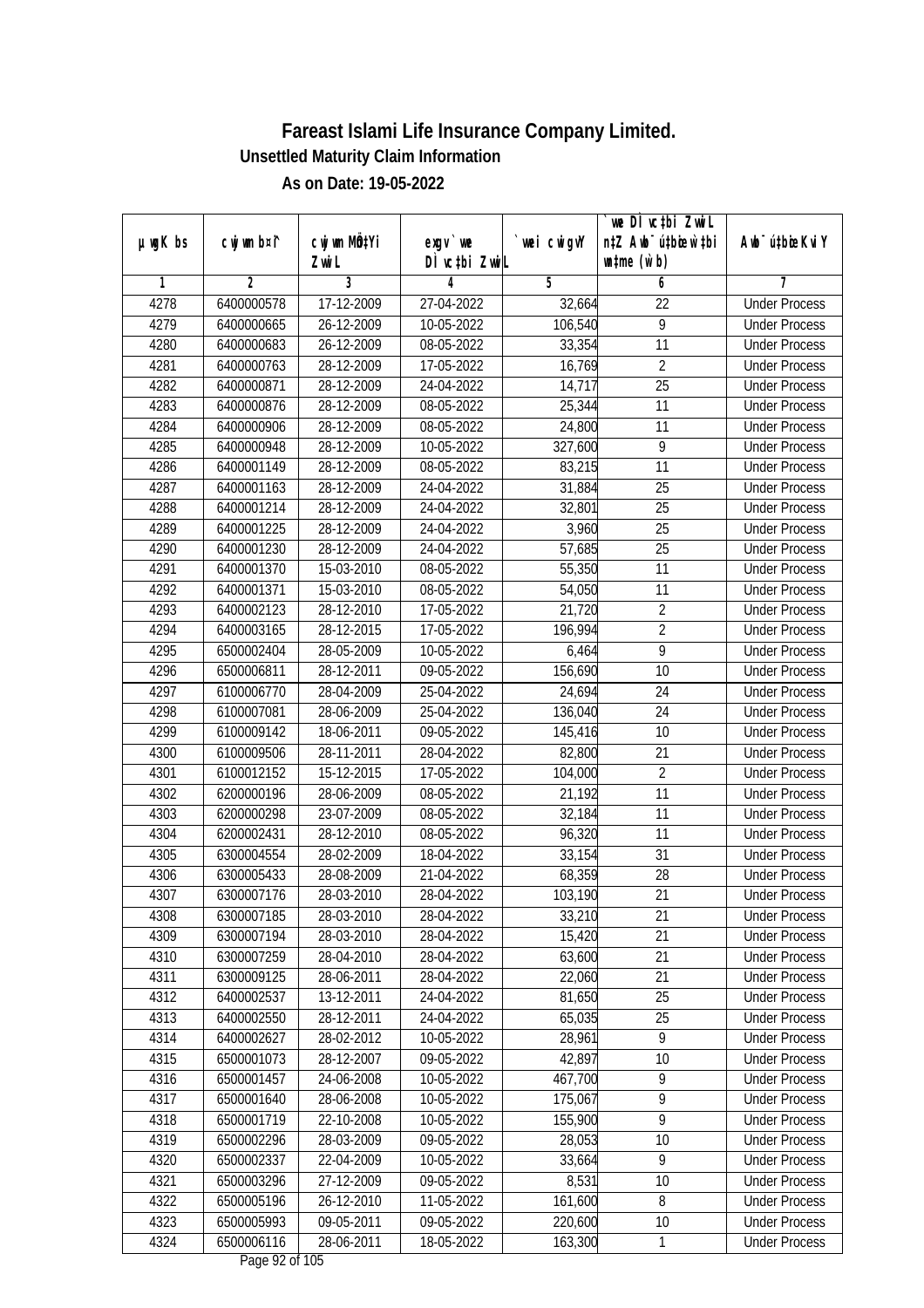| $µ$ ug $K$ bs | cwj wm b¤i^ | cwj wm MQ <sup>1</sup> Yi | $exgV$ we                          | `wei cwigvY | `we DÌ vc‡bi ZwiL<br>n‡Z Awb <sup>-</sup> ú‡bioen`‡bi | Awb <sup>-</sup> ú‡bioeKviY |
|---------------|-------------|---------------------------|------------------------------------|-------------|-------------------------------------------------------|-----------------------------|
|               |             | Zwi L                     | DÌ vctbi ZwiL                      |             | $\n  untime\n  (u`b)\n$                               |                             |
| 1             | 2           | 3                         | 4                                  | 5           | 6                                                     | 7                           |
| 4278          | 6400000578  | 17-12-2009                | 27-04-2022                         | 32,664      | 22                                                    | <b>Under Process</b>        |
| 4279          | 6400000665  | 26-12-2009                | 10-05-2022                         | 106,540     | 9                                                     | <b>Under Process</b>        |
| 4280          | 6400000683  | 26-12-2009                | 08-05-2022                         | 33,354      | 11                                                    | <b>Under Process</b>        |
| 4281          | 6400000763  | 28-12-2009                | 17-05-2022                         | 16,769      | $\overline{2}$                                        | <b>Under Process</b>        |
| 4282          | 6400000871  | 28-12-2009                | 24-04-2022                         | 14,717      | $\overline{25}$                                       | <b>Under Process</b>        |
| 4283          | 6400000876  | 28-12-2009                | 08-05-2022                         | 25,344      | $\overline{11}$                                       | <b>Under Process</b>        |
| 4284          | 6400000906  | 28-12-2009                | 08-05-2022                         | 24,800      | 11                                                    | <b>Under Process</b>        |
| 4285          | 6400000948  | 28-12-2009                | 10-05-2022                         | 327,600     | $\overline{9}$                                        | <b>Under Process</b>        |
| 4286          | 6400001149  | 28-12-2009                | 08-05-2022                         | 83,215      | 11                                                    | <b>Under Process</b>        |
| 4287          | 6400001163  | 28-12-2009                | 24-04-2022                         | 31,884      | 25                                                    | <b>Under Process</b>        |
| 4288          | 6400001214  | 28-12-2009                | 24-04-2022                         | 32,801      | 25                                                    | <b>Under Process</b>        |
| 4289          | 6400001225  | 28-12-2009                | 24-04-2022                         | 3,960       | 25                                                    | <b>Under Process</b>        |
| 4290          | 6400001230  | 28-12-2009                | 24-04-2022                         | 57,685      | $\overline{25}$                                       | <b>Under Process</b>        |
| 4291          | 6400001370  | 15-03-2010                | 08-05-2022                         | 55,350      | 11                                                    | <b>Under Process</b>        |
| 4292          | 6400001371  | 15-03-2010                | 08-05-2022                         | 54,050      | 11                                                    | <b>Under Process</b>        |
| 4293          | 6400002123  | 28-12-2010                | 17-05-2022                         | 21,720      | $\overline{2}$                                        | <b>Under Process</b>        |
| 4294          | 6400003165  | 28-12-2015                | 17-05-2022                         | 196,994     | $\overline{2}$                                        | <b>Under Process</b>        |
| 4295          | 6500002404  | 28-05-2009                | 10-05-2022                         | 6,464       | $\overline{9}$                                        | <b>Under Process</b>        |
| 4296          | 6500006811  | 28-12-2011                | 09-05-2022                         | 156,690     | 10                                                    | <b>Under Process</b>        |
| 4297          | 6100006770  | 28-04-2009                | 25-04-2022                         | 24,694      | 24                                                    | <b>Under Process</b>        |
| 4298          | 6100007081  | 28-06-2009                | 25-04-2022                         | 136,040     | 24                                                    | <b>Under Process</b>        |
| 4299          | 6100009142  | 18-06-2011                | 09-05-2022                         | 145,416     | 10                                                    | <b>Under Process</b>        |
| 4300          | 6100009506  | 28-11-2011                | 28-04-2022                         | 82,800      | 21                                                    | <b>Under Process</b>        |
| 4301          | 6100012152  | 15-12-2015                | 17-05-2022                         | 104,000     | $\overline{2}$                                        | <b>Under Process</b>        |
| 4302          | 6200000196  | 28-06-2009                | 08-05-2022                         | 21,192      | 11                                                    | <b>Under Process</b>        |
| 4303          | 6200000298  | 23-07-2009                | 08-05-2022                         | 32,184      | 11                                                    | <b>Under Process</b>        |
| 4304          | 6200002431  | 28-12-2010                | 08-05-2022                         | 96,320      | 11                                                    | <b>Under Process</b>        |
| 4305          | 6300004554  | 28-02-2009                | 18-04-2022                         | 33,154      | 31                                                    | <b>Under Process</b>        |
| 4306          | 6300005433  | 28-08-2009                | 21-04-2022                         | 68,359      | 28                                                    | <b>Under Process</b>        |
| 4307          | 6300007176  | 28-03-2010                | 28-04-2022                         | 103,190     | 21                                                    | <b>Under Process</b>        |
| 4308          | 6300007185  | 28-03-2010                | 28-04-2022                         | 33,210      | 21                                                    | <b>Under Process</b>        |
| 4309          | 6300007194  | 28-03-2010                | 28-04-2022                         | 15,420      | 21                                                    | <b>Under Process</b>        |
| 4310          | 6300007259  | 28-04-2010                | 28-04-2022                         | 63,600      | 21                                                    | <b>Under Process</b>        |
| 4311          | 6300009125  | 28-06-2011                | 28-04-2022                         | 22,060      | 21                                                    | <b>Under Process</b>        |
| 4312          | 6400002537  | 13-12-2011                | 24-04-2022                         | 81,650      | 25                                                    | <b>Under Process</b>        |
| 4313          | 6400002550  | 28-12-2011                | 24-04-2022                         | 65,035      | 25                                                    | <b>Under Process</b>        |
| 4314          | 6400002627  | 28-02-2012                | 10-05-2022                         | 28,961      | 9                                                     | <b>Under Process</b>        |
| 4315          | 6500001073  | 28-12-2007                | 09-05-2022                         | 42,897      | 10                                                    | <b>Under Process</b>        |
| 4316          | 6500001457  | 24-06-2008                | 10-05-2022                         | 467,700     | $\overline{9}$                                        | <b>Under Process</b>        |
| 4317          | 6500001640  | 28-06-2008                | 10-05-2022                         | 175,067     | $\overline{9}$                                        | <b>Under Process</b>        |
| 4318          | 6500001719  | 22-10-2008                | 10-05-2022                         | 155,900     | $\overline{9}$                                        | <b>Under Process</b>        |
| 4319          | 6500002296  | 28-03-2009                | 09-05-2022                         | 28,053      | 10                                                    | <b>Under Process</b>        |
| 4320          | 6500002337  | 22-04-2009                | 10-05-2022                         | 33,664      | $\overline{9}$                                        | <b>Under Process</b>        |
| 4321          | 6500003296  | 27-12-2009                | 09-05-2022                         | 8,531       | 10                                                    | <b>Under Process</b>        |
| 4322          | 6500005196  | 26-12-2010                | 11-05-2022                         | 161,600     | 8                                                     | <b>Under Process</b>        |
| 4323          | 6500005993  | 09-05-2011                | 09-05-2022                         | 220,600     | 10                                                    | <b>Under Process</b>        |
| 4324          | 6500006116  | 28-06-2011                | 18-05-2022<br>$D_{0.92}$ 02 of 105 | 163,300     | 1                                                     | <b>Under Process</b>        |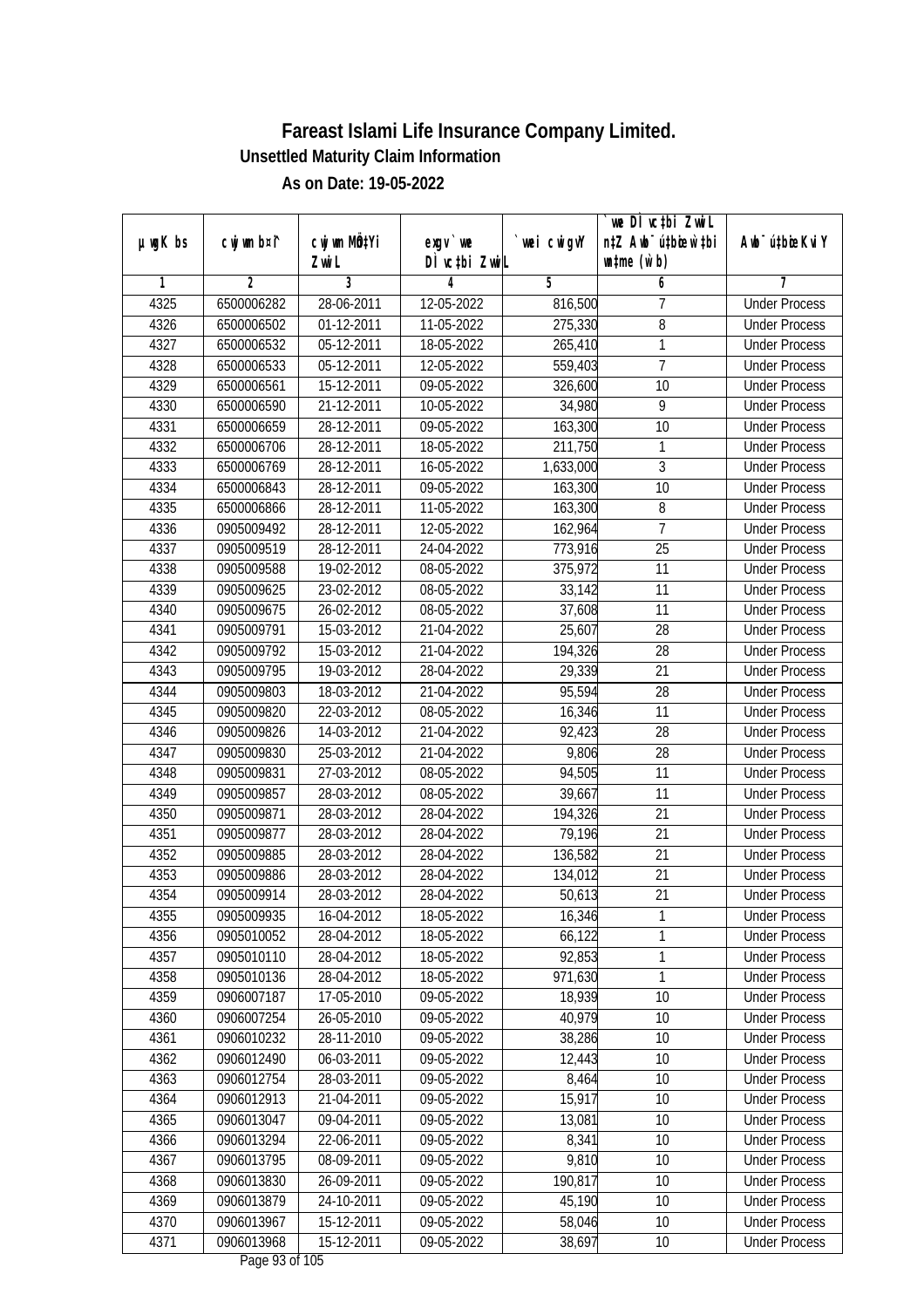| DÌ vctbi ZwiL<br>$\n  untime\n  (u`b)\n$<br>Zwi L<br>3<br>$\overline{2}$<br>5<br>1<br>4<br>6<br>7<br>4325<br>6500006282<br>28-06-2011<br>12-05-2022<br>816,500<br>7<br><b>Under Process</b><br>$\overline{8}$<br>4326<br>01-12-2011<br>11-05-2022<br>275,330<br>6500006502<br><b>Under Process</b><br>$\mathbf{1}$<br>4327<br>05-12-2011<br>18-05-2022<br>265,410<br>6500006532<br><b>Under Process</b><br>$\overline{1}$<br>4328<br>05-12-2011<br>6500006533<br>12-05-2022<br>559,403<br><b>Under Process</b><br>4329<br>6500006561<br>15-12-2011<br>09-05-2022<br>10<br><b>Under Process</b><br>326,600<br>$\overline{9}$<br>4330<br>6500006590<br>21-12-2011<br>10-05-2022<br>34,980<br><b>Under Process</b><br>163,300<br>4331<br>28-12-2011<br>$09 - 05 - 2022$<br>10<br>6500006659<br><b>Under Process</b><br>4332<br>6500006706<br>28-12-2011<br>1<br><b>Under Process</b><br>18-05-2022<br>211,750<br>$\overline{3}$<br>4333<br>28-12-2011<br>16-05-2022<br>6500006769<br>1,633,000<br><b>Under Process</b><br>4334<br>6500006843<br>28-12-2011<br>09-05-2022<br>163,300<br>10<br><b>Under Process</b><br>4335<br>8<br>6500006866<br>28-12-2011<br>11-05-2022<br>163,300<br><b>Under Process</b><br>$\overline{7}$<br>4336<br>162,964<br>0905009492<br>28-12-2011<br>12-05-2022<br><b>Under Process</b><br>$\overline{25}$<br>4337<br>28-12-2011<br>773,916<br>0905009519<br>24-04-2022<br><b>Under Process</b><br>4338<br>19-02-2012<br>08-05-2022<br>375,972<br>11<br>0905009588<br><b>Under Process</b><br>11<br>4339<br>0905009625<br>23-02-2012<br>08-05-2022<br>33,142<br><b>Under Process</b><br>11<br>4340<br>0905009675<br>26-02-2012<br>08-05-2022<br>37,608<br><b>Under Process</b><br>25,607<br>28<br>4341<br>0905009791<br>15-03-2012<br>21-04-2022<br><b>Under Process</b><br>4342<br>15-03-2012<br>194,326<br>28<br>0905009792<br>21-04-2022<br><b>Under Process</b><br>4343<br>19-03-2012<br>29,339<br>21<br>0905009795<br>28-04-2022<br><b>Under Process</b><br>4344<br>28<br>0905009803<br>18-03-2012<br>21-04-2022<br>95,594<br><b>Under Process</b><br>11<br>4345<br>0905009820<br>22-03-2012<br>08-05-2022<br>16,346<br><b>Under Process</b><br>92,423<br>28<br>4346<br>0905009826<br>14-03-2012<br>21-04-2022<br><b>Under Process</b><br>9,806<br>28<br>4347<br>0905009830<br>25-03-2012<br>21-04-2022<br><b>Under Process</b><br>4348<br>27-03-2012<br>08-05-2022<br>94,505<br>11<br>0905009831<br><b>Under Process</b><br>4349<br>28-03-2012<br>11<br>0905009857<br>08-05-2022<br>39,667<br><b>Under Process</b><br>4350<br>0905009871<br>28-03-2012<br>21<br>28-04-2022<br>194,326<br><b>Under Process</b><br>21<br>4351<br>28-03-2012<br>79,196<br>0905009877<br>28-04-2022<br><b>Under Process</b><br>4352<br>28-03-2012<br>136,582<br>21<br>0905009885<br>28-04-2022<br><b>Under Process</b><br>21<br>4353<br>0905009886<br>28-03-2012<br>28-04-2022<br>134,012<br><b>Under Process</b><br>4354<br>21<br>0905009914<br>28-03-2012<br>28-04-2022<br>50,613<br><b>Under Process</b><br>4355<br>0905009935<br>16-04-2012<br>18-05-2022<br>16,346<br><b>Under Process</b><br>1<br>1<br>0905010052<br>28-04-2012<br>4356<br>18-05-2022<br>66,122<br><b>Under Process</b><br>$\mathbf{1}$<br>4357<br>28-04-2012<br>0905010110<br>18-05-2022<br>92,853<br><b>Under Process</b><br>$\overline{1}$<br>4358<br>0905010136<br>971,630<br>28-04-2012<br>18-05-2022<br><b>Under Process</b><br>4359<br>17-05-2010<br>18,939<br>0906007187<br>09-05-2022<br>10<br><b>Under Process</b><br>40,979<br>4360<br>0906007254<br>26-05-2010<br>09-05-2022<br>10<br><b>Under Process</b><br>4361<br>0906010232<br>28-11-2010<br>10<br>09-05-2022<br>38,286<br><b>Under Process</b><br>4362<br>06-03-2011<br>09-05-2022<br>12,443<br>10<br>0906012490<br><b>Under Process</b><br>8,464<br>4363<br>0906012754<br>28-03-2011<br>09-05-2022<br>10<br><b>Under Process</b><br>15,917<br>4364<br>0906012913<br>21-04-2011<br>09-05-2022<br>10<br><b>Under Process</b><br>4365<br>0906013047<br>09-04-2011<br>09-05-2022<br>13,081<br><b>Under Process</b><br>10<br>0906013294<br>22-06-2011<br>09-05-2022<br>8,341<br>10<br>4366<br><b>Under Process</b><br>4367<br>0906013795<br>08-09-2011<br>$\overline{09}$ -05-2022<br>9,810<br>10<br><b>Under Process</b><br>190,817<br>4368<br>0906013830<br>26-09-2011<br>09-05-2022<br>10<br><b>Under Process</b><br>4369<br>0906013879<br>24-10-2011<br>09-05-2022<br>45,190<br>10<br><b>Under Process</b><br>4370<br>0906013967<br>15-12-2011<br>09-05-2022<br>58,046<br>10<br><b>Under Process</b><br>4371<br>0906013968<br>15-12-2011<br>09-05-2022<br>38,697<br>10<br><b>Under Process</b> |               |             |              |           |            | we DI vctbi ZwiL                 |                             |
|--------------------------------------------------------------------------------------------------------------------------------------------------------------------------------------------------------------------------------------------------------------------------------------------------------------------------------------------------------------------------------------------------------------------------------------------------------------------------------------------------------------------------------------------------------------------------------------------------------------------------------------------------------------------------------------------------------------------------------------------------------------------------------------------------------------------------------------------------------------------------------------------------------------------------------------------------------------------------------------------------------------------------------------------------------------------------------------------------------------------------------------------------------------------------------------------------------------------------------------------------------------------------------------------------------------------------------------------------------------------------------------------------------------------------------------------------------------------------------------------------------------------------------------------------------------------------------------------------------------------------------------------------------------------------------------------------------------------------------------------------------------------------------------------------------------------------------------------------------------------------------------------------------------------------------------------------------------------------------------------------------------------------------------------------------------------------------------------------------------------------------------------------------------------------------------------------------------------------------------------------------------------------------------------------------------------------------------------------------------------------------------------------------------------------------------------------------------------------------------------------------------------------------------------------------------------------------------------------------------------------------------------------------------------------------------------------------------------------------------------------------------------------------------------------------------------------------------------------------------------------------------------------------------------------------------------------------------------------------------------------------------------------------------------------------------------------------------------------------------------------------------------------------------------------------------------------------------------------------------------------------------------------------------------------------------------------------------------------------------------------------------------------------------------------------------------------------------------------------------------------------------------------------------------------------------------------------------------------------------------------------------------------------------------------------------------------------------------------------------------------------------------------------------------------------------------------------------------------------------------------------------------------------------------------------------------------------------------------------------------------------------------------------------------------------------------------------------------------------------------------------------------------------------------------------------------------------------------------------------------------------------------------------------------------------------------------------------------------------------------------------------------------------------------------------------------------------------------------------------------------------------------------------------------------------------------------------------------------------------------------------------------------|---------------|-------------|--------------|-----------|------------|----------------------------------|-----------------------------|
|                                                                                                                                                                                                                                                                                                                                                                                                                                                                                                                                                                                                                                                                                                                                                                                                                                                                                                                                                                                                                                                                                                                                                                                                                                                                                                                                                                                                                                                                                                                                                                                                                                                                                                                                                                                                                                                                                                                                                                                                                                                                                                                                                                                                                                                                                                                                                                                                                                                                                                                                                                                                                                                                                                                                                                                                                                                                                                                                                                                                                                                                                                                                                                                                                                                                                                                                                                                                                                                                                                                                                                                                                                                                                                                                                                                                                                                                                                                                                                                                                                                                                                                                                                                                                                                                                                                                                                                                                                                                                                                                                                                                                                                  | $µ$ ug $K$ bs | cwj wm b¤i^ | cwj wm MÖ¢Yi | $exgV$ we | wei cwigvY | n‡Z Awb <sup>-</sup> ú‡bicen`‡bi | Awb <sup>-</sup> ú‡bioeKviY |
|                                                                                                                                                                                                                                                                                                                                                                                                                                                                                                                                                                                                                                                                                                                                                                                                                                                                                                                                                                                                                                                                                                                                                                                                                                                                                                                                                                                                                                                                                                                                                                                                                                                                                                                                                                                                                                                                                                                                                                                                                                                                                                                                                                                                                                                                                                                                                                                                                                                                                                                                                                                                                                                                                                                                                                                                                                                                                                                                                                                                                                                                                                                                                                                                                                                                                                                                                                                                                                                                                                                                                                                                                                                                                                                                                                                                                                                                                                                                                                                                                                                                                                                                                                                                                                                                                                                                                                                                                                                                                                                                                                                                                                                  |               |             |              |           |            |                                  |                             |
|                                                                                                                                                                                                                                                                                                                                                                                                                                                                                                                                                                                                                                                                                                                                                                                                                                                                                                                                                                                                                                                                                                                                                                                                                                                                                                                                                                                                                                                                                                                                                                                                                                                                                                                                                                                                                                                                                                                                                                                                                                                                                                                                                                                                                                                                                                                                                                                                                                                                                                                                                                                                                                                                                                                                                                                                                                                                                                                                                                                                                                                                                                                                                                                                                                                                                                                                                                                                                                                                                                                                                                                                                                                                                                                                                                                                                                                                                                                                                                                                                                                                                                                                                                                                                                                                                                                                                                                                                                                                                                                                                                                                                                                  |               |             |              |           |            |                                  |                             |
|                                                                                                                                                                                                                                                                                                                                                                                                                                                                                                                                                                                                                                                                                                                                                                                                                                                                                                                                                                                                                                                                                                                                                                                                                                                                                                                                                                                                                                                                                                                                                                                                                                                                                                                                                                                                                                                                                                                                                                                                                                                                                                                                                                                                                                                                                                                                                                                                                                                                                                                                                                                                                                                                                                                                                                                                                                                                                                                                                                                                                                                                                                                                                                                                                                                                                                                                                                                                                                                                                                                                                                                                                                                                                                                                                                                                                                                                                                                                                                                                                                                                                                                                                                                                                                                                                                                                                                                                                                                                                                                                                                                                                                                  |               |             |              |           |            |                                  |                             |
|                                                                                                                                                                                                                                                                                                                                                                                                                                                                                                                                                                                                                                                                                                                                                                                                                                                                                                                                                                                                                                                                                                                                                                                                                                                                                                                                                                                                                                                                                                                                                                                                                                                                                                                                                                                                                                                                                                                                                                                                                                                                                                                                                                                                                                                                                                                                                                                                                                                                                                                                                                                                                                                                                                                                                                                                                                                                                                                                                                                                                                                                                                                                                                                                                                                                                                                                                                                                                                                                                                                                                                                                                                                                                                                                                                                                                                                                                                                                                                                                                                                                                                                                                                                                                                                                                                                                                                                                                                                                                                                                                                                                                                                  |               |             |              |           |            |                                  |                             |
|                                                                                                                                                                                                                                                                                                                                                                                                                                                                                                                                                                                                                                                                                                                                                                                                                                                                                                                                                                                                                                                                                                                                                                                                                                                                                                                                                                                                                                                                                                                                                                                                                                                                                                                                                                                                                                                                                                                                                                                                                                                                                                                                                                                                                                                                                                                                                                                                                                                                                                                                                                                                                                                                                                                                                                                                                                                                                                                                                                                                                                                                                                                                                                                                                                                                                                                                                                                                                                                                                                                                                                                                                                                                                                                                                                                                                                                                                                                                                                                                                                                                                                                                                                                                                                                                                                                                                                                                                                                                                                                                                                                                                                                  |               |             |              |           |            |                                  |                             |
|                                                                                                                                                                                                                                                                                                                                                                                                                                                                                                                                                                                                                                                                                                                                                                                                                                                                                                                                                                                                                                                                                                                                                                                                                                                                                                                                                                                                                                                                                                                                                                                                                                                                                                                                                                                                                                                                                                                                                                                                                                                                                                                                                                                                                                                                                                                                                                                                                                                                                                                                                                                                                                                                                                                                                                                                                                                                                                                                                                                                                                                                                                                                                                                                                                                                                                                                                                                                                                                                                                                                                                                                                                                                                                                                                                                                                                                                                                                                                                                                                                                                                                                                                                                                                                                                                                                                                                                                                                                                                                                                                                                                                                                  |               |             |              |           |            |                                  |                             |
|                                                                                                                                                                                                                                                                                                                                                                                                                                                                                                                                                                                                                                                                                                                                                                                                                                                                                                                                                                                                                                                                                                                                                                                                                                                                                                                                                                                                                                                                                                                                                                                                                                                                                                                                                                                                                                                                                                                                                                                                                                                                                                                                                                                                                                                                                                                                                                                                                                                                                                                                                                                                                                                                                                                                                                                                                                                                                                                                                                                                                                                                                                                                                                                                                                                                                                                                                                                                                                                                                                                                                                                                                                                                                                                                                                                                                                                                                                                                                                                                                                                                                                                                                                                                                                                                                                                                                                                                                                                                                                                                                                                                                                                  |               |             |              |           |            |                                  |                             |
|                                                                                                                                                                                                                                                                                                                                                                                                                                                                                                                                                                                                                                                                                                                                                                                                                                                                                                                                                                                                                                                                                                                                                                                                                                                                                                                                                                                                                                                                                                                                                                                                                                                                                                                                                                                                                                                                                                                                                                                                                                                                                                                                                                                                                                                                                                                                                                                                                                                                                                                                                                                                                                                                                                                                                                                                                                                                                                                                                                                                                                                                                                                                                                                                                                                                                                                                                                                                                                                                                                                                                                                                                                                                                                                                                                                                                                                                                                                                                                                                                                                                                                                                                                                                                                                                                                                                                                                                                                                                                                                                                                                                                                                  |               |             |              |           |            |                                  |                             |
|                                                                                                                                                                                                                                                                                                                                                                                                                                                                                                                                                                                                                                                                                                                                                                                                                                                                                                                                                                                                                                                                                                                                                                                                                                                                                                                                                                                                                                                                                                                                                                                                                                                                                                                                                                                                                                                                                                                                                                                                                                                                                                                                                                                                                                                                                                                                                                                                                                                                                                                                                                                                                                                                                                                                                                                                                                                                                                                                                                                                                                                                                                                                                                                                                                                                                                                                                                                                                                                                                                                                                                                                                                                                                                                                                                                                                                                                                                                                                                                                                                                                                                                                                                                                                                                                                                                                                                                                                                                                                                                                                                                                                                                  |               |             |              |           |            |                                  |                             |
|                                                                                                                                                                                                                                                                                                                                                                                                                                                                                                                                                                                                                                                                                                                                                                                                                                                                                                                                                                                                                                                                                                                                                                                                                                                                                                                                                                                                                                                                                                                                                                                                                                                                                                                                                                                                                                                                                                                                                                                                                                                                                                                                                                                                                                                                                                                                                                                                                                                                                                                                                                                                                                                                                                                                                                                                                                                                                                                                                                                                                                                                                                                                                                                                                                                                                                                                                                                                                                                                                                                                                                                                                                                                                                                                                                                                                                                                                                                                                                                                                                                                                                                                                                                                                                                                                                                                                                                                                                                                                                                                                                                                                                                  |               |             |              |           |            |                                  |                             |
|                                                                                                                                                                                                                                                                                                                                                                                                                                                                                                                                                                                                                                                                                                                                                                                                                                                                                                                                                                                                                                                                                                                                                                                                                                                                                                                                                                                                                                                                                                                                                                                                                                                                                                                                                                                                                                                                                                                                                                                                                                                                                                                                                                                                                                                                                                                                                                                                                                                                                                                                                                                                                                                                                                                                                                                                                                                                                                                                                                                                                                                                                                                                                                                                                                                                                                                                                                                                                                                                                                                                                                                                                                                                                                                                                                                                                                                                                                                                                                                                                                                                                                                                                                                                                                                                                                                                                                                                                                                                                                                                                                                                                                                  |               |             |              |           |            |                                  |                             |
|                                                                                                                                                                                                                                                                                                                                                                                                                                                                                                                                                                                                                                                                                                                                                                                                                                                                                                                                                                                                                                                                                                                                                                                                                                                                                                                                                                                                                                                                                                                                                                                                                                                                                                                                                                                                                                                                                                                                                                                                                                                                                                                                                                                                                                                                                                                                                                                                                                                                                                                                                                                                                                                                                                                                                                                                                                                                                                                                                                                                                                                                                                                                                                                                                                                                                                                                                                                                                                                                                                                                                                                                                                                                                                                                                                                                                                                                                                                                                                                                                                                                                                                                                                                                                                                                                                                                                                                                                                                                                                                                                                                                                                                  |               |             |              |           |            |                                  |                             |
|                                                                                                                                                                                                                                                                                                                                                                                                                                                                                                                                                                                                                                                                                                                                                                                                                                                                                                                                                                                                                                                                                                                                                                                                                                                                                                                                                                                                                                                                                                                                                                                                                                                                                                                                                                                                                                                                                                                                                                                                                                                                                                                                                                                                                                                                                                                                                                                                                                                                                                                                                                                                                                                                                                                                                                                                                                                                                                                                                                                                                                                                                                                                                                                                                                                                                                                                                                                                                                                                                                                                                                                                                                                                                                                                                                                                                                                                                                                                                                                                                                                                                                                                                                                                                                                                                                                                                                                                                                                                                                                                                                                                                                                  |               |             |              |           |            |                                  |                             |
|                                                                                                                                                                                                                                                                                                                                                                                                                                                                                                                                                                                                                                                                                                                                                                                                                                                                                                                                                                                                                                                                                                                                                                                                                                                                                                                                                                                                                                                                                                                                                                                                                                                                                                                                                                                                                                                                                                                                                                                                                                                                                                                                                                                                                                                                                                                                                                                                                                                                                                                                                                                                                                                                                                                                                                                                                                                                                                                                                                                                                                                                                                                                                                                                                                                                                                                                                                                                                                                                                                                                                                                                                                                                                                                                                                                                                                                                                                                                                                                                                                                                                                                                                                                                                                                                                                                                                                                                                                                                                                                                                                                                                                                  |               |             |              |           |            |                                  |                             |
|                                                                                                                                                                                                                                                                                                                                                                                                                                                                                                                                                                                                                                                                                                                                                                                                                                                                                                                                                                                                                                                                                                                                                                                                                                                                                                                                                                                                                                                                                                                                                                                                                                                                                                                                                                                                                                                                                                                                                                                                                                                                                                                                                                                                                                                                                                                                                                                                                                                                                                                                                                                                                                                                                                                                                                                                                                                                                                                                                                                                                                                                                                                                                                                                                                                                                                                                                                                                                                                                                                                                                                                                                                                                                                                                                                                                                                                                                                                                                                                                                                                                                                                                                                                                                                                                                                                                                                                                                                                                                                                                                                                                                                                  |               |             |              |           |            |                                  |                             |
|                                                                                                                                                                                                                                                                                                                                                                                                                                                                                                                                                                                                                                                                                                                                                                                                                                                                                                                                                                                                                                                                                                                                                                                                                                                                                                                                                                                                                                                                                                                                                                                                                                                                                                                                                                                                                                                                                                                                                                                                                                                                                                                                                                                                                                                                                                                                                                                                                                                                                                                                                                                                                                                                                                                                                                                                                                                                                                                                                                                                                                                                                                                                                                                                                                                                                                                                                                                                                                                                                                                                                                                                                                                                                                                                                                                                                                                                                                                                                                                                                                                                                                                                                                                                                                                                                                                                                                                                                                                                                                                                                                                                                                                  |               |             |              |           |            |                                  |                             |
|                                                                                                                                                                                                                                                                                                                                                                                                                                                                                                                                                                                                                                                                                                                                                                                                                                                                                                                                                                                                                                                                                                                                                                                                                                                                                                                                                                                                                                                                                                                                                                                                                                                                                                                                                                                                                                                                                                                                                                                                                                                                                                                                                                                                                                                                                                                                                                                                                                                                                                                                                                                                                                                                                                                                                                                                                                                                                                                                                                                                                                                                                                                                                                                                                                                                                                                                                                                                                                                                                                                                                                                                                                                                                                                                                                                                                                                                                                                                                                                                                                                                                                                                                                                                                                                                                                                                                                                                                                                                                                                                                                                                                                                  |               |             |              |           |            |                                  |                             |
|                                                                                                                                                                                                                                                                                                                                                                                                                                                                                                                                                                                                                                                                                                                                                                                                                                                                                                                                                                                                                                                                                                                                                                                                                                                                                                                                                                                                                                                                                                                                                                                                                                                                                                                                                                                                                                                                                                                                                                                                                                                                                                                                                                                                                                                                                                                                                                                                                                                                                                                                                                                                                                                                                                                                                                                                                                                                                                                                                                                                                                                                                                                                                                                                                                                                                                                                                                                                                                                                                                                                                                                                                                                                                                                                                                                                                                                                                                                                                                                                                                                                                                                                                                                                                                                                                                                                                                                                                                                                                                                                                                                                                                                  |               |             |              |           |            |                                  |                             |
|                                                                                                                                                                                                                                                                                                                                                                                                                                                                                                                                                                                                                                                                                                                                                                                                                                                                                                                                                                                                                                                                                                                                                                                                                                                                                                                                                                                                                                                                                                                                                                                                                                                                                                                                                                                                                                                                                                                                                                                                                                                                                                                                                                                                                                                                                                                                                                                                                                                                                                                                                                                                                                                                                                                                                                                                                                                                                                                                                                                                                                                                                                                                                                                                                                                                                                                                                                                                                                                                                                                                                                                                                                                                                                                                                                                                                                                                                                                                                                                                                                                                                                                                                                                                                                                                                                                                                                                                                                                                                                                                                                                                                                                  |               |             |              |           |            |                                  |                             |
|                                                                                                                                                                                                                                                                                                                                                                                                                                                                                                                                                                                                                                                                                                                                                                                                                                                                                                                                                                                                                                                                                                                                                                                                                                                                                                                                                                                                                                                                                                                                                                                                                                                                                                                                                                                                                                                                                                                                                                                                                                                                                                                                                                                                                                                                                                                                                                                                                                                                                                                                                                                                                                                                                                                                                                                                                                                                                                                                                                                                                                                                                                                                                                                                                                                                                                                                                                                                                                                                                                                                                                                                                                                                                                                                                                                                                                                                                                                                                                                                                                                                                                                                                                                                                                                                                                                                                                                                                                                                                                                                                                                                                                                  |               |             |              |           |            |                                  |                             |
|                                                                                                                                                                                                                                                                                                                                                                                                                                                                                                                                                                                                                                                                                                                                                                                                                                                                                                                                                                                                                                                                                                                                                                                                                                                                                                                                                                                                                                                                                                                                                                                                                                                                                                                                                                                                                                                                                                                                                                                                                                                                                                                                                                                                                                                                                                                                                                                                                                                                                                                                                                                                                                                                                                                                                                                                                                                                                                                                                                                                                                                                                                                                                                                                                                                                                                                                                                                                                                                                                                                                                                                                                                                                                                                                                                                                                                                                                                                                                                                                                                                                                                                                                                                                                                                                                                                                                                                                                                                                                                                                                                                                                                                  |               |             |              |           |            |                                  |                             |
|                                                                                                                                                                                                                                                                                                                                                                                                                                                                                                                                                                                                                                                                                                                                                                                                                                                                                                                                                                                                                                                                                                                                                                                                                                                                                                                                                                                                                                                                                                                                                                                                                                                                                                                                                                                                                                                                                                                                                                                                                                                                                                                                                                                                                                                                                                                                                                                                                                                                                                                                                                                                                                                                                                                                                                                                                                                                                                                                                                                                                                                                                                                                                                                                                                                                                                                                                                                                                                                                                                                                                                                                                                                                                                                                                                                                                                                                                                                                                                                                                                                                                                                                                                                                                                                                                                                                                                                                                                                                                                                                                                                                                                                  |               |             |              |           |            |                                  |                             |
|                                                                                                                                                                                                                                                                                                                                                                                                                                                                                                                                                                                                                                                                                                                                                                                                                                                                                                                                                                                                                                                                                                                                                                                                                                                                                                                                                                                                                                                                                                                                                                                                                                                                                                                                                                                                                                                                                                                                                                                                                                                                                                                                                                                                                                                                                                                                                                                                                                                                                                                                                                                                                                                                                                                                                                                                                                                                                                                                                                                                                                                                                                                                                                                                                                                                                                                                                                                                                                                                                                                                                                                                                                                                                                                                                                                                                                                                                                                                                                                                                                                                                                                                                                                                                                                                                                                                                                                                                                                                                                                                                                                                                                                  |               |             |              |           |            |                                  |                             |
|                                                                                                                                                                                                                                                                                                                                                                                                                                                                                                                                                                                                                                                                                                                                                                                                                                                                                                                                                                                                                                                                                                                                                                                                                                                                                                                                                                                                                                                                                                                                                                                                                                                                                                                                                                                                                                                                                                                                                                                                                                                                                                                                                                                                                                                                                                                                                                                                                                                                                                                                                                                                                                                                                                                                                                                                                                                                                                                                                                                                                                                                                                                                                                                                                                                                                                                                                                                                                                                                                                                                                                                                                                                                                                                                                                                                                                                                                                                                                                                                                                                                                                                                                                                                                                                                                                                                                                                                                                                                                                                                                                                                                                                  |               |             |              |           |            |                                  |                             |
|                                                                                                                                                                                                                                                                                                                                                                                                                                                                                                                                                                                                                                                                                                                                                                                                                                                                                                                                                                                                                                                                                                                                                                                                                                                                                                                                                                                                                                                                                                                                                                                                                                                                                                                                                                                                                                                                                                                                                                                                                                                                                                                                                                                                                                                                                                                                                                                                                                                                                                                                                                                                                                                                                                                                                                                                                                                                                                                                                                                                                                                                                                                                                                                                                                                                                                                                                                                                                                                                                                                                                                                                                                                                                                                                                                                                                                                                                                                                                                                                                                                                                                                                                                                                                                                                                                                                                                                                                                                                                                                                                                                                                                                  |               |             |              |           |            |                                  |                             |
|                                                                                                                                                                                                                                                                                                                                                                                                                                                                                                                                                                                                                                                                                                                                                                                                                                                                                                                                                                                                                                                                                                                                                                                                                                                                                                                                                                                                                                                                                                                                                                                                                                                                                                                                                                                                                                                                                                                                                                                                                                                                                                                                                                                                                                                                                                                                                                                                                                                                                                                                                                                                                                                                                                                                                                                                                                                                                                                                                                                                                                                                                                                                                                                                                                                                                                                                                                                                                                                                                                                                                                                                                                                                                                                                                                                                                                                                                                                                                                                                                                                                                                                                                                                                                                                                                                                                                                                                                                                                                                                                                                                                                                                  |               |             |              |           |            |                                  |                             |
|                                                                                                                                                                                                                                                                                                                                                                                                                                                                                                                                                                                                                                                                                                                                                                                                                                                                                                                                                                                                                                                                                                                                                                                                                                                                                                                                                                                                                                                                                                                                                                                                                                                                                                                                                                                                                                                                                                                                                                                                                                                                                                                                                                                                                                                                                                                                                                                                                                                                                                                                                                                                                                                                                                                                                                                                                                                                                                                                                                                                                                                                                                                                                                                                                                                                                                                                                                                                                                                                                                                                                                                                                                                                                                                                                                                                                                                                                                                                                                                                                                                                                                                                                                                                                                                                                                                                                                                                                                                                                                                                                                                                                                                  |               |             |              |           |            |                                  |                             |
|                                                                                                                                                                                                                                                                                                                                                                                                                                                                                                                                                                                                                                                                                                                                                                                                                                                                                                                                                                                                                                                                                                                                                                                                                                                                                                                                                                                                                                                                                                                                                                                                                                                                                                                                                                                                                                                                                                                                                                                                                                                                                                                                                                                                                                                                                                                                                                                                                                                                                                                                                                                                                                                                                                                                                                                                                                                                                                                                                                                                                                                                                                                                                                                                                                                                                                                                                                                                                                                                                                                                                                                                                                                                                                                                                                                                                                                                                                                                                                                                                                                                                                                                                                                                                                                                                                                                                                                                                                                                                                                                                                                                                                                  |               |             |              |           |            |                                  |                             |
|                                                                                                                                                                                                                                                                                                                                                                                                                                                                                                                                                                                                                                                                                                                                                                                                                                                                                                                                                                                                                                                                                                                                                                                                                                                                                                                                                                                                                                                                                                                                                                                                                                                                                                                                                                                                                                                                                                                                                                                                                                                                                                                                                                                                                                                                                                                                                                                                                                                                                                                                                                                                                                                                                                                                                                                                                                                                                                                                                                                                                                                                                                                                                                                                                                                                                                                                                                                                                                                                                                                                                                                                                                                                                                                                                                                                                                                                                                                                                                                                                                                                                                                                                                                                                                                                                                                                                                                                                                                                                                                                                                                                                                                  |               |             |              |           |            |                                  |                             |
|                                                                                                                                                                                                                                                                                                                                                                                                                                                                                                                                                                                                                                                                                                                                                                                                                                                                                                                                                                                                                                                                                                                                                                                                                                                                                                                                                                                                                                                                                                                                                                                                                                                                                                                                                                                                                                                                                                                                                                                                                                                                                                                                                                                                                                                                                                                                                                                                                                                                                                                                                                                                                                                                                                                                                                                                                                                                                                                                                                                                                                                                                                                                                                                                                                                                                                                                                                                                                                                                                                                                                                                                                                                                                                                                                                                                                                                                                                                                                                                                                                                                                                                                                                                                                                                                                                                                                                                                                                                                                                                                                                                                                                                  |               |             |              |           |            |                                  |                             |
|                                                                                                                                                                                                                                                                                                                                                                                                                                                                                                                                                                                                                                                                                                                                                                                                                                                                                                                                                                                                                                                                                                                                                                                                                                                                                                                                                                                                                                                                                                                                                                                                                                                                                                                                                                                                                                                                                                                                                                                                                                                                                                                                                                                                                                                                                                                                                                                                                                                                                                                                                                                                                                                                                                                                                                                                                                                                                                                                                                                                                                                                                                                                                                                                                                                                                                                                                                                                                                                                                                                                                                                                                                                                                                                                                                                                                                                                                                                                                                                                                                                                                                                                                                                                                                                                                                                                                                                                                                                                                                                                                                                                                                                  |               |             |              |           |            |                                  |                             |
|                                                                                                                                                                                                                                                                                                                                                                                                                                                                                                                                                                                                                                                                                                                                                                                                                                                                                                                                                                                                                                                                                                                                                                                                                                                                                                                                                                                                                                                                                                                                                                                                                                                                                                                                                                                                                                                                                                                                                                                                                                                                                                                                                                                                                                                                                                                                                                                                                                                                                                                                                                                                                                                                                                                                                                                                                                                                                                                                                                                                                                                                                                                                                                                                                                                                                                                                                                                                                                                                                                                                                                                                                                                                                                                                                                                                                                                                                                                                                                                                                                                                                                                                                                                                                                                                                                                                                                                                                                                                                                                                                                                                                                                  |               |             |              |           |            |                                  |                             |
|                                                                                                                                                                                                                                                                                                                                                                                                                                                                                                                                                                                                                                                                                                                                                                                                                                                                                                                                                                                                                                                                                                                                                                                                                                                                                                                                                                                                                                                                                                                                                                                                                                                                                                                                                                                                                                                                                                                                                                                                                                                                                                                                                                                                                                                                                                                                                                                                                                                                                                                                                                                                                                                                                                                                                                                                                                                                                                                                                                                                                                                                                                                                                                                                                                                                                                                                                                                                                                                                                                                                                                                                                                                                                                                                                                                                                                                                                                                                                                                                                                                                                                                                                                                                                                                                                                                                                                                                                                                                                                                                                                                                                                                  |               |             |              |           |            |                                  |                             |
|                                                                                                                                                                                                                                                                                                                                                                                                                                                                                                                                                                                                                                                                                                                                                                                                                                                                                                                                                                                                                                                                                                                                                                                                                                                                                                                                                                                                                                                                                                                                                                                                                                                                                                                                                                                                                                                                                                                                                                                                                                                                                                                                                                                                                                                                                                                                                                                                                                                                                                                                                                                                                                                                                                                                                                                                                                                                                                                                                                                                                                                                                                                                                                                                                                                                                                                                                                                                                                                                                                                                                                                                                                                                                                                                                                                                                                                                                                                                                                                                                                                                                                                                                                                                                                                                                                                                                                                                                                                                                                                                                                                                                                                  |               |             |              |           |            |                                  |                             |
|                                                                                                                                                                                                                                                                                                                                                                                                                                                                                                                                                                                                                                                                                                                                                                                                                                                                                                                                                                                                                                                                                                                                                                                                                                                                                                                                                                                                                                                                                                                                                                                                                                                                                                                                                                                                                                                                                                                                                                                                                                                                                                                                                                                                                                                                                                                                                                                                                                                                                                                                                                                                                                                                                                                                                                                                                                                                                                                                                                                                                                                                                                                                                                                                                                                                                                                                                                                                                                                                                                                                                                                                                                                                                                                                                                                                                                                                                                                                                                                                                                                                                                                                                                                                                                                                                                                                                                                                                                                                                                                                                                                                                                                  |               |             |              |           |            |                                  |                             |
|                                                                                                                                                                                                                                                                                                                                                                                                                                                                                                                                                                                                                                                                                                                                                                                                                                                                                                                                                                                                                                                                                                                                                                                                                                                                                                                                                                                                                                                                                                                                                                                                                                                                                                                                                                                                                                                                                                                                                                                                                                                                                                                                                                                                                                                                                                                                                                                                                                                                                                                                                                                                                                                                                                                                                                                                                                                                                                                                                                                                                                                                                                                                                                                                                                                                                                                                                                                                                                                                                                                                                                                                                                                                                                                                                                                                                                                                                                                                                                                                                                                                                                                                                                                                                                                                                                                                                                                                                                                                                                                                                                                                                                                  |               |             |              |           |            |                                  |                             |
|                                                                                                                                                                                                                                                                                                                                                                                                                                                                                                                                                                                                                                                                                                                                                                                                                                                                                                                                                                                                                                                                                                                                                                                                                                                                                                                                                                                                                                                                                                                                                                                                                                                                                                                                                                                                                                                                                                                                                                                                                                                                                                                                                                                                                                                                                                                                                                                                                                                                                                                                                                                                                                                                                                                                                                                                                                                                                                                                                                                                                                                                                                                                                                                                                                                                                                                                                                                                                                                                                                                                                                                                                                                                                                                                                                                                                                                                                                                                                                                                                                                                                                                                                                                                                                                                                                                                                                                                                                                                                                                                                                                                                                                  |               |             |              |           |            |                                  |                             |
|                                                                                                                                                                                                                                                                                                                                                                                                                                                                                                                                                                                                                                                                                                                                                                                                                                                                                                                                                                                                                                                                                                                                                                                                                                                                                                                                                                                                                                                                                                                                                                                                                                                                                                                                                                                                                                                                                                                                                                                                                                                                                                                                                                                                                                                                                                                                                                                                                                                                                                                                                                                                                                                                                                                                                                                                                                                                                                                                                                                                                                                                                                                                                                                                                                                                                                                                                                                                                                                                                                                                                                                                                                                                                                                                                                                                                                                                                                                                                                                                                                                                                                                                                                                                                                                                                                                                                                                                                                                                                                                                                                                                                                                  |               |             |              |           |            |                                  |                             |
|                                                                                                                                                                                                                                                                                                                                                                                                                                                                                                                                                                                                                                                                                                                                                                                                                                                                                                                                                                                                                                                                                                                                                                                                                                                                                                                                                                                                                                                                                                                                                                                                                                                                                                                                                                                                                                                                                                                                                                                                                                                                                                                                                                                                                                                                                                                                                                                                                                                                                                                                                                                                                                                                                                                                                                                                                                                                                                                                                                                                                                                                                                                                                                                                                                                                                                                                                                                                                                                                                                                                                                                                                                                                                                                                                                                                                                                                                                                                                                                                                                                                                                                                                                                                                                                                                                                                                                                                                                                                                                                                                                                                                                                  |               |             |              |           |            |                                  |                             |
|                                                                                                                                                                                                                                                                                                                                                                                                                                                                                                                                                                                                                                                                                                                                                                                                                                                                                                                                                                                                                                                                                                                                                                                                                                                                                                                                                                                                                                                                                                                                                                                                                                                                                                                                                                                                                                                                                                                                                                                                                                                                                                                                                                                                                                                                                                                                                                                                                                                                                                                                                                                                                                                                                                                                                                                                                                                                                                                                                                                                                                                                                                                                                                                                                                                                                                                                                                                                                                                                                                                                                                                                                                                                                                                                                                                                                                                                                                                                                                                                                                                                                                                                                                                                                                                                                                                                                                                                                                                                                                                                                                                                                                                  |               |             |              |           |            |                                  |                             |
|                                                                                                                                                                                                                                                                                                                                                                                                                                                                                                                                                                                                                                                                                                                                                                                                                                                                                                                                                                                                                                                                                                                                                                                                                                                                                                                                                                                                                                                                                                                                                                                                                                                                                                                                                                                                                                                                                                                                                                                                                                                                                                                                                                                                                                                                                                                                                                                                                                                                                                                                                                                                                                                                                                                                                                                                                                                                                                                                                                                                                                                                                                                                                                                                                                                                                                                                                                                                                                                                                                                                                                                                                                                                                                                                                                                                                                                                                                                                                                                                                                                                                                                                                                                                                                                                                                                                                                                                                                                                                                                                                                                                                                                  |               |             |              |           |            |                                  |                             |
|                                                                                                                                                                                                                                                                                                                                                                                                                                                                                                                                                                                                                                                                                                                                                                                                                                                                                                                                                                                                                                                                                                                                                                                                                                                                                                                                                                                                                                                                                                                                                                                                                                                                                                                                                                                                                                                                                                                                                                                                                                                                                                                                                                                                                                                                                                                                                                                                                                                                                                                                                                                                                                                                                                                                                                                                                                                                                                                                                                                                                                                                                                                                                                                                                                                                                                                                                                                                                                                                                                                                                                                                                                                                                                                                                                                                                                                                                                                                                                                                                                                                                                                                                                                                                                                                                                                                                                                                                                                                                                                                                                                                                                                  |               |             |              |           |            |                                  |                             |
|                                                                                                                                                                                                                                                                                                                                                                                                                                                                                                                                                                                                                                                                                                                                                                                                                                                                                                                                                                                                                                                                                                                                                                                                                                                                                                                                                                                                                                                                                                                                                                                                                                                                                                                                                                                                                                                                                                                                                                                                                                                                                                                                                                                                                                                                                                                                                                                                                                                                                                                                                                                                                                                                                                                                                                                                                                                                                                                                                                                                                                                                                                                                                                                                                                                                                                                                                                                                                                                                                                                                                                                                                                                                                                                                                                                                                                                                                                                                                                                                                                                                                                                                                                                                                                                                                                                                                                                                                                                                                                                                                                                                                                                  |               |             |              |           |            |                                  |                             |
|                                                                                                                                                                                                                                                                                                                                                                                                                                                                                                                                                                                                                                                                                                                                                                                                                                                                                                                                                                                                                                                                                                                                                                                                                                                                                                                                                                                                                                                                                                                                                                                                                                                                                                                                                                                                                                                                                                                                                                                                                                                                                                                                                                                                                                                                                                                                                                                                                                                                                                                                                                                                                                                                                                                                                                                                                                                                                                                                                                                                                                                                                                                                                                                                                                                                                                                                                                                                                                                                                                                                                                                                                                                                                                                                                                                                                                                                                                                                                                                                                                                                                                                                                                                                                                                                                                                                                                                                                                                                                                                                                                                                                                                  |               |             |              |           |            |                                  |                             |
|                                                                                                                                                                                                                                                                                                                                                                                                                                                                                                                                                                                                                                                                                                                                                                                                                                                                                                                                                                                                                                                                                                                                                                                                                                                                                                                                                                                                                                                                                                                                                                                                                                                                                                                                                                                                                                                                                                                                                                                                                                                                                                                                                                                                                                                                                                                                                                                                                                                                                                                                                                                                                                                                                                                                                                                                                                                                                                                                                                                                                                                                                                                                                                                                                                                                                                                                                                                                                                                                                                                                                                                                                                                                                                                                                                                                                                                                                                                                                                                                                                                                                                                                                                                                                                                                                                                                                                                                                                                                                                                                                                                                                                                  |               |             |              |           |            |                                  |                             |
|                                                                                                                                                                                                                                                                                                                                                                                                                                                                                                                                                                                                                                                                                                                                                                                                                                                                                                                                                                                                                                                                                                                                                                                                                                                                                                                                                                                                                                                                                                                                                                                                                                                                                                                                                                                                                                                                                                                                                                                                                                                                                                                                                                                                                                                                                                                                                                                                                                                                                                                                                                                                                                                                                                                                                                                                                                                                                                                                                                                                                                                                                                                                                                                                                                                                                                                                                                                                                                                                                                                                                                                                                                                                                                                                                                                                                                                                                                                                                                                                                                                                                                                                                                                                                                                                                                                                                                                                                                                                                                                                                                                                                                                  |               |             |              |           |            |                                  |                             |
|                                                                                                                                                                                                                                                                                                                                                                                                                                                                                                                                                                                                                                                                                                                                                                                                                                                                                                                                                                                                                                                                                                                                                                                                                                                                                                                                                                                                                                                                                                                                                                                                                                                                                                                                                                                                                                                                                                                                                                                                                                                                                                                                                                                                                                                                                                                                                                                                                                                                                                                                                                                                                                                                                                                                                                                                                                                                                                                                                                                                                                                                                                                                                                                                                                                                                                                                                                                                                                                                                                                                                                                                                                                                                                                                                                                                                                                                                                                                                                                                                                                                                                                                                                                                                                                                                                                                                                                                                                                                                                                                                                                                                                                  |               |             |              |           |            |                                  |                             |
|                                                                                                                                                                                                                                                                                                                                                                                                                                                                                                                                                                                                                                                                                                                                                                                                                                                                                                                                                                                                                                                                                                                                                                                                                                                                                                                                                                                                                                                                                                                                                                                                                                                                                                                                                                                                                                                                                                                                                                                                                                                                                                                                                                                                                                                                                                                                                                                                                                                                                                                                                                                                                                                                                                                                                                                                                                                                                                                                                                                                                                                                                                                                                                                                                                                                                                                                                                                                                                                                                                                                                                                                                                                                                                                                                                                                                                                                                                                                                                                                                                                                                                                                                                                                                                                                                                                                                                                                                                                                                                                                                                                                                                                  |               |             |              |           |            |                                  |                             |
|                                                                                                                                                                                                                                                                                                                                                                                                                                                                                                                                                                                                                                                                                                                                                                                                                                                                                                                                                                                                                                                                                                                                                                                                                                                                                                                                                                                                                                                                                                                                                                                                                                                                                                                                                                                                                                                                                                                                                                                                                                                                                                                                                                                                                                                                                                                                                                                                                                                                                                                                                                                                                                                                                                                                                                                                                                                                                                                                                                                                                                                                                                                                                                                                                                                                                                                                                                                                                                                                                                                                                                                                                                                                                                                                                                                                                                                                                                                                                                                                                                                                                                                                                                                                                                                                                                                                                                                                                                                                                                                                                                                                                                                  |               |             |              |           |            |                                  |                             |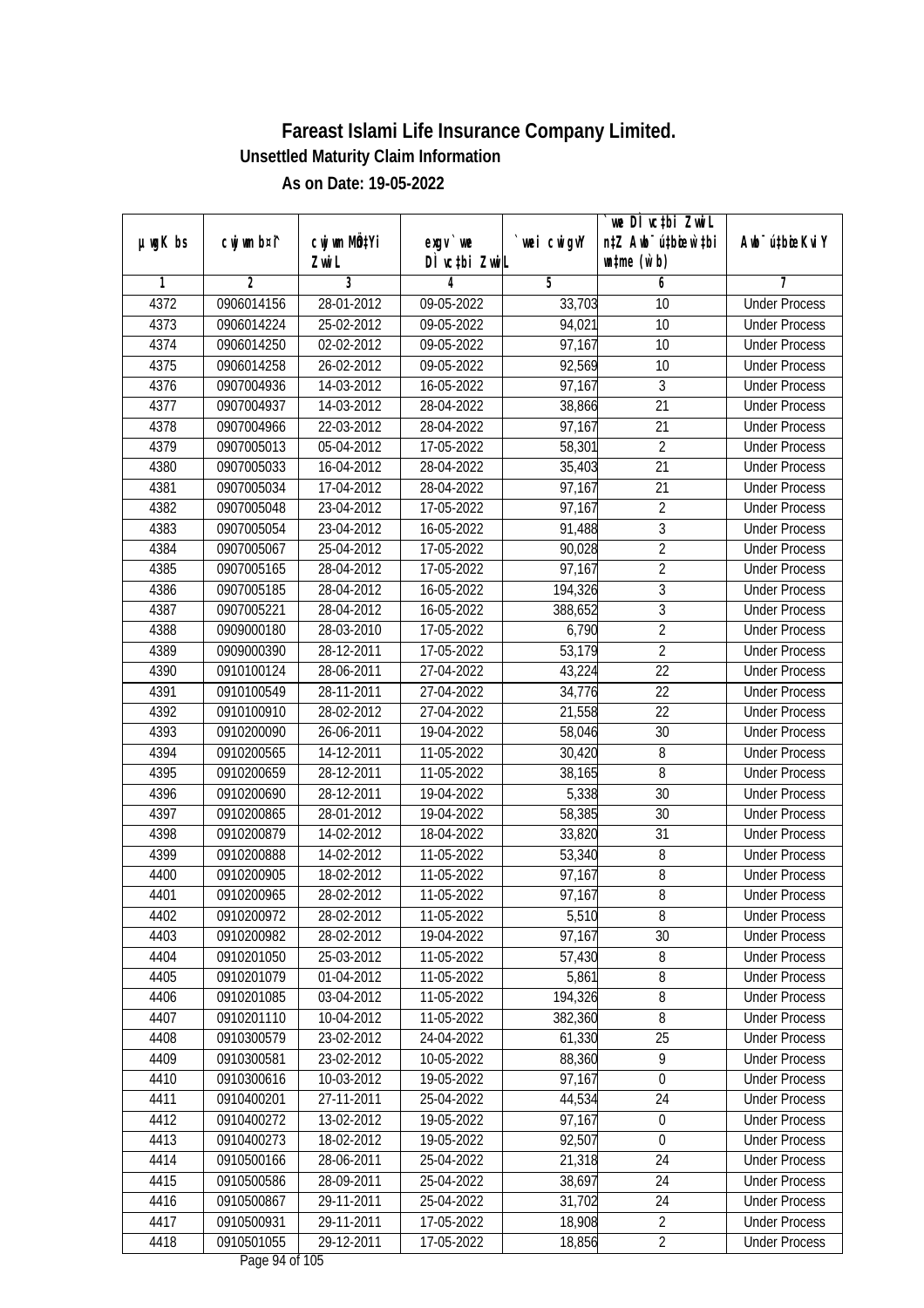| $µ$ ug $K$ bs | cwj wm b¤i^ | cwj wm MQtYi | $exgV$ we                               | `wei cwigvY | `we DÌ vc‡bi ZwiL<br>n‡Z Awb <sup>-</sup> ú‡bioen`‡bi | Awb <sup>-</sup> ú‡bioeKviY |
|---------------|-------------|--------------|-----------------------------------------|-------------|-------------------------------------------------------|-----------------------------|
|               |             | Zwi L        | DÌ vctbi ZwiL                           |             | $\n  untime\n  (u`b)\n$                               |                             |
| 1             | 2           | 3            | 4                                       | 5           | 6                                                     | 7                           |
| 4372          | 0906014156  | 28-01-2012   | 09-05-2022                              | 33,703      | 10                                                    | <b>Under Process</b>        |
| 4373          | 0906014224  | 25-02-2012   | 09-05-2022                              | 94,021      | 10                                                    | <b>Under Process</b>        |
| 4374          | 0906014250  | 02-02-2012   | 09-05-2022                              | 97,167      | 10                                                    | <b>Under Process</b>        |
| 4375          | 0906014258  | 26-02-2012   | 09-05-2022                              | 92,569      | 10                                                    | <b>Under Process</b>        |
| 4376          | 0907004936  | 14-03-2012   | 16-05-2022                              | 97,167      | 3                                                     | <b>Under Process</b>        |
| 4377          | 0907004937  | 14-03-2012   | 28-04-2022                              | 38,866      | $\overline{21}$                                       | <b>Under Process</b>        |
| 4378          | 0907004966  | 22-03-2012   | 28-04-2022                              | 97,167      | 21                                                    | <b>Under Process</b>        |
| 4379          | 0907005013  | 05-04-2012   | 17-05-2022                              | 58,301      | $\overline{2}$                                        | <b>Under Process</b>        |
| 4380          | 0907005033  | 16-04-2012   | 28-04-2022                              | 35,403      | $\overline{21}$                                       | <b>Under Process</b>        |
| 4381          | 0907005034  | 17-04-2012   | 28-04-2022                              | 97,167      | 21                                                    | <b>Under Process</b>        |
| 4382          | 0907005048  | 23-04-2012   | 17-05-2022                              | 97,167      | $\overline{2}$                                        | <b>Under Process</b>        |
| 4383          | 0907005054  | 23-04-2012   | 16-05-2022                              | 91,488      | 3                                                     | <b>Under Process</b>        |
| 4384          | 0907005067  | 25-04-2012   | 17-05-2022                              | 90,028      | $\overline{2}$                                        | <b>Under Process</b>        |
| 4385          | 0907005165  | 28-04-2012   | 17-05-2022                              | 97,167      | $\overline{2}$                                        | <b>Under Process</b>        |
| 4386          | 0907005185  | 28-04-2012   | 16-05-2022                              | 194,326     | 3                                                     | <b>Under Process</b>        |
| 4387          | 0907005221  | 28-04-2012   | 16-05-2022                              | 388,652     | $\overline{3}$                                        | <b>Under Process</b>        |
| 4388          | 0909000180  | 28-03-2010   | 17-05-2022                              | 6,790       | $\overline{2}$                                        | <b>Under Process</b>        |
| 4389          | 0909000390  | 28-12-2011   | 17-05-2022                              | 53,179      | $\overline{2}$                                        | <b>Under Process</b>        |
| 4390          | 0910100124  | 28-06-2011   | 27-04-2022                              | 43,224      | 22                                                    | <b>Under Process</b>        |
| 4391          | 0910100549  | 28-11-2011   | 27-04-2022                              | 34,776      | 22                                                    | <b>Under Process</b>        |
| 4392          | 0910100910  | 28-02-2012   | 27-04-2022                              | 21,558      | 22                                                    | <b>Under Process</b>        |
| 4393          | 0910200090  | 26-06-2011   | 19-04-2022                              | 58,046      | 30                                                    | <b>Under Process</b>        |
| 4394          | 0910200565  | 14-12-2011   | 11-05-2022                              | 30,420      | 8                                                     | <b>Under Process</b>        |
| 4395          | 0910200659  | 28-12-2011   | 11-05-2022                              | 38,165      | 8                                                     | <b>Under Process</b>        |
| 4396          | 0910200690  | 28-12-2011   | 19-04-2022                              | 5,338       | 30                                                    | <b>Under Process</b>        |
| 4397          | 0910200865  | 28-01-2012   | 19-04-2022                              | 58,385      | 30                                                    | <b>Under Process</b>        |
| 4398          | 0910200879  | 14-02-2012   | 18-04-2022                              | 33,820      | 31                                                    | <b>Under Process</b>        |
| 4399          | 0910200888  | 14-02-2012   | 11-05-2022                              | 53,340      | 8                                                     | <b>Under Process</b>        |
| 4400          | 0910200905  | 18-02-2012   | 11-05-2022                              | 97,167      | $\overline{8}$                                        | <b>Under Process</b>        |
| 4401          | 0910200965  | 28-02-2012   | 11-05-2022                              | 97,167      | $8\,$                                                 | <b>Under Process</b>        |
| 4402          | 0910200972  | 28-02-2012   | 11-05-2022                              | 5,510       | 8                                                     | <b>Under Process</b>        |
| 4403          | 0910200982  | 28-02-2012   | 19-04-2022                              | 97,167      | 30                                                    | <b>Under Process</b>        |
| 4404          | 0910201050  | 25-03-2012   | 11-05-2022                              | 57,430      | 8                                                     | <b>Under Process</b>        |
| 4405          | 0910201079  | 01-04-2012   | 11-05-2022                              | 5,861       | 8                                                     | <b>Under Process</b>        |
| 4406          | 0910201085  | 03-04-2012   | 11-05-2022                              | 194,326     | 8                                                     | <b>Under Process</b>        |
| 4407          | 0910201110  | 10-04-2012   | 11-05-2022                              | 382,360     | 8                                                     | <b>Under Process</b>        |
| 4408          | 0910300579  | 23-02-2012   | 24-04-2022                              | 61,330      | 25                                                    | <b>Under Process</b>        |
| 4409          | 0910300581  | $23-02-2012$ | 10-05-2022                              | 88,360      | 9                                                     | <b>Under Process</b>        |
| 4410          | 0910300616  | 10-03-2012   | 19-05-2022                              | 97,167      | $\boldsymbol{0}$                                      | <b>Under Process</b>        |
| 4411          | 0910400201  | 27-11-2011   | 25-04-2022                              | 44,534      | 24                                                    | <b>Under Process</b>        |
| 4412          | 0910400272  | 13-02-2012   | 19-05-2022                              | 97,167      | 0                                                     | <b>Under Process</b>        |
| 4413          | 0910400273  | 18-02-2012   | 19-05-2022                              | 92,507      | $\boldsymbol{0}$                                      | <b>Under Process</b>        |
| 4414          | 0910500166  | 28-06-2011   | 25-04-2022                              | 21,318      | $\overline{24}$                                       | <b>Under Process</b>        |
| 4415          | 0910500586  | 28-09-2011   | 25-04-2022                              | 38,697      | 24                                                    | <b>Under Process</b>        |
| 4416          | 0910500867  | 29-11-2011   | 25-04-2022                              | 31,702      | 24                                                    | <b>Under Process</b>        |
| 4417          | 0910500931  | 29-11-2011   | 17-05-2022                              | 18,908      | $\overline{2}$                                        | <b>Under Process</b>        |
| 4418          | 0910501055  | 29-12-2011   | 17-05-2022<br>$D_{0.92}$ $0.4$ of $10F$ | 18,856      | $\overline{2}$                                        | <b>Under Process</b>        |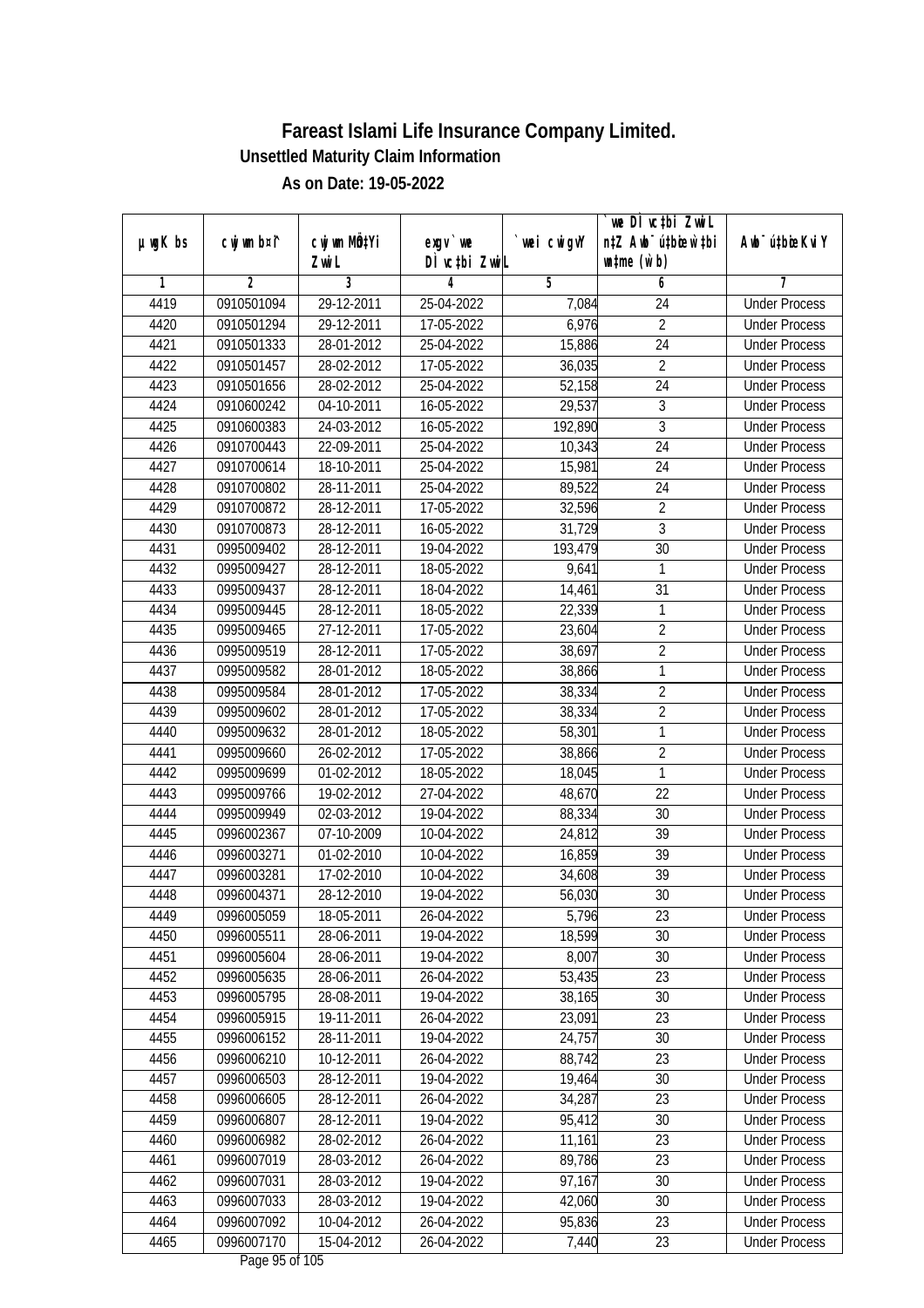|               | cwj wm b¤i^    | cwj wm MQtYi |                                    | wei cwigvY | we DI vctbi ZwiL<br>n‡Z Awb <sup>-</sup> ú‡bioen`‡bi | Awb <sup>-</sup> ú‡bioeKviY |
|---------------|----------------|--------------|------------------------------------|------------|------------------------------------------------------|-----------------------------|
| $µ$ ug $K$ bs |                | Zwi L        | exgv `we<br>DÌ vctbi ZwiL          |            | $\n  untime\n  (u`b)\n$                              |                             |
| 1             | $\overline{2}$ | 3            | 4                                  | 5          | 6                                                    | 7                           |
| 4419          | 0910501094     | 29-12-2011   | 25-04-2022                         | 7,084      | 24                                                   | <b>Under Process</b>        |
| 4420          | 0910501294     | 29-12-2011   | 17-05-2022                         | 6,976      | $\overline{2}$                                       | <b>Under Process</b>        |
| 4421          | 0910501333     | 28-01-2012   | 25-04-2022                         | 15,886     | $\overline{24}$                                      | <b>Under Process</b>        |
| 4422          | 0910501457     | 28-02-2012   | 17-05-2022                         | 36,035     | $\sqrt{2}$                                           | <b>Under Process</b>        |
| 4423          | 0910501656     | 28-02-2012   | 25-04-2022                         | 52,158     | $\overline{24}$                                      | <b>Under Process</b>        |
| 4424          | 0910600242     | 04-10-2011   | 16-05-2022                         | 29,537     | 3                                                    | <b>Under Process</b>        |
| 4425          | 0910600383     | 24-03-2012   | $16 - 05 - 2022$                   | 192,890    | $\overline{3}$                                       | <b>Under Process</b>        |
| 4426          | 0910700443     | 22-09-2011   | 25-04-2022                         | 10,343     | $\overline{24}$                                      | <b>Under Process</b>        |
| 4427          | 0910700614     | 18-10-2011   | 25-04-2022                         | 15,981     | 24                                                   | <b>Under Process</b>        |
| 4428          | 0910700802     | 28-11-2011   | 25-04-2022                         | 89,522     | 24                                                   | <b>Under Process</b>        |
| 4429          | 0910700872     | 28-12-2011   | 17-05-2022                         | 32,596     | $\overline{2}$                                       | <b>Under Process</b>        |
| 4430          | 0910700873     | 28-12-2011   | 16-05-2022                         | 31,729     | 3                                                    | <b>Under Process</b>        |
| 4431          | 0995009402     | 28-12-2011   | 19-04-2022                         | 193,479    | $\overline{30}$                                      | <b>Under Process</b>        |
| 4432          | 0995009427     | 28-12-2011   | 18-05-2022                         | 9,641      | 1                                                    | <b>Under Process</b>        |
| 4433          | 0995009437     | 28-12-2011   | 18-04-2022                         | 14,461     | 31                                                   | <b>Under Process</b>        |
| 4434          | 0995009445     | 28-12-2011   | 18-05-2022                         | 22,339     | $\mathbf{1}$                                         | <b>Under Process</b>        |
| 4435          | 0995009465     | 27-12-2011   | 17-05-2022                         | 23,604     | $\overline{2}$                                       | <b>Under Process</b>        |
| 4436          | 0995009519     | 28-12-2011   | 17-05-2022                         | 38,697     | $\overline{2}$                                       | <b>Under Process</b>        |
| 4437          | 0995009582     | 28-01-2012   | 18-05-2022                         | 38,866     | $\mathbf{1}$                                         | <b>Under Process</b>        |
| 4438          | 0995009584     | 28-01-2012   | 17-05-2022                         | 38,334     | $\overline{2}$                                       | <b>Under Process</b>        |
| 4439          | 0995009602     | 28-01-2012   | 17-05-2022                         | 38,334     | $\overline{2}$                                       | <b>Under Process</b>        |
| 4440          | 0995009632     | 28-01-2012   | 18-05-2022                         | 58,301     | 1                                                    | <b>Under Process</b>        |
| 4441          | 0995009660     | 26-02-2012   | 17-05-2022                         | 38,866     | $\overline{2}$                                       | <b>Under Process</b>        |
| 4442          | 0995009699     | 01-02-2012   | 18-05-2022                         | 18,045     | $\mathbf{1}$                                         | <b>Under Process</b>        |
| 4443          | 0995009766     | 19-02-2012   | 27-04-2022                         | 48,670     | 22                                                   | <b>Under Process</b>        |
| 4444          | 0995009949     | 02-03-2012   | 19-04-2022                         | 88,334     | 30                                                   | <b>Under Process</b>        |
| 4445          | 0996002367     | 07-10-2009   | 10-04-2022                         | 24,812     | 39                                                   | <b>Under Process</b>        |
| 4446          | 0996003271     | 01-02-2010   | 10-04-2022                         | 16,859     | 39                                                   | <b>Under Process</b>        |
| 4447          | 0996003281     | 17-02-2010   | 10-04-2022                         | 34,608     | 39                                                   | <b>Under Process</b>        |
| 4448          | 0996004371     | 28-12-2010   | 19-04-2022                         | 56,030     | 30                                                   | <b>Under Process</b>        |
| 4449          | 0996005059     | 18-05-2011   | 26-04-2022                         | 5,796      | 23                                                   | <b>Under Process</b>        |
| 4450          | 0996005511     | 28-06-2011   | 19-04-2022                         | 18,599     | 30                                                   | <b>Under Process</b>        |
| 4451          | 0996005604     | 28-06-2011   | 19-04-2022                         | 8,007      | 30                                                   | <b>Under Process</b>        |
| 4452          | 0996005635     | 28-06-2011   | 26-04-2022                         | 53,435     | 23                                                   | <b>Under Process</b>        |
| 4453          | 0996005795     | 28-08-2011   | 19-04-2022                         | 38,165     | 30                                                   | <b>Under Process</b>        |
| 4454          | 0996005915     | 19-11-2011   | 26-04-2022                         | 23,091     | 23                                                   | <b>Under Process</b>        |
| 4455          | 0996006152     | 28-11-2011   | 19-04-2022                         | 24,757     | 30                                                   | <b>Under Process</b>        |
| 4456          | 0996006210     | 10-12-2011   | 26-04-2022                         | 88,742     | $\overline{23}$                                      | <b>Under Process</b>        |
| 4457          | 0996006503     | 28-12-2011   | 19-04-2022                         | 19,464     | 30                                                   | <b>Under Process</b>        |
| 4458          | 0996006605     | 28-12-2011   | 26-04-2022                         | 34,287     | 23                                                   | <b>Under Process</b>        |
| 4459          | 0996006807     | 28-12-2011   | 19-04-2022                         | 95,412     | 30                                                   | <b>Under Process</b>        |
| 4460          | 0996006982     | 28-02-2012   | 26-04-2022                         | 11,161     | 23                                                   | <b>Under Process</b>        |
| 4461          | 0996007019     | 28-03-2012   | 26-04-2022                         | 89,786     | 23                                                   | <b>Under Process</b>        |
| 4462          | 0996007031     | 28-03-2012   | 19-04-2022                         | 97,167     | 30                                                   | <b>Under Process</b>        |
| 4463          | 0996007033     | 28-03-2012   | 19-04-2022                         | 42,060     | 30                                                   | <b>Under Process</b>        |
| 4464          | 0996007092     | 10-04-2012   | 26-04-2022                         | 95,836     | 23                                                   | <b>Under Process</b>        |
| 4465          | 0996007170     | 15-04-2012   | 26-04-2022<br>$D_{0.92}$ OF of 10E | 7,440      | 23                                                   | <b>Under Process</b>        |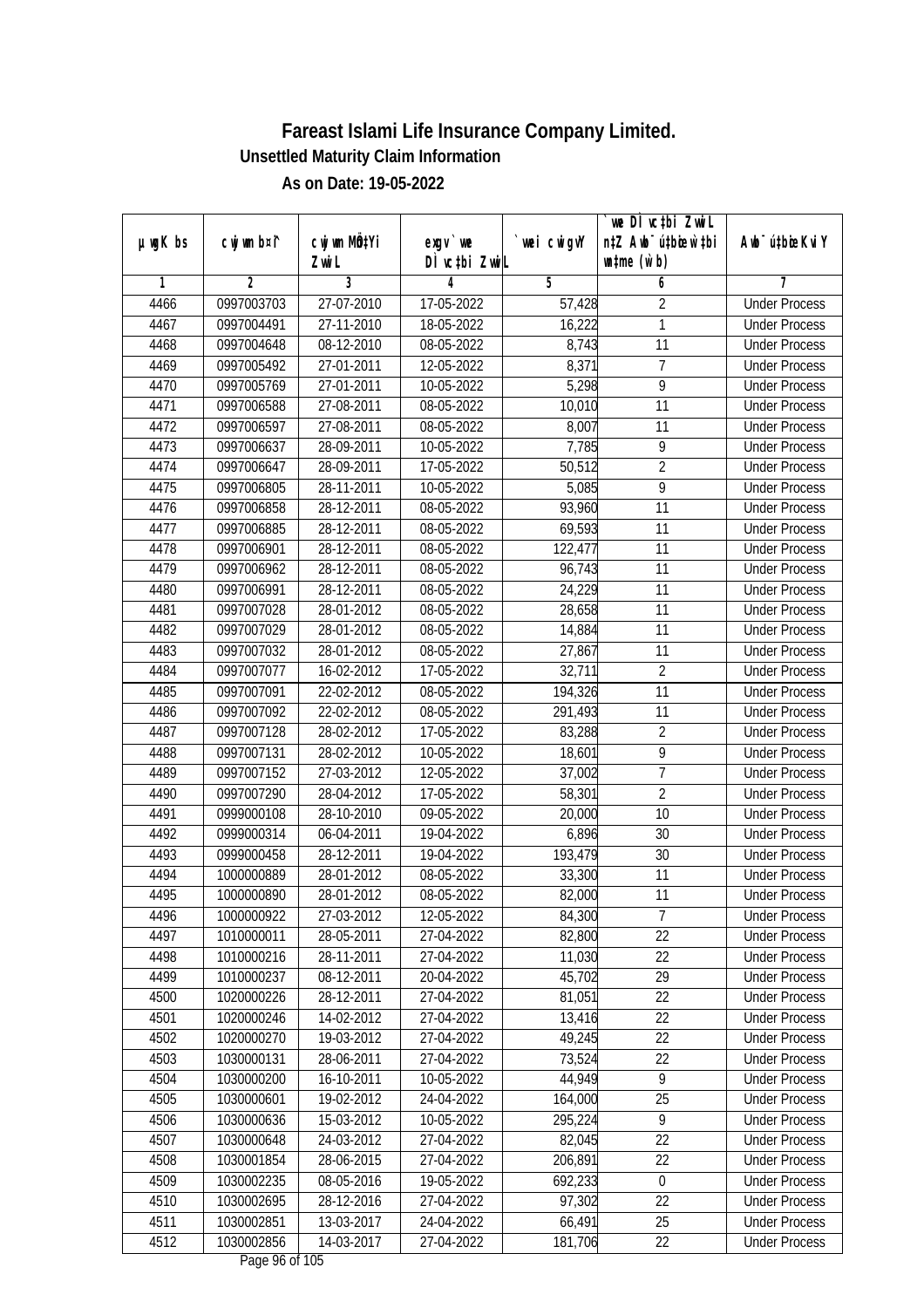|               |                |                           |               |                | we DI vctbi ZwiL                 |                             |
|---------------|----------------|---------------------------|---------------|----------------|----------------------------------|-----------------------------|
| $µ$ ug $K$ bs | cwj wm b¤i^    | cwj wm MQ <sup>1</sup> Yi | $exgV$ we     | `wei cwigvY    | n‡Z Awb <sup>-</sup> ú‡bioen`‡bi | Awb <sup>-</sup> ú‡bioeKviY |
|               |                | Zwi L                     | DÌ vctbi ZwiL |                | $\n  untime\n  (u`b)\n$          |                             |
| 1             | $\overline{2}$ | 3                         | 4             | $\overline{5}$ | 6                                | 7                           |
| 4466          | 0997003703     | 27-07-2010                | 17-05-2022    | 57,428         | $\overline{2}$                   | <b>Under Process</b>        |
| 4467          | 0997004491     | 27-11-2010                | 18-05-2022    | 16,222         | 1                                | <b>Under Process</b>        |
| 4468          | 0997004648     | 08-12-2010                | 08-05-2022    | 8,743          | 11                               | <b>Under Process</b>        |
| 4469          | 0997005492     | 27-01-2011                | 12-05-2022    | 8,371          | $\overline{1}$                   | <b>Under Process</b>        |
| 4470          | 0997005769     | 27-01-2011                | 10-05-2022    | 5,298          | $\overline{9}$                   | <b>Under Process</b>        |
| 4471          | 0997006588     | 27-08-2011                | 08-05-2022    | 10,010         | 11                               | <b>Under Process</b>        |
| 4472          | 0997006597     | 27-08-2011                | $08-05-2022$  | 8,007          | 11                               | <b>Under Process</b>        |
| 4473          | 0997006637     | 28-09-2011                | 10-05-2022    | 7,785          | 9                                | <b>Under Process</b>        |
| 4474          | 0997006647     | 28-09-2011                | 17-05-2022    | 50,512         | $\overline{2}$                   | <b>Under Process</b>        |
| 4475          | 0997006805     | 28-11-2011                | 10-05-2022    | 5,085          | $\overline{9}$                   | <b>Under Process</b>        |
| 4476          | 0997006858     | 28-12-2011                | 08-05-2022    | 93,960         | $\overline{11}$                  | <b>Under Process</b>        |
| 4477          | 0997006885     | 28-12-2011                | 08-05-2022    | 69,593         | 11                               | <b>Under Process</b>        |
| 4478          | 0997006901     | 28-12-2011                | 08-05-2022    | 122,477        | $\overline{11}$                  | <b>Under Process</b>        |
| 4479          | 0997006962     | 28-12-2011                | 08-05-2022    | 96,743         | 11                               | <b>Under Process</b>        |
| 4480          | 0997006991     | 28-12-2011                | 08-05-2022    | 24,229         | 11                               | <b>Under Process</b>        |
| 4481          | 0997007028     | 28-01-2012                | 08-05-2022    | 28,658         | 11                               | <b>Under Process</b>        |
| 4482          | 0997007029     | 28-01-2012                | 08-05-2022    | 14,884         | 11                               | <b>Under Process</b>        |
| 4483          | 0997007032     | 28-01-2012                | 08-05-2022    | 27,867         | 11                               | <b>Under Process</b>        |
| 4484          | 0997007077     | 16-02-2012                | 17-05-2022    | 32,711         | $\overline{2}$                   | <b>Under Process</b>        |
| 4485          | 0997007091     | 22-02-2012                | 08-05-2022    | 194,326        | 11                               | <b>Under Process</b>        |
| 4486          | 0997007092     | 22-02-2012                | 08-05-2022    | 291,493        | 11                               | <b>Under Process</b>        |
| 4487          | 0997007128     | 28-02-2012                | 17-05-2022    | 83,288         | $\overline{2}$                   | <b>Under Process</b>        |
| 4488          | 0997007131     | 28-02-2012                | 10-05-2022    | 18,601         | $\overline{9}$                   | <b>Under Process</b>        |
| 4489          | 0997007152     | 27-03-2012                | 12-05-2022    | 37,002         | $\overline{7}$                   | <b>Under Process</b>        |
| 4490          | 0997007290     | 28-04-2012                | 17-05-2022    | 58,301         | $\overline{2}$                   | <b>Under Process</b>        |
| 4491          | 0999000108     | 28-10-2010                | 09-05-2022    | 20,000         | 10                               | <b>Under Process</b>        |
| 4492          | 0999000314     | 06-04-2011                | 19-04-2022    | 6,896          | 30                               | <b>Under Process</b>        |
| 4493          | 0999000458     | 28-12-2011                | 19-04-2022    | 193,479        | 30                               | <b>Under Process</b>        |
| 4494          | 1000000889     | 28-01-2012                | 08-05-2022    | 33,300         | 11                               | <b>Under Process</b>        |
| 4495          | 1000000890     | 28-01-2012                | 08-05-2022    | 82,000         | 11                               | <b>Under Process</b>        |
| 4496          | 1000000922     | 27-03-2012                | 12-05-2022    | 84,300         | 7                                | <b>Under Process</b>        |
| 4497          | 1010000011     | 28-05-2011                | 27-04-2022    | 82,800         | 22                               | <b>Under Process</b>        |
| 4498          | 1010000216     | 28-11-2011                | 27-04-2022    | 11,030         | 22                               | <b>Under Process</b>        |
| 4499          | 1010000237     | 08-12-2011                | 20-04-2022    | 45,702         | 29                               | <b>Under Process</b>        |
| 4500          | 1020000226     | 28-12-2011                | 27-04-2022    | 81,051         | 22                               | <b>Under Process</b>        |
| 4501          | 1020000246     | 14-02-2012                | 27-04-2022    | 13,416         | 22                               | <b>Under Process</b>        |
| 4502          | 1020000270     | 19-03-2012                | 27-04-2022    | 49,245         | 22                               | <b>Under Process</b>        |
| 4503          | 1030000131     | 28-06-2011                | 27-04-2022    | 73,524         | $\overline{22}$                  | <b>Under Process</b>        |
| 4504          | 1030000200     | 16-10-2011                | 10-05-2022    | 44,949         | $\overline{9}$                   | <b>Under Process</b>        |
| 4505          | 1030000601     | 19-02-2012                | 24-04-2022    | 164,000        | 25                               | <b>Under Process</b>        |
| 4506          | 1030000636     | 15-03-2012                | 10-05-2022    | 295,224        | 9                                | <b>Under Process</b>        |
| 4507          | 1030000648     | 24-03-2012                | 27-04-2022    | 82,045         | 22                               | <b>Under Process</b>        |
| 4508          | 1030001854     | 28-06-2015                | 27-04-2022    | 206,891        | $\overline{22}$                  | <b>Under Process</b>        |
| 4509          | 1030002235     | $08 - 05 - 2016$          | 19-05-2022    | 692,233        | $\boldsymbol{0}$                 | <b>Under Process</b>        |
| 4510          | 1030002695     | 28-12-2016                | 27-04-2022    | 97,302         | 22                               | <b>Under Process</b>        |
| 4511          | 1030002851     | 13-03-2017                | 24-04-2022    | 66,491         | 25                               | <b>Under Process</b>        |
| 4512          | 1030002856     | 14-03-2017                | 27-04-2022    | 181,706        | 22                               | <b>Under Process</b>        |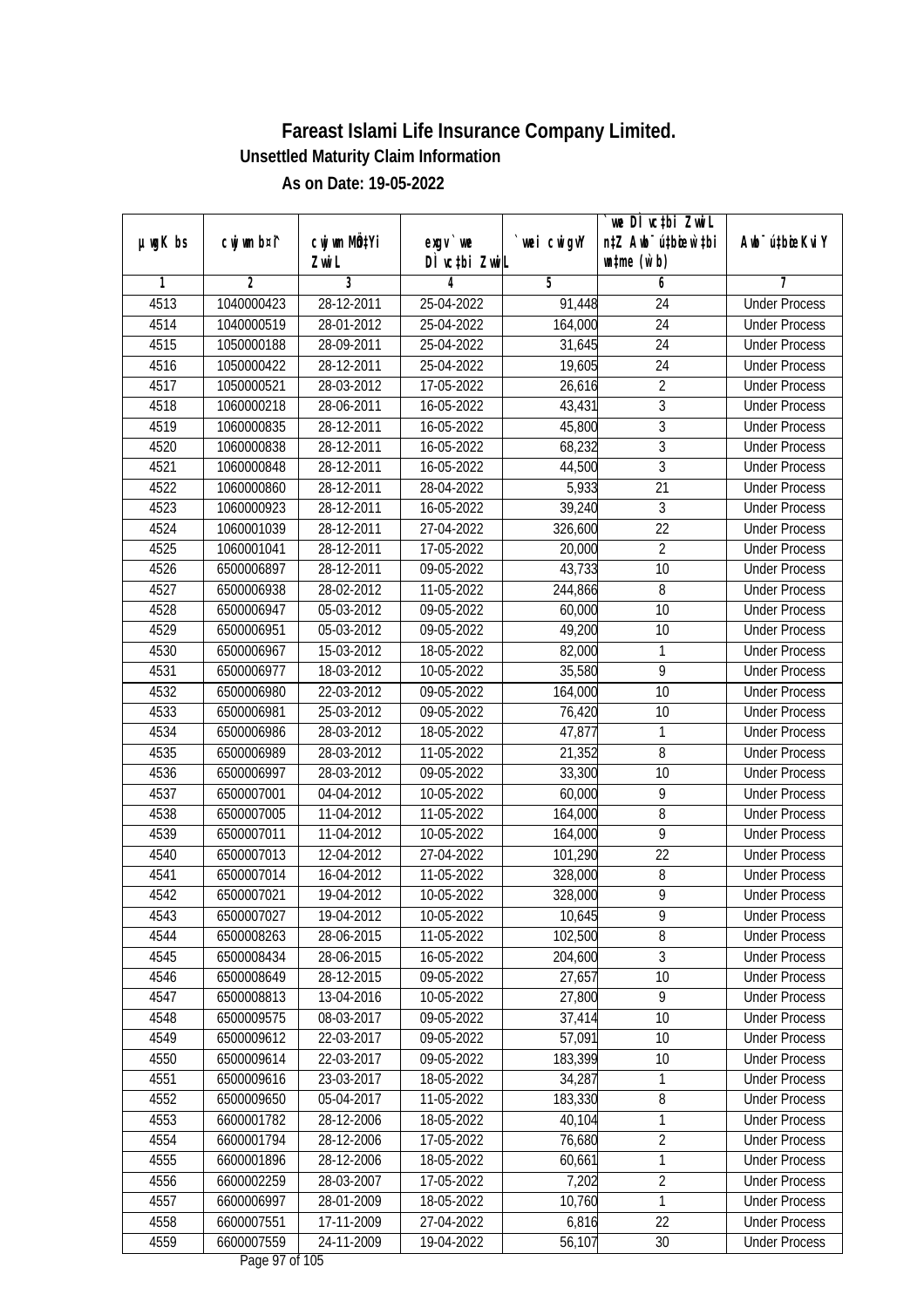| DÌ vctbi ZwiL<br>$\n  untime\n  (u`b)\n$<br>Zwi L<br>3<br>$\overline{2}$<br>5<br>6<br>1<br>4<br>7<br>4513<br><b>Under Process</b><br>1040000423<br>28-12-2011<br>25-04-2022<br>91,448<br>24<br>$\overline{24}$<br>4514<br>1040000519<br>28-01-2012<br>25-04-2022<br>164,000<br><b>Under Process</b><br>$\overline{24}$<br>4515<br>28-09-2011<br>25-04-2022<br>31,645<br><b>Under Process</b><br>1050000188<br>4516<br>28-12-2011<br>25-04-2022<br>24<br>1050000422<br>19,605<br><b>Under Process</b><br>$\overline{2}$<br>4517<br>1050000521<br>28-03-2012<br>17-05-2022<br>26,616<br><b>Under Process</b><br>3<br>4518<br>1060000218<br>28-06-2011<br>16-05-2022<br>43,431<br><b>Under Process</b><br>$\overline{3}$<br>45,800<br>4519<br>1060000835<br>28-12-2011<br>16-05-2022<br><b>Under Process</b><br>$\overline{3}$<br>4520<br>1060000838<br>28-12-2011<br>16-05-2022<br>68,232<br><b>Under Process</b><br>$\overline{3}$<br>4521<br>1060000848<br>28-12-2011<br>16-05-2022<br>44,500<br><b>Under Process</b><br>4522<br>21<br>1060000860<br>28-12-2011<br>28-04-2022<br>5,933<br><b>Under Process</b><br>4523<br>39,240<br>$\overline{3}$<br>1060000923<br>28-12-2011<br>16-05-2022<br><b>Under Process</b><br>22<br>4524<br>27-04-2022<br>1060001039<br>28-12-2011<br>326,600<br><b>Under Process</b><br>$\overline{2}$<br>4525<br>1060001041<br>28-12-2011<br>17-05-2022<br>20,000<br><b>Under Process</b><br>4526<br>28-12-2011<br>09-05-2022<br>43,733<br>10<br>6500006897<br><b>Under Process</b><br>4527<br>6500006938<br>28-02-2012<br>11-05-2022<br>244,866<br>8<br><b>Under Process</b><br>4528<br>6500006947<br>05-03-2012<br>09-05-2022<br>60,000<br>10<br><b>Under Process</b><br>4529<br>49,200<br>6500006951<br>05-03-2012<br>09-05-2022<br>10<br><b>Under Process</b><br>4530<br>15-03-2012<br>18-05-2022<br>82,000<br>1<br>6500006967<br><b>Under Process</b><br>$\overline{9}$<br>4531<br>6500006977<br>18-03-2012<br>10-05-2022<br>35,580<br><b>Under Process</b><br>4532<br>22-03-2012<br>10<br>6500006980<br>09-05-2022<br>164,000<br><b>Under Process</b><br>10<br>4533<br>6500006981<br>25-03-2012<br>09-05-2022<br>76,420<br><b>Under Process</b><br>4534<br>47,877<br>6500006986<br>28-03-2012<br>18-05-2022<br>1<br><b>Under Process</b><br>8<br>4535<br>28-03-2012<br>11-05-2022<br>21,352<br>6500006989<br><b>Under Process</b><br>4536<br>10<br>28-03-2012<br>09-05-2022<br>33,300<br>6500006997<br><b>Under Process</b><br>9<br>4537<br>6500007001<br>04-04-2012<br>10-05-2022<br>60,000<br><b>Under Process</b><br>4538<br>6500007005<br>11-04-2012<br>11-05-2022<br>164,000<br>8<br><b>Under Process</b><br>9<br>4539<br>6500007011<br>11-04-2012<br>10-05-2022<br>164,000<br><b>Under Process</b><br>22<br>4540<br>12-04-2012<br>27-04-2022<br>101,290<br>6500007013<br><b>Under Process</b><br>8<br>4541<br>6500007014<br>16-04-2012<br>11-05-2022<br>328,000<br><b>Under Process</b><br>$\overline{9}$<br>4542<br>6500007021<br>19-04-2012<br>10-05-2022<br>328,000<br><b>Under Process</b><br>4543<br>6500007027<br>19-04-2012<br>10-05-2022<br>10,645<br>9<br><b>Under Process</b><br>$8\,$<br>6500008263<br>102,500<br>4544<br>28-06-2015<br>11-05-2022<br><b>Under Process</b><br>3<br>4545<br>204,600<br>6500008434<br>28-06-2015<br>16-05-2022<br><b>Under Process</b><br>10<br>28-12-2015<br>4546<br>6500008649<br>09-05-2022<br>27,657<br><b>Under Process</b><br>27,800<br>9<br>4547<br>6500008813<br>13-04-2016<br>10-05-2022<br><b>Under Process</b><br>4548<br>6500009575<br>08-03-2017<br>09-05-2022<br>37,414<br>10<br><b>Under Process</b><br>4549<br>57,091<br>10<br>6500009612<br>22-03-2017<br>09-05-2022<br><b>Under Process</b><br>22-03-2017<br>183,399<br>10<br>4550<br>6500009614<br>09-05-2022<br><b>Under Process</b><br>34,287<br>4551<br>6500009616<br>23-03-2017<br>18-05-2022<br>1<br><b>Under Process</b><br>183,330<br>8<br>4552<br>6500009650<br>05-04-2017<br>11-05-2022<br><b>Under Process</b><br>4553<br>6600001782<br>28-12-2006<br>18-05-2022<br>40,104<br><b>Under Process</b><br>1<br>$\overline{2}$<br>4554<br>6600001794<br>28-12-2006<br>17-05-2022<br>76,680<br><b>Under Process</b><br>4555<br>6600001896<br>28-12-2006<br>60,661<br>1<br>18-05-2022<br><b>Under Process</b><br>$\overline{2}$<br>6600002259<br>28-03-2007<br>7,202<br>4556<br>17-05-2022<br><b>Under Process</b><br>1<br>4557<br>10,760<br>6600006997<br>28-01-2009<br>18-05-2022<br><b>Under Process</b><br>6,816<br>4558<br>6600007551<br>17-11-2009<br>27-04-2022<br>22<br><b>Under Process</b><br>4559<br>6600007559<br>24-11-2009<br>56,107<br>19-04-2022<br>30<br><b>Under Process</b> |               |             |                           |           |             | we DI vctbi ZwiL                 |                             |
|-------------------------------------------------------------------------------------------------------------------------------------------------------------------------------------------------------------------------------------------------------------------------------------------------------------------------------------------------------------------------------------------------------------------------------------------------------------------------------------------------------------------------------------------------------------------------------------------------------------------------------------------------------------------------------------------------------------------------------------------------------------------------------------------------------------------------------------------------------------------------------------------------------------------------------------------------------------------------------------------------------------------------------------------------------------------------------------------------------------------------------------------------------------------------------------------------------------------------------------------------------------------------------------------------------------------------------------------------------------------------------------------------------------------------------------------------------------------------------------------------------------------------------------------------------------------------------------------------------------------------------------------------------------------------------------------------------------------------------------------------------------------------------------------------------------------------------------------------------------------------------------------------------------------------------------------------------------------------------------------------------------------------------------------------------------------------------------------------------------------------------------------------------------------------------------------------------------------------------------------------------------------------------------------------------------------------------------------------------------------------------------------------------------------------------------------------------------------------------------------------------------------------------------------------------------------------------------------------------------------------------------------------------------------------------------------------------------------------------------------------------------------------------------------------------------------------------------------------------------------------------------------------------------------------------------------------------------------------------------------------------------------------------------------------------------------------------------------------------------------------------------------------------------------------------------------------------------------------------------------------------------------------------------------------------------------------------------------------------------------------------------------------------------------------------------------------------------------------------------------------------------------------------------------------------------------------------------------------------------------------------------------------------------------------------------------------------------------------------------------------------------------------------------------------------------------------------------------------------------------------------------------------------------------------------------------------------------------------------------------------------------------------------------------------------------------------------------------------------------------------------------------------------------------------------------------------------------------------------------------------------------------------------------------------------------------------------------------------------------------------------------------------------------------------------------------------------------------------------------------------------------------------------------------------------------------------------------------------------------------------------------------------------|---------------|-------------|---------------------------|-----------|-------------|----------------------------------|-----------------------------|
|                                                                                                                                                                                                                                                                                                                                                                                                                                                                                                                                                                                                                                                                                                                                                                                                                                                                                                                                                                                                                                                                                                                                                                                                                                                                                                                                                                                                                                                                                                                                                                                                                                                                                                                                                                                                                                                                                                                                                                                                                                                                                                                                                                                                                                                                                                                                                                                                                                                                                                                                                                                                                                                                                                                                                                                                                                                                                                                                                                                                                                                                                                                                                                                                                                                                                                                                                                                                                                                                                                                                                                                                                                                                                                                                                                                                                                                                                                                                                                                                                                                                                                                                                                                                                                                                                                                                                                                                                                                                                                                                                                                                                                                       | $µ$ ug $K$ bs | cwj wm b¤i^ | cwj wm MQ <sup>1</sup> Yi | $exgV$ we | `wei cwigvY | n‡Z Awb <sup>-</sup> ú‡bioar`‡bi | Awb <sup>-</sup> ú‡bioeKviY |
|                                                                                                                                                                                                                                                                                                                                                                                                                                                                                                                                                                                                                                                                                                                                                                                                                                                                                                                                                                                                                                                                                                                                                                                                                                                                                                                                                                                                                                                                                                                                                                                                                                                                                                                                                                                                                                                                                                                                                                                                                                                                                                                                                                                                                                                                                                                                                                                                                                                                                                                                                                                                                                                                                                                                                                                                                                                                                                                                                                                                                                                                                                                                                                                                                                                                                                                                                                                                                                                                                                                                                                                                                                                                                                                                                                                                                                                                                                                                                                                                                                                                                                                                                                                                                                                                                                                                                                                                                                                                                                                                                                                                                                                       |               |             |                           |           |             |                                  |                             |
|                                                                                                                                                                                                                                                                                                                                                                                                                                                                                                                                                                                                                                                                                                                                                                                                                                                                                                                                                                                                                                                                                                                                                                                                                                                                                                                                                                                                                                                                                                                                                                                                                                                                                                                                                                                                                                                                                                                                                                                                                                                                                                                                                                                                                                                                                                                                                                                                                                                                                                                                                                                                                                                                                                                                                                                                                                                                                                                                                                                                                                                                                                                                                                                                                                                                                                                                                                                                                                                                                                                                                                                                                                                                                                                                                                                                                                                                                                                                                                                                                                                                                                                                                                                                                                                                                                                                                                                                                                                                                                                                                                                                                                                       |               |             |                           |           |             |                                  |                             |
|                                                                                                                                                                                                                                                                                                                                                                                                                                                                                                                                                                                                                                                                                                                                                                                                                                                                                                                                                                                                                                                                                                                                                                                                                                                                                                                                                                                                                                                                                                                                                                                                                                                                                                                                                                                                                                                                                                                                                                                                                                                                                                                                                                                                                                                                                                                                                                                                                                                                                                                                                                                                                                                                                                                                                                                                                                                                                                                                                                                                                                                                                                                                                                                                                                                                                                                                                                                                                                                                                                                                                                                                                                                                                                                                                                                                                                                                                                                                                                                                                                                                                                                                                                                                                                                                                                                                                                                                                                                                                                                                                                                                                                                       |               |             |                           |           |             |                                  |                             |
|                                                                                                                                                                                                                                                                                                                                                                                                                                                                                                                                                                                                                                                                                                                                                                                                                                                                                                                                                                                                                                                                                                                                                                                                                                                                                                                                                                                                                                                                                                                                                                                                                                                                                                                                                                                                                                                                                                                                                                                                                                                                                                                                                                                                                                                                                                                                                                                                                                                                                                                                                                                                                                                                                                                                                                                                                                                                                                                                                                                                                                                                                                                                                                                                                                                                                                                                                                                                                                                                                                                                                                                                                                                                                                                                                                                                                                                                                                                                                                                                                                                                                                                                                                                                                                                                                                                                                                                                                                                                                                                                                                                                                                                       |               |             |                           |           |             |                                  |                             |
|                                                                                                                                                                                                                                                                                                                                                                                                                                                                                                                                                                                                                                                                                                                                                                                                                                                                                                                                                                                                                                                                                                                                                                                                                                                                                                                                                                                                                                                                                                                                                                                                                                                                                                                                                                                                                                                                                                                                                                                                                                                                                                                                                                                                                                                                                                                                                                                                                                                                                                                                                                                                                                                                                                                                                                                                                                                                                                                                                                                                                                                                                                                                                                                                                                                                                                                                                                                                                                                                                                                                                                                                                                                                                                                                                                                                                                                                                                                                                                                                                                                                                                                                                                                                                                                                                                                                                                                                                                                                                                                                                                                                                                                       |               |             |                           |           |             |                                  |                             |
|                                                                                                                                                                                                                                                                                                                                                                                                                                                                                                                                                                                                                                                                                                                                                                                                                                                                                                                                                                                                                                                                                                                                                                                                                                                                                                                                                                                                                                                                                                                                                                                                                                                                                                                                                                                                                                                                                                                                                                                                                                                                                                                                                                                                                                                                                                                                                                                                                                                                                                                                                                                                                                                                                                                                                                                                                                                                                                                                                                                                                                                                                                                                                                                                                                                                                                                                                                                                                                                                                                                                                                                                                                                                                                                                                                                                                                                                                                                                                                                                                                                                                                                                                                                                                                                                                                                                                                                                                                                                                                                                                                                                                                                       |               |             |                           |           |             |                                  |                             |
|                                                                                                                                                                                                                                                                                                                                                                                                                                                                                                                                                                                                                                                                                                                                                                                                                                                                                                                                                                                                                                                                                                                                                                                                                                                                                                                                                                                                                                                                                                                                                                                                                                                                                                                                                                                                                                                                                                                                                                                                                                                                                                                                                                                                                                                                                                                                                                                                                                                                                                                                                                                                                                                                                                                                                                                                                                                                                                                                                                                                                                                                                                                                                                                                                                                                                                                                                                                                                                                                                                                                                                                                                                                                                                                                                                                                                                                                                                                                                                                                                                                                                                                                                                                                                                                                                                                                                                                                                                                                                                                                                                                                                                                       |               |             |                           |           |             |                                  |                             |
|                                                                                                                                                                                                                                                                                                                                                                                                                                                                                                                                                                                                                                                                                                                                                                                                                                                                                                                                                                                                                                                                                                                                                                                                                                                                                                                                                                                                                                                                                                                                                                                                                                                                                                                                                                                                                                                                                                                                                                                                                                                                                                                                                                                                                                                                                                                                                                                                                                                                                                                                                                                                                                                                                                                                                                                                                                                                                                                                                                                                                                                                                                                                                                                                                                                                                                                                                                                                                                                                                                                                                                                                                                                                                                                                                                                                                                                                                                                                                                                                                                                                                                                                                                                                                                                                                                                                                                                                                                                                                                                                                                                                                                                       |               |             |                           |           |             |                                  |                             |
|                                                                                                                                                                                                                                                                                                                                                                                                                                                                                                                                                                                                                                                                                                                                                                                                                                                                                                                                                                                                                                                                                                                                                                                                                                                                                                                                                                                                                                                                                                                                                                                                                                                                                                                                                                                                                                                                                                                                                                                                                                                                                                                                                                                                                                                                                                                                                                                                                                                                                                                                                                                                                                                                                                                                                                                                                                                                                                                                                                                                                                                                                                                                                                                                                                                                                                                                                                                                                                                                                                                                                                                                                                                                                                                                                                                                                                                                                                                                                                                                                                                                                                                                                                                                                                                                                                                                                                                                                                                                                                                                                                                                                                                       |               |             |                           |           |             |                                  |                             |
|                                                                                                                                                                                                                                                                                                                                                                                                                                                                                                                                                                                                                                                                                                                                                                                                                                                                                                                                                                                                                                                                                                                                                                                                                                                                                                                                                                                                                                                                                                                                                                                                                                                                                                                                                                                                                                                                                                                                                                                                                                                                                                                                                                                                                                                                                                                                                                                                                                                                                                                                                                                                                                                                                                                                                                                                                                                                                                                                                                                                                                                                                                                                                                                                                                                                                                                                                                                                                                                                                                                                                                                                                                                                                                                                                                                                                                                                                                                                                                                                                                                                                                                                                                                                                                                                                                                                                                                                                                                                                                                                                                                                                                                       |               |             |                           |           |             |                                  |                             |
|                                                                                                                                                                                                                                                                                                                                                                                                                                                                                                                                                                                                                                                                                                                                                                                                                                                                                                                                                                                                                                                                                                                                                                                                                                                                                                                                                                                                                                                                                                                                                                                                                                                                                                                                                                                                                                                                                                                                                                                                                                                                                                                                                                                                                                                                                                                                                                                                                                                                                                                                                                                                                                                                                                                                                                                                                                                                                                                                                                                                                                                                                                                                                                                                                                                                                                                                                                                                                                                                                                                                                                                                                                                                                                                                                                                                                                                                                                                                                                                                                                                                                                                                                                                                                                                                                                                                                                                                                                                                                                                                                                                                                                                       |               |             |                           |           |             |                                  |                             |
|                                                                                                                                                                                                                                                                                                                                                                                                                                                                                                                                                                                                                                                                                                                                                                                                                                                                                                                                                                                                                                                                                                                                                                                                                                                                                                                                                                                                                                                                                                                                                                                                                                                                                                                                                                                                                                                                                                                                                                                                                                                                                                                                                                                                                                                                                                                                                                                                                                                                                                                                                                                                                                                                                                                                                                                                                                                                                                                                                                                                                                                                                                                                                                                                                                                                                                                                                                                                                                                                                                                                                                                                                                                                                                                                                                                                                                                                                                                                                                                                                                                                                                                                                                                                                                                                                                                                                                                                                                                                                                                                                                                                                                                       |               |             |                           |           |             |                                  |                             |
|                                                                                                                                                                                                                                                                                                                                                                                                                                                                                                                                                                                                                                                                                                                                                                                                                                                                                                                                                                                                                                                                                                                                                                                                                                                                                                                                                                                                                                                                                                                                                                                                                                                                                                                                                                                                                                                                                                                                                                                                                                                                                                                                                                                                                                                                                                                                                                                                                                                                                                                                                                                                                                                                                                                                                                                                                                                                                                                                                                                                                                                                                                                                                                                                                                                                                                                                                                                                                                                                                                                                                                                                                                                                                                                                                                                                                                                                                                                                                                                                                                                                                                                                                                                                                                                                                                                                                                                                                                                                                                                                                                                                                                                       |               |             |                           |           |             |                                  |                             |
|                                                                                                                                                                                                                                                                                                                                                                                                                                                                                                                                                                                                                                                                                                                                                                                                                                                                                                                                                                                                                                                                                                                                                                                                                                                                                                                                                                                                                                                                                                                                                                                                                                                                                                                                                                                                                                                                                                                                                                                                                                                                                                                                                                                                                                                                                                                                                                                                                                                                                                                                                                                                                                                                                                                                                                                                                                                                                                                                                                                                                                                                                                                                                                                                                                                                                                                                                                                                                                                                                                                                                                                                                                                                                                                                                                                                                                                                                                                                                                                                                                                                                                                                                                                                                                                                                                                                                                                                                                                                                                                                                                                                                                                       |               |             |                           |           |             |                                  |                             |
|                                                                                                                                                                                                                                                                                                                                                                                                                                                                                                                                                                                                                                                                                                                                                                                                                                                                                                                                                                                                                                                                                                                                                                                                                                                                                                                                                                                                                                                                                                                                                                                                                                                                                                                                                                                                                                                                                                                                                                                                                                                                                                                                                                                                                                                                                                                                                                                                                                                                                                                                                                                                                                                                                                                                                                                                                                                                                                                                                                                                                                                                                                                                                                                                                                                                                                                                                                                                                                                                                                                                                                                                                                                                                                                                                                                                                                                                                                                                                                                                                                                                                                                                                                                                                                                                                                                                                                                                                                                                                                                                                                                                                                                       |               |             |                           |           |             |                                  |                             |
|                                                                                                                                                                                                                                                                                                                                                                                                                                                                                                                                                                                                                                                                                                                                                                                                                                                                                                                                                                                                                                                                                                                                                                                                                                                                                                                                                                                                                                                                                                                                                                                                                                                                                                                                                                                                                                                                                                                                                                                                                                                                                                                                                                                                                                                                                                                                                                                                                                                                                                                                                                                                                                                                                                                                                                                                                                                                                                                                                                                                                                                                                                                                                                                                                                                                                                                                                                                                                                                                                                                                                                                                                                                                                                                                                                                                                                                                                                                                                                                                                                                                                                                                                                                                                                                                                                                                                                                                                                                                                                                                                                                                                                                       |               |             |                           |           |             |                                  |                             |
|                                                                                                                                                                                                                                                                                                                                                                                                                                                                                                                                                                                                                                                                                                                                                                                                                                                                                                                                                                                                                                                                                                                                                                                                                                                                                                                                                                                                                                                                                                                                                                                                                                                                                                                                                                                                                                                                                                                                                                                                                                                                                                                                                                                                                                                                                                                                                                                                                                                                                                                                                                                                                                                                                                                                                                                                                                                                                                                                                                                                                                                                                                                                                                                                                                                                                                                                                                                                                                                                                                                                                                                                                                                                                                                                                                                                                                                                                                                                                                                                                                                                                                                                                                                                                                                                                                                                                                                                                                                                                                                                                                                                                                                       |               |             |                           |           |             |                                  |                             |
|                                                                                                                                                                                                                                                                                                                                                                                                                                                                                                                                                                                                                                                                                                                                                                                                                                                                                                                                                                                                                                                                                                                                                                                                                                                                                                                                                                                                                                                                                                                                                                                                                                                                                                                                                                                                                                                                                                                                                                                                                                                                                                                                                                                                                                                                                                                                                                                                                                                                                                                                                                                                                                                                                                                                                                                                                                                                                                                                                                                                                                                                                                                                                                                                                                                                                                                                                                                                                                                                                                                                                                                                                                                                                                                                                                                                                                                                                                                                                                                                                                                                                                                                                                                                                                                                                                                                                                                                                                                                                                                                                                                                                                                       |               |             |                           |           |             |                                  |                             |
|                                                                                                                                                                                                                                                                                                                                                                                                                                                                                                                                                                                                                                                                                                                                                                                                                                                                                                                                                                                                                                                                                                                                                                                                                                                                                                                                                                                                                                                                                                                                                                                                                                                                                                                                                                                                                                                                                                                                                                                                                                                                                                                                                                                                                                                                                                                                                                                                                                                                                                                                                                                                                                                                                                                                                                                                                                                                                                                                                                                                                                                                                                                                                                                                                                                                                                                                                                                                                                                                                                                                                                                                                                                                                                                                                                                                                                                                                                                                                                                                                                                                                                                                                                                                                                                                                                                                                                                                                                                                                                                                                                                                                                                       |               |             |                           |           |             |                                  |                             |
|                                                                                                                                                                                                                                                                                                                                                                                                                                                                                                                                                                                                                                                                                                                                                                                                                                                                                                                                                                                                                                                                                                                                                                                                                                                                                                                                                                                                                                                                                                                                                                                                                                                                                                                                                                                                                                                                                                                                                                                                                                                                                                                                                                                                                                                                                                                                                                                                                                                                                                                                                                                                                                                                                                                                                                                                                                                                                                                                                                                                                                                                                                                                                                                                                                                                                                                                                                                                                                                                                                                                                                                                                                                                                                                                                                                                                                                                                                                                                                                                                                                                                                                                                                                                                                                                                                                                                                                                                                                                                                                                                                                                                                                       |               |             |                           |           |             |                                  |                             |
|                                                                                                                                                                                                                                                                                                                                                                                                                                                                                                                                                                                                                                                                                                                                                                                                                                                                                                                                                                                                                                                                                                                                                                                                                                                                                                                                                                                                                                                                                                                                                                                                                                                                                                                                                                                                                                                                                                                                                                                                                                                                                                                                                                                                                                                                                                                                                                                                                                                                                                                                                                                                                                                                                                                                                                                                                                                                                                                                                                                                                                                                                                                                                                                                                                                                                                                                                                                                                                                                                                                                                                                                                                                                                                                                                                                                                                                                                                                                                                                                                                                                                                                                                                                                                                                                                                                                                                                                                                                                                                                                                                                                                                                       |               |             |                           |           |             |                                  |                             |
|                                                                                                                                                                                                                                                                                                                                                                                                                                                                                                                                                                                                                                                                                                                                                                                                                                                                                                                                                                                                                                                                                                                                                                                                                                                                                                                                                                                                                                                                                                                                                                                                                                                                                                                                                                                                                                                                                                                                                                                                                                                                                                                                                                                                                                                                                                                                                                                                                                                                                                                                                                                                                                                                                                                                                                                                                                                                                                                                                                                                                                                                                                                                                                                                                                                                                                                                                                                                                                                                                                                                                                                                                                                                                                                                                                                                                                                                                                                                                                                                                                                                                                                                                                                                                                                                                                                                                                                                                                                                                                                                                                                                                                                       |               |             |                           |           |             |                                  |                             |
|                                                                                                                                                                                                                                                                                                                                                                                                                                                                                                                                                                                                                                                                                                                                                                                                                                                                                                                                                                                                                                                                                                                                                                                                                                                                                                                                                                                                                                                                                                                                                                                                                                                                                                                                                                                                                                                                                                                                                                                                                                                                                                                                                                                                                                                                                                                                                                                                                                                                                                                                                                                                                                                                                                                                                                                                                                                                                                                                                                                                                                                                                                                                                                                                                                                                                                                                                                                                                                                                                                                                                                                                                                                                                                                                                                                                                                                                                                                                                                                                                                                                                                                                                                                                                                                                                                                                                                                                                                                                                                                                                                                                                                                       |               |             |                           |           |             |                                  |                             |
|                                                                                                                                                                                                                                                                                                                                                                                                                                                                                                                                                                                                                                                                                                                                                                                                                                                                                                                                                                                                                                                                                                                                                                                                                                                                                                                                                                                                                                                                                                                                                                                                                                                                                                                                                                                                                                                                                                                                                                                                                                                                                                                                                                                                                                                                                                                                                                                                                                                                                                                                                                                                                                                                                                                                                                                                                                                                                                                                                                                                                                                                                                                                                                                                                                                                                                                                                                                                                                                                                                                                                                                                                                                                                                                                                                                                                                                                                                                                                                                                                                                                                                                                                                                                                                                                                                                                                                                                                                                                                                                                                                                                                                                       |               |             |                           |           |             |                                  |                             |
|                                                                                                                                                                                                                                                                                                                                                                                                                                                                                                                                                                                                                                                                                                                                                                                                                                                                                                                                                                                                                                                                                                                                                                                                                                                                                                                                                                                                                                                                                                                                                                                                                                                                                                                                                                                                                                                                                                                                                                                                                                                                                                                                                                                                                                                                                                                                                                                                                                                                                                                                                                                                                                                                                                                                                                                                                                                                                                                                                                                                                                                                                                                                                                                                                                                                                                                                                                                                                                                                                                                                                                                                                                                                                                                                                                                                                                                                                                                                                                                                                                                                                                                                                                                                                                                                                                                                                                                                                                                                                                                                                                                                                                                       |               |             |                           |           |             |                                  |                             |
|                                                                                                                                                                                                                                                                                                                                                                                                                                                                                                                                                                                                                                                                                                                                                                                                                                                                                                                                                                                                                                                                                                                                                                                                                                                                                                                                                                                                                                                                                                                                                                                                                                                                                                                                                                                                                                                                                                                                                                                                                                                                                                                                                                                                                                                                                                                                                                                                                                                                                                                                                                                                                                                                                                                                                                                                                                                                                                                                                                                                                                                                                                                                                                                                                                                                                                                                                                                                                                                                                                                                                                                                                                                                                                                                                                                                                                                                                                                                                                                                                                                                                                                                                                                                                                                                                                                                                                                                                                                                                                                                                                                                                                                       |               |             |                           |           |             |                                  |                             |
|                                                                                                                                                                                                                                                                                                                                                                                                                                                                                                                                                                                                                                                                                                                                                                                                                                                                                                                                                                                                                                                                                                                                                                                                                                                                                                                                                                                                                                                                                                                                                                                                                                                                                                                                                                                                                                                                                                                                                                                                                                                                                                                                                                                                                                                                                                                                                                                                                                                                                                                                                                                                                                                                                                                                                                                                                                                                                                                                                                                                                                                                                                                                                                                                                                                                                                                                                                                                                                                                                                                                                                                                                                                                                                                                                                                                                                                                                                                                                                                                                                                                                                                                                                                                                                                                                                                                                                                                                                                                                                                                                                                                                                                       |               |             |                           |           |             |                                  |                             |
|                                                                                                                                                                                                                                                                                                                                                                                                                                                                                                                                                                                                                                                                                                                                                                                                                                                                                                                                                                                                                                                                                                                                                                                                                                                                                                                                                                                                                                                                                                                                                                                                                                                                                                                                                                                                                                                                                                                                                                                                                                                                                                                                                                                                                                                                                                                                                                                                                                                                                                                                                                                                                                                                                                                                                                                                                                                                                                                                                                                                                                                                                                                                                                                                                                                                                                                                                                                                                                                                                                                                                                                                                                                                                                                                                                                                                                                                                                                                                                                                                                                                                                                                                                                                                                                                                                                                                                                                                                                                                                                                                                                                                                                       |               |             |                           |           |             |                                  |                             |
|                                                                                                                                                                                                                                                                                                                                                                                                                                                                                                                                                                                                                                                                                                                                                                                                                                                                                                                                                                                                                                                                                                                                                                                                                                                                                                                                                                                                                                                                                                                                                                                                                                                                                                                                                                                                                                                                                                                                                                                                                                                                                                                                                                                                                                                                                                                                                                                                                                                                                                                                                                                                                                                                                                                                                                                                                                                                                                                                                                                                                                                                                                                                                                                                                                                                                                                                                                                                                                                                                                                                                                                                                                                                                                                                                                                                                                                                                                                                                                                                                                                                                                                                                                                                                                                                                                                                                                                                                                                                                                                                                                                                                                                       |               |             |                           |           |             |                                  |                             |
|                                                                                                                                                                                                                                                                                                                                                                                                                                                                                                                                                                                                                                                                                                                                                                                                                                                                                                                                                                                                                                                                                                                                                                                                                                                                                                                                                                                                                                                                                                                                                                                                                                                                                                                                                                                                                                                                                                                                                                                                                                                                                                                                                                                                                                                                                                                                                                                                                                                                                                                                                                                                                                                                                                                                                                                                                                                                                                                                                                                                                                                                                                                                                                                                                                                                                                                                                                                                                                                                                                                                                                                                                                                                                                                                                                                                                                                                                                                                                                                                                                                                                                                                                                                                                                                                                                                                                                                                                                                                                                                                                                                                                                                       |               |             |                           |           |             |                                  |                             |
|                                                                                                                                                                                                                                                                                                                                                                                                                                                                                                                                                                                                                                                                                                                                                                                                                                                                                                                                                                                                                                                                                                                                                                                                                                                                                                                                                                                                                                                                                                                                                                                                                                                                                                                                                                                                                                                                                                                                                                                                                                                                                                                                                                                                                                                                                                                                                                                                                                                                                                                                                                                                                                                                                                                                                                                                                                                                                                                                                                                                                                                                                                                                                                                                                                                                                                                                                                                                                                                                                                                                                                                                                                                                                                                                                                                                                                                                                                                                                                                                                                                                                                                                                                                                                                                                                                                                                                                                                                                                                                                                                                                                                                                       |               |             |                           |           |             |                                  |                             |
|                                                                                                                                                                                                                                                                                                                                                                                                                                                                                                                                                                                                                                                                                                                                                                                                                                                                                                                                                                                                                                                                                                                                                                                                                                                                                                                                                                                                                                                                                                                                                                                                                                                                                                                                                                                                                                                                                                                                                                                                                                                                                                                                                                                                                                                                                                                                                                                                                                                                                                                                                                                                                                                                                                                                                                                                                                                                                                                                                                                                                                                                                                                                                                                                                                                                                                                                                                                                                                                                                                                                                                                                                                                                                                                                                                                                                                                                                                                                                                                                                                                                                                                                                                                                                                                                                                                                                                                                                                                                                                                                                                                                                                                       |               |             |                           |           |             |                                  |                             |
|                                                                                                                                                                                                                                                                                                                                                                                                                                                                                                                                                                                                                                                                                                                                                                                                                                                                                                                                                                                                                                                                                                                                                                                                                                                                                                                                                                                                                                                                                                                                                                                                                                                                                                                                                                                                                                                                                                                                                                                                                                                                                                                                                                                                                                                                                                                                                                                                                                                                                                                                                                                                                                                                                                                                                                                                                                                                                                                                                                                                                                                                                                                                                                                                                                                                                                                                                                                                                                                                                                                                                                                                                                                                                                                                                                                                                                                                                                                                                                                                                                                                                                                                                                                                                                                                                                                                                                                                                                                                                                                                                                                                                                                       |               |             |                           |           |             |                                  |                             |
|                                                                                                                                                                                                                                                                                                                                                                                                                                                                                                                                                                                                                                                                                                                                                                                                                                                                                                                                                                                                                                                                                                                                                                                                                                                                                                                                                                                                                                                                                                                                                                                                                                                                                                                                                                                                                                                                                                                                                                                                                                                                                                                                                                                                                                                                                                                                                                                                                                                                                                                                                                                                                                                                                                                                                                                                                                                                                                                                                                                                                                                                                                                                                                                                                                                                                                                                                                                                                                                                                                                                                                                                                                                                                                                                                                                                                                                                                                                                                                                                                                                                                                                                                                                                                                                                                                                                                                                                                                                                                                                                                                                                                                                       |               |             |                           |           |             |                                  |                             |
|                                                                                                                                                                                                                                                                                                                                                                                                                                                                                                                                                                                                                                                                                                                                                                                                                                                                                                                                                                                                                                                                                                                                                                                                                                                                                                                                                                                                                                                                                                                                                                                                                                                                                                                                                                                                                                                                                                                                                                                                                                                                                                                                                                                                                                                                                                                                                                                                                                                                                                                                                                                                                                                                                                                                                                                                                                                                                                                                                                                                                                                                                                                                                                                                                                                                                                                                                                                                                                                                                                                                                                                                                                                                                                                                                                                                                                                                                                                                                                                                                                                                                                                                                                                                                                                                                                                                                                                                                                                                                                                                                                                                                                                       |               |             |                           |           |             |                                  |                             |
|                                                                                                                                                                                                                                                                                                                                                                                                                                                                                                                                                                                                                                                                                                                                                                                                                                                                                                                                                                                                                                                                                                                                                                                                                                                                                                                                                                                                                                                                                                                                                                                                                                                                                                                                                                                                                                                                                                                                                                                                                                                                                                                                                                                                                                                                                                                                                                                                                                                                                                                                                                                                                                                                                                                                                                                                                                                                                                                                                                                                                                                                                                                                                                                                                                                                                                                                                                                                                                                                                                                                                                                                                                                                                                                                                                                                                                                                                                                                                                                                                                                                                                                                                                                                                                                                                                                                                                                                                                                                                                                                                                                                                                                       |               |             |                           |           |             |                                  |                             |
|                                                                                                                                                                                                                                                                                                                                                                                                                                                                                                                                                                                                                                                                                                                                                                                                                                                                                                                                                                                                                                                                                                                                                                                                                                                                                                                                                                                                                                                                                                                                                                                                                                                                                                                                                                                                                                                                                                                                                                                                                                                                                                                                                                                                                                                                                                                                                                                                                                                                                                                                                                                                                                                                                                                                                                                                                                                                                                                                                                                                                                                                                                                                                                                                                                                                                                                                                                                                                                                                                                                                                                                                                                                                                                                                                                                                                                                                                                                                                                                                                                                                                                                                                                                                                                                                                                                                                                                                                                                                                                                                                                                                                                                       |               |             |                           |           |             |                                  |                             |
|                                                                                                                                                                                                                                                                                                                                                                                                                                                                                                                                                                                                                                                                                                                                                                                                                                                                                                                                                                                                                                                                                                                                                                                                                                                                                                                                                                                                                                                                                                                                                                                                                                                                                                                                                                                                                                                                                                                                                                                                                                                                                                                                                                                                                                                                                                                                                                                                                                                                                                                                                                                                                                                                                                                                                                                                                                                                                                                                                                                                                                                                                                                                                                                                                                                                                                                                                                                                                                                                                                                                                                                                                                                                                                                                                                                                                                                                                                                                                                                                                                                                                                                                                                                                                                                                                                                                                                                                                                                                                                                                                                                                                                                       |               |             |                           |           |             |                                  |                             |
|                                                                                                                                                                                                                                                                                                                                                                                                                                                                                                                                                                                                                                                                                                                                                                                                                                                                                                                                                                                                                                                                                                                                                                                                                                                                                                                                                                                                                                                                                                                                                                                                                                                                                                                                                                                                                                                                                                                                                                                                                                                                                                                                                                                                                                                                                                                                                                                                                                                                                                                                                                                                                                                                                                                                                                                                                                                                                                                                                                                                                                                                                                                                                                                                                                                                                                                                                                                                                                                                                                                                                                                                                                                                                                                                                                                                                                                                                                                                                                                                                                                                                                                                                                                                                                                                                                                                                                                                                                                                                                                                                                                                                                                       |               |             |                           |           |             |                                  |                             |
|                                                                                                                                                                                                                                                                                                                                                                                                                                                                                                                                                                                                                                                                                                                                                                                                                                                                                                                                                                                                                                                                                                                                                                                                                                                                                                                                                                                                                                                                                                                                                                                                                                                                                                                                                                                                                                                                                                                                                                                                                                                                                                                                                                                                                                                                                                                                                                                                                                                                                                                                                                                                                                                                                                                                                                                                                                                                                                                                                                                                                                                                                                                                                                                                                                                                                                                                                                                                                                                                                                                                                                                                                                                                                                                                                                                                                                                                                                                                                                                                                                                                                                                                                                                                                                                                                                                                                                                                                                                                                                                                                                                                                                                       |               |             |                           |           |             |                                  |                             |
|                                                                                                                                                                                                                                                                                                                                                                                                                                                                                                                                                                                                                                                                                                                                                                                                                                                                                                                                                                                                                                                                                                                                                                                                                                                                                                                                                                                                                                                                                                                                                                                                                                                                                                                                                                                                                                                                                                                                                                                                                                                                                                                                                                                                                                                                                                                                                                                                                                                                                                                                                                                                                                                                                                                                                                                                                                                                                                                                                                                                                                                                                                                                                                                                                                                                                                                                                                                                                                                                                                                                                                                                                                                                                                                                                                                                                                                                                                                                                                                                                                                                                                                                                                                                                                                                                                                                                                                                                                                                                                                                                                                                                                                       |               |             |                           |           |             |                                  |                             |
|                                                                                                                                                                                                                                                                                                                                                                                                                                                                                                                                                                                                                                                                                                                                                                                                                                                                                                                                                                                                                                                                                                                                                                                                                                                                                                                                                                                                                                                                                                                                                                                                                                                                                                                                                                                                                                                                                                                                                                                                                                                                                                                                                                                                                                                                                                                                                                                                                                                                                                                                                                                                                                                                                                                                                                                                                                                                                                                                                                                                                                                                                                                                                                                                                                                                                                                                                                                                                                                                                                                                                                                                                                                                                                                                                                                                                                                                                                                                                                                                                                                                                                                                                                                                                                                                                                                                                                                                                                                                                                                                                                                                                                                       |               |             |                           |           |             |                                  |                             |
|                                                                                                                                                                                                                                                                                                                                                                                                                                                                                                                                                                                                                                                                                                                                                                                                                                                                                                                                                                                                                                                                                                                                                                                                                                                                                                                                                                                                                                                                                                                                                                                                                                                                                                                                                                                                                                                                                                                                                                                                                                                                                                                                                                                                                                                                                                                                                                                                                                                                                                                                                                                                                                                                                                                                                                                                                                                                                                                                                                                                                                                                                                                                                                                                                                                                                                                                                                                                                                                                                                                                                                                                                                                                                                                                                                                                                                                                                                                                                                                                                                                                                                                                                                                                                                                                                                                                                                                                                                                                                                                                                                                                                                                       |               |             |                           |           |             |                                  |                             |
|                                                                                                                                                                                                                                                                                                                                                                                                                                                                                                                                                                                                                                                                                                                                                                                                                                                                                                                                                                                                                                                                                                                                                                                                                                                                                                                                                                                                                                                                                                                                                                                                                                                                                                                                                                                                                                                                                                                                                                                                                                                                                                                                                                                                                                                                                                                                                                                                                                                                                                                                                                                                                                                                                                                                                                                                                                                                                                                                                                                                                                                                                                                                                                                                                                                                                                                                                                                                                                                                                                                                                                                                                                                                                                                                                                                                                                                                                                                                                                                                                                                                                                                                                                                                                                                                                                                                                                                                                                                                                                                                                                                                                                                       |               |             |                           |           |             |                                  |                             |
|                                                                                                                                                                                                                                                                                                                                                                                                                                                                                                                                                                                                                                                                                                                                                                                                                                                                                                                                                                                                                                                                                                                                                                                                                                                                                                                                                                                                                                                                                                                                                                                                                                                                                                                                                                                                                                                                                                                                                                                                                                                                                                                                                                                                                                                                                                                                                                                                                                                                                                                                                                                                                                                                                                                                                                                                                                                                                                                                                                                                                                                                                                                                                                                                                                                                                                                                                                                                                                                                                                                                                                                                                                                                                                                                                                                                                                                                                                                                                                                                                                                                                                                                                                                                                                                                                                                                                                                                                                                                                                                                                                                                                                                       |               |             |                           |           |             |                                  |                             |
|                                                                                                                                                                                                                                                                                                                                                                                                                                                                                                                                                                                                                                                                                                                                                                                                                                                                                                                                                                                                                                                                                                                                                                                                                                                                                                                                                                                                                                                                                                                                                                                                                                                                                                                                                                                                                                                                                                                                                                                                                                                                                                                                                                                                                                                                                                                                                                                                                                                                                                                                                                                                                                                                                                                                                                                                                                                                                                                                                                                                                                                                                                                                                                                                                                                                                                                                                                                                                                                                                                                                                                                                                                                                                                                                                                                                                                                                                                                                                                                                                                                                                                                                                                                                                                                                                                                                                                                                                                                                                                                                                                                                                                                       |               |             |                           |           |             |                                  |                             |
|                                                                                                                                                                                                                                                                                                                                                                                                                                                                                                                                                                                                                                                                                                                                                                                                                                                                                                                                                                                                                                                                                                                                                                                                                                                                                                                                                                                                                                                                                                                                                                                                                                                                                                                                                                                                                                                                                                                                                                                                                                                                                                                                                                                                                                                                                                                                                                                                                                                                                                                                                                                                                                                                                                                                                                                                                                                                                                                                                                                                                                                                                                                                                                                                                                                                                                                                                                                                                                                                                                                                                                                                                                                                                                                                                                                                                                                                                                                                                                                                                                                                                                                                                                                                                                                                                                                                                                                                                                                                                                                                                                                                                                                       |               |             |                           |           |             |                                  |                             |
|                                                                                                                                                                                                                                                                                                                                                                                                                                                                                                                                                                                                                                                                                                                                                                                                                                                                                                                                                                                                                                                                                                                                                                                                                                                                                                                                                                                                                                                                                                                                                                                                                                                                                                                                                                                                                                                                                                                                                                                                                                                                                                                                                                                                                                                                                                                                                                                                                                                                                                                                                                                                                                                                                                                                                                                                                                                                                                                                                                                                                                                                                                                                                                                                                                                                                                                                                                                                                                                                                                                                                                                                                                                                                                                                                                                                                                                                                                                                                                                                                                                                                                                                                                                                                                                                                                                                                                                                                                                                                                                                                                                                                                                       |               |             |                           |           |             |                                  |                             |
|                                                                                                                                                                                                                                                                                                                                                                                                                                                                                                                                                                                                                                                                                                                                                                                                                                                                                                                                                                                                                                                                                                                                                                                                                                                                                                                                                                                                                                                                                                                                                                                                                                                                                                                                                                                                                                                                                                                                                                                                                                                                                                                                                                                                                                                                                                                                                                                                                                                                                                                                                                                                                                                                                                                                                                                                                                                                                                                                                                                                                                                                                                                                                                                                                                                                                                                                                                                                                                                                                                                                                                                                                                                                                                                                                                                                                                                                                                                                                                                                                                                                                                                                                                                                                                                                                                                                                                                                                                                                                                                                                                                                                                                       |               |             |                           |           |             |                                  |                             |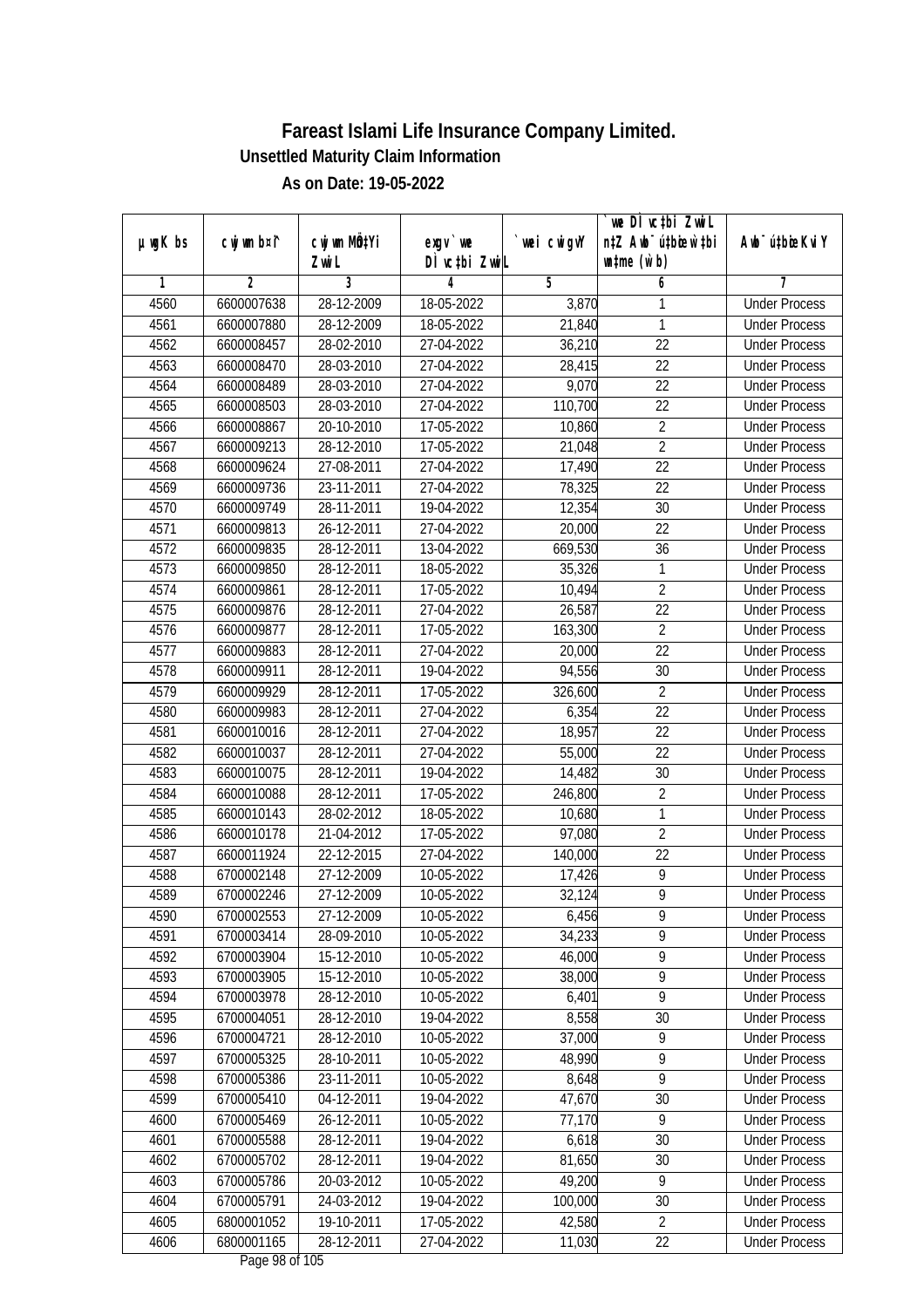|               |                |                       |                            |            | we DI vctbi ZwiL<br>n‡Z Awb <sup>-</sup> ú‡bioar`‡bi |                             |
|---------------|----------------|-----------------------|----------------------------|------------|------------------------------------------------------|-----------------------------|
| $µ$ ug $K$ bs | cwj wm b¤i^    | cwj wm MQtYi<br>Zwi L | $exgV$ we<br>DÌ vctbi ZwiL | wei cwigvY | $\n  untime\n  (u`b)\n$                              | Awb <sup>-</sup> ú‡bioeKviY |
| 1             | $\overline{2}$ | 3                     | 4                          | 5          | 6                                                    | 7                           |
| 4560          | 6600007638     | 28-12-2009            | 18-05-2022                 | 3,870      | 1                                                    | <b>Under Process</b>        |
| 4561          | 6600007880     | 28-12-2009            | 18-05-2022                 | 21,840     | 1                                                    | <b>Under Process</b>        |
| 4562          | 6600008457     | 28-02-2010            | 27-04-2022                 | 36,210     | $\overline{22}$                                      | <b>Under Process</b>        |
| 4563          | 6600008470     | 28-03-2010            | 27-04-2022                 | 28,415     | 22                                                   | <b>Under Process</b>        |
| 4564          | 6600008489     | 28-03-2010            | 27-04-2022                 | 9,070      | $\overline{22}$                                      | <b>Under Process</b>        |
| 4565          | 6600008503     | 28-03-2010            | 27-04-2022                 | 110,700    | $\overline{22}$                                      | <b>Under Process</b>        |
| 4566          | 6600008867     | 20-10-2010            | $17 - 05 - 2022$           | 10,860     | $\overline{2}$                                       | <b>Under Process</b>        |
| 4567          | 6600009213     | 28-12-2010            | 17-05-2022                 | 21,048     | $\overline{2}$                                       | <b>Under Process</b>        |
| 4568          | 6600009624     | 27-08-2011            | 27-04-2022                 | 17,490     | $\overline{22}$                                      | <b>Under Process</b>        |
| 4569          | 6600009736     | 23-11-2011            | 27-04-2022                 | 78,325     | 22                                                   | <b>Under Process</b>        |
| 4570          | 6600009749     | 28-11-2011            | 19-04-2022                 | 12,354     | $\overline{30}$                                      | <b>Under Process</b>        |
| 4571          | 6600009813     | 26-12-2011            | 27-04-2022                 | 20,000     | 22                                                   | <b>Under Process</b>        |
| 4572          | 6600009835     | 28-12-2011            | 13-04-2022                 | 669,530    | $\overline{36}$                                      | <b>Under Process</b>        |
| 4573          | 6600009850     | 28-12-2011            | 18-05-2022                 | 35,326     | 1                                                    | <b>Under Process</b>        |
| 4574          | 6600009861     | 28-12-2011            | 17-05-2022                 | 10,494     | $\overline{2}$                                       | <b>Under Process</b>        |
| 4575          | 6600009876     | 28-12-2011            | 27-04-2022                 | 26,587     | 22                                                   | <b>Under Process</b>        |
| 4576          | 6600009877     | 28-12-2011            | 17-05-2022                 | 163,300    | $\overline{2}$                                       | <b>Under Process</b>        |
| 4577          | 6600009883     | 28-12-2011            | 27-04-2022                 | 20,000     | 22                                                   | <b>Under Process</b>        |
| 4578          | 6600009911     | 28-12-2011            | 19-04-2022                 | 94,556     | 30                                                   | <b>Under Process</b>        |
| 4579          | 6600009929     | 28-12-2011            | 17-05-2022                 | 326,600    | $\overline{2}$                                       | <b>Under Process</b>        |
| 4580          | 6600009983     | 28-12-2011            | 27-04-2022                 | 6,354      | 22                                                   | <b>Under Process</b>        |
| 4581          | 6600010016     | 28-12-2011            | 27-04-2022                 | 18,957     | 22                                                   | <b>Under Process</b>        |
| 4582          | 6600010037     | 28-12-2011            | 27-04-2022                 | 55,000     | 22                                                   | <b>Under Process</b>        |
| 4583          | 6600010075     | 28-12-2011            | 19-04-2022                 | 14,482     | 30                                                   | <b>Under Process</b>        |
| 4584          | 6600010088     | 28-12-2011            | 17-05-2022                 | 246,800    | $\overline{2}$                                       | <b>Under Process</b>        |
| 4585          | 6600010143     | 28-02-2012            | 18-05-2022                 | 10,680     | 1                                                    | <b>Under Process</b>        |
| 4586          | 6600010178     | 21-04-2012            | 17-05-2022                 | 97,080     | $\overline{2}$                                       | <b>Under Process</b>        |
| 4587          | 6600011924     | 22-12-2015            | 27-04-2022                 | 140,000    | 22                                                   | <b>Under Process</b>        |
| 4588          | 6700002148     | 27-12-2009            | 10-05-2022                 | 17,426     | $\overline{9}$                                       | <b>Under Process</b>        |
| 4589          | 6700002246     | 27-12-2009            | 10-05-2022                 | 32,124     | $\overline{9}$                                       | <b>Under Process</b>        |
| 4590          | 6700002553     | 27-12-2009            | 10-05-2022                 | 6,456      | 9                                                    | <b>Under Process</b>        |
| 4591          | 6700003414     | 28-09-2010            | 10-05-2022                 | 34,233     | 9                                                    | <b>Under Process</b>        |
| 4592          | 6700003904     | 15-12-2010            | 10-05-2022                 | 46,000     | 9                                                    | <b>Under Process</b>        |
| 4593          | 6700003905     | 15-12-2010            | 10-05-2022                 | 38,000     | $\overline{9}$                                       | <b>Under Process</b>        |
| 4594          | 6700003978     | 28-12-2010            | 10-05-2022                 | 6,401      | $\overline{9}$                                       | <b>Under Process</b>        |
| 4595          | 6700004051     | 28-12-2010            | 19-04-2022                 | 8,558      | 30                                                   | <b>Under Process</b>        |
| 4596          | 6700004721     | 28-12-2010            | 10-05-2022                 | 37,000     | 9                                                    | <b>Under Process</b>        |
| 4597          | 6700005325     | 28-10-2011            | 10-05-2022                 | 48,990     | 9                                                    | <b>Under Process</b>        |
| 4598          | 6700005386     | 23-11-2011            | 10-05-2022                 | 8,648      | 9                                                    | <b>Under Process</b>        |
| 4599          | 6700005410     | 04-12-2011            | 19-04-2022                 | 47,670     | 30                                                   | <b>Under Process</b>        |
| 4600          | 6700005469     | 26-12-2011            | 10-05-2022                 | 77,170     | 9                                                    | <b>Under Process</b>        |
| 4601          | 6700005588     | 28-12-2011            | 19-04-2022                 | 6,618      | 30                                                   | <b>Under Process</b>        |
| 4602          | 6700005702     | 28-12-2011            | 19-04-2022                 | 81,650     | 30                                                   | <b>Under Process</b>        |
| 4603          | 6700005786     | 20-03-2012            | 10-05-2022                 | 49,200     | $\overline{9}$                                       | <b>Under Process</b>        |
| 4604          | 6700005791     | 24-03-2012            | 19-04-2022                 | 100,000    | 30                                                   | <b>Under Process</b>        |
| 4605          | 6800001052     | 19-10-2011            | 17-05-2022                 | 42,580     | $\overline{2}$                                       | <b>Under Process</b>        |
|               |                |                       |                            |            | 22                                                   |                             |
| 4606          | 6800001165     | 28-12-2011            | 27-04-2022                 | 11,030     |                                                      | <b>Under Process</b>        |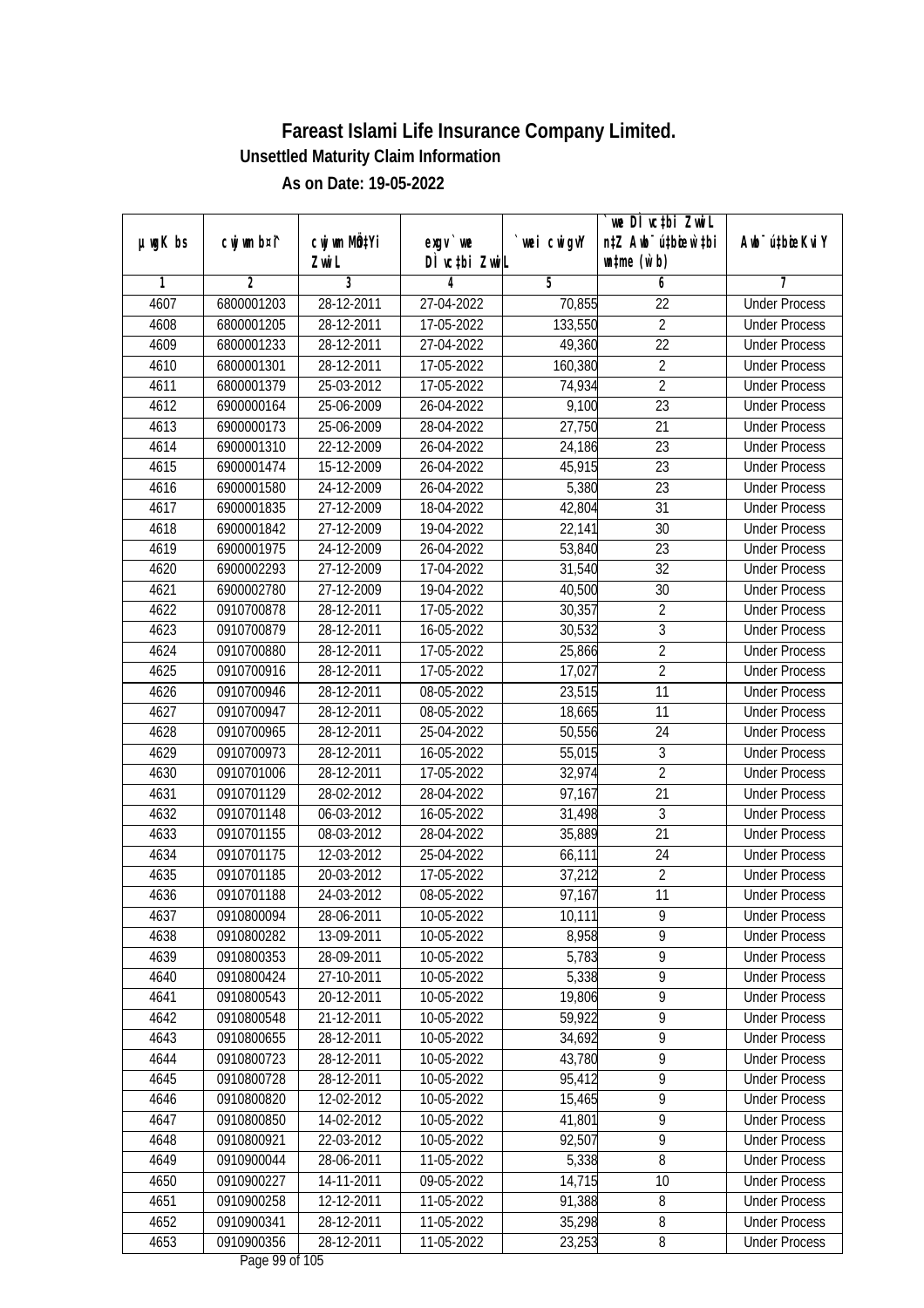| $µ$ ug $K$ bs | cwj wm b¤i^    | cwj wm MÖ¢Yi | $exgV$ we     | wei cwigvY | we DI vctbi ZwiL<br>n‡Z Awb <sup>-</sup> ú‡bicen`‡bi | Awb <sup>-</sup> ú‡bioeKviY |
|---------------|----------------|--------------|---------------|------------|------------------------------------------------------|-----------------------------|
|               |                | Zwi L        | DÌ vctbi ZwiL |            | $\n  untime\n  (u`b)\n$                              |                             |
| 1             | $\overline{2}$ | 3            | 4             | 5          | 6                                                    | 7                           |
| 4607          | 6800001203     | 28-12-2011   | 27-04-2022    | 70,855     | $\overline{22}$                                      | <b>Under Process</b>        |
| 4608          | 6800001205     | 28-12-2011   | 17-05-2022    | 133,550    | $\overline{2}$                                       | <b>Under Process</b>        |
| 4609          | 6800001233     | 28-12-2011   | 27-04-2022    | 49,360     | $\overline{22}$                                      | <b>Under Process</b>        |
| 4610          | 6800001301     | 28-12-2011   | 17-05-2022    | 160,380    | $\overline{2}$                                       | <b>Under Process</b>        |
| 4611          | 6800001379     | 25-03-2012   | 17-05-2022    | 74,934     | $\overline{2}$                                       | <b>Under Process</b>        |
| 4612          | 6900000164     | 25-06-2009   | 26-04-2022    | 9,100      | $\overline{23}$                                      | <b>Under Process</b>        |
| 4613          | 6900000173     | 25-06-2009   | 28-04-2022    | 27,750     | $\overline{21}$                                      | <b>Under Process</b>        |
| 4614          | 6900001310     | 22-12-2009   | 26-04-2022    | 24,186     | $\overline{23}$                                      | <b>Under Process</b>        |
| 4615          | 6900001474     | 15-12-2009   | 26-04-2022    | 45,915     | $\overline{23}$                                      | <b>Under Process</b>        |
| 4616          | 6900001580     | 24-12-2009   | 26-04-2022    | 5,380      | 23                                                   | <b>Under Process</b>        |
| 4617          | 6900001835     | 27-12-2009   | 18-04-2022    | 42,804     | $\overline{31}$                                      | <b>Under Process</b>        |
| 4618          | 6900001842     | 27-12-2009   | 19-04-2022    | 22,141     | 30                                                   | <b>Under Process</b>        |
| 4619          | 6900001975     | 24-12-2009   | 26-04-2022    | 53,840     | $\overline{23}$                                      | <b>Under Process</b>        |
| 4620          | 6900002293     | 27-12-2009   | 17-04-2022    | 31,540     | 32                                                   | <b>Under Process</b>        |
| 4621          | 6900002780     | 27-12-2009   | 19-04-2022    | 40,500     | 30                                                   | <b>Under Process</b>        |
| 4622          | 0910700878     | 28-12-2011   | 17-05-2022    | 30,357     | $\overline{2}$                                       | <b>Under Process</b>        |
| 4623          | 0910700879     | 28-12-2011   | 16-05-2022    | 30,532     | $\mathfrak z$                                        | <b>Under Process</b>        |
| 4624          | 0910700880     | 28-12-2011   | 17-05-2022    | 25,866     | $\overline{2}$                                       | <b>Under Process</b>        |
| 4625          | 0910700916     | 28-12-2011   | 17-05-2022    | 17,027     | $\overline{2}$                                       | <b>Under Process</b>        |
| 4626          | 0910700946     | 28-12-2011   | 08-05-2022    | 23,515     | 11                                                   | <b>Under Process</b>        |
| 4627          | 0910700947     | 28-12-2011   | 08-05-2022    | 18,665     | 11                                                   | <b>Under Process</b>        |
| 4628          | 0910700965     | 28-12-2011   | 25-04-2022    | 50,556     | 24                                                   | <b>Under Process</b>        |
| 4629          | 0910700973     | 28-12-2011   | 16-05-2022    | 55,015     | 3                                                    | <b>Under Process</b>        |
| 4630          | 0910701006     | 28-12-2011   | 17-05-2022    | 32,974     | $\overline{2}$                                       | <b>Under Process</b>        |
| 4631          | 0910701129     | 28-02-2012   | 28-04-2022    | 97,167     | 21                                                   | <b>Under Process</b>        |
| 4632          | 0910701148     | 06-03-2012   | 16-05-2022    | 31,498     | 3                                                    | <b>Under Process</b>        |
| 4633          | 0910701155     | 08-03-2012   | 28-04-2022    | 35,889     | 21                                                   | <b>Under Process</b>        |
| 4634          | 0910701175     | 12-03-2012   | 25-04-2022    | 66,111     | 24                                                   | <b>Under Process</b>        |
| 4635          | 0910701185     | 20-03-2012   | 17-05-2022    | 37,212     | $\overline{2}$                                       | <b>Under Process</b>        |
| 4636          | 0910701188     | 24-03-2012   | 08-05-2022    | 97,167     | 11                                                   | <b>Under Process</b>        |
| 4637          | 0910800094     | 28-06-2011   | 10-05-2022    | 10,111     | 9                                                    | <b>Under Process</b>        |
| 4638          | 0910800282     | 13-09-2011   | 10-05-2022    | 8,958      | 9                                                    | <b>Under Process</b>        |
| 4639          | 0910800353     | 28-09-2011   | 10-05-2022    | 5,783      | 9                                                    | <b>Under Process</b>        |
| 4640          | 0910800424     | 27-10-2011   | 10-05-2022    | 5,338      | $\overline{9}$                                       | <b>Under Process</b>        |
| 4641          | 0910800543     | 20-12-2011   | 10-05-2022    | 19,806     | $\overline{9}$                                       | <b>Under Process</b>        |
| 4642          | 0910800548     | 21-12-2011   | 10-05-2022    | 59,922     | 9                                                    | <b>Under Process</b>        |
| 4643          | 0910800655     | 28-12-2011   | 10-05-2022    | 34,692     | $\overline{9}$                                       | <b>Under Process</b>        |
| 4644          | 0910800723     | 28-12-2011   | 10-05-2022    | 43,780     | $\overline{9}$                                       | <b>Under Process</b>        |
| 4645          | 0910800728     | 28-12-2011   | 10-05-2022    | 95,412     | $\overline{9}$                                       | <b>Under Process</b>        |
| 4646          | 0910800820     | 12-02-2012   | 10-05-2022    | 15,465     | $\overline{9}$                                       | <b>Under Process</b>        |
| 4647          | 0910800850     | 14-02-2012   | 10-05-2022    | 41,801     | 9                                                    | <b>Under Process</b>        |
| 4648          | 0910800921     | 22-03-2012   | 10-05-2022    | 92,507     | $\overline{9}$                                       | <b>Under Process</b>        |
| 4649          | 0910900044     | 28-06-2011   | 11-05-2022    | 5,338      | $\overline{8}$                                       | <b>Under Process</b>        |
| 4650          | 0910900227     | 14-11-2011   | 09-05-2022    | 14,715     | 10                                                   | <b>Under Process</b>        |
| 4651          | 0910900258     | 12-12-2011   | 11-05-2022    | 91,388     | 8                                                    | <b>Under Process</b>        |
| 4652          | 0910900341     | 28-12-2011   | 11-05-2022    | 35,298     | $\overline{8}$                                       | <b>Under Process</b>        |
| 4653          | 0910900356     | 28-12-2011   | 11-05-2022    | 23,253     | 8                                                    | <b>Under Process</b>        |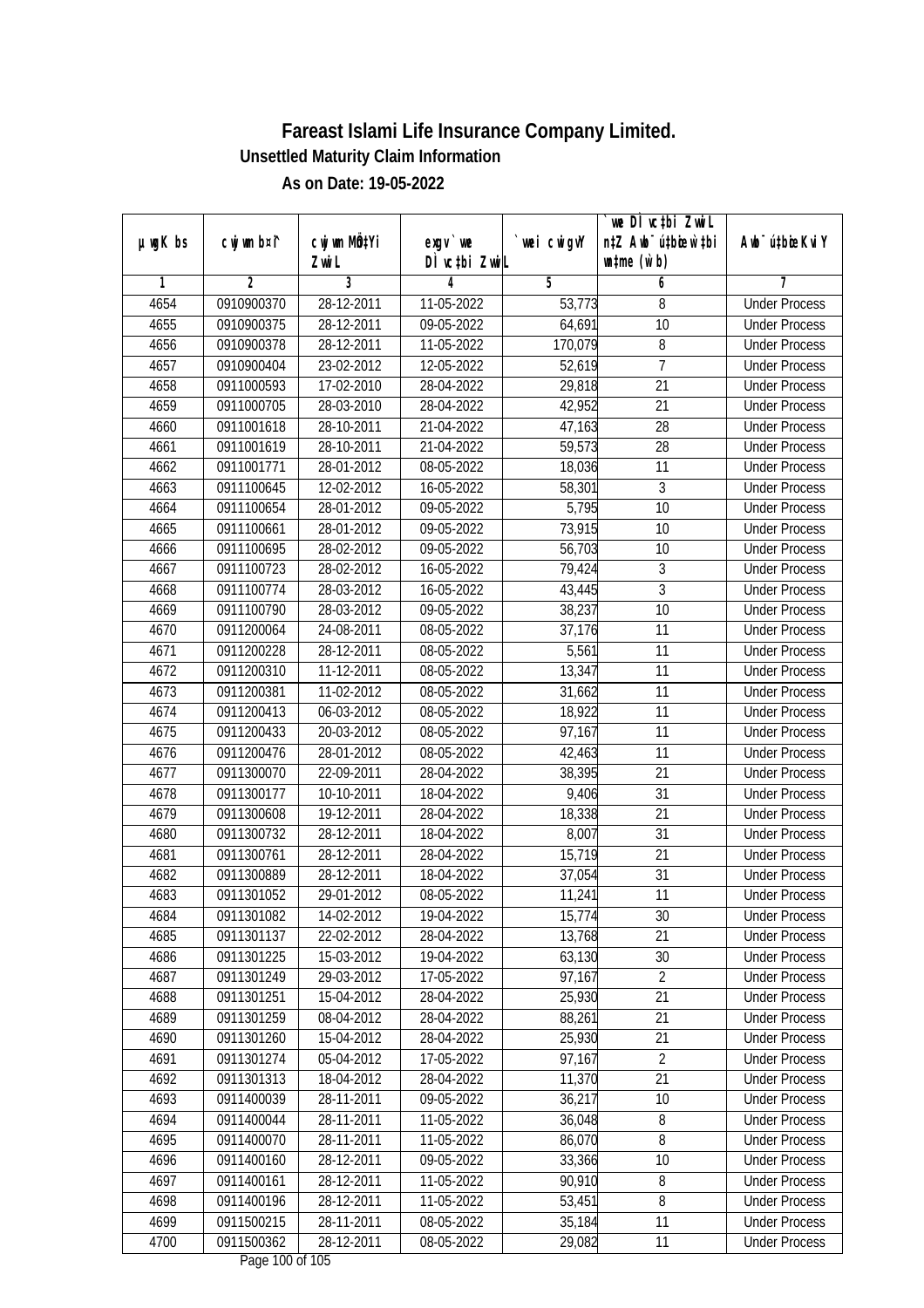|               |                | cwj wm MQtYi |                            |                     | we DI vctbi ZwiL<br>n‡Z Awb <sup>-</sup> ú‡bioar`‡bi | Aub <sup>-</sup> ú‡biosKvi Y |
|---------------|----------------|--------------|----------------------------|---------------------|------------------------------------------------------|------------------------------|
| $µ$ ug $K$ bs | cwj wm b¤i^    | Zwi L        | $exgV$ we<br>DÌ vctbi ZwiL | wei cwigvY          | $\n  untime\n  (u`b)\n$                              |                              |
| 1             | $\overline{2}$ | 3            | 4                          | 5                   | 6                                                    | 7                            |
| 4654          | 0910900370     | 28-12-2011   | 11-05-2022                 | $\overline{53,773}$ | 8                                                    | <b>Under Process</b>         |
| 4655          | 0910900375     | 28-12-2011   | $09-05-2022$               | 64,691              | 10                                                   | <b>Under Process</b>         |
| 4656          | 0910900378     | 28-12-2011   | 11-05-2022                 | 170,079             | 8                                                    | <b>Under Process</b>         |
| 4657          | 0910900404     | 23-02-2012   | 12-05-2022                 | 52,619              | 7                                                    | <b>Under Process</b>         |
| 4658          | 0911000593     | 17-02-2010   | 28-04-2022                 | 29,818              | $\overline{21}$                                      | <b>Under Process</b>         |
| 4659          | 0911000705     | 28-03-2010   | 28-04-2022                 | 42,952              | $\overline{21}$                                      | <b>Under Process</b>         |
| 4660          | 0911001618     | 28-10-2011   | 21-04-2022                 | 47,163              | 28                                                   | <b>Under Process</b>         |
| 4661          | 0911001619     | 28-10-2011   | 21-04-2022                 | 59,573              | 28                                                   | <b>Under Process</b>         |
| 4662          | 0911001771     | 28-01-2012   | 08-05-2022                 | 18,036              | 11                                                   | <b>Under Process</b>         |
| 4663          | 0911100645     | 12-02-2012   | 16-05-2022                 | 58,301              | 3                                                    | <b>Under Process</b>         |
| 4664          | 0911100654     | 28-01-2012   | 09-05-2022                 | 5,795               | $\overline{10}$                                      | <b>Under Process</b>         |
| 4665          | 0911100661     | 28-01-2012   | 09-05-2022                 | 73,915              | 10                                                   | <b>Under Process</b>         |
| 4666          | 0911100695     | 28-02-2012   | 09-05-2022                 | 56,703              | $\overline{10}$                                      | <b>Under Process</b>         |
| 4667          | 0911100723     | 28-02-2012   | 16-05-2022                 | 79,424              | 3                                                    | <b>Under Process</b>         |
| 4668          | 0911100774     | 28-03-2012   | 16-05-2022                 | 43,445              | $\overline{3}$                                       | <b>Under Process</b>         |
| 4669          | 0911100790     | 28-03-2012   | 09-05-2022                 | 38,237              | 10                                                   | <b>Under Process</b>         |
| 4670          | 0911200064     | 24-08-2011   | 08-05-2022                 | 37,176              | 11                                                   | <b>Under Process</b>         |
| 4671          | 0911200228     | 28-12-2011   | 08-05-2022                 | 5,561               | 11                                                   | <b>Under Process</b>         |
| 4672          | 0911200310     | 11-12-2011   | 08-05-2022                 | 13,347              | 11                                                   | <b>Under Process</b>         |
| 4673          | 0911200381     | 11-02-2012   | 08-05-2022                 | 31,662              | 11                                                   | <b>Under Process</b>         |
| 4674          | 0911200413     | 06-03-2012   | 08-05-2022                 | 18,922              | 11                                                   | <b>Under Process</b>         |
| 4675          | 0911200433     | 20-03-2012   | 08-05-2022                 | 97,167              | 11                                                   | <b>Under Process</b>         |
| 4676          | 0911200476     | 28-01-2012   | 08-05-2022                 | 42,463              | 11                                                   | <b>Under Process</b>         |
| 4677          | 0911300070     | 22-09-2011   | 28-04-2022                 | 38,395              | 21                                                   | <b>Under Process</b>         |
| 4678          | 0911300177     | 10-10-2011   | 18-04-2022                 | 9,406               | 31                                                   | <b>Under Process</b>         |
| 4679          | 0911300608     | 19-12-2011   | 28-04-2022                 | 18,338              | 21                                                   | <b>Under Process</b>         |
| 4680          | 0911300732     | 28-12-2011   | 18-04-2022                 | 8,007               | 31                                                   | <b>Under Process</b>         |
| 4681          | 0911300761     | 28-12-2011   | 28-04-2022                 | 15,719              | 21                                                   | <b>Under Process</b>         |
| 4682          | 0911300889     | 28-12-2011   | 18-04-2022                 | 37,054              | 31                                                   | <b>Under Process</b>         |
| 4683          | 0911301052     | 29-01-2012   | 08-05-2022                 | 11,241              | 11                                                   | <b>Under Process</b>         |
| 4684          | 0911301082     | 14-02-2012   | 19-04-2022                 | 15,774              | 30                                                   | <b>Under Process</b>         |
| 4685          | 0911301137     | 22-02-2012   | 28-04-2022                 | 13,768              | 21                                                   | <b>Under Process</b>         |
| 4686          | 0911301225     | 15-03-2012   | 19-04-2022                 | 63,130              | 30                                                   | <b>Under Process</b>         |
| 4687          | 0911301249     | 29-03-2012   | 17-05-2022                 | 97,167              | $\overline{2}$                                       | <b>Under Process</b>         |
| 4688          | 0911301251     | 15-04-2012   | 28-04-2022                 | 25,930              | 21                                                   | <b>Under Process</b>         |
| 4689          | 0911301259     | 08-04-2012   | 28-04-2022                 | 88,261              | 21                                                   | <b>Under Process</b>         |
| 4690          | 0911301260     | $15-04-2012$ | 28-04-2022                 | 25,930              | 21                                                   | <b>Under Process</b>         |
| 4691          | 0911301274     | 05-04-2012   | 17-05-2022                 | 97,167              | $\overline{2}$                                       | <b>Under Process</b>         |
| 4692          | 0911301313     | 18-04-2012   | 28-04-2022                 | 11,370              | 21                                                   | <b>Under Process</b>         |
| 4693          | 0911400039     | 28-11-2011   | 09-05-2022                 | 36,217              | 10                                                   | <b>Under Process</b>         |
| 4694          | 0911400044     | 28-11-2011   | 11-05-2022                 | 36,048              | 8                                                    | <b>Under Process</b>         |
| 4695          | 0911400070     | 28-11-2011   | 11-05-2022                 | 86,070              | $\overline{8}$                                       | <b>Under Process</b>         |
| 4696          | 0911400160     | 28-12-2011   | 09-05-2022                 | 33,366              | 10                                                   | <b>Under Process</b>         |
| 4697          | 0911400161     | 28-12-2011   | 11-05-2022                 | 90,910              | $\, 8$                                               | <b>Under Process</b>         |
| 4698          | 0911400196     | 28-12-2011   | 11-05-2022                 | 53,451              | 8                                                    | <b>Under Process</b>         |
| 4699          | 0911500215     | 28-11-2011   | 08-05-2022                 | 35,184              | 11                                                   | <b>Under Process</b>         |
| 4700          | 0911500362     | 28-12-2011   | 08-05-2022                 | 29,082              | 11                                                   | <b>Under Process</b>         |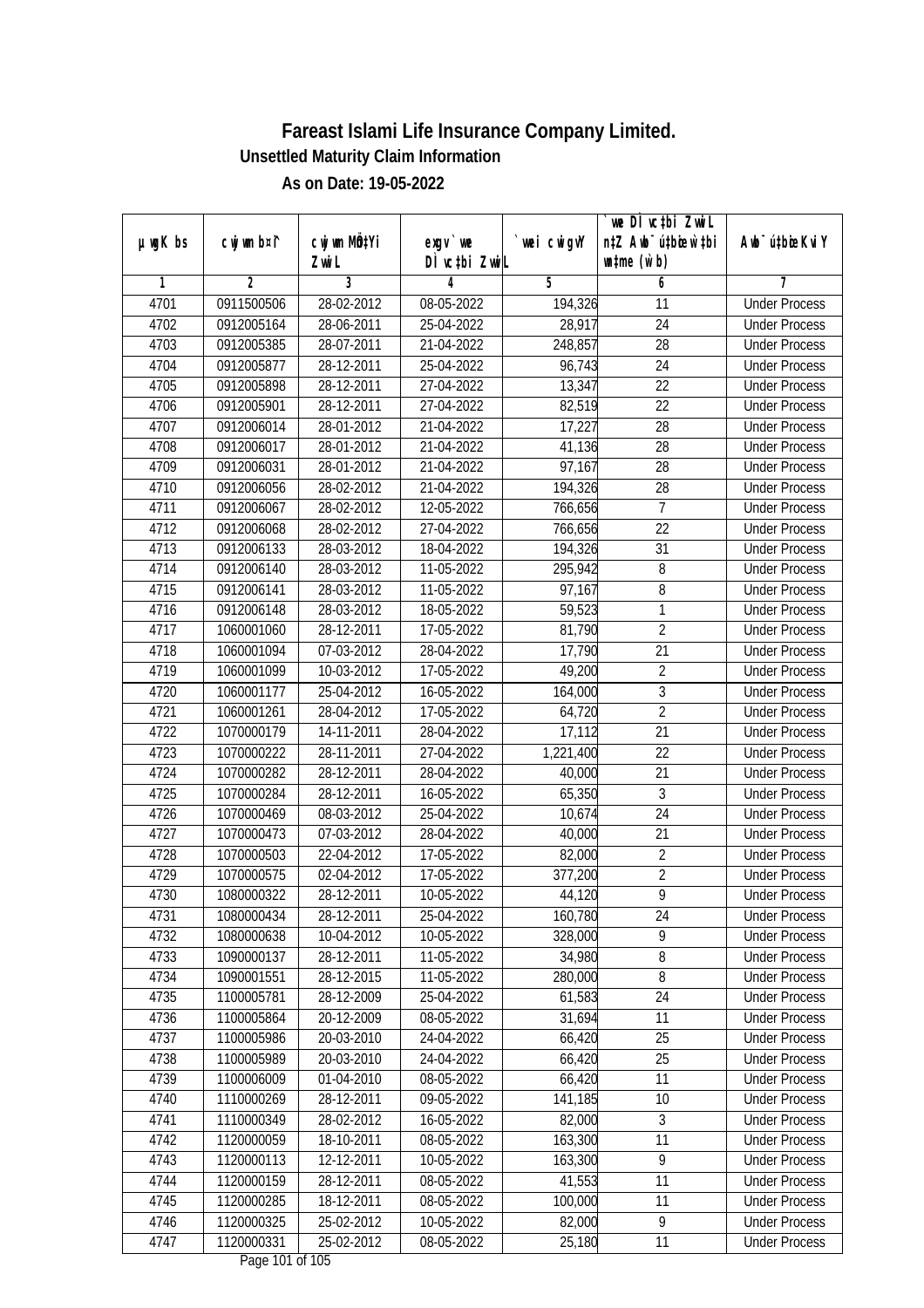|               |                |              |                                           |             | `we DÌ vc‡bi ZwwiL               |                             |
|---------------|----------------|--------------|-------------------------------------------|-------------|----------------------------------|-----------------------------|
| $µ$ ug $K$ bs | cwj wm b¤i^    | cwj wm MQtYi | $exgV$ we                                 | `wei cwigvY | n‡Z Awb <sup>-</sup> ú‡bioen`‡bi | Awb <sup>-</sup> ú‡bioeKviY |
|               |                | Zwi L        | DÌ vctbi ZwiL                             |             | $\n  untime\n  (u`b)\n$          |                             |
| 1             | $\overline{2}$ | 3            | 4                                         | 5           | 6                                | 7                           |
| 4701          | 0911500506     | 28-02-2012   | 08-05-2022                                | 194,326     | 11                               | <b>Under Process</b>        |
| 4702          | 0912005164     | 28-06-2011   | 25-04-2022                                | 28,917      | $\overline{24}$                  | <b>Under Process</b>        |
| 4703          | 0912005385     | 28-07-2011   | 21-04-2022                                | 248,857     | 28                               | <b>Under Process</b>        |
| 4704          | 0912005877     | 28-12-2011   | 25-04-2022                                | 96,743      | 24                               | <b>Under Process</b>        |
| 4705          | 0912005898     | 28-12-2011   | 27-04-2022                                | 13,347      | $\overline{22}$                  | <b>Under Process</b>        |
| 4706          | 0912005901     | 28-12-2011   | 27-04-2022                                | 82,519      | $\overline{22}$                  | <b>Under Process</b>        |
| 4707          | 0912006014     | 28-01-2012   | 21-04-2022                                | 17,227      | $\overline{28}$                  | <b>Under Process</b>        |
| 4708          | 0912006017     | 28-01-2012   | 21-04-2022                                | 41,136      | $\overline{28}$                  | <b>Under Process</b>        |
| 4709          | 0912006031     | 28-01-2012   | 21-04-2022                                | 97,167      | 28                               | <b>Under Process</b>        |
| 4710          | 0912006056     | 28-02-2012   | 21-04-2022                                | 194,326     | 28                               | <b>Under Process</b>        |
| 4711          | 0912006067     | 28-02-2012   | 12-05-2022                                | 766,656     | 7                                | <b>Under Process</b>        |
| 4712          | 0912006068     | 28-02-2012   | 27-04-2022                                | 766,656     | 22                               | <b>Under Process</b>        |
| 4713          | 0912006133     | 28-03-2012   | 18-04-2022                                | 194,326     | $\overline{31}$                  | <b>Under Process</b>        |
| 4714          | 0912006140     | 28-03-2012   | 11-05-2022                                | 295,942     | 8                                | <b>Under Process</b>        |
| 4715          | 0912006141     | 28-03-2012   | 11-05-2022                                | 97,167      | 8                                | <b>Under Process</b>        |
| 4716          | 0912006148     | 28-03-2012   | 18-05-2022                                | 59,523      | 1                                | <b>Under Process</b>        |
| 4717          | 1060001060     | 28-12-2011   | 17-05-2022                                | 81,790      | $\overline{2}$                   | <b>Under Process</b>        |
| 4718          | 1060001094     | 07-03-2012   | 28-04-2022                                | 17,790      | 21                               | <b>Under Process</b>        |
| 4719          | 1060001099     | 10-03-2012   | 17-05-2022                                | 49,200      | $\sqrt{2}$                       | <b>Under Process</b>        |
| 4720          | 1060001177     | 25-04-2012   | 16-05-2022                                | 164,000     | $\overline{3}$                   | <b>Under Process</b>        |
| 4721          | 1060001261     | 28-04-2012   | 17-05-2022                                | 64,720      | $\overline{2}$                   | <b>Under Process</b>        |
| 4722          | 1070000179     | 14-11-2011   | 28-04-2022                                | 17,112      | 21                               | <b>Under Process</b>        |
| 4723          | 1070000222     | 28-11-2011   | 27-04-2022                                | 1,221,400   | 22                               | <b>Under Process</b>        |
| 4724          | 1070000282     | 28-12-2011   | 28-04-2022                                | 40,000      | 21                               | <b>Under Process</b>        |
| 4725          | 1070000284     | 28-12-2011   | 16-05-2022                                | 65,350      | 3                                | <b>Under Process</b>        |
| 4726          | 1070000469     | 08-03-2012   | 25-04-2022                                | 10,674      | 24                               | <b>Under Process</b>        |
| 4727          | 1070000473     | 07-03-2012   | 28-04-2022                                | 40,000      | 21                               | <b>Under Process</b>        |
| 4728          | 1070000503     | 22-04-2012   | 17-05-2022                                | 82,000      | $\overline{2}$                   | <b>Under Process</b>        |
| 4729          | 1070000575     | 02-04-2012   | 17-05-2022                                | 377,200     | $\overline{2}$                   | <b>Under Process</b>        |
| 4730          | 1080000322     | 28-12-2011   | 10-05-2022                                | 44,120      | $\overline{9}$                   | <b>Under Process</b>        |
| 4731          | 1080000434     | 28-12-2011   | 25-04-2022                                | 160,780     | 24                               | <b>Under Process</b>        |
| 4732          | 1080000638     | 10-04-2012   | 10-05-2022                                | 328,000     | 9                                | <b>Under Process</b>        |
| 4733          | 1090000137     | 28-12-2011   | 11-05-2022                                | 34,980      | 8                                | <b>Under Process</b>        |
| 4734          | 1090001551     | 28-12-2015   | 11-05-2022                                | 280,000     | $8\,$                            | <b>Under Process</b>        |
| 4735          | 1100005781     | 28-12-2009   | 25-04-2022                                | 61,583      | 24                               | <b>Under Process</b>        |
| 4736          | 1100005864     | 20-12-2009   | 08-05-2022                                | 31,694      | 11                               | <b>Under Process</b>        |
| 4737          | 1100005986     | 20-03-2010   | 24-04-2022                                | 66,420      | 25                               | <b>Under Process</b>        |
| 4738          | 1100005989     | 20-03-2010   | 24-04-2022                                | 66,420      | 25                               | <b>Under Process</b>        |
| 4739          | 1100006009     | 01-04-2010   | 08-05-2022                                | 66,420      | 11                               | <b>Under Process</b>        |
| 4740          | 1110000269     | 28-12-2011   | 09-05-2022                                | 141,185     | 10                               | <b>Under Process</b>        |
| 4741          | 1110000349     | 28-02-2012   | 16-05-2022                                | 82,000      | 3                                | <b>Under Process</b>        |
| 4742          | 1120000059     | 18-10-2011   | 08-05-2022                                | 163,300     | 11                               | <b>Under Process</b>        |
| 4743          | 1120000113     | 12-12-2011   | 10-05-2022                                | 163,300     | $\overline{9}$                   | <b>Under Process</b>        |
| 4744          | 1120000159     | 28-12-2011   | 08-05-2022                                | 41,553      | $\overline{11}$                  | <b>Under Process</b>        |
| 4745          | 1120000285     | 18-12-2011   | 08-05-2022                                | 100,000     | 11                               | <b>Under Process</b>        |
| 4746          | 1120000325     | 25-02-2012   | 10-05-2022                                | 82,000      | 9                                | <b>Under Process</b>        |
| 4747          | 1120000331     | 25-02-2012   | 08-05-2022<br>$D_{\text{max}}$ 101 of 100 | 25,180      | 11                               | <b>Under Process</b>        |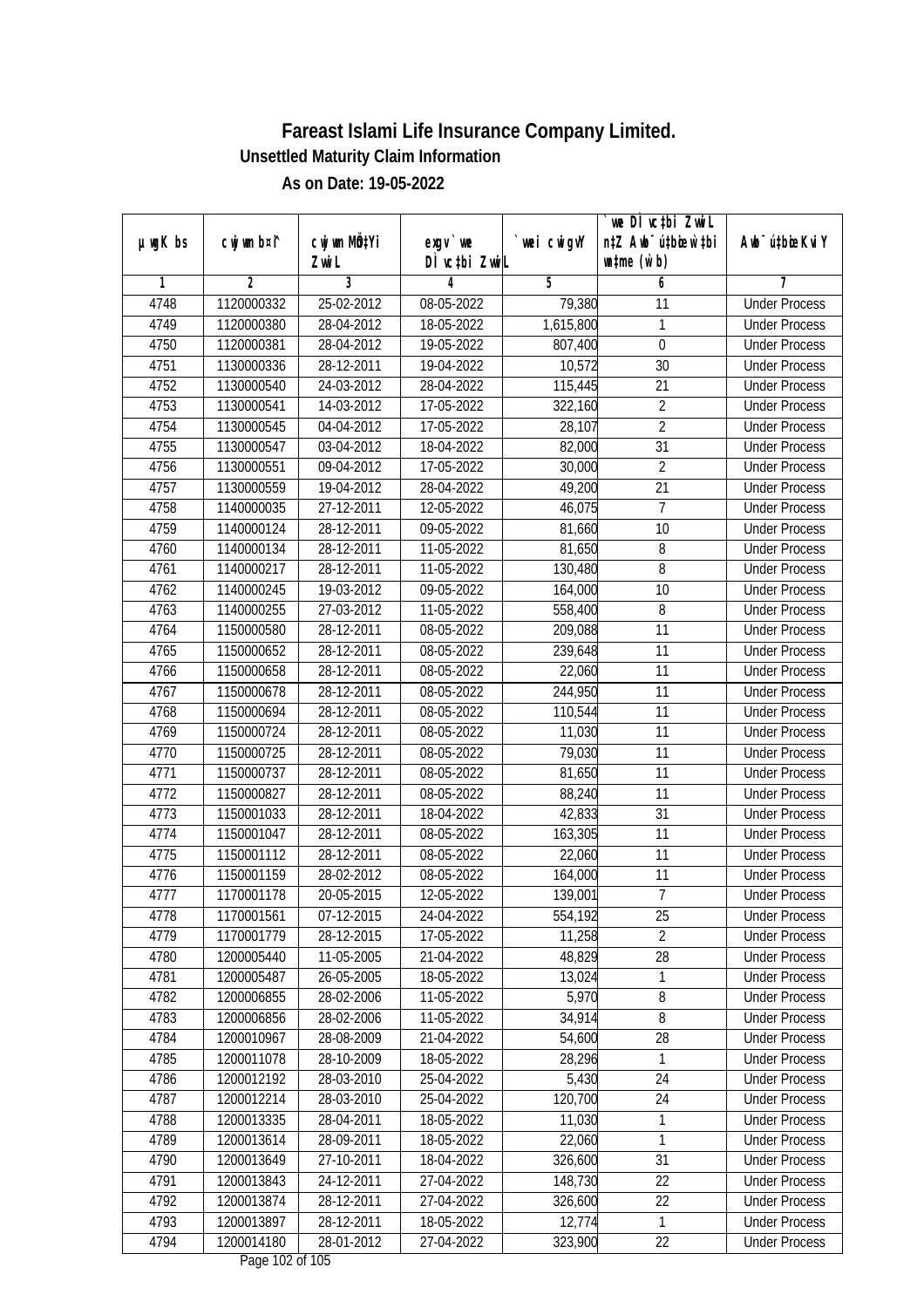| $µ$ ug $K$ bs | cwj wm b¤i^ | cwj wm MQtYi     | exgv `we                            | wei cwigvY | `we DÌ vc‡bi ZwiL<br>n‡Z Awb <sup>-</sup> ú‡bioen`‡bi | Awb <sup>-</sup> ú‡bioeKviY |
|---------------|-------------|------------------|-------------------------------------|------------|-------------------------------------------------------|-----------------------------|
|               |             | Zwi L            | DÌ vctbi ZwiL                       |            | $\n  untime\n  (u`b)\n$                               |                             |
| 1             | 2           | 3                | 4                                   | 5          | 6                                                     | 7                           |
| 4748          | 1120000332  | 25-02-2012       | 08-05-2022                          | 79,380     | 11                                                    | <b>Under Process</b>        |
| 4749          | 1120000380  | 28-04-2012       | 18-05-2022                          | 1,615,800  | 1                                                     | <b>Under Process</b>        |
| 4750          | 1120000381  | 28-04-2012       | 19-05-2022                          | 807,400    | $\boldsymbol{0}$                                      | <b>Under Process</b>        |
| 4751          | 1130000336  | 28-12-2011       | 19-04-2022                          | 10,572     | 30                                                    | <b>Under Process</b>        |
| 4752          | 1130000540  | 24-03-2012       | 28-04-2022                          | 115,445    | 21                                                    | <b>Under Process</b>        |
| 4753          | 1130000541  | 14-03-2012       | 17-05-2022                          | 322,160    | $\overline{2}$                                        | <b>Under Process</b>        |
| 4754          | 1130000545  | 04-04-2012       | 17-05-2022                          | 28,107     | $\overline{2}$                                        | <b>Under Process</b>        |
| 4755          | 1130000547  | 03-04-2012       | 18-04-2022                          | 82,000     | $\overline{31}$                                       | <b>Under Process</b>        |
| 4756          | 1130000551  | 09-04-2012       | 17-05-2022                          | 30,000     | $\overline{2}$                                        | <b>Under Process</b>        |
| 4757          | 1130000559  | 19-04-2012       | 28-04-2022                          | 49,200     | 21                                                    | <b>Under Process</b>        |
| 4758          | 1140000035  | 27-12-2011       | 12-05-2022                          | 46,075     | $\overline{7}$                                        | <b>Under Process</b>        |
| 4759          | 1140000124  | 28-12-2011       | 09-05-2022                          | 81,660     | 10                                                    | <b>Under Process</b>        |
| 4760          | 1140000134  | 28-12-2011       | 11-05-2022                          | 81,650     | 8                                                     | <b>Under Process</b>        |
| 4761          | 1140000217  | 28-12-2011       | 11-05-2022                          | 130,480    | 8                                                     | <b>Under Process</b>        |
| 4762          | 1140000245  | 19-03-2012       | 09-05-2022                          | 164,000    | 10                                                    | <b>Under Process</b>        |
| 4763          | 1140000255  | $27 - 03 - 2012$ | 11-05-2022                          | 558,400    | 8                                                     | <b>Under Process</b>        |
| 4764          | 1150000580  | 28-12-2011       | 08-05-2022                          | 209,088    | 11                                                    | <b>Under Process</b>        |
| 4765          | 1150000652  | 28-12-2011       | 08-05-2022                          | 239,648    | 11                                                    | <b>Under Process</b>        |
| 4766          | 1150000658  | 28-12-2011       | 08-05-2022                          | 22,060     | 11                                                    | <b>Under Process</b>        |
| 4767          | 1150000678  | 28-12-2011       | 08-05-2022                          | 244,950    | 11                                                    | <b>Under Process</b>        |
| 4768          | 1150000694  | 28-12-2011       | 08-05-2022                          | 110,544    | 11                                                    | <b>Under Process</b>        |
| 4769          | 1150000724  | 28-12-2011       | 08-05-2022                          | 11,030     | 11                                                    | <b>Under Process</b>        |
| 4770          | 1150000725  | 28-12-2011       | 08-05-2022                          | 79,030     | 11                                                    | <b>Under Process</b>        |
| 4771          | 1150000737  | 28-12-2011       | 08-05-2022                          | 81,650     | 11                                                    | <b>Under Process</b>        |
| 4772          | 1150000827  | 28-12-2011       | 08-05-2022                          | 88,240     | 11                                                    | <b>Under Process</b>        |
| 4773          | 1150001033  | 28-12-2011       | 18-04-2022                          | 42,833     | 31                                                    | <b>Under Process</b>        |
| 4774          | 1150001047  | 28-12-2011       | 08-05-2022                          | 163,305    | 11                                                    | <b>Under Process</b>        |
| 4775          | 1150001112  | 28-12-2011       | 08-05-2022                          | 22,060     | 11                                                    | <b>Under Process</b>        |
| 4776          | 1150001159  | 28-02-2012       | 08-05-2022                          | 164,000    | 11                                                    | <b>Under Process</b>        |
| 4777          | 1170001178  | 20-05-2015       | 12-05-2022                          | 139,001    | 7                                                     | <b>Under Process</b>        |
| 4778          | 1170001561  | 07-12-2015       | 24-04-2022                          | 554,192    | 25                                                    | <b>Under Process</b>        |
| 4779          | 1170001779  | 28-12-2015       | 17-05-2022                          | 11,258     | $\overline{2}$                                        | <b>Under Process</b>        |
| 4780          | 1200005440  | 11-05-2005       | 21-04-2022                          | 48,829     | 28                                                    | <b>Under Process</b>        |
| 4781          | 1200005487  | 26-05-2005       | 18-05-2022                          | 13,024     | 1                                                     | <b>Under Process</b>        |
| 4782          | 1200006855  | 28-02-2006       | 11-05-2022                          | 5,970      | 8                                                     | <b>Under Process</b>        |
| 4783          | 1200006856  | 28-02-2006       | 11-05-2022                          | 34,914     | 8                                                     | <b>Under Process</b>        |
| 4784          | 1200010967  | 28-08-2009       | 21-04-2022                          | 54,600     | 28                                                    | <b>Under Process</b>        |
| 4785          | 1200011078  | 28-10-2009       | 18-05-2022                          | 28,296     | 1                                                     | <b>Under Process</b>        |
| 4786          | 1200012192  | 28-03-2010       | 25-04-2022                          | 5,430      | 24                                                    | <b>Under Process</b>        |
| 4787          | 1200012214  | 28-03-2010       | 25-04-2022                          | 120,700    | 24                                                    | <b>Under Process</b>        |
| 4788          | 1200013335  | 28-04-2011       | 18-05-2022                          | 11,030     | 1                                                     | <b>Under Process</b>        |
| 4789          | 1200013614  | 28-09-2011       | 18-05-2022                          | 22,060     | 1                                                     | <b>Under Process</b>        |
| 4790          | 1200013649  | 27-10-2011       | 18-04-2022                          | 326,600    | $\overline{31}$                                       | <b>Under Process</b>        |
| 4791          | 1200013843  | 24-12-2011       | 27-04-2022                          | 148,730    | 22                                                    | <b>Under Process</b>        |
| 4792          | 1200013874  | 28-12-2011       | 27-04-2022                          | 326,600    | 22                                                    | <b>Under Process</b>        |
| 4793          | 1200013897  | 28-12-2011       | 18-05-2022                          | 12,774     | $\mathbf{1}$                                          | <b>Under Process</b>        |
| 4794          | 1200014180  | 28-01-2012       | 27-04-2022<br>$D_{0.92}$ 103 of 105 | 323,900    | 22                                                    | <b>Under Process</b>        |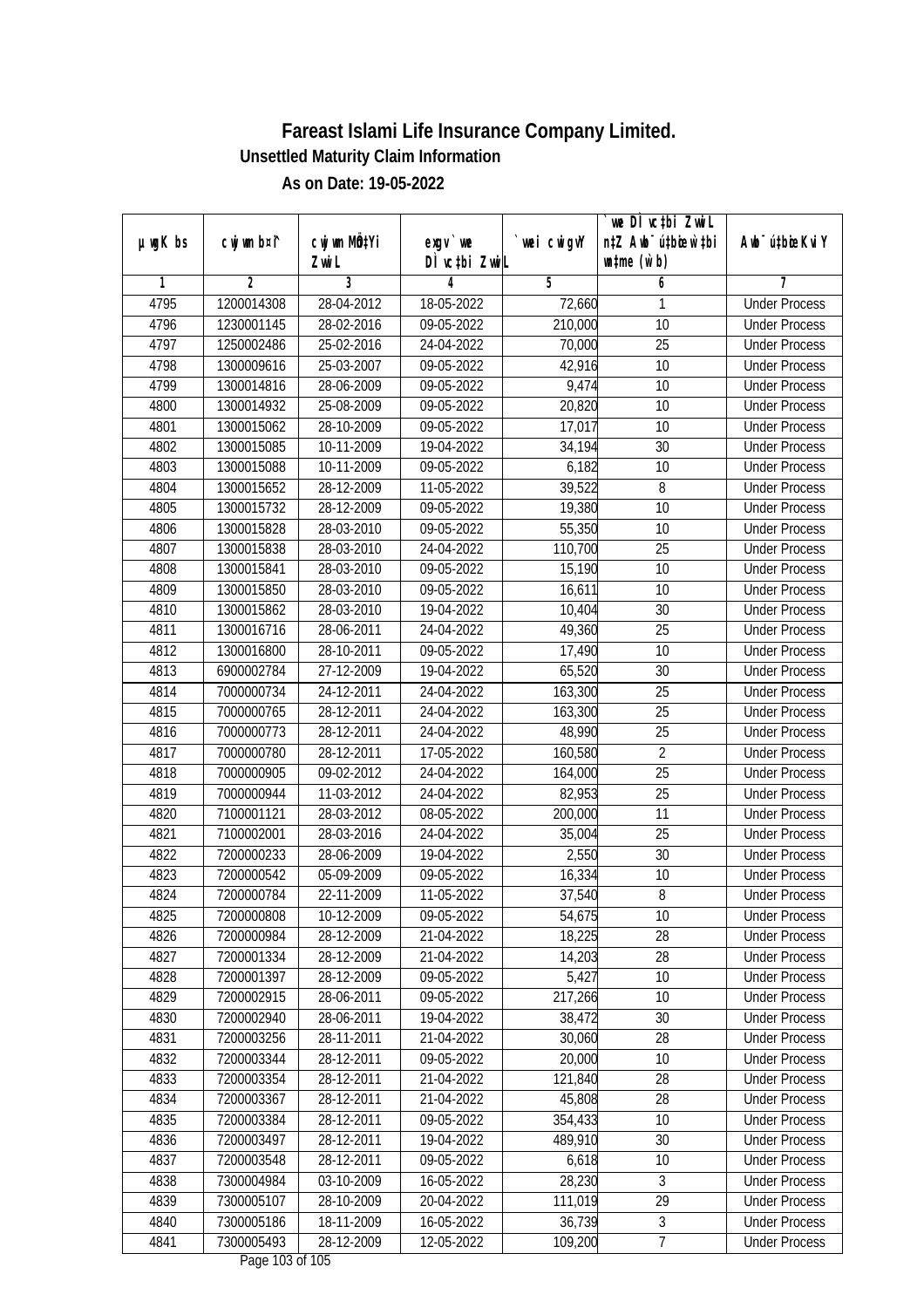|               | cwj wm b¤i^    | cwj wm MQtYi |                                           | wei cwigvY | `we DÌ vc‡bi ZwiL<br>n‡Z Awb <sup>-</sup> ú‡bioen`‡bi | Aub <sup>-</sup> ú‡biosKvi Y |
|---------------|----------------|--------------|-------------------------------------------|------------|-------------------------------------------------------|------------------------------|
| $µ$ ug $K$ bs |                | Zwi L        | $exgV$ we<br>DÌ vctbi ZwiL                |            | $\n  untime\n  (u`b)\n$                               |                              |
| 1             | $\overline{2}$ | 3            | 4                                         | 5          | 6                                                     | 7                            |
| 4795          | 1200014308     | 28-04-2012   | 18-05-2022                                | 72,660     | 1                                                     | <b>Under Process</b>         |
| 4796          | 1230001145     | 28-02-2016   | 09-05-2022                                | 210,000    | $\overline{10}$                                       | <b>Under Process</b>         |
| 4797          | 1250002486     | 25-02-2016   | 24-04-2022                                | 70,000     | 25                                                    | <b>Under Process</b>         |
| 4798          | 1300009616     | 25-03-2007   | 09-05-2022                                | 42,916     | 10                                                    | <b>Under Process</b>         |
| 4799          | 1300014816     | 28-06-2009   | 09-05-2022                                | 9,474      | $\overline{10}$                                       | <b>Under Process</b>         |
| 4800          | 1300014932     | 25-08-2009   | 09-05-2022                                | 20,820     | 10                                                    | <b>Under Process</b>         |
| 4801          | 1300015062     | 28-10-2009   | 09-05-2022                                | 17,017     | 10                                                    | <b>Under Process</b>         |
| 4802          | 1300015085     | 10-11-2009   | 19-04-2022                                | 34,194     | 30                                                    | <b>Under Process</b>         |
| 4803          | 1300015088     | 10-11-2009   | 09-05-2022                                | 6,182      | 10                                                    | <b>Under Process</b>         |
| 4804          | 1300015652     | 28-12-2009   | 11-05-2022                                | 39,522     | 8                                                     | <b>Under Process</b>         |
| 4805          | 1300015732     | 28-12-2009   | 09-05-2022                                | 19,380     | $\overline{10}$                                       | <b>Under Process</b>         |
| 4806          | 1300015828     | 28-03-2010   | 09-05-2022                                | 55,350     | 10                                                    | <b>Under Process</b>         |
| 4807          | 1300015838     | 28-03-2010   | 24-04-2022                                | 110,700    | 25                                                    | <b>Under Process</b>         |
| 4808          | 1300015841     | 28-03-2010   | 09-05-2022                                | 15,190     | 10                                                    | <b>Under Process</b>         |
| 4809          | 1300015850     | 28-03-2010   | 09-05-2022                                | 16,611     | 10                                                    | <b>Under Process</b>         |
| 4810          | 1300015862     | 28-03-2010   | 19-04-2022                                | 10,404     | 30                                                    | <b>Under Process</b>         |
| 4811          | 1300016716     | 28-06-2011   | 24-04-2022                                | 49,360     | 25                                                    | <b>Under Process</b>         |
| 4812          | 1300016800     | 28-10-2011   | 09-05-2022                                | 17,490     | 10                                                    | <b>Under Process</b>         |
| 4813          | 6900002784     | 27-12-2009   | 19-04-2022                                | 65,520     | 30                                                    | <b>Under Process</b>         |
| 4814          | 7000000734     | 24-12-2011   | 24-04-2022                                | 163,300    | 25                                                    | <b>Under Process</b>         |
| 4815          | 7000000765     | 28-12-2011   | 24-04-2022                                | 163,300    | 25                                                    | <b>Under Process</b>         |
| 4816          | 7000000773     | 28-12-2011   | 24-04-2022                                | 48,990     | 25                                                    | <b>Under Process</b>         |
| 4817          | 7000000780     | 28-12-2011   | 17-05-2022                                | 160,580    | $\overline{2}$                                        | <b>Under Process</b>         |
| 4818          | 7000000905     | 09-02-2012   | 24-04-2022                                | 164,000    | 25                                                    | <b>Under Process</b>         |
| 4819          | 7000000944     | 11-03-2012   | 24-04-2022                                | 82,953     | 25                                                    | <b>Under Process</b>         |
| 4820          | 7100001121     | 28-03-2012   | 08-05-2022                                | 200,000    | 11                                                    | <b>Under Process</b>         |
| 4821          | 7100002001     | 28-03-2016   | 24-04-2022                                | 35,004     | 25                                                    | <b>Under Process</b>         |
| 4822          | 7200000233     | 28-06-2009   | 19-04-2022                                | 2,550      | 30                                                    | <b>Under Process</b>         |
| 4823          | 7200000542     | 05-09-2009   | 09-05-2022                                | 16,334     | 10                                                    | <b>Under Process</b>         |
| 4824          | 7200000784     | 22-11-2009   | 11-05-2022                                | 37,540     | 8                                                     | <b>Under Process</b>         |
| 4825          | 7200000808     | 10-12-2009   | 09-05-2022                                | 54,675     | 10                                                    | <b>Under Process</b>         |
| 4826          | 7200000984     | 28-12-2009   | 21-04-2022                                | 18,225     | 28                                                    | <b>Under Process</b>         |
| 4827          | 7200001334     | 28-12-2009   | 21-04-2022                                | 14,203     | 28                                                    | <b>Under Process</b>         |
| 4828          | 7200001397     | 28-12-2009   | 09-05-2022                                | 5,427      | 10                                                    | <b>Under Process</b>         |
| 4829          | 7200002915     | 28-06-2011   | 09-05-2022                                | 217,266    | 10                                                    | <b>Under Process</b>         |
| 4830          | 7200002940     | 28-06-2011   | 19-04-2022                                | 38,472     | 30                                                    | <b>Under Process</b>         |
| 4831          | 7200003256     | 28-11-2011   | 21-04-2022                                | 30,060     | 28                                                    | <b>Under Process</b>         |
| 4832          | 7200003344     | 28-12-2011   | 09-05-2022                                | 20,000     | 10                                                    | <b>Under Process</b>         |
| 4833          | 7200003354     | 28-12-2011   | 21-04-2022                                | 121,840    | 28                                                    | <b>Under Process</b>         |
| 4834          | 7200003367     | 28-12-2011   | 21-04-2022                                | 45,808     | 28                                                    | <b>Under Process</b>         |
| 4835          | 7200003384     | 28-12-2011   | 09-05-2022                                | 354,433    | 10                                                    | <b>Under Process</b>         |
| 4836          | 7200003497     | 28-12-2011   | 19-04-2022                                | 489,910    | 30                                                    | <b>Under Process</b>         |
| 4837          | 7200003548     | 28-12-2011   | 09-05-2022                                | 6,618      | 10                                                    | <b>Under Process</b>         |
| 4838          | 7300004984     | 03-10-2009   | 16-05-2022                                | 28,230     | 3                                                     | <b>Under Process</b>         |
| 4839          | 7300005107     | 28-10-2009   | 20-04-2022                                | 111,019    | 29                                                    | <b>Under Process</b>         |
| 4840          | 7300005186     | 18-11-2009   | 16-05-2022                                | 36,739     | 3                                                     | <b>Under Process</b>         |
| 4841          | 7300005493     | 28-12-2009   | 12-05-2022<br>$D_{\text{max}}$ 100 of 100 | 109,200    | $\overline{7}$                                        | <b>Under Process</b>         |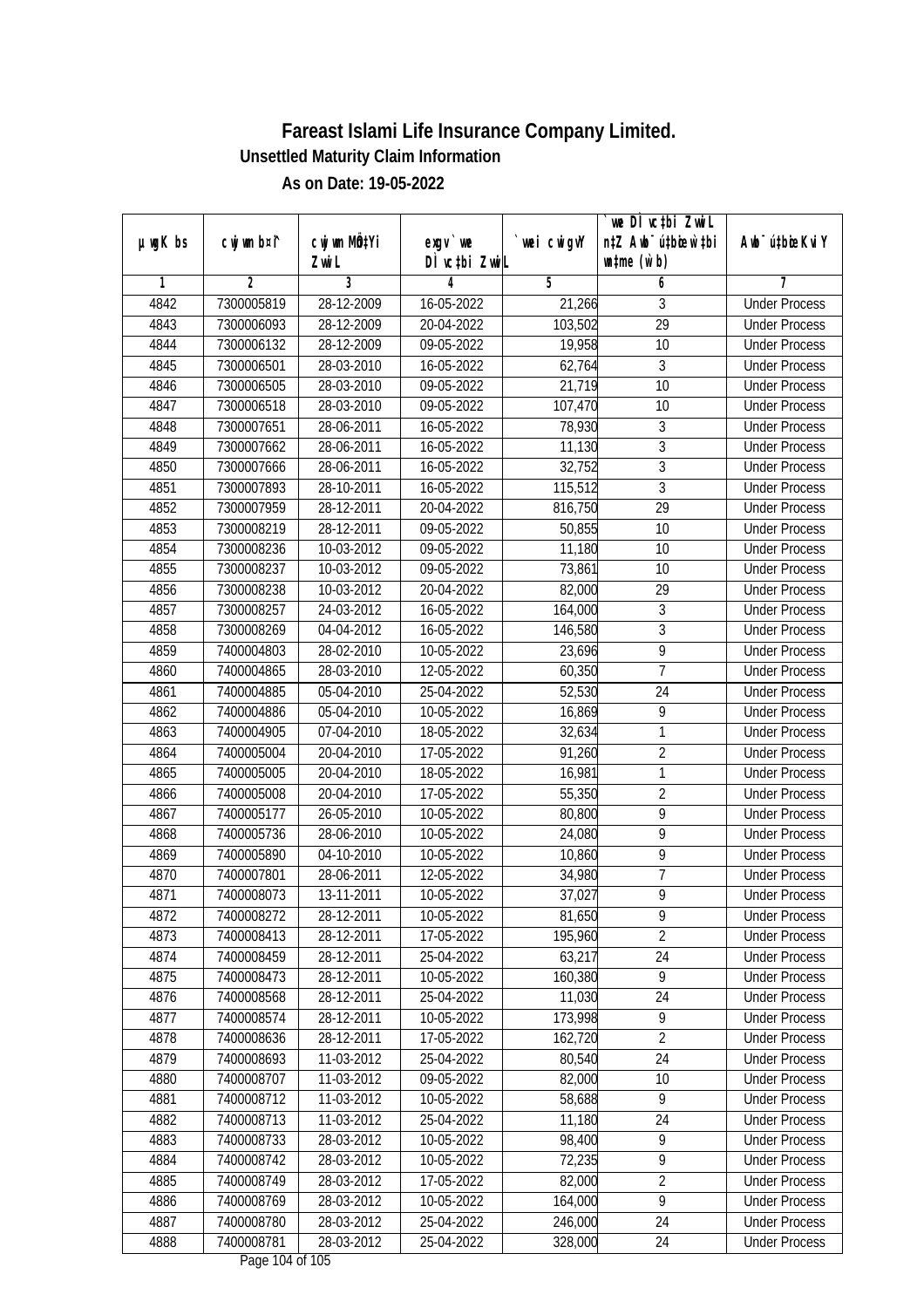| $µ$ ug $K$ bs | cwj wm b¤i^    | cwj wm MQ <sup>1</sup> Yi | $exqu$ we                | wei cwigvY | we DI vctbi ZwiL<br>n‡Z Awb <sup>-</sup> ú‡bioen`‡bi | Aub <sup>-</sup> ú‡biosKvi Y |
|---------------|----------------|---------------------------|--------------------------|------------|------------------------------------------------------|------------------------------|
|               |                | Zwi L                     | DÌ vctbi ZwiL            |            | $\n  untime\n  (u`b)\n$                              |                              |
| 1             | $\overline{2}$ | 3                         | 4                        | 5          | 6                                                    | 7                            |
| 4842          | 7300005819     | 28-12-2009                | 16-05-2022               | 21,266     | 3                                                    | <b>Under Process</b>         |
| 4843          | 7300006093     | 28-12-2009                | 20-04-2022               | 103,502    | $\overline{29}$                                      | <b>Under Process</b>         |
| 4844          | 7300006132     | 28-12-2009                | 09-05-2022               | 19,958     | 10                                                   | <b>Under Process</b>         |
| 4845          | 7300006501     | 28-03-2010                | 16-05-2022               | 62,764     | 3                                                    | <b>Under Process</b>         |
| 4846          | 7300006505     | 28-03-2010                | 09-05-2022               | 21,719     | $\overline{10}$                                      | <b>Under Process</b>         |
| 4847          | 7300006518     | 28-03-2010                | 09-05-2022               | 107,470    | 10                                                   | <b>Under Process</b>         |
| 4848          | 7300007651     | 28-06-2011                | $16 - 05 - 2022$         | 78,930     | $\sqrt{3}$                                           | <b>Under Process</b>         |
| 4849          | 7300007662     | 28-06-2011                | 16-05-2022               | 11,130     | $\sqrt{3}$                                           | <b>Under Process</b>         |
| 4850          | 7300007666     | 28-06-2011                | 16-05-2022               | 32,752     | $\overline{3}$                                       | <b>Under Process</b>         |
| 4851          | 7300007893     | 28-10-2011                | 16-05-2022               | 115,512    | $\overline{3}$                                       | <b>Under Process</b>         |
| 4852          | 7300007959     | 28-12-2011                | 20-04-2022               | 816,750    | $\overline{29}$                                      | <b>Under Process</b>         |
| 4853          | 7300008219     | 28-12-2011                | 09-05-2022               | 50,855     | 10                                                   | <b>Under Process</b>         |
| 4854          | 7300008236     | 10-03-2012                | 09-05-2022               | 11,180     | $\overline{10}$                                      | <b>Under Process</b>         |
| 4855          | 7300008237     | 10-03-2012                | 09-05-2022               | 73,861     | 10                                                   | <b>Under Process</b>         |
| 4856          | 7300008238     | 10-03-2012                | 20-04-2022               | 82,000     | 29                                                   | <b>Under Process</b>         |
| 4857          | 7300008257     | 24-03-2012                | 16-05-2022               | 164,000    | $\mathfrak{Z}$                                       | <b>Under Process</b>         |
| 4858          | 7300008269     | 04-04-2012                | 16-05-2022               | 146,580    | $\mathfrak z$                                        | <b>Under Process</b>         |
| 4859          | 7400004803     | 28-02-2010                | $\overline{10}$ -05-2022 | 23,696     | $\overline{9}$                                       | <b>Under Process</b>         |
| 4860          | 7400004865     | 28-03-2010                | 12-05-2022               | 60,350     | $\overline{7}$                                       | <b>Under Process</b>         |
| 4861          | 7400004885     | 05-04-2010                | 25-04-2022               | 52,530     | 24                                                   | <b>Under Process</b>         |
| 4862          | 7400004886     | 05-04-2010                | 10-05-2022               | 16,869     | 9                                                    | <b>Under Process</b>         |
| 4863          | 7400004905     | 07-04-2010                | 18-05-2022               | 32,634     | 1                                                    | <b>Under Process</b>         |
| 4864          | 7400005004     | 20-04-2010                | 17-05-2022               | 91,260     | $\overline{2}$                                       | <b>Under Process</b>         |
| 4865          | 7400005005     | 20-04-2010                | 18-05-2022               | 16,981     | $\mathbf{1}$                                         | <b>Under Process</b>         |
| 4866          | 7400005008     | 20-04-2010                | 17-05-2022               | 55,350     | $\overline{2}$                                       | <b>Under Process</b>         |
| 4867          | 7400005177     | 26-05-2010                | 10-05-2022               | 80,800     | 9                                                    | <b>Under Process</b>         |
| 4868          | 7400005736     | 28-06-2010                | 10-05-2022               | 24,080     | 9                                                    | <b>Under Process</b>         |
| 4869          | 7400005890     | 04-10-2010                | 10-05-2022               | 10,860     | 9                                                    | <b>Under Process</b>         |
| 4870          | 7400007801     | 28-06-2011                | 12-05-2022               | 34,980     | $\overline{7}$                                       | <b>Under Process</b>         |
| 4871          | 7400008073     | 13-11-2011                | 10-05-2022               | 37,027     | 9                                                    | <b>Under Process</b>         |
| 4872          | 7400008272     | 28-12-2011                | 10-05-2022               | 81,650     | 9                                                    | <b>Under Process</b>         |
| 4873          | 7400008413     | 28-12-2011                | 17-05-2022               | 195,960    | $\overline{2}$                                       | <b>Under Process</b>         |
| 4874          | 7400008459     | 28-12-2011                | 25-04-2022               | 63,217     | 24                                                   | <b>Under Process</b>         |
| 4875          | 7400008473     | 28-12-2011                | 10-05-2022               | 160,380    | $\overline{9}$                                       | <b>Under Process</b>         |
| 4876          | 7400008568     | 28-12-2011                | 25-04-2022               | 11,030     | 24                                                   | <b>Under Process</b>         |
| 4877          | 7400008574     | 28-12-2011                | 10-05-2022               | 173,998    | 9                                                    | <b>Under Process</b>         |
| 4878          | 7400008636     | 28-12-2011                | 17-05-2022               | 162,720    | $\overline{2}$                                       | <b>Under Process</b>         |
| 4879          | 7400008693     | 11-03-2012                | 25-04-2022               | 80,540     | 24                                                   | <b>Under Process</b>         |
| 4880          | 7400008707     | 11-03-2012                | 09-05-2022               | 82,000     | 10                                                   | <b>Under Process</b>         |
| 4881          | 7400008712     | 11-03-2012                | 10-05-2022               | 58,688     | 9                                                    | <b>Under Process</b>         |
| 4882          | 7400008713     | 11-03-2012                | 25-04-2022               | 11,180     | 24                                                   | <b>Under Process</b>         |
| 4883          | 7400008733     | 28-03-2012                | 10-05-2022               | 98,400     | $\overline{9}$                                       | <b>Under Process</b>         |
| 4884          | 7400008742     | 28-03-2012                | 10-05-2022               | 72,235     | 9                                                    | <b>Under Process</b>         |
| 4885          | 7400008749     | 28-03-2012                | 17-05-2022               | 82,000     | $\overline{2}$                                       | <b>Under Process</b>         |
| 4886          | 7400008769     | 28-03-2012                | 10-05-2022               | 164,000    | $\overline{9}$                                       | <b>Under Process</b>         |
| 4887          | 7400008780     | 28-03-2012                | 25-04-2022               | 246,000    | 24                                                   | <b>Under Process</b>         |
| 4888          | 7400008781     | 28-03-2012                | 25-04-2022               | 328,000    | 24                                                   | <b>Under Process</b>         |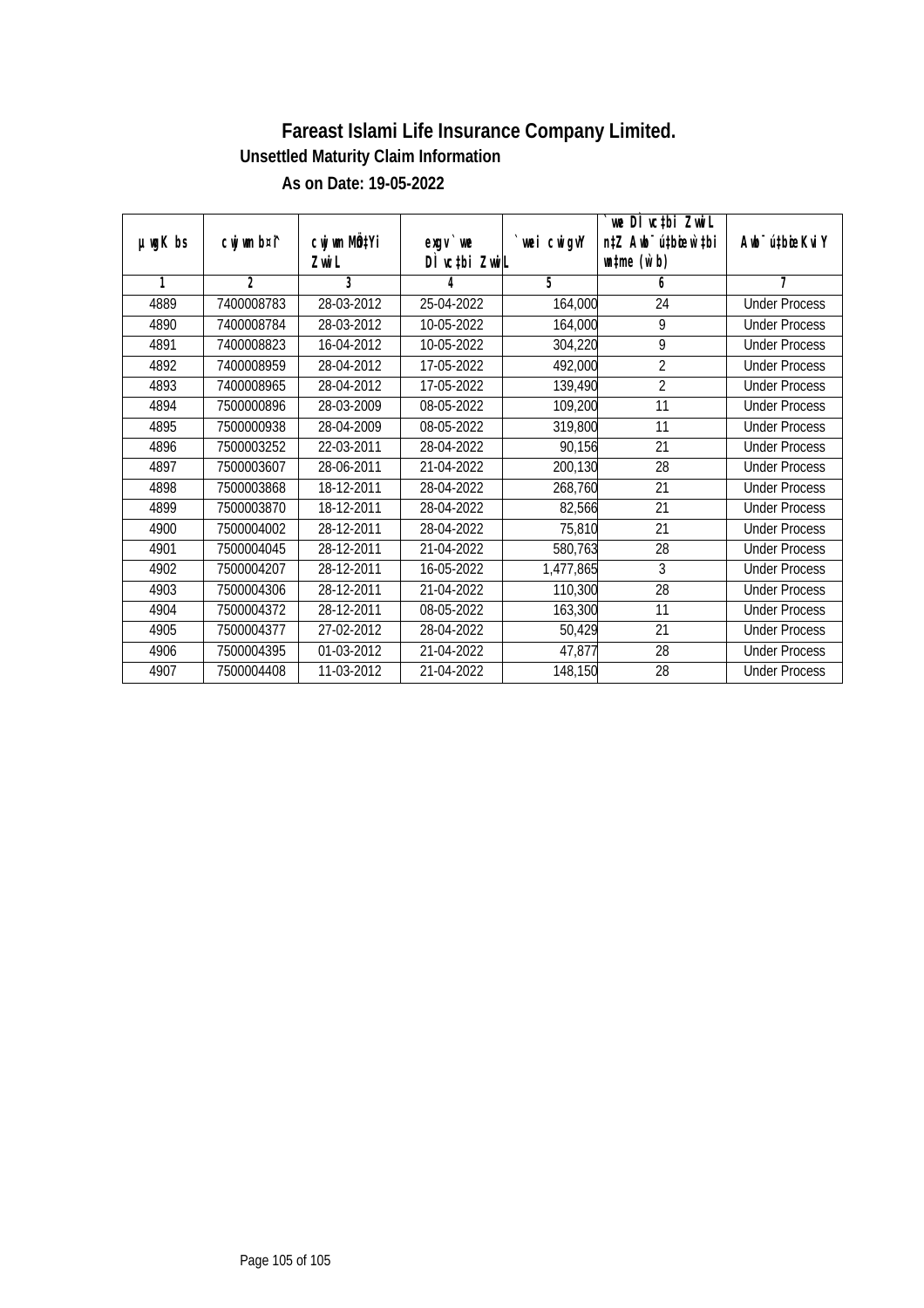|               |                |              |               |             | `we DÌ vc‡bi ZwwiL               |                             |
|---------------|----------------|--------------|---------------|-------------|----------------------------------|-----------------------------|
| $µ$ ug $K$ bs | cwj wm b¤i^    | cwj wm MÖ‡Yi | $exqu$ we     | `wei cwigvY | n‡Z Awb <sup>-</sup> ú‡bioen`‡bi | Awb <sup>-</sup> ú‡bioeKviY |
|               |                | Zwi L        | DI vctbi ZwiL |             | $\n  untime\n  (u`b)\n$          |                             |
| 1             | $\overline{2}$ | 3            | 4             | 5           | 6                                | 7                           |
| 4889          | 7400008783     | 28-03-2012   | 25-04-2022    | 164,000     | 24                               | <b>Under Process</b>        |
| 4890          | 7400008784     | 28-03-2012   | 10-05-2022    | 164,000     | 9                                | <b>Under Process</b>        |
| 4891          | 7400008823     | 16-04-2012   | 10-05-2022    | 304,220     | 9                                | <b>Under Process</b>        |
| 4892          | 7400008959     | 28-04-2012   | 17-05-2022    | 492,000     | $\overline{2}$                   | <b>Under Process</b>        |
| 4893          | 7400008965     | 28-04-2012   | 17-05-2022    | 139,490     | $\overline{2}$                   | <b>Under Process</b>        |
| 4894          | 7500000896     | 28-03-2009   | 08-05-2022    | 109,200     | 11                               | <b>Under Process</b>        |
| 4895          | 7500000938     | 28-04-2009   | 08-05-2022    | 319,800     | 11                               | <b>Under Process</b>        |
| 4896          | 7500003252     | 22-03-2011   | 28-04-2022    | 90,156      | 21                               | <b>Under Process</b>        |
| 4897          | 7500003607     | 28-06-2011   | 21-04-2022    | 200,130     | 28                               | <b>Under Process</b>        |
| 4898          | 7500003868     | 18-12-2011   | 28-04-2022    | 268,760     | 21                               | <b>Under Process</b>        |
| 4899          | 7500003870     | 18-12-2011   | 28-04-2022    | 82,566      | 21                               | <b>Under Process</b>        |
| 4900          | 7500004002     | 28-12-2011   | 28-04-2022    | 75,810      | 21                               | <b>Under Process</b>        |
| 4901          | 7500004045     | 28-12-2011   | 21-04-2022    | 580,763     | 28                               | <b>Under Process</b>        |
| 4902          | 7500004207     | 28-12-2011   | 16-05-2022    | 1,477,865   | 3                                | <b>Under Process</b>        |
| 4903          | 7500004306     | 28-12-2011   | 21-04-2022    | 110,300     | 28                               | <b>Under Process</b>        |
| 4904          | 7500004372     | 28-12-2011   | 08-05-2022    | 163,300     | 11                               | <b>Under Process</b>        |
| 4905          | 7500004377     | 27-02-2012   | 28-04-2022    | 50,429      | 21                               | <b>Under Process</b>        |
| 4906          | 7500004395     | 01-03-2012   | 21-04-2022    | 47,877      | 28                               | <b>Under Process</b>        |
| 4907          | 7500004408     | 11-03-2012   | 21-04-2022    | 148,150     | 28                               | <b>Under Process</b>        |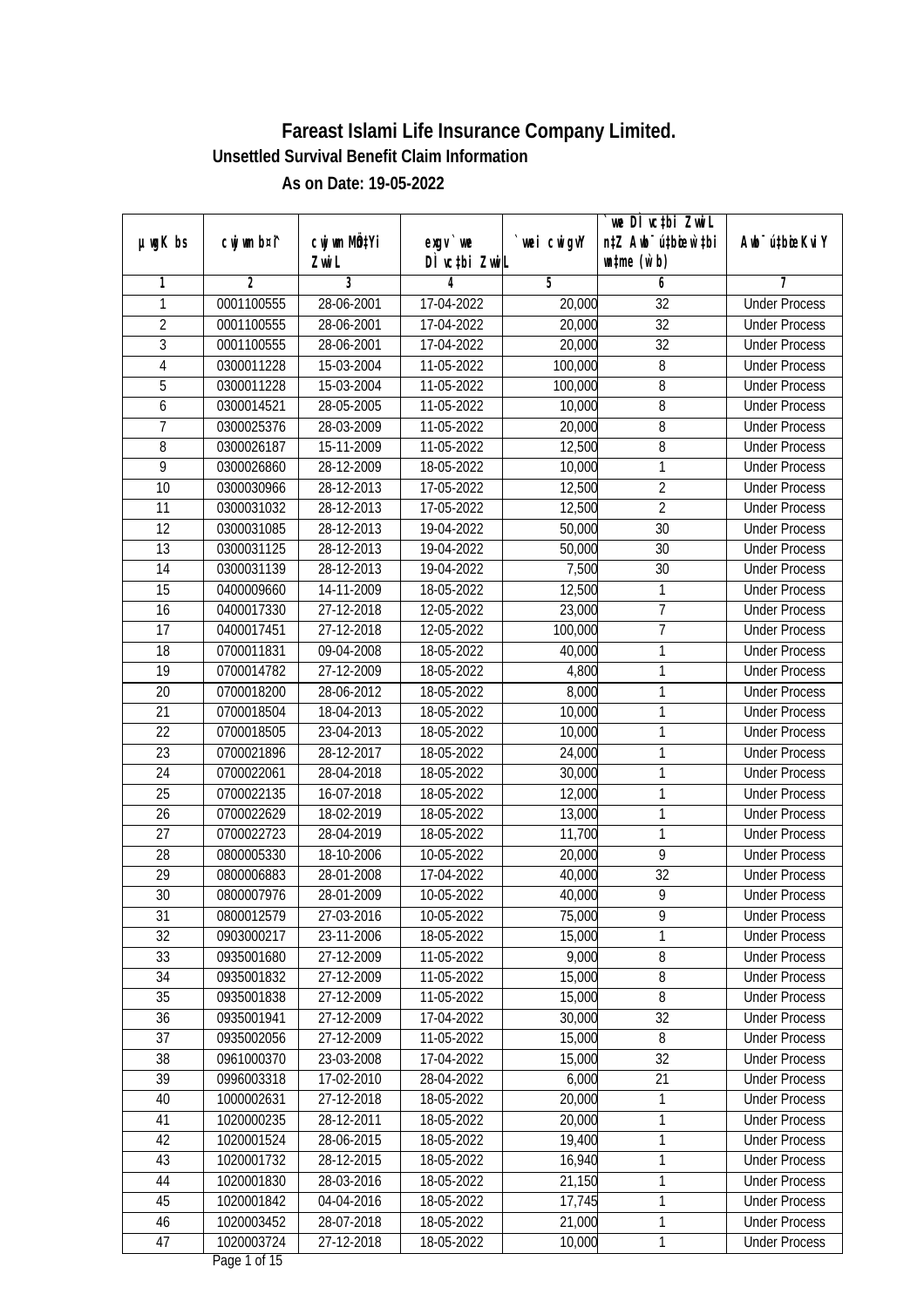|                |             |                       |                            |             | we DI vctbi ZwiL                                            |                             |
|----------------|-------------|-----------------------|----------------------------|-------------|-------------------------------------------------------------|-----------------------------|
| $µ$ ug $K$ bs  | cwj wm b¤i^ | cwj wm MQtYi<br>Zwi L | $exqu$ we<br>DÌ vctbi ZwiL | `wei cwigvY | n‡Z Awb <sup>-</sup> ú‡bioen`‡bi<br>$\n  untime\n  (u`b)\n$ | Awb <sup>-</sup> ú‡bioeKviY |
| 1              | 2           | 3                     | 4                          | 5           | 6                                                           | 7                           |
| 1              | 0001100555  | 28-06-2001            | 17-04-2022                 | 20,000      | $\overline{32}$                                             | <b>Under Process</b>        |
| $\overline{2}$ | 0001100555  | 28-06-2001            | 17-04-2022                 | 20,000      | $\overline{32}$                                             | <b>Under Process</b>        |
| $\overline{3}$ | 0001100555  | 28-06-2001            | 17-04-2022                 | 20,000      | $\overline{32}$                                             | <b>Under Process</b>        |
| $\overline{4}$ | 0300011228  | 15-03-2004            | 11-05-2022                 | 100,000     | $\overline{8}$                                              | <b>Under Process</b>        |
| 5              | 0300011228  | 15-03-2004            | 11-05-2022                 | 100,000     | 8                                                           | <b>Under Process</b>        |
| 6              | 0300014521  | 28-05-2005            | 11-05-2022                 | 10,000      | 8                                                           | <b>Under Process</b>        |
| $\overline{7}$ | 0300025376  | 28-03-2009            | 11-05-2022                 | 20,000      | $\overline{8}$                                              | <b>Under Process</b>        |
| $\overline{8}$ | 0300026187  | 15-11-2009            | 11-05-2022                 | 12,500      | 8                                                           | <b>Under Process</b>        |
| 9              | 0300026860  | 28-12-2009            | 18-05-2022                 | 10,000      | 1                                                           | <b>Under Process</b>        |
| 10             | 0300030966  | 28-12-2013            | 17-05-2022                 | 12,500      | $\overline{2}$                                              | <b>Under Process</b>        |
| 11             | 0300031032  | 28-12-2013            | 17-05-2022                 | 12,500      | $\overline{2}$                                              | <b>Under Process</b>        |
| 12             | 0300031085  | 28-12-2013            | 19-04-2022                 | 50,000      | 30                                                          | <b>Under Process</b>        |
| 13             | 0300031125  | 28-12-2013            | 19-04-2022                 | 50,000      | $\overline{30}$                                             | <b>Under Process</b>        |
| 14             | 0300031139  | 28-12-2013            | 19-04-2022                 | 7,500       | 30                                                          | <b>Under Process</b>        |
| 15             | 0400009660  | 14-11-2009            | 18-05-2022                 | 12,500      | 1                                                           | <b>Under Process</b>        |
| 16             | 0400017330  | 27-12-2018            | 12-05-2022                 | 23,000      | 7                                                           | <b>Under Process</b>        |
| 17             | 0400017451  | 27-12-2018            | 12-05-2022                 | 100,000     | $\overline{7}$                                              | <b>Under Process</b>        |
| 18             | 0700011831  | 09-04-2008            | 18-05-2022                 | 40,000      | 1                                                           | <b>Under Process</b>        |
| 19             | 0700014782  | 27-12-2009            | 18-05-2022                 | 4,800       | 1                                                           | <b>Under Process</b>        |
| 20             | 0700018200  | 28-06-2012            | 18-05-2022                 | 8,000       | 1                                                           | <b>Under Process</b>        |
| 21             | 0700018504  | 18-04-2013            | 18-05-2022                 | 10,000      | 1                                                           | <b>Under Process</b>        |
| 22             | 0700018505  | 23-04-2013            | 18-05-2022                 | 10,000      | 1                                                           | <b>Under Process</b>        |
| 23             | 0700021896  | 28-12-2017            | 18-05-2022                 | 24,000      | 1                                                           | <b>Under Process</b>        |
| 24             | 0700022061  | 28-04-2018            | 18-05-2022                 | 30,000      | 1                                                           | <b>Under Process</b>        |
| 25             | 0700022135  | $16 - 07 - 2018$      | 18-05-2022                 | 12,000      | 1                                                           | <b>Under Process</b>        |
| 26             | 0700022629  | 18-02-2019            | 18-05-2022                 | 13,000      | 1                                                           | <b>Under Process</b>        |
| 27             | 0700022723  | 28-04-2019            | 18-05-2022                 | 11,700      | 1                                                           | <b>Under Process</b>        |
| 28             | 0800005330  | 18-10-2006            | 10-05-2022                 | 20,000      | $\overline{9}$                                              | <b>Under Process</b>        |
| 29             | 0800006883  | 28-01-2008            | 17-04-2022                 | 40,000      | 32                                                          | <b>Under Process</b>        |
| 30             | 0800007976  | 28-01-2009            | 10-05-2022                 | 40,000      | 9                                                           | <b>Under Process</b>        |
| 31             | 0800012579  | 27-03-2016            | 10-05-2022                 | 75,000      | 9                                                           | <b>Under Process</b>        |
| 32             | 0903000217  | 23-11-2006            | 18-05-2022                 | 15,000      | 1                                                           | <b>Under Process</b>        |
| 33             | 0935001680  | 27-12-2009            | 11-05-2022                 | 9,000       | $8\,$                                                       | <b>Under Process</b>        |
| 34             | 0935001832  | 27-12-2009            | 11-05-2022                 | 15,000      | $\bf 8$                                                     | <b>Under Process</b>        |
| 35             | 0935001838  | 27-12-2009            | 11-05-2022                 | 15,000      | 8                                                           | <b>Under Process</b>        |
| 36             | 0935001941  | 27-12-2009            | 17-04-2022                 | 30,000      | 32                                                          | <b>Under Process</b>        |
| 37             | 0935002056  | 27-12-2009            | 11-05-2022                 | 15,000      | 8                                                           | <b>Under Process</b>        |
| 38             | 0961000370  | 23-03-2008            | 17-04-2022                 | 15,000      | 32                                                          | <b>Under Process</b>        |
| 39             | 0996003318  | 17-02-2010            | 28-04-2022                 | 6,000       | 21                                                          | <b>Under Process</b>        |
| 40             | 1000002631  | 27-12-2018            | 18-05-2022                 | 20,000      | $\mathbf{1}$                                                | <b>Under Process</b>        |
| 41             | 1020000235  | 28-12-2011            | 18-05-2022                 | 20,000      | 1                                                           | <b>Under Process</b>        |
| 42             | 1020001524  | 28-06-2015            | 18-05-2022                 | 19,400      | 1                                                           | <b>Under Process</b>        |
| 43             | 1020001732  | 28-12-2015            | 18-05-2022                 | 16,940      | 1                                                           | <b>Under Process</b>        |
| 44             | 1020001830  | 28-03-2016            | $18-05-2022$               | 21,150      | 1                                                           | <b>Under Process</b>        |
| 45             | 1020001842  | 04-04-2016            | 18-05-2022                 | 17,745      | 1                                                           | <b>Under Process</b>        |
| 46             | 1020003452  | 28-07-2018            | 18-05-2022                 | 21,000      | 1                                                           | <b>Under Process</b>        |
| 47             | 1020003724  | 27-12-2018            | 18-05-2022                 | 10,000      | 1                                                           | <b>Under Process</b>        |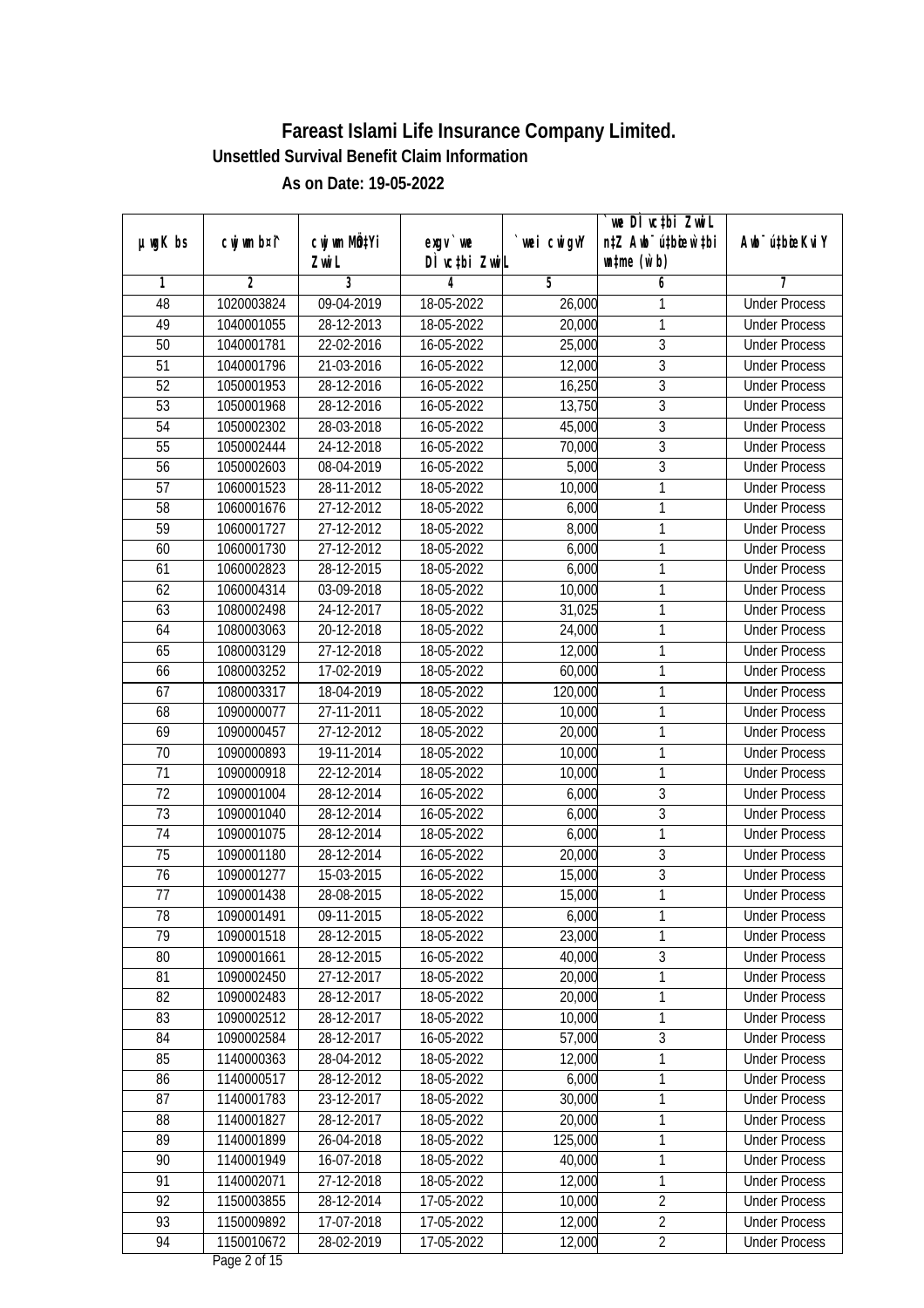|                 |                |                          |               |            | we DI vctbi ZwiL                 |                             |
|-----------------|----------------|--------------------------|---------------|------------|----------------------------------|-----------------------------|
| $µ$ ug $K$ bs   | cwj wm b¤i^    | cwj wm MQtYi             | $exqu$ we     | wei cwigvY | n‡Z Awb <sup>-</sup> ú‡bioar`‡bi | Awb <sup>-</sup> ú‡bioeKviY |
|                 |                | Zwi L                    | DÌ vctbi ZwiL |            | $\n  untime\n  (u`b)\n$          |                             |
| 1               | $\overline{2}$ | 3                        | 4             | 5          | 6                                | 7                           |
| 48              | 1020003824     | 09-04-2019               | 18-05-2022    | 26,000     | 1                                | <b>Under Process</b>        |
| 49              | 1040001055     | 28-12-2013               | 18-05-2022    | 20,000     | 1                                | <b>Under Process</b>        |
| $\overline{50}$ | 1040001781     | 22-02-2016               | 16-05-2022    | 25,000     | $\overline{3}$                   | <b>Under Process</b>        |
| 51              | 1040001796     | 21-03-2016               | 16-05-2022    | 12,000     | $\overline{3}$                   | <b>Under Process</b>        |
| $\overline{52}$ | 1050001953     | 28-12-2016               | 16-05-2022    | 16,250     | $\overline{3}$                   | <b>Under Process</b>        |
| $\overline{53}$ | 1050001968     | $28 - 12 - 2016$         | 16-05-2022    | 13,750     | $\overline{3}$                   | <b>Under Process</b>        |
| $\overline{54}$ | 1050002302     | 28-03-2018               | 16-05-2022    | 45,000     | $\overline{3}$                   | <b>Under Process</b>        |
| 55              | 1050002444     | 24-12-2018               | 16-05-2022    | 70,000     | $\overline{3}$                   | <b>Under Process</b>        |
| 56              | 1050002603     | 08-04-2019               | 16-05-2022    | 5,000      | $\overline{3}$                   | <b>Under Process</b>        |
| 57              | 1060001523     | 28-11-2012               | 18-05-2022    | 10,000     | $\mathbf{1}$                     | <b>Under Process</b>        |
| $\overline{58}$ | 1060001676     | 27-12-2012               | 18-05-2022    | 6,000      | 1                                | <b>Under Process</b>        |
| 59              | 1060001727     | 27-12-2012               | 18-05-2022    | 8,000      | 1                                | <b>Under Process</b>        |
| 60              | 1060001730     | 27-12-2012               | 18-05-2022    | 6,000      | 1                                | <b>Under Process</b>        |
| 61              | 1060002823     | 28-12-2015               | 18-05-2022    | 6,000      | 1                                | <b>Under Process</b>        |
| 62              | 1060004314     | 03-09-2018               | 18-05-2022    | 10,000     | $\mathbf{1}$                     | <b>Under Process</b>        |
| 63              | 1080002498     | 24-12-2017               | 18-05-2022    | 31,025     | 1                                | <b>Under Process</b>        |
| 64              | 1080003063     | 20-12-2018               | 18-05-2022    | 24,000     | $\mathbf{1}$                     | <b>Under Process</b>        |
| 65              | 1080003129     | 27-12-2018               | 18-05-2022    | 12,000     | 1                                | <b>Under Process</b>        |
| 66              | 1080003252     | 17-02-2019               | 18-05-2022    | 60,000     | $\mathbf{1}$                     | <b>Under Process</b>        |
| 67              | 1080003317     | 18-04-2019               | 18-05-2022    | 120,000    | $\mathbf{1}$                     | <b>Under Process</b>        |
| 68              | 1090000077     | 27-11-2011               | 18-05-2022    | 10,000     | $\mathbf{1}$                     | <b>Under Process</b>        |
| 69              | 1090000457     | $\overline{27}$ -12-2012 | 18-05-2022    | 20,000     | 1                                | <b>Under Process</b>        |
| 70              | 1090000893     | 19-11-2014               | 18-05-2022    | 10,000     | $\mathbf{1}$                     | <b>Under Process</b>        |
| 71              | 1090000918     | 22-12-2014               | 18-05-2022    | 10,000     | $\mathbf{1}$                     | <b>Under Process</b>        |
| 72              | 1090001004     | 28-12-2014               | 16-05-2022    | 6,000      | $\mathfrak{Z}$                   | <b>Under Process</b>        |
| 73              | 1090001040     | 28-12-2014               | 16-05-2022    | 6,000      | 3                                | <b>Under Process</b>        |
| 74              | 1090001075     | 28-12-2014               | 18-05-2022    | 6,000      | 1                                | <b>Under Process</b>        |
| 75              | 1090001180     | 28-12-2014               | 16-05-2022    | 20,000     | $\overline{3}$                   | <b>Under Process</b>        |
| 76              | 1090001277     | 15-03-2015               | 16-05-2022    | 15,000     | $\overline{3}$                   | <b>Under Process</b>        |
| 77              | 1090001438     | 28-08-2015               | 18-05-2022    | 15,000     | $\mathbf{1}$                     | <b>Under Process</b>        |
| 78              | 1090001491     | 09-11-2015               | 18-05-2022    | 6,000      | 1                                | <b>Under Process</b>        |
| 79              | 1090001518     | 28-12-2015               | 18-05-2022    | 23,000     | 1                                | <b>Under Process</b>        |
| 80              | 1090001661     | 28-12-2015               | 16-05-2022    | 40,000     | 3                                | <b>Under Process</b>        |
| 81              | 1090002450     | 27-12-2017               | 18-05-2022    | 20,000     | $\mathbf{1}$                     | <b>Under Process</b>        |
| 82              | 1090002483     | 28-12-2017               | 18-05-2022    | 20,000     | 1                                | <b>Under Process</b>        |
| 83              | 1090002512     | 28-12-2017               | 18-05-2022    | 10,000     | 1                                | <b>Under Process</b>        |
| 84              | 1090002584     | 28-12-2017               | 16-05-2022    | 57,000     | 3                                | <b>Under Process</b>        |
| 85              | 1140000363     | 28-04-2012               | 18-05-2022    | 12,000     | 1                                | <b>Under Process</b>        |
| 86              | 1140000517     | 28-12-2012               | 18-05-2022    | 6,000      | 1                                | <b>Under Process</b>        |
| 87              | 1140001783     | 23-12-2017               | 18-05-2022    | 30,000     | $\mathbf{1}$                     | <b>Under Process</b>        |
| 88              | 1140001827     | 28-12-2017               | 18-05-2022    | 20,000     | 1                                | <b>Under Process</b>        |
| 89              | 1140001899     | 26-04-2018               | 18-05-2022    | 125,000    | $\mathbf{1}$                     | <b>Under Process</b>        |
| 90              | 1140001949     | 16-07-2018               | 18-05-2022    | 40,000     | 1                                | <b>Under Process</b>        |
| $\overline{91}$ | 1140002071     | 27-12-2018               | 18-05-2022    | 12,000     | 1                                | <b>Under Process</b>        |
| 92              | 1150003855     | 28-12-2014               | 17-05-2022    | 10,000     | $\overline{2}$                   | <b>Under Process</b>        |
| 93              | 1150009892     | 17-07-2018               | 17-05-2022    | 12,000     | $\overline{2}$                   | <b>Under Process</b>        |
| 94              | 1150010672     | 28-02-2019               | 17-05-2022    | 12,000     | $\overline{2}$                   | <b>Under Process</b>        |
|                 |                |                          |               |            |                                  |                             |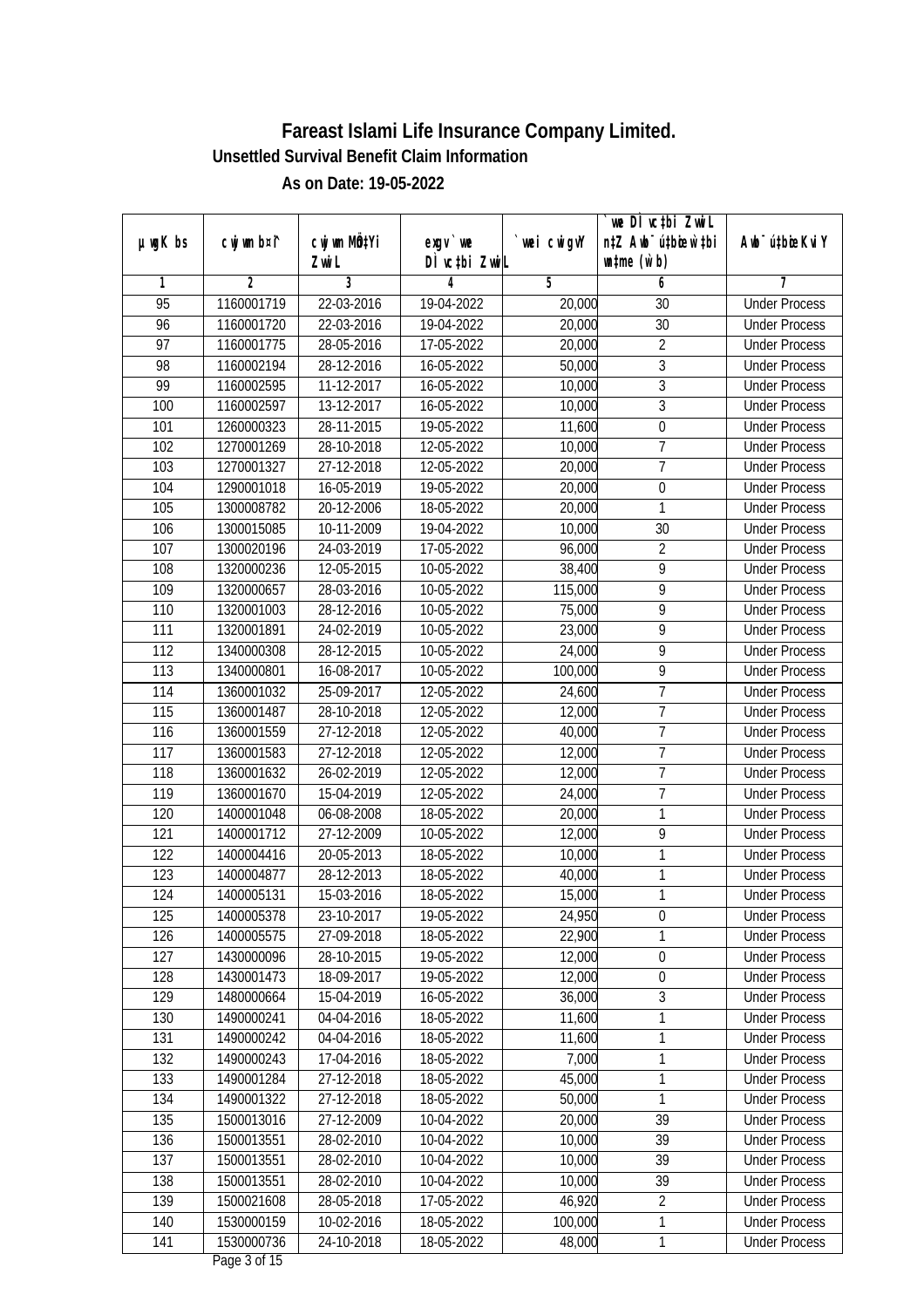|                  |             |                       |                            |             | we DI vctbi ZwiL                                            |                             |
|------------------|-------------|-----------------------|----------------------------|-------------|-------------------------------------------------------------|-----------------------------|
| $µ$ ug $K$ bs    | cwj wm b¤i^ | cwj wm MQtYi<br>Zwi L | $exqu$ we<br>DÌ vctbi ZwiL | `wei cwigvY | n‡Z Awb <sup>-</sup> ú‡bioar`‡bi<br>$\n  untime\n  (u`b)\n$ | Awb <sup>-</sup> ú‡bioeKviY |
| 1                | 2           | 3                     | 4                          | 5           | 6                                                           | 7                           |
| $\overline{95}$  | 1160001719  | 22-03-2016            | 19-04-2022                 | 20,000      | 30                                                          | <b>Under Process</b>        |
| 96               | 1160001720  | 22-03-2016            | 19-04-2022                 | 20,000      | $\overline{30}$                                             | <b>Under Process</b>        |
| $\overline{97}$  | 1160001775  | 28-05-2016            | 17-05-2022                 | 20,000      | $\overline{2}$                                              | <b>Under Process</b>        |
| 98               | 1160002194  | 28-12-2016            | 16-05-2022                 | 50,000      | $\overline{3}$                                              | <b>Under Process</b>        |
| 99               | 1160002595  | 11-12-2017            | 16-05-2022                 | 10,000      | $\overline{3}$                                              | <b>Under Process</b>        |
| 100              | 1160002597  | 13-12-2017            | 16-05-2022                 | 10,000      | 3                                                           | <b>Under Process</b>        |
| 101              | 1260000323  | 28-11-2015            | 19-05-2022                 | 11,600      | $\overline{0}$                                              | <b>Under Process</b>        |
| 102              | 1270001269  | 28-10-2018            | 12-05-2022                 | 10,000      | $\overline{7}$                                              | <b>Under Process</b>        |
| 103              | 1270001327  | 27-12-2018            | 12-05-2022                 | 20,000      | $\overline{7}$                                              | <b>Under Process</b>        |
| 104              | 1290001018  | 16-05-2019            | 19-05-2022                 | 20,000      | $\boldsymbol{0}$                                            | <b>Under Process</b>        |
| 105              | 1300008782  | 20-12-2006            | 18-05-2022                 | 20,000      | 1                                                           | <b>Under Process</b>        |
| 106              | 1300015085  | 10-11-2009            | 19-04-2022                 | 10,000      | 30                                                          | <b>Under Process</b>        |
| 107              | 1300020196  | 24-03-2019            | 17-05-2022                 | 96,000      | $\overline{2}$                                              | <b>Under Process</b>        |
| 108              | 1320000236  | 12-05-2015            | 10-05-2022                 | 38,400      | 9                                                           | <b>Under Process</b>        |
| 109              | 1320000657  | 28-03-2016            | 10-05-2022                 | 115,000     | 9                                                           | <b>Under Process</b>        |
| 110              | 1320001003  | 28-12-2016            | 10-05-2022                 | 75,000      | 9                                                           | <b>Under Process</b>        |
| 111              | 1320001891  | 24-02-2019            | 10-05-2022                 | 23,000      | 9                                                           | <b>Under Process</b>        |
| 112              | 1340000308  | 28-12-2015            | 10-05-2022                 | 24,000      | $\overline{9}$                                              | <b>Under Process</b>        |
| 113              | 1340000801  | 16-08-2017            | 10-05-2022                 | 100,000     | 9                                                           | <b>Under Process</b>        |
| 114              | 1360001032  | 25-09-2017            | 12-05-2022                 | 24,600      | $\overline{1}$                                              | <b>Under Process</b>        |
| 115              | 1360001487  | 28-10-2018            | 12-05-2022                 | 12,000      | $\overline{1}$                                              | <b>Under Process</b>        |
| 116              | 1360001559  | 27-12-2018            | 12-05-2022                 | 40,000      | $\overline{1}$                                              | <b>Under Process</b>        |
| $\overline{1}17$ | 1360001583  | 27-12-2018            | 12-05-2022                 | 12,000      | $\overline{7}$                                              | <b>Under Process</b>        |
| 118              | 1360001632  | 26-02-2019            | 12-05-2022                 | 12,000      | $\overline{7}$                                              | <b>Under Process</b>        |
| 119              | 1360001670  | 15-04-2019            | 12-05-2022                 | 24,000      | $\overline{1}$                                              | <b>Under Process</b>        |
| 120              | 1400001048  | 06-08-2008            | 18-05-2022                 | 20,000      | 1                                                           | <b>Under Process</b>        |
| 121              | 1400001712  | 27-12-2009            | 10-05-2022                 | 12,000      | 9                                                           | <b>Under Process</b>        |
| 122              | 1400004416  | 20-05-2013            | 18-05-2022                 | 10,000      | 1                                                           | <b>Under Process</b>        |
| 123              | 1400004877  | 28-12-2013            | 18-05-2022                 | 40,000      | 1                                                           | <b>Under Process</b>        |
| 124              | 1400005131  | 15-03-2016            | 18-05-2022                 | 15,000      | 1                                                           | <b>Under Process</b>        |
| 125              | 1400005378  | 23-10-2017            | 19-05-2022                 | 24,950      | 0                                                           | <b>Under Process</b>        |
| 126              | 1400005575  | 27-09-2018            | 18-05-2022                 | 22,900      | 1                                                           | <b>Under Process</b>        |
| 127              | 1430000096  | 28-10-2015            | 19-05-2022                 | 12,000      | $\boldsymbol{0}$                                            | <b>Under Process</b>        |
| 128              | 1430001473  | 18-09-2017            | 19-05-2022                 | 12,000      | $\boldsymbol{0}$                                            | <b>Under Process</b>        |
| 129              | 1480000664  | 15-04-2019            | 16-05-2022                 | 36,000      | 3                                                           | <b>Under Process</b>        |
| 130              | 1490000241  | 04-04-2016            | 18-05-2022                 | 11,600      | 1                                                           | <b>Under Process</b>        |
| 131              | 1490000242  | 04-04-2016            | 18-05-2022                 | 11,600      | 1                                                           | <b>Under Process</b>        |
| 132              | 1490000243  | 17-04-2016            | 18-05-2022                 | 7,000       | 1                                                           | <b>Under Process</b>        |
| 133              | 1490001284  | 27-12-2018            | 18-05-2022                 | 45,000      | 1                                                           | <b>Under Process</b>        |
| 134              | 1490001322  | 27-12-2018            | 18-05-2022                 | 50,000      | $\mathbf{1}$                                                | <b>Under Process</b>        |
| 135              | 1500013016  | 27-12-2009            | 10-04-2022                 | 20,000      | 39                                                          | <b>Under Process</b>        |
| 136              | 1500013551  | 28-02-2010            | 10-04-2022                 | 10,000      | $\overline{39}$                                             | <b>Under Process</b>        |
| 137              | 1500013551  | 28-02-2010            | 10-04-2022                 | 10,000      | 39                                                          | <b>Under Process</b>        |
| 138              | 1500013551  | 28-02-2010            | 10-04-2022                 | 10,000      | 39                                                          | <b>Under Process</b>        |
| 139              | 1500021608  | 28-05-2018            | 17-05-2022                 | 46,920      | $\sqrt{2}$                                                  | <b>Under Process</b>        |
| 140              | 1530000159  | 10-02-2016            | 18-05-2022                 | 100,000     | 1                                                           | <b>Under Process</b>        |
| 141              | 1530000736  | 24-10-2018            | 18-05-2022                 | 48,000      | 1                                                           | <b>Under Process</b>        |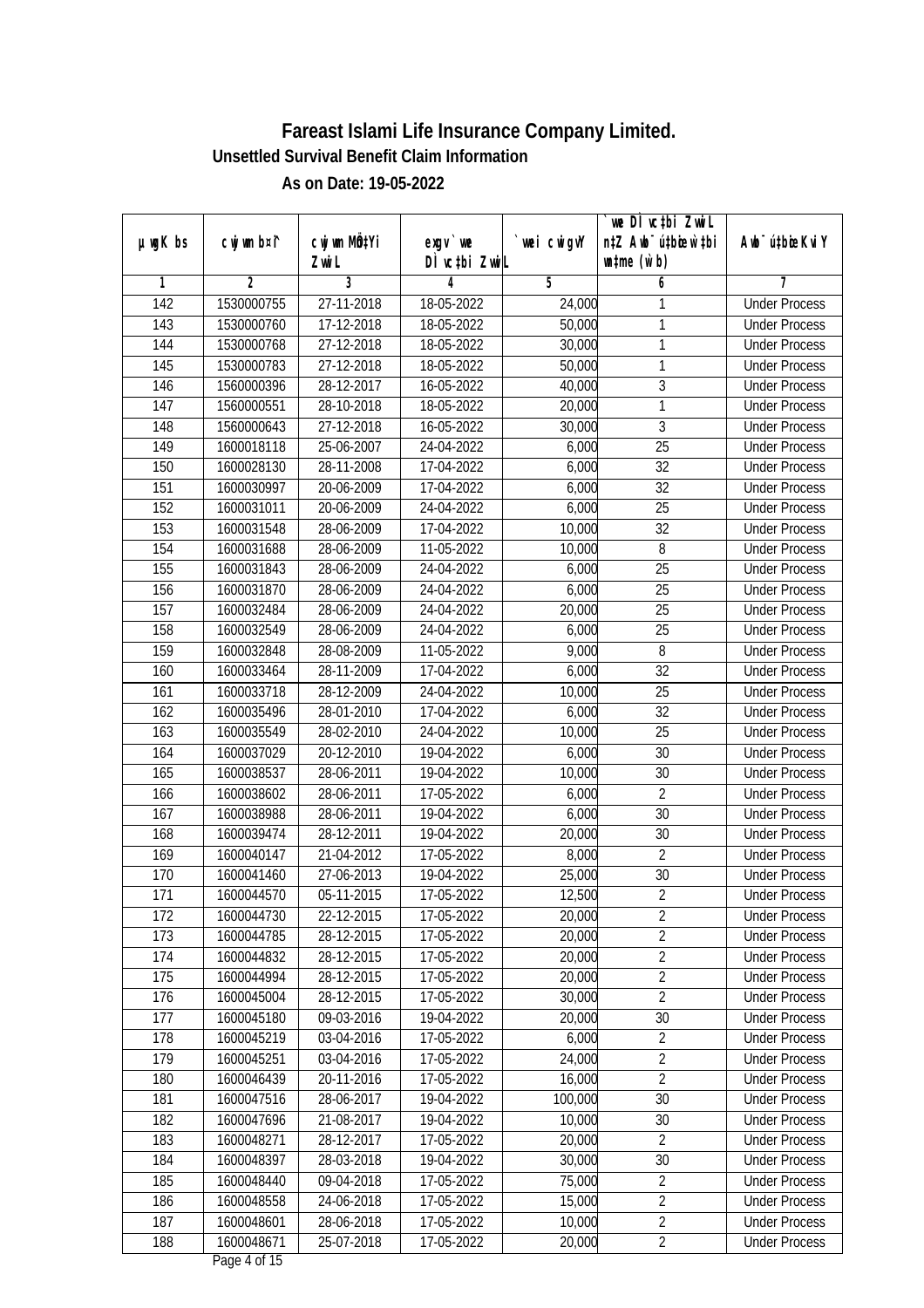|                  |             |                       |                            |             | we DI vctbi ZwiL                                            |                             |
|------------------|-------------|-----------------------|----------------------------|-------------|-------------------------------------------------------------|-----------------------------|
| µwgK bs          | cwj wm b¤i^ | cwj wm MQtYi<br>Zwi L | $exqu$ we<br>DÌ vctbi ZwiL | `wei cwigvY | n‡Z Awb <sup>-</sup> ú‡bioar`‡bi<br>$\n  untime\n  (u`b)\n$ | Awb <sup>-</sup> ú‡bioeKviY |
| 1                | 2           | 3                     | 4                          | 5           | 6                                                           | 7                           |
| $\overline{142}$ | 1530000755  | 27-11-2018            | 18-05-2022                 | 24,000      | 1                                                           | <b>Under Process</b>        |
| 143              | 1530000760  | 17-12-2018            | 18-05-2022                 | 50,000      | 1                                                           | <b>Under Process</b>        |
| 144              | 1530000768  | 27-12-2018            | 18-05-2022                 | 30,000      | 1                                                           | <b>Under Process</b>        |
| 145              | 1530000783  | 27-12-2018            | 18-05-2022                 | 50,000      | 1                                                           | <b>Under Process</b>        |
| 146              | 1560000396  | 28-12-2017            | 16-05-2022                 | 40,000      | $\overline{3}$                                              | <b>Under Process</b>        |
| 147              | 1560000551  | 28-10-2018            | 18-05-2022                 | 20,000      | 1                                                           | <b>Under Process</b>        |
| 148              | 1560000643  | 27-12-2018            | 16-05-2022                 | 30,000      | $\overline{3}$                                              | <b>Under Process</b>        |
| 149              | 1600018118  | 25-06-2007            | 24-04-2022                 | 6,000       | $\overline{25}$                                             | <b>Under Process</b>        |
| 150              | 1600028130  | 28-11-2008            | 17-04-2022                 | 6,000       | $\overline{32}$                                             | <b>Under Process</b>        |
| 151              | 1600030997  | 20-06-2009            | 17-04-2022                 | 6,000       | $\overline{32}$                                             | <b>Under Process</b>        |
| 152              | 1600031011  | 20-06-2009            | 24-04-2022                 | 6,000       | $\overline{25}$                                             | <b>Under Process</b>        |
| 153              | 1600031548  | 28-06-2009            | 17-04-2022                 | 10,000      | 32                                                          | <b>Under Process</b>        |
| 154              | 1600031688  | 28-06-2009            | 11-05-2022                 | 10,000      | 8                                                           | <b>Under Process</b>        |
| 155              | 1600031843  | 28-06-2009            | 24-04-2022                 | 6,000       | 25                                                          | <b>Under Process</b>        |
| 156              | 1600031870  | 28-06-2009            | 24-04-2022                 | 6,000       | 25                                                          | <b>Under Process</b>        |
| 157              | 1600032484  | 28-06-2009            | 24-04-2022                 | 20,000      | 25                                                          | <b>Under Process</b>        |
| 158              | 1600032549  | 28-06-2009            | 24-04-2022                 | 6,000       | 25                                                          | <b>Under Process</b>        |
| 159              | 1600032848  | 28-08-2009            | 11-05-2022                 | 9,000       | $\, 8$                                                      | <b>Under Process</b>        |
| 160              | 1600033464  | 28-11-2009            | 17-04-2022                 | 6,000       | 32                                                          | <b>Under Process</b>        |
| 161              | 1600033718  | 28-12-2009            | 24-04-2022                 | 10,000      | 25                                                          | <b>Under Process</b>        |
| 162              | 1600035496  | 28-01-2010            | 17-04-2022                 | 6,000       | $\overline{32}$                                             | <b>Under Process</b>        |
| 163              | 1600035549  | 28-02-2010            | 24-04-2022                 | 10,000      | 25                                                          | <b>Under Process</b>        |
| 164              | 1600037029  | 20-12-2010            | 19-04-2022                 | 6,000       | 30                                                          | <b>Under Process</b>        |
| 165              | 1600038537  | 28-06-2011            | 19-04-2022                 | 10,000      | 30                                                          | <b>Under Process</b>        |
| 166              | 1600038602  | 28-06-2011            | 17-05-2022                 | 6,000       | $\overline{2}$                                              | <b>Under Process</b>        |
| 167              | 1600038988  | 28-06-2011            | 19-04-2022                 | 6,000       | 30                                                          | <b>Under Process</b>        |
| 168              | 1600039474  | 28-12-2011            | 19-04-2022                 | 20,000      | 30                                                          | <b>Under Process</b>        |
| 169              | 1600040147  | 21-04-2012            | 17-05-2022                 | 8,000       | $\overline{2}$                                              | <b>Under Process</b>        |
| 170              | 1600041460  | 27-06-2013            | 19-04-2022                 | 25,000      | 30                                                          | <b>Under Process</b>        |
| 171              | 1600044570  | 05-11-2015            | 17-05-2022                 | 12,500      | $\overline{2}$                                              | <b>Under Process</b>        |
| 172              | 1600044730  | 22-12-2015            | 17-05-2022                 | 20,000      | $\sqrt{2}$                                                  | <b>Under Process</b>        |
| 173              | 1600044785  | 28-12-2015            | 17-05-2022                 | 20,000      | $\overline{2}$                                              | <b>Under Process</b>        |
| 174              | 1600044832  | 28-12-2015            | 17-05-2022                 | 20,000      | $\overline{2}$                                              | <b>Under Process</b>        |
| 175              | 1600044994  | 28-12-2015            | 17-05-2022                 | 20,000      | $\overline{2}$                                              | <b>Under Process</b>        |
| 176              | 1600045004  | 28-12-2015            | 17-05-2022                 | 30,000      | $\overline{2}$                                              | <b>Under Process</b>        |
| 177              | 1600045180  | 09-03-2016            | 19-04-2022                 | 20,000      | 30                                                          | <b>Under Process</b>        |
| 178              | 1600045219  | 03-04-2016            | 17-05-2022                 | 6,000       | $\overline{2}$                                              | <b>Under Process</b>        |
| 179              | 1600045251  | 03-04-2016            | 17-05-2022                 | 24,000      | $\overline{2}$                                              | <b>Under Process</b>        |
| 180              | 1600046439  | 20-11-2016            | 17-05-2022                 | 16,000      | $\overline{2}$                                              | <b>Under Process</b>        |
| 181              | 1600047516  | 28-06-2017            | 19-04-2022                 | 100,000     | 30                                                          | <b>Under Process</b>        |
| 182              | 1600047696  | 21-08-2017            | 19-04-2022                 | 10,000      | 30                                                          | <b>Under Process</b>        |
| 183              | 1600048271  | 28-12-2017            | 17-05-2022                 | 20,000      | $\overline{2}$                                              | <b>Under Process</b>        |
| 184              | 1600048397  | 28-03-2018            | 19-04-2022                 | 30,000      | 30                                                          | <b>Under Process</b>        |
| 185              | 1600048440  | 09-04-2018            | 17-05-2022                 | 75,000      | $\overline{2}$                                              | <b>Under Process</b>        |
| 186              | 1600048558  | 24-06-2018            | 17-05-2022                 | 15,000      | $\overline{2}$                                              | <b>Under Process</b>        |
| 187              | 1600048601  | 28-06-2018            | 17-05-2022                 | 10,000      | $\overline{2}$                                              | <b>Under Process</b>        |
| 188              | 1600048671  | 25-07-2018            | 17-05-2022                 | 20,000      | $\overline{2}$                                              | <b>Under Process</b>        |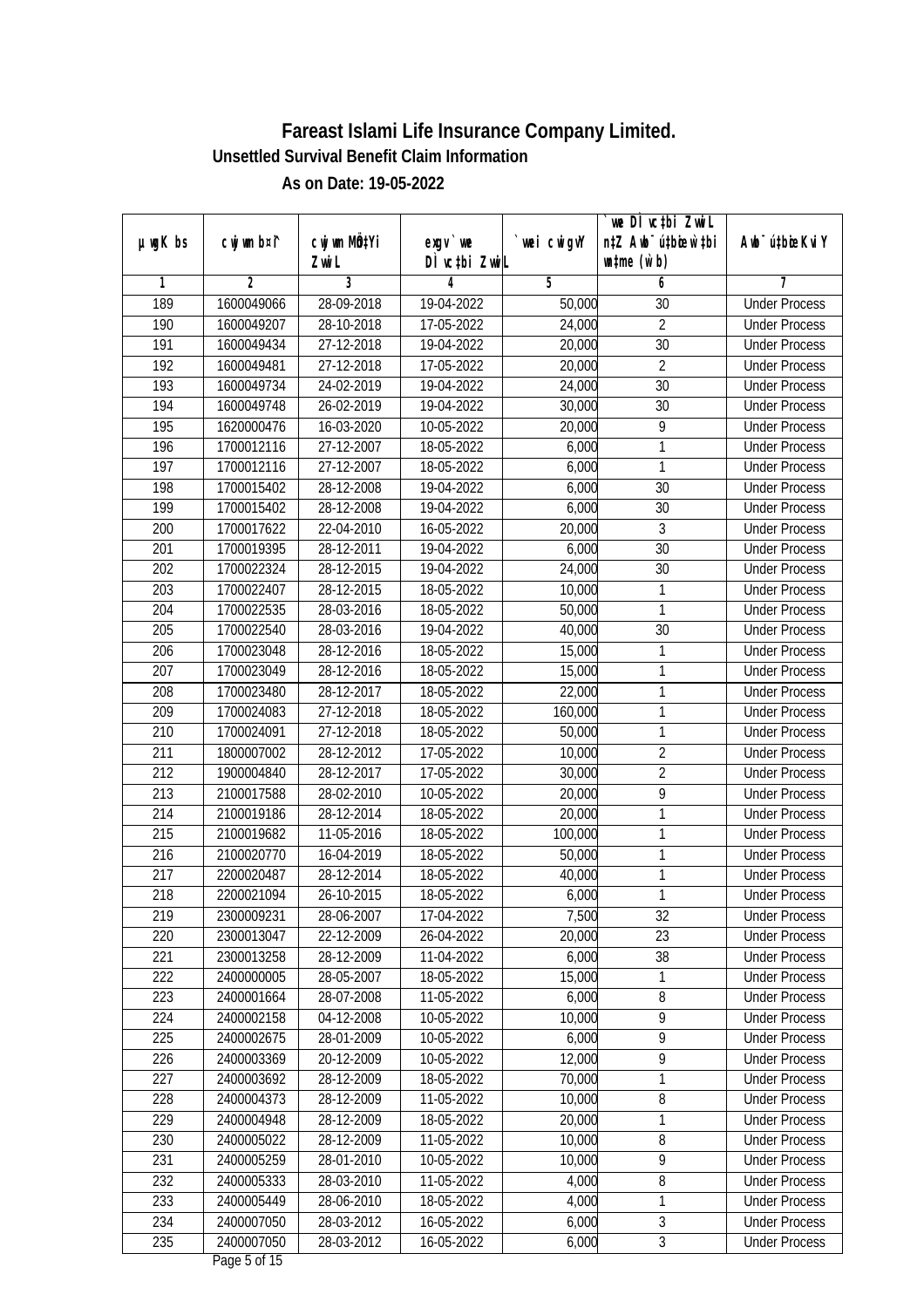|                  |                |              |                 |                | we DI vctbi Zwil                 |                             |
|------------------|----------------|--------------|-----------------|----------------|----------------------------------|-----------------------------|
| $µ$ ug $K$ bs    | cwj wm b¤i^    | cwj wm MQtYi | $exgV$ we       | `wei cwigvY    | n‡Z Awb <sup>-</sup> ú‡bioar`‡bi | Awb <sup>-</sup> ú‡bioeKviY |
|                  |                | Zwi L        | DÌ vctbi ZwiL   |                | $\n  untime\n  (u`b)\n$          |                             |
| 1                | $\overline{2}$ | 3            | 4<br>19-04-2022 | $\overline{5}$ | 6                                | 7<br><b>Under Process</b>   |
| 189              | 1600049066     | 28-09-2018   |                 | 50,000         | 30                               |                             |
| 190              | 1600049207     | 28-10-2018   | 17-05-2022      | 24,000         | $\overline{2}$                   | <b>Under Process</b>        |
| 191              | 1600049434     | 27-12-2018   | 19-04-2022      | 20,000         | $\overline{30}$                  | <b>Under Process</b>        |
| 192              | 1600049481     | 27-12-2018   | 17-05-2022      | 20,000         | $\overline{2}$                   | <b>Under Process</b>        |
| 193              | 1600049734     | 24-02-2019   | 19-04-2022      | 24,000         | $\overline{30}$                  | <b>Under Process</b>        |
| 194              | 1600049748     | 26-02-2019   | 19-04-2022      | 30,000         | 30                               | <b>Under Process</b>        |
| 195              | 1620000476     | 16-03-2020   | $10-05-2022$    | 20,000         | 9                                | <b>Under Process</b>        |
| 196              | 1700012116     | 27-12-2007   | 18-05-2022      | 6,000          | 1                                | <b>Under Process</b>        |
| $\overline{197}$ | 1700012116     | 27-12-2007   | 18-05-2022      | 6,000          | 1                                | <b>Under Process</b>        |
| 198              | 1700015402     | 28-12-2008   | 19-04-2022      | 6,000          | 30                               | <b>Under Process</b>        |
| 199              | 1700015402     | 28-12-2008   | 19-04-2022      | 6,000          | $\overline{30}$                  | <b>Under Process</b>        |
| 200              | 1700017622     | 22-04-2010   | 16-05-2022      | 20,000         | 3                                | <b>Under Process</b>        |
| 201              | 1700019395     | 28-12-2011   | 19-04-2022      | 6,000          | $\overline{30}$                  | <b>Under Process</b>        |
| 202              | 1700022324     | 28-12-2015   | 19-04-2022      | 24,000         | 30                               | <b>Under Process</b>        |
| 203              | 1700022407     | 28-12-2015   | 18-05-2022      | 10,000         | 1                                | <b>Under Process</b>        |
| 204              | 1700022535     | 28-03-2016   | 18-05-2022      | 50,000         | 1                                | <b>Under Process</b>        |
| 205              | 1700022540     | 28-03-2016   | 19-04-2022      | 40,000         | 30                               | <b>Under Process</b>        |
| 206              | 1700023048     | 28-12-2016   | 18-05-2022      | 15,000         | 1                                | <b>Under Process</b>        |
| 207              | 1700023049     | 28-12-2016   | 18-05-2022      | 15,000         | 1                                | <b>Under Process</b>        |
| 208              | 1700023480     | 28-12-2017   | 18-05-2022      | 22,000         | 1                                | <b>Under Process</b>        |
| 209              | 1700024083     | 27-12-2018   | 18-05-2022      | 160,000        | 1                                | <b>Under Process</b>        |
| 210              | 1700024091     | 27-12-2018   | 18-05-2022      | 50,000         | 1                                | <b>Under Process</b>        |
| 211              | 1800007002     | 28-12-2012   | 17-05-2022      | 10,000         | $\overline{2}$                   | <b>Under Process</b>        |
| 212              | 1900004840     | 28-12-2017   | 17-05-2022      | 30,000         | $\overline{2}$                   | <b>Under Process</b>        |
| 213              | 2100017588     | 28-02-2010   | 10-05-2022      | 20,000         | 9                                | <b>Under Process</b>        |
| 214              | 2100019186     | 28-12-2014   | 18-05-2022      | 20,000         | 1                                | <b>Under Process</b>        |
| 215              | 2100019682     | 11-05-2016   | 18-05-2022      | 100,000        | 1                                | <b>Under Process</b>        |
| 216              | 2100020770     | 16-04-2019   | 18-05-2022      | 50,000         | 1                                | <b>Under Process</b>        |
| 217              | 2200020487     | 28-12-2014   | 18-05-2022      | 40,000         | 1                                | <b>Under Process</b>        |
| 218              | 2200021094     | 26-10-2015   | 18-05-2022      | 6,000          | 1                                | <b>Under Process</b>        |
| 219              | 2300009231     | 28-06-2007   | 17-04-2022      | 7,500          | 32                               | <b>Under Process</b>        |
| 220              | 2300013047     | 22-12-2009   | 26-04-2022      | 20,000         | 23                               | <b>Under Process</b>        |
| 221              | 2300013258     | 28-12-2009   | 11-04-2022      | 6,000          | 38                               | <b>Under Process</b>        |
| 222              | 2400000005     | 28-05-2007   | 18-05-2022      | 15,000         | 1                                | <b>Under Process</b>        |
| 223              | 2400001664     | 28-07-2008   | 11-05-2022      | 6,000          | 8                                | <b>Under Process</b>        |
| 224              | 2400002158     | 04-12-2008   | 10-05-2022      | 10,000         | 9                                | <b>Under Process</b>        |
| 225              | 2400002675     | 28-01-2009   | 10-05-2022      | 6,000          | $\overline{9}$                   | <b>Under Process</b>        |
| 226              | 2400003369     | 20-12-2009   | 10-05-2022      | 12,000         | $\overline{9}$                   | <b>Under Process</b>        |
| 227              | 2400003692     | 28-12-2009   | 18-05-2022      | 70,000         | 1                                | <b>Under Process</b>        |
| 228              | 2400004373     | 28-12-2009   | 11-05-2022      | 10,000         | 8                                | <b>Under Process</b>        |
| 229              | 2400004948     | 28-12-2009   | 18-05-2022      | 20,000         | 1                                | <b>Under Process</b>        |
| 230              | 2400005022     | 28-12-2009   | 11-05-2022      | 10,000         | 8                                | <b>Under Process</b>        |
| 231              | 2400005259     | 28-01-2010   | 10-05-2022      | 10,000         | $\overline{9}$                   | <b>Under Process</b>        |
| 232              | 2400005333     | 28-03-2010   | 11-05-2022      | 4,000          | $\overline{\bf 8}$               | <b>Under Process</b>        |
| 233              | 2400005449     | 28-06-2010   | 18-05-2022      | 4,000          | 1                                | <b>Under Process</b>        |
| 234              | 2400007050     | 28-03-2012   | 16-05-2022      | 6,000          | $\overline{3}$                   | <b>Under Process</b>        |
| 235              | 2400007050     | 28-03-2012   | 16-05-2022      | 6,000          | $\mathfrak{Z}$                   | <b>Under Process</b>        |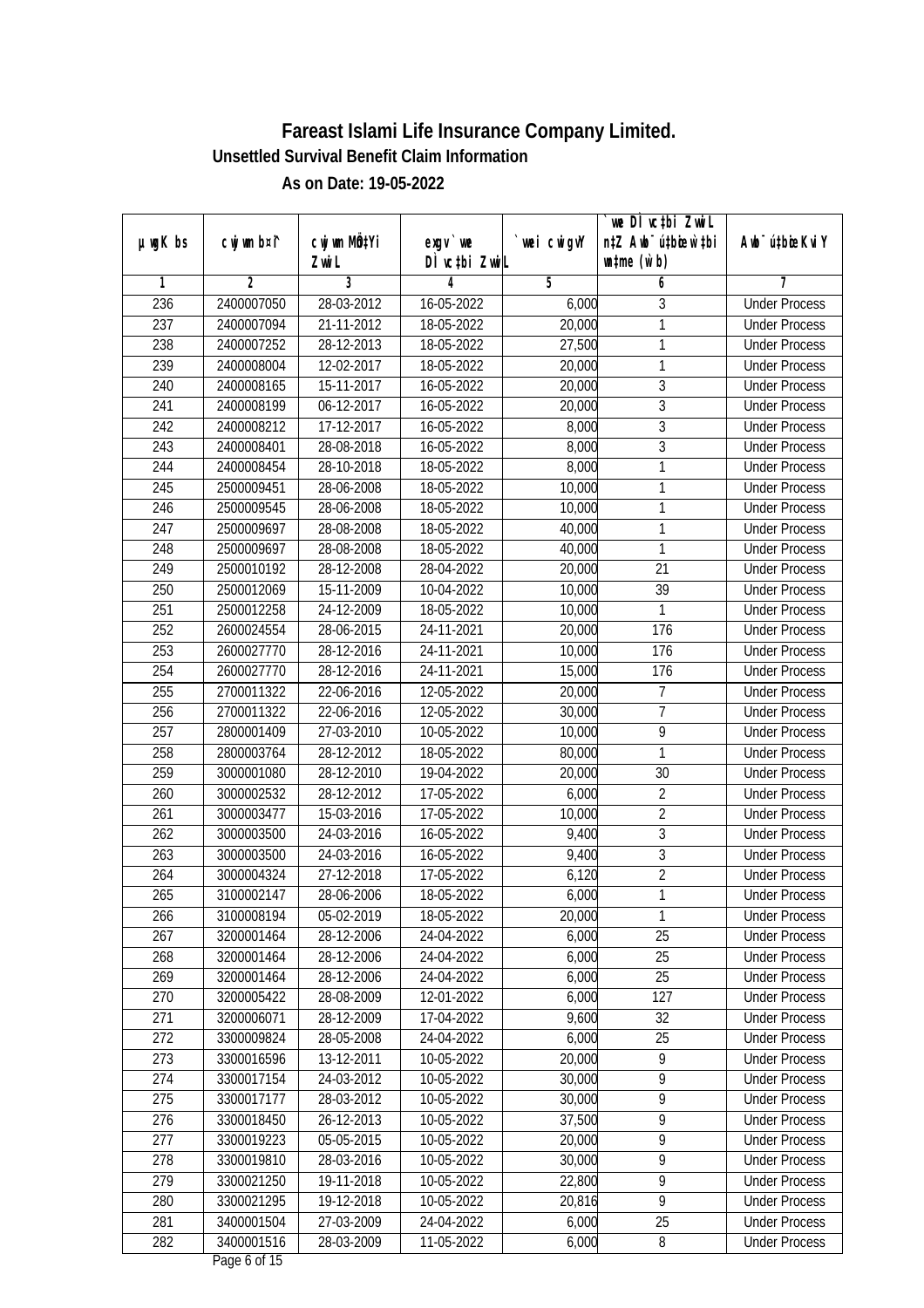| n‡Z Awb <sup>-</sup> ú‡bioar`‡bi<br>cwj wm b¤i^<br>cwj wm MQtYi<br>wei cwigvY<br>Aub <sup>-</sup> ú‡bioeKvi Y<br>$µ$ ug $K$ bs<br>$exqu$ we<br>DÌ vctbi ZwiL<br>$\n  untime\n  (u`b)\n$<br>Zwi L<br>$\overline{2}$<br>3<br>5<br>7<br>4<br>6<br>1<br>236<br>2400007050<br>28-03-2012<br>16-05-2022<br><b>Under Process</b><br>3<br>6,000<br>237<br>21-11-2012<br>18-05-2022<br>2400007094<br>20,000<br>1<br><b>Under Process</b><br>238<br>2400007252<br>28-12-2013<br>18-05-2022<br>27,500<br>1<br><b>Under Process</b><br>239<br>2400008004<br>12-02-2017<br>18-05-2022<br>1<br>20,000<br><b>Under Process</b><br>$\mathfrak{Z}$<br>240<br>2400008165<br>15-11-2017<br>16-05-2022<br>20,000<br><b>Under Process</b><br>$\overline{3}$<br>241<br>06-12-2017<br>16-05-2022<br>20,000<br>2400008199<br><b>Under Process</b><br>$\overline{3}$<br>$\overline{242}$<br>2400008212<br>17-12-2017<br>16-05-2022<br>8,000<br><b>Under Process</b><br>$\overline{3}$<br>$\overline{243}$<br>2400008401<br>28-08-2018<br>16-05-2022<br>8,000<br><b>Under Process</b><br>8,000<br>244<br>2400008454<br>28-10-2018<br>18-05-2022<br>1<br><b>Under Process</b><br>245<br>10,000<br>$\mathbf{1}$<br>2500009451<br>28-06-2008<br>18-05-2022<br><b>Under Process</b><br>246<br>2500009545<br>28-06-2008<br>18-05-2022<br>10,000<br>1<br><b>Under Process</b><br>40,000<br>247<br>28-08-2008<br>18-05-2022<br>1<br>2500009697<br><b>Under Process</b><br>248<br>2500009697<br>28-08-2008<br>18-05-2022<br>40,000<br>1<br><b>Under Process</b><br>249<br>28-12-2008<br>21<br>2500010192<br>28-04-2022<br>20,000<br><b>Under Process</b><br>250<br>2500012069<br>15-11-2009<br>39<br>10-04-2022<br>10,000<br><b>Under Process</b><br>251<br>1<br>2500012258<br>24-12-2009<br>18-05-2022<br>10,000<br><b>Under Process</b><br>252<br>24-11-2021<br>20,000<br>176<br>2600024554<br>28-06-2015<br><b>Under Process</b><br>253<br>176<br>28-12-2016<br>24-11-2021<br>10,000<br>2600027770<br><b>Under Process</b><br>254<br>24-11-2021<br>2600027770<br>28-12-2016<br>15,000<br>176<br><b>Under Process</b><br>255<br>$\overline{7}$<br>2700011322<br>22-06-2016<br>12-05-2022<br>20,000<br><b>Under Process</b><br>$\overline{1}$<br>30,000<br>256<br>2700011322<br>22-06-2016<br>12-05-2022<br><b>Under Process</b><br>257<br>9<br>2800001409<br>27-03-2010<br>10-05-2022<br>10,000<br><b>Under Process</b><br>1<br>258<br>2800003764<br>28-12-2012<br>18-05-2022<br>80,000<br><b>Under Process</b><br>259<br>3000001080<br>28-12-2010<br>19-04-2022<br>20,000<br>30<br><b>Under Process</b><br>260<br>3000002532<br>28-12-2012<br>17-05-2022<br>6,000<br>$\overline{2}$<br><b>Under Process</b><br>$\overline{2}$<br>261<br>3000003477<br>15-03-2016<br>17-05-2022<br>10,000<br><b>Under Process</b><br>262<br>$\mathfrak{Z}$<br>3000003500<br>24-03-2016<br>16-05-2022<br>9,400<br><b>Under Process</b><br>$\overline{3}$<br>263<br>3000003500<br>24-03-2016<br>16-05-2022<br>9,400<br><b>Under Process</b><br>$\overline{2}$<br>6,120<br>264<br>3000004324<br>27-12-2018<br>17-05-2022<br><b>Under Process</b><br>265<br>6,000<br>1<br>3100002147<br>28-06-2006<br>18-05-2022<br><b>Under Process</b><br>3100008194<br>05-02-2019<br>18-05-2022<br>20,000<br>266<br><b>Under Process</b><br>1<br>267<br>3200001464<br>28-12-2006<br>25<br>24-04-2022<br>6,000<br><b>Under Process</b><br>6,000<br>25<br>268<br>3200001464<br>28-12-2006<br>24-04-2022<br><b>Under Process</b><br>25<br>269<br>3200001464<br>28-12-2006<br>6,000<br>24-04-2022<br><b>Under Process</b> |     |            |            |            |       | we DÌ vc‡bi ZwiL |                      |
|------------------------------------------------------------------------------------------------------------------------------------------------------------------------------------------------------------------------------------------------------------------------------------------------------------------------------------------------------------------------------------------------------------------------------------------------------------------------------------------------------------------------------------------------------------------------------------------------------------------------------------------------------------------------------------------------------------------------------------------------------------------------------------------------------------------------------------------------------------------------------------------------------------------------------------------------------------------------------------------------------------------------------------------------------------------------------------------------------------------------------------------------------------------------------------------------------------------------------------------------------------------------------------------------------------------------------------------------------------------------------------------------------------------------------------------------------------------------------------------------------------------------------------------------------------------------------------------------------------------------------------------------------------------------------------------------------------------------------------------------------------------------------------------------------------------------------------------------------------------------------------------------------------------------------------------------------------------------------------------------------------------------------------------------------------------------------------------------------------------------------------------------------------------------------------------------------------------------------------------------------------------------------------------------------------------------------------------------------------------------------------------------------------------------------------------------------------------------------------------------------------------------------------------------------------------------------------------------------------------------------------------------------------------------------------------------------------------------------------------------------------------------------------------------------------------------------------------------------------------------------------------------------------------------------------------------------------------------------------------------------------------------------------------------------------------------------------------------------------------------------------------------------------------------------------------------------------------------------------------------------------------------------------------------------------------------------------------------------------------------------------------------------------------------------------------------------------------------------------------------------------------------------------------------------|-----|------------|------------|------------|-------|------------------|----------------------|
|                                                                                                                                                                                                                                                                                                                                                                                                                                                                                                                                                                                                                                                                                                                                                                                                                                                                                                                                                                                                                                                                                                                                                                                                                                                                                                                                                                                                                                                                                                                                                                                                                                                                                                                                                                                                                                                                                                                                                                                                                                                                                                                                                                                                                                                                                                                                                                                                                                                                                                                                                                                                                                                                                                                                                                                                                                                                                                                                                                                                                                                                                                                                                                                                                                                                                                                                                                                                                                                                                                                                                      |     |            |            |            |       |                  |                      |
|                                                                                                                                                                                                                                                                                                                                                                                                                                                                                                                                                                                                                                                                                                                                                                                                                                                                                                                                                                                                                                                                                                                                                                                                                                                                                                                                                                                                                                                                                                                                                                                                                                                                                                                                                                                                                                                                                                                                                                                                                                                                                                                                                                                                                                                                                                                                                                                                                                                                                                                                                                                                                                                                                                                                                                                                                                                                                                                                                                                                                                                                                                                                                                                                                                                                                                                                                                                                                                                                                                                                                      |     |            |            |            |       |                  |                      |
|                                                                                                                                                                                                                                                                                                                                                                                                                                                                                                                                                                                                                                                                                                                                                                                                                                                                                                                                                                                                                                                                                                                                                                                                                                                                                                                                                                                                                                                                                                                                                                                                                                                                                                                                                                                                                                                                                                                                                                                                                                                                                                                                                                                                                                                                                                                                                                                                                                                                                                                                                                                                                                                                                                                                                                                                                                                                                                                                                                                                                                                                                                                                                                                                                                                                                                                                                                                                                                                                                                                                                      |     |            |            |            |       |                  |                      |
|                                                                                                                                                                                                                                                                                                                                                                                                                                                                                                                                                                                                                                                                                                                                                                                                                                                                                                                                                                                                                                                                                                                                                                                                                                                                                                                                                                                                                                                                                                                                                                                                                                                                                                                                                                                                                                                                                                                                                                                                                                                                                                                                                                                                                                                                                                                                                                                                                                                                                                                                                                                                                                                                                                                                                                                                                                                                                                                                                                                                                                                                                                                                                                                                                                                                                                                                                                                                                                                                                                                                                      |     |            |            |            |       |                  |                      |
|                                                                                                                                                                                                                                                                                                                                                                                                                                                                                                                                                                                                                                                                                                                                                                                                                                                                                                                                                                                                                                                                                                                                                                                                                                                                                                                                                                                                                                                                                                                                                                                                                                                                                                                                                                                                                                                                                                                                                                                                                                                                                                                                                                                                                                                                                                                                                                                                                                                                                                                                                                                                                                                                                                                                                                                                                                                                                                                                                                                                                                                                                                                                                                                                                                                                                                                                                                                                                                                                                                                                                      |     |            |            |            |       |                  |                      |
|                                                                                                                                                                                                                                                                                                                                                                                                                                                                                                                                                                                                                                                                                                                                                                                                                                                                                                                                                                                                                                                                                                                                                                                                                                                                                                                                                                                                                                                                                                                                                                                                                                                                                                                                                                                                                                                                                                                                                                                                                                                                                                                                                                                                                                                                                                                                                                                                                                                                                                                                                                                                                                                                                                                                                                                                                                                                                                                                                                                                                                                                                                                                                                                                                                                                                                                                                                                                                                                                                                                                                      |     |            |            |            |       |                  |                      |
|                                                                                                                                                                                                                                                                                                                                                                                                                                                                                                                                                                                                                                                                                                                                                                                                                                                                                                                                                                                                                                                                                                                                                                                                                                                                                                                                                                                                                                                                                                                                                                                                                                                                                                                                                                                                                                                                                                                                                                                                                                                                                                                                                                                                                                                                                                                                                                                                                                                                                                                                                                                                                                                                                                                                                                                                                                                                                                                                                                                                                                                                                                                                                                                                                                                                                                                                                                                                                                                                                                                                                      |     |            |            |            |       |                  |                      |
|                                                                                                                                                                                                                                                                                                                                                                                                                                                                                                                                                                                                                                                                                                                                                                                                                                                                                                                                                                                                                                                                                                                                                                                                                                                                                                                                                                                                                                                                                                                                                                                                                                                                                                                                                                                                                                                                                                                                                                                                                                                                                                                                                                                                                                                                                                                                                                                                                                                                                                                                                                                                                                                                                                                                                                                                                                                                                                                                                                                                                                                                                                                                                                                                                                                                                                                                                                                                                                                                                                                                                      |     |            |            |            |       |                  |                      |
|                                                                                                                                                                                                                                                                                                                                                                                                                                                                                                                                                                                                                                                                                                                                                                                                                                                                                                                                                                                                                                                                                                                                                                                                                                                                                                                                                                                                                                                                                                                                                                                                                                                                                                                                                                                                                                                                                                                                                                                                                                                                                                                                                                                                                                                                                                                                                                                                                                                                                                                                                                                                                                                                                                                                                                                                                                                                                                                                                                                                                                                                                                                                                                                                                                                                                                                                                                                                                                                                                                                                                      |     |            |            |            |       |                  |                      |
|                                                                                                                                                                                                                                                                                                                                                                                                                                                                                                                                                                                                                                                                                                                                                                                                                                                                                                                                                                                                                                                                                                                                                                                                                                                                                                                                                                                                                                                                                                                                                                                                                                                                                                                                                                                                                                                                                                                                                                                                                                                                                                                                                                                                                                                                                                                                                                                                                                                                                                                                                                                                                                                                                                                                                                                                                                                                                                                                                                                                                                                                                                                                                                                                                                                                                                                                                                                                                                                                                                                                                      |     |            |            |            |       |                  |                      |
|                                                                                                                                                                                                                                                                                                                                                                                                                                                                                                                                                                                                                                                                                                                                                                                                                                                                                                                                                                                                                                                                                                                                                                                                                                                                                                                                                                                                                                                                                                                                                                                                                                                                                                                                                                                                                                                                                                                                                                                                                                                                                                                                                                                                                                                                                                                                                                                                                                                                                                                                                                                                                                                                                                                                                                                                                                                                                                                                                                                                                                                                                                                                                                                                                                                                                                                                                                                                                                                                                                                                                      |     |            |            |            |       |                  |                      |
|                                                                                                                                                                                                                                                                                                                                                                                                                                                                                                                                                                                                                                                                                                                                                                                                                                                                                                                                                                                                                                                                                                                                                                                                                                                                                                                                                                                                                                                                                                                                                                                                                                                                                                                                                                                                                                                                                                                                                                                                                                                                                                                                                                                                                                                                                                                                                                                                                                                                                                                                                                                                                                                                                                                                                                                                                                                                                                                                                                                                                                                                                                                                                                                                                                                                                                                                                                                                                                                                                                                                                      |     |            |            |            |       |                  |                      |
|                                                                                                                                                                                                                                                                                                                                                                                                                                                                                                                                                                                                                                                                                                                                                                                                                                                                                                                                                                                                                                                                                                                                                                                                                                                                                                                                                                                                                                                                                                                                                                                                                                                                                                                                                                                                                                                                                                                                                                                                                                                                                                                                                                                                                                                                                                                                                                                                                                                                                                                                                                                                                                                                                                                                                                                                                                                                                                                                                                                                                                                                                                                                                                                                                                                                                                                                                                                                                                                                                                                                                      |     |            |            |            |       |                  |                      |
|                                                                                                                                                                                                                                                                                                                                                                                                                                                                                                                                                                                                                                                                                                                                                                                                                                                                                                                                                                                                                                                                                                                                                                                                                                                                                                                                                                                                                                                                                                                                                                                                                                                                                                                                                                                                                                                                                                                                                                                                                                                                                                                                                                                                                                                                                                                                                                                                                                                                                                                                                                                                                                                                                                                                                                                                                                                                                                                                                                                                                                                                                                                                                                                                                                                                                                                                                                                                                                                                                                                                                      |     |            |            |            |       |                  |                      |
|                                                                                                                                                                                                                                                                                                                                                                                                                                                                                                                                                                                                                                                                                                                                                                                                                                                                                                                                                                                                                                                                                                                                                                                                                                                                                                                                                                                                                                                                                                                                                                                                                                                                                                                                                                                                                                                                                                                                                                                                                                                                                                                                                                                                                                                                                                                                                                                                                                                                                                                                                                                                                                                                                                                                                                                                                                                                                                                                                                                                                                                                                                                                                                                                                                                                                                                                                                                                                                                                                                                                                      |     |            |            |            |       |                  |                      |
|                                                                                                                                                                                                                                                                                                                                                                                                                                                                                                                                                                                                                                                                                                                                                                                                                                                                                                                                                                                                                                                                                                                                                                                                                                                                                                                                                                                                                                                                                                                                                                                                                                                                                                                                                                                                                                                                                                                                                                                                                                                                                                                                                                                                                                                                                                                                                                                                                                                                                                                                                                                                                                                                                                                                                                                                                                                                                                                                                                                                                                                                                                                                                                                                                                                                                                                                                                                                                                                                                                                                                      |     |            |            |            |       |                  |                      |
|                                                                                                                                                                                                                                                                                                                                                                                                                                                                                                                                                                                                                                                                                                                                                                                                                                                                                                                                                                                                                                                                                                                                                                                                                                                                                                                                                                                                                                                                                                                                                                                                                                                                                                                                                                                                                                                                                                                                                                                                                                                                                                                                                                                                                                                                                                                                                                                                                                                                                                                                                                                                                                                                                                                                                                                                                                                                                                                                                                                                                                                                                                                                                                                                                                                                                                                                                                                                                                                                                                                                                      |     |            |            |            |       |                  |                      |
|                                                                                                                                                                                                                                                                                                                                                                                                                                                                                                                                                                                                                                                                                                                                                                                                                                                                                                                                                                                                                                                                                                                                                                                                                                                                                                                                                                                                                                                                                                                                                                                                                                                                                                                                                                                                                                                                                                                                                                                                                                                                                                                                                                                                                                                                                                                                                                                                                                                                                                                                                                                                                                                                                                                                                                                                                                                                                                                                                                                                                                                                                                                                                                                                                                                                                                                                                                                                                                                                                                                                                      |     |            |            |            |       |                  |                      |
|                                                                                                                                                                                                                                                                                                                                                                                                                                                                                                                                                                                                                                                                                                                                                                                                                                                                                                                                                                                                                                                                                                                                                                                                                                                                                                                                                                                                                                                                                                                                                                                                                                                                                                                                                                                                                                                                                                                                                                                                                                                                                                                                                                                                                                                                                                                                                                                                                                                                                                                                                                                                                                                                                                                                                                                                                                                                                                                                                                                                                                                                                                                                                                                                                                                                                                                                                                                                                                                                                                                                                      |     |            |            |            |       |                  |                      |
|                                                                                                                                                                                                                                                                                                                                                                                                                                                                                                                                                                                                                                                                                                                                                                                                                                                                                                                                                                                                                                                                                                                                                                                                                                                                                                                                                                                                                                                                                                                                                                                                                                                                                                                                                                                                                                                                                                                                                                                                                                                                                                                                                                                                                                                                                                                                                                                                                                                                                                                                                                                                                                                                                                                                                                                                                                                                                                                                                                                                                                                                                                                                                                                                                                                                                                                                                                                                                                                                                                                                                      |     |            |            |            |       |                  |                      |
|                                                                                                                                                                                                                                                                                                                                                                                                                                                                                                                                                                                                                                                                                                                                                                                                                                                                                                                                                                                                                                                                                                                                                                                                                                                                                                                                                                                                                                                                                                                                                                                                                                                                                                                                                                                                                                                                                                                                                                                                                                                                                                                                                                                                                                                                                                                                                                                                                                                                                                                                                                                                                                                                                                                                                                                                                                                                                                                                                                                                                                                                                                                                                                                                                                                                                                                                                                                                                                                                                                                                                      |     |            |            |            |       |                  |                      |
|                                                                                                                                                                                                                                                                                                                                                                                                                                                                                                                                                                                                                                                                                                                                                                                                                                                                                                                                                                                                                                                                                                                                                                                                                                                                                                                                                                                                                                                                                                                                                                                                                                                                                                                                                                                                                                                                                                                                                                                                                                                                                                                                                                                                                                                                                                                                                                                                                                                                                                                                                                                                                                                                                                                                                                                                                                                                                                                                                                                                                                                                                                                                                                                                                                                                                                                                                                                                                                                                                                                                                      |     |            |            |            |       |                  |                      |
|                                                                                                                                                                                                                                                                                                                                                                                                                                                                                                                                                                                                                                                                                                                                                                                                                                                                                                                                                                                                                                                                                                                                                                                                                                                                                                                                                                                                                                                                                                                                                                                                                                                                                                                                                                                                                                                                                                                                                                                                                                                                                                                                                                                                                                                                                                                                                                                                                                                                                                                                                                                                                                                                                                                                                                                                                                                                                                                                                                                                                                                                                                                                                                                                                                                                                                                                                                                                                                                                                                                                                      |     |            |            |            |       |                  |                      |
|                                                                                                                                                                                                                                                                                                                                                                                                                                                                                                                                                                                                                                                                                                                                                                                                                                                                                                                                                                                                                                                                                                                                                                                                                                                                                                                                                                                                                                                                                                                                                                                                                                                                                                                                                                                                                                                                                                                                                                                                                                                                                                                                                                                                                                                                                                                                                                                                                                                                                                                                                                                                                                                                                                                                                                                                                                                                                                                                                                                                                                                                                                                                                                                                                                                                                                                                                                                                                                                                                                                                                      |     |            |            |            |       |                  |                      |
|                                                                                                                                                                                                                                                                                                                                                                                                                                                                                                                                                                                                                                                                                                                                                                                                                                                                                                                                                                                                                                                                                                                                                                                                                                                                                                                                                                                                                                                                                                                                                                                                                                                                                                                                                                                                                                                                                                                                                                                                                                                                                                                                                                                                                                                                                                                                                                                                                                                                                                                                                                                                                                                                                                                                                                                                                                                                                                                                                                                                                                                                                                                                                                                                                                                                                                                                                                                                                                                                                                                                                      |     |            |            |            |       |                  |                      |
|                                                                                                                                                                                                                                                                                                                                                                                                                                                                                                                                                                                                                                                                                                                                                                                                                                                                                                                                                                                                                                                                                                                                                                                                                                                                                                                                                                                                                                                                                                                                                                                                                                                                                                                                                                                                                                                                                                                                                                                                                                                                                                                                                                                                                                                                                                                                                                                                                                                                                                                                                                                                                                                                                                                                                                                                                                                                                                                                                                                                                                                                                                                                                                                                                                                                                                                                                                                                                                                                                                                                                      |     |            |            |            |       |                  |                      |
|                                                                                                                                                                                                                                                                                                                                                                                                                                                                                                                                                                                                                                                                                                                                                                                                                                                                                                                                                                                                                                                                                                                                                                                                                                                                                                                                                                                                                                                                                                                                                                                                                                                                                                                                                                                                                                                                                                                                                                                                                                                                                                                                                                                                                                                                                                                                                                                                                                                                                                                                                                                                                                                                                                                                                                                                                                                                                                                                                                                                                                                                                                                                                                                                                                                                                                                                                                                                                                                                                                                                                      |     |            |            |            |       |                  |                      |
|                                                                                                                                                                                                                                                                                                                                                                                                                                                                                                                                                                                                                                                                                                                                                                                                                                                                                                                                                                                                                                                                                                                                                                                                                                                                                                                                                                                                                                                                                                                                                                                                                                                                                                                                                                                                                                                                                                                                                                                                                                                                                                                                                                                                                                                                                                                                                                                                                                                                                                                                                                                                                                                                                                                                                                                                                                                                                                                                                                                                                                                                                                                                                                                                                                                                                                                                                                                                                                                                                                                                                      |     |            |            |            |       |                  |                      |
|                                                                                                                                                                                                                                                                                                                                                                                                                                                                                                                                                                                                                                                                                                                                                                                                                                                                                                                                                                                                                                                                                                                                                                                                                                                                                                                                                                                                                                                                                                                                                                                                                                                                                                                                                                                                                                                                                                                                                                                                                                                                                                                                                                                                                                                                                                                                                                                                                                                                                                                                                                                                                                                                                                                                                                                                                                                                                                                                                                                                                                                                                                                                                                                                                                                                                                                                                                                                                                                                                                                                                      |     |            |            |            |       |                  |                      |
|                                                                                                                                                                                                                                                                                                                                                                                                                                                                                                                                                                                                                                                                                                                                                                                                                                                                                                                                                                                                                                                                                                                                                                                                                                                                                                                                                                                                                                                                                                                                                                                                                                                                                                                                                                                                                                                                                                                                                                                                                                                                                                                                                                                                                                                                                                                                                                                                                                                                                                                                                                                                                                                                                                                                                                                                                                                                                                                                                                                                                                                                                                                                                                                                                                                                                                                                                                                                                                                                                                                                                      |     |            |            |            |       |                  |                      |
|                                                                                                                                                                                                                                                                                                                                                                                                                                                                                                                                                                                                                                                                                                                                                                                                                                                                                                                                                                                                                                                                                                                                                                                                                                                                                                                                                                                                                                                                                                                                                                                                                                                                                                                                                                                                                                                                                                                                                                                                                                                                                                                                                                                                                                                                                                                                                                                                                                                                                                                                                                                                                                                                                                                                                                                                                                                                                                                                                                                                                                                                                                                                                                                                                                                                                                                                                                                                                                                                                                                                                      |     |            |            |            |       |                  |                      |
|                                                                                                                                                                                                                                                                                                                                                                                                                                                                                                                                                                                                                                                                                                                                                                                                                                                                                                                                                                                                                                                                                                                                                                                                                                                                                                                                                                                                                                                                                                                                                                                                                                                                                                                                                                                                                                                                                                                                                                                                                                                                                                                                                                                                                                                                                                                                                                                                                                                                                                                                                                                                                                                                                                                                                                                                                                                                                                                                                                                                                                                                                                                                                                                                                                                                                                                                                                                                                                                                                                                                                      |     |            |            |            |       |                  |                      |
|                                                                                                                                                                                                                                                                                                                                                                                                                                                                                                                                                                                                                                                                                                                                                                                                                                                                                                                                                                                                                                                                                                                                                                                                                                                                                                                                                                                                                                                                                                                                                                                                                                                                                                                                                                                                                                                                                                                                                                                                                                                                                                                                                                                                                                                                                                                                                                                                                                                                                                                                                                                                                                                                                                                                                                                                                                                                                                                                                                                                                                                                                                                                                                                                                                                                                                                                                                                                                                                                                                                                                      |     |            |            |            |       |                  |                      |
|                                                                                                                                                                                                                                                                                                                                                                                                                                                                                                                                                                                                                                                                                                                                                                                                                                                                                                                                                                                                                                                                                                                                                                                                                                                                                                                                                                                                                                                                                                                                                                                                                                                                                                                                                                                                                                                                                                                                                                                                                                                                                                                                                                                                                                                                                                                                                                                                                                                                                                                                                                                                                                                                                                                                                                                                                                                                                                                                                                                                                                                                                                                                                                                                                                                                                                                                                                                                                                                                                                                                                      |     |            |            |            |       |                  |                      |
|                                                                                                                                                                                                                                                                                                                                                                                                                                                                                                                                                                                                                                                                                                                                                                                                                                                                                                                                                                                                                                                                                                                                                                                                                                                                                                                                                                                                                                                                                                                                                                                                                                                                                                                                                                                                                                                                                                                                                                                                                                                                                                                                                                                                                                                                                                                                                                                                                                                                                                                                                                                                                                                                                                                                                                                                                                                                                                                                                                                                                                                                                                                                                                                                                                                                                                                                                                                                                                                                                                                                                      |     |            |            |            |       |                  |                      |
|                                                                                                                                                                                                                                                                                                                                                                                                                                                                                                                                                                                                                                                                                                                                                                                                                                                                                                                                                                                                                                                                                                                                                                                                                                                                                                                                                                                                                                                                                                                                                                                                                                                                                                                                                                                                                                                                                                                                                                                                                                                                                                                                                                                                                                                                                                                                                                                                                                                                                                                                                                                                                                                                                                                                                                                                                                                                                                                                                                                                                                                                                                                                                                                                                                                                                                                                                                                                                                                                                                                                                      |     |            |            |            |       |                  |                      |
|                                                                                                                                                                                                                                                                                                                                                                                                                                                                                                                                                                                                                                                                                                                                                                                                                                                                                                                                                                                                                                                                                                                                                                                                                                                                                                                                                                                                                                                                                                                                                                                                                                                                                                                                                                                                                                                                                                                                                                                                                                                                                                                                                                                                                                                                                                                                                                                                                                                                                                                                                                                                                                                                                                                                                                                                                                                                                                                                                                                                                                                                                                                                                                                                                                                                                                                                                                                                                                                                                                                                                      |     |            |            |            |       |                  |                      |
|                                                                                                                                                                                                                                                                                                                                                                                                                                                                                                                                                                                                                                                                                                                                                                                                                                                                                                                                                                                                                                                                                                                                                                                                                                                                                                                                                                                                                                                                                                                                                                                                                                                                                                                                                                                                                                                                                                                                                                                                                                                                                                                                                                                                                                                                                                                                                                                                                                                                                                                                                                                                                                                                                                                                                                                                                                                                                                                                                                                                                                                                                                                                                                                                                                                                                                                                                                                                                                                                                                                                                      | 270 | 3200005422 | 28-08-2009 | 12-01-2022 | 6,000 | 127              | <b>Under Process</b> |
| 3200006071<br>28-12-2009<br>17-04-2022<br>9,600<br>271<br>32<br><b>Under Process</b>                                                                                                                                                                                                                                                                                                                                                                                                                                                                                                                                                                                                                                                                                                                                                                                                                                                                                                                                                                                                                                                                                                                                                                                                                                                                                                                                                                                                                                                                                                                                                                                                                                                                                                                                                                                                                                                                                                                                                                                                                                                                                                                                                                                                                                                                                                                                                                                                                                                                                                                                                                                                                                                                                                                                                                                                                                                                                                                                                                                                                                                                                                                                                                                                                                                                                                                                                                                                                                                                 |     |            |            |            |       |                  |                      |
| 25<br>272<br>6,000<br><b>Under Process</b><br>3300009824<br>28-05-2008<br>24-04-2022                                                                                                                                                                                                                                                                                                                                                                                                                                                                                                                                                                                                                                                                                                                                                                                                                                                                                                                                                                                                                                                                                                                                                                                                                                                                                                                                                                                                                                                                                                                                                                                                                                                                                                                                                                                                                                                                                                                                                                                                                                                                                                                                                                                                                                                                                                                                                                                                                                                                                                                                                                                                                                                                                                                                                                                                                                                                                                                                                                                                                                                                                                                                                                                                                                                                                                                                                                                                                                                                 |     |            |            |            |       |                  |                      |
| 9<br>273<br>20,000<br>3300016596<br>13-12-2011<br>10-05-2022<br><b>Under Process</b>                                                                                                                                                                                                                                                                                                                                                                                                                                                                                                                                                                                                                                                                                                                                                                                                                                                                                                                                                                                                                                                                                                                                                                                                                                                                                                                                                                                                                                                                                                                                                                                                                                                                                                                                                                                                                                                                                                                                                                                                                                                                                                                                                                                                                                                                                                                                                                                                                                                                                                                                                                                                                                                                                                                                                                                                                                                                                                                                                                                                                                                                                                                                                                                                                                                                                                                                                                                                                                                                 |     |            |            |            |       |                  |                      |
| $\overline{9}$<br>30,000<br>274<br>3300017154<br>24-03-2012<br>10-05-2022<br><b>Under Process</b>                                                                                                                                                                                                                                                                                                                                                                                                                                                                                                                                                                                                                                                                                                                                                                                                                                                                                                                                                                                                                                                                                                                                                                                                                                                                                                                                                                                                                                                                                                                                                                                                                                                                                                                                                                                                                                                                                                                                                                                                                                                                                                                                                                                                                                                                                                                                                                                                                                                                                                                                                                                                                                                                                                                                                                                                                                                                                                                                                                                                                                                                                                                                                                                                                                                                                                                                                                                                                                                    |     |            |            |            |       |                  |                      |
| 9<br>275<br>3300017177<br>28-03-2012<br>10-05-2022<br>30,000<br><b>Under Process</b>                                                                                                                                                                                                                                                                                                                                                                                                                                                                                                                                                                                                                                                                                                                                                                                                                                                                                                                                                                                                                                                                                                                                                                                                                                                                                                                                                                                                                                                                                                                                                                                                                                                                                                                                                                                                                                                                                                                                                                                                                                                                                                                                                                                                                                                                                                                                                                                                                                                                                                                                                                                                                                                                                                                                                                                                                                                                                                                                                                                                                                                                                                                                                                                                                                                                                                                                                                                                                                                                 |     |            |            |            |       |                  |                      |
| $\overline{9}$<br>26-12-2013<br>276<br>3300018450<br>10-05-2022<br>37,500<br><b>Under Process</b>                                                                                                                                                                                                                                                                                                                                                                                                                                                                                                                                                                                                                                                                                                                                                                                                                                                                                                                                                                                                                                                                                                                                                                                                                                                                                                                                                                                                                                                                                                                                                                                                                                                                                                                                                                                                                                                                                                                                                                                                                                                                                                                                                                                                                                                                                                                                                                                                                                                                                                                                                                                                                                                                                                                                                                                                                                                                                                                                                                                                                                                                                                                                                                                                                                                                                                                                                                                                                                                    |     |            |            |            |       |                  |                      |
| $\overline{9}$<br>277<br>3300019223<br>05-05-2015<br>10-05-2022<br>20,000<br><b>Under Process</b>                                                                                                                                                                                                                                                                                                                                                                                                                                                                                                                                                                                                                                                                                                                                                                                                                                                                                                                                                                                                                                                                                                                                                                                                                                                                                                                                                                                                                                                                                                                                                                                                                                                                                                                                                                                                                                                                                                                                                                                                                                                                                                                                                                                                                                                                                                                                                                                                                                                                                                                                                                                                                                                                                                                                                                                                                                                                                                                                                                                                                                                                                                                                                                                                                                                                                                                                                                                                                                                    |     |            |            |            |       |                  |                      |
| 9<br>278<br>3300019810<br>28-03-2016<br>10-05-2022<br>30,000<br><b>Under Process</b>                                                                                                                                                                                                                                                                                                                                                                                                                                                                                                                                                                                                                                                                                                                                                                                                                                                                                                                                                                                                                                                                                                                                                                                                                                                                                                                                                                                                                                                                                                                                                                                                                                                                                                                                                                                                                                                                                                                                                                                                                                                                                                                                                                                                                                                                                                                                                                                                                                                                                                                                                                                                                                                                                                                                                                                                                                                                                                                                                                                                                                                                                                                                                                                                                                                                                                                                                                                                                                                                 |     |            |            |            |       |                  |                      |
| $\overline{9}$<br>22,800<br>279<br>3300021250<br>19-11-2018<br>10-05-2022<br><b>Under Process</b>                                                                                                                                                                                                                                                                                                                                                                                                                                                                                                                                                                                                                                                                                                                                                                                                                                                                                                                                                                                                                                                                                                                                                                                                                                                                                                                                                                                                                                                                                                                                                                                                                                                                                                                                                                                                                                                                                                                                                                                                                                                                                                                                                                                                                                                                                                                                                                                                                                                                                                                                                                                                                                                                                                                                                                                                                                                                                                                                                                                                                                                                                                                                                                                                                                                                                                                                                                                                                                                    |     |            |            |            |       |                  |                      |
| $\overline{9}$<br>280<br>19-12-2018<br>20,816<br>3300021295<br>10-05-2022<br><b>Under Process</b>                                                                                                                                                                                                                                                                                                                                                                                                                                                                                                                                                                                                                                                                                                                                                                                                                                                                                                                                                                                                                                                                                                                                                                                                                                                                                                                                                                                                                                                                                                                                                                                                                                                                                                                                                                                                                                                                                                                                                                                                                                                                                                                                                                                                                                                                                                                                                                                                                                                                                                                                                                                                                                                                                                                                                                                                                                                                                                                                                                                                                                                                                                                                                                                                                                                                                                                                                                                                                                                    |     |            |            |            |       |                  |                      |
| 281<br>3400001504<br>27-03-2009<br>24-04-2022<br>6,000<br>25<br><b>Under Process</b>                                                                                                                                                                                                                                                                                                                                                                                                                                                                                                                                                                                                                                                                                                                                                                                                                                                                                                                                                                                                                                                                                                                                                                                                                                                                                                                                                                                                                                                                                                                                                                                                                                                                                                                                                                                                                                                                                                                                                                                                                                                                                                                                                                                                                                                                                                                                                                                                                                                                                                                                                                                                                                                                                                                                                                                                                                                                                                                                                                                                                                                                                                                                                                                                                                                                                                                                                                                                                                                                 |     |            |            |            |       |                  |                      |
| 282<br>3400001516<br>28-03-2009<br>11-05-2022<br>6,000<br>8<br><b>Under Process</b>                                                                                                                                                                                                                                                                                                                                                                                                                                                                                                                                                                                                                                                                                                                                                                                                                                                                                                                                                                                                                                                                                                                                                                                                                                                                                                                                                                                                                                                                                                                                                                                                                                                                                                                                                                                                                                                                                                                                                                                                                                                                                                                                                                                                                                                                                                                                                                                                                                                                                                                                                                                                                                                                                                                                                                                                                                                                                                                                                                                                                                                                                                                                                                                                                                                                                                                                                                                                                                                                  |     |            |            |            |       |                  |                      |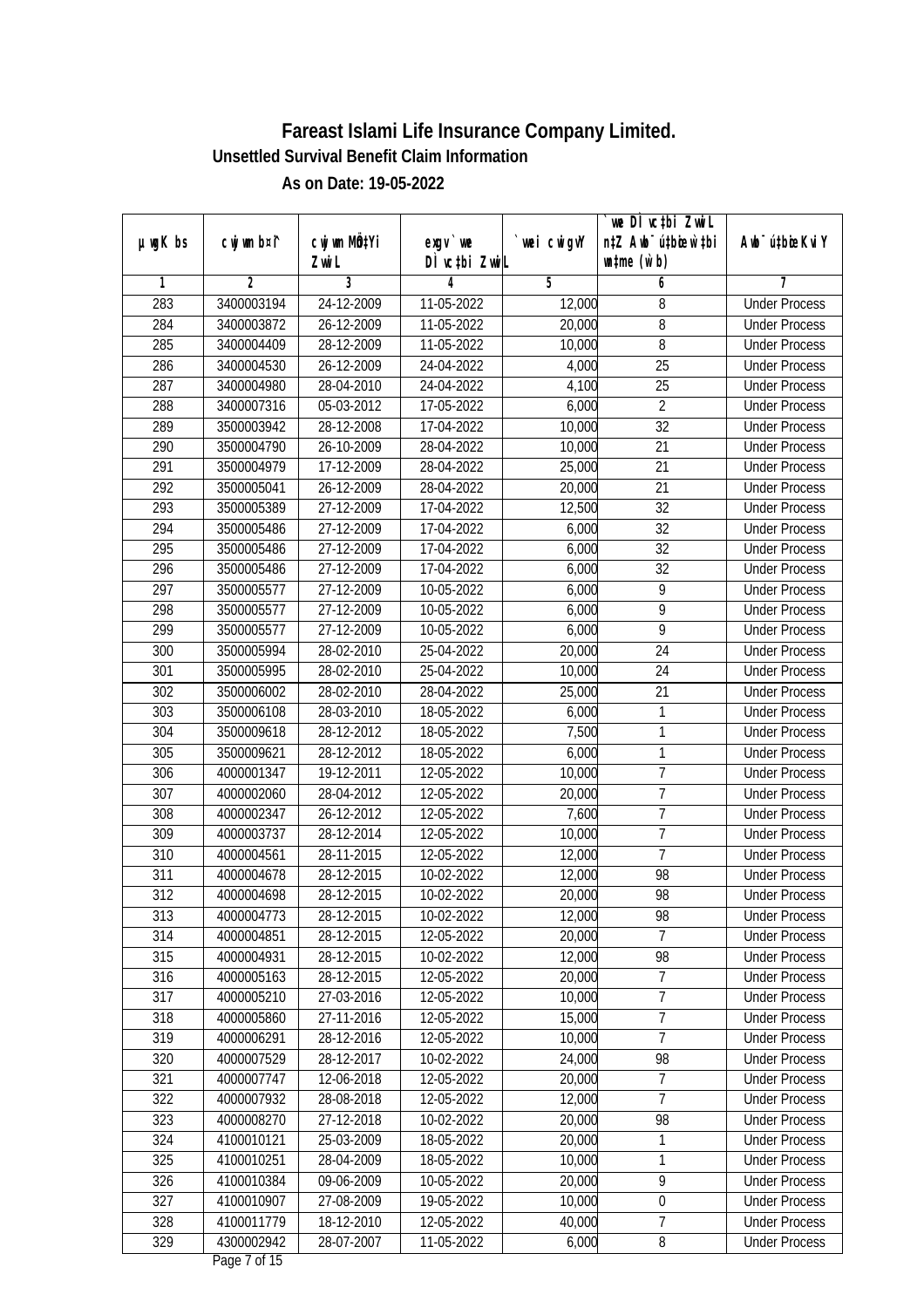|         |             |                       |                            |            | we DI vctbi ZwiL<br>n‡Z Awb <sup>-</sup> ú‡bioen`‡bi |                             |
|---------|-------------|-----------------------|----------------------------|------------|------------------------------------------------------|-----------------------------|
| µwgK bs | cwj wm b¤i^ | cwj wm MQtYi<br>Zwi L | $exqu$ we<br>DÌ vctbi ZwiL | wei cwigvY | $w$ tme $(w b)$                                      | Awb <sup>-</sup> ú‡bioeKviY |
| 1       | 2           | 3                     | 4                          | 5          | 6                                                    | 7                           |
| 283     | 3400003194  | 24-12-2009            | 11-05-2022                 | 12,000     | 8                                                    | <b>Under Process</b>        |
| 284     | 3400003872  | 26-12-2009            | 11-05-2022                 | 20,000     | 8                                                    | <b>Under Process</b>        |
| 285     | 3400004409  | 28-12-2009            | 11-05-2022                 | 10,000     | $\overline{8}$                                       | <b>Under Process</b>        |
| 286     | 3400004530  | $26 - 12 - 2009$      | 24-04-2022                 | 4,000      | $\overline{25}$                                      | <b>Under Process</b>        |
| 287     | 3400004980  | 28-04-2010            | 24-04-2022                 | 4,100      | $\overline{25}$                                      | <b>Under Process</b>        |
| 288     | 3400007316  | 05-03-2012            | 17-05-2022                 | 6,000      | $\overline{2}$                                       | <b>Under Process</b>        |
| 289     | 3500003942  | 28-12-2008            | 17-04-2022                 | 10,000     | $\overline{32}$                                      | <b>Under Process</b>        |
| 290     | 3500004790  | 26-10-2009            | 28-04-2022                 | 10,000     | 21                                                   | <b>Under Process</b>        |
| 291     | 3500004979  | 17-12-2009            | 28-04-2022                 | 25,000     | $\overline{21}$                                      | <b>Under Process</b>        |
| 292     | 3500005041  | 26-12-2009            | 28-04-2022                 | 20,000     | $\overline{21}$                                      | <b>Under Process</b>        |
| 293     | 3500005389  | 27-12-2009            | 17-04-2022                 | 12,500     | $\overline{32}$                                      | <b>Under Process</b>        |
| 294     | 3500005486  | 27-12-2009            | 17-04-2022                 | 6,000      | 32                                                   | <b>Under Process</b>        |
| 295     | 3500005486  | 27-12-2009            | 17-04-2022                 | 6,000      | $\overline{32}$                                      | <b>Under Process</b>        |
| 296     | 3500005486  | 27-12-2009            | 17-04-2022                 | 6,000      | 32                                                   | <b>Under Process</b>        |
| 297     | 3500005577  | 27-12-2009            | 10-05-2022                 | 6,000      | 9                                                    | <b>Under Process</b>        |
| 298     | 3500005577  | 27-12-2009            | 10-05-2022                 | 6,000      | 9                                                    | <b>Under Process</b>        |
| 299     | 3500005577  | 27-12-2009            | 10-05-2022                 | 6,000      | 9                                                    | <b>Under Process</b>        |
| 300     | 3500005994  | 28-02-2010            | 25-04-2022                 | 20,000     | 24                                                   | <b>Under Process</b>        |
| 301     | 3500005995  | 28-02-2010            | 25-04-2022                 | 10,000     | 24                                                   | <b>Under Process</b>        |
| 302     | 3500006002  | 28-02-2010            | 28-04-2022                 | 25,000     | $\overline{21}$                                      | <b>Under Process</b>        |
| 303     | 3500006108  | 28-03-2010            | 18-05-2022                 | 6,000      | 1                                                    | <b>Under Process</b>        |
| 304     | 3500009618  | 28-12-2012            | 18-05-2022                 | 7,500      | 1                                                    | <b>Under Process</b>        |
| 305     | 3500009621  | 28-12-2012            | 18-05-2022                 | 6,000      | $\mathbf{1}$                                         | <b>Under Process</b>        |
| 306     | 4000001347  | 19-12-2011            | 12-05-2022                 | 10,000     | $\overline{1}$                                       | <b>Under Process</b>        |
| 307     | 4000002060  | 28-04-2012            | 12-05-2022                 | 20,000     | $\overline{1}$                                       | <b>Under Process</b>        |
| 308     | 4000002347  | 26-12-2012            | 12-05-2022                 | 7,600      | $\overline{7}$                                       | <b>Under Process</b>        |
| 309     | 4000003737  | 28-12-2014            | 12-05-2022                 | 10,000     | $\overline{1}$                                       | <b>Under Process</b>        |
| 310     | 4000004561  | 28-11-2015            | 12-05-2022                 | 12,000     | $\overline{7}$                                       | <b>Under Process</b>        |
| 311     | 4000004678  | 28-12-2015            | 10-02-2022                 | 12,000     | 98                                                   | <b>Under Process</b>        |
| 312     | 4000004698  | 28-12-2015            | 10-02-2022                 | 20,000     | 98                                                   | <b>Under Process</b>        |
| 313     | 4000004773  | 28-12-2015            | 10-02-2022                 | 12,000     | 98                                                   | <b>Under Process</b>        |
| 314     | 4000004851  | 28-12-2015            | 12-05-2022                 | 20,000     | $\overline{7}$                                       | <b>Under Process</b>        |
| 315     | 4000004931  | 28-12-2015            | 10-02-2022                 | 12,000     | 98                                                   | <b>Under Process</b>        |
| 316     | 4000005163  | 28-12-2015            | 12-05-2022                 | 20,000     | $\overline{7}$                                       | <b>Under Process</b>        |
| 317     | 4000005210  | 27-03-2016            | 12-05-2022                 | 10,000     | 7                                                    | <b>Under Process</b>        |
| 318     | 4000005860  | 27-11-2016            | 12-05-2022                 | 15,000     | $\overline{7}$                                       | <b>Under Process</b>        |
| 319     | 4000006291  | 28-12-2016            | 12-05-2022                 | 10,000     | $\overline{7}$                                       | <b>Under Process</b>        |
| 320     | 4000007529  | 28-12-2017            | 10-02-2022                 | 24,000     | 98                                                   | <b>Under Process</b>        |
| 321     | 4000007747  | 12-06-2018            | 12-05-2022                 | 20,000     | $\overline{7}$                                       | <b>Under Process</b>        |
| 322     | 4000007932  | 28-08-2018            | 12-05-2022                 | 12,000     | $\overline{1}$                                       | <b>Under Process</b>        |
| 323     | 4000008270  | 27-12-2018            | 10-02-2022                 | 20,000     | 98                                                   | <b>Under Process</b>        |
| 324     | 4100010121  | 25-03-2009            | 18-05-2022                 | 20,000     | $\mathbf{1}$                                         | <b>Under Process</b>        |
| 325     | 4100010251  | 28-04-2009            | 18-05-2022                 | 10,000     | 1                                                    | <b>Under Process</b>        |
| 326     | 4100010384  | 09-06-2009            | 10-05-2022                 | 20,000     | $\overline{9}$                                       | <b>Under Process</b>        |
| 327     | 4100010907  | 27-08-2009            | 19-05-2022                 | 10,000     | 0                                                    | <b>Under Process</b>        |
| 328     | 4100011779  | 18-12-2010            | 12-05-2022                 | 40,000     | 7                                                    | <b>Under Process</b>        |
| 329     | 4300002942  | 28-07-2007            | 11-05-2022                 | 6,000      | 8                                                    | <b>Under Process</b>        |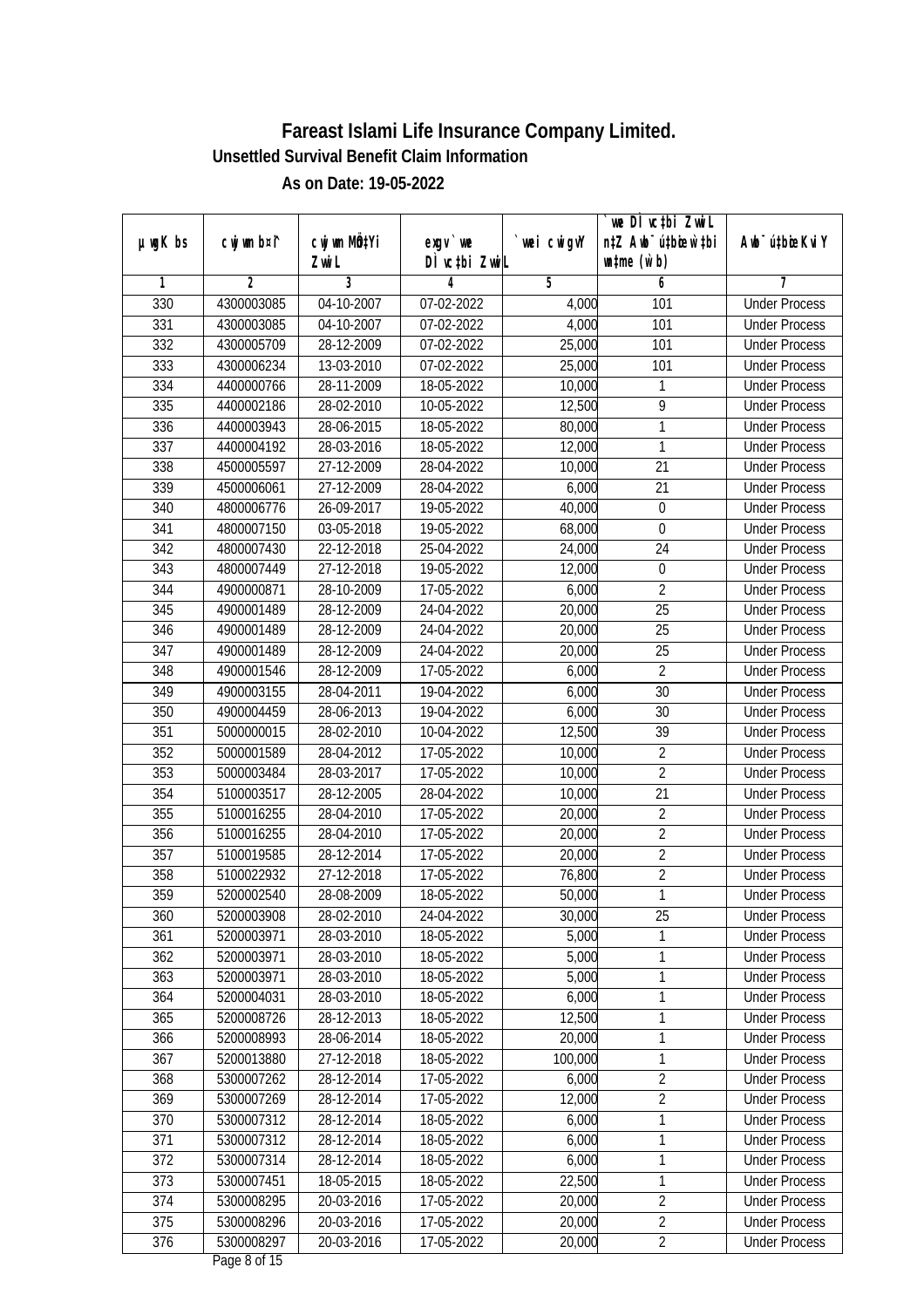|                  |                |                          |                    |            | we DÌ vc‡bi ZwiL                 |                              |
|------------------|----------------|--------------------------|--------------------|------------|----------------------------------|------------------------------|
| $µ$ ug $K$ bs    | cwj wm b¤i^    | cwj wm MQtYi             | $exqu$ we          | wei cwigvY | n‡Z Awb <sup>-</sup> ú‡bioen`‡bi | Aub <sup>-</sup> ú‡bioeKvi Y |
| 1                | $\overline{2}$ | Zwi L<br>3               | DÌ vctbi ZwiL<br>4 | 5          | $\n  untime\n  (u`b)\n$<br>6     | 7                            |
| 330              | 4300003085     | 04-10-2007               | 07-02-2022         | 4,000      | 101                              | <b>Under Process</b>         |
| 331              | 4300003085     |                          |                    |            | 101                              |                              |
|                  |                | 04-10-2007               | 07-02-2022         | 4,000      |                                  | <b>Under Process</b>         |
| 332              | 4300005709     | 28-12-2009               | 07-02-2022         | 25,000     | 101                              | <b>Under Process</b>         |
| 333              | 4300006234     | 13-03-2010               | 07-02-2022         | 25,000     | 101                              | <b>Under Process</b>         |
| 334              | 4400000766     | 28-11-2009<br>28-02-2010 | 18-05-2022         | 10,000     | 1                                | <b>Under Process</b>         |
| 335              | 4400002186     |                          | 10-05-2022         | 12,500     | 9                                | <b>Under Process</b>         |
| 336              | 4400003943     | 28-06-2015               | 18-05-2022         | 80,000     | 1                                | <b>Under Process</b>         |
| $\overline{337}$ | 4400004192     | 28-03-2016               | 18-05-2022         | 12,000     | $\mathbf{1}$                     | <b>Under Process</b>         |
| 338              | 4500005597     | 27-12-2009               | 28-04-2022         | 10,000     | 21                               | <b>Under Process</b>         |
| 339              | 4500006061     | 27-12-2009               | 28-04-2022         | 6,000      | 21                               | <b>Under Process</b>         |
| 340              | 4800006776     | 26-09-2017               | 19-05-2022         | 40,000     | $\mathbf 0$                      | <b>Under Process</b>         |
| 341              | 4800007150     | 03-05-2018               | 19-05-2022         | 68,000     | $\mathbf 0$                      | <b>Under Process</b>         |
| 342              | 4800007430     | 22-12-2018               | 25-04-2022         | 24,000     | 24                               | <b>Under Process</b>         |
| 343              | 4800007449     | 27-12-2018               | 19-05-2022         | 12,000     | $\boldsymbol{0}$                 | <b>Under Process</b>         |
| 344              | 4900000871     | 28-10-2009               | 17-05-2022         | 6,000      | $\overline{2}$                   | <b>Under Process</b>         |
| 345              | 4900001489     | 28-12-2009               | 24-04-2022         | 20,000     | 25                               | <b>Under Process</b>         |
| 346              | 4900001489     | 28-12-2009               | 24-04-2022         | 20,000     | 25                               | <b>Under Process</b>         |
| 347              | 4900001489     | 28-12-2009               | 24-04-2022         | 20,000     | 25                               | <b>Under Process</b>         |
| 348              | 4900001546     | 28-12-2009               | 17-05-2022         | 6,000      | $\overline{2}$                   | <b>Under Process</b>         |
| 349              | 4900003155     | 28-04-2011               | 19-04-2022         | 6,000      | 30                               | <b>Under Process</b>         |
| 350              | 4900004459     | 28-06-2013               | 19-04-2022         | 6,000      | 30                               | <b>Under Process</b>         |
| 351              | 5000000015     | 28-02-2010               | 10-04-2022         | 12,500     | 39                               | <b>Under Process</b>         |
| 352              | 5000001589     | 28-04-2012               | 17-05-2022         | 10,000     | $\overline{2}$                   | <b>Under Process</b>         |
| 353              | 5000003484     | 28-03-2017               | 17-05-2022         | 10,000     | $\overline{2}$                   | <b>Under Process</b>         |
| 354              | 5100003517     | 28-12-2005               | 28-04-2022         | 10,000     | 21                               | <b>Under Process</b>         |
| 355              | 5100016255     | 28-04-2010               | 17-05-2022         | 20,000     | $\overline{2}$                   | <b>Under Process</b>         |
| 356              | 5100016255     | 28-04-2010               | 17-05-2022         | 20,000     | $\overline{2}$                   | <b>Under Process</b>         |
| 357              | 5100019585     | 28-12-2014               | 17-05-2022         | 20,000     | $\overline{2}$                   | <b>Under Process</b>         |
| 358              | 5100022932     | 27-12-2018               | 17-05-2022         | 76,800     | $\overline{2}$                   | <b>Under Process</b>         |
| 359              | 5200002540     | 28-08-2009               | 18-05-2022         | 50,000     | 1                                | <b>Under Process</b>         |
| 360              | 5200003908     | 28-02-2010               | 24-04-2022         | 30,000     | 25                               | <b>Under Process</b>         |
| 361              | 5200003971     | 28-03-2010               | 18-05-2022         | 5,000      | 1                                | <b>Under Process</b>         |
| 362              | 5200003971     | 28-03-2010               | 18-05-2022         | 5,000      | 1                                | <b>Under Process</b>         |
| 363              | 5200003971     | 28-03-2010               | 18-05-2022         | 5,000      | 1                                | <b>Under Process</b>         |
| 364              | 5200004031     | 28-03-2010               | 18-05-2022         | 6,000      | $\mathbf{1}$                     | <b>Under Process</b>         |
| 365              | 5200008726     | 28-12-2013               | 18-05-2022         | 12,500     | 1                                | <b>Under Process</b>         |
| 366              | 5200008993     | 28-06-2014               | 18-05-2022         | 20,000     | 1                                | <b>Under Process</b>         |
| 367              | 5200013880     | 27-12-2018               | 18-05-2022         | 100,000    | 1                                | <b>Under Process</b>         |
| 368              | 5300007262     | 28-12-2014               | 17-05-2022         | 6,000      | $\overline{2}$                   | <b>Under Process</b>         |
| 369              | 5300007269     | 28-12-2014               | 17-05-2022         | 12,000     | $\overline{2}$                   | <b>Under Process</b>         |
| 370              | 5300007312     | 28-12-2014               | 18-05-2022         | 6,000      | 1                                | <b>Under Process</b>         |
| 371              | 5300007312     | 28-12-2014               | 18-05-2022         | 6,000      | $\mathbf{1}$                     | <b>Under Process</b>         |
| 372              | 5300007314     | 28-12-2014               | 18-05-2022         | 6,000      | $\mathbf{1}$                     | <b>Under Process</b>         |
| 373              | 5300007451     | 18-05-2015               | 18-05-2022         | 22,500     | 1                                | <b>Under Process</b>         |
| 374              | 5300008295     | 20-03-2016               | 17-05-2022         | 20,000     | $\overline{2}$                   | <b>Under Process</b>         |
| 375              | 5300008296     | 20-03-2016               | 17-05-2022         | 20,000     | $\overline{2}$                   | <b>Under Process</b>         |
| 376              | 5300008297     | 20-03-2016               | 17-05-2022         | 20,000     | $\overline{2}$                   | <b>Under Process</b>         |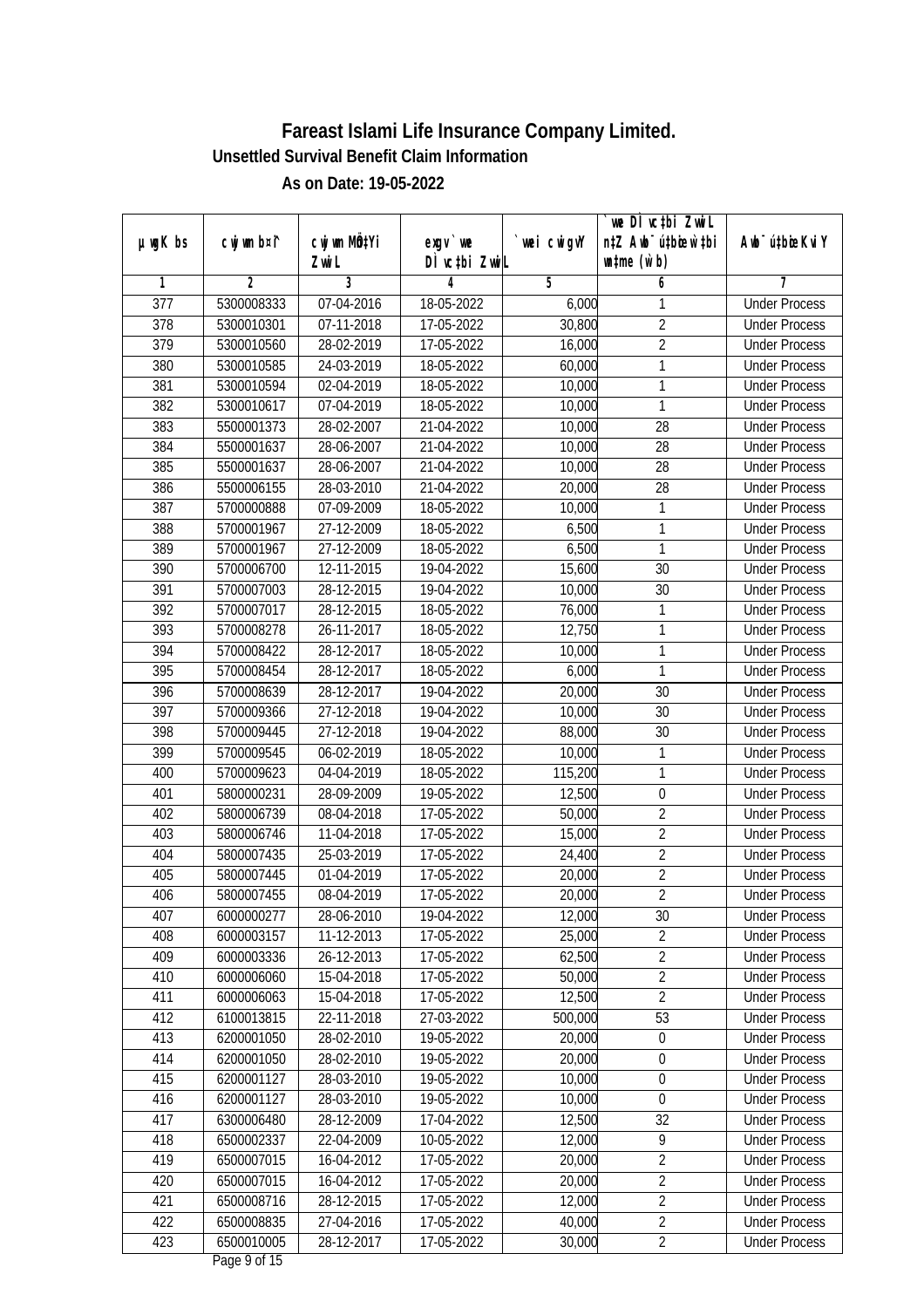|                  |             |                       |                            |            | we DI vctbi ZwiL                                    |                             |
|------------------|-------------|-----------------------|----------------------------|------------|-----------------------------------------------------|-----------------------------|
| µwgK bs          | cwj wm b¤i^ | cwj wm MQtYi<br>Zwi L | $exqu$ we<br>DÌ vctbi ZwiL | wei cwigvY | n‡Z Awb <sup>-</sup> ú‡bioen`‡bi<br>$w$ tme $(w b)$ | Awb <sup>-</sup> ú‡bioeKviY |
| 1                | 2           | 3                     | 4                          | 5          | 6                                                   | 7                           |
| $\overline{377}$ | 5300008333  | 07-04-2016            | 18-05-2022                 | 6,000      | 1                                                   | <b>Under Process</b>        |
| $\overline{378}$ | 5300010301  | 07-11-2018            | 17-05-2022                 | 30,800     | $\overline{2}$                                      | <b>Under Process</b>        |
| $\overline{379}$ | 5300010560  | 28-02-2019            | 17-05-2022                 | 16,000     | $\overline{2}$                                      | <b>Under Process</b>        |
| 380              | 5300010585  | 24-03-2019            | 18-05-2022                 | 60,000     | 1                                                   | <b>Under Process</b>        |
| 381              | 5300010594  | 02-04-2019            | 18-05-2022                 | 10,000     | $\mathbf{1}$                                        | <b>Under Process</b>        |
| 382              | 5300010617  | 07-04-2019            | 18-05-2022                 | 10,000     | 1                                                   | <b>Under Process</b>        |
| 383              | 5500001373  | 28-02-2007            | 21-04-2022                 | 10,000     | $\overline{28}$                                     | <b>Under Process</b>        |
| 384              | 5500001637  | 28-06-2007            | 21-04-2022                 | 10,000     | 28                                                  | <b>Under Process</b>        |
| 385              | 5500001637  | 28-06-2007            | 21-04-2022                 | 10,000     | $\overline{28}$                                     | <b>Under Process</b>        |
| 386              | 5500006155  | 28-03-2010            | 21-04-2022                 | 20,000     | 28                                                  | <b>Under Process</b>        |
| 387              | 5700000888  | 07-09-2009            | 18-05-2022                 | 10,000     | 1                                                   | <b>Under Process</b>        |
| 388              | 5700001967  | 27-12-2009            | 18-05-2022                 | 6,500      | 1                                                   | <b>Under Process</b>        |
| 389              | 5700001967  | 27-12-2009            | 18-05-2022                 | 6,500      | $\mathbf{1}$                                        | <b>Under Process</b>        |
| 390              | 5700006700  | 12-11-2015            | 19-04-2022                 | 15,600     | 30                                                  | <b>Under Process</b>        |
| 391              | 5700007003  | 28-12-2015            | 19-04-2022                 | 10,000     | 30                                                  | <b>Under Process</b>        |
| 392              | 5700007017  | 28-12-2015            | 18-05-2022                 | 76,000     | 1                                                   | <b>Under Process</b>        |
| 393              | 5700008278  | 26-11-2017            | 18-05-2022                 | 12,750     | $\mathbf{1}$                                        | <b>Under Process</b>        |
| 394              | 5700008422  | 28-12-2017            | 18-05-2022                 | 10,000     | 1                                                   | <b>Under Process</b>        |
| 395              | 5700008454  | 28-12-2017            | 18-05-2022                 | 6,000      | 1                                                   | <b>Under Process</b>        |
| 396              | 5700008639  | 28-12-2017            | 19-04-2022                 | 20,000     | 30                                                  | <b>Under Process</b>        |
| 397              | 5700009366  | 27-12-2018            | 19-04-2022                 | 10,000     | 30                                                  | <b>Under Process</b>        |
| 398              | 5700009445  | 27-12-2018            | 19-04-2022                 | 88,000     | 30                                                  | <b>Under Process</b>        |
| 399              | 5700009545  | 06-02-2019            | 18-05-2022                 | 10,000     | $\mathbf{1}$                                        | <b>Under Process</b>        |
| 400              | 5700009623  | 04-04-2019            | 18-05-2022                 | 115,200    | $\mathbf{1}$                                        | <b>Under Process</b>        |
| 401              | 5800000231  | 28-09-2009            | 19-05-2022                 | 12,500     | $\boldsymbol{0}$                                    | <b>Under Process</b>        |
| 402              | 5800006739  | 08-04-2018            | 17-05-2022                 | 50,000     | $\overline{2}$                                      | <b>Under Process</b>        |
| 403              | 5800006746  | 11-04-2018            | 17-05-2022                 | 15,000     | $\overline{2}$                                      | <b>Under Process</b>        |
| 404              | 5800007435  | 25-03-2019            | 17-05-2022                 | 24,400     | $\overline{2}$                                      | <b>Under Process</b>        |
| 405              | 5800007445  | 01-04-2019            | 17-05-2022                 | 20,000     | $\overline{2}$                                      | <b>Under Process</b>        |
| 406              | 5800007455  | 08-04-2019            | 17-05-2022                 | 20,000     | $\overline{2}$                                      | <b>Under Process</b>        |
| 407              | 6000000277  | 28-06-2010            | 19-04-2022                 | 12,000     | 30                                                  | <b>Under Process</b>        |
| 408              | 6000003157  | 11-12-2013            | 17-05-2022                 | 25,000     | $\overline{2}$                                      | <b>Under Process</b>        |
| 409              | 6000003336  | 26-12-2013            | 17-05-2022                 | 62,500     | $\overline{2}$                                      | <b>Under Process</b>        |
| 410              | 6000006060  | 15-04-2018            | 17-05-2022                 | 50,000     | $\overline{2}$                                      | <b>Under Process</b>        |
| 411              | 6000006063  | 15-04-2018            | 17-05-2022                 | 12,500     | $\overline{2}$                                      | <b>Under Process</b>        |
| 412              | 6100013815  | 22-11-2018            | 27-03-2022                 | 500,000    | 53                                                  | <b>Under Process</b>        |
| 413              | 6200001050  | 28-02-2010            | 19-05-2022                 | 20,000     | 0                                                   | <b>Under Process</b>        |
| 414              | 6200001050  | 28-02-2010            | 19-05-2022                 | 20,000     | 0                                                   | <b>Under Process</b>        |
| 415              | 6200001127  | 28-03-2010            | 19-05-2022                 | 10,000     | $\boldsymbol{0}$                                    | <b>Under Process</b>        |
| 416              | 6200001127  | 28-03-2010            | 19-05-2022                 | 10,000     | $\boldsymbol{0}$                                    | <b>Under Process</b>        |
| 417              | 6300006480  | 28-12-2009            | 17-04-2022                 | 12,500     | 32                                                  | <b>Under Process</b>        |
| 418              | 6500002337  | 22-04-2009            | 10-05-2022                 | 12,000     | $\overline{9}$                                      | <b>Under Process</b>        |
| 419              | 6500007015  | 16-04-2012            | 17-05-2022                 | 20,000     | $\overline{2}$                                      | <b>Under Process</b>        |
| 420              | 6500007015  | 16-04-2012            | 17-05-2022                 | 20,000     | $\overline{2}$                                      | <b>Under Process</b>        |
| 421              | 6500008716  | 28-12-2015            | 17-05-2022                 | 12,000     | $\overline{2}$                                      | <b>Under Process</b>        |
| 422              | 6500008835  | 27-04-2016            | 17-05-2022                 | 40,000     | $\overline{2}$                                      | <b>Under Process</b>        |
| 423              | 6500010005  | 28-12-2017            | 17-05-2022                 | 30,000     | $\overline{2}$                                      | <b>Under Process</b>        |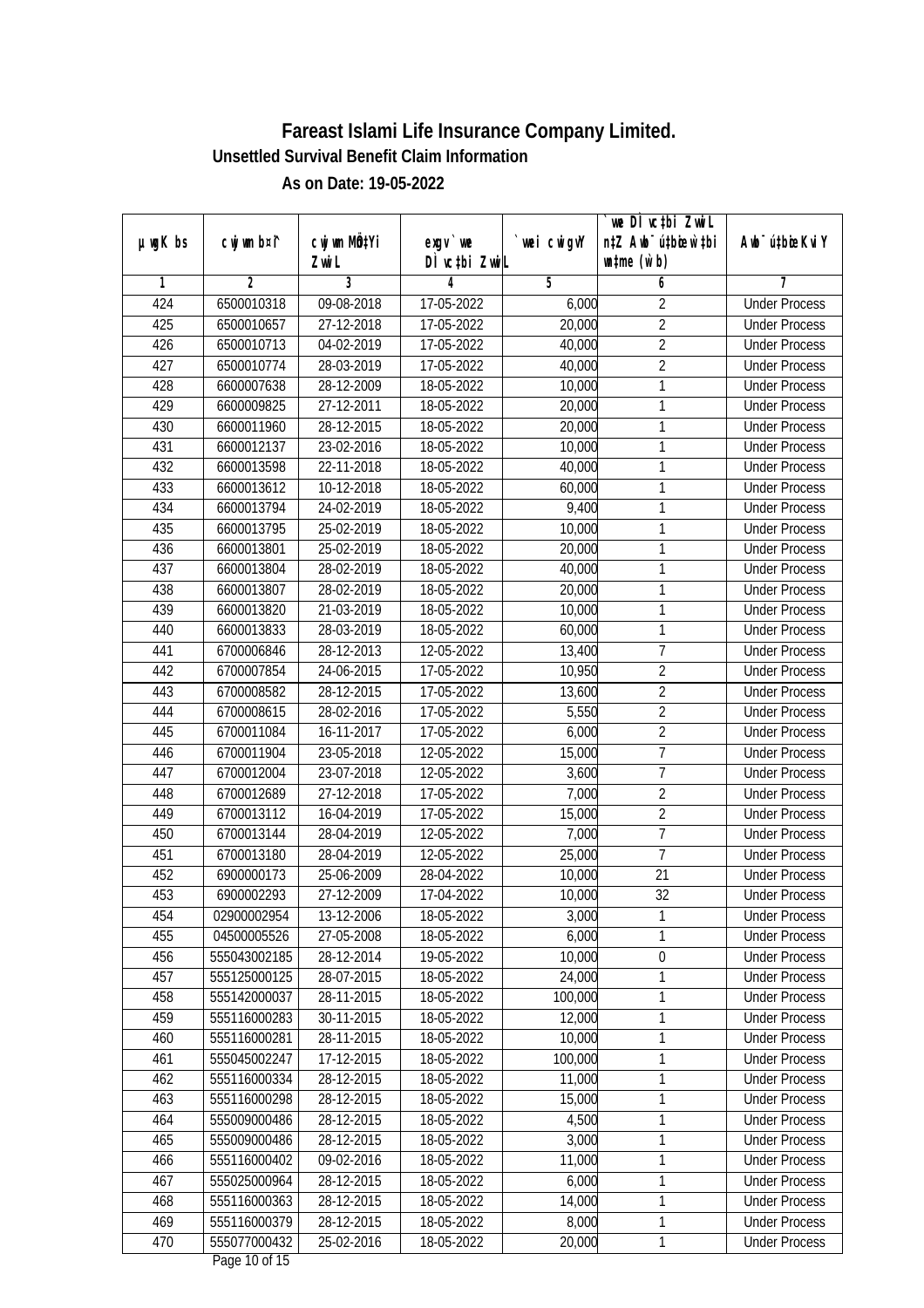|         |              |                     |                            |             | we DI vctbi ZwiL                                            |                             |
|---------|--------------|---------------------|----------------------------|-------------|-------------------------------------------------------------|-----------------------------|
| µwgK bs | cwj wm b¤i^  | CW wm MQYi<br>Zwi L | $exqu$ we<br>DÌ vctbi ZwiL | `wei cwigvY | n‡Z Awb <sup>-</sup> ú‡bioar`‡bi<br>$\n  untime\n  (u`b)\n$ | Awb <sup>-</sup> ú‡bioeKviY |
| 1       | 2            | $\overline{3}$      | 4                          | 5           | 6                                                           | 7                           |
| 424     | 6500010318   | 09-08-2018          | 17-05-2022                 | 6,000       | $\overline{2}$                                              | <b>Under Process</b>        |
| 425     | 6500010657   | 27-12-2018          | 17-05-2022                 | 20,000      | $\overline{2}$                                              | <b>Under Process</b>        |
| 426     | 6500010713   | 04-02-2019          | 17-05-2022                 | 40,000      | $\overline{2}$                                              | <b>Under Process</b>        |
| 427     | 6500010774   | 28-03-2019          | 17-05-2022                 | 40,000      | $\overline{2}$                                              | <b>Under Process</b>        |
| 428     | 6600007638   | 28-12-2009          | 18-05-2022                 | 10,000      | 1                                                           | <b>Under Process</b>        |
| 429     | 6600009825   | 27-12-2011          | 18-05-2022                 | 20,000      | 1                                                           | <b>Under Process</b>        |
| 430     | 6600011960   | 28-12-2015          | 18-05-2022                 | 20,000      | 1                                                           | <b>Under Process</b>        |
| 431     | 6600012137   | 23-02-2016          | 18-05-2022                 | 10,000      | 1                                                           | <b>Under Process</b>        |
| 432     | 6600013598   | 22-11-2018          | 18-05-2022                 | 40,000      | 1                                                           | <b>Under Process</b>        |
| 433     | 6600013612   | 10-12-2018          | 18-05-2022                 | 60,000      | 1                                                           | <b>Under Process</b>        |
| 434     | 6600013794   | 24-02-2019          | 18-05-2022                 | 9,400       | 1                                                           | <b>Under Process</b>        |
| 435     | 6600013795   | 25-02-2019          | 18-05-2022                 | 10,000      | 1                                                           | <b>Under Process</b>        |
| 436     | 6600013801   | 25-02-2019          | 18-05-2022                 | 20,000      | 1                                                           | <b>Under Process</b>        |
| 437     | 6600013804   |                     |                            |             |                                                             |                             |
|         |              | 28-02-2019          | 18-05-2022                 | 40,000      | 1                                                           | <b>Under Process</b>        |
| 438     | 6600013807   | 28-02-2019          | 18-05-2022                 | 20,000      | 1                                                           | <b>Under Process</b>        |
| 439     | 6600013820   | 21-03-2019          | 18-05-2022                 | 10,000      | 1                                                           | <b>Under Process</b>        |
| 440     | 6600013833   | 28-03-2019          | 18-05-2022                 | 60,000      | 1                                                           | <b>Under Process</b>        |
| 441     | 6700006846   | 28-12-2013          | 12-05-2022                 | 13,400      | $\overline{1}$                                              | <b>Under Process</b>        |
| 442     | 6700007854   | 24-06-2015          | 17-05-2022                 | 10,950      | $\overline{2}$                                              | <b>Under Process</b>        |
| 443     | 6700008582   | 28-12-2015          | 17-05-2022                 | 13,600      | $\overline{2}$                                              | <b>Under Process</b>        |
| 444     | 6700008615   | 28-02-2016          | 17-05-2022                 | 5,550       | $\overline{2}$                                              | <b>Under Process</b>        |
| 445     | 6700011084   | 16-11-2017          | 17-05-2022                 | 6,000       | $\overline{2}$                                              | <b>Under Process</b>        |
| 446     | 6700011904   | 23-05-2018          | 12-05-2022                 | 15,000      | $\overline{7}$                                              | <b>Under Process</b>        |
| 447     | 6700012004   | 23-07-2018          | 12-05-2022                 | 3,600       | $\overline{7}$                                              | <b>Under Process</b>        |
| 448     | 6700012689   | 27-12-2018          | 17-05-2022                 | 7,000       | $\overline{2}$                                              | <b>Under Process</b>        |
| 449     | 6700013112   | 16-04-2019          | 17-05-2022                 | 15,000      | $\overline{2}$                                              | <b>Under Process</b>        |
| 450     | 6700013144   | 28-04-2019          | 12-05-2022                 | 7,000       | $\overline{1}$                                              | <b>Under Process</b>        |
| 451     | 6700013180   | 28-04-2019          | 12-05-2022                 | 25,000      | $\overline{7}$                                              | <b>Under Process</b>        |
| 452     | 6900000173   | 25-06-2009          | 28-04-2022                 | 10,000      | 21                                                          | <b>Under Process</b>        |
| 453     | 6900002293   | 27-12-2009          | 17-04-2022                 | 10,000      | 32                                                          | <b>Under Process</b>        |
| 454     | 02900002954  | 13-12-2006          | 18-05-2022                 | 3,000       | 1                                                           | <b>Under Process</b>        |
| 455     | 04500005526  | 27-05-2008          | 18-05-2022                 | 6,000       | 1                                                           | <b>Under Process</b>        |
| 456     | 555043002185 | 28-12-2014          | 19-05-2022                 | 10,000      | $\boldsymbol{0}$                                            | <b>Under Process</b>        |
| 457     | 555125000125 | 28-07-2015          | 18-05-2022                 | 24,000      | 1                                                           | <b>Under Process</b>        |
| 458     | 555142000037 | 28-11-2015          | 18-05-2022                 | 100,000     | 1                                                           | <b>Under Process</b>        |
| 459     | 555116000283 | 30-11-2015          | 18-05-2022                 | 12,000      | 1                                                           | <b>Under Process</b>        |
| 460     | 555116000281 | 28-11-2015          | 18-05-2022                 | 10,000      | 1                                                           | <b>Under Process</b>        |
| 461     | 555045002247 | 17-12-2015          | 18-05-2022                 | 100,000     | 1                                                           | <b>Under Process</b>        |
| 462     | 555116000334 | 28-12-2015          | 18-05-2022                 | 11,000      | 1                                                           | <b>Under Process</b>        |
| 463     | 555116000298 | 28-12-2015          | 18-05-2022                 | 15,000      | 1                                                           | <b>Under Process</b>        |
| 464     | 555009000486 | 28-12-2015          | 18-05-2022                 | 4,500       | 1                                                           | <b>Under Process</b>        |
| 465     | 555009000486 | 28-12-2015          | 18-05-2022                 | 3,000       | 1                                                           | <b>Under Process</b>        |
| 466     | 555116000402 | 09-02-2016          | 18-05-2022                 | 11,000      | 1                                                           | <b>Under Process</b>        |
| 467     | 555025000964 | 28-12-2015          | 18-05-2022                 | 6,000       | 1                                                           | <b>Under Process</b>        |
| 468     | 555116000363 | 28-12-2015          | 18-05-2022                 | 14,000      | 1                                                           | <b>Under Process</b>        |
| 469     | 555116000379 | 28-12-2015          | 18-05-2022                 | 8,000       | 1                                                           | <b>Under Process</b>        |
| 470     | 555077000432 | 25-02-2016          | 18-05-2022                 | 20,000      | 1                                                           | <b>Under Process</b>        |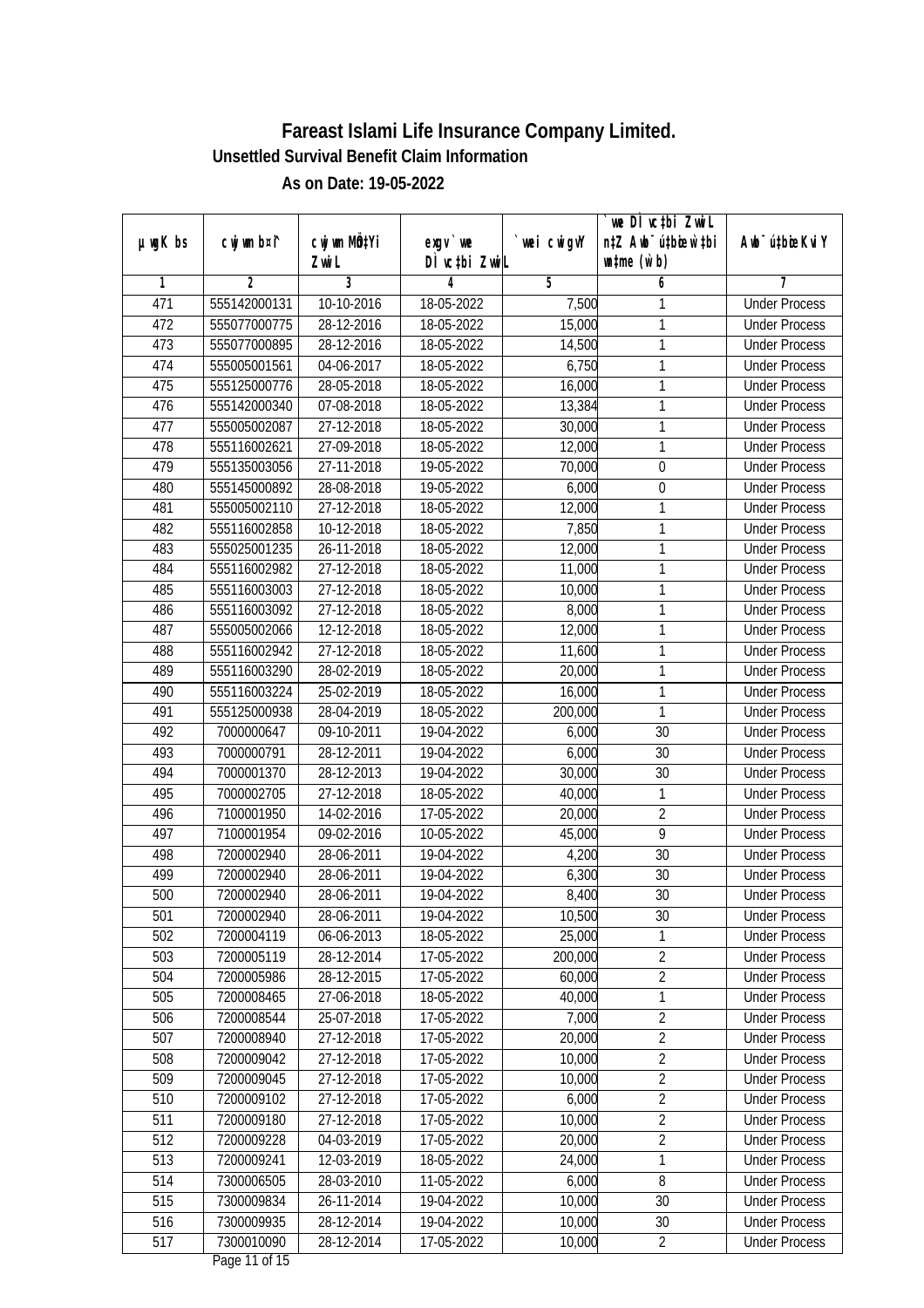|         |                |                             |                  |             | we DI vctbi ZwiL                 |                             |
|---------|----------------|-----------------------------|------------------|-------------|----------------------------------|-----------------------------|
| µwgK bs | cwj wm b¤i^    | cwj wm MQ <sup>1</sup> Yi   | $exqu$ we        | `wei cwigvY | n‡Z Awb <sup>-</sup> ú‡bicen`‡bi | Awb <sup>-</sup> ú‡bioeKviY |
|         |                | Zwi L                       | DÌ vctbi ZwiL    |             | $\n  untime\n  (u`b)\n$          |                             |
| 1       | $\overline{2}$ | 3                           | 4                | 5           | 6                                | 7                           |
| 471     | 555142000131   | 10-10-2016                  | 18-05-2022       | 7,500       | 1                                | <b>Under Process</b>        |
| 472     | 555077000775   | 28-12-2016                  | 18-05-2022       | 15,000      | 1                                | <b>Under Process</b>        |
| 473     | 555077000895   | 28-12-2016                  | 18-05-2022       | 14,500      | 1                                | <b>Under Process</b>        |
| 474     | 555005001561   | 04-06-2017                  | 18-05-2022       | 6,750       | 1                                | <b>Under Process</b>        |
| 475     | 555125000776   | 28-05-2018                  | 18-05-2022       | 16,000      | 1                                | <b>Under Process</b>        |
| 476     | 555142000340   | 07-08-2018                  | 18-05-2022       | 13,384      | 1                                | <b>Under Process</b>        |
| 477     | 555005002087   | 27-12-2018                  | 18-05-2022       | 30,000      | 1                                | <b>Under Process</b>        |
| 478     | 555116002621   | 27-09-2018                  | 18-05-2022       | 12,000      | 1                                | <b>Under Process</b>        |
| 479     | 555135003056   | 27-11-2018                  | 19-05-2022       | 70,000      | $\boldsymbol{0}$                 | <b>Under Process</b>        |
| 480     | 555145000892   | 28-08-2018                  | 19-05-2022       | 6,000       | $\boldsymbol{0}$                 | <b>Under Process</b>        |
| 481     | 555005002110   | 27-12-2018                  | 18-05-2022       | 12,000      | 1                                | <b>Under Process</b>        |
| 482     | 555116002858   | 10-12-2018                  | 18-05-2022       | 7,850       | 1                                | <b>Under Process</b>        |
| 483     | 555025001235   | 26-11-2018                  | 18-05-2022       | 12,000      | 1                                | <b>Under Process</b>        |
| 484     | 555116002982   | 27-12-2018                  | 18-05-2022       | 11,000      | 1                                | <b>Under Process</b>        |
| 485     | 555116003003   | 27-12-2018                  | 18-05-2022       | 10,000      | 1                                | <b>Under Process</b>        |
| 486     | 555116003092   | 27-12-2018                  | 18-05-2022       | 8,000       | 1                                | <b>Under Process</b>        |
| 487     | 555005002066   | 12-12-2018                  | 18-05-2022       | 12,000      | 1                                | <b>Under Process</b>        |
| 488     | 555116002942   | 27-12-2018                  | 18-05-2022       | 11,600      | 1                                | <b>Under Process</b>        |
| 489     | 555116003290   | 28-02-2019                  | 18-05-2022       | 20,000      | 1                                | <b>Under Process</b>        |
| 490     | 555116003224   | 25-02-2019                  | 18-05-2022       | 16,000      | 1                                | <b>Under Process</b>        |
| 491     | 555125000938   | 28-04-2019                  | 18-05-2022       | 200,000     | 1                                | <b>Under Process</b>        |
| 492     | 7000000647     | 09-10-2011                  | 19-04-2022       | 6,000       | 30                               | <b>Under Process</b>        |
| 493     | 7000000791     | 28-12-2011                  | 19-04-2022       | 6,000       | 30                               | <b>Under Process</b>        |
| 494     | 7000001370     | 28-12-2013                  | 19-04-2022       | 30,000      | 30                               | <b>Under Process</b>        |
| 495     | 7000002705     | 27-12-2018                  | 18-05-2022       | 40,000      | 1                                | <b>Under Process</b>        |
| 496     | 7100001950     | 14-02-2016                  | 17-05-2022       | 20,000      | $\overline{2}$                   | <b>Under Process</b>        |
| 497     | 7100001954     | $\overline{09} - 02 - 2016$ | 10-05-2022       | 45,000      | 9                                | <b>Under Process</b>        |
| 498     | 7200002940     | 28-06-2011                  | 19-04-2022       | 4,200       | 30                               | <b>Under Process</b>        |
| 499     | 7200002940     | 28-06-2011                  | 19-04-2022       | 6,300       | 30                               | <b>Under Process</b>        |
| 500     | 7200002940     | 28-06-2011                  | 19-04-2022       | 8,400       | 30                               | <b>Under Process</b>        |
| 501     | 7200002940     | 28-06-2011                  | 19-04-2022       | 10,500      | 30                               | <b>Under Process</b>        |
| 502     | 7200004119     | 06-06-2013                  | 18-05-2022       | 25,000      | 1                                | <b>Under Process</b>        |
| 503     | 7200005119     | 28-12-2014                  | 17-05-2022       | 200,000     | $\overline{2}$                   | <b>Under Process</b>        |
| 504     | 7200005986     | 28-12-2015                  | 17-05-2022       | 60,000      | $\overline{2}$                   | <b>Under Process</b>        |
| 505     | 7200008465     | 27-06-2018                  | 18-05-2022       | 40,000      | 1                                | <b>Under Process</b>        |
| 506     | 7200008544     | 25-07-2018                  | 17-05-2022       | 7,000       | 2                                | <b>Under Process</b>        |
| 507     | 7200008940     | 27-12-2018                  | 17-05-2022       | 20,000      | $\overline{2}$                   | <b>Under Process</b>        |
| 508     | 7200009042     | 27-12-2018                  | 17-05-2022       | 10,000      | $\overline{2}$                   | <b>Under Process</b>        |
| 509     | 7200009045     | 27-12-2018                  | 17-05-2022       | 10,000      | $\overline{2}$                   | <b>Under Process</b>        |
| 510     | 7200009102     | 27-12-2018                  | 17-05-2022       | 6,000       | $\overline{2}$                   | <b>Under Process</b>        |
| 511     | 7200009180     | 27-12-2018                  | 17-05-2022       | 10,000      | $\overline{2}$                   | <b>Under Process</b>        |
| 512     | 7200009228     | 04-03-2019                  | $17 - 05 - 2022$ | 20,000      | $\overline{2}$                   | <b>Under Process</b>        |
| 513     | 7200009241     | 12-03-2019                  | 18-05-2022       | 24,000      | 1                                | <b>Under Process</b>        |
| 514     | 7300006505     | 28-03-2010                  | 11-05-2022       | 6,000       | $\overline{8}$                   | <b>Under Process</b>        |
| 515     | 7300009834     | 26-11-2014                  | 19-04-2022       | 10,000      | 30                               | <b>Under Process</b>        |
| 516     | 7300009935     | 28-12-2014                  | 19-04-2022       | 10,000      | 30                               | <b>Under Process</b>        |
| 517     | 7300010090     | 28-12-2014                  | 17-05-2022       | 10,000      | $\overline{2}$                   | <b>Under Process</b>        |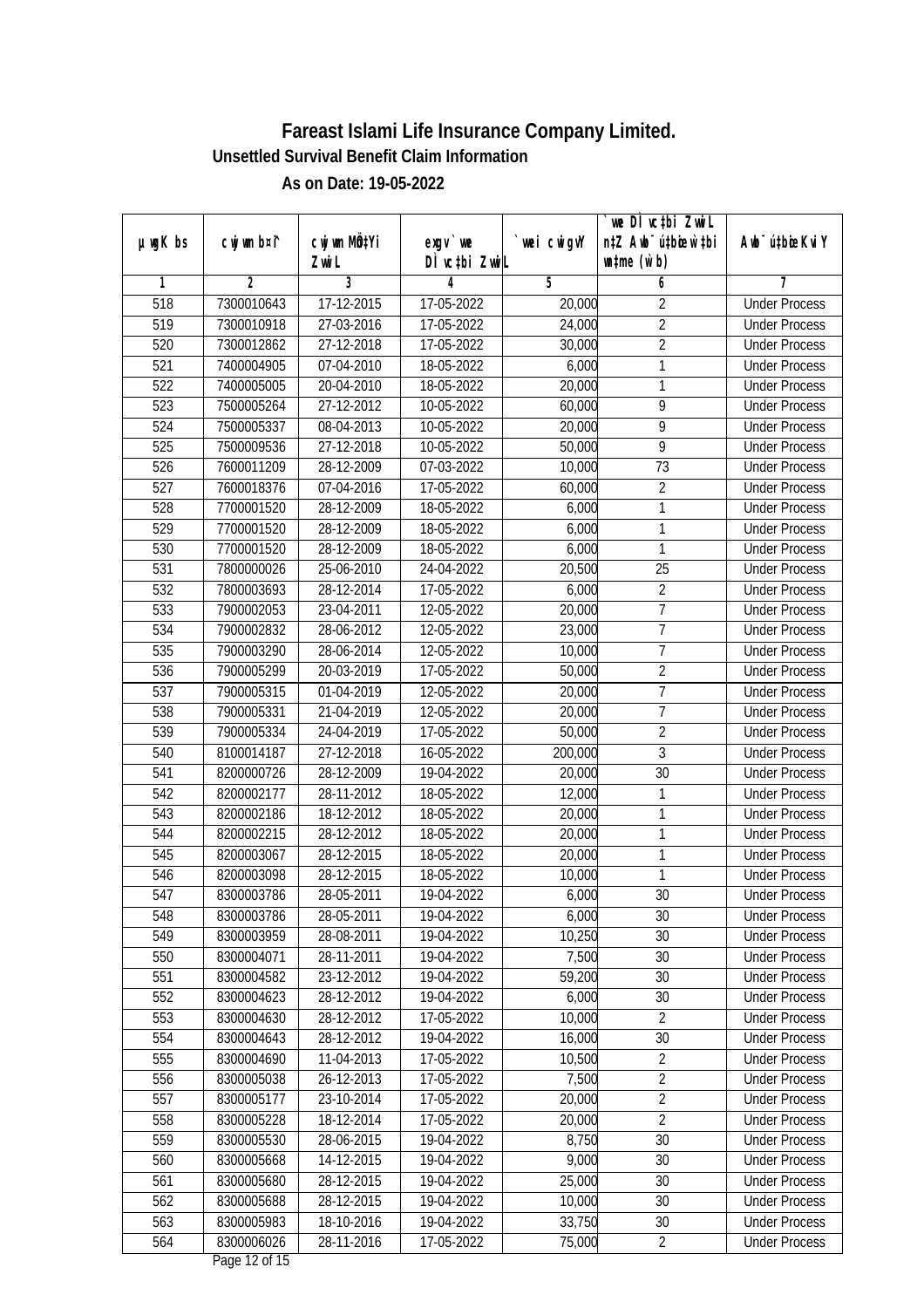|               |             |                       |                            |             | we DI vctbi ZwiL                                            |                             |
|---------------|-------------|-----------------------|----------------------------|-------------|-------------------------------------------------------------|-----------------------------|
| $µ$ ug $K$ bs | cwj wm b¤i^ | cwj wm MQtYi<br>Zwi L | $exqu$ we<br>DÌ vctbi ZwiL | `wei cwigvY | n‡Z Awb <sup>-</sup> ú‡bioar`‡bi<br>$\n  untime\n  (u`b)\n$ | Awb <sup>-</sup> ú‡bioeKviY |
| 1             | 2           | $\overline{3}$        | 4                          | 5           | 6                                                           | 7                           |
| 518           | 7300010643  | 17-12-2015            | 17-05-2022                 | 20,000      | $\overline{2}$                                              | <b>Under Process</b>        |
| 519           | 7300010918  | 27-03-2016            | 17-05-2022                 | 24,000      | $\overline{2}$                                              | <b>Under Process</b>        |
| 520           | 7300012862  | 27-12-2018            | 17-05-2022                 | 30,000      | $\overline{2}$                                              | <b>Under Process</b>        |
| 521           | 7400004905  | 07-04-2010            | 18-05-2022                 | 6,000       | 1                                                           | <b>Under Process</b>        |
| 522           | 7400005005  | 20-04-2010            | 18-05-2022                 | 20,000      | 1                                                           | <b>Under Process</b>        |
| 523           | 7500005264  | 27-12-2012            | 10-05-2022                 | 60,000      | 9                                                           | <b>Under Process</b>        |
| 524           | 7500005337  | 08-04-2013            | 10-05-2022                 | 20,000      | $\overline{9}$                                              | <b>Under Process</b>        |
| 525           | 7500009536  | 27-12-2018            | 10-05-2022                 | 50,000      | $\overline{9}$                                              | <b>Under Process</b>        |
| 526           | 7600011209  | 28-12-2009            | 07-03-2022                 | 10,000      | $\overline{73}$                                             | <b>Under Process</b>        |
| 527           | 7600018376  | 07-04-2016            | 17-05-2022                 | 60,000      | $\overline{2}$                                              | <b>Under Process</b>        |
| 528           | 7700001520  | 28-12-2009            | 18-05-2022                 | 6,000       | 1                                                           | <b>Under Process</b>        |
| 529           | 7700001520  | 28-12-2009            | 18-05-2022                 | 6,000       | 1                                                           | <b>Under Process</b>        |
| 530           | 7700001520  | 28-12-2009            | 18-05-2022                 | 6,000       | 1                                                           | <b>Under Process</b>        |
| 531           | 7800000026  | 25-06-2010            | 24-04-2022                 | 20,500      | 25                                                          | <b>Under Process</b>        |
| 532           | 7800003693  | 28-12-2014            | 17-05-2022                 | 6,000       | $\overline{2}$                                              | <b>Under Process</b>        |
| 533           | 7900002053  | 23-04-2011            | 12-05-2022                 | 20,000      | 7                                                           | <b>Under Process</b>        |
| 534           | 7900002832  | 28-06-2012            | 12-05-2022                 | 23,000      | $\overline{7}$                                              | <b>Under Process</b>        |
| 535           | 7900003290  | 28-06-2014            | 12-05-2022                 | 10,000      | $\overline{1}$                                              | <b>Under Process</b>        |
| 536           | 7900005299  | 20-03-2019            | 17-05-2022                 | 50,000      | $\overline{2}$                                              | <b>Under Process</b>        |
| 537           | 7900005315  | 01-04-2019            | 12-05-2022                 | 20,000      | 7                                                           | <b>Under Process</b>        |
| 538           | 7900005331  | 21-04-2019            | 12-05-2022                 | 20,000      | $\overline{1}$                                              | <b>Under Process</b>        |
| 539           | 7900005334  | 24-04-2019            | 17-05-2022                 | 50,000      | $\overline{2}$                                              | <b>Under Process</b>        |
| 540           | 8100014187  | 27-12-2018            | 16-05-2022                 | 200,000     | $\overline{3}$                                              | <b>Under Process</b>        |
| 541           | 8200000726  | 28-12-2009            | 19-04-2022                 | 20,000      | 30                                                          | <b>Under Process</b>        |
| 542           | 8200002177  | 28-11-2012            | 18-05-2022                 | 12,000      | 1                                                           | <b>Under Process</b>        |
| 543           | 8200002186  | 18-12-2012            | 18-05-2022                 | 20,000      | 1                                                           | <b>Under Process</b>        |
| 544           | 8200002215  | 28-12-2012            | 18-05-2022                 | 20,000      | 1                                                           | <b>Under Process</b>        |
| 545           | 8200003067  | 28-12-2015            | 18-05-2022                 | 20,000      | 1                                                           | <b>Under Process</b>        |
| 546           | 8200003098  | 28-12-2015            | 18-05-2022                 | 10,000      | 1                                                           | <b>Under Process</b>        |
| 547           | 8300003786  | 28-05-2011            | 19-04-2022                 | 6,000       | 30                                                          | <b>Under Process</b>        |
| 548           | 8300003786  | 28-05-2011            | 19-04-2022                 | 6,000       | 30                                                          | <b>Under Process</b>        |
| 549           | 8300003959  | 28-08-2011            | 19-04-2022                 | 10,250      | 30                                                          | <b>Under Process</b>        |
| 550           | 8300004071  | 28-11-2011            | 19-04-2022                 | 7,500       | 30                                                          | <b>Under Process</b>        |
| 551           | 8300004582  | 23-12-2012            | 19-04-2022                 | 59,200      | 30                                                          | <b>Under Process</b>        |
| 552           | 8300004623  | 28-12-2012            | 19-04-2022                 | 6,000       | 30                                                          | <b>Under Process</b>        |
| 553           | 8300004630  | 28-12-2012            | 17-05-2022                 | 10,000      | $\overline{2}$                                              | <b>Under Process</b>        |
| 554           | 8300004643  | 28-12-2012            | 19-04-2022                 | 16,000      | 30                                                          | <b>Under Process</b>        |
| 555           | 8300004690  | 11-04-2013            | 17-05-2022                 | 10,500      | $\overline{2}$                                              | <b>Under Process</b>        |
| 556           | 8300005038  | 26-12-2013            | 17-05-2022                 | 7,500       | $\overline{2}$                                              | <b>Under Process</b>        |
| 557           | 8300005177  | 23-10-2014            | 17-05-2022                 | 20,000      | $\overline{2}$                                              | <b>Under Process</b>        |
| 558           | 8300005228  | 18-12-2014            | 17-05-2022                 | 20,000      | $\overline{2}$                                              | <b>Under Process</b>        |
| 559           | 8300005530  | 28-06-2015            | 19-04-2022                 | 8,750       | $\overline{30}$                                             | <b>Under Process</b>        |
| 560           | 8300005668  | 14-12-2015            | 19-04-2022                 | 9,000       | 30                                                          | <b>Under Process</b>        |
| 561           | 8300005680  | 28-12-2015            | 19-04-2022                 | 25,000      | 30                                                          | <b>Under Process</b>        |
| 562           | 8300005688  | 28-12-2015            | 19-04-2022                 | 10,000      | 30                                                          | <b>Under Process</b>        |
| 563           | 8300005983  | 18-10-2016            | 19-04-2022                 | 33,750      | 30                                                          | <b>Under Process</b>        |
| 564           | 8300006026  | 28-11-2016            | 17-05-2022                 | 75,000      | $\overline{2}$                                              | <b>Under Process</b>        |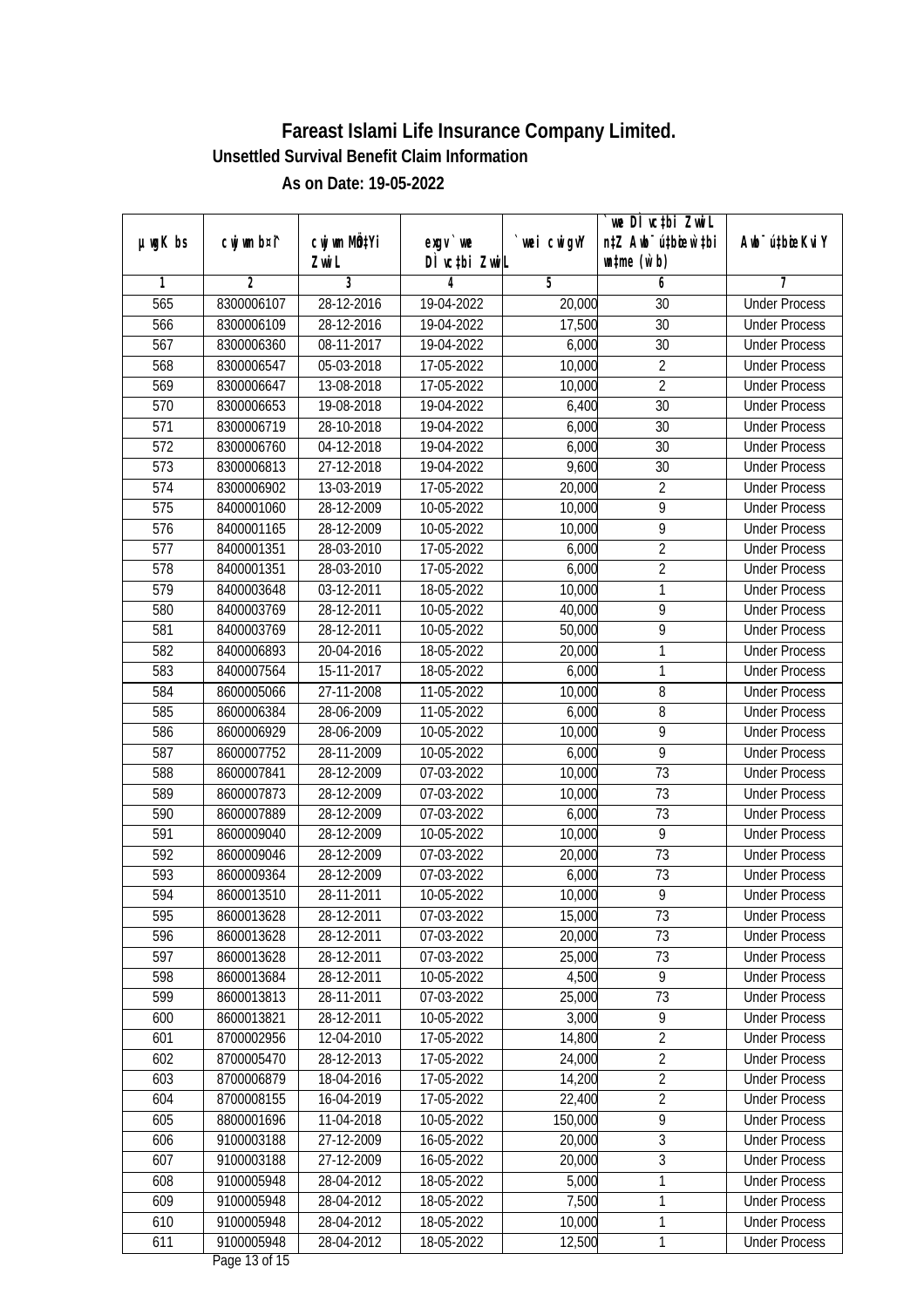| µwgK bs          | cwj wm b¤i^    | Cwj wm MQ <sup>1</sup> Yi | $exqu$ we        | wei cwigvY | we DI vctbi ZwiL<br>n‡Z Awb <sup>-</sup> ú‡bioen`‡bi | Awb <sup>-</sup> ú‡bioeKviY |
|------------------|----------------|---------------------------|------------------|------------|------------------------------------------------------|-----------------------------|
|                  |                | Zwi L                     | DÌ vctbi ZwiL    |            | $\n  untime\n  (u`b)\n$                              |                             |
| 1                | $\overline{2}$ | 3                         | 4                | 5          | 6                                                    | 7                           |
| 565              | 8300006107     | 28-12-2016                | 19-04-2022       | 20,000     | 30                                                   | <b>Under Process</b>        |
| 566              | 8300006109     | 28-12-2016                | 19-04-2022       | 17,500     | $\overline{30}$                                      | <b>Under Process</b>        |
| 567              | 8300006360     | 08-11-2017                | 19-04-2022       | 6,000      | 30                                                   | <b>Under Process</b>        |
| 568              | 8300006547     | 05-03-2018                | 17-05-2022       | 10,000     | $\overline{2}$                                       | <b>Under Process</b>        |
| 569              | 8300006647     | 13-08-2018                | 17-05-2022       | 10,000     | $\overline{2}$                                       | <b>Under Process</b>        |
| 570              | 8300006653     | 19-08-2018                | 19-04-2022       | 6,400      | $\overline{30}$                                      | <b>Under Process</b>        |
| 571              | 8300006719     | 28-10-2018                | 19-04-2022       | 6,000      | $\overline{30}$                                      | <b>Under Process</b>        |
| 572              | 8300006760     | 04-12-2018                | 19-04-2022       | 6,000      | 30                                                   | <b>Under Process</b>        |
| 573              | 8300006813     | 27-12-2018                | 19-04-2022       | 9,600      | 30                                                   | <b>Under Process</b>        |
| 574              | 8300006902     | 13-03-2019                | 17-05-2022       | 20,000     | $\overline{2}$                                       | <b>Under Process</b>        |
| $\overline{575}$ | 8400001060     | 28-12-2009                | 10-05-2022       | 10,000     | 9                                                    | <b>Under Process</b>        |
| 576              | 8400001165     | 28-12-2009                | 10-05-2022       | 10,000     | 9                                                    | <b>Under Process</b>        |
| $\overline{577}$ | 8400001351     | 28-03-2010                | 17-05-2022       | 6,000      | $\overline{2}$                                       | <b>Under Process</b>        |
| 578              | 8400001351     | 28-03-2010                | 17-05-2022       | 6,000      | $\overline{2}$                                       | <b>Under Process</b>        |
| 579              | 8400003648     | 03-12-2011                | 18-05-2022       | 10,000     | 1                                                    | <b>Under Process</b>        |
| 580              | 8400003769     | 28-12-2011                | 10-05-2022       | 40,000     | 9                                                    | <b>Under Process</b>        |
| 581              | 8400003769     | 28-12-2011                | 10-05-2022       | 50,000     | 9                                                    | <b>Under Process</b>        |
| 582              | 8400006893     | 20-04-2016                | 18-05-2022       | 20,000     | 1                                                    | <b>Under Process</b>        |
| 583              | 8400007564     | 15-11-2017                | 18-05-2022       | 6,000      | 1                                                    | <b>Under Process</b>        |
| 584              | 8600005066     | 27-11-2008                | 11-05-2022       | 10,000     | 8                                                    | <b>Under Process</b>        |
| 585              | 8600006384     | 28-06-2009                | 11-05-2022       | 6,000      | 8                                                    | <b>Under Process</b>        |
| 586              | 8600006929     | 28-06-2009                | 10-05-2022       | 10,000     | 9                                                    | <b>Under Process</b>        |
| 587              | 8600007752     | 28-11-2009                | 10-05-2022       | 6,000      | $\overline{9}$                                       | <b>Under Process</b>        |
| 588              | 8600007841     | 28-12-2009                | 07-03-2022       | 10,000     | 73                                                   | <b>Under Process</b>        |
| 589              | 8600007873     | 28-12-2009                | 07-03-2022       | 10,000     | 73                                                   | <b>Under Process</b>        |
| 590              | 8600007889     | 28-12-2009                | 07-03-2022       | 6,000      | 73                                                   | <b>Under Process</b>        |
| 591              | 8600009040     | 28-12-2009                | 10-05-2022       | 10,000     | 9                                                    | <b>Under Process</b>        |
| 592              | 8600009046     | 28-12-2009                | 07-03-2022       | 20,000     | $\overline{73}$                                      | <b>Under Process</b>        |
| 593              | 8600009364     | 28-12-2009                | 07-03-2022       | 6,000      | 73                                                   | <b>Under Process</b>        |
| 594              | 8600013510     | 28-11-2011                | 10-05-2022       | 10,000     | $\overline{9}$                                       | <b>Under Process</b>        |
| 595              | 8600013628     | 28-12-2011                | 07-03-2022       | 15,000     | 73                                                   | <b>Under Process</b>        |
| 596              | 8600013628     | 28-12-2011                | 07-03-2022       | 20,000     | 73                                                   | <b>Under Process</b>        |
| 597              | 8600013628     | 28-12-2011                | 07-03-2022       | 25,000     | 73                                                   | <b>Under Process</b>        |
| 598              | 8600013684     | 28-12-2011                | 10-05-2022       | 4,500      | 9                                                    | <b>Under Process</b>        |
| 599              | 8600013813     | 28-11-2011                | 07-03-2022       | 25,000     | 73                                                   | <b>Under Process</b>        |
| 600              | 8600013821     | 28-12-2011                | 10-05-2022       | 3,000      | 9                                                    | <b>Under Process</b>        |
| 601              | 8700002956     | 12-04-2010                | 17-05-2022       | 14,800     | $\overline{2}$                                       | <b>Under Process</b>        |
| 602              | 8700005470     | 28-12-2013                | 17-05-2022       | 24,000     | $\overline{2}$                                       | <b>Under Process</b>        |
| 603              | 8700006879     | 18-04-2016                | 17-05-2022       | 14,200     | $\overline{2}$                                       | <b>Under Process</b>        |
| 604              | 8700008155     | 16-04-2019                | 17-05-2022       | 22,400     | $\overline{2}$                                       | <b>Under Process</b>        |
| 605              | 8800001696     | 11-04-2018                | 10-05-2022       | 150,000    | 9                                                    | <b>Under Process</b>        |
| 606              | 9100003188     | 27-12-2009                | $16 - 05 - 2022$ | 20,000     | $\overline{3}$                                       | <b>Under Process</b>        |
| 607              | 9100003188     | 27-12-2009                | 16-05-2022       | 20,000     | $\sqrt{3}$                                           | <b>Under Process</b>        |
| 608              | 9100005948     | 28-04-2012                | 18-05-2022       | 5,000      | $\mathbf{1}$                                         | <b>Under Process</b>        |
| 609              | 9100005948     | 28-04-2012                | 18-05-2022       | 7,500      | 1                                                    | <b>Under Process</b>        |
| 610              | 9100005948     | 28-04-2012                | 18-05-2022       | 10,000     | 1                                                    | <b>Under Process</b>        |
| 611              | 9100005948     | 28-04-2012                | 18-05-2022       | 12,500     | $\mathbf 1$                                          | <b>Under Process</b>        |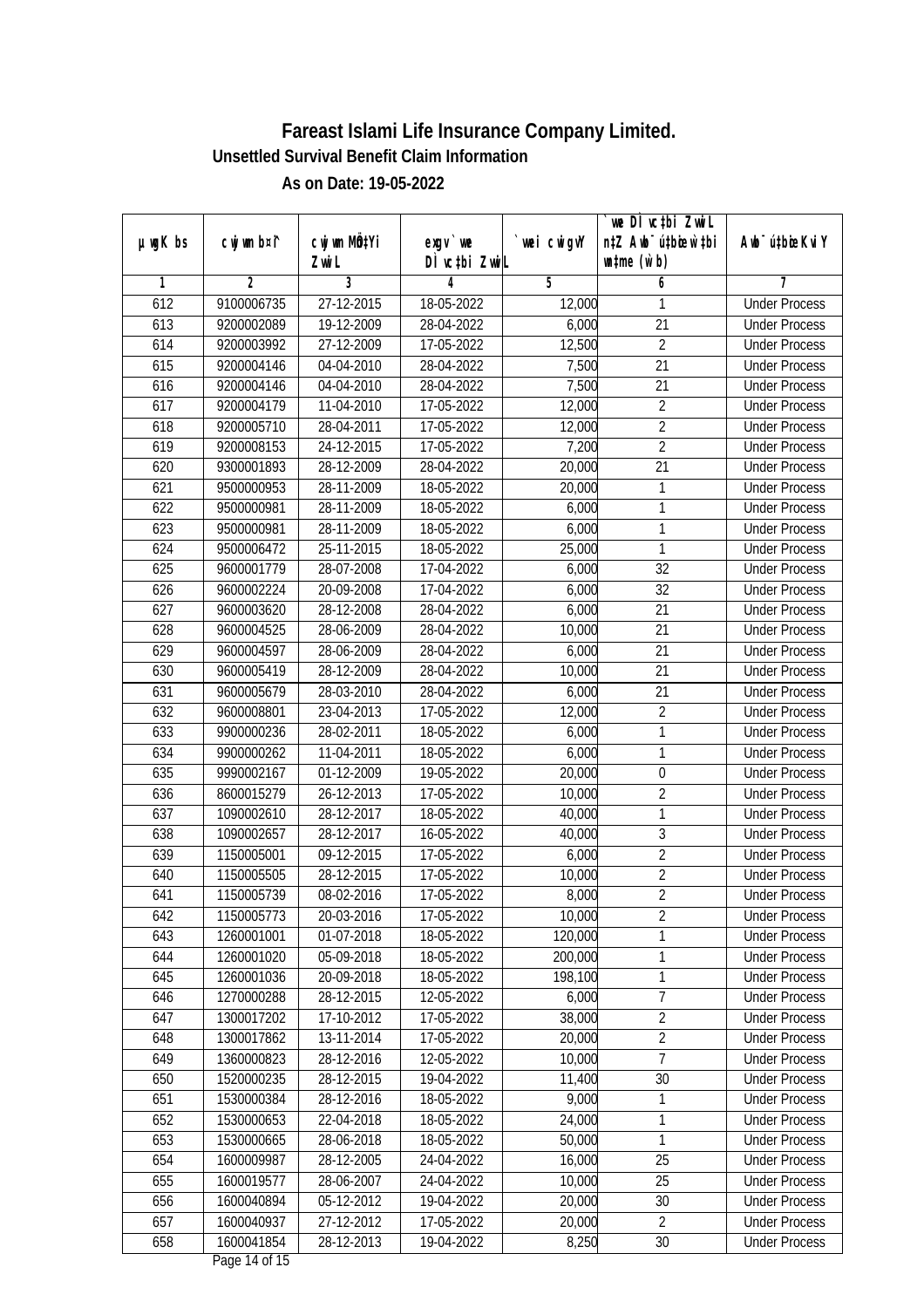|         |                |              |               |            | we DI vctbi Zwil                 |                             |
|---------|----------------|--------------|---------------|------------|----------------------------------|-----------------------------|
| µwgK bs | cwj wm b¤i^    | cwj wm MQtYi | $exqu$ we     | wei cwigvY | n‡Z Awb <sup>-</sup> ú‡bioen`‡bi | Awb <sup>-</sup> ú‡bioeKviY |
|         |                | Zwi L        | DÌ vctbi ZwiL |            | $w$ tme $(w b)$                  |                             |
| 1       | $\overline{2}$ | 3            | 4             | 5          | 6                                | 7                           |
| 612     | 9100006735     | 27-12-2015   | 18-05-2022    | 12,000     | 1                                | <b>Under Process</b>        |
| 613     | 9200002089     | 19-12-2009   | 28-04-2022    | 6,000      | $\overline{21}$                  | <b>Under Process</b>        |
| 614     | 9200003992     | 27-12-2009   | 17-05-2022    | 12,500     | $\overline{2}$                   | <b>Under Process</b>        |
| 615     | 9200004146     | 04-04-2010   | 28-04-2022    | 7,500      | 21                               | <b>Under Process</b>        |
| 616     | 9200004146     | 04-04-2010   | 28-04-2022    | 7,500      | $\overline{21}$                  | <b>Under Process</b>        |
| 617     | 9200004179     | 11-04-2010   | 17-05-2022    | 12,000     | $\overline{2}$                   | <b>Under Process</b>        |
| 618     | 9200005710     | 28-04-2011   | 17-05-2022    | 12,000     | $\overline{2}$                   | <b>Under Process</b>        |
| 619     | 9200008153     | 24-12-2015   | 17-05-2022    | 7,200      | $\overline{2}$                   | <b>Under Process</b>        |
| 620     | 9300001893     | 28-12-2009   | 28-04-2022    | 20,000     | $\overline{21}$                  | <b>Under Process</b>        |
| 621     | 9500000953     | 28-11-2009   | 18-05-2022    | 20,000     | 1                                | <b>Under Process</b>        |
| 622     | 9500000981     | 28-11-2009   | 18-05-2022    | 6,000      | $\mathbf{1}$                     | <b>Under Process</b>        |
| 623     | 9500000981     | 28-11-2009   | 18-05-2022    | 6,000      | 1                                | <b>Under Process</b>        |
| 624     | 9500006472     | 25-11-2015   | 18-05-2022    | 25,000     | $\mathbf{1}$                     | <b>Under Process</b>        |
| 625     | 9600001779     | 28-07-2008   | 17-04-2022    | 6,000      | 32                               | <b>Under Process</b>        |
| 626     | 9600002224     | 20-09-2008   | 17-04-2022    | 6,000      | 32                               | <b>Under Process</b>        |
| 627     | 9600003620     | 28-12-2008   | 28-04-2022    | 6,000      | $\overline{21}$                  | <b>Under Process</b>        |
| 628     | 9600004525     | 28-06-2009   | 28-04-2022    | 10,000     | 21                               | <b>Under Process</b>        |
| 629     | 9600004597     | 28-06-2009   | 28-04-2022    | 6,000      | 21                               | <b>Under Process</b>        |
| 630     | 9600005419     | 28-12-2009   | 28-04-2022    | 10,000     | 21                               | <b>Under Process</b>        |
| 631     | 9600005679     | 28-03-2010   | 28-04-2022    | 6,000      | 21                               | <b>Under Process</b>        |
| 632     | 9600008801     | 23-04-2013   | 17-05-2022    | 12,000     | $\overline{2}$                   | <b>Under Process</b>        |
| 633     | 9900000236     | 28-02-2011   | 18-05-2022    | 6,000      | 1                                | <b>Under Process</b>        |
| 634     | 9900000262     | 11-04-2011   | 18-05-2022    | 6,000      | $\mathbf{1}$                     | <b>Under Process</b>        |
| 635     | 9990002167     | 01-12-2009   | 19-05-2022    | 20,000     | $\boldsymbol{0}$                 | <b>Under Process</b>        |
| 636     | 8600015279     | 26-12-2013   | 17-05-2022    | 10,000     | $\overline{2}$                   | <b>Under Process</b>        |
| 637     | 1090002610     | 28-12-2017   | 18-05-2022    | 40,000     | 1                                | <b>Under Process</b>        |
| 638     | 1090002657     | 28-12-2017   | 16-05-2022    | 40,000     | 3                                | <b>Under Process</b>        |
| 639     | 1150005001     | 09-12-2015   | 17-05-2022    | 6,000      | $\overline{2}$                   | <b>Under Process</b>        |
| 640     | 1150005505     | 28-12-2015   | 17-05-2022    | 10,000     | $\overline{2}$                   | <b>Under Process</b>        |
| 641     | 1150005739     | 08-02-2016   | 17-05-2022    | 8,000      | $\overline{2}$                   | <b>Under Process</b>        |
| 642     | 1150005773     | 20-03-2016   | 17-05-2022    | 10,000     | 2                                | <b>Under Process</b>        |
| 643     | 1260001001     | 01-07-2018   | 18-05-2022    | 120,000    | 1                                | <b>Under Process</b>        |
| 644     | 1260001020     | 05-09-2018   | 18-05-2022    | 200,000    | 1                                | <b>Under Process</b>        |
| 645     | 1260001036     | 20-09-2018   | 18-05-2022    | 198,100    | $\mathbf{1}$                     | <b>Under Process</b>        |
| 646     | 1270000288     | 28-12-2015   | 12-05-2022    | 6,000      | 7                                | <b>Under Process</b>        |
| 647     | 1300017202     | 17-10-2012   | 17-05-2022    | 38,000     | $\overline{2}$                   | <b>Under Process</b>        |
| 648     | 1300017862     | 13-11-2014   | 17-05-2022    | 20,000     | $\overline{2}$                   | <b>Under Process</b>        |
| 649     | 1360000823     | 28-12-2016   | 12-05-2022    | 10,000     | $\overline{7}$                   | <b>Under Process</b>        |
| 650     | 1520000235     | 28-12-2015   | 19-04-2022    | 11,400     | 30                               | <b>Under Process</b>        |
| 651     | 1530000384     | 28-12-2016   | 18-05-2022    | 9,000      | 1                                | <b>Under Process</b>        |
| 652     | 1530000653     | 22-04-2018   | 18-05-2022    | 24,000     | 1                                | <b>Under Process</b>        |
| 653     | 1530000665     | 28-06-2018   | 18-05-2022    | 50,000     | 1                                | <b>Under Process</b>        |
| 654     | 1600009987     | 28-12-2005   | 24-04-2022    | 16,000     | 25                               | <b>Under Process</b>        |
| 655     | 1600019577     | 28-06-2007   | 24-04-2022    | 10,000     | 25                               | <b>Under Process</b>        |
| 656     | 1600040894     | 05-12-2012   | 19-04-2022    | 20,000     | 30                               | <b>Under Process</b>        |
| 657     | 1600040937     | 27-12-2012   | 17-05-2022    | 20,000     | $\overline{2}$                   | <b>Under Process</b>        |
| 658     | 1600041854     | 28-12-2013   | 19-04-2022    | 8,250      | 30                               | <b>Under Process</b>        |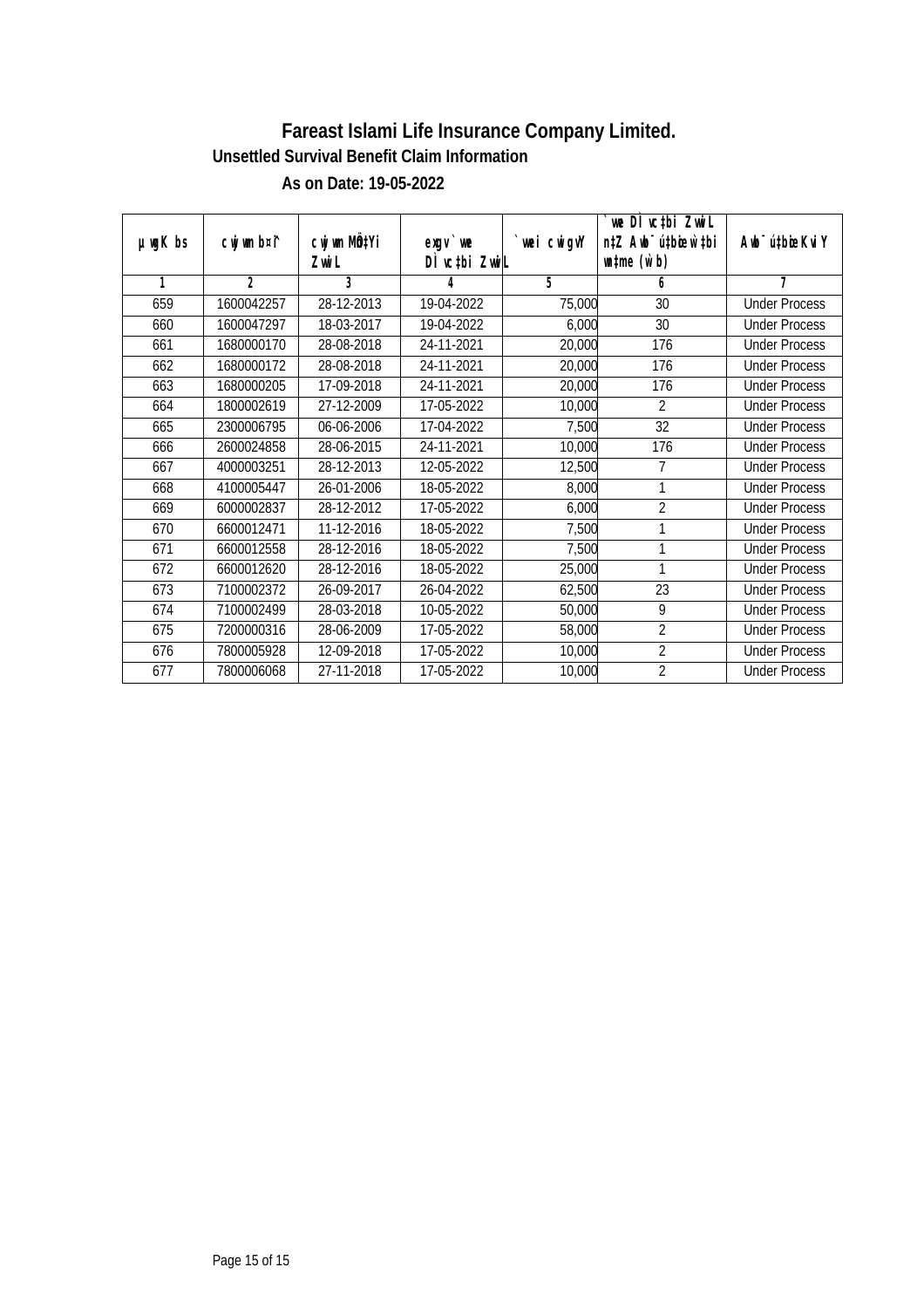| $µ$ mg $K$ bs | cwj wm b¤i^    | cwj wm MÖ‡Yi             | $exqu$ we     | `wei cwigvY | `we DÌ vc‡bi ZwwiL<br>n‡Z Awb <sup>-</sup> ú‡bioen`‡bi | Awb <sup>-</sup> ú‡bioeKviY |
|---------------|----------------|--------------------------|---------------|-------------|--------------------------------------------------------|-----------------------------|
|               |                | Zwi L                    | DI vctbi ZwiL |             | $\n  untime\n  (u`b)\n$                                |                             |
| 1             | $\overline{2}$ | 3                        | 4             | 5           | 6                                                      | 7                           |
| 659           | 1600042257     | 28-12-2013               | 19-04-2022    | 75,000      | 30                                                     | <b>Under Process</b>        |
| 660           | 1600047297     | 18-03-2017               | 19-04-2022    | 6,000       | 30                                                     | <b>Under Process</b>        |
| 661           | 1680000170     | 28-08-2018               | 24-11-2021    | 20,000      | 176                                                    | <b>Under Process</b>        |
| 662           | 1680000172     | 28-08-2018               | 24-11-2021    | 20,000      | 176                                                    | <b>Under Process</b>        |
| 663           | 1680000205     | $\overline{17}$ -09-2018 | 24-11-2021    | 20,000      | 176                                                    | <b>Under Process</b>        |
| 664           | 1800002619     | 27-12-2009               | 17-05-2022    | 10,000      | $\overline{2}$                                         | <b>Under Process</b>        |
| 665           | 2300006795     | 06-06-2006               | 17-04-2022    | 7,500       | 32                                                     | <b>Under Process</b>        |
| 666           | 2600024858     | 28-06-2015               | 24-11-2021    | 10,000      | 176                                                    | <b>Under Process</b>        |
| 667           | 4000003251     | 28-12-2013               | 12-05-2022    | 12,500      | 7                                                      | <b>Under Process</b>        |
| 668           | 4100005447     | 26-01-2006               | 18-05-2022    | 8,000       | 1                                                      | <b>Under Process</b>        |
| 669           | 6000002837     | 28-12-2012               | 17-05-2022    | 6,000       | $\overline{2}$                                         | <b>Under Process</b>        |
| 670           | 6600012471     | 11-12-2016               | 18-05-2022    | 7,500       | 1                                                      | <b>Under Process</b>        |
| 671           | 6600012558     | 28-12-2016               | 18-05-2022    | 7,500       | 1                                                      | <b>Under Process</b>        |
| 672           | 6600012620     | 28-12-2016               | 18-05-2022    | 25,000      | 1                                                      | <b>Under Process</b>        |
| 673           | 7100002372     | 26-09-2017               | 26-04-2022    | 62,500      | 23                                                     | <b>Under Process</b>        |
| 674           | 7100002499     | 28-03-2018               | 10-05-2022    | 50,000      | 9                                                      | <b>Under Process</b>        |
| 675           | 7200000316     | 28-06-2009               | 17-05-2022    | 58,000      | $\overline{2}$                                         | <b>Under Process</b>        |
| 676           | 7800005928     | 12-09-2018               | 17-05-2022    | 10,000      | $\overline{2}$                                         | <b>Under Process</b>        |
| 677           | 7800006068     | 27-11-2018               | 17-05-2022    | 10,000      | $\overline{2}$                                         | <b>Under Process</b>        |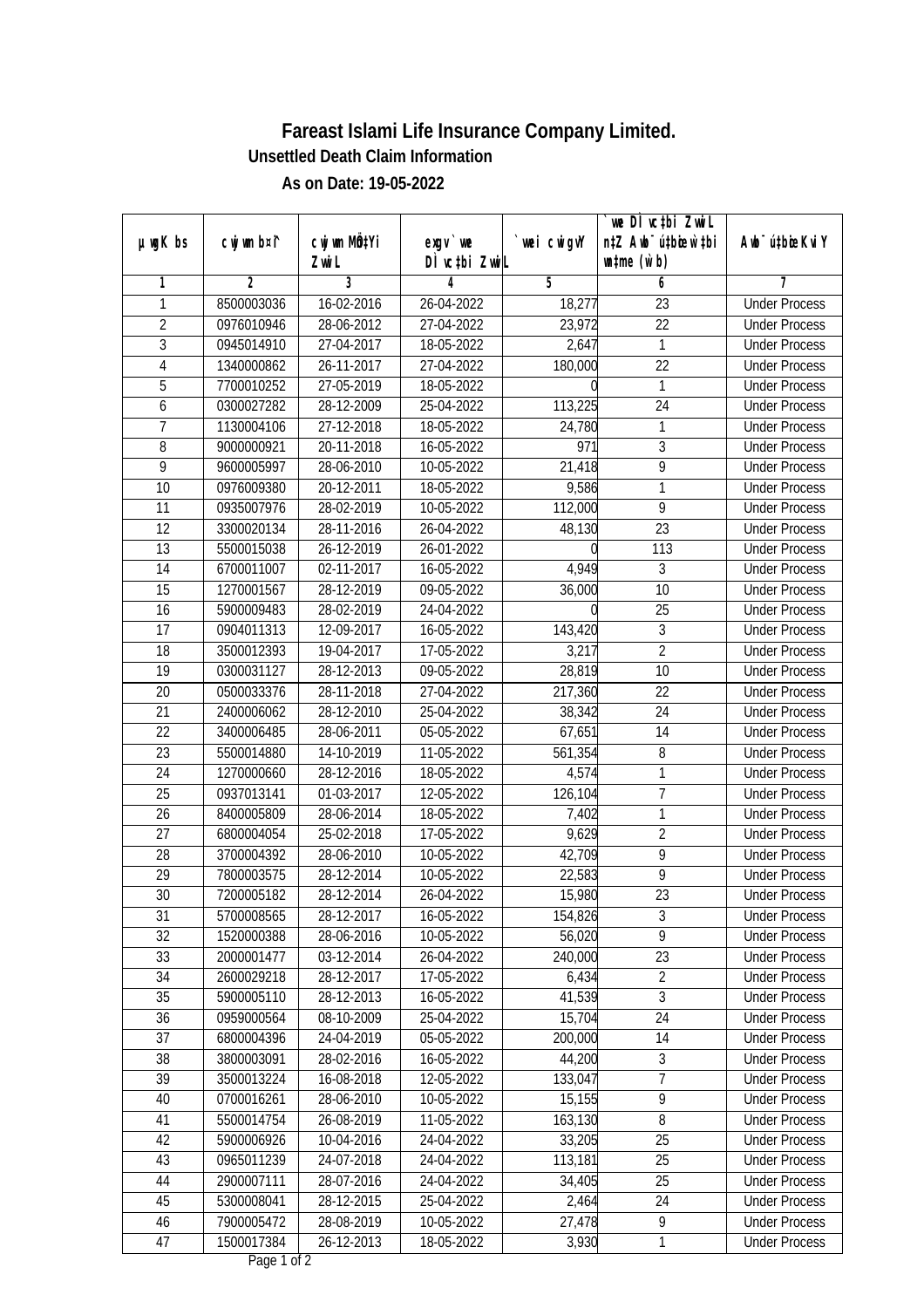|                |                |              |               |             | `we DÌ vc‡bi ZwwiL               |                             |
|----------------|----------------|--------------|---------------|-------------|----------------------------------|-----------------------------|
| $µ$ ug $K$ bs  | cwj wm b¤i^    | cwj wm MQtYi | $exgV$ we     | `wei cwigvY | n‡Z Awb <sup>-</sup> ú‡bioen`‡bi | Awb <sup>-</sup> ú‡bioeKviY |
|                |                | Zwi L        | DÌ vctbi ZwiL |             | $\n  untime\n  (u`b)\n$          |                             |
| 1              | $\overline{2}$ | 3            | 4             | 5           | 6                                | 7                           |
| 1              | 8500003036     | 16-02-2016   | 26-04-2022    | 18,277      | 23                               | <b>Under Process</b>        |
| $\overline{2}$ | 0976010946     | 28-06-2012   | 27-04-2022    | 23,972      | $\overline{22}$                  | <b>Under Process</b>        |
| $\overline{3}$ | 0945014910     | 27-04-2017   | 18-05-2022    | 2,647       | 1                                | <b>Under Process</b>        |
| $\overline{4}$ | 1340000862     | 26-11-2017   | 27-04-2022    | 180,000     | $\overline{22}$                  | <b>Under Process</b>        |
| 5              | 7700010252     | 27-05-2019   | 18-05-2022    |             | 1                                | <b>Under Process</b>        |
| 6              | 0300027282     | 28-12-2009   | 25-04-2022    | 113,225     | $\overline{24}$                  | <b>Under Process</b>        |
| 7              | 1130004106     | 27-12-2018   | 18-05-2022    | 24,780      | 1                                | <b>Under Process</b>        |
| $\overline{8}$ | 9000000921     | 20-11-2018   | 16-05-2022    | 971         | $\overline{3}$                   | <b>Under Process</b>        |
| 9              | 9600005997     | 28-06-2010   | 10-05-2022    | 21,418      | 9                                | <b>Under Process</b>        |
| 10             | 0976009380     | 20-12-2011   | 18-05-2022    | 9,586       | 1                                | <b>Under Process</b>        |
| 11             | 0935007976     | 28-02-2019   | 10-05-2022    | 112,000     | 9                                | <b>Under Process</b>        |
| 12             | 3300020134     | 28-11-2016   | 26-04-2022    | 48,130      | $\overline{23}$                  | <b>Under Process</b>        |
| 13             | 5500015038     | 26-12-2019   | 26-01-2022    |             | 113                              | <b>Under Process</b>        |
| 14             | 6700011007     | 02-11-2017   | 16-05-2022    | 4,949       | $\sqrt{3}$                       | <b>Under Process</b>        |
| 15             | 1270001567     | 28-12-2019   | 09-05-2022    | 36,000      | 10                               | <b>Under Process</b>        |
| 16             | 5900009483     | 28-02-2019   | 24-04-2022    |             | 25                               | <b>Under Process</b>        |
| 17             | 0904011313     | 12-09-2017   | 16-05-2022    | 143,420     | 3                                | <b>Under Process</b>        |
| 18             | 3500012393     | 19-04-2017   | 17-05-2022    | 3,217       | $\overline{2}$                   | <b>Under Process</b>        |
| 19             | 0300031127     | 28-12-2013   | 09-05-2022    | 28,819      | 10                               | <b>Under Process</b>        |
| 20             | 0500033376     | 28-11-2018   | 27-04-2022    | 217,360     | 22                               | <b>Under Process</b>        |
| 21             | 2400006062     | 28-12-2010   | 25-04-2022    | 38,342      | 24                               | <b>Under Process</b>        |
| 22             | 3400006485     | 28-06-2011   | 05-05-2022    | 67,651      | 14                               | <b>Under Process</b>        |
| 23             | 5500014880     | 14-10-2019   | 11-05-2022    | 561,354     | 8                                | <b>Under Process</b>        |
| 24             | 1270000660     | 28-12-2016   | 18-05-2022    | 4,574       | $\mathbf{1}$                     | <b>Under Process</b>        |
| 25             | 0937013141     | 01-03-2017   | 12-05-2022    | 126,104     | $\overline{7}$                   | <b>Under Process</b>        |
| 26             | 8400005809     | 28-06-2014   | 18-05-2022    | 7,402       | 1                                | <b>Under Process</b>        |
| 27             | 6800004054     | 25-02-2018   | 17-05-2022    | 9,629       | $\overline{2}$                   | <b>Under Process</b>        |
| 28             | 3700004392     | 28-06-2010   | 10-05-2022    | 42,709      | $\overline{9}$                   | <b>Under Process</b>        |
| 29             | 7800003575     | 28-12-2014   | 10-05-2022    | 22,583      | $\overline{9}$                   | <b>Under Process</b>        |
| 30             | 7200005182     | 28-12-2014   | 26-04-2022    | 15,980      | 23                               | <b>Under Process</b>        |
| 31             | 5700008565     | 28-12-2017   | 16-05-2022    | 154,826     | 3                                | <b>Under Process</b>        |
| 32             | 1520000388     | 28-06-2016   | 10-05-2022    | 56,020      | 9                                | <b>Under Process</b>        |
| 33             | 2000001477     | 03-12-2014   | 26-04-2022    | 240,000     | 23                               | <b>Under Process</b>        |
| 34             | 2600029218     | 28-12-2017   | 17-05-2022    | 6,434       | $\overline{2}$                   | <b>Under Process</b>        |
| 35             | 5900005110     | 28-12-2013   | 16-05-2022    | 41,539      | $\overline{3}$                   | <b>Under Process</b>        |
| 36             | 0959000564     | 08-10-2009   | 25-04-2022    | 15,704      | 24                               | <b>Under Process</b>        |
| 37             | 6800004396     | 24-04-2019   | 05-05-2022    | 200,000     | 14                               | <b>Under Process</b>        |
| 38             | 3800003091     | 28-02-2016   | 16-05-2022    | 44,200      | 3                                | <b>Under Process</b>        |
| 39             | 3500013224     | 16-08-2018   | 12-05-2022    | 133,047     | $\overline{7}$                   | <b>Under Process</b>        |
| 40             | 0700016261     | 28-06-2010   | 10-05-2022    | 15,155      | $\overline{9}$                   | <b>Under Process</b>        |
| 41             | 5500014754     | 26-08-2019   | 11-05-2022    | 163,130     | 8                                | <b>Under Process</b>        |
| 42             | 5900006926     | 10-04-2016   | 24-04-2022    | 33,205      | 25                               | <b>Under Process</b>        |
| 43             | 0965011239     | 24-07-2018   | 24-04-2022    | 113,181     | $\overline{25}$                  | <b>Under Process</b>        |
| 44             | 2900007111     | 28-07-2016   | 24-04-2022    | 34,405      | 25                               | <b>Under Process</b>        |
| 45             | 5300008041     | 28-12-2015   | 25-04-2022    | 2,464       | 24                               | <b>Under Process</b>        |
| 46             | 7900005472     | 28-08-2019   | 10-05-2022    | 27,478      | 9                                | <b>Under Process</b>        |
| 47             | 1500017384     | 26-12-2013   | 18-05-2022    | 3,930       | 1                                | <b>Under Process</b>        |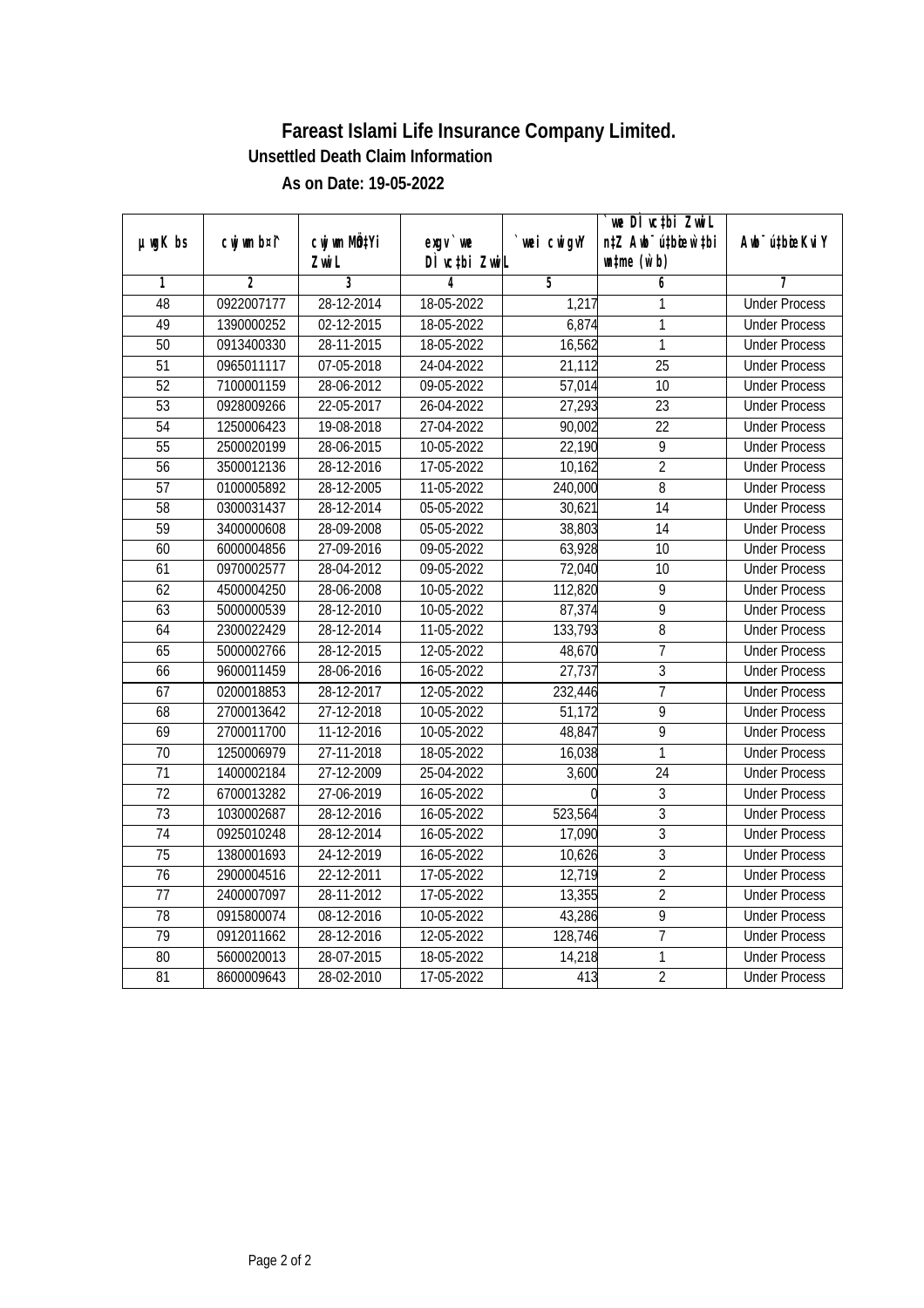|                 |                |                  |               |                | we DI vctbi ZwiL                 |                             |
|-----------------|----------------|------------------|---------------|----------------|----------------------------------|-----------------------------|
| µwgK bs         | cwj wm b¤i^    | cwj wm MQYi      | $exgv$ we     | wei cwigvY     | n‡Z Awb <sup>-</sup> ú‡bioen`‡bi | Awb <sup>-</sup> ú‡bioeKviY |
|                 |                | Zwi L            | DÌ vctbi ZwiL |                | $\n  untime\n  (u`b)\n$          |                             |
| 1               | $\overline{2}$ | $\overline{3}$   | 4             | $\overline{5}$ | 6                                | 7                           |
| 48              | 0922007177     | 28-12-2014       | 18-05-2022    | 1,217          | 1                                | <b>Under Process</b>        |
| 49              | 1390000252     | 02-12-2015       | 18-05-2022    | 6,874          | $\mathbf{1}$                     | <b>Under Process</b>        |
| 50              | 0913400330     | 28-11-2015       | 18-05-2022    | 16,562         | $\overline{1}$                   | <b>Under Process</b>        |
| $\overline{51}$ | 0965011117     | 07-05-2018       | 24-04-2022    | 21,112         | $\overline{25}$                  | <b>Under Process</b>        |
| $\overline{52}$ | 7100001159     | 28-06-2012       | 09-05-2022    | 57,014         | $\overline{10}$                  | <b>Under Process</b>        |
| $\overline{53}$ | 0928009266     | 22-05-2017       | 26-04-2022    | 27,293         | $\overline{23}$                  | <b>Under Process</b>        |
| $\overline{54}$ | 1250006423     | 19-08-2018       | 27-04-2022    | 90,002         | $\overline{22}$                  | <b>Under Process</b>        |
| $\overline{55}$ | 2500020199     | 28-06-2015       | 10-05-2022    | 22,190         | $\overline{9}$                   | <b>Under Process</b>        |
| $\overline{56}$ | 3500012136     | 28-12-2016       | 17-05-2022    | 10,162         | $\overline{2}$                   | <b>Under Process</b>        |
| 57              | 0100005892     | 28-12-2005       | 11-05-2022    | 240,000        | $\overline{8}$                   | <b>Under Process</b>        |
| $\overline{58}$ | 0300031437     | 28-12-2014       | 05-05-2022    | 30,621         | $\overline{14}$                  | <b>Under Process</b>        |
| 59              | 3400000608     | 28-09-2008       | 05-05-2022    | 38,803         | $\overline{14}$                  | <b>Under Process</b>        |
| 60              | 6000004856     | 27-09-2016       | 09-05-2022    | 63,928         | $\overline{10}$                  | <b>Under Process</b>        |
| 61              | 0970002577     | 28-04-2012       | 09-05-2022    | 72,040         | 10                               | <b>Under Process</b>        |
| 62              | 4500004250     | 28-06-2008       | 10-05-2022    | 112,820        | $\overline{9}$                   | <b>Under Process</b>        |
| 63              | 5000000539     | 28-12-2010       | 10-05-2022    | 87,374         | 9                                | <b>Under Process</b>        |
| 64              | 2300022429     | 28-12-2014       | 11-05-2022    | 133,793        | 8                                | <b>Under Process</b>        |
| 65              | 5000002766     | 28-12-2015       | 12-05-2022    | 48,670         | $\overline{7}$                   | <b>Under Process</b>        |
| 66              | 9600011459     | 28-06-2016       | 16-05-2022    | 27,737         | 3                                | <b>Under Process</b>        |
| 67              | 0200018853     | 28-12-2017       | 12-05-2022    | 232,446        | $\overline{7}$                   | <b>Under Process</b>        |
| 68              | 2700013642     | $27 - 12 - 2018$ | 10-05-2022    | 51,172         | $\overline{9}$                   | <b>Under Process</b>        |
| 69              | 2700011700     | 11-12-2016       | 10-05-2022    | 48,847         | 9                                | <b>Under Process</b>        |
| 70              | 1250006979     | 27-11-2018       | 18-05-2022    | 16,038         | 1                                | <b>Under Process</b>        |
| $\overline{71}$ | 1400002184     | 27-12-2009       | 25-04-2022    | 3,600          | $\overline{24}$                  | <b>Under Process</b>        |
| 72              | 6700013282     | 27-06-2019       | 16-05-2022    |                | 3                                | <b>Under Process</b>        |
| 73              | 1030002687     | 28-12-2016       | 16-05-2022    | 523,564        | $\overline{3}$                   | <b>Under Process</b>        |
| $\overline{74}$ | 0925010248     | 28-12-2014       | 16-05-2022    | 17,090         | $\overline{3}$                   | <b>Under Process</b>        |
| 75              | 1380001693     | 24-12-2019       | 16-05-2022    | 10,626         | $\overline{3}$                   | <b>Under Process</b>        |
| 76              | 2900004516     | 22-12-2011       | 17-05-2022    | 12,719         | $\overline{2}$                   | <b>Under Process</b>        |
| 77              | 2400007097     | 28-11-2012       | 17-05-2022    | 13,355         | $\overline{2}$                   | <b>Under Process</b>        |
| 78              | 0915800074     | 08-12-2016       | 10-05-2022    | 43,286         | 9                                | <b>Under Process</b>        |
| 79              | 0912011662     | 28-12-2016       | 12-05-2022    | 128,746        | $\overline{7}$                   | <b>Under Process</b>        |
| 80              | 5600020013     | 28-07-2015       | 18-05-2022    | 14,218         | 1                                | <b>Under Process</b>        |
| 81              | 8600009643     | 28-02-2010       | 17-05-2022    | 413            | $\overline{2}$                   | <b>Under Process</b>        |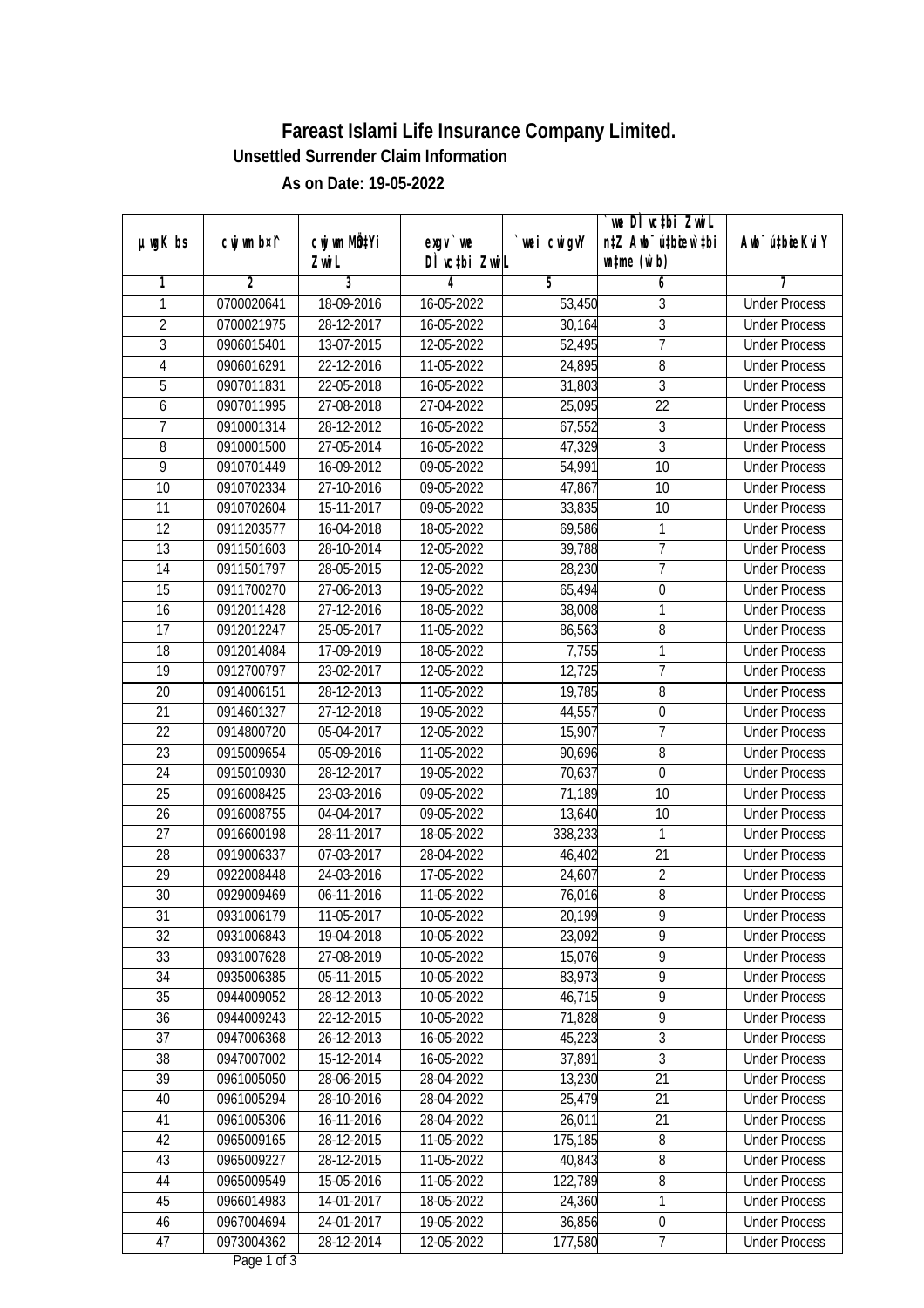|                |             |              |               |             | we DI vctbi Zwil                 |                             |
|----------------|-------------|--------------|---------------|-------------|----------------------------------|-----------------------------|
| $µ$ ug $K$ bs  | cwj wm b¤i^ | cwj wm MQtYi | $exqu$ we     | `wei cwigvY | n‡Z Awb <sup>-</sup> ú‡bioen`‡bi | Awb <sup>-</sup> ú‡bioeKviY |
|                |             | Zwi L        | DÌ vctbi ZwiL |             | $\n  untime\n  (u`b)\n$          |                             |
| 1              | 2           | 3            | 4             | 5           | 6                                | 7                           |
| 1              | 0700020641  | 18-09-2016   | 16-05-2022    | 53,450      | 3                                | <b>Under Process</b>        |
| $\overline{2}$ | 0700021975  | 28-12-2017   | 16-05-2022    | 30,164      | $\overline{3}$                   | <b>Under Process</b>        |
| $\overline{3}$ | 0906015401  | 13-07-2015   | 12-05-2022    | 52,495      | $\overline{7}$                   | <b>Under Process</b>        |
| $\overline{4}$ | 0906016291  | 22-12-2016   | 11-05-2022    | 24,895      | $\overline{8}$                   | <b>Under Process</b>        |
| 5              | 0907011831  | 22-05-2018   | 16-05-2022    | 31,803      | $\mathfrak{Z}$                   | <b>Under Process</b>        |
| 6              | 0907011995  | 27-08-2018   | 27-04-2022    | 25,095      | $\overline{22}$                  | <b>Under Process</b>        |
| $\overline{7}$ | 0910001314  | 28-12-2012   | 16-05-2022    | 67,552      | 3                                | <b>Under Process</b>        |
| $\overline{8}$ | 0910001500  | 27-05-2014   | 16-05-2022    | 47,329      | $\overline{3}$                   | <b>Under Process</b>        |
| 9              | 0910701449  | 16-09-2012   | 09-05-2022    | 54,991      | 10                               | <b>Under Process</b>        |
| 10             | 0910702334  | 27-10-2016   | 09-05-2022    | 47,867      | 10                               | <b>Under Process</b>        |
| 11             | 0910702604  | 15-11-2017   | 09-05-2022    | 33,835      | $\overline{10}$                  | <b>Under Process</b>        |
| 12             | 0911203577  | 16-04-2018   | 18-05-2022    | 69,586      | 1                                | <b>Under Process</b>        |
| 13             | 0911501603  | 28-10-2014   | 12-05-2022    | 39,788      | $\overline{7}$                   | <b>Under Process</b>        |
| 14             | 0911501797  | 28-05-2015   | 12-05-2022    | 28,230      | $\overline{1}$                   | <b>Under Process</b>        |
| 15             | 0911700270  | 27-06-2013   | 19-05-2022    | 65,494      | $\boldsymbol{0}$                 | <b>Under Process</b>        |
| 16             | 0912011428  | 27-12-2016   | 18-05-2022    | 38,008      | 1                                | <b>Under Process</b>        |
| 17             | 0912012247  | 25-05-2017   | 11-05-2022    | 86,563      | 8                                | <b>Under Process</b>        |
| 18             | 0912014084  | 17-09-2019   | 18-05-2022    | 7,755       | $\mathbf{1}$                     | <b>Under Process</b>        |
| 19             | 0912700797  | 23-02-2017   | 12-05-2022    | 12,725      | $\overline{1}$                   | <b>Under Process</b>        |
| 20             | 0914006151  | 28-12-2013   | 11-05-2022    | 19,785      | $\, 8$                           | <b>Under Process</b>        |
| 21             | 0914601327  | 27-12-2018   | 19-05-2022    | 44,557      | $\boldsymbol{0}$                 | <b>Under Process</b>        |
| 22             | 0914800720  | 05-04-2017   | 12-05-2022    | 15,907      | $\overline{7}$                   | <b>Under Process</b>        |
| 23             | 0915009654  | 05-09-2016   | 11-05-2022    | 90,696      | 8                                | <b>Under Process</b>        |
| 24             | 0915010930  | 28-12-2017   | 19-05-2022    | 70,637      | $\mathbf 0$                      | <b>Under Process</b>        |
| 25             | 0916008425  | 23-03-2016   | 09-05-2022    | 71,189      | 10                               | <b>Under Process</b>        |
| 26             | 0916008755  | 04-04-2017   | 09-05-2022    | 13,640      | 10                               | <b>Under Process</b>        |
| 27             | 0916600198  | 28-11-2017   | 18-05-2022    | 338,233     | 1                                | <b>Under Process</b>        |
| 28             | 0919006337  | 07-03-2017   | 28-04-2022    | 46,402      | 21                               | <b>Under Process</b>        |
| 29             | 0922008448  | 24-03-2016   | 17-05-2022    | 24,607      | $\overline{2}$                   | <b>Under Process</b>        |
| 30             | 0929009469  | 06-11-2016   | 11-05-2022    | 76,016      | $\, 8$                           | <b>Under Process</b>        |
| 31             | 0931006179  | 11-05-2017   | 10-05-2022    | 20,199      | 9                                | <b>Under Process</b>        |
| 32             | 0931006843  | 19-04-2018   | 10-05-2022    | 23,092      | 9                                | <b>Under Process</b>        |
| 33             | 0931007628  | 27-08-2019   | 10-05-2022    | 15,076      | 9                                | <b>Under Process</b>        |
| 34             | 0935006385  | 05-11-2015   | 10-05-2022    | 83,973      | 9                                | <b>Under Process</b>        |
| 35             | 0944009052  | 28-12-2013   | 10-05-2022    | 46, 715     | 9                                | <b>Under Process</b>        |
| 36             | 0944009243  | 22-12-2015   | 10-05-2022    | 71,828      | 9                                | <b>Under Process</b>        |
| 37             | 0947006368  | 26-12-2013   | 16-05-2022    | 45,223      | $\overline{3}$                   | <b>Under Process</b>        |
| 38             | 0947007002  | 15-12-2014   | 16-05-2022    | 37,891      | 3                                | <b>Under Process</b>        |
| 39             | 0961005050  | 28-06-2015   | 28-04-2022    | 13,230      | $\overline{21}$                  | <b>Under Process</b>        |
| 40             | 0961005294  | 28-10-2016   | 28-04-2022    | 25,479      | 21                               | <b>Under Process</b>        |
| 41             | 0961005306  | 16-11-2016   | 28-04-2022    | 26,011      | 21                               | <b>Under Process</b>        |
| 42             | 0965009165  | 28-12-2015   | 11-05-2022    | 175,185     | 8                                | <b>Under Process</b>        |
| 43             | 0965009227  | 28-12-2015   | 11-05-2022    | 40,843      | 8                                | <b>Under Process</b>        |
| 44             | 0965009549  | 15-05-2016   | 11-05-2022    | 122,789     | 8                                | <b>Under Process</b>        |
| 45             | 0966014983  | 14-01-2017   | 18-05-2022    | 24,360      | 1                                | <b>Under Process</b>        |
| 46             | 0967004694  | 24-01-2017   | 19-05-2022    | 36,856      | $\pmb{0}$                        | <b>Under Process</b>        |
| 47             | 0973004362  | 28-12-2014   | 12-05-2022    | 177,580     | $\overline{7}$                   | <b>Under Process</b>        |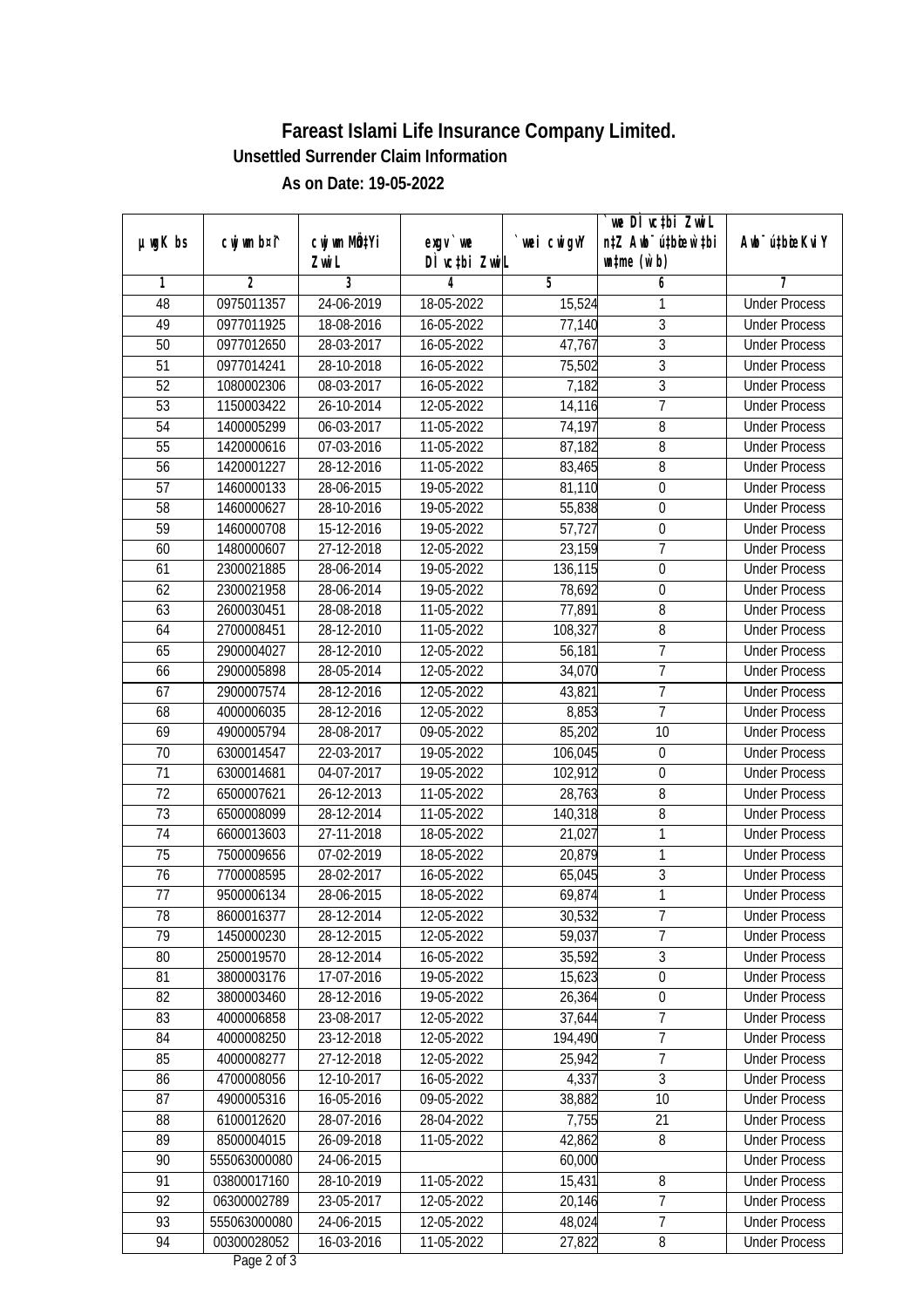| DÌ vctbi ZwiL<br>$\n  untime\n  (u`b)\n$<br>Zwi L<br>3<br>2<br>4<br>5<br>6<br>1<br>7<br>24-06-2019<br>0975011357<br>18-05-2022<br><b>Under Process</b><br>48<br>15,524<br>1<br>3<br>49<br>0977011925<br>18-08-2016<br>16-05-2022<br>77,140<br><b>Under Process</b><br>$\overline{3}$<br>47,767<br>50<br>0977012650<br>28-03-2017<br>16-05-2022<br><b>Under Process</b><br>$\overline{3}$<br>16-05-2022<br>75,502<br>51<br>0977014241<br>28-10-2018<br><b>Under Process</b><br>$\overline{3}$<br>$\overline{52}$<br>1080002306<br>08-03-2017<br>16-05-2022<br>7,182<br><b>Under Process</b><br>$\overline{7}$<br>$\overline{53}$<br>1150003422<br>26-10-2014<br>12-05-2022<br>14,116<br><b>Under Process</b><br>06-03-2017<br>8<br>54<br>1400005299<br>11-05-2022<br>74,197<br><b>Under Process</b><br>$\overline{8}$<br>55<br>1420000616<br>07-03-2016<br>11-05-2022<br>87,182<br><b>Under Process</b><br>56<br>28-12-2016<br>11-05-2022<br>8<br>1420001227<br>83,465<br><b>Under Process</b><br>28-06-2015<br>57<br>1460000133<br>19-05-2022<br>81,110<br>$\boldsymbol{0}$<br><b>Under Process</b><br>58<br>1460000627<br>28-10-2016<br>19-05-2022<br>55,838<br>0<br><b>Under Process</b><br>57,727<br>59<br>$15-12-2016$<br>$\boldsymbol{0}$<br>1460000708<br>19-05-2022<br><b>Under Process</b><br>$\overline{7}$<br>23,159<br>60<br>1480000607<br>27-12-2018<br>12-05-2022<br><b>Under Process</b><br>61<br>2300021885<br>28-06-2014<br>19-05-2022<br>136,115<br>$\boldsymbol{0}$<br><b>Under Process</b><br>62<br>2300021958<br>28-06-2014<br>19-05-2022<br>78,692<br>0<br><b>Under Process</b><br>63<br>28-08-2018<br>77,891<br>8<br>2600030451<br>11-05-2022<br><b>Under Process</b><br>108,327<br>8<br>64<br>2700008451<br>28-12-2010<br>11-05-2022<br><b>Under Process</b><br>$\overline{1}$<br>65<br>2900004027<br>28-12-2010<br>12-05-2022<br>56,181<br><b>Under Process</b><br>$\overline{1}$<br>2900005898<br>28-05-2014<br>12-05-2022<br>66<br>34,070<br><b>Under Process</b><br>$\overline{7}$<br>67<br>2900007574<br>28-12-2016<br>12-05-2022<br>43,821<br><b>Under Process</b><br>$\overline{7}$<br>28-12-2016<br>12-05-2022<br>8,853<br>68<br>4000006035<br><b>Under Process</b><br>69<br>85,202<br>4900005794<br>28-08-2017<br>09-05-2022<br>10<br><b>Under Process</b><br>106,045<br>70<br>6300014547<br>22-03-2017<br>19-05-2022<br>$\boldsymbol{0}$<br><b>Under Process</b><br>71<br>$\boldsymbol{0}$<br>6300014681<br>04-07-2017<br>19-05-2022<br>102,912<br><b>Under Process</b><br>72<br>$\, 8$<br>6500007621<br>26-12-2013<br>11-05-2022<br>28,763<br><b>Under Process</b><br>8<br>73<br>6500008099<br>28-12-2014<br>11-05-2022<br>140,318<br><b>Under Process</b><br>74<br>27-11-2018<br>1<br>6600013603<br>18-05-2022<br>21,027<br><b>Under Process</b><br>75<br>7500009656<br>07-02-2019<br>18-05-2022<br>20,879<br>1<br><b>Under Process</b><br>$\overline{3}$<br>76<br>7700008595<br>28-02-2017<br>16-05-2022<br>65,045<br><b>Under Process</b><br>$\mathbf{1}$<br>77<br>9500006134<br>28-06-2015<br>18-05-2022<br>69,874<br><b>Under Process</b><br>78<br>8600016377<br>28-12-2014<br>12-05-2022<br>30,532<br><b>Under Process</b><br>$\prime$<br>$\overline{7}$<br>79<br>28-12-2015<br>59,037<br>1450000230<br>12-05-2022<br><b>Under Process</b><br>$\overline{3}$<br>35,592<br>80<br>2500019570<br>28-12-2014<br>16-05-2022<br><b>Under Process</b><br>$\boldsymbol{0}$<br>81<br>15,623<br>3800003176<br>17-07-2016<br>19-05-2022<br><b>Under Process</b><br>82<br>3800003460<br>28-12-2016<br>26,364<br>$\boldsymbol{0}$<br>19-05-2022<br><b>Under Process</b><br>83<br>4000006858<br>23-08-2017<br>12-05-2022<br>37,644<br>7<br><b>Under Process</b><br>$\overline{7}$<br>84<br>4000008250<br>23-12-2018<br>12-05-2022<br>194,490<br><b>Under Process</b><br>25,942<br>$\overline{1}$<br>85<br>27-12-2018<br>4000008277<br>12-05-2022<br><b>Under Process</b><br>4,337<br>$\overline{3}$<br>86<br>4700008056<br>12-10-2017<br>16-05-2022<br><b>Under Process</b><br>87<br>10<br>4900005316<br>16-05-2016<br>09-05-2022<br>38,882<br><b>Under Process</b><br>88<br>6100012620<br>28-07-2016<br>28-04-2022<br>7,755<br>21<br><b>Under Process</b><br>89<br>8500004015<br>26-09-2018<br>11-05-2022<br>8<br>42,862<br><b>Under Process</b><br>90<br>555063000080<br>24-06-2015<br>60,000<br><b>Under Process</b><br>$\overline{8}$<br>91<br>03800017160<br>28-10-2019<br>11-05-2022<br>15,431<br><b>Under Process</b><br>$\overline{7}$<br>92<br>20,146<br>06300002789<br>23-05-2017<br>12-05-2022<br><b>Under Process</b><br>93<br>7<br>555063000080<br>24-06-2015<br>12-05-2022<br>48,024<br><b>Under Process</b><br>94<br>27,822<br>00300028052<br>16-03-2016<br>11-05-2022<br>8<br><b>Under Process</b> |               |             |              |           |             | we DI vctbi Zwil                 |                             |
|----------------------------------------------------------------------------------------------------------------------------------------------------------------------------------------------------------------------------------------------------------------------------------------------------------------------------------------------------------------------------------------------------------------------------------------------------------------------------------------------------------------------------------------------------------------------------------------------------------------------------------------------------------------------------------------------------------------------------------------------------------------------------------------------------------------------------------------------------------------------------------------------------------------------------------------------------------------------------------------------------------------------------------------------------------------------------------------------------------------------------------------------------------------------------------------------------------------------------------------------------------------------------------------------------------------------------------------------------------------------------------------------------------------------------------------------------------------------------------------------------------------------------------------------------------------------------------------------------------------------------------------------------------------------------------------------------------------------------------------------------------------------------------------------------------------------------------------------------------------------------------------------------------------------------------------------------------------------------------------------------------------------------------------------------------------------------------------------------------------------------------------------------------------------------------------------------------------------------------------------------------------------------------------------------------------------------------------------------------------------------------------------------------------------------------------------------------------------------------------------------------------------------------------------------------------------------------------------------------------------------------------------------------------------------------------------------------------------------------------------------------------------------------------------------------------------------------------------------------------------------------------------------------------------------------------------------------------------------------------------------------------------------------------------------------------------------------------------------------------------------------------------------------------------------------------------------------------------------------------------------------------------------------------------------------------------------------------------------------------------------------------------------------------------------------------------------------------------------------------------------------------------------------------------------------------------------------------------------------------------------------------------------------------------------------------------------------------------------------------------------------------------------------------------------------------------------------------------------------------------------------------------------------------------------------------------------------------------------------------------------------------------------------------------------------------------------------------------------------------------------------------------------------------------------------------------------------------------------------------------------------------------------------------------------------------------------------------------------------------------------------------------------------------------------------------------------------------------------------------------------------------------------------------------------------------------------------------------------------------------------------------------------------------------------------------------------------------------------------------------|---------------|-------------|--------------|-----------|-------------|----------------------------------|-----------------------------|
|                                                                                                                                                                                                                                                                                                                                                                                                                                                                                                                                                                                                                                                                                                                                                                                                                                                                                                                                                                                                                                                                                                                                                                                                                                                                                                                                                                                                                                                                                                                                                                                                                                                                                                                                                                                                                                                                                                                                                                                                                                                                                                                                                                                                                                                                                                                                                                                                                                                                                                                                                                                                                                                                                                                                                                                                                                                                                                                                                                                                                                                                                                                                                                                                                                                                                                                                                                                                                                                                                                                                                                                                                                                                                                                                                                                                                                                                                                                                                                                                                                                                                                                                                                                                                                                                                                                                                                                                                                                                                                                                                                                                                                                                                                                                              | $µ$ ug $K$ bs | cwj wm b¤i^ | cwj wm MQtYi | $exqu$ we | `wei cwigvY | n‡Z Awb <sup>-</sup> ú‡bioen`‡bi | Awb <sup>-</sup> ú‡bioeKviY |
|                                                                                                                                                                                                                                                                                                                                                                                                                                                                                                                                                                                                                                                                                                                                                                                                                                                                                                                                                                                                                                                                                                                                                                                                                                                                                                                                                                                                                                                                                                                                                                                                                                                                                                                                                                                                                                                                                                                                                                                                                                                                                                                                                                                                                                                                                                                                                                                                                                                                                                                                                                                                                                                                                                                                                                                                                                                                                                                                                                                                                                                                                                                                                                                                                                                                                                                                                                                                                                                                                                                                                                                                                                                                                                                                                                                                                                                                                                                                                                                                                                                                                                                                                                                                                                                                                                                                                                                                                                                                                                                                                                                                                                                                                                                                              |               |             |              |           |             |                                  |                             |
|                                                                                                                                                                                                                                                                                                                                                                                                                                                                                                                                                                                                                                                                                                                                                                                                                                                                                                                                                                                                                                                                                                                                                                                                                                                                                                                                                                                                                                                                                                                                                                                                                                                                                                                                                                                                                                                                                                                                                                                                                                                                                                                                                                                                                                                                                                                                                                                                                                                                                                                                                                                                                                                                                                                                                                                                                                                                                                                                                                                                                                                                                                                                                                                                                                                                                                                                                                                                                                                                                                                                                                                                                                                                                                                                                                                                                                                                                                                                                                                                                                                                                                                                                                                                                                                                                                                                                                                                                                                                                                                                                                                                                                                                                                                                              |               |             |              |           |             |                                  |                             |
|                                                                                                                                                                                                                                                                                                                                                                                                                                                                                                                                                                                                                                                                                                                                                                                                                                                                                                                                                                                                                                                                                                                                                                                                                                                                                                                                                                                                                                                                                                                                                                                                                                                                                                                                                                                                                                                                                                                                                                                                                                                                                                                                                                                                                                                                                                                                                                                                                                                                                                                                                                                                                                                                                                                                                                                                                                                                                                                                                                                                                                                                                                                                                                                                                                                                                                                                                                                                                                                                                                                                                                                                                                                                                                                                                                                                                                                                                                                                                                                                                                                                                                                                                                                                                                                                                                                                                                                                                                                                                                                                                                                                                                                                                                                                              |               |             |              |           |             |                                  |                             |
|                                                                                                                                                                                                                                                                                                                                                                                                                                                                                                                                                                                                                                                                                                                                                                                                                                                                                                                                                                                                                                                                                                                                                                                                                                                                                                                                                                                                                                                                                                                                                                                                                                                                                                                                                                                                                                                                                                                                                                                                                                                                                                                                                                                                                                                                                                                                                                                                                                                                                                                                                                                                                                                                                                                                                                                                                                                                                                                                                                                                                                                                                                                                                                                                                                                                                                                                                                                                                                                                                                                                                                                                                                                                                                                                                                                                                                                                                                                                                                                                                                                                                                                                                                                                                                                                                                                                                                                                                                                                                                                                                                                                                                                                                                                                              |               |             |              |           |             |                                  |                             |
|                                                                                                                                                                                                                                                                                                                                                                                                                                                                                                                                                                                                                                                                                                                                                                                                                                                                                                                                                                                                                                                                                                                                                                                                                                                                                                                                                                                                                                                                                                                                                                                                                                                                                                                                                                                                                                                                                                                                                                                                                                                                                                                                                                                                                                                                                                                                                                                                                                                                                                                                                                                                                                                                                                                                                                                                                                                                                                                                                                                                                                                                                                                                                                                                                                                                                                                                                                                                                                                                                                                                                                                                                                                                                                                                                                                                                                                                                                                                                                                                                                                                                                                                                                                                                                                                                                                                                                                                                                                                                                                                                                                                                                                                                                                                              |               |             |              |           |             |                                  |                             |
|                                                                                                                                                                                                                                                                                                                                                                                                                                                                                                                                                                                                                                                                                                                                                                                                                                                                                                                                                                                                                                                                                                                                                                                                                                                                                                                                                                                                                                                                                                                                                                                                                                                                                                                                                                                                                                                                                                                                                                                                                                                                                                                                                                                                                                                                                                                                                                                                                                                                                                                                                                                                                                                                                                                                                                                                                                                                                                                                                                                                                                                                                                                                                                                                                                                                                                                                                                                                                                                                                                                                                                                                                                                                                                                                                                                                                                                                                                                                                                                                                                                                                                                                                                                                                                                                                                                                                                                                                                                                                                                                                                                                                                                                                                                                              |               |             |              |           |             |                                  |                             |
|                                                                                                                                                                                                                                                                                                                                                                                                                                                                                                                                                                                                                                                                                                                                                                                                                                                                                                                                                                                                                                                                                                                                                                                                                                                                                                                                                                                                                                                                                                                                                                                                                                                                                                                                                                                                                                                                                                                                                                                                                                                                                                                                                                                                                                                                                                                                                                                                                                                                                                                                                                                                                                                                                                                                                                                                                                                                                                                                                                                                                                                                                                                                                                                                                                                                                                                                                                                                                                                                                                                                                                                                                                                                                                                                                                                                                                                                                                                                                                                                                                                                                                                                                                                                                                                                                                                                                                                                                                                                                                                                                                                                                                                                                                                                              |               |             |              |           |             |                                  |                             |
|                                                                                                                                                                                                                                                                                                                                                                                                                                                                                                                                                                                                                                                                                                                                                                                                                                                                                                                                                                                                                                                                                                                                                                                                                                                                                                                                                                                                                                                                                                                                                                                                                                                                                                                                                                                                                                                                                                                                                                                                                                                                                                                                                                                                                                                                                                                                                                                                                                                                                                                                                                                                                                                                                                                                                                                                                                                                                                                                                                                                                                                                                                                                                                                                                                                                                                                                                                                                                                                                                                                                                                                                                                                                                                                                                                                                                                                                                                                                                                                                                                                                                                                                                                                                                                                                                                                                                                                                                                                                                                                                                                                                                                                                                                                                              |               |             |              |           |             |                                  |                             |
|                                                                                                                                                                                                                                                                                                                                                                                                                                                                                                                                                                                                                                                                                                                                                                                                                                                                                                                                                                                                                                                                                                                                                                                                                                                                                                                                                                                                                                                                                                                                                                                                                                                                                                                                                                                                                                                                                                                                                                                                                                                                                                                                                                                                                                                                                                                                                                                                                                                                                                                                                                                                                                                                                                                                                                                                                                                                                                                                                                                                                                                                                                                                                                                                                                                                                                                                                                                                                                                                                                                                                                                                                                                                                                                                                                                                                                                                                                                                                                                                                                                                                                                                                                                                                                                                                                                                                                                                                                                                                                                                                                                                                                                                                                                                              |               |             |              |           |             |                                  |                             |
|                                                                                                                                                                                                                                                                                                                                                                                                                                                                                                                                                                                                                                                                                                                                                                                                                                                                                                                                                                                                                                                                                                                                                                                                                                                                                                                                                                                                                                                                                                                                                                                                                                                                                                                                                                                                                                                                                                                                                                                                                                                                                                                                                                                                                                                                                                                                                                                                                                                                                                                                                                                                                                                                                                                                                                                                                                                                                                                                                                                                                                                                                                                                                                                                                                                                                                                                                                                                                                                                                                                                                                                                                                                                                                                                                                                                                                                                                                                                                                                                                                                                                                                                                                                                                                                                                                                                                                                                                                                                                                                                                                                                                                                                                                                                              |               |             |              |           |             |                                  |                             |
|                                                                                                                                                                                                                                                                                                                                                                                                                                                                                                                                                                                                                                                                                                                                                                                                                                                                                                                                                                                                                                                                                                                                                                                                                                                                                                                                                                                                                                                                                                                                                                                                                                                                                                                                                                                                                                                                                                                                                                                                                                                                                                                                                                                                                                                                                                                                                                                                                                                                                                                                                                                                                                                                                                                                                                                                                                                                                                                                                                                                                                                                                                                                                                                                                                                                                                                                                                                                                                                                                                                                                                                                                                                                                                                                                                                                                                                                                                                                                                                                                                                                                                                                                                                                                                                                                                                                                                                                                                                                                                                                                                                                                                                                                                                                              |               |             |              |           |             |                                  |                             |
|                                                                                                                                                                                                                                                                                                                                                                                                                                                                                                                                                                                                                                                                                                                                                                                                                                                                                                                                                                                                                                                                                                                                                                                                                                                                                                                                                                                                                                                                                                                                                                                                                                                                                                                                                                                                                                                                                                                                                                                                                                                                                                                                                                                                                                                                                                                                                                                                                                                                                                                                                                                                                                                                                                                                                                                                                                                                                                                                                                                                                                                                                                                                                                                                                                                                                                                                                                                                                                                                                                                                                                                                                                                                                                                                                                                                                                                                                                                                                                                                                                                                                                                                                                                                                                                                                                                                                                                                                                                                                                                                                                                                                                                                                                                                              |               |             |              |           |             |                                  |                             |
|                                                                                                                                                                                                                                                                                                                                                                                                                                                                                                                                                                                                                                                                                                                                                                                                                                                                                                                                                                                                                                                                                                                                                                                                                                                                                                                                                                                                                                                                                                                                                                                                                                                                                                                                                                                                                                                                                                                                                                                                                                                                                                                                                                                                                                                                                                                                                                                                                                                                                                                                                                                                                                                                                                                                                                                                                                                                                                                                                                                                                                                                                                                                                                                                                                                                                                                                                                                                                                                                                                                                                                                                                                                                                                                                                                                                                                                                                                                                                                                                                                                                                                                                                                                                                                                                                                                                                                                                                                                                                                                                                                                                                                                                                                                                              |               |             |              |           |             |                                  |                             |
|                                                                                                                                                                                                                                                                                                                                                                                                                                                                                                                                                                                                                                                                                                                                                                                                                                                                                                                                                                                                                                                                                                                                                                                                                                                                                                                                                                                                                                                                                                                                                                                                                                                                                                                                                                                                                                                                                                                                                                                                                                                                                                                                                                                                                                                                                                                                                                                                                                                                                                                                                                                                                                                                                                                                                                                                                                                                                                                                                                                                                                                                                                                                                                                                                                                                                                                                                                                                                                                                                                                                                                                                                                                                                                                                                                                                                                                                                                                                                                                                                                                                                                                                                                                                                                                                                                                                                                                                                                                                                                                                                                                                                                                                                                                                              |               |             |              |           |             |                                  |                             |
|                                                                                                                                                                                                                                                                                                                                                                                                                                                                                                                                                                                                                                                                                                                                                                                                                                                                                                                                                                                                                                                                                                                                                                                                                                                                                                                                                                                                                                                                                                                                                                                                                                                                                                                                                                                                                                                                                                                                                                                                                                                                                                                                                                                                                                                                                                                                                                                                                                                                                                                                                                                                                                                                                                                                                                                                                                                                                                                                                                                                                                                                                                                                                                                                                                                                                                                                                                                                                                                                                                                                                                                                                                                                                                                                                                                                                                                                                                                                                                                                                                                                                                                                                                                                                                                                                                                                                                                                                                                                                                                                                                                                                                                                                                                                              |               |             |              |           |             |                                  |                             |
|                                                                                                                                                                                                                                                                                                                                                                                                                                                                                                                                                                                                                                                                                                                                                                                                                                                                                                                                                                                                                                                                                                                                                                                                                                                                                                                                                                                                                                                                                                                                                                                                                                                                                                                                                                                                                                                                                                                                                                                                                                                                                                                                                                                                                                                                                                                                                                                                                                                                                                                                                                                                                                                                                                                                                                                                                                                                                                                                                                                                                                                                                                                                                                                                                                                                                                                                                                                                                                                                                                                                                                                                                                                                                                                                                                                                                                                                                                                                                                                                                                                                                                                                                                                                                                                                                                                                                                                                                                                                                                                                                                                                                                                                                                                                              |               |             |              |           |             |                                  |                             |
|                                                                                                                                                                                                                                                                                                                                                                                                                                                                                                                                                                                                                                                                                                                                                                                                                                                                                                                                                                                                                                                                                                                                                                                                                                                                                                                                                                                                                                                                                                                                                                                                                                                                                                                                                                                                                                                                                                                                                                                                                                                                                                                                                                                                                                                                                                                                                                                                                                                                                                                                                                                                                                                                                                                                                                                                                                                                                                                                                                                                                                                                                                                                                                                                                                                                                                                                                                                                                                                                                                                                                                                                                                                                                                                                                                                                                                                                                                                                                                                                                                                                                                                                                                                                                                                                                                                                                                                                                                                                                                                                                                                                                                                                                                                                              |               |             |              |           |             |                                  |                             |
|                                                                                                                                                                                                                                                                                                                                                                                                                                                                                                                                                                                                                                                                                                                                                                                                                                                                                                                                                                                                                                                                                                                                                                                                                                                                                                                                                                                                                                                                                                                                                                                                                                                                                                                                                                                                                                                                                                                                                                                                                                                                                                                                                                                                                                                                                                                                                                                                                                                                                                                                                                                                                                                                                                                                                                                                                                                                                                                                                                                                                                                                                                                                                                                                                                                                                                                                                                                                                                                                                                                                                                                                                                                                                                                                                                                                                                                                                                                                                                                                                                                                                                                                                                                                                                                                                                                                                                                                                                                                                                                                                                                                                                                                                                                                              |               |             |              |           |             |                                  |                             |
|                                                                                                                                                                                                                                                                                                                                                                                                                                                                                                                                                                                                                                                                                                                                                                                                                                                                                                                                                                                                                                                                                                                                                                                                                                                                                                                                                                                                                                                                                                                                                                                                                                                                                                                                                                                                                                                                                                                                                                                                                                                                                                                                                                                                                                                                                                                                                                                                                                                                                                                                                                                                                                                                                                                                                                                                                                                                                                                                                                                                                                                                                                                                                                                                                                                                                                                                                                                                                                                                                                                                                                                                                                                                                                                                                                                                                                                                                                                                                                                                                                                                                                                                                                                                                                                                                                                                                                                                                                                                                                                                                                                                                                                                                                                                              |               |             |              |           |             |                                  |                             |
|                                                                                                                                                                                                                                                                                                                                                                                                                                                                                                                                                                                                                                                                                                                                                                                                                                                                                                                                                                                                                                                                                                                                                                                                                                                                                                                                                                                                                                                                                                                                                                                                                                                                                                                                                                                                                                                                                                                                                                                                                                                                                                                                                                                                                                                                                                                                                                                                                                                                                                                                                                                                                                                                                                                                                                                                                                                                                                                                                                                                                                                                                                                                                                                                                                                                                                                                                                                                                                                                                                                                                                                                                                                                                                                                                                                                                                                                                                                                                                                                                                                                                                                                                                                                                                                                                                                                                                                                                                                                                                                                                                                                                                                                                                                                              |               |             |              |           |             |                                  |                             |
|                                                                                                                                                                                                                                                                                                                                                                                                                                                                                                                                                                                                                                                                                                                                                                                                                                                                                                                                                                                                                                                                                                                                                                                                                                                                                                                                                                                                                                                                                                                                                                                                                                                                                                                                                                                                                                                                                                                                                                                                                                                                                                                                                                                                                                                                                                                                                                                                                                                                                                                                                                                                                                                                                                                                                                                                                                                                                                                                                                                                                                                                                                                                                                                                                                                                                                                                                                                                                                                                                                                                                                                                                                                                                                                                                                                                                                                                                                                                                                                                                                                                                                                                                                                                                                                                                                                                                                                                                                                                                                                                                                                                                                                                                                                                              |               |             |              |           |             |                                  |                             |
|                                                                                                                                                                                                                                                                                                                                                                                                                                                                                                                                                                                                                                                                                                                                                                                                                                                                                                                                                                                                                                                                                                                                                                                                                                                                                                                                                                                                                                                                                                                                                                                                                                                                                                                                                                                                                                                                                                                                                                                                                                                                                                                                                                                                                                                                                                                                                                                                                                                                                                                                                                                                                                                                                                                                                                                                                                                                                                                                                                                                                                                                                                                                                                                                                                                                                                                                                                                                                                                                                                                                                                                                                                                                                                                                                                                                                                                                                                                                                                                                                                                                                                                                                                                                                                                                                                                                                                                                                                                                                                                                                                                                                                                                                                                                              |               |             |              |           |             |                                  |                             |
|                                                                                                                                                                                                                                                                                                                                                                                                                                                                                                                                                                                                                                                                                                                                                                                                                                                                                                                                                                                                                                                                                                                                                                                                                                                                                                                                                                                                                                                                                                                                                                                                                                                                                                                                                                                                                                                                                                                                                                                                                                                                                                                                                                                                                                                                                                                                                                                                                                                                                                                                                                                                                                                                                                                                                                                                                                                                                                                                                                                                                                                                                                                                                                                                                                                                                                                                                                                                                                                                                                                                                                                                                                                                                                                                                                                                                                                                                                                                                                                                                                                                                                                                                                                                                                                                                                                                                                                                                                                                                                                                                                                                                                                                                                                                              |               |             |              |           |             |                                  |                             |
|                                                                                                                                                                                                                                                                                                                                                                                                                                                                                                                                                                                                                                                                                                                                                                                                                                                                                                                                                                                                                                                                                                                                                                                                                                                                                                                                                                                                                                                                                                                                                                                                                                                                                                                                                                                                                                                                                                                                                                                                                                                                                                                                                                                                                                                                                                                                                                                                                                                                                                                                                                                                                                                                                                                                                                                                                                                                                                                                                                                                                                                                                                                                                                                                                                                                                                                                                                                                                                                                                                                                                                                                                                                                                                                                                                                                                                                                                                                                                                                                                                                                                                                                                                                                                                                                                                                                                                                                                                                                                                                                                                                                                                                                                                                                              |               |             |              |           |             |                                  |                             |
|                                                                                                                                                                                                                                                                                                                                                                                                                                                                                                                                                                                                                                                                                                                                                                                                                                                                                                                                                                                                                                                                                                                                                                                                                                                                                                                                                                                                                                                                                                                                                                                                                                                                                                                                                                                                                                                                                                                                                                                                                                                                                                                                                                                                                                                                                                                                                                                                                                                                                                                                                                                                                                                                                                                                                                                                                                                                                                                                                                                                                                                                                                                                                                                                                                                                                                                                                                                                                                                                                                                                                                                                                                                                                                                                                                                                                                                                                                                                                                                                                                                                                                                                                                                                                                                                                                                                                                                                                                                                                                                                                                                                                                                                                                                                              |               |             |              |           |             |                                  |                             |
|                                                                                                                                                                                                                                                                                                                                                                                                                                                                                                                                                                                                                                                                                                                                                                                                                                                                                                                                                                                                                                                                                                                                                                                                                                                                                                                                                                                                                                                                                                                                                                                                                                                                                                                                                                                                                                                                                                                                                                                                                                                                                                                                                                                                                                                                                                                                                                                                                                                                                                                                                                                                                                                                                                                                                                                                                                                                                                                                                                                                                                                                                                                                                                                                                                                                                                                                                                                                                                                                                                                                                                                                                                                                                                                                                                                                                                                                                                                                                                                                                                                                                                                                                                                                                                                                                                                                                                                                                                                                                                                                                                                                                                                                                                                                              |               |             |              |           |             |                                  |                             |
|                                                                                                                                                                                                                                                                                                                                                                                                                                                                                                                                                                                                                                                                                                                                                                                                                                                                                                                                                                                                                                                                                                                                                                                                                                                                                                                                                                                                                                                                                                                                                                                                                                                                                                                                                                                                                                                                                                                                                                                                                                                                                                                                                                                                                                                                                                                                                                                                                                                                                                                                                                                                                                                                                                                                                                                                                                                                                                                                                                                                                                                                                                                                                                                                                                                                                                                                                                                                                                                                                                                                                                                                                                                                                                                                                                                                                                                                                                                                                                                                                                                                                                                                                                                                                                                                                                                                                                                                                                                                                                                                                                                                                                                                                                                                              |               |             |              |           |             |                                  |                             |
|                                                                                                                                                                                                                                                                                                                                                                                                                                                                                                                                                                                                                                                                                                                                                                                                                                                                                                                                                                                                                                                                                                                                                                                                                                                                                                                                                                                                                                                                                                                                                                                                                                                                                                                                                                                                                                                                                                                                                                                                                                                                                                                                                                                                                                                                                                                                                                                                                                                                                                                                                                                                                                                                                                                                                                                                                                                                                                                                                                                                                                                                                                                                                                                                                                                                                                                                                                                                                                                                                                                                                                                                                                                                                                                                                                                                                                                                                                                                                                                                                                                                                                                                                                                                                                                                                                                                                                                                                                                                                                                                                                                                                                                                                                                                              |               |             |              |           |             |                                  |                             |
|                                                                                                                                                                                                                                                                                                                                                                                                                                                                                                                                                                                                                                                                                                                                                                                                                                                                                                                                                                                                                                                                                                                                                                                                                                                                                                                                                                                                                                                                                                                                                                                                                                                                                                                                                                                                                                                                                                                                                                                                                                                                                                                                                                                                                                                                                                                                                                                                                                                                                                                                                                                                                                                                                                                                                                                                                                                                                                                                                                                                                                                                                                                                                                                                                                                                                                                                                                                                                                                                                                                                                                                                                                                                                                                                                                                                                                                                                                                                                                                                                                                                                                                                                                                                                                                                                                                                                                                                                                                                                                                                                                                                                                                                                                                                              |               |             |              |           |             |                                  |                             |
|                                                                                                                                                                                                                                                                                                                                                                                                                                                                                                                                                                                                                                                                                                                                                                                                                                                                                                                                                                                                                                                                                                                                                                                                                                                                                                                                                                                                                                                                                                                                                                                                                                                                                                                                                                                                                                                                                                                                                                                                                                                                                                                                                                                                                                                                                                                                                                                                                                                                                                                                                                                                                                                                                                                                                                                                                                                                                                                                                                                                                                                                                                                                                                                                                                                                                                                                                                                                                                                                                                                                                                                                                                                                                                                                                                                                                                                                                                                                                                                                                                                                                                                                                                                                                                                                                                                                                                                                                                                                                                                                                                                                                                                                                                                                              |               |             |              |           |             |                                  |                             |
|                                                                                                                                                                                                                                                                                                                                                                                                                                                                                                                                                                                                                                                                                                                                                                                                                                                                                                                                                                                                                                                                                                                                                                                                                                                                                                                                                                                                                                                                                                                                                                                                                                                                                                                                                                                                                                                                                                                                                                                                                                                                                                                                                                                                                                                                                                                                                                                                                                                                                                                                                                                                                                                                                                                                                                                                                                                                                                                                                                                                                                                                                                                                                                                                                                                                                                                                                                                                                                                                                                                                                                                                                                                                                                                                                                                                                                                                                                                                                                                                                                                                                                                                                                                                                                                                                                                                                                                                                                                                                                                                                                                                                                                                                                                                              |               |             |              |           |             |                                  |                             |
|                                                                                                                                                                                                                                                                                                                                                                                                                                                                                                                                                                                                                                                                                                                                                                                                                                                                                                                                                                                                                                                                                                                                                                                                                                                                                                                                                                                                                                                                                                                                                                                                                                                                                                                                                                                                                                                                                                                                                                                                                                                                                                                                                                                                                                                                                                                                                                                                                                                                                                                                                                                                                                                                                                                                                                                                                                                                                                                                                                                                                                                                                                                                                                                                                                                                                                                                                                                                                                                                                                                                                                                                                                                                                                                                                                                                                                                                                                                                                                                                                                                                                                                                                                                                                                                                                                                                                                                                                                                                                                                                                                                                                                                                                                                                              |               |             |              |           |             |                                  |                             |
|                                                                                                                                                                                                                                                                                                                                                                                                                                                                                                                                                                                                                                                                                                                                                                                                                                                                                                                                                                                                                                                                                                                                                                                                                                                                                                                                                                                                                                                                                                                                                                                                                                                                                                                                                                                                                                                                                                                                                                                                                                                                                                                                                                                                                                                                                                                                                                                                                                                                                                                                                                                                                                                                                                                                                                                                                                                                                                                                                                                                                                                                                                                                                                                                                                                                                                                                                                                                                                                                                                                                                                                                                                                                                                                                                                                                                                                                                                                                                                                                                                                                                                                                                                                                                                                                                                                                                                                                                                                                                                                                                                                                                                                                                                                                              |               |             |              |           |             |                                  |                             |
|                                                                                                                                                                                                                                                                                                                                                                                                                                                                                                                                                                                                                                                                                                                                                                                                                                                                                                                                                                                                                                                                                                                                                                                                                                                                                                                                                                                                                                                                                                                                                                                                                                                                                                                                                                                                                                                                                                                                                                                                                                                                                                                                                                                                                                                                                                                                                                                                                                                                                                                                                                                                                                                                                                                                                                                                                                                                                                                                                                                                                                                                                                                                                                                                                                                                                                                                                                                                                                                                                                                                                                                                                                                                                                                                                                                                                                                                                                                                                                                                                                                                                                                                                                                                                                                                                                                                                                                                                                                                                                                                                                                                                                                                                                                                              |               |             |              |           |             |                                  |                             |
|                                                                                                                                                                                                                                                                                                                                                                                                                                                                                                                                                                                                                                                                                                                                                                                                                                                                                                                                                                                                                                                                                                                                                                                                                                                                                                                                                                                                                                                                                                                                                                                                                                                                                                                                                                                                                                                                                                                                                                                                                                                                                                                                                                                                                                                                                                                                                                                                                                                                                                                                                                                                                                                                                                                                                                                                                                                                                                                                                                                                                                                                                                                                                                                                                                                                                                                                                                                                                                                                                                                                                                                                                                                                                                                                                                                                                                                                                                                                                                                                                                                                                                                                                                                                                                                                                                                                                                                                                                                                                                                                                                                                                                                                                                                                              |               |             |              |           |             |                                  |                             |
|                                                                                                                                                                                                                                                                                                                                                                                                                                                                                                                                                                                                                                                                                                                                                                                                                                                                                                                                                                                                                                                                                                                                                                                                                                                                                                                                                                                                                                                                                                                                                                                                                                                                                                                                                                                                                                                                                                                                                                                                                                                                                                                                                                                                                                                                                                                                                                                                                                                                                                                                                                                                                                                                                                                                                                                                                                                                                                                                                                                                                                                                                                                                                                                                                                                                                                                                                                                                                                                                                                                                                                                                                                                                                                                                                                                                                                                                                                                                                                                                                                                                                                                                                                                                                                                                                                                                                                                                                                                                                                                                                                                                                                                                                                                                              |               |             |              |           |             |                                  |                             |
|                                                                                                                                                                                                                                                                                                                                                                                                                                                                                                                                                                                                                                                                                                                                                                                                                                                                                                                                                                                                                                                                                                                                                                                                                                                                                                                                                                                                                                                                                                                                                                                                                                                                                                                                                                                                                                                                                                                                                                                                                                                                                                                                                                                                                                                                                                                                                                                                                                                                                                                                                                                                                                                                                                                                                                                                                                                                                                                                                                                                                                                                                                                                                                                                                                                                                                                                                                                                                                                                                                                                                                                                                                                                                                                                                                                                                                                                                                                                                                                                                                                                                                                                                                                                                                                                                                                                                                                                                                                                                                                                                                                                                                                                                                                                              |               |             |              |           |             |                                  |                             |
|                                                                                                                                                                                                                                                                                                                                                                                                                                                                                                                                                                                                                                                                                                                                                                                                                                                                                                                                                                                                                                                                                                                                                                                                                                                                                                                                                                                                                                                                                                                                                                                                                                                                                                                                                                                                                                                                                                                                                                                                                                                                                                                                                                                                                                                                                                                                                                                                                                                                                                                                                                                                                                                                                                                                                                                                                                                                                                                                                                                                                                                                                                                                                                                                                                                                                                                                                                                                                                                                                                                                                                                                                                                                                                                                                                                                                                                                                                                                                                                                                                                                                                                                                                                                                                                                                                                                                                                                                                                                                                                                                                                                                                                                                                                                              |               |             |              |           |             |                                  |                             |
|                                                                                                                                                                                                                                                                                                                                                                                                                                                                                                                                                                                                                                                                                                                                                                                                                                                                                                                                                                                                                                                                                                                                                                                                                                                                                                                                                                                                                                                                                                                                                                                                                                                                                                                                                                                                                                                                                                                                                                                                                                                                                                                                                                                                                                                                                                                                                                                                                                                                                                                                                                                                                                                                                                                                                                                                                                                                                                                                                                                                                                                                                                                                                                                                                                                                                                                                                                                                                                                                                                                                                                                                                                                                                                                                                                                                                                                                                                                                                                                                                                                                                                                                                                                                                                                                                                                                                                                                                                                                                                                                                                                                                                                                                                                                              |               |             |              |           |             |                                  |                             |
|                                                                                                                                                                                                                                                                                                                                                                                                                                                                                                                                                                                                                                                                                                                                                                                                                                                                                                                                                                                                                                                                                                                                                                                                                                                                                                                                                                                                                                                                                                                                                                                                                                                                                                                                                                                                                                                                                                                                                                                                                                                                                                                                                                                                                                                                                                                                                                                                                                                                                                                                                                                                                                                                                                                                                                                                                                                                                                                                                                                                                                                                                                                                                                                                                                                                                                                                                                                                                                                                                                                                                                                                                                                                                                                                                                                                                                                                                                                                                                                                                                                                                                                                                                                                                                                                                                                                                                                                                                                                                                                                                                                                                                                                                                                                              |               |             |              |           |             |                                  |                             |
|                                                                                                                                                                                                                                                                                                                                                                                                                                                                                                                                                                                                                                                                                                                                                                                                                                                                                                                                                                                                                                                                                                                                                                                                                                                                                                                                                                                                                                                                                                                                                                                                                                                                                                                                                                                                                                                                                                                                                                                                                                                                                                                                                                                                                                                                                                                                                                                                                                                                                                                                                                                                                                                                                                                                                                                                                                                                                                                                                                                                                                                                                                                                                                                                                                                                                                                                                                                                                                                                                                                                                                                                                                                                                                                                                                                                                                                                                                                                                                                                                                                                                                                                                                                                                                                                                                                                                                                                                                                                                                                                                                                                                                                                                                                                              |               |             |              |           |             |                                  |                             |
|                                                                                                                                                                                                                                                                                                                                                                                                                                                                                                                                                                                                                                                                                                                                                                                                                                                                                                                                                                                                                                                                                                                                                                                                                                                                                                                                                                                                                                                                                                                                                                                                                                                                                                                                                                                                                                                                                                                                                                                                                                                                                                                                                                                                                                                                                                                                                                                                                                                                                                                                                                                                                                                                                                                                                                                                                                                                                                                                                                                                                                                                                                                                                                                                                                                                                                                                                                                                                                                                                                                                                                                                                                                                                                                                                                                                                                                                                                                                                                                                                                                                                                                                                                                                                                                                                                                                                                                                                                                                                                                                                                                                                                                                                                                                              |               |             |              |           |             |                                  |                             |
|                                                                                                                                                                                                                                                                                                                                                                                                                                                                                                                                                                                                                                                                                                                                                                                                                                                                                                                                                                                                                                                                                                                                                                                                                                                                                                                                                                                                                                                                                                                                                                                                                                                                                                                                                                                                                                                                                                                                                                                                                                                                                                                                                                                                                                                                                                                                                                                                                                                                                                                                                                                                                                                                                                                                                                                                                                                                                                                                                                                                                                                                                                                                                                                                                                                                                                                                                                                                                                                                                                                                                                                                                                                                                                                                                                                                                                                                                                                                                                                                                                                                                                                                                                                                                                                                                                                                                                                                                                                                                                                                                                                                                                                                                                                                              |               |             |              |           |             |                                  |                             |
|                                                                                                                                                                                                                                                                                                                                                                                                                                                                                                                                                                                                                                                                                                                                                                                                                                                                                                                                                                                                                                                                                                                                                                                                                                                                                                                                                                                                                                                                                                                                                                                                                                                                                                                                                                                                                                                                                                                                                                                                                                                                                                                                                                                                                                                                                                                                                                                                                                                                                                                                                                                                                                                                                                                                                                                                                                                                                                                                                                                                                                                                                                                                                                                                                                                                                                                                                                                                                                                                                                                                                                                                                                                                                                                                                                                                                                                                                                                                                                                                                                                                                                                                                                                                                                                                                                                                                                                                                                                                                                                                                                                                                                                                                                                                              |               |             |              |           |             |                                  |                             |
|                                                                                                                                                                                                                                                                                                                                                                                                                                                                                                                                                                                                                                                                                                                                                                                                                                                                                                                                                                                                                                                                                                                                                                                                                                                                                                                                                                                                                                                                                                                                                                                                                                                                                                                                                                                                                                                                                                                                                                                                                                                                                                                                                                                                                                                                                                                                                                                                                                                                                                                                                                                                                                                                                                                                                                                                                                                                                                                                                                                                                                                                                                                                                                                                                                                                                                                                                                                                                                                                                                                                                                                                                                                                                                                                                                                                                                                                                                                                                                                                                                                                                                                                                                                                                                                                                                                                                                                                                                                                                                                                                                                                                                                                                                                                              |               |             |              |           |             |                                  |                             |
|                                                                                                                                                                                                                                                                                                                                                                                                                                                                                                                                                                                                                                                                                                                                                                                                                                                                                                                                                                                                                                                                                                                                                                                                                                                                                                                                                                                                                                                                                                                                                                                                                                                                                                                                                                                                                                                                                                                                                                                                                                                                                                                                                                                                                                                                                                                                                                                                                                                                                                                                                                                                                                                                                                                                                                                                                                                                                                                                                                                                                                                                                                                                                                                                                                                                                                                                                                                                                                                                                                                                                                                                                                                                                                                                                                                                                                                                                                                                                                                                                                                                                                                                                                                                                                                                                                                                                                                                                                                                                                                                                                                                                                                                                                                                              |               |             |              |           |             |                                  |                             |
|                                                                                                                                                                                                                                                                                                                                                                                                                                                                                                                                                                                                                                                                                                                                                                                                                                                                                                                                                                                                                                                                                                                                                                                                                                                                                                                                                                                                                                                                                                                                                                                                                                                                                                                                                                                                                                                                                                                                                                                                                                                                                                                                                                                                                                                                                                                                                                                                                                                                                                                                                                                                                                                                                                                                                                                                                                                                                                                                                                                                                                                                                                                                                                                                                                                                                                                                                                                                                                                                                                                                                                                                                                                                                                                                                                                                                                                                                                                                                                                                                                                                                                                                                                                                                                                                                                                                                                                                                                                                                                                                                                                                                                                                                                                                              |               |             |              |           |             |                                  |                             |
|                                                                                                                                                                                                                                                                                                                                                                                                                                                                                                                                                                                                                                                                                                                                                                                                                                                                                                                                                                                                                                                                                                                                                                                                                                                                                                                                                                                                                                                                                                                                                                                                                                                                                                                                                                                                                                                                                                                                                                                                                                                                                                                                                                                                                                                                                                                                                                                                                                                                                                                                                                                                                                                                                                                                                                                                                                                                                                                                                                                                                                                                                                                                                                                                                                                                                                                                                                                                                                                                                                                                                                                                                                                                                                                                                                                                                                                                                                                                                                                                                                                                                                                                                                                                                                                                                                                                                                                                                                                                                                                                                                                                                                                                                                                                              |               |             |              |           |             |                                  |                             |
|                                                                                                                                                                                                                                                                                                                                                                                                                                                                                                                                                                                                                                                                                                                                                                                                                                                                                                                                                                                                                                                                                                                                                                                                                                                                                                                                                                                                                                                                                                                                                                                                                                                                                                                                                                                                                                                                                                                                                                                                                                                                                                                                                                                                                                                                                                                                                                                                                                                                                                                                                                                                                                                                                                                                                                                                                                                                                                                                                                                                                                                                                                                                                                                                                                                                                                                                                                                                                                                                                                                                                                                                                                                                                                                                                                                                                                                                                                                                                                                                                                                                                                                                                                                                                                                                                                                                                                                                                                                                                                                                                                                                                                                                                                                                              |               |             |              |           |             |                                  |                             |